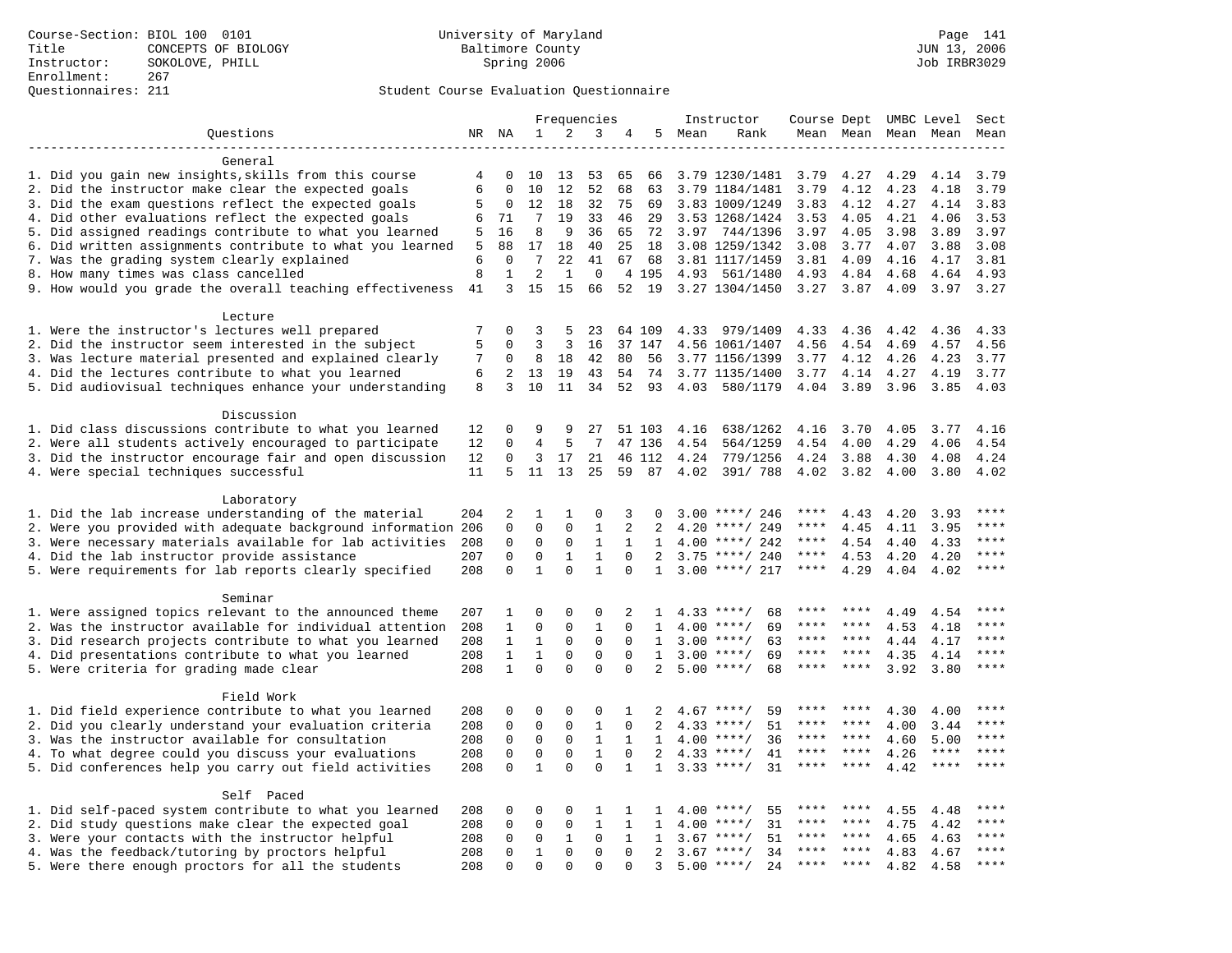### Questionnaires: 211 Student Course Evaluation Questionnaire

|                                                           |     |              |                     |                         | Frequencies             |              |                                |              | Instructor         |             |                |                     | Course Dept UMBC Level | Sect        |
|-----------------------------------------------------------|-----|--------------|---------------------|-------------------------|-------------------------|--------------|--------------------------------|--------------|--------------------|-------------|----------------|---------------------|------------------------|-------------|
| Ouestions                                                 |     | NR NA        | 1                   | 2                       | 3                       | 4            | 5                              | Mean         | Rank               |             |                | Mean Mean Mean Mean |                        | Mean        |
|                                                           |     |              |                     |                         |                         |              |                                |              |                    |             |                |                     |                        |             |
| General                                                   |     |              |                     |                         |                         |              |                                |              |                    |             |                |                     |                        |             |
| 1. Did you gain new insights, skills from this course     | 4   | $\Omega$     | 10                  | 13                      | 53                      | 65           | 66                             |              | 3.79 1230/1481     | 3.79        | 4.27           | 4.29                | 4.14                   | 3.79        |
| 2. Did the instructor make clear the expected goals       | 6   | $\Omega$     | 10                  | 12                      | 52                      | 68           | 63                             |              | 3.79 1184/1481     | 3.79        | 4.12           | 4.23                | 4.18                   | 3.79        |
| 3. Did the exam questions reflect the expected goals      | 5   | $\mathbf 0$  | 12                  | 18                      | 32                      | 75           | 69                             |              | 3.83 1009/1249     | 3.83        | 4.12           | 4.27                | 4.14                   | 3.83        |
| 4. Did other evaluations reflect the expected goals       | 6   | 71           | $7\phantom{.0}$     | 19                      | 33                      | 46           | 29                             |              | 3.53 1268/1424     | 3.53        | 4.05           | 4.21                | 4.06                   | 3.53        |
| 5. Did assigned readings contribute to what you learned   | 5   | 16           | 8                   | 9                       | 36                      | 65           | 72                             | 3.97         | 744/1396           | 3.97        | 4.05           | 3.98                | 3.89                   | 3.97        |
| 6. Did written assignments contribute to what you learned | 5   | 88           | 17                  | 18                      | 40                      | 25           | 18                             |              | 3.08 1259/1342     | 3.08        | 3.77           | 4.07                | 3.88                   | 3.08        |
| 7. Was the grading system clearly explained               | 6   | $\mathbf 0$  | 7                   | 22                      | 41                      | 67           | 68                             |              | 3.81 1117/1459     | 3.81        | 4.09           | 4.16                | 4.17                   | 3.81        |
| 8. How many times was class cancelled                     | 8   | $\mathbf{1}$ | $\overline{2}$      | $\mathbf{1}$            | $\mathbf 0$             |              | 4 195                          | 4.93         | 561/1480           | 4.93        | 4.84           | 4.68                | 4.64                   | 4.93        |
| 9. How would you grade the overall teaching effectiveness | 41  | 3            | 15                  | 15                      | 66                      |              | 52 19                          |              | 3.27 1304/1450     | 3.27        | 3.87           | 4.09                | 3.97                   | 3.27        |
|                                                           |     |              |                     |                         |                         |              |                                |              |                    |             |                |                     |                        |             |
| Lecture                                                   |     |              |                     |                         |                         |              |                                |              |                    |             |                |                     |                        |             |
| 1. Were the instructor's lectures well prepared           | 7   | $\Omega$     | 3                   | 5                       | 23                      |              | 64 109                         |              | 4.33 979/1409      | 4.33        | 4.36           | 4.42                | 4.36                   | 4.33        |
| 2. Did the instructor seem interested in the subject      | 5   | $\mathbf 0$  | 3                   | 3                       | 16                      |              | 37 147                         |              | 4.56 1061/1407     | 4.56        | 4.54           | 4.69                | 4.57                   | 4.56        |
| 3. Was lecture material presented and explained clearly   | 7   | 0            | 8                   | 18                      | 42                      | 80           | 56                             |              | 3.77 1156/1399     | 3.77        | 4.12           | 4.26                | 4.23                   | 3.77        |
| 4. Did the lectures contribute to what you learned        | 6   | 2            | 13                  | 19                      | 43                      | 54           | 74                             |              | 3.77 1135/1400     | 3.77        | 4.14           | 4.27                | 4.19                   | 3.77        |
| 5. Did audiovisual techniques enhance your understanding  | 8   | 3            | 10                  | 11                      | 34                      | 52           | 93                             | 4.03         | 580/1179           | 4.04        | 3.89           | 3.96                | 3.85                   | 4.03        |
|                                                           |     |              |                     |                         |                         |              |                                |              |                    |             |                |                     |                        |             |
| Discussion                                                |     |              |                     |                         |                         |              |                                |              |                    |             |                |                     |                        |             |
| 1. Did class discussions contribute to what you learned   | 12  | 0            | 9                   | 9                       | 27                      |              | 51 103                         | 4.16         | 638/1262           | 4.16        | 3.70           | 4.05                | 3.77                   | 4.16        |
| 2. Were all students actively encouraged to participate   | 12  | 0            | 4                   | 5                       | 7                       |              | 47 136                         | 4.54         | 564/1259           | 4.54        | 4.00           | 4.29                | 4.06                   | 4.54        |
| 3. Did the instructor encourage fair and open discussion  | 12  | 0            | 3                   | 17                      | 21                      |              | 46 112                         | 4.24         | 779/1256           | 4.24        | 3.88           | 4.30                | 4.08                   | 4.24        |
| 4. Were special techniques successful                     | 11  | 5            | 11                  | 13                      | 25                      | 59           | 87                             | 4.02         | 391/ 788           |             | 4.02 3.82 4.00 |                     | 3.80                   | 4.02        |
|                                                           |     |              |                     |                         |                         |              |                                |              |                    |             |                |                     |                        |             |
| Laboratory                                                |     |              |                     |                         |                         |              |                                |              |                    |             |                |                     |                        | ****        |
| 1. Did the lab increase understanding of the material     | 204 | 2            | 1                   | 1                       | $\mathbf 0$             | 3            | $\Omega$                       |              | $3.00$ ****/ 246   | ****        | 4.43           | 4.20                | 3.93                   | ****        |
| 2. Were you provided with adequate background information | 206 | $\mathbf 0$  | $\mathbf 0$         | $\mathbf 0$             | $\mathbf{1}$            | 2            | 2                              | 4.20         | ****/ 249          | ****        | 4.45           | 4.11                | 3.95                   |             |
| 3. Were necessary materials available for lab activities  | 208 | 0            | $\mathbf 0$         | $\mathbf 0$             | $\mathbf{1}$            | 1            | 1                              | 4.00         | ****/ 242          | $***$ * * * | 4.54           | 4.40                | 4.33                   | ****        |
| 4. Did the lab instructor provide assistance              | 207 | $\mathbf 0$  | $\mathbf 0$         | $\mathbf{1}$            | $\mathbf{1}$            | $\Omega$     | $\overline{2}$                 |              | $3.75$ ****/ 240   | $***$ * * * | 4.53           | 4.20                | 4.20                   | $***$ * * * |
| 5. Were requirements for lab reports clearly specified    | 208 | $\Omega$     | $\mathbf{1}$        | $\Omega$                | $\mathbf{1}$            | $\Omega$     | $\mathbf{1}$                   |              | $3.00$ ****/ 217   | $***$ * *   | 4.29           | 4.04                | 4.02                   | $***$       |
| Seminar                                                   |     |              |                     |                         |                         |              |                                |              |                    |             |                |                     |                        |             |
| 1. Were assigned topics relevant to the announced theme   | 207 | 1            | $\mathbf 0$         | 0                       | $\mathbf 0$             | 2            | 1                              |              | $4.33$ ****/<br>68 | ****        | ****           | 4.49                | 4.54                   | ****        |
| 2. Was the instructor available for individual attention  | 208 | 1            | $\mathbf 0$         | 0                       | $\mathbf{1}$            | $\Omega$     | $\mathbf{1}$                   | 4.00         | $***/$<br>69       |             | ****           | 4.53                | 4.18                   | * * * *     |
|                                                           |     | $\mathbf{1}$ | $\mathbf{1}$        | $\mathbf 0$             | $\mathbf 0$             | $\Omega$     | $\mathbf{1}$                   |              | 63<br>$* * * * /$  | ****        | ****           |                     |                        | $***$ * * * |
| 3. Did research projects contribute to what you learned   | 208 |              | $\mathbf{1}$        |                         |                         | $\Omega$     |                                | 3.00         | $***/$             | ****        | ****           | 4.44                | 4.17                   | $***$       |
| 4. Did presentations contribute to what you learned       | 208 | $\mathbf{1}$ | $\Omega$            | $\mathbf 0$<br>$\Omega$ | $\mathbf 0$<br>$\Omega$ | $\Omega$     | $\mathbf{1}$<br>$\overline{2}$ | 3.00<br>5.00 | 69<br>$***/$<br>68 | $***$ * *   | $***$ *        | 4.35                | 4.14                   | $***$       |
| 5. Were criteria for grading made clear                   | 208 | $\mathbf{1}$ |                     |                         |                         |              |                                |              |                    |             |                | 3.92                | 3.80                   |             |
| Field Work                                                |     |              |                     |                         |                         |              |                                |              |                    |             |                |                     |                        |             |
| 1. Did field experience contribute to what you learned    | 208 | 0            | $\mathbf 0$         | $\mathbf 0$             | $\mathbf 0$             | 1            | 2                              |              | $4.67$ ****/<br>59 |             |                | 4.30                | 4.00                   |             |
| 2. Did you clearly understand your evaluation criteria    | 208 | 0            | $\mathsf{O}\xspace$ | $\mathbf 0$             | $\mathbf{1}$            | $\mathbf 0$  | 2                              | 4.33         | $***/$<br>51       | ****        | ****           | 4.00                | 3.44                   | ****        |
| 3. Was the instructor available for consultation          | 208 | $\mathbf 0$  | $\mathsf{O}\xspace$ | $\mathbf 0$             | $\mathbf{1}$            | $\mathbf{1}$ | $\mathbf{1}$                   | 4.00         | $***/$<br>36       | $***$ * * * | $***$ *        | 4.60                | 5.00                   | ****        |
| 4. To what degree could you discuss your evaluations      | 208 | $\mathbf 0$  | $\mathsf 0$         | $\mathbf 0$             | $\mathbf{1}$            | $\mathbf 0$  | 2                              | 4.33         | $***$ /<br>41      | $***$ * *   | ****           | 4.26                | $***$ * * *            | ****        |
|                                                           |     | $\mathbf 0$  | $\mathbf{1}$        | 0                       | $\mathbf 0$             | $\mathbf{1}$ |                                |              | $3.33$ ****/<br>31 | ****        | ****           |                     | ****                   |             |
| 5. Did conferences help you carry out field activities    | 208 |              |                     |                         |                         |              | $\mathbf{1}$                   |              |                    |             |                | 4.42                |                        |             |
| Self Paced                                                |     |              |                     |                         |                         |              |                                |              |                    |             |                |                     |                        |             |
| 1. Did self-paced system contribute to what you learned   | 208 | 0            | $\mathbf 0$         | $\mathbf 0$             | 1                       | 1            | 1                              | 4.00         | $***$ /<br>55      |             |                | 4.55                | 4.48                   | ****        |
| 2. Did study questions make clear the expected goal       | 208 | $\mathbf 0$  | $\mathsf 0$         | $\mathbf 0$             | $\mathbf{1}$            | 1            | 1                              | 4.00         | 31<br>$***$ /      | ****        | ****           | 4.75                | 4.42                   | ****        |
| 3. Were your contacts with the instructor helpful         | 208 | 0            | $\mathsf 0$         | 1                       | $\mathbf 0$             | 1            | 1                              | 3.67         | $***/$<br>51       |             | ****           | 4.65                | 4.63                   | $***$       |
| 4. Was the feedback/tutoring by proctors helpful          | 208 | 0            | $\mathbf{1}$        | $\mathbf 0$             | $\mathbf{0}$            | $\Omega$     | 2                              | 3.67         | $***$ /<br>34      | ****        | ****           | 4.83                | 4.67                   | ****        |
| 5. Were there enough proctors for all the students        | 208 | $\Omega$     | $\Omega$            | $\Omega$                | $\Omega$                | $\Omega$     | 3                              | 5.00         | $***$ /<br>24      | $***$ * * * | ****           | 4.82                | 4.58                   | $***$       |
|                                                           |     |              |                     |                         |                         |              |                                |              |                    |             |                |                     |                        |             |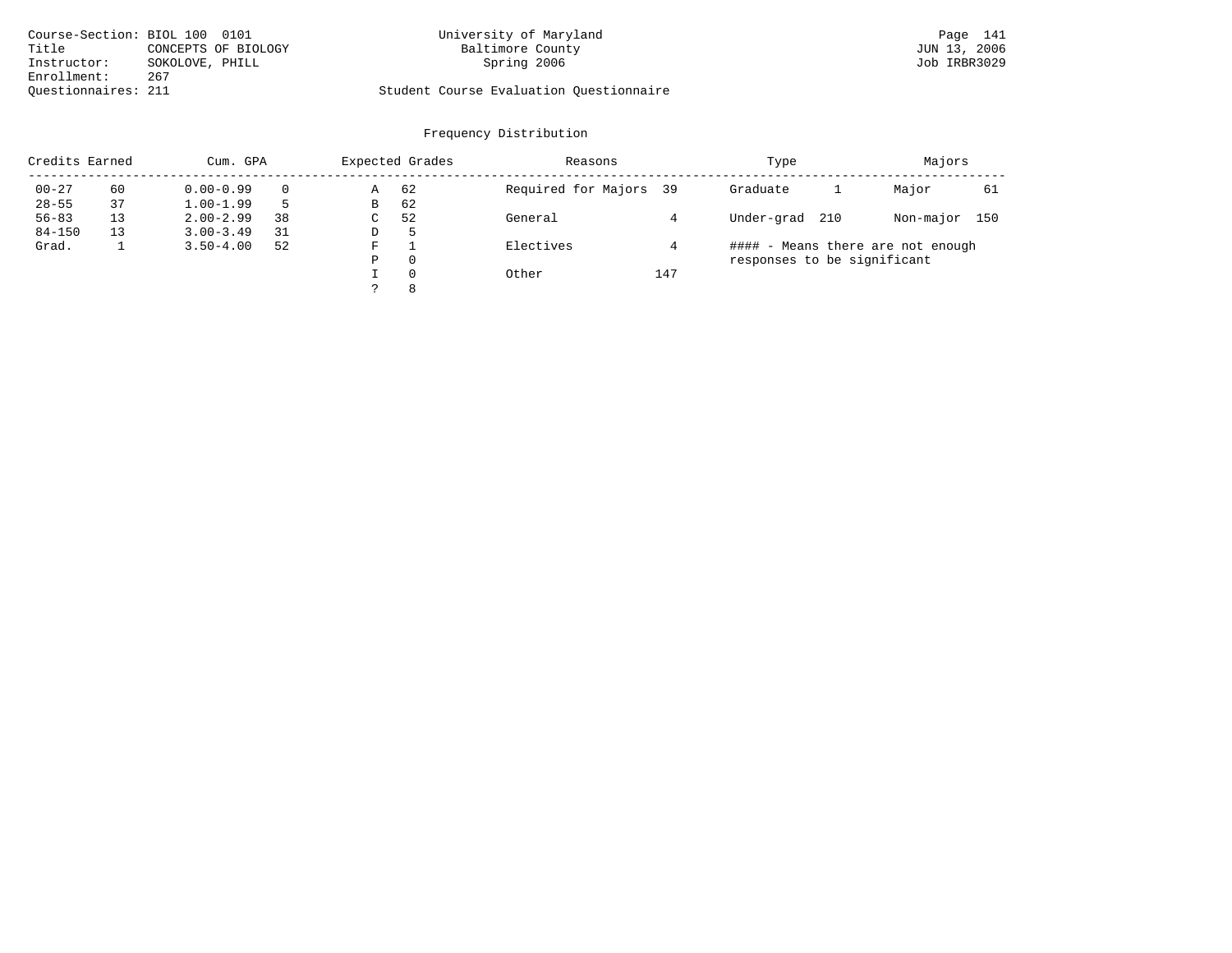| Course-Section: BIOL 100 0101 |                     | University of Maryland                  | Page 141     |
|-------------------------------|---------------------|-----------------------------------------|--------------|
| Title                         | CONCEPTS OF BIOLOGY | Baltimore County                        | JUN 13, 2006 |
| Instructor:                   | SOKOLOVE, PHILL     | Spring 2006                             | Job IRBR3029 |
| Enrollment:                   | 267                 |                                         |              |
| Ouestionnaires: 211           |                     | Student Course Evaluation Questionnaire |              |

# University of Maryland Baltimore County (Base 141) Design (Baltimore County (Base 141) UN 13, 2006

| Credits Earned |    | Cum. GPA      |    |    | Expected Grades | Reasons                |     | Type                        |     | Majors                            |     |
|----------------|----|---------------|----|----|-----------------|------------------------|-----|-----------------------------|-----|-----------------------------------|-----|
| $00 - 27$      | 60 | $0.00 - 0.99$ |    | Α  | 62              | Required for Majors 39 |     | Graduate                    |     | Major                             | 61  |
| $28 - 55$      | 37 | $1.00 - 1.99$ |    | В  | 62              |                        |     |                             |     |                                   |     |
| $56 - 83$      | 13 | $2.00 - 2.99$ | 38 | C. | 52              | General                |     | Under-grad                  | 210 | Non-major                         | 150 |
| $84 - 150$     | 13 | $3.00 - 3.49$ | 31 | D  | 5               |                        |     |                             |     |                                   |     |
| Grad.          |    | $3.50 - 4.00$ | 52 | F  |                 | Electives              |     |                             |     | #### - Means there are not enough |     |
|                |    |               |    | Ρ  | $\Omega$        |                        |     | responses to be significant |     |                                   |     |
|                |    |               |    |    | $\Omega$        | Other                  | 147 |                             |     |                                   |     |
|                |    |               |    |    | 8               |                        |     |                             |     |                                   |     |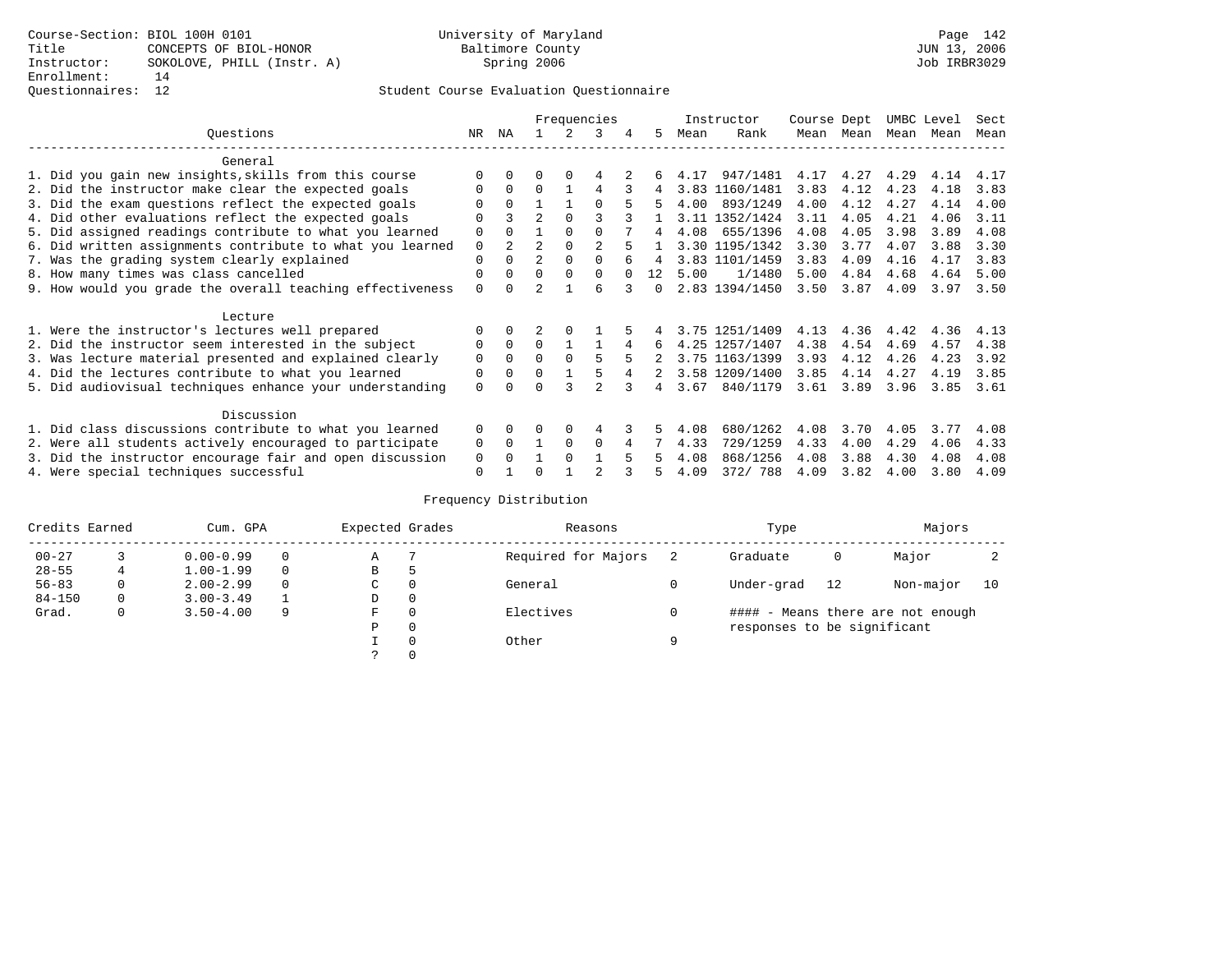### Questionnaires: 12 Student Course Evaluation Questionnaire

|                                                           |             |              |                |          | Frequencies    |        |      | Instructor     | Course Dept |           | UMBC Level |      | Sect |
|-----------------------------------------------------------|-------------|--------------|----------------|----------|----------------|--------|------|----------------|-------------|-----------|------------|------|------|
| Ouestions                                                 | NR.         | ΝA           |                |          | 3              | 5.     | Mean | Rank           |             | Mean Mean | Mean       | Mean | Mean |
| General                                                   |             |              |                |          |                |        |      |                |             |           |            |      |      |
| 1. Did you gain new insights, skills from this course     |             | $\Omega$     | 0              | $\Omega$ | 4              |        | 4.17 | 947/1481       | 4.17        | 4.27      | 4.29       | 4.14 | 4.17 |
| 2. Did the instructor make clear the expected goals       | O           | $\Omega$     | $\Omega$       |          | 4              | 4      |      | 3.83 1160/1481 | 3.83        | 4.12      | 4.23       | 4.18 | 3.83 |
| 3. Did the exam questions reflect the expected goals      |             | $\Omega$     |                |          | $\Omega$       | 5.     | 4.00 | 893/1249       | 4.00        | 4.12      | 4.27       | 4.14 | 4.00 |
| 4. Did other evaluations reflect the expected goals       | O           |              | $\overline{2}$ | $\Omega$ | ς              |        |      | 3.11 1352/1424 | 3.11        | 4.05      | 4.21       | 4.06 | 3.11 |
| 5. Did assigned readings contribute to what you learned   | $\mathbf 0$ | $\Omega$     |                | $\Omega$ | $\Omega$       | 4      | 4.08 | 655/1396       | 4.08        | 4.05      | 3.98       | 3.89 | 4.08 |
| 6. Did written assignments contribute to what you learned | $\mathbf 0$ | $2^{\circ}$  | $\mathfrak{D}$ | $\Omega$ | $\mathfrak{D}$ |        |      | 3.30 1195/1342 | 3.30        | 3.77      | 4.07       | 3.88 | 3.30 |
| 7. Was the grading system clearly explained               | $\mathbf 0$ | $\Omega$     | $\overline{2}$ | $\Omega$ |                |        |      | 3.83 1101/1459 | 3.83        | 4.09      | 4.16       | 4.17 | 3.83 |
| 8. How many times was class cancelled                     | 0           | $\Omega$     | $\Omega$       | $\Omega$ | $\Omega$       | 12     | 5.00 | 1/1480         | 5.00        | 4.84      | 4.68       | 4.64 | 5.00 |
| 9. How would you grade the overall teaching effectiveness | $\Omega$    | <sup>n</sup> |                |          | ศ              | $\cap$ |      | 2.83 1394/1450 | 3.50        | 3.87      | 4.09       | 3.97 | 3.50 |
| Lecture                                                   |             |              |                |          |                |        |      |                |             |           |            |      |      |
| 1. Were the instructor's lectures well prepared           | O           |              |                |          |                |        |      | 3.75 1251/1409 | 4.13        | 4.36      | 4.42       | 4.36 | 4.13 |
| 2. Did the instructor seem interested in the subject      | 0           | $\Omega$     | $\Omega$       |          |                | 6      |      | 4.25 1257/1407 | 4.38        | 4.54      | 4.69       | 4.57 | 4.38 |
| 3. Was lecture material presented and explained clearly   | 0           | $\Omega$     | $\Omega$       | $\Omega$ |                |        |      | 3.75 1163/1399 | 3.93        | 4.12      | 4.26       | 4.23 | 3.92 |
| 4. Did the lectures contribute to what you learned        | 0           | $\Omega$     | $\Omega$       |          |                |        |      | 3.58 1209/1400 | 3.85        | 4.14      | 4.27       | 4.19 | 3.85 |
| 5. Did audiovisual techniques enhance your understanding  | $\Omega$    |              |                |          | $\mathcal{D}$  | 4      | 3.67 | 840/1179       | 3.61        | 3.89      | 3.96       | 3.85 | 3.61 |
| Discussion                                                |             |              |                |          |                |        |      |                |             |           |            |      |      |
| 1. Did class discussions contribute to what you learned   | $\Omega$    | 0            | 0              | $\Omega$ | 4              |        | 4.08 | 680/1262       | 4.08        | 3.70      | 4.05       | 3.77 | 4.08 |
| 2. Were all students actively encouraged to participate   | 0           | $\Omega$     |                | $\Omega$ | $\Omega$       |        | 4.33 | 729/1259       | 4.33        | 4.00      | 4.29       | 4.06 | 4.33 |
| 3. Did the instructor encourage fair and open discussion  | 0           |              |                | $\Omega$ |                |        | 4.08 | 868/1256       | 4.08        | 3.88      | 4.30       | 4.08 | 4.08 |
| 4. Were special techniques successful                     | $\Omega$    |              |                |          |                |        | 4.09 | 372/ 788       | 4.09        | 3.82      | 4.00       | 3.80 | 4.09 |

| Credits Earned |          | Cum. GPA      |   | Expected Grades |          | Reasons             |   | Type                        |    | Majors                            |    |
|----------------|----------|---------------|---|-----------------|----------|---------------------|---|-----------------------------|----|-----------------------------------|----|
| $00 - 27$      |          | $0.00 - 0.99$ |   | Α               |          | Required for Majors |   | Graduate                    | 0  | Major                             |    |
| $28 - 55$      | 4        | $1.00 - 1.99$ |   | B               | 5        |                     |   |                             |    |                                   |    |
| $56 - 83$      | $\Omega$ | $2.00 - 2.99$ |   | C               | 0        | General             |   | Under-grad                  | 12 | Non-major                         | 10 |
| $84 - 150$     | 0        | $3.00 - 3.49$ |   | D               | 0        |                     |   |                             |    |                                   |    |
| Grad.          | 0        | $3.50 - 4.00$ | 9 | F               | 0        | Electives           |   |                             |    | #### - Means there are not enough |    |
|                |          |               |   | Ρ               | 0        |                     |   | responses to be significant |    |                                   |    |
|                |          |               |   |                 | $\Omega$ | Other               | Q |                             |    |                                   |    |
|                |          |               |   |                 |          |                     |   |                             |    |                                   |    |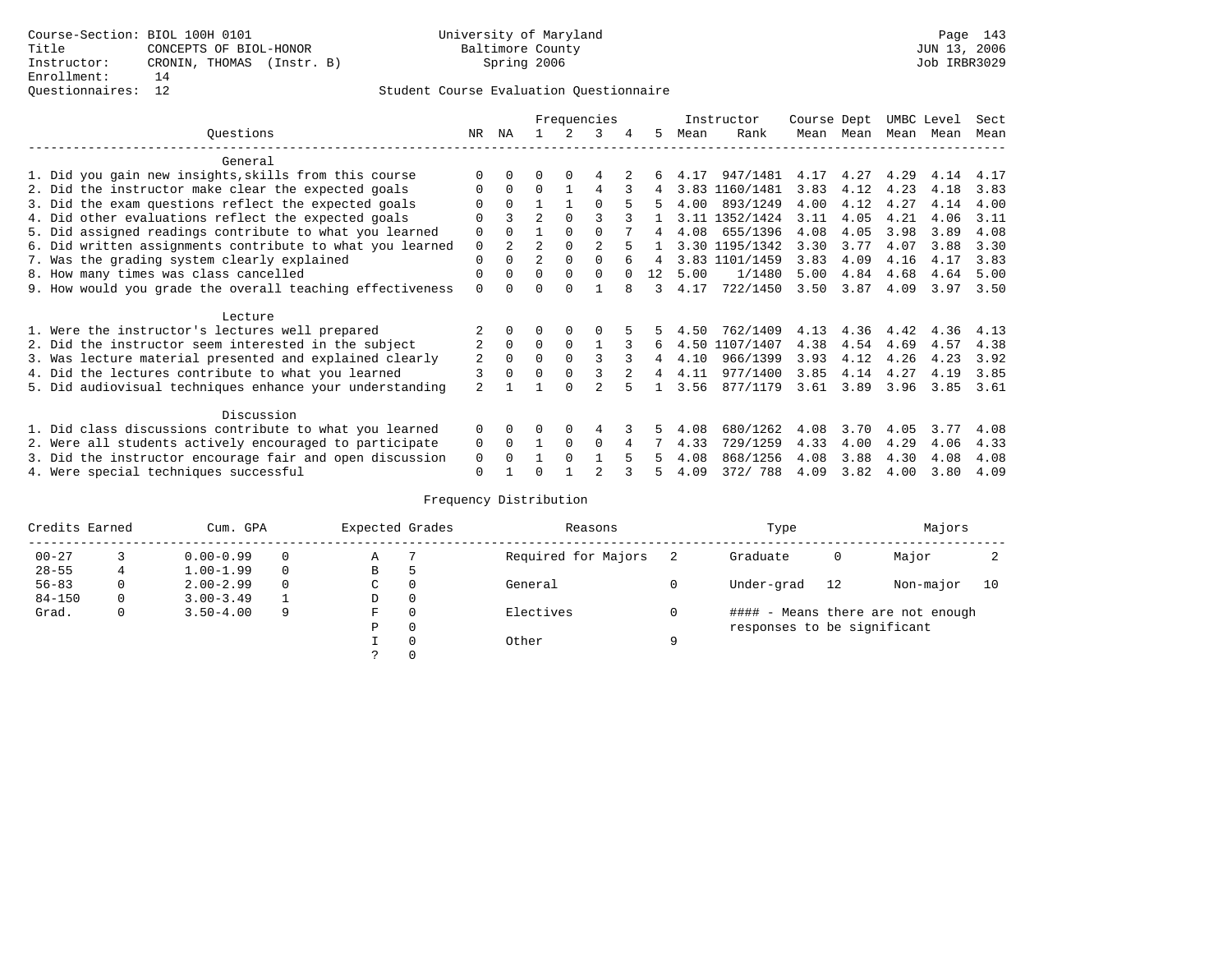### Questionnaires: 12 Student Course Evaluation Questionnaire

|                                                           |                           |              |                |          | Frequencies    |    |      | Instructor     | Course Dept |           | UMBC Level |      | Sect |
|-----------------------------------------------------------|---------------------------|--------------|----------------|----------|----------------|----|------|----------------|-------------|-----------|------------|------|------|
| Ouestions                                                 | NR.                       | ΝA           |                |          | 3              | 5. | Mean | Rank           |             | Mean Mean | Mean       | Mean | Mean |
| General                                                   |                           |              |                |          |                |    |      |                |             |           |            |      |      |
| 1. Did you gain new insights, skills from this course     |                           | $\Omega$     | 0              | $\Omega$ | 4              |    | 4.17 | 947/1481       | 4.17        | 4.27      | 4.29       | 4.14 | 4.17 |
| 2. Did the instructor make clear the expected goals       | O                         | $\Omega$     | $\Omega$       |          | 4              |    |      | 3.83 1160/1481 | 3.83        | 4.12      | 4.23       | 4.18 | 3.83 |
| 3. Did the exam questions reflect the expected goals      |                           | $\Omega$     |                |          | $\Omega$       | 5. | 4.00 | 893/1249       | 4.00        | 4.12      | 4.27       | 4.14 | 4.00 |
| 4. Did other evaluations reflect the expected goals       | O                         |              | $\overline{2}$ | $\Omega$ | ς              |    |      | 3.11 1352/1424 | 3.11        | 4.05      | 4.21       | 4.06 | 3.11 |
| 5. Did assigned readings contribute to what you learned   | $\mathbf 0$               | $\Omega$     |                | $\Omega$ | $\Omega$       | 4  | 4.08 | 655/1396       | 4.08        | 4.05      | 3.98       | 3.89 | 4.08 |
| 6. Did written assignments contribute to what you learned | $\mathbf 0$               | $2^{\circ}$  | $\mathfrak{D}$ | $\Omega$ | $\mathfrak{D}$ |    |      | 3.30 1195/1342 | 3.30        | 3.77      | 4.07       | 3.88 | 3.30 |
| 7. Was the grading system clearly explained               | $\mathbf 0$               | $\Omega$     | $\overline{2}$ | $\Omega$ |                |    |      | 3.83 1101/1459 | 3.83        | 4.09      | 4.16       | 4.17 | 3.83 |
| 8. How many times was class cancelled                     | 0                         | $\Omega$     | $\Omega$       | $\Omega$ | $\Omega$       | 12 | 5.00 | 1/1480         | 5.00        | 4.84      | 4.68       | 4.64 | 5.00 |
| 9. How would you grade the overall teaching effectiveness | $\Omega$                  | <sup>n</sup> | ∩              | ∩        |                | 3  | 4.17 | 722/1450       | 3.50        | 3.87      | 4.09       | 3.97 | 3.50 |
| Lecture                                                   |                           |              |                |          |                |    |      |                |             |           |            |      |      |
| 1. Were the instructor's lectures well prepared           |                           |              |                |          |                |    | 4.50 | 762/1409       | 4.13        | 4.36      | 4.42       | 4.36 | 4.13 |
| 2. Did the instructor seem interested in the subject      | $\overline{2}$            | $\Omega$     | $\Omega$       | $\Omega$ |                | 6  | 4.50 | 1107/1407      | 4.38        | 4.54      | 4.69       | 4.57 | 4.38 |
| 3. Was lecture material presented and explained clearly   | 2                         | $\Omega$     | 0              |          |                |    | 4.10 | 966/1399       | 3.93        | 4.12      | 4.26       | 4.23 | 3.92 |
| 4. Did the lectures contribute to what you learned        | 3                         | $\Omega$     | $\Omega$       |          |                | 4  | 4.11 | 977/1400       | 3.85        | 4.14      | 4.27       | 4.19 | 3.85 |
| 5. Did audiovisual techniques enhance your understanding  | $\overline{\mathfrak{L}}$ |              |                | ∩        |                |    | 3.56 | 877/1179       | 3.61        | 3.89      | 3.96       | 3.85 | 3.61 |
| Discussion                                                |                           |              |                |          |                |    |      |                |             |           |            |      |      |
| 1. Did class discussions contribute to what you learned   | $\Omega$                  | 0            | 0              | $\Omega$ | 4              |    | 4.08 | 680/1262       | 4.08        | 3.70      | 4.05       | 3.77 | 4.08 |
| 2. Were all students actively encouraged to participate   | 0                         | $\Omega$     |                | $\Omega$ | $\Omega$       |    | 4.33 | 729/1259       | 4.33        | 4.00      | 4.29       | 4.06 | 4.33 |
| 3. Did the instructor encourage fair and open discussion  | 0                         |              |                | $\Omega$ |                |    | 4.08 | 868/1256       | 4.08        | 3.88      | 4.30       | 4.08 | 4.08 |
| 4. Were special techniques successful                     | $\Omega$                  |              |                |          |                |    | 4.09 | 372/ 788       | 4.09        | 3.82      | 4.00       | 3.80 | 4.09 |

| Credits Earned |          | Cum. GPA      |   | Expected Grades |          | Reasons             |   | Type                        |    | Majors                            |    |
|----------------|----------|---------------|---|-----------------|----------|---------------------|---|-----------------------------|----|-----------------------------------|----|
| $00 - 27$      |          | $0.00 - 0.99$ |   | Α               |          | Required for Majors |   | Graduate                    | 0  | Major                             |    |
| $28 - 55$      | 4        | $1.00 - 1.99$ |   | B               | 5        |                     |   |                             |    |                                   |    |
| $56 - 83$      | $\Omega$ | $2.00 - 2.99$ |   | C               | 0        | General             |   | Under-grad                  | 12 | Non-major                         | 10 |
| $84 - 150$     | 0        | $3.00 - 3.49$ |   | D               | 0        |                     |   |                             |    |                                   |    |
| Grad.          | 0        | $3.50 - 4.00$ | 9 | F               | 0        | Electives           |   |                             |    | #### - Means there are not enough |    |
|                |          |               |   | Ρ               | 0        |                     |   | responses to be significant |    |                                   |    |
|                |          |               |   |                 | $\Omega$ | Other               | Q |                             |    |                                   |    |
|                |          |               |   |                 |          |                     |   |                             |    |                                   |    |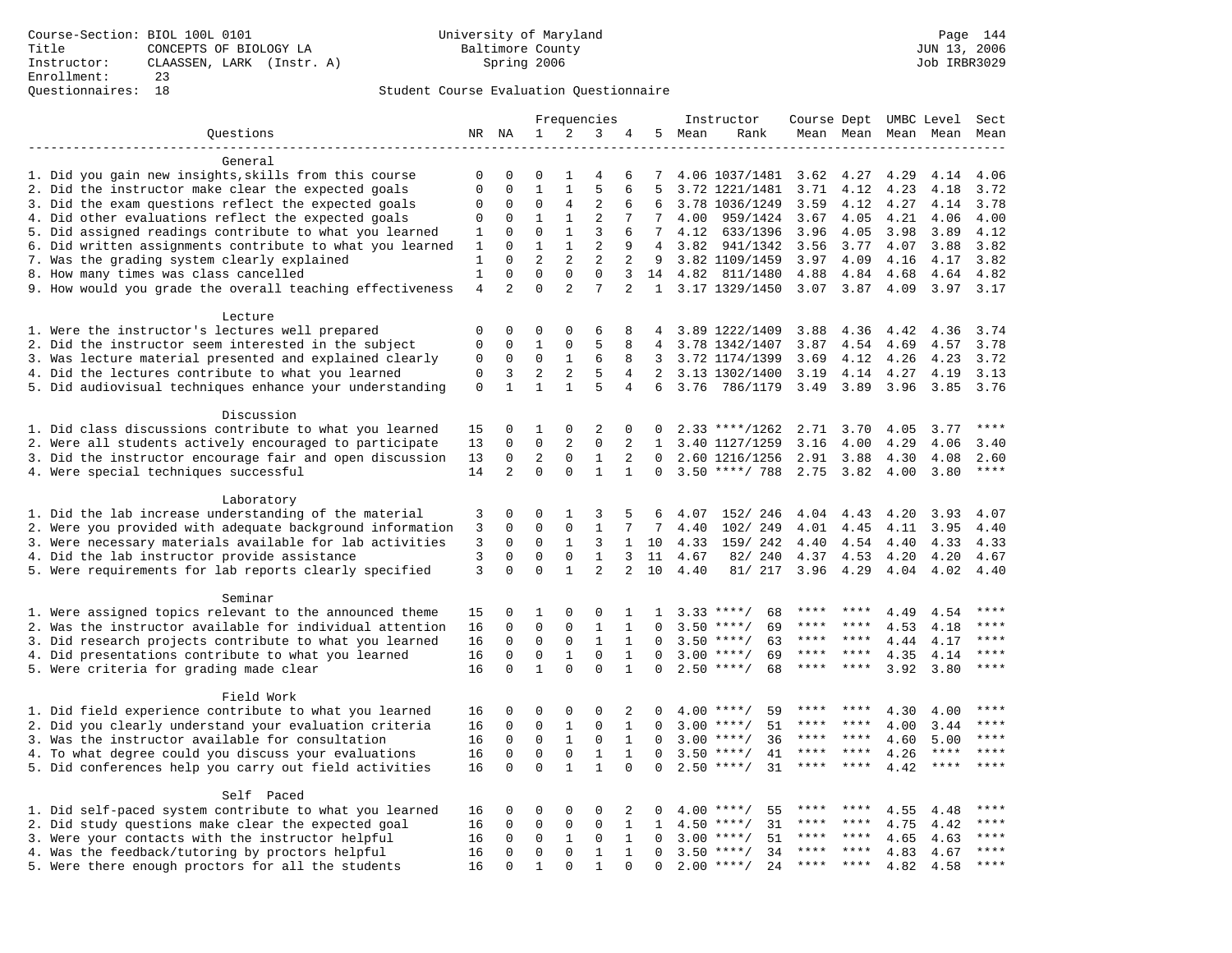### Questionnaires: 18 Student Course Evaluation Questionnaire

|                                                                    |                   |                         |                            |                               | Frequencies    |                |                 |        | Instructor         | Course Dept UMBC Level |               |                     |              | Sect         |
|--------------------------------------------------------------------|-------------------|-------------------------|----------------------------|-------------------------------|----------------|----------------|-----------------|--------|--------------------|------------------------|---------------|---------------------|--------------|--------------|
| Questions                                                          |                   | NR NA                   | 1                          | 2                             | 3              | 4              |                 | 5 Mean | Rank               |                        |               | Mean Mean Mean Mean |              | Mean         |
|                                                                    |                   |                         |                            |                               |                |                |                 |        |                    |                        |               |                     |              |              |
| General                                                            |                   |                         |                            |                               |                |                |                 |        |                    |                        |               |                     |              |              |
| 1. Did you gain new insights, skills from this course              | $\mathbf 0$       | $\mathbf 0$             | 0                          | 1                             | $\overline{4}$ | 6              | 7               |        | 4.06 1037/1481     | 3.62                   | 4.27          | 4.29                | 4.14         | 4.06         |
| 2. Did the instructor make clear the expected goals                | $\mathbf{0}$      | $\Omega$                | $\mathbf{1}$               | $\mathbf{1}$                  | 5              | 6              | 5               |        | 3.72 1221/1481     | 3.71                   | 4.12          | 4.23                | 4.18         | 3.72         |
| 3. Did the exam questions reflect the expected goals               | $\mathbf 0$       | $\Omega$                | $\Omega$                   | 4                             | $\overline{2}$ | 6              | 6               |        | 3.78 1036/1249     | 3.59                   | 4.12          | 4.27                | 4.14         | 3.78         |
| 4. Did other evaluations reflect the expected goals                | 0                 | $\mathbf 0$             | $\mathbf{1}$               | $\mathbf{1}$                  | $\overline{2}$ | 7              | $7\phantom{.0}$ | 4.00   | 959/1424           | 3.67                   | 4.05          | 4.21                | 4.06         | 4.00         |
| 5. Did assigned readings contribute to what you learned            | $\mathbf{1}$      | $\mathbf{0}$            | $\mathbf 0$                | $\mathbf{1}$                  | 3              | 6              | 7               | 4.12   | 633/1396           | 3.96                   | 4.05          | 3.98                | 3.89         | 4.12         |
| 6. Did written assignments contribute to what you learned          | 1                 | $\mathbf 0$             | $\mathbf 1$                | $\mathbf{1}$                  | 2              | 9              | 4               | 3.82   | 941/1342           | 3.56                   | 3.77          | 4.07                | 3.88         | 3.82         |
| 7. Was the grading system clearly explained                        | 1<br>$\mathbf{1}$ | $\Omega$<br>$\mathbf 0$ | $\overline{2}$<br>$\Omega$ | $\overline{2}$<br>$\mathbf 0$ | 2<br>$\Omega$  | 2<br>3         | 9               | 4.82   | 3.82 1109/1459     | 3.97                   | 4.09          | 4.16                | 4.17         | 3.82<br>4.82 |
| 8. How many times was class cancelled                              | $\overline{4}$    | $\mathfrak{D}$          | $\Omega$                   | $\overline{2}$                | 7              | $\overline{2}$ | 14              |        | 811/1480           | 4.88                   | 4.84          | 4.68                | 4.64<br>3.97 | 3.17         |
| 9. How would you grade the overall teaching effectiveness          |                   |                         |                            |                               |                |                |                 |        | 1 3.17 1329/1450   |                        | $3.07$ $3.87$ | 4.09                |              |              |
| Lecture                                                            |                   |                         |                            |                               |                |                |                 |        |                    |                        |               |                     |              |              |
| 1. Were the instructor's lectures well prepared                    | $\mathbf 0$       | $\mathbf 0$             | 0                          | 0                             | 6              | 8              |                 |        | 3.89 1222/1409     | 3.88                   | 4.36          | 4.42                | 4.36         | 3.74         |
| 2. Did the instructor seem interested in the subject               | $\mathbf 0$       | $\mathbf 0$             | 1                          | $\mathbf 0$                   | 5              | 8              | 4               |        | 3.78 1342/1407     | 3.87                   | 4.54          | 4.69                | 4.57         | 3.78         |
| 3. Was lecture material presented and explained clearly            | 0                 | $\mathbf 0$             | 0                          | 1                             | 6              | 8              | 3               |        | 3.72 1174/1399     | 3.69                   | 4.12          | 4.26                | 4.23         | 3.72         |
| 4. Did the lectures contribute to what you learned                 | $\mathbf{0}$      | 3                       | $\overline{\mathbf{c}}$    | 2                             | 5              | 4              | 2               |        | 3.13 1302/1400     | 3.19                   | 4.14          | 4.27                | 4.19         | 3.13         |
| 5. Did audiovisual techniques enhance your understanding           | $\mathsf 0$       | $\mathbf{1}$            | $\mathbf{1}$               | $\mathbf{1}$                  | 5              | 4              | 6               | 3.76   | 786/1179           | 3.49                   | 3.89          | 3.96                | 3.85         | 3.76         |
|                                                                    |                   |                         |                            |                               |                |                |                 |        |                    |                        |               |                     |              |              |
| Discussion                                                         |                   |                         |                            |                               |                |                |                 |        |                    |                        |               |                     |              |              |
| 1. Did class discussions contribute to what you learned            | 15                | $\mathbf 0$             | 1                          | $\mathbf 0$                   | 2              | 0              | 0               |        | $2.33$ ****/1262   | 2.71                   | 3.70          | 4.05                | 3.77         | ****         |
| 2. Were all students actively encouraged to participate            | 13                | $\mathbf 0$             | $\mathbf 0$                | 2                             | $\Omega$       | 2              | $\mathbf{1}$    |        | 3.40 1127/1259     | 3.16                   | 4.00          | 4.29                | 4.06         | 3.40         |
| 3. Did the instructor encourage fair and open discussion           | 13                | $\mathbf 0$             | $\overline{2}$             | $\mathbf 0$                   | $\mathbf{1}$   | 2              | $\Omega$        |        | 2.60 1216/1256     | 2.91                   | 3.88          | 4.30                | 4.08         | 2.60         |
| 4. Were special techniques successful                              | 14                | $\overline{a}$          | $\Omega$                   | $\Omega$                      | $\mathbf{1}$   | $\mathbf{1}$   | $\Omega$        |        | $3.50$ ****/ 788   | 2.75                   | 3.82          | 4.00                | 3.80         | ****         |
|                                                                    |                   |                         |                            |                               |                |                |                 |        |                    |                        |               |                     |              |              |
| Laboratory                                                         |                   |                         |                            |                               |                |                |                 |        |                    |                        |               |                     |              |              |
| 1. Did the lab increase understanding of the material              | 3                 | $\mathbf 0$             | 0                          | 1                             | 3              | 5              | 6               | 4.07   | 152/ 246           | 4.04                   | 4.43          | 4.20                | 3.93         | 4.07         |
| 2. Were you provided with adequate background information          | 3                 | $\mathbf 0$             | $\mathbf 0$                | $\mathbf 0$                   | $\mathbf{1}$   | 7              | 7               | 4.40   | 102/ 249           | 4.01                   | 4.45          | 4.11                | 3.95         | 4.40         |
| 3. Were necessary materials available for lab activities           | 3                 | $\Omega$                | $\Omega$                   | $\mathbf{1}$                  | 3              | $\mathbf{1}$   | 10              | 4.33   | 159/ 242           | 4.40                   | 4.54          | 4.40                | 4.33         | 4.33         |
| 4. Did the lab instructor provide assistance                       | 3                 | $\mathbf 0$             | $\mathbf 0$                | $\mathbf 0$                   | $\mathbf{1}$   | $\mathbf{3}$   | 11              | 4.67   | 82/ 240            | 4.37                   | 4.53          | 4.20                | 4.20         | 4.67         |
| 5. Were requirements for lab reports clearly specified             | 3                 | $\mathbf 0$             | $\Omega$                   | $\mathbf{1}$                  | 2              | $\overline{2}$ | 10              | 4.40   | 81/ 217            | 3.96                   | 4.29          | 4.04                | 4.02         | 4.40         |
|                                                                    |                   |                         |                            |                               |                |                |                 |        |                    |                        |               |                     |              |              |
| Seminar<br>1. Were assigned topics relevant to the announced theme | 15                | $\mathbf 0$             | 1                          | $\mathbf{0}$                  | $\Omega$       | 1              | 1               |        | 68<br>$3.33$ ****/ | $***$ * * *            | ****          | 4.49                | 4.54         | ****         |
| 2. Was the instructor available for individual attention           | 16                | $\mathbf 0$             | $\mathbf 0$                | $\mathbf 0$                   | $\mathbf{1}$   | $\mathbf{1}$   | $\Omega$        | 3.50   | $***/$<br>69       | ****                   |               | 4.53                | 4.18         | ****         |
| 3. Did research projects contribute to what you learned            | 16                | $\mathbf 0$             | $\mathbf 0$                | $\mathbf 0$                   | $1\,$          | 1              | $\mathbf 0$     | 3.50   | $***$ /<br>63      | ****                   | $* * * *$     | 4.44                | 4.17         | ****         |
| 4. Did presentations contribute to what you learned                | 16                | $\mathbf 0$             | $\mathbf 0$                | $\mathbf{1}$                  | $\mathbf 0$    | $\mathbf{1}$   | $\Omega$        | 3.00   | $***$ /<br>69      | ****                   | $* * * *$     | 4.35                | 4.14         | $***$        |
| 5. Were criteria for grading made clear                            | 16                | $\mathbf 0$             | $\mathbf{1}$               | $\Omega$                      | $\Omega$       | $\mathbf{1}$   | $\Omega$        |        | $2.50$ ****/<br>68 | ****                   | ****          | 3.92                | 3.80         | ****         |
|                                                                    |                   |                         |                            |                               |                |                |                 |        |                    |                        |               |                     |              |              |
| Field Work                                                         |                   |                         |                            |                               |                |                |                 |        |                    |                        |               |                     |              |              |
| 1. Did field experience contribute to what you learned             | 16                | $\mathbf 0$             | 0                          | $\mathbf 0$                   | $\mathbf 0$    | 2              | $\Omega$        |        | $4.00$ ****/<br>59 |                        |               | 4.30                | 4.00         | * * * *      |
| 2. Did you clearly understand your evaluation criteria             | 16                | $\Omega$                | $\mathbf 0$                | $\mathbf{1}$                  | $\Omega$       | $\mathbf{1}$   | $\Omega$        | 3.00   | 51<br>$***/$       | ****                   | ****          | 4.00                | 3.44         | ****         |
| 3. Was the instructor available for consultation                   | 16                | $\mathbf 0$             | $\mathbf 0$                | $\mathbf{1}$                  | $\mathbf 0$    | $\mathbf{1}$   | $\mathbf 0$     | 3.00   | $***/$<br>36       | ****                   | $***$ *       | 4.60                | 5.00         | $***$        |
| 4. To what degree could you discuss your evaluations               | 16                | $\mathbf 0$             | $\mathbf 0$                | $\mathsf 0$                   | $1\,$          | 1              | $\Omega$        | 3.50   | $***/$<br>41       | $***$ * * *            | $***$         | 4.26                | $***$ * * *  | $***$        |
| 5. Did conferences help you carry out field activities             | 16                | $\Omega$                | $\Omega$                   | $\mathbf{1}$                  | $\mathbf{1}$   | $\Omega$       | $\Omega$        | 2.50   | 31<br>$***$ /      | ****                   | ****          | 4.42                | $***$ * * *  | ****         |
|                                                                    |                   |                         |                            |                               |                |                |                 |        |                    |                        |               |                     |              |              |
| Self Paced                                                         |                   |                         |                            |                               |                |                |                 |        |                    |                        |               |                     |              |              |
| 1. Did self-paced system contribute to what you learned            | 16                | $\mathbf 0$             | 0                          | $\mathbf 0$                   | $\Omega$       | 2              | $\Omega$        | 4.00   | 55<br>****/        | ****                   |               | 4.55                | 4.48         | ****         |
| 2. Did study questions make clear the expected goal                | 16                | $\mathbf 0$             | $\mathbf 0$                | $\mathsf 0$                   | $\mathbf 0$    | $\mathbf{1}$   | $\mathbf{1}$    | 4.50   | $***/$<br>31       | ****                   | $* * * * *$   | 4.75                | 4.42         | ****         |
| 3. Were your contacts with the instructor helpful                  | 16                | 0                       | 0                          | 1                             | 0              | $\mathbf{1}$   | $\Omega$        | 3.00   | 51<br>$***$ /      | ****                   | ****          | 4.65                | 4.63         | ****         |
| 4. Was the feedback/tutoring by proctors helpful                   | 16                | $\mathbf 0$             | $\mathbf 0$                | $\mathbf 0$                   | $\mathbf{1}$   | $\mathbf{1}$   | $\Omega$        | 3.50   | $***/$<br>34       |                        |               | 4.83                | 4.67         | * * * *      |
| 5. Were there enough proctors for all the students                 | 16                | $\mathbf 0$             | $\mathbf 1$                | $\Omega$                      | $\mathbf{1}$   | $\Omega$       | $\Omega$        |        | $2.00$ ****/<br>24 | $***$ * * *            | $***$         | 4.82                | 4.58         | ****         |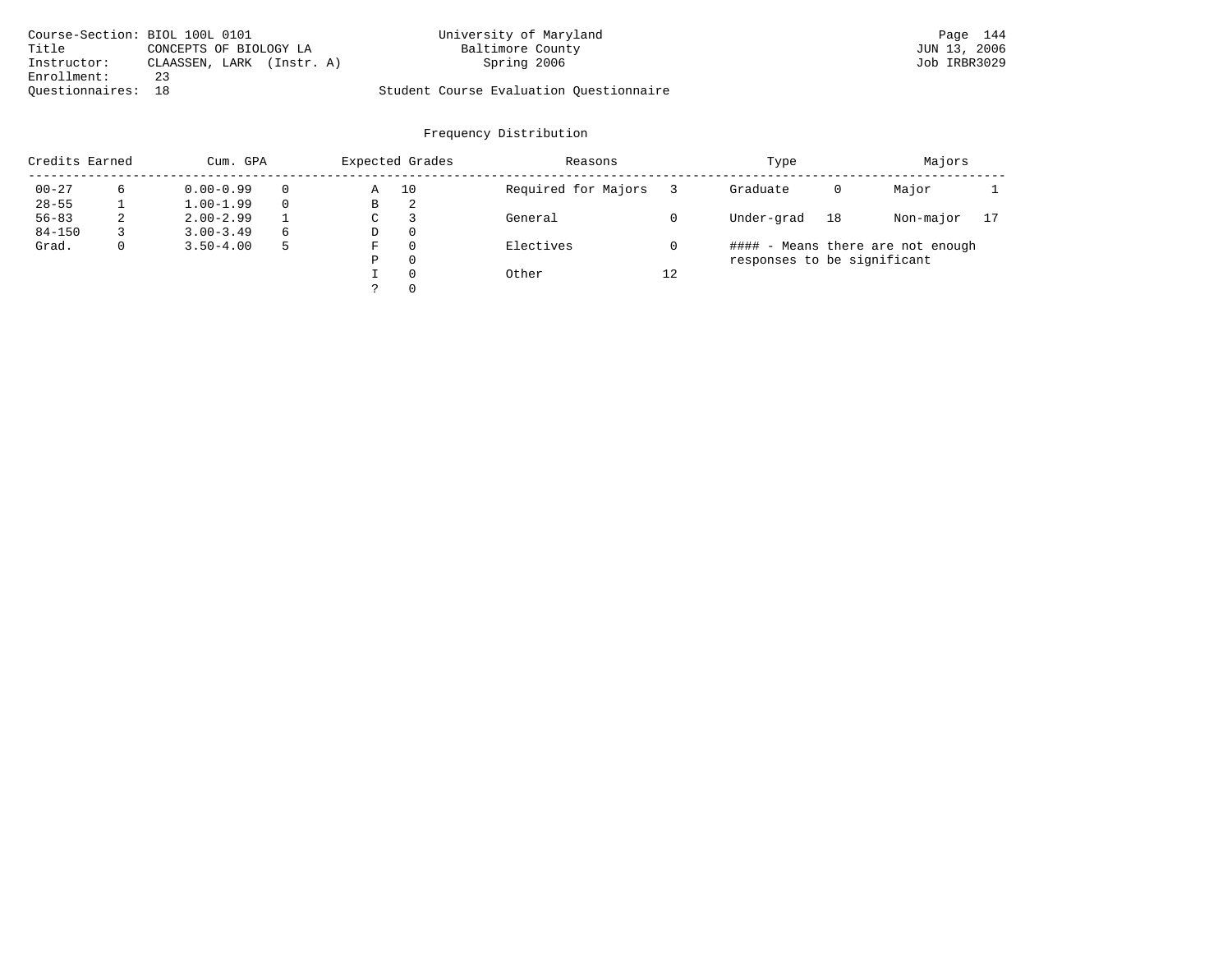| Course-Section: BIOL 100L 0101 |                           | University of Maryland                  | Page 144     |
|--------------------------------|---------------------------|-----------------------------------------|--------------|
| Title                          | CONCEPTS OF BIOLOGY LA    | Baltimore County                        | JUN 13, 2006 |
| Instructor:                    | CLAASSEN, LARK (Instr. A) | Spring 2006                             | Job IRBR3029 |
| Enrollment:                    | 23                        |                                         |              |
| Ouestionnaires: 18             |                           | Student Course Evaluation Ouestionnaire |              |

| Credits Earned |             | Cum. GPA      |   |   | Expected Grades | Reasons             |    | Type                        |    | Majors                            |    |
|----------------|-------------|---------------|---|---|-----------------|---------------------|----|-----------------------------|----|-----------------------------------|----|
| $00 - 27$      | 6           | $0.00 - 0.99$ |   | Α | 10              | Required for Majors |    | Graduate                    | 0  | Major                             |    |
| $28 - 55$      |             | $1.00 - 1.99$ |   | В | 2               |                     |    |                             |    |                                   |    |
| $56 - 83$      | 2           | $2.00 - 2.99$ |   | C |                 | General             |    | Under-grad                  | 18 | Non-major                         | 17 |
| $84 - 150$     |             | $3.00 - 3.49$ | 6 | D | $\Omega$        |                     |    |                             |    |                                   |    |
| Grad.          | $\mathbf 0$ | $3.50 - 4.00$ |   | F | $\Omega$        | Electives           |    |                             |    | #### - Means there are not enough |    |
|                |             |               |   | Ρ | $\Omega$        |                     |    | responses to be significant |    |                                   |    |
|                |             |               |   |   | $\Omega$        | Other               | 12 |                             |    |                                   |    |
|                |             |               |   |   | $\Omega$        |                     |    |                             |    |                                   |    |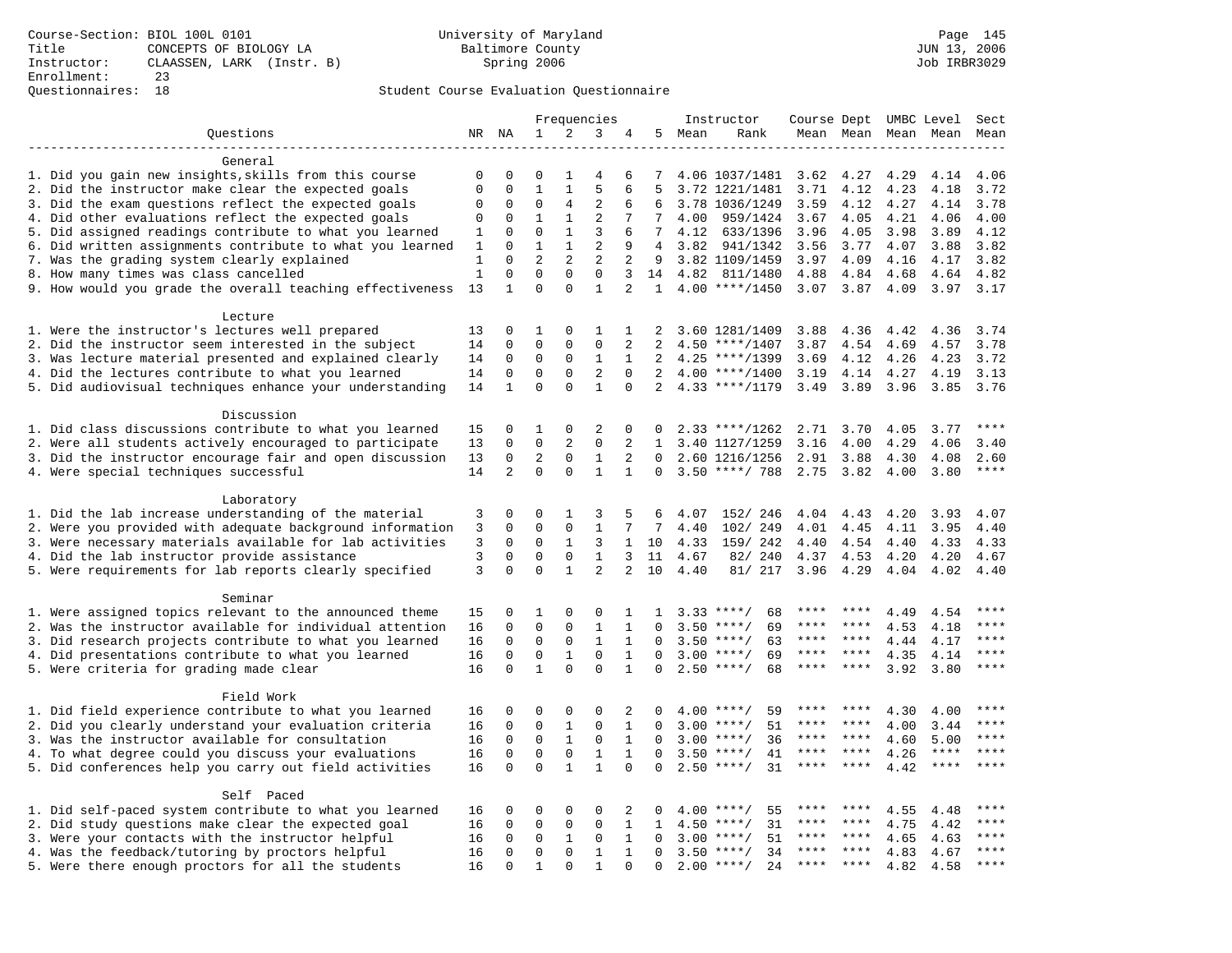### Questionnaires: 18 Student Course Evaluation Questionnaire

|                                                           |              |                         |                             |                          | Frequencies             |                              |                      |        | Instructor                               | Course Dept UMBC Level |               |                     |              | Sect        |
|-----------------------------------------------------------|--------------|-------------------------|-----------------------------|--------------------------|-------------------------|------------------------------|----------------------|--------|------------------------------------------|------------------------|---------------|---------------------|--------------|-------------|
| Questions                                                 |              | NR NA                   | 1                           | 2                        | 3                       | 4                            |                      | 5 Mean | Rank                                     |                        |               | Mean Mean Mean Mean |              | Mean        |
|                                                           |              |                         |                             |                          |                         |                              |                      |        |                                          |                        |               |                     |              |             |
| General                                                   |              |                         |                             |                          |                         |                              |                      |        |                                          |                        |               |                     |              |             |
| 1. Did you gain new insights, skills from this course     | 0            | $\mathbf 0$             | 0                           | 1                        | $\overline{4}$          | 6                            | 7                    |        | 4.06 1037/1481 3.62                      |                        | 4.27          | 4.29                | 4.14         | 4.06        |
| 2. Did the instructor make clear the expected goals       | $\mathbf{0}$ | $\mathbf 0$             | $\mathbf{1}$                | $\mathbf{1}$             | 5                       | 6                            | 5                    |        | 3.72 1221/1481                           | 3.71                   | 4.12          | 4.23                | 4.18         | 3.72        |
| 3. Did the exam questions reflect the expected goals      | $\mathbf 0$  | $\Omega$                | $\Omega$                    | 4                        | $\overline{2}$          | 6                            | 6                    |        | 3.78 1036/1249                           | 3.59                   | 4.12          | 4.27                | 4.14         | 3.78        |
| 4. Did other evaluations reflect the expected goals       | 0            | $\Omega$                | $\mathbf{1}$                | $\mathbf{1}$             | $\overline{2}$          | 7                            | $7\overline{ }$      | 4.00   | 959/1424                                 | 3.67                   | 4.05          | 4.21                | 4.06         | 4.00        |
| 5. Did assigned readings contribute to what you learned   | 1            | $\mathbf{0}$            | $\mathbf 0$                 | $\mathbf{1}$             | 3                       | 6                            | $7\phantom{.0}$      | 4.12   | 633/1396                                 | 3.96                   | 4.05          | 3.98                | 3.89         | 4.12        |
| 6. Did written assignments contribute to what you learned | 1            | $\mathbf{0}$            | $\mathbf{1}$                | $\mathbf{1}$             | $\overline{2}$          | 9                            | 4                    | 3.82   | 941/1342                                 | 3.56                   | 3.77          | 4.07                | 3.88         | 3.82        |
| 7. Was the grading system clearly explained               | 1            | $\Omega$                | $\overline{2}$              | $\overline{2}$           | 2                       | 2                            | 9                    |        | 3.82 1109/1459                           | 3.97                   | 4.09          | 4.16                | 4.17         | 3.82        |
| 8. How many times was class cancelled                     | $\mathbf{1}$ | $\mathbf 0$             | $\mathbf 0$                 | $\mathbf 0$              | $\Omega$                | 3                            | 14                   | 4.82   | 811/1480                                 | 4.88                   | 4.84          | 4.68                | 4.64         | 4.82        |
| 9. How would you grade the overall teaching effectiveness | 13           | $\mathbf{1}$            | $\Omega$                    | $\Omega$                 | $\mathbf{1}$            | $\overline{2}$               | $\mathbf{1}$         |        | $4.00$ ****/1450                         |                        | $3.07$ $3.87$ | 4.09                | 3.97         | 3.17        |
| Lecture                                                   |              |                         |                             |                          |                         |                              |                      |        |                                          |                        |               |                     |              |             |
| 1. Were the instructor's lectures well prepared           | 13           | $\mathbf 0$             | 1                           | $\mathbf 0$              | 1                       | 1                            | 2                    |        | 3.60 1281/1409                           | 3.88                   | 4.36          | 4.42                | 4.36         | 3.74        |
| 2. Did the instructor seem interested in the subject      | 14           | $\mathbf 0$             | $\mathbf 0$                 | $\mathbf 0$              | $\mathbf 0$             | 2                            | 2                    |        | $4.50$ ****/1407                         | 3.87                   | 4.54          | 4.69                | 4.57         | 3.78        |
| 3. Was lecture material presented and explained clearly   | 14           | $\mathbf 0$             | 0                           | 0                        | 1                       | $\mathbf{1}$                 | 2                    |        | $4.25$ ****/1399                         | 3.69                   | 4.12          | 4.26                | 4.23         | 3.72        |
| 4. Did the lectures contribute to what you learned        | 14           | $\mathbf 0$             | $\mathbf 0$                 | $\Omega$                 | 2                       | $\Omega$                     | 2                    |        | $4.00$ ****/1400                         | 3.19                   | 4.14          | 4.27                | 4.19         | 3.13        |
| 5. Did audiovisual techniques enhance your understanding  | 14           | $\mathbf{1}$            | $\Omega$                    | $\Omega$                 | $\mathbf{1}$            | $\Omega$                     | 2                    |        | $4.33$ ****/1179                         | 3.49                   | 3.89          | 3.96                | 3.85         | 3.76        |
|                                                           |              |                         |                             |                          |                         |                              |                      |        |                                          |                        |               |                     |              |             |
| Discussion                                                |              |                         |                             |                          |                         |                              |                      |        |                                          |                        |               |                     |              |             |
| 1. Did class discussions contribute to what you learned   | 15           | $\mathbf 0$             | 1                           | $\mathbf{0}$             | $\overline{2}$          | 0                            | 0                    |        | $2.33$ ****/1262                         | 2.71                   | 3.70          | 4.05                | 3.77         | $***$       |
| 2. Were all students actively encouraged to participate   | 13           | 0                       | $\mathbf 0$                 | 2                        | $\mathbf 0$             | 2                            | $\mathbf{1}$         |        | 3.40 1127/1259                           | 3.16                   | 4.00          | 4.29                | 4.06         | 3.40        |
| 3. Did the instructor encourage fair and open discussion  | 13           | 0                       | 2                           | $\mathbf 0$              | $\mathbf{1}$            | 2                            | $\Omega$             |        | 2.60 1216/1256                           | 2.91                   | 3.88          | 4.30                | 4.08         | 2.60        |
| 4. Were special techniques successful                     | 14           | 2                       | $\Omega$                    | $\Omega$                 | $\mathbf{1}$            | $\mathbf{1}$                 | $\Omega$             |        | $3.50$ ****/ 788                         | 2.75                   | 3.82          | 4.00                | 3.80         | $***$       |
|                                                           |              |                         |                             |                          |                         |                              |                      |        |                                          |                        |               |                     |              |             |
| Laboratory                                                |              |                         |                             |                          |                         |                              |                      |        |                                          |                        |               |                     |              |             |
| 1. Did the lab increase understanding of the material     | 3            | 0                       | 0                           | 1                        | 3                       | 5                            | 6                    | 4.07   | 152/ 246                                 | 4.04                   | 4.43          | 4.20                | 3.93         | 4.07        |
| 2. Were you provided with adequate background information | 3            | $\mathbf 0$             | $\mathbf 0$                 | $\mathbf 0$              | $\mathbf{1}$            | 7                            | 7                    | 4.40   | 102/ 249                                 | 4.01                   | 4.45          | 4.11                | 3.95         | 4.40        |
| 3. Were necessary materials available for lab activities  | 3            | $\mathbf 0$             | 0                           | 1                        | 3                       |                              | 1 10                 | 4.33   | 159/ 242                                 | 4.40                   | 4.54          | 4.40                | 4.33         | 4.33        |
| 4. Did the lab instructor provide assistance              | 3            | $\Omega$                | $\mathbf 0$                 | $\mathbf 0$              | $\mathbf{1}$            | 3                            | 11                   | 4.67   | 82/ 240                                  | 4.37                   | 4.53          | 4.20                | 4.20         | 4.67        |
| 5. Were requirements for lab reports clearly specified    | 3            | $\Omega$                | $\Omega$                    | $\mathbf{1}$             | $\overline{2}$          | $\overline{2}$               | 10                   | 4.40   | 81/ 217                                  | 3.96                   | 4.29          | 4.04                | 4.02         | 4.40        |
|                                                           |              |                         |                             |                          |                         |                              |                      |        |                                          |                        |               |                     |              |             |
| Seminar                                                   |              |                         |                             |                          |                         |                              |                      |        |                                          | ****                   | ****          |                     |              | ****        |
| 1. Were assigned topics relevant to the announced theme   | 15           | $\mathbf 0$             | 1                           | $\mathbf{0}$             | 0                       | $\mathbf{1}$                 | 1                    |        | $3.33$ ****/<br>68                       | ****                   | ****          | 4.49                | 4.54         |             |
| 2. Was the instructor available for individual attention  | 16           | $\mathbf 0$             | $\mathbf 0$                 | $\mathsf 0$              | $\mathbf{1}$            | $\mathbf{1}$                 | 0                    |        | $3.50$ ****/<br>69                       | ****                   | ****          | 4.53                | 4.18         | ****        |
| 3. Did research projects contribute to what you learned   | 16           | $\mathbf 0$             | $\mathbf 0$                 | $\mathbf 0$              | $\mathbf{1}$            | $\mathbf{1}$                 | $\Omega$             |        | 63<br>$3.50$ ****/                       | $***$ * * *            | $***$ *       | 4.44                | 4.17         | $***$       |
| 4. Did presentations contribute to what you learned       | 16<br>16     | $\mathbf 0$<br>$\Omega$ | $\mathbf 0$<br>$\mathbf{1}$ | $\mathbf{1}$<br>$\Omega$ | $\mathbf 0$<br>$\Omega$ | $\mathbf{1}$<br>$\mathbf{1}$ | $\Omega$<br>$\Omega$ |        | $3.00$ ****/<br>69<br>$2.50$ ****/<br>68 | ****                   | ****          | 4.35<br>3.92        | 4.14<br>3.80 | ****        |
| 5. Were criteria for grading made clear                   |              |                         |                             |                          |                         |                              |                      |        |                                          |                        |               |                     |              |             |
| Field Work                                                |              |                         |                             |                          |                         |                              |                      |        |                                          |                        |               |                     |              |             |
| 1. Did field experience contribute to what you learned    | 16           | 0                       | 0                           | 0                        | 0                       | 2                            |                      |        | $4.00$ ****/<br>59                       |                        |               | 4.30                | 4.00         | ****        |
| 2. Did you clearly understand your evaluation criteria    | 16           | $\mathbf 0$             | $\mathbf 0$                 | $\mathbf{1}$             | $\mathbf 0$             | $\mathbf{1}$                 | $\Omega$             |        | $3.00$ ****/<br>51                       | ****                   | ****          | 4.00                | 3.44         | $***$       |
| 3. Was the instructor available for consultation          | 16           | $\mathbf 0$             | $\mathbf 0$                 | $\mathbf{1}$             | $\mathbf 0$             | $\mathbf{1}$                 | $\Omega$             |        | $3.00$ ****/<br>36                       | ****                   | ****          | 4.60                | 5.00         | ****        |
| 4. To what degree could you discuss your evaluations      | 16           | $\mathbf 0$             | $\mathbf 0$                 | $\mathbf 0$              | $\mathbf{1}$            | 1                            | $\Omega$             | 3.50   | 41<br>$***/$                             | ****                   | $***$ *       | 4.26                | ****         | ****        |
| 5. Did conferences help you carry out field activities    | 16           | $\Omega$                | $\Omega$                    | $\mathbf{1}$             | $\mathbf{1}$            | $\Omega$                     | $\Omega$             | 2.50   | $***/$<br>31                             | ****                   | ****          | 4.42                | $***$ * * *  |             |
|                                                           |              |                         |                             |                          |                         |                              |                      |        |                                          |                        |               |                     |              |             |
| Self Paced                                                |              |                         |                             |                          |                         |                              |                      |        |                                          |                        |               |                     |              |             |
| 1. Did self-paced system contribute to what you learned   | 16           | $\mathbf 0$             | 0                           | 0                        | $\Omega$                | 2                            | 0                    | 4.00   | $***$ /<br>55                            | ****                   |               | 4.55                | 4.48         | $***$ * * * |
| 2. Did study questions make clear the expected goal       | 16           | 0                       | $\mathbf 0$                 | $\mathbf 0$              | $\mathbf 0$             | $\mathbf{1}$                 | $\mathbf{1}$         | 4.50   | $***/$<br>31                             | ****                   | ****          | 4.75                | 4.42         | ****        |
| 3. Were your contacts with the instructor helpful         | 16           | $\Omega$                | $\mathbf 0$                 | 1                        | 0                       | $\mathbf{1}$                 | $\Omega$             | 3.00   | $***/$<br>51                             | ****                   | ****          | 4.65                | 4.63         | ****        |
| 4. Was the feedback/tutoring by proctors helpful          | 16           | $\mathbf 0$             | $\mathbf 0$                 | $\mathbf 0$              | $\mathbf{1}$            | $\mathbf{1}$                 | $\Omega$             |        | $3.50$ ****/<br>34                       | ****                   | ****          | 4.83                | 4.67         | ****        |
| 5. Were there enough proctors for all the students        | 16           | $\Omega$                | $\mathbf 1$                 | $\Omega$                 | $\mathbf{1}$            | $\Omega$                     | $\Omega$             |        | $2.00$ ****/<br>24                       | $***$ * *              | $***$         | 4.82                | 4.58         | $***$       |
|                                                           |              |                         |                             |                          |                         |                              |                      |        |                                          |                        |               |                     |              |             |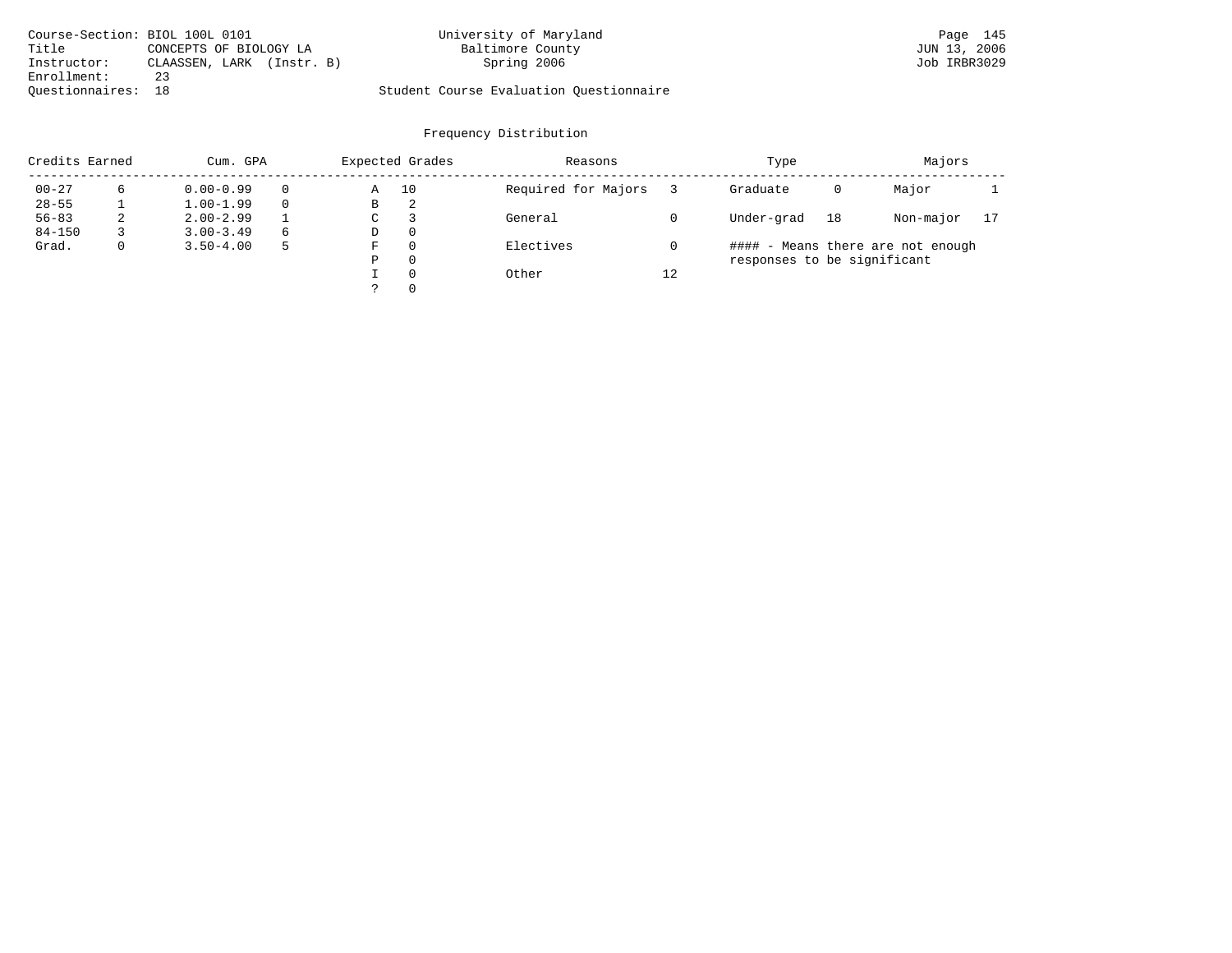| Course-Section: BIOL 100L 0101 |                           | University of Maryland                  | Page 145     |
|--------------------------------|---------------------------|-----------------------------------------|--------------|
| Title                          | CONCEPTS OF BIOLOGY LA    | Baltimore County                        | JUN 13, 2006 |
| Instructor:                    | CLAASSEN, LARK (Instr. B) | Spring 2006                             | Job IRBR3029 |
| Enrollment:                    | 23                        |                                         |              |
| Ouestionnaires: 18             |                           | Student Course Evaluation Questionnaire |              |

| Credits Earned |              | Cum. GPA      |   |    | Expected Grades | Reasons             |    | Type                        | Majors |                                   |    |
|----------------|--------------|---------------|---|----|-----------------|---------------------|----|-----------------------------|--------|-----------------------------------|----|
| $00 - 27$      | 6            | $0.00 - 0.99$ |   | Α  | 10              | Required for Majors |    | Graduate                    | 0      | Major                             |    |
| $28 - 55$      |              | $1.00 - 1.99$ |   | В  | 2               |                     |    |                             |        |                                   |    |
| $56 - 83$      | 2            | $2.00 - 2.99$ |   | C. |                 | General             |    | Under-grad                  | 18     | Non-major                         | 17 |
| $84 - 150$     |              | $3.00 - 3.49$ | 6 | D  | 0               |                     |    |                             |        |                                   |    |
| Grad.          | $\mathbf{0}$ | $3.50 - 4.00$ |   | F  | $\Omega$        | Electives           |    |                             |        | #### - Means there are not enough |    |
|                |              |               |   | P  | $\Omega$        |                     |    | responses to be significant |        |                                   |    |
|                |              |               |   |    | $\Omega$        | Other               | 12 |                             |        |                                   |    |
|                |              |               |   |    | $\Omega$        |                     |    |                             |        |                                   |    |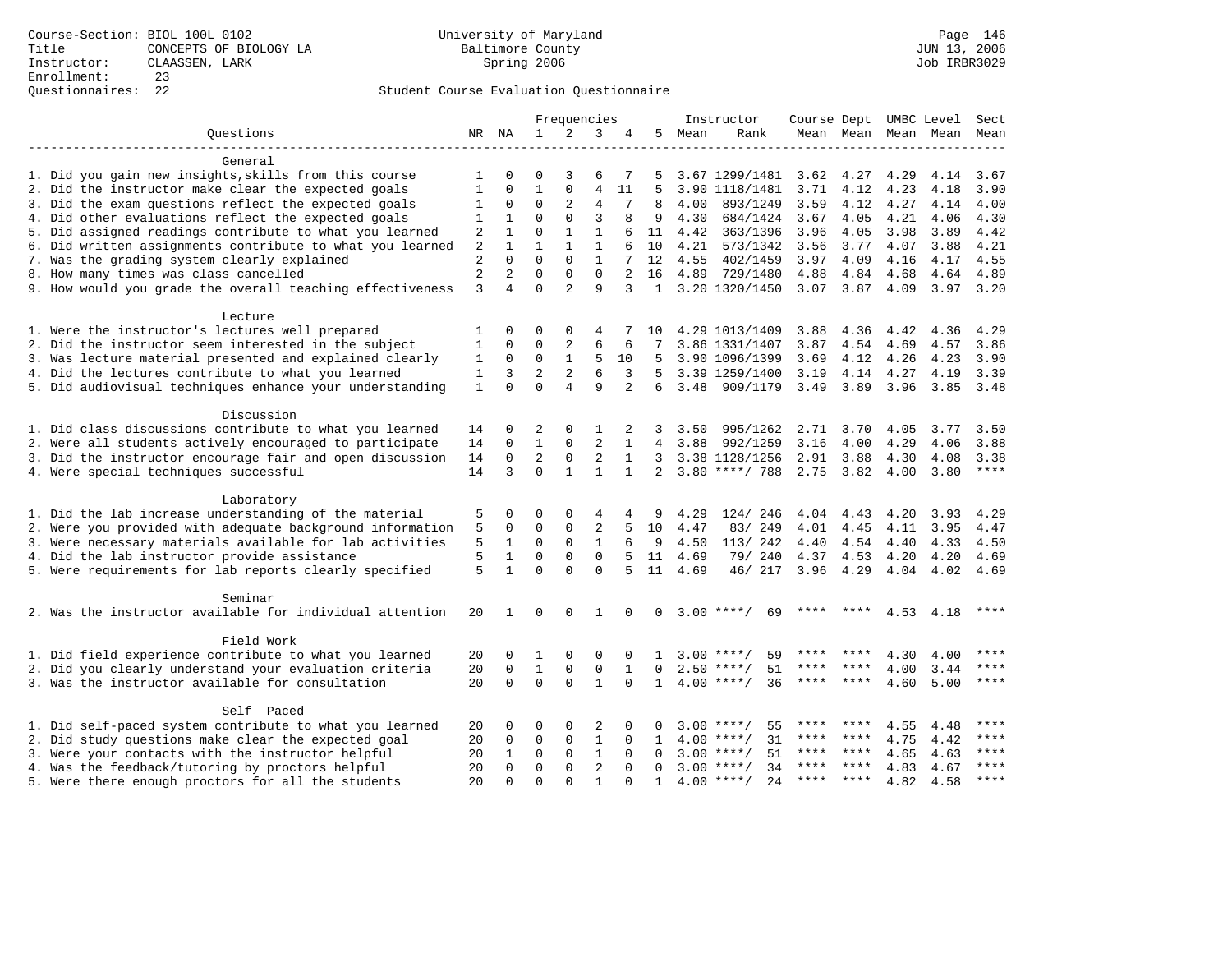|                                                           |                |                |                | Frequencies                 |                   |              |              |      | Instructor          | Course Dept UMBC Level |         |      |                          | Sect         |
|-----------------------------------------------------------|----------------|----------------|----------------|-----------------------------|-------------------|--------------|--------------|------|---------------------|------------------------|---------|------|--------------------------|--------------|
| Questions                                                 |                | NR NA          | $\mathbf{1}$   | 2                           | 3                 | 4            | 5            | Mean | Rank                |                        |         |      | Mean Mean Mean Mean Mean |              |
|                                                           |                |                |                |                             |                   |              |              |      |                     |                        |         |      |                          |              |
| General                                                   |                |                |                |                             |                   |              |              |      |                     |                        |         |      |                          |              |
| 1. Did you gain new insights, skills from this course     | 1              | 0              | 0              | 3                           | 6                 | 7            | 5            |      | 3.67 1299/1481      | 3.62                   | 4.27    | 4.29 | 4.14                     | 3.67         |
| 2. Did the instructor make clear the expected goals       | 1              | $\mathbf 0$    | $\mathbf{1}$   | $\mathbf{0}$                | $\overline{4}$    | 11           | 5            |      | 3.90 1118/1481      | 3.71                   | 4.12    | 4.23 | 4.18                     | 3.90         |
| 3. Did the exam questions reflect the expected goals      | 1              | 0              | 0              | 2                           | 4                 | 7            | 8            | 4.00 | 893/1249            | 3.59                   | 4.12    | 4.27 | 4.14                     | 4.00         |
| 4. Did other evaluations reflect the expected goals       | 1              | 1              | $\Omega$       | $\Omega$                    | 3                 | 8            | 9            | 4.30 | 684/1424            | 3.67                   | 4.05    | 4.21 | 4.06                     | 4.30         |
| 5. Did assigned readings contribute to what you learned   | 2              | $\mathbf{1}$   | $\mathbf 0$    | $\mathbf{1}$                | $\mathbf{1}$      | 6            | 11           | 4.42 | 363/1396            | 3.96                   | 4.05    | 3.98 | 3.89                     | 4.42         |
| 6. Did written assignments contribute to what you learned | 2              | $\mathbf{1}$   | $\mathbf{1}$   | $\mathbf{1}$                | $\mathbf{1}$      | 6            | 10           | 4.21 | 573/1342            | 3.56                   | 3.77    | 4.07 | 3.88                     | 4.21         |
| 7. Was the grading system clearly explained               | $\overline{2}$ | $\Omega$       | $\Omega$       | $\Omega$                    | $\mathbf{1}$      |              | 12           | 4.55 | 402/1459            | 3.97                   | 4.09    | 4.16 | 4.17                     | 4.55         |
| 8. How many times was class cancelled                     | $\overline{c}$ | $\overline{2}$ | $\Omega$       | $\Omega$                    | $\Omega$          |              | 16           | 4.89 | 729/1480            | 4.88                   | 4.84    | 4.68 | 4.64                     | 4.89         |
| 9. How would you grade the overall teaching effectiveness | 3              | 4              | $\Omega$       | $\overline{a}$              | 9                 | 3            |              |      | 1 3.20 1320/1450    | $3.07$ $3.87$          |         | 4.09 | $3.97$ $3.20$            |              |
|                                                           |                |                |                |                             |                   |              |              |      |                     |                        |         |      |                          |              |
| Lecture                                                   |                |                |                |                             |                   |              |              |      |                     |                        |         |      |                          |              |
| 1. Were the instructor's lectures well prepared           | 1              | $\Omega$       | $\Omega$       | $\Omega$                    | 4                 |              | 10           |      | 4.29 1013/1409      | 3.88                   | 4.36    | 4.42 | 4.36                     | 4.29         |
| 2. Did the instructor seem interested in the subject      | 1              | 0              | 0              | 2                           | 6                 | 6            | 7            |      | 3.86 1331/1407      | 3.87                   | 4.54    | 4.69 | 4.57                     | 3.86         |
| 3. Was lecture material presented and explained clearly   | 1              | 0              | $\Omega$       | $\mathbf{1}$                | 5                 | 10           | .5           |      | 3.90 1096/1399      | 3.69                   | 4.12    | 4.26 | 4.23                     | 3.90         |
| 4. Did the lectures contribute to what you learned        | $\mathbf{1}$   | 3              | $\overline{a}$ | 2                           | 6                 | 3            | 5            |      | 3.39 1259/1400      | 3.19                   | 4.14    | 4.27 | 4.19                     | 3.39         |
| 5. Did audiovisual techniques enhance your understanding  | $\mathbf{1}$   | $\Omega$       | $\Omega$       | $\overline{4}$              | 9                 | 2            | 6            | 3.48 | 909/1179            | 3.49                   | 3.89    | 3.96 | 3.85                     | 3.48         |
|                                                           |                |                |                |                             |                   |              |              |      |                     |                        |         |      |                          |              |
| Discussion                                                |                |                |                |                             |                   |              |              |      |                     |                        |         |      |                          |              |
| 1. Did class discussions contribute to what you learned   | 14             | 0              | 2              | 0                           | 1                 | 2            | 3            | 3.50 | 995/1262            | 2.71                   | 3.70    | 4.05 | 3.77                     | 3.50         |
| 2. Were all students actively encouraged to participate   | 14             | $\mathbf 0$    | $\mathbf{1}$   | $\mathbf{0}$                | 2                 | 1            | 4            | 3.88 |                     | 3.16                   |         | 4.29 | 4.06                     | 3.88         |
|                                                           |                | $\mathbf 0$    | $\overline{2}$ |                             |                   |              |              |      | 992/1259            |                        | 4.00    |      |                          |              |
| 3. Did the instructor encourage fair and open discussion  | 14             |                | $\Omega$       | $\mathbf 0$<br>$\mathbf{1}$ | 2<br>$\mathbf{1}$ | 1            | 3            |      | 3.38 1128/1256      | 2.91                   | 3.88    | 4.30 | 4.08                     | 3.38<br>**** |
| 4. Were special techniques successful                     | 14             | 3              |                |                             |                   | 1            | 2            |      | $3.80$ ****/ 788    | 2.75 3.82              |         | 4.00 | 3.80                     |              |
|                                                           |                |                |                |                             |                   |              |              |      |                     |                        |         |      |                          |              |
| Laboratory                                                |                |                |                |                             |                   |              |              |      |                     |                        |         |      |                          |              |
| 1. Did the lab increase understanding of the material     | 5              | 0              | $\Omega$       | 0                           | 4                 | 4            | 9            | 4.29 | 124/ 246            | 4.04                   | 4.43    | 4.20 | 3.93                     | 4.29         |
| 2. Were you provided with adequate background information | 5              | $\mathbf 0$    | $\mathbf 0$    | $\mathbf{0}$                | 2                 | 5            | 10           | 4.47 | 83/249              | 4.01                   | 4.45    | 4.11 | 3.95                     | 4.47         |
| 3. Were necessary materials available for lab activities  | 5              | 1              | 0              | 0                           | 1                 | 6            | 9            | 4.50 | 113/ 242            | 4.40                   | 4.54    | 4.40 | 4.33                     | 4.50         |
| 4. Did the lab instructor provide assistance              | 5              | 1              | $\mathbf 0$    | $\mathbf{0}$                | 0                 | 5            | 11           | 4.69 | 79/ 240             | 4.37                   | 4.53    | 4.20 | 4.20                     | 4.69         |
| 5. Were requirements for lab reports clearly specified    | 5              | $\mathbf{1}$   | $\Omega$       | $\Omega$                    | $\Omega$          | 5            | 11           | 4.69 | 46/ 217             | 3.96                   | 4.29    | 4.04 | 4.02                     | 4.69         |
|                                                           |                |                |                |                             |                   |              |              |      |                     |                        |         |      |                          |              |
| Seminar                                                   |                |                |                |                             |                   |              |              |      |                     |                        |         |      |                          |              |
| 2. Was the instructor available for individual attention  | 20             | $\mathbf{1}$   | $\Omega$       | $\Omega$                    | $\mathbf{1}$      | $\Omega$     | $\Omega$     |      | $3.00$ ****/<br>69  | ****                   | ****    |      | 4.53 4.18                | ****         |
|                                                           |                |                |                |                             |                   |              |              |      |                     |                        |         |      |                          |              |
| Field Work                                                |                |                |                |                             |                   |              |              |      |                     |                        |         |      |                          |              |
| 1. Did field experience contribute to what you learned    | 20             | 0              | 1              | 0                           | 0                 | 0            | 1            |      | $3.00$ ****/<br>59  |                        |         | 4.30 | 4.00                     | ****         |
| 2. Did you clearly understand your evaluation criteria    | 20             | $\mathbf 0$    | $\mathbf{1}$   | $\mathbf{0}$                | $\mathbf 0$       | $\mathbf{1}$ | $\Omega$     |      | $2.50$ ****/<br>51  | $***$ * *              | ****    | 4.00 | 3.44                     | ****         |
| 3. Was the instructor available for consultation          | 20             | $\Omega$       | $\Omega$       | $\Omega$                    | $\mathbf{1}$      | $\Omega$     | $\mathbf{1}$ |      | $4.00$ ****/<br>36  | ****                   | $***$ * | 4.60 | 5.00                     | $***$        |
|                                                           |                |                |                |                             |                   |              |              |      |                     |                        |         |      |                          |              |
| Self Paced                                                |                |                |                |                             |                   |              |              |      |                     |                        |         |      |                          |              |
| 1. Did self-paced system contribute to what you learned   | 20             | 0              | $\Omega$       | $\Omega$                    | 2                 | $\Omega$     |              | 3.00 | 55<br>$***$ /       | ****                   | ****    | 4.55 | 4.48                     | ****         |
| 2. Did study questions make clear the expected goal       | 20             | $\Omega$       | 0              | 0                           | 1                 | $\Omega$     | $\mathbf{1}$ | 4.00 | 31<br>$***$ /       | ****                   | ****    | 4.75 | 4.42                     | $***$        |
| 3. Were your contacts with the instructor helpful         | 20             | 1              | 0              | 0                           | 1                 | $\Omega$     | $\Omega$     | 3.00 | $* * * * /$<br>51   | ****                   | ****    | 4.65 | 4.63                     | ****         |
| 4. Was the feedback/tutoring by proctors helpful          | 20             | $\Omega$       | $\Omega$       | $\Omega$                    | $\overline{2}$    | $\Omega$     | $\Omega$     |      | $3.00$ ****/<br>34  | ****                   | $***$ * | 4.83 | 4.67                     | ****         |
| 5. Were there enough proctors for all the students        | 2.0            | $\Omega$       | $\Omega$       | $\Omega$                    | 1                 | $\Omega$     | 1            |      | $4.00$ ****/<br>2.4 | $***$ * * *            | ****    | 4.82 | 4.58                     | $***$        |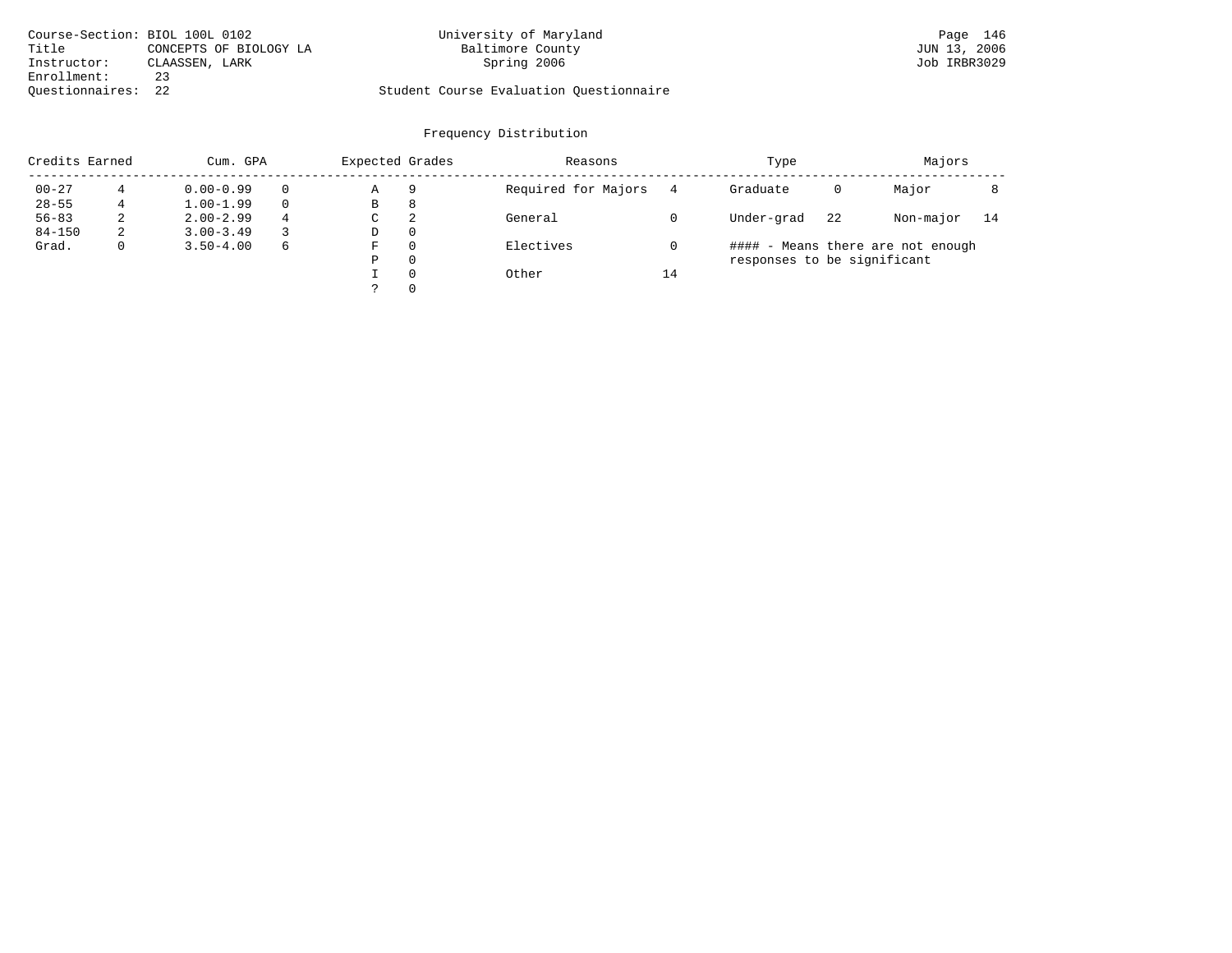|                    | Course-Section: BIOL 100L 0102 | University of Maryland                  | Page 146     |
|--------------------|--------------------------------|-----------------------------------------|--------------|
| Title              | CONCEPTS OF BIOLOGY LA         | Baltimore County                        | JUN 13, 2006 |
| Instructor:        | CLAASSEN, LARK                 | Spring 2006                             | Job IRBR3029 |
| Enrollment:        |                                |                                         |              |
| Ouestionnaires: 22 |                                | Student Course Evaluation Questionnaire |              |

| Credits Earned |              | Cum. GPA      |   | Expected Grades |          | Reasons             |    | Type                        |    | Majors                            |    |
|----------------|--------------|---------------|---|-----------------|----------|---------------------|----|-----------------------------|----|-----------------------------------|----|
| $00 - 27$      |              | $0.00 - 0.99$ |   | Α               | 9        | Required for Majors |    | Graduate                    | 0  | Major                             |    |
| $28 - 55$      |              | $1.00 - 1.99$ |   | В               | 8        |                     |    |                             |    |                                   |    |
| $56 - 83$      | 2            | $2.00 - 2.99$ | 4 | C               | 2        | General             |    | Under-grad                  | 22 | Non-major                         | 14 |
| $84 - 150$     | 2            | $3.00 - 3.49$ |   | D               | $\Omega$ |                     |    |                             |    |                                   |    |
| Grad.          | $\mathbf{0}$ | $3.50 - 4.00$ | 6 | F               | $\Omega$ | Electives           |    |                             |    | #### - Means there are not enough |    |
|                |              |               |   | Ρ               | $\Omega$ |                     |    | responses to be significant |    |                                   |    |
|                |              |               |   |                 | $\Omega$ | Other               | 14 |                             |    |                                   |    |
|                |              |               |   |                 | $\Omega$ |                     |    |                             |    |                                   |    |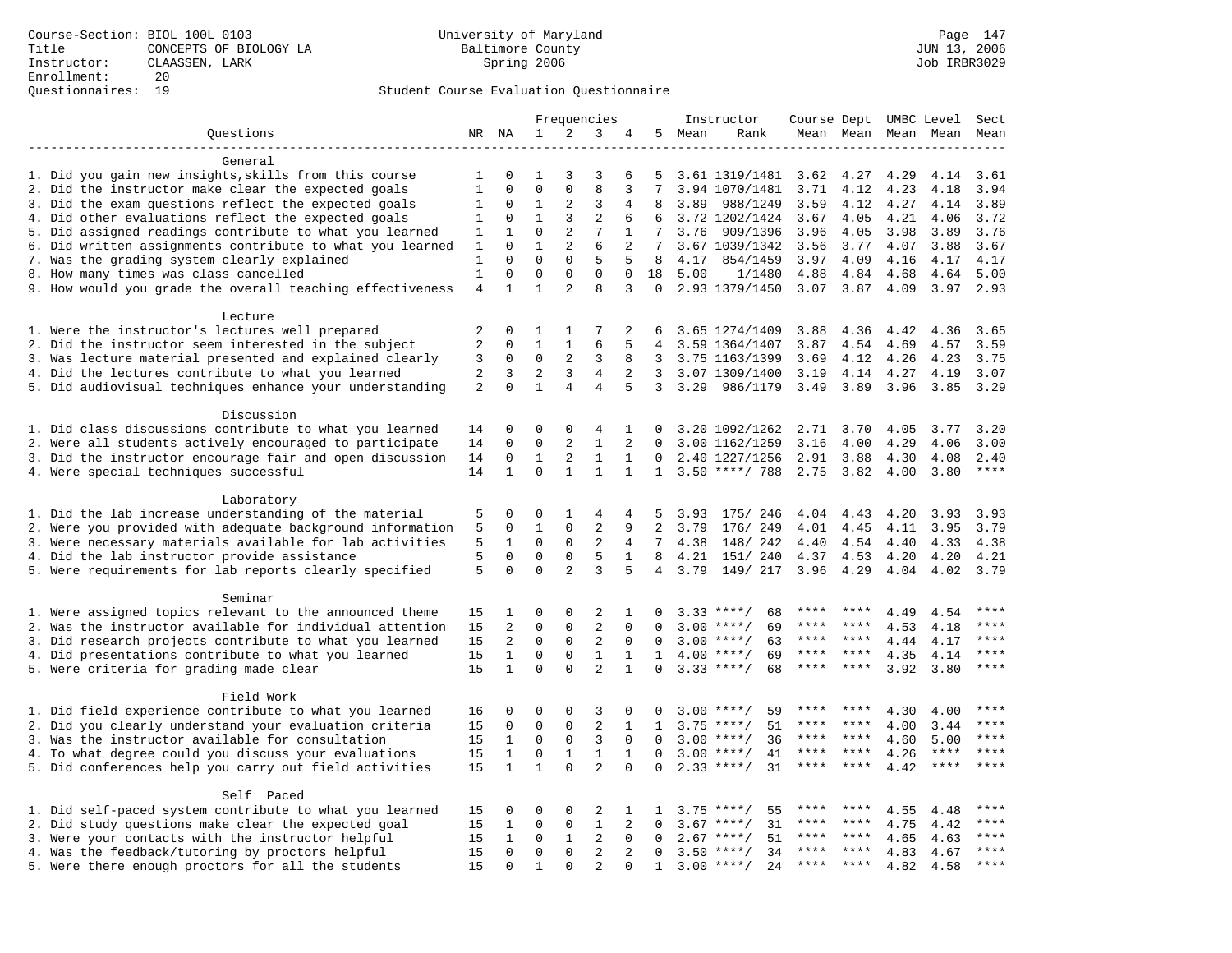|                                                            |                |               |                |                     | Frequencies    |                |                 |      | Instructor         | Course Dept UMBC Level |           |      |                     | Sect    |
|------------------------------------------------------------|----------------|---------------|----------------|---------------------|----------------|----------------|-----------------|------|--------------------|------------------------|-----------|------|---------------------|---------|
| Ouestions                                                  |                | NR NA         | 1              | 2                   | 3              | 4              | 5               | Mean | Rank               |                        |           |      | Mean Mean Mean Mean | Mean    |
|                                                            |                |               |                |                     |                |                |                 |      |                    |                        |           |      |                     |         |
| General                                                    |                |               |                |                     |                |                |                 |      |                    |                        |           |      |                     |         |
| 1. Did you gain new insights, skills from this course      | 1              | 0             | 1              | 3                   | 3              | 6              | 5               |      | 3.61 1319/1481     | 3.62                   | 4.27      | 4.29 | 4.14                | 3.61    |
| 2. Did the instructor make clear the expected goals        | $\mathbf{1}$   | $\mathbf 0$   | $\mathbf 0$    | $\mathbf 0$         | 8              | 3              | 7               |      | 3.94 1070/1481     | 3.71                   | 4.12      | 4.23 | 4.18                | 3.94    |
| 3. Did the exam questions reflect the expected goals       | 1              | $\mathbf 0$   | $\mathbf 1$    | 2                   | 3              | 4              | 8               | 3.89 | 988/1249           | 3.59                   | 4.12      | 4.27 | 4.14                | 3.89    |
| 4. Did other evaluations reflect the expected goals        | 1              | 0             | $\mathbf{1}$   | 3                   | 2              | 6              | 6               |      | 3.72 1202/1424     | 3.67                   | 4.05      | 4.21 | 4.06                | 3.72    |
| 5. Did assigned readings contribute to what you learned    | 1              | $\mathbf{1}$  | $\mathbf 0$    | 2                   | 7              | 1              | 7               | 3.76 | 909/1396           | 3.96                   | 4.05      | 3.98 | 3.89                | 3.76    |
| 6. Did written assignments contribute to what you learned  | 1              | $\Omega$      | $\mathbf{1}$   | 2                   | 6              | 2              | 7               |      | 3.67 1039/1342     | 3.56                   | 3.77      | 4.07 | 3.88                | 3.67    |
| 7. Was the grading system clearly explained                | $\mathbf{1}$   | $\mathbf 0$   | $\mathbf{0}$   | $\mathbf 0$         | 5              | 5              | 8               | 4.17 | 854/1459           | 3.97                   | 4.09      | 4.16 | 4.17                | 4.17    |
| 8. How many times was class cancelled                      | $\mathbf{1}$   | $\mathbf 0$   | $\mathbf{0}$   | $\mathbf 0$         | $\mathbf 0$    | $\mathbf 0$    | 18              | 5.00 | 1/1480             | 4.88                   | 4.84      | 4.68 | 4.64                | 5.00    |
| 9. How would you grade the overall teaching effectiveness  | 4              | 1             | $\mathbf{1}$   | 2                   | 8              | 3              | $\Omega$        |      | 2.93 1379/1450     |                        | 3.07 3.87 | 4.09 | 3.97                | 2.93    |
|                                                            |                |               |                |                     |                |                |                 |      |                    |                        |           |      |                     |         |
| Lecture<br>1. Were the instructor's lectures well prepared | 2              | 0             | 1              | $\mathbf{1}$        | 7              | 2              | 6               |      | 3.65 1274/1409     | 3.88                   | 4.36      | 4.42 | 4.36                | 3.65    |
| 2. Did the instructor seem interested in the subject       | $\overline{a}$ | $\mathbf 0$   | $\mathbf{1}$   | $\mathbf{1}$        | 6              | 5              | 4               |      | 3.59 1364/1407     | 3.87                   | 4.54      | 4.69 | 4.57                | 3.59    |
|                                                            |                |               | $\mathbf 0$    | 2                   | 3              | 8              | 3               |      |                    |                        |           |      | 4.23                | 3.75    |
| 3. Was lecture material presented and explained clearly    | 3              | 0             | $\overline{2}$ |                     | 4              |                | 3               |      | 3.75 1163/1399     | 3.69                   | 4.12      | 4.26 |                     |         |
| 4. Did the lectures contribute to what you learned         | 2              | 3<br>$\Omega$ | $\mathbf{1}$   | 3<br>$\overline{4}$ | $\overline{4}$ | 2              |                 |      | 3.07 1309/1400     | 3.19                   | 4.14      | 4.27 | 4.19                | 3.07    |
| 5. Did audiovisual techniques enhance your understanding   | 2              |               |                |                     |                | 5              | 3               | 3.29 | 986/1179           | 3.49                   | 3.89      | 3.96 | 3.85                | 3.29    |
| Discussion                                                 |                |               |                |                     |                |                |                 |      |                    |                        |           |      |                     |         |
| 1. Did class discussions contribute to what you learned    | 14             | 0             | $\mathbf 0$    | $\mathbf 0$         | 4              | 1              | 0               |      | 3.20 1092/1262     | 2.71                   | 3.70      | 4.05 | 3.77                | 3.20    |
| 2. Were all students actively encouraged to participate    | 14             | $\mathbf 0$   | $\mathbf 0$    | 2                   | $\mathbf{1}$   | 2              | $\Omega$        |      | 3.00 1162/1259     | 3.16                   | 4.00      | 4.29 | 4.06                | 3.00    |
| 3. Did the instructor encourage fair and open discussion   | 14             | 0             | $\mathbf{1}$   | 2                   | $\mathbf{1}$   | 1              | $\Omega$        |      | 2.40 1227/1256     | 2.91                   | 3.88      | 4.30 | 4.08                | 2.40    |
| 4. Were special techniques successful                      | 14             | $\mathbf{1}$  | $\Omega$       | $\mathbf{1}$        | $\mathbf{1}$   | $\mathbf{1}$   | $\mathbf{1}$    |      | $3.50$ ****/ 788   | 2.75                   | 3.82      | 4.00 | 3.80                | $***$   |
|                                                            |                |               |                |                     |                |                |                 |      |                    |                        |           |      |                     |         |
| Laboratory                                                 |                |               |                |                     |                |                |                 |      |                    |                        |           |      |                     |         |
| 1. Did the lab increase understanding of the material      | 5              | 0             | $\mathbf 0$    | 1                   | 4              | 4              | 5               | 3.93 | 175/ 246           | 4.04                   | 4.43      | 4.20 | 3.93                | 3.93    |
| 2. Were you provided with adequate background information  | 5              | 0             | $\mathbf{1}$   | $\mathbf 0$         | 2              | 9              | 2               | 3.79 | 176/ 249           | 4.01                   | 4.45      | 4.11 | 3.95                | 3.79    |
| 3. Were necessary materials available for lab activities   | 5              | $\mathbf{1}$  | $\Omega$       | $\mathbf 0$         | $\overline{2}$ | $\overline{4}$ | $7\overline{ }$ | 4.38 | 148/ 242           | 4.40                   | 4.54      | 4.40 | 4.33                | 4.38    |
| 4. Did the lab instructor provide assistance               | 5              | $\mathbf 0$   | $\mathbf 0$    | $\mathbf 0$         | 5              | $\mathbf{1}$   | 8               | 4.21 | 151/ 240           | 4.37                   | 4.53      | 4.20 | 4.20                | 4.21    |
| 5. Were requirements for lab reports clearly specified     | 5              | $\Omega$      | $\Omega$       | 2                   | 3              | 5              | 4               | 3.79 | 149/ 217           | 3.96                   | 4.29      | 4.04 | 4.02                | 3.79    |
|                                                            |                |               |                |                     |                |                |                 |      |                    |                        |           |      |                     |         |
| Seminar                                                    |                |               |                |                     |                |                |                 |      |                    |                        |           |      |                     |         |
| 1. Were assigned topics relevant to the announced theme    | 15             | 1             | $\mathbf 0$    | $\mathsf 0$         | $\overline{2}$ | 1              |                 |      | 68<br>$3.33$ ****/ | ****                   |           | 4.49 | 4.54                | ****    |
| 2. Was the instructor available for individual attention   | 15             | 2             | $\mathsf 0$    | $\mathsf 0$         | $\sqrt{2}$     | $\mathbf 0$    | $\mathbf 0$     | 3.00 | $***/$<br>69       | $***$ * * *            | ****      | 4.53 | 4.18                | * * * * |
| 3. Did research projects contribute to what you learned    | 15             | 2             | $\mathbf 0$    | $\mathbf 0$         | $\overline{2}$ | $\mathbf 0$    | 0               |      | $3.00$ ****/<br>63 | $***$ * * *            | ****      | 4.44 | 4.17                | $***$   |
| 4. Did presentations contribute to what you learned        | 15             | $\mathbf{1}$  | $\mathbf 0$    | $\mathbf 0$         | $\mathbf{1}$   | $\mathbf{1}$   | $\mathbf{1}$    | 4.00 | $***$ /<br>69      | ****                   | $***$ *   | 4.35 | 4.14                | ****    |
| 5. Were criteria for grading made clear                    | 15             | $\mathbf{1}$  | $\Omega$       | $\Omega$            | $\overline{a}$ | $\mathbf{1}$   | $\Omega$        |      | $3.33$ ****/<br>68 | ****                   | ****      | 3.92 | 3.80                | ****    |
|                                                            |                |               |                |                     |                |                |                 |      |                    |                        |           |      |                     |         |
| Field Work                                                 |                |               |                |                     |                |                |                 |      |                    |                        |           |      |                     |         |
| 1. Did field experience contribute to what you learned     | 16             | 0             | $\mathbf 0$    | $\mathbf 0$         | 3              | 0              | $\Omega$        |      | 59<br>$3.00$ ****/ |                        |           | 4.30 | 4.00                | ****    |
| 2. Did you clearly understand your evaluation criteria     | 15             | $\mathbf 0$   | $\mathbf 0$    | $\mathbf 0$         | $\overline{2}$ | 1              | $\mathbf{1}$    | 3.75 | 51<br>$***/$       | ****                   | ****      | 4.00 | 3.44                | ****    |
| 3. Was the instructor available for consultation           | 15             | $\mathbf{1}$  | $\mathbf{0}$   | $\mathbf 0$         | 3              | $\mathbf 0$    | $\Omega$        | 3.00 | $***/$<br>36       | ****                   | $***$ *   | 4.60 | 5.00                | ****    |
| 4. To what degree could you discuss your evaluations       | 15             | $\mathbf{1}$  | $\mathbf 0$    | $\mathbf{1}$        | $\mathbf{1}$   | $\mathbf{1}$   | $\Omega$        | 3.00 | $***$ /<br>41      | ****                   | $***$ *   | 4.26 | $***$ * *           | $***$   |
| 5. Did conferences help you carry out field activities     | 15             | $\mathbf{1}$  | $\mathbf{1}$   | $\Omega$            | $\overline{2}$ | $\Omega$       | $\Omega$        | 2.33 | $***$ /<br>31      | $***$ * *              | $* * * *$ | 4.42 | $***$ * * *         | ****    |
|                                                            |                |               |                |                     |                |                |                 |      |                    |                        |           |      |                     |         |
| Self Paced                                                 |                |               |                |                     |                |                |                 |      |                    |                        |           |      |                     |         |
| 1. Did self-paced system contribute to what you learned    | 15             | 0             | $\mathbf 0$    | $\mathbf 0$         | 2              | 1              | 1               | 3.75 | $***/$<br>55       | ****                   |           | 4.55 | 4.48                | ****    |
| 2. Did study questions make clear the expected goal        | 15             | $\mathbf{1}$  | $\mathbf 0$    | $\mathbf 0$         | $\mathbf{1}$   | 2              | $\Omega$        | 3.67 | $***/$<br>31       | ****                   | ****      | 4.75 | 4.42                | ****    |
| 3. Were your contacts with the instructor helpful          | 15             | $\mathbf{1}$  | $\mathsf 0$    | $\mathbf{1}$        | $\mathbf{2}$   | $\mathbf 0$    | $\mathbf 0$     | 2.67 | 51<br>$***/$       | ****                   | ****      | 4.65 | 4.63                | ****    |
| 4. Was the feedback/tutoring by proctors helpful           | 15             | 0             | $\mathbf 0$    | $\mathbf 0$         | $\overline{2}$ | 2              | $\Omega$        | 3.50 | $***/$<br>34       | $***$                  | ****      | 4.83 | 4.67                | ****    |
| 5. Were there enough proctors for all the students         | 15             | $\Omega$      | $\mathbf{1}$   | $\Omega$            | 2              | $\Omega$       | $\mathbf{1}$    |      | $3.00$ ****/<br>24 | $***$ * * *            | ****      | 4.82 | 4.58                | ****    |
|                                                            |                |               |                |                     |                |                |                 |      |                    |                        |           |      |                     |         |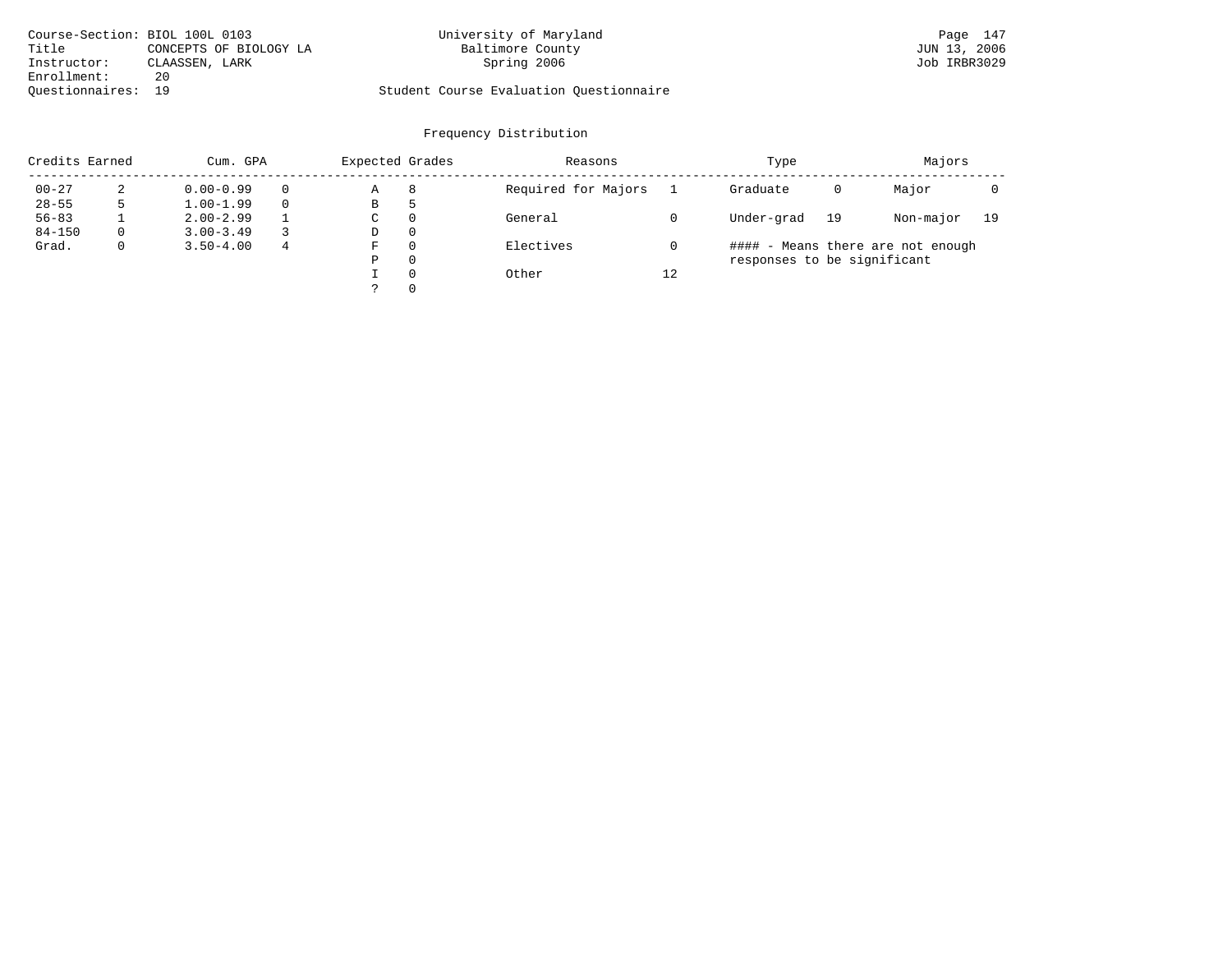| Course-Section: BIOL 100L 0103 |                        | University of Maryland                  | Page 147     |
|--------------------------------|------------------------|-----------------------------------------|--------------|
| Title                          | CONCEPTS OF BIOLOGY LA | Baltimore County                        | JUN 13, 2006 |
| Instructor:                    | CLAASSEN, LARK         | Spring 2006                             | Job IRBR3029 |
| Enrollment:                    | 20                     |                                         |              |
| Ouestionnaires: 19             |                        | Student Course Evaluation Ouestionnaire |              |

| Credits Earned |   | Cum. GPA      |   | Expected Grades |          | Reasons             |    | Type                        |    | Majors                            |    |
|----------------|---|---------------|---|-----------------|----------|---------------------|----|-----------------------------|----|-----------------------------------|----|
| $00 - 27$      | 2 | $0.00 - 0.99$ |   | Α               | 8        | Required for Majors |    | Graduate                    | 0  | Major                             |    |
| $28 - 55$      | 5 | $1.00 - 1.99$ |   | В               | ל        |                     |    |                             |    |                                   |    |
| $56 - 83$      |   | $2.00 - 2.99$ |   | $\sim$<br>◡     | 0        | General             |    | Under-grad                  | 19 | Non-major                         | 19 |
| $84 - 150$     | 0 | $3.00 - 3.49$ |   | D               | 0        |                     |    |                             |    |                                   |    |
| Grad.          | 0 | $3.50 - 4.00$ | 4 | F               | 0        | Electives           |    |                             |    | #### - Means there are not enough |    |
|                |   |               |   | Ρ               | 0        |                     |    | responses to be significant |    |                                   |    |
|                |   |               |   |                 | $\Omega$ | Other               | 12 |                             |    |                                   |    |
|                |   |               |   | っ               |          |                     |    |                             |    |                                   |    |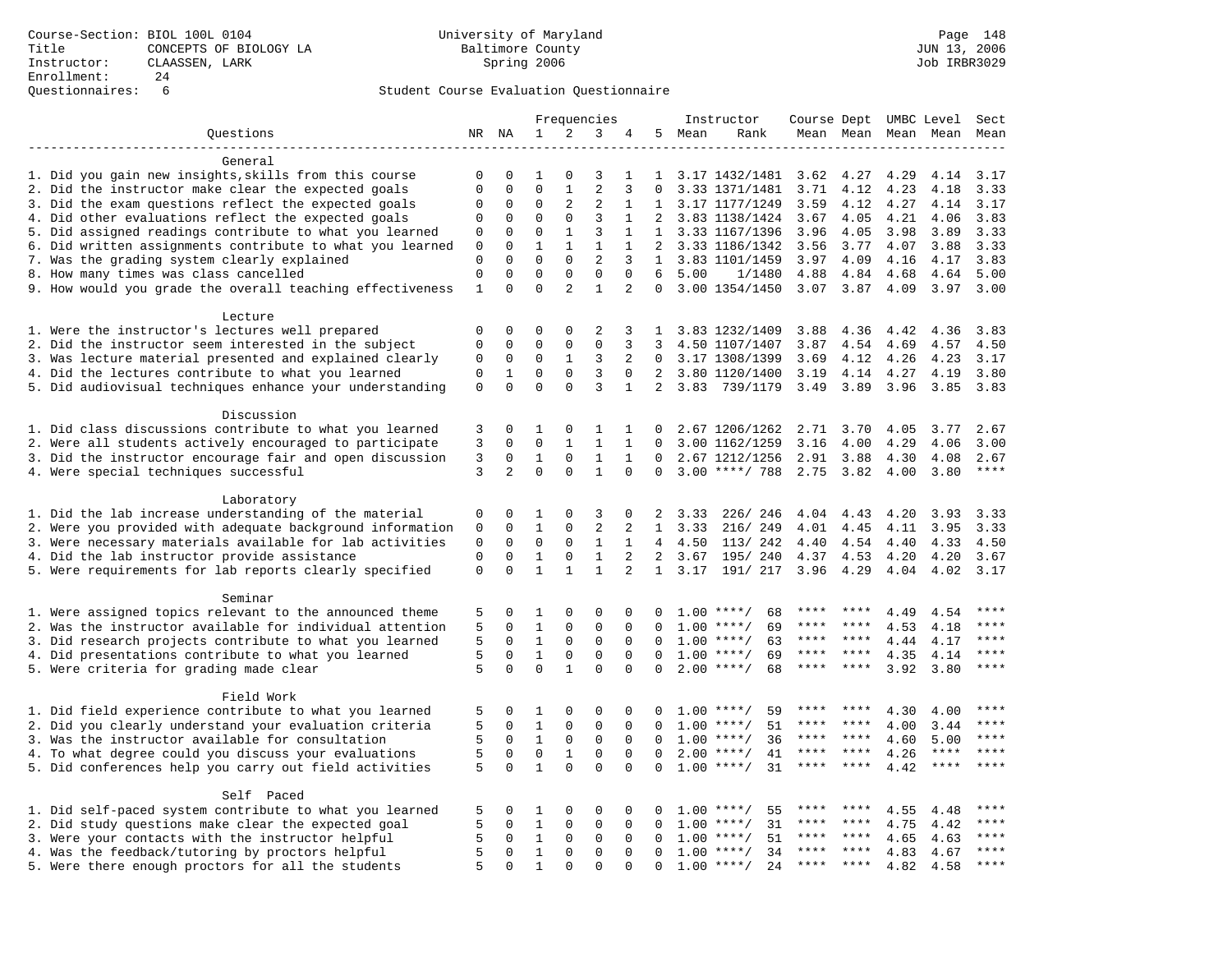|                                                                                                    |                         |                |                          |                          | Frequencies                    |                |                   |        | Instructor               | Course Dept UMBC Level |                       |                     |              | Sect         |
|----------------------------------------------------------------------------------------------------|-------------------------|----------------|--------------------------|--------------------------|--------------------------------|----------------|-------------------|--------|--------------------------|------------------------|-----------------------|---------------------|--------------|--------------|
| Questions                                                                                          |                         | NR NA          | $\mathbf{1}$             | 2                        | 3                              | 4              |                   | 5 Mean | Rank                     |                        |                       | Mean Mean Mean Mean |              | Mean         |
|                                                                                                    |                         |                |                          |                          |                                |                |                   |        |                          |                        |                       |                     |              |              |
| General                                                                                            |                         |                |                          |                          |                                |                |                   |        |                          |                        |                       |                     |              |              |
| 1. Did you gain new insights, skills from this course                                              | 0                       | 0              | 1                        | $\Omega$                 | 3                              | 1              | $\mathbf{1}$      |        | 3.17 1432/1481           | 3.62                   | 4.27                  | 4.29                | 4.14         | 3.17         |
| 2. Did the instructor make clear the expected goals                                                | $\mathbf 0$             | $\Omega$       | $\Omega$                 | $\mathbf{1}$             | $\overline{2}$                 | 3              | $\Omega$          |        | 3.33 1371/1481           | 3.71                   | 4.12                  | 4.23                | 4.18         | 3.33         |
| 3. Did the exam questions reflect the expected goals                                               | 0                       | 0              | 0                        | 2                        | 2                              | 1              | $\mathbf{1}$      |        | 3.17 1177/1249           | 3.59                   | 4.12                  | 4.27                | 4.14         | 3.17         |
| 4. Did other evaluations reflect the expected goals                                                | 0                       | 0              | 0                        | $\mathbf 0$              | $\overline{3}$                 | $\mathbf 1$    | 2                 |        | 3.83 1138/1424           | 3.67                   | 4.05                  | 4.21                | 4.06         | 3.83         |
| 5. Did assigned readings contribute to what you learned                                            | 0                       | $\mathbf 0$    | $\mathbf 0$              | $\mathbf{1}$             | 3                              | 1              | $\mathbf{1}$      |        | 3.33 1167/1396           | 3.96                   | 4.05                  | 3.98                | 3.89         | 3.33         |
| 6. Did written assignments contribute to what you learned                                          | 0                       | 0<br>$\Omega$  | $\mathbf{1}$<br>$\Omega$ | $\mathbf{1}$<br>$\Omega$ | $\mathbf{1}$<br>$\overline{a}$ | 1              | $\overline{2}$    |        | 3.33 1186/1342           | 3.56                   | 3.77                  | 4.07                | 3.88         | 3.33         |
| 7. Was the grading system clearly explained                                                        | $\mathbf 0$<br>$\Omega$ | $\Omega$       | $\Omega$                 | $\Omega$                 | $\Omega$                       | 3<br>$\Omega$  | $\mathbf{1}$<br>6 | 5.00   | 3.83 1101/1459           | 3.97                   | 4.09                  | 4.16                | 4.17         | 3.83<br>5.00 |
| 8. How many times was class cancelled<br>9. How would you grade the overall teaching effectiveness | $\mathbf{1}$            | $\Omega$       | $\Omega$                 | $\overline{2}$           | $\mathbf{1}$                   | 2              | $\Omega$          |        | 1/1480<br>3.00 1354/1450 | 4.88                   | 4.84<br>$3.07$ $3.87$ | 4.68<br>4.09        | 4.64<br>3.97 | 3.00         |
|                                                                                                    |                         |                |                          |                          |                                |                |                   |        |                          |                        |                       |                     |              |              |
| Lecture                                                                                            |                         |                |                          |                          |                                |                |                   |        |                          |                        |                       |                     |              |              |
| 1. Were the instructor's lectures well prepared                                                    | 0                       | $\Omega$       | $\Omega$                 | $\Omega$                 | 2                              | 3              | 1                 |        | 3.83 1232/1409           | 3.88                   | 4.36                  | 4.42                | 4.36         | 3.83         |
| 2. Did the instructor seem interested in the subject                                               | $\mathbf 0$             | $\mathbf 0$    | $\mathbf 0$              | $\mathbf{0}$             | $\mathbf 0$                    | 3              | 3                 |        | 4.50 1107/1407           | 3.87                   | 4.54                  | 4.69                | 4.57         | 4.50         |
| 3. Was lecture material presented and explained clearly                                            | 0                       | $\mathbf 0$    | $\mathbf 0$              | $\mathbf{1}$             | 3                              | 2              | $\mathbf{0}$      |        | 3.17 1308/1399           | 3.69                   | 4.12                  | 4.26                | 4.23         | 3.17         |
| 4. Did the lectures contribute to what you learned                                                 | $\mathbf 0$             | $\mathbf 1$    | $\mathbf 0$              | $\mathbf 0$              | 3                              | $\Omega$       | $\overline{2}$    |        | 3.80 1120/1400           | 3.19                   | 4.14                  | 4.27                | 4.19         | 3.80         |
| 5. Did audiovisual techniques enhance your understanding                                           | $\mathbf 0$             | $\Omega$       | $\Omega$                 | $\Omega$                 | 3                              | $\mathbf{1}$   | $\overline{2}$    | 3.83   | 739/1179                 | 3.49                   | 3.89                  | 3.96                | 3.85         | 3.83         |
|                                                                                                    |                         |                |                          |                          |                                |                |                   |        |                          |                        |                       |                     |              |              |
| Discussion                                                                                         |                         |                |                          |                          |                                |                |                   |        |                          |                        |                       |                     |              |              |
| 1. Did class discussions contribute to what you learned                                            | 3                       | 0              | 1                        | 0                        | 1                              | 1              | $\Omega$          |        | 2.67 1206/1262           | 2.71                   | 3.70                  | 4.05                | 3.77         | 2.67         |
| 2. Were all students actively encouraged to participate                                            | 3                       | $\mathbf 0$    | $\mathbf 0$              | $\mathbf{1}$             | $\mathbf{1}$                   | $\mathbf{1}$   | $\Omega$          |        | 3.00 1162/1259           | 3.16                   | 4.00                  | 4.29                | 4.06         | 3.00         |
| 3. Did the instructor encourage fair and open discussion                                           | 3                       | 0              | 1                        | 0                        | 1                              | 1              | 0                 |        | 2.67 1212/1256           | 2.91                   | 3.88                  | 4.30                | 4.08         | 2.67         |
| 4. Were special techniques successful                                                              | 3                       | $\overline{a}$ | $\Omega$                 | $\Omega$                 | $\mathbf{1}$                   | $\Omega$       | $\mathbf 0$       |        | $3.00$ ****/ 788         | 2.75                   | 3.82                  | 4.00                | 3.80         | $***$        |
|                                                                                                    |                         |                |                          |                          |                                |                |                   |        |                          |                        |                       |                     |              |              |
| Laboratory                                                                                         |                         |                |                          |                          |                                |                |                   |        |                          |                        |                       |                     |              |              |
| 1. Did the lab increase understanding of the material                                              | 0                       | 0              | 1                        | 0                        | 3                              | $\mathbf 0$    | 2                 | 3.33   | 226/246                  | 4.04                   | 4.43                  | 4.20                | 3.93         | 3.33         |
| 2. Were you provided with adequate background information                                          | 0                       | 0              | $\mathbf{1}$             | 0                        | $\overline{a}$                 | 2              | 1                 | 3.33   | 216/249                  | 4.01                   | 4.45                  | 4.11                | 3.95         | 3.33         |
| 3. Were necessary materials available for lab activities                                           | 0                       | 0              | 0                        | 0                        | 1                              | 1              |                   | 4 4.50 | 113/242                  | 4.40                   | 4.54                  | 4.40                | 4.33         | 4.50         |
| 4. Did the lab instructor provide assistance                                                       | 0                       | $\Omega$       | $\mathbf{1}$             | $\mathbf 0$              | $\mathbf{1}$                   | 2              | $\overline{2}$    | 3.67   | 195/ 240                 | 4.37                   | 4.53                  | 4.20                | 4.20         | 3.67         |
| 5. Were requirements for lab reports clearly specified                                             | $\mathbf 0$             | $\Omega$       | $\mathbf{1}$             | $\mathbf{1}$             | $\mathbf{1}$                   | $\overline{2}$ | $\mathbf{1}$      | 3.17   | 191/ 217                 | 3.96                   | 4.29                  | 4.04                | 4.02         | 3.17         |
| Seminar                                                                                            |                         |                |                          |                          |                                |                |                   |        |                          |                        |                       |                     |              |              |
| 1. Were assigned topics relevant to the announced theme                                            | 5                       | 0              | 1                        | 0                        | $\mathbf 0$                    | 0              | 0                 |        | $1.00$ ****/<br>68       | ****                   | ****                  | 4.49                | 4.54         | ****         |
| 2. Was the instructor available for individual attention                                           | 5                       | $\mathbf 0$    | 1                        | $\mathbf 0$              | $\mathbf 0$                    | $\mathbf 0$    | 0                 | 1.00   | $***/$<br>69             | ****                   | ****                  | 4.53                | 4.18         |              |
| 3. Did research projects contribute to what you learned                                            | 5                       | 0              | $\mathbf{1}$             | $\mathbf 0$              | $\mathbf 0$                    | $\Omega$       | $\Omega$          |        | $1.00$ ****/<br>63       | $***$ * *              | ****                  | 4.44                | 4.17         | ****         |
| 4. Did presentations contribute to what you learned                                                | 5                       | $\Omega$       | $\mathbf{1}$             | 0                        | $\mathbf 0$                    | $\Omega$       | $\Omega$          | 1.00   | $***$ /<br>69            | ****                   | $* * * *$             | 4.35                | 4.14         | $***$        |
| 5. Were criteria for grading made clear                                                            | 5                       | $\Omega$       | $\mathbf 0$              | $\mathbf{1}$             | $\mathbf 0$                    | $\Omega$       | $\Omega$          |        | $2.00$ ****/<br>68       | ****                   | ****                  | 3.92                | 3.80         | ****         |
|                                                                                                    |                         |                |                          |                          |                                |                |                   |        |                          |                        |                       |                     |              |              |
| Field Work                                                                                         |                         |                |                          |                          |                                |                |                   |        |                          |                        |                       |                     |              |              |
| 1. Did field experience contribute to what you learned                                             | 5                       | 0              | 1                        | $\mathbf 0$              | $\mathbf 0$                    | 0              | $\Omega$          |        | $1.00$ ****/<br>59       | ****                   |                       | 4.30                | 4.00         | * * * *      |
| 2. Did you clearly understand your evaluation criteria                                             | 5                       | $\Omega$       | $\mathbf{1}$             | $\mathbf 0$              | $\mathbf 0$                    | $\Omega$       | $\Omega$          | 1.00   | 51<br>$***/$             | ****                   | ****                  | 4.00                | 3.44         | $***$        |
| 3. Was the instructor available for consultation                                                   | 5                       | $\Omega$       | $\mathbf 1$              | $\mathbf 0$              | $\mathbf 0$                    | $\Omega$       | $\Omega$          |        | $1.00$ ****/<br>36       | ****                   | $***$ *               | 4.60                | 5.00         | ****         |
| 4. To what degree could you discuss your evaluations                                               | 5                       | $\mathbf 0$    | $\mathbf 0$              | $\mathbf{1}$             | $\mathbf 0$                    | $\mathbf 0$    | 0                 |        | $2.00$ ****/<br>41       | $***$ * * *            | $***$ *               | 4.26                | $***$ * * *  | $***$        |
| 5. Did conferences help you carry out field activities                                             | 5                       | $\mathbf 0$    | $\mathbf{1}$             | $\Omega$                 | $\Omega$                       | $\Omega$       | $\Omega$          | 1.00   | 31<br>$***/$             | ****                   | ****                  | 4.42                | $***$        | ****         |
|                                                                                                    |                         |                |                          |                          |                                |                |                   |        |                          |                        |                       |                     |              |              |
| Self Paced                                                                                         |                         |                |                          |                          |                                |                |                   |        |                          |                        |                       |                     |              |              |
| 1. Did self-paced system contribute to what you learned                                            | 5                       | 0              | 1                        | $\mathbf 0$              | $\mathbf 0$                    | 0              | $\Omega$          |        | 55<br>$1.00$ ****/       | ****                   |                       | 4.55                | 4.48         | ****         |
| 2. Did study questions make clear the expected goal                                                | 5                       | $\mathbf 0$    | $\mathbf{1}$             | $\mathbf 0$              | $\mathbf 0$                    | $\mathbf 0$    | 0                 | 1.00   | $***$ /<br>31            | ****                   | ****                  | 4.75                | 4.42         | ****         |
| 3. Were your contacts with the instructor helpful                                                  | 5                       | $\mathbf 0$    | $\mathbf{1}$             | 0                        | $\mathbf 0$                    | 0              | $\Omega$          | 1.00   | 51<br>$***/$             | ****                   | ****                  | 4.65                | 4.63         | ****         |
| 4. Was the feedback/tutoring by proctors helpful                                                   | 5                       | 0              | $\mathbf 1$              | 0                        | $\mathbf 0$                    | $\Omega$       | $\Omega$          | 1.00   | $***/$<br>34             |                        |                       | 4.83                | 4.67         | ****         |
| 5. Were there enough proctors for all the students                                                 | 5                       | $\Omega$       | $\mathbf{1}$             | $\Omega$                 | $\Omega$                       | $\Omega$       | $\Omega$          |        | $1.00$ ****/<br>24       | $***$ * *              | $***$ *               | 4.82                | 4.58         | ****         |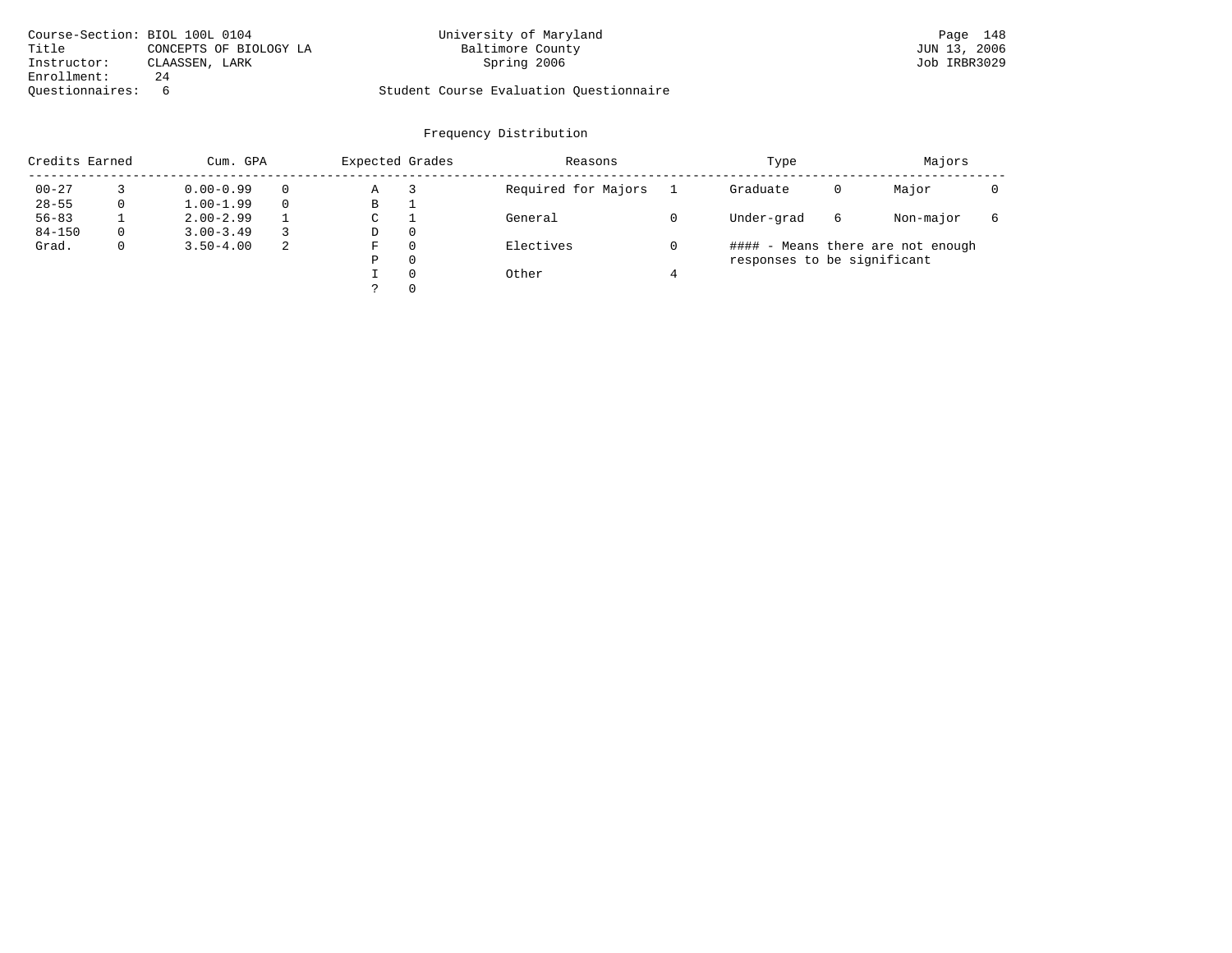|                 | Course-Section: BIOL 100L 0104 | University of Maryland                  | Page 148     |
|-----------------|--------------------------------|-----------------------------------------|--------------|
| Title           | CONCEPTS OF BIOLOGY LA         | Baltimore County                        | JUN 13, 2006 |
| Instructor:     | CLAASSEN, LARK                 | Spring 2006                             | Job IRBR3029 |
| Enrollment:     | 24                             |                                         |              |
| Ouestionnaires: |                                | Student Course Evaluation Questionnaire |              |

| Credits Earned |             | Cum. GPA      |    |   | Expected Grades | Reasons             | Type                        | Majors |                                   |   |
|----------------|-------------|---------------|----|---|-----------------|---------------------|-----------------------------|--------|-----------------------------------|---|
| $00 - 27$      |             | $0.00 - 0.99$ |    | Α |                 | Required for Majors | Graduate                    | 0      | Major                             |   |
| $28 - 55$      | 0           | $1.00 - 1.99$ |    | В |                 |                     |                             |        |                                   |   |
| $56 - 83$      |             | $2.00 - 2.99$ |    | C |                 | General             | Under-grad                  | 6      | Non-major                         | 6 |
| $84 - 150$     | $\Omega$    | $3.00 - 3.49$ |    | D | $\Omega$        |                     |                             |        |                                   |   |
| Grad.          | $\mathbf 0$ | $3.50 - 4.00$ | -2 | F | $\Omega$        | Electives           |                             |        | #### - Means there are not enough |   |
|                |             |               |    | Ρ | $\Omega$        |                     | responses to be significant |        |                                   |   |
|                |             |               |    |   | $\Omega$        | Other               |                             |        |                                   |   |
|                |             |               |    |   | $\Omega$        |                     |                             |        |                                   |   |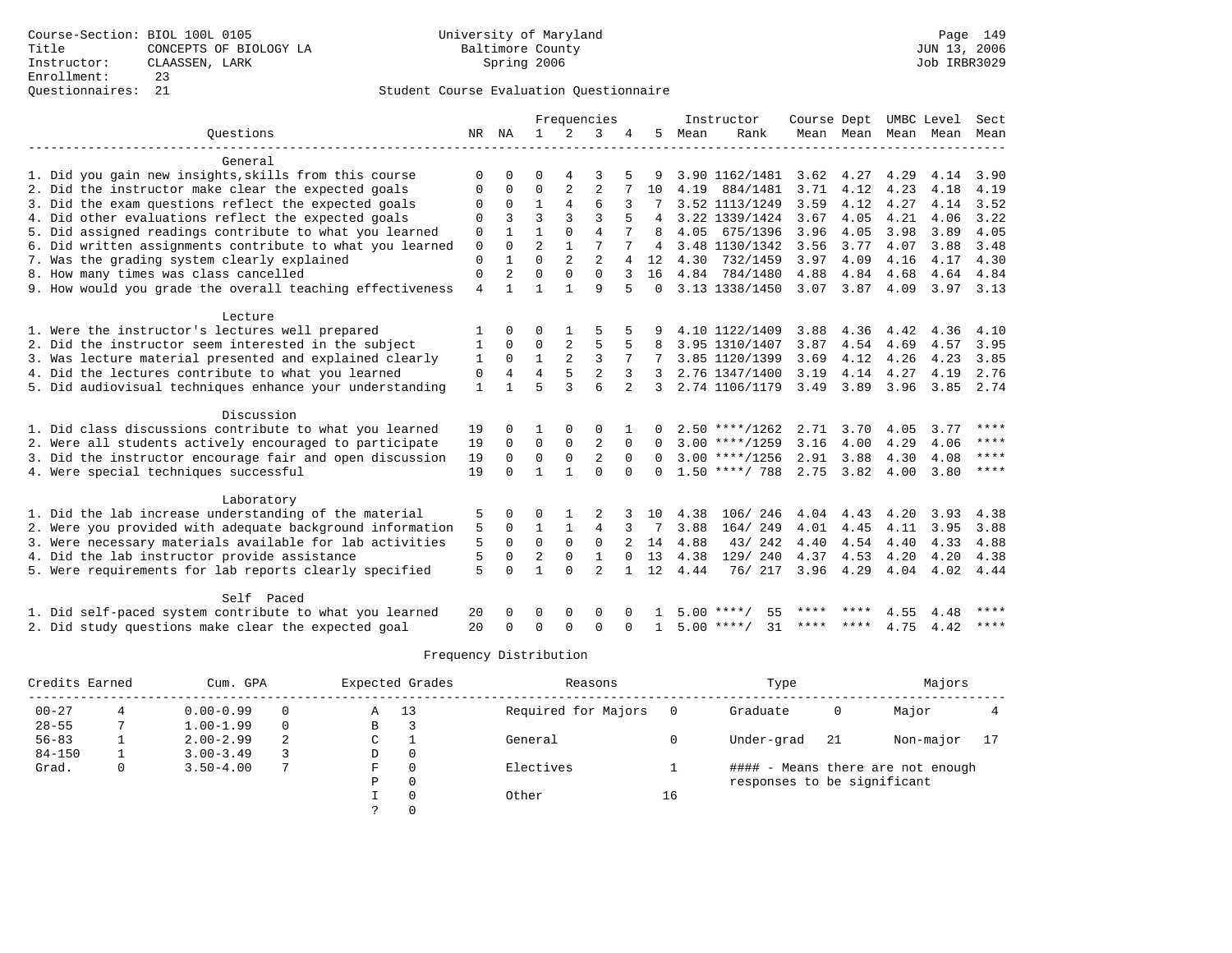|                                                           |              |                |                |                | Frequencies    |                |          |      | Instructor         | Course Dept |                     |      | UMBC Level | Sect        |
|-----------------------------------------------------------|--------------|----------------|----------------|----------------|----------------|----------------|----------|------|--------------------|-------------|---------------------|------|------------|-------------|
| Ouestions                                                 |              | NR NA          | $\mathbf{1}$   | $\overline{2}$ | 3              | 4              | 5        | Mean | Rank               |             | Mean Mean Mean Mean |      |            | Mean        |
| General                                                   |              |                |                |                |                |                |          |      |                    |             |                     |      |            |             |
| 1. Did you gain new insights, skills from this course     | $\Omega$     |                | $\Omega$       |                |                |                |          |      | 3.90 1162/1481     | 3.62        | 4.27                | 4.29 | 4.14       | 3.90        |
| 2. Did the instructor make clear the expected goals       | 0            | 0              | 0              | 2              | $\overline{2}$ |                | 10       | 4.19 | 884/1481           | 3.71        | 4.12                | 4.23 | 4.18       | 4.19        |
| 3. Did the exam questions reflect the expected goals      | 0            | $\Omega$       | $\mathbf{1}$   | 4              | 6              | 3              |          |      | 3.52 1113/1249     | 3.59        | 4.12                | 4.27 | 4.14       | 3.52        |
| 4. Did other evaluations reflect the expected goals       | 0            | 3              | 3              | 3              | ζ              |                | 4        |      | 3.22 1339/1424     | 3.67        | 4.05                | 4.21 | 4.06       | 3.22        |
| 5. Did assigned readings contribute to what you learned   | 0            |                |                | $\Omega$       | $\overline{4}$ |                | 8        | 4.05 | 675/1396           | 3.96        | 4.05                | 3.98 | 3.89       | 4.05        |
| 6. Did written assignments contribute to what you learned | 0            | $\Omega$       | $\overline{2}$ | $\mathbf{1}$   | 7              |                | 4        |      | 3.48 1130/1342     | 3.56        | 3.77                | 4.07 | 3.88       | 3.48        |
| 7. Was the grading system clearly explained               | $\mathbf 0$  |                | $\Omega$       | $\overline{2}$ | $\overline{a}$ |                | 12       | 4.30 | 732/1459           | 3.97        | 4.09                | 4.16 | 4.17       | 4.30        |
| 8. How many times was class cancelled                     | $\Omega$     | $\overline{2}$ | $\Omega$       | $\Omega$       | $\Omega$       | 3              | 16       |      | 4.84 784/1480      | 4.88        | 4.84                | 4.68 | 4.64       | 4.84        |
| 9. How would you grade the overall teaching effectiveness | 4            | 1              | 1              | 1              | 9              | 5              | $\Omega$ |      | 3.13 1338/1450     | 3.07        | 3.87                | 4.09 | 3.97 3.13  |             |
|                                                           |              |                |                |                |                |                |          |      |                    |             |                     |      |            |             |
| Lecture                                                   |              |                |                |                |                |                |          |      |                    |             |                     |      |            |             |
| 1. Were the instructor's lectures well prepared           |              | <sup>0</sup>   | U              |                | 5              |                |          |      | 4.10 1122/1409     | 3.88        | 4.36                | 4.42 | 4.36       | 4.10        |
| 2. Did the instructor seem interested in the subject      | 1            | $\Omega$       | $\Omega$       | 2              | 5              |                |          |      | 3.95 1310/1407     | 3.87        | 4.54                | 4.69 | 4.57       | 3.95        |
| 3. Was lecture material presented and explained clearly   | 1            | $\Omega$       | $\mathbf{1}$   | $\overline{a}$ | 3              |                |          |      | 3.85 1120/1399     | 3.69        | 4.12                | 4.26 | 4.23       | 3.85        |
| 4. Did the lectures contribute to what you learned        | $\mathbf 0$  | 4              | 4              | 5              | $\overline{2}$ | 3              |          |      | 2.76 1347/1400     | 3.19        | 4.14                | 4.27 | 4.19       | 2.76        |
| 5. Did audiovisual techniques enhance your understanding  | $\mathbf{1}$ |                | 5              | $\mathbf{3}$   | 6              | $\overline{2}$ | 3        |      | 2.74 1106/1179     | 3.49        | 3.89                | 3.96 | 3.85       | 2.74        |
| Discussion                                                |              |                |                |                |                |                |          |      |                    |             |                     |      |            |             |
| 1. Did class discussions contribute to what you learned   | 19           | <sup>0</sup>   |                | $\Omega$       | $\Omega$       |                | 0        |      | $2.50$ ****/1262   | 2.71        | 3.70                | 4.05 | 3.77       | ****        |
| 2. Were all students actively encouraged to participate   | 19           | 0              | 0              | $\mathbf 0$    | $\overline{2}$ | $\Omega$       | $\Omega$ |      | $3.00$ ****/1259   | 3.16        | 4.00                | 4.29 | 4.06       | ****        |
| 3. Did the instructor encourage fair and open discussion  | 19           | $\Omega$       | $\Omega$       | $\Omega$       | $\overline{2}$ | $\Omega$       | $\Omega$ |      | $3.00$ ****/1256   | 2.91        | 3.88                | 4.30 | 4.08       | $***$ * * * |
| 4. Were special techniques successful                     | 19           | $\Omega$       | 1              | 1              | $\Omega$       | $\Omega$       | 0        |      | $1.50$ ****/ 788   | 2.75        | 3.82                | 4.00 | 3.80       | $***$ * * * |
|                                                           |              |                |                |                |                |                |          |      |                    |             |                     |      |            |             |
| Laboratory                                                |              |                |                |                |                |                |          |      |                    |             |                     |      |            |             |
| 1. Did the lab increase understanding of the material     | 5            | $\Omega$       | O              |                |                |                | 10       | 4.38 | 106/ 246           | 4.04        | 4.43                | 4.20 | 3.93       | 4.38        |
| 2. Were you provided with adequate background information | 5            | $\Omega$       | 1              | $\mathbf{1}$   | 4              | 3              | 7        | 3.88 | 164/249            | 4.01        | 4.45                | 4.11 | 3.95       | 3.88        |
| 3. Were necessary materials available for lab activities  | 5            | $\Omega$       | $\Omega$       | $\Omega$       | $\Omega$       |                | 14       | 4.88 | 43/242             | 4.40        | 4.54                | 4.40 | 4.33       | 4.88        |
| 4. Did the lab instructor provide assistance              | 5            | 0              | $\overline{2}$ | $\mathbf 0$    | $\mathbf{1}$   | $\Omega$       | 13       | 4.38 | 129/ 240           | 4.37        | 4.53                | 4.20 | 4.20       | 4.38        |
| 5. Were requirements for lab reports clearly specified    | 5            | $\Omega$       | 1              | $\Omega$       | $\overline{a}$ |                | 12       | 4.44 | 76/ 217            | 3.96        | 4.29                | 4.04 | 4.02       | 4.44        |
| Self Paced                                                |              |                |                |                |                |                |          |      |                    |             |                     |      |            |             |
| 1. Did self-paced system contribute to what you learned   | 20           |                | O              | $\Omega$       | $\Omega$       |                |          | 5.00 | 55                 |             |                     | 4.55 | 4.48       | ****        |
| 2. Did study questions make clear the expected goal       | 20           | O              | $\Omega$       | $\Omega$       | $\Omega$       | $\Omega$       | 1        |      | 31<br>$5.00$ ****/ | ****        | ****                | 4.75 | 4.42       | $***$ * * * |

| Credits Earned |   | Cum. GPA      |          | Expected Grades |          | Reasons             |     | Type                        |     | Majors                            |     |
|----------------|---|---------------|----------|-----------------|----------|---------------------|-----|-----------------------------|-----|-----------------------------------|-----|
| $00 - 27$      |   | $0.00 - 0.99$ | 0        | Α               | 13       | Required for Majors | - 0 | Graduate                    | 0   | Major                             |     |
| $28 - 55$      |   | $1.00 - 1.99$ | $\Omega$ | В               |          |                     |     |                             |     |                                   |     |
| $56 - 83$      |   | $2.00 - 2.99$ | 2        | C               |          | General             |     | Under-grad                  | -21 | Non-major                         | -17 |
| $84 - 150$     |   | $3.00 - 3.49$ |          | D               | 0        |                     |     |                             |     |                                   |     |
| Grad.          | 0 | $3.50 - 4.00$ |          | F               | $\Omega$ | Electives           |     |                             |     | #### - Means there are not enough |     |
|                |   |               |          | Ρ               | 0        |                     |     | responses to be significant |     |                                   |     |
|                |   |               |          |                 | $\Omega$ | Other               | 16  |                             |     |                                   |     |
|                |   |               |          |                 |          |                     |     |                             |     |                                   |     |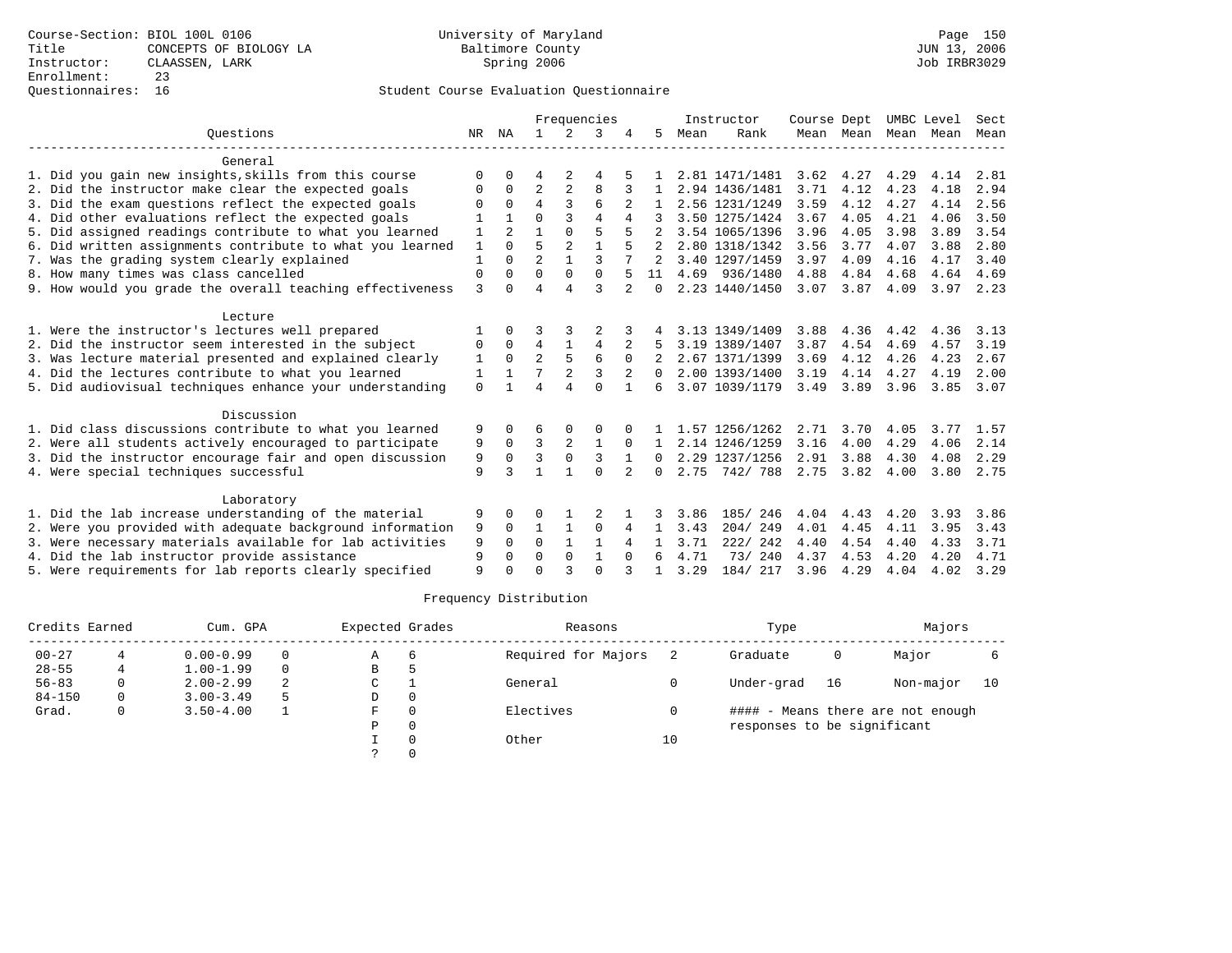### Questionnaires: 16 Student Course Evaluation Questionnaire

|                                                           | Frequencies  |              |                |                | Instructor     | Course Dept |              | UMBC Level |                | Sect |           |      |      |      |
|-----------------------------------------------------------|--------------|--------------|----------------|----------------|----------------|-------------|--------------|------------|----------------|------|-----------|------|------|------|
| Ouestions                                                 | NR           | ΝA           | $\mathbf{1}$   | 2              | 3              |             | 5.           | Mean       | Rank           |      | Mean Mean | Mean | Mean | Mean |
| General                                                   |              |              |                |                |                |             |              |            |                |      |           |      |      |      |
| 1. Did you gain new insights, skills from this course     | $\Omega$     | 0            | 4              | 2              | 4              |             |              |            | 2.81 1471/1481 | 3.62 | 4.27      | 4.29 | 4.14 | 2.81 |
| 2. Did the instructor make clear the expected goals       | 0            | $\Omega$     | $\overline{2}$ | $\overline{2}$ | 8              |             |              |            | 2.94 1436/1481 | 3.71 | 4.12      | 4.23 | 4.18 | 2.94 |
| 3. Did the exam questions reflect the expected goals      | O            | $\Omega$     | 4              | 3              | 6              |             |              |            | 2.56 1231/1249 | 3.59 | 4.12      | 4.27 | 4.14 | 2.56 |
| 4. Did other evaluations reflect the expected goals       |              |              | 0              | 3              | 4              | 4           |              |            | 3.50 1275/1424 | 3.67 | 4.05      | 4.21 | 4.06 | 3.50 |
| 5. Did assigned readings contribute to what you learned   | 1            | 2            |                | $\Omega$       | 5              |             |              |            | 3.54 1065/1396 | 3.96 | 4.05      | 3.98 | 3.89 | 3.54 |
| 6. Did written assignments contribute to what you learned | $\mathbf{1}$ | $\cap$       | 5              | $\overline{a}$ | $\mathbf{1}$   |             |              |            | 2.80 1318/1342 | 3.56 | 3.77      | 4.07 | 3.88 | 2.80 |
| 7. Was the grading system clearly explained               | $\mathbf{1}$ | $\Omega$     | $\overline{a}$ | $\mathbf{1}$   | ζ              |             |              |            | 3.40 1297/1459 | 3.97 | 4.09      | 4.16 | 4.17 | 3.40 |
| 8. How many times was class cancelled                     | $\mathbf 0$  | $\Omega$     | $\Omega$       | $\Omega$       | 0              |             | 11           |            | 4.69 936/1480  | 4.88 | 4.84      | 4.68 | 4.64 | 4.69 |
| 9. How would you grade the overall teaching effectiveness | $\mathbf{3}$ | U            | $\overline{4}$ | $\overline{A}$ | ζ              |             | $\Omega$     |            | 2.23 1440/1450 | 3.07 | 3.87      | 4.09 | 3.97 | 2.23 |
| Lecture                                                   |              |              |                |                |                |             |              |            |                |      |           |      |      |      |
| 1. Were the instructor's lectures well prepared           |              | $\Omega$     |                |                |                |             |              |            | 3.13 1349/1409 | 3.88 | 4.36      | 4.42 | 4.36 | 3.13 |
| 2. Did the instructor seem interested in the subject      | 0            | $\Omega$     | 4              |                | $\overline{4}$ | 2           |              |            | 3.19 1389/1407 | 3.87 | 4.54      | 4.69 | 4.57 | 3.19 |
| 3. Was lecture material presented and explained clearly   | 1            | $\Omega$     | $\overline{a}$ | 5              | 6              | $\Omega$    |              |            | 2.67 1371/1399 | 3.69 | 4.12      | 4.26 | 4.23 | 2.67 |
| 4. Did the lectures contribute to what you learned        | $\mathbf{1}$ | $\mathbf{1}$ | 7              | $\overline{2}$ | ς              |             | $\Omega$     |            | 2.00 1393/1400 | 3.19 | 4.14      | 4.27 | 4.19 | 2.00 |
| 5. Did audiovisual techniques enhance your understanding  | $\Omega$     |              | $\overline{4}$ |                | $\Omega$       |             | 6            |            | 3.07 1039/1179 | 3.49 | 3.89      | 3.96 | 3.85 | 3.07 |
| Discussion                                                |              |              |                |                |                |             |              |            |                |      |           |      |      |      |
| 1. Did class discussions contribute to what you learned   | 9            | 0            | 6              | 0              | 0              |             |              |            | 1.57 1256/1262 | 2.71 | 3.70      | 4.05 | 3.77 | 1.57 |
| 2. Were all students actively encouraged to participate   | 9            | $\mathbf 0$  | 3              | 2              | 1              | $\Omega$    |              |            | 2.14 1246/1259 | 3.16 | 4.00      | 4.29 | 4.06 | 2.14 |
| 3. Did the instructor encourage fair and open discussion  | 9            | $\Omega$     | 3              | $\mathbf 0$    | $\overline{3}$ |             | $\Omega$     |            | 2.29 1237/1256 | 2.91 | 3.88      | 4.30 | 4.08 | 2.29 |
| 4. Were special techniques successful                     | 9            | ζ            | $\mathbf{1}$   | $\mathbf{1}$   | $\Omega$       | 2           | 0            | 2.75       | 742/788        |      | 2.75 3.82 | 4.00 | 3.80 | 2.75 |
| Laboratory                                                |              |              |                |                |                |             |              |            |                |      |           |      |      |      |
| 1. Did the lab increase understanding of the material     | 9            | $\Omega$     | O              |                | 2              |             |              | 3.86       | 185/ 246       | 4.04 | 4.43      | 4.20 | 3.93 | 3.86 |
| 2. Were you provided with adequate background information | 9            | $\Omega$     | $\mathbf{1}$   | 1              | $\Omega$       | 4           | $\mathbf{1}$ | 3.43       | 204/249        | 4.01 | 4.45      | 4.11 | 3.95 | 3.43 |
| 3. Were necessary materials available for lab activities  | 9            | $\Omega$     | $\Omega$       | $\mathbf{1}$   | 1              | 4           | 1.           | 3.71       | 222/242        | 4.40 | 4.54      | 4.40 | 4.33 | 3.71 |
| 4. Did the lab instructor provide assistance              | 9            | $\Omega$     | $\Omega$       | $\Omega$       | $\mathbf{1}$   | $\Omega$    | 6            | 4.71       | 73/240         | 4.37 | 4.53      | 4.20 | 4.20 | 4.71 |
| 5. Were requirements for lab reports clearly specified    | 9            | $\cap$       | $\cap$         |                | $\cap$         |             |              | 3.29       | 184/ 217       | 3.96 | 4.29      | 4.04 | 4.02 | 3.29 |

| Credits Earned | Cum. GPA |               |          | Expected Grades |     | Reasons             |    | Type                        | Majors |                                   |    |
|----------------|----------|---------------|----------|-----------------|-----|---------------------|----|-----------------------------|--------|-----------------------------------|----|
| $00 - 27$      |          | $0.00 - 0.99$ | $\Omega$ | Α               | - 6 | Required for Majors |    | Graduate                    | 0      | Major                             |    |
| $28 - 55$      |          | $1.00 - 1.99$ | $\Omega$ | В               |     |                     |    |                             |        |                                   |    |
| $56 - 83$      |          | $2.00 - 2.99$ | 2        | C               |     | General             |    | Under-grad                  | -16    | Non-major                         | 10 |
| $84 - 150$     | 0        | $3.00 - 3.49$ | 5        | D               |     |                     |    |                             |        |                                   |    |
| Grad.          | 0        | $3.50 - 4.00$ |          | F               |     | Electives           |    |                             |        | #### - Means there are not enough |    |
|                |          |               |          | P               |     |                     |    | responses to be significant |        |                                   |    |
|                |          |               |          |                 |     | Other               | 10 |                             |        |                                   |    |
|                |          |               |          |                 |     |                     |    |                             |        |                                   |    |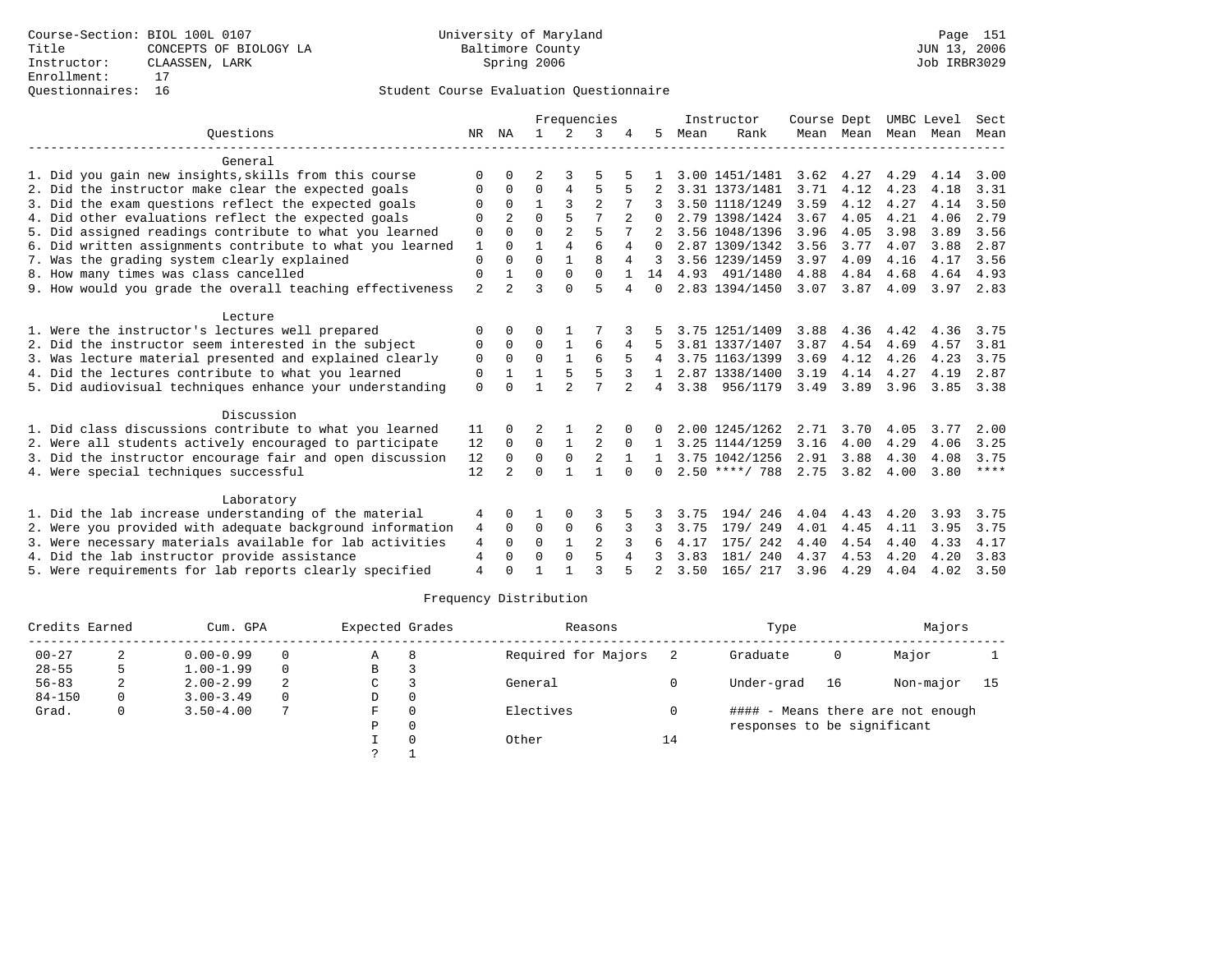|                                                           |                |                |              | Frequencies    |                |          | Instructor     |      |                  | Course Dept |           | UMBC Level |      | Sect        |
|-----------------------------------------------------------|----------------|----------------|--------------|----------------|----------------|----------|----------------|------|------------------|-------------|-----------|------------|------|-------------|
| Ouestions                                                 | NR.            | ΝA             | $\mathbf{1}$ | 2              | 3              |          | 5              | Mean | Rank             |             | Mean Mean | Mean       | Mean | Mean        |
| General                                                   |                |                |              |                |                |          |                |      |                  |             |           |            |      |             |
| 1. Did you gain new insights, skills from this course     | O              |                | 2            | 3              |                |          |                |      | 3.00 1451/1481   | 3.62        | 4.27      | 4.29       | 4.14 | 3.00        |
| 2. Did the instructor make clear the expected goals       | O              | $\Omega$       | $\Omega$     | 4              | 5              |          |                |      | 3.31 1373/1481   | 3.71        | 4.12      | 4.23       | 4.18 | 3.31        |
| 3. Did the exam questions reflect the expected goals      |                | $\Omega$       |              | 3              |                |          |                |      | 3.50 1118/1249   | 3.59        | 4.12      | 4.27       | 4.14 | 3.50        |
| 4. Did other evaluations reflect the expected goals       | $\Omega$       | 2              | $\Omega$     |                |                |          | <sup>0</sup>   |      | 2.79 1398/1424   | 3.67        | 4.05      | 4.21       | 4.06 | 2.79        |
| 5. Did assigned readings contribute to what you learned   | 0              | $\Omega$       | $\Omega$     | $\overline{2}$ | 5              |          |                |      | 3.56 1048/1396   | 3.96        | 4.05      | 3.98       | 3.89 | 3.56        |
| 6. Did written assignments contribute to what you learned | 1              | $\cap$         |              | $\overline{4}$ | 6              | 4        | $\Omega$       |      | 2.87 1309/1342   | 3.56        | 3.77      | 4.07       | 3.88 | 2.87        |
| 7. Was the grading system clearly explained               | $\Omega$       |                | $\Omega$     |                | $\mathsf{R}$   | 4        |                |      | 3.56 1239/1459   | 3.97        | 4.09      | 4.16       | 4.17 | 3.56        |
| 8. How many times was class cancelled                     | $\mathbf 0$    |                | $\Omega$     | $\Omega$       | $\Omega$       |          | 14             |      | 4.93 491/1480    | 4.88        | 4.84      | 4.68       | 4.64 | 4.93        |
| 9. How would you grade the overall teaching effectiveness | $\overline{2}$ | 2              | 3            |                | 5              | 4        | $\Omega$       |      | 2.83 1394/1450   | 3.07        | 3.87      | 4.09       | 3.97 | 2.83        |
| Lecture                                                   |                |                |              |                |                |          |                |      |                  |             |           |            |      |             |
| 1. Were the instructor's lectures well prepared           | $\Omega$       |                | ∩            |                |                |          |                |      | 3.75 1251/1409   | 3.88        | 4.36      | 4.42       | 4.36 | 3.75        |
| 2. Did the instructor seem interested in the subject      | 0              | $\Omega$       | $\Omega$     |                | 6              | 4        |                |      | 3.81 1337/1407   | 3.87        | 4.54      | 4.69       | 4.57 | 3.81        |
| 3. Was lecture material presented and explained clearly   | 0              | $\Omega$       | $\Omega$     |                |                |          |                |      | 3.75 1163/1399   | 3.69        | 4.12      | 4.26       | 4.23 | 3.75        |
| 4. Did the lectures contribute to what you learned        | 0              |                |              |                | 5              |          |                |      | 2.87 1338/1400   | 3.19        | 4.14      | 4.27       | 4.19 | 2.87        |
| 5. Did audiovisual techniques enhance your understanding  | $\Omega$       |                |              |                | 7              |          | 4              |      | 3.38 956/1179    | 3.49        | 3.89      | 3.96       | 3.85 | 3.38        |
| Discussion                                                |                |                |              |                |                |          |                |      |                  |             |           |            |      |             |
| 1. Did class discussions contribute to what you learned   | 11             |                | 2            |                |                |          |                |      | 2.00 1245/1262   | 2.71        | 3.70      | 4.05       | 3.77 | 2.00        |
| 2. Were all students actively encouraged to participate   | 12             | $\mathbf 0$    | 0            |                | 2              | $\Omega$ |                |      | 3.25 1144/1259   | 3.16        | 4.00      | 4.29       | 4.06 | 3.25        |
| 3. Did the instructor encourage fair and open discussion  | 12             | $\Omega$       | $\mathbf 0$  | $\mathbf 0$    | $\overline{2}$ |          |                |      | 3.75 1042/1256   | 2.91        | 3.88      | 4.30       | 4.08 | 3.75        |
| 4. Were special techniques successful                     | 12             | $\overline{2}$ | $\Omega$     |                |                | $\cap$   | $\Omega$       |      | $2.50$ ****/ 788 | 2.75        | 3.82      | 4.00       | 3.80 | $***$ * * * |
| Laboratory                                                |                |                |              |                |                |          |                |      |                  |             |           |            |      |             |
| 1. Did the lab increase understanding of the material     | 4              | 0              |              | 0              | 3              |          |                | 3.75 | 194/246          | 4.04        | 4.43      | 4.20       | 3.93 | 3.75        |
| 2. Were you provided with adequate background information | 4              | $\Omega$       | $\Omega$     | $\Omega$       | 6              |          |                | 3.75 | 179/ 249         | 4.01        | 4.45      | 4.11       | 3.95 | 3.75        |
| 3. Were necessary materials available for lab activities  | 4              | $\Omega$       | $\Omega$     |                | $\overline{2}$ | 3        |                | 4.17 | 175/ 242         | 4.40        | 4.54      | 4.40       | 4.33 | 4.17        |
| 4. Did the lab instructor provide assistance              | 4              | $\Omega$       | $\Omega$     | $\Omega$       | 5              | 4        |                | 3.83 | 181/ 240         | 4.37        | 4.53      | 4.20       | 4.20 | 3.83        |
| 5. Were requirements for lab reports clearly specified    | $\overline{4}$ | $\cap$         |              |                | ঽ              |          | $\overline{2}$ | 3.50 | 165/ 217         | 3.96        | 4.29      | 4.04       | 4.02 | 3.50        |

| Credits Earned |   | Cum. GPA      |   |               | Expected Grades | Reasons             |    | Type                        |    | Majors                            |    |
|----------------|---|---------------|---|---------------|-----------------|---------------------|----|-----------------------------|----|-----------------------------------|----|
| $00 - 27$      |   | $0.00 - 0.99$ |   | Α             | 8               | Required for Majors |    | Graduate                    | 0  | Major                             |    |
| $28 - 55$      |   | $1.00 - 1.99$ | 0 | В             |                 |                     |    |                             |    |                                   |    |
| $56 - 83$      | 2 | $2.00 - 2.99$ | 2 | C             |                 | General             |    | Under-grad                  | 16 | Non-major                         | 15 |
| $84 - 150$     | 0 | $3.00 - 3.49$ | 0 | D             | $\Omega$        |                     |    |                             |    |                                   |    |
| Grad.          | 0 | $3.50 - 4.00$ |   | F.            | $\Omega$        | Electives           |    |                             |    | #### - Means there are not enough |    |
|                |   |               |   | P             | $\Omega$        |                     |    | responses to be significant |    |                                   |    |
|                |   |               |   |               |                 | Other               | 14 |                             |    |                                   |    |
|                |   |               |   | $\mathcal{L}$ |                 |                     |    |                             |    |                                   |    |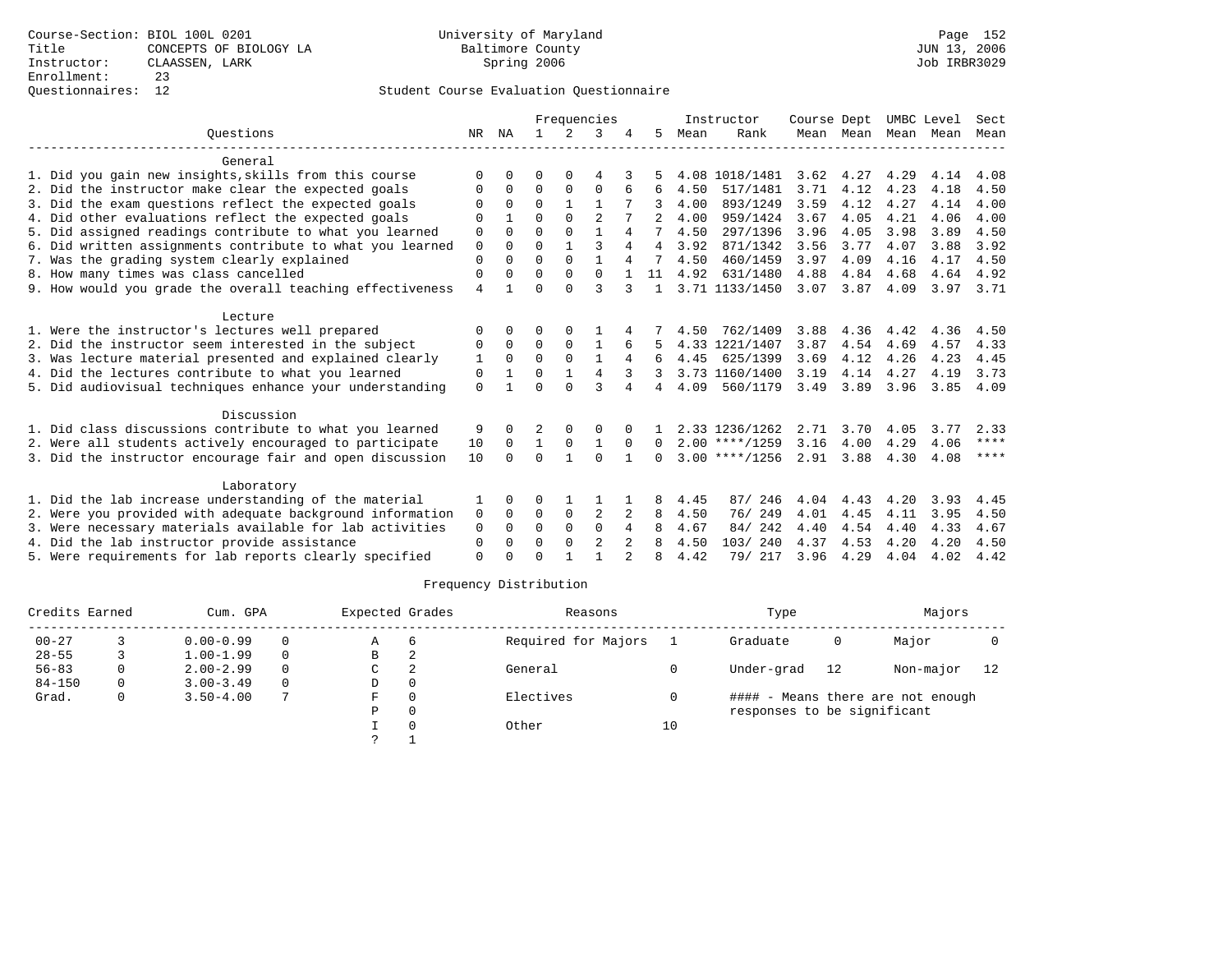|                                                           | Frequencies |          |              |          |                |          | Instructor     | Course Dept  |                  | UMBC Level |           | Sect |      |             |
|-----------------------------------------------------------|-------------|----------|--------------|----------|----------------|----------|----------------|--------------|------------------|------------|-----------|------|------|-------------|
| Ouestions                                                 | NR          | ΝA       |              | 2        | 3              |          | 5              | Mean         | Rank             |            | Mean Mean | Mean | Mean | Mean        |
| General                                                   |             |          |              |          |                |          |                |              |                  |            |           |      |      |             |
| 1. Did you gain new insights, skills from this course     | ∩           |          | ∩            |          |                |          |                |              | 4.08 1018/1481   | 3.62       | 4.27      | 4.29 | 4.14 | 4.08        |
| 2. Did the instructor make clear the expected goals       | O           | $\Omega$ | $\Omega$     | $\Omega$ | $\Omega$       | 6        | 6              | 4.50         | 517/1481         | 3.71       | 4.12      | 4.23 | 4.18 | 4.50        |
| 3. Did the exam questions reflect the expected goals      |             | $\Omega$ | $\Omega$     |          |                |          | 3              | 4.00         | 893/1249         | 3.59       | 4.12      | 4.27 | 4.14 | 4.00        |
| 4. Did other evaluations reflect the expected goals       | $\Omega$    |          | $\cap$       | $\cap$   | $\mathfrak{D}$ |          | $2^{1}$        | 4.00         | 959/1424         | 3.67       | 4.05      | 4.21 | 4.06 | 4.00        |
| 5. Did assigned readings contribute to what you learned   | $\Omega$    | $\Omega$ | $\Omega$     | $\Omega$ |                | 4        | 7              | 4.50         | 297/1396         | 3.96       | 4.05      | 3.98 | 3.89 | 4.50        |
| 6. Did written assignments contribute to what you learned | $\mathbf 0$ | $\Omega$ | $\Omega$     |          | ζ              | 4        | $\overline{4}$ | 3.92         | 871/1342         | 3.56       | 3.77      | 4.07 | 3.88 | 3.92        |
| 7. Was the grading system clearly explained               | $\Omega$    | $\cap$   | $\Omega$     | $\Omega$ | 1              | 4        |                | 4.50         | 460/1459         | 3.97       | 4.09      | 4.16 | 4.17 | 4.50        |
| 8. How many times was class cancelled                     | $\Omega$    |          | $\Omega$     | $\Omega$ | $\Omega$       |          | 11             | 4.92         | 631/1480         | 4.88       | 4.84      | 4.68 | 4.64 | 4.92        |
| 9. How would you grade the overall teaching effectiveness | 4           |          | $\Omega$     | $\cap$   | ζ              | 3        |                |              | 3.71 1133/1450   | 3.07       | 3.87      | 4.09 | 3.97 | 3.71        |
| Lecture                                                   |             |          |              |          |                |          |                |              |                  |            |           |      |      |             |
| 1. Were the instructor's lectures well prepared           | $\Omega$    | $\Omega$ |              |          |                |          |                | 4.50         | 762/1409         | 3.88       | 4.36      | 4.42 | 4.36 | 4.50        |
| 2. Did the instructor seem interested in the subject      | $\Omega$    | $\Omega$ | $\Omega$     | $\Omega$ |                |          |                |              | 4.33 1221/1407   | 3.87       | 4.54      | 4.69 | 4.57 | 4.33        |
| 3. Was lecture material presented and explained clearly   | 1           | $\Omega$ | $\Omega$     | $\Omega$ |                |          | 6              | 4.45         | 625/1399         | 3.69       | 4.12      | 4.26 | 4.23 | 4.45        |
| 4. Did the lectures contribute to what you learned        | 0           |          | 0            |          | $\overline{4}$ |          |                |              | 3.73 1160/1400   | 3.19       | 4.14      | 4.27 | 4.19 | 3.73        |
| 5. Did audiovisual techniques enhance your understanding  | $\Omega$    |          | $\Omega$     | $\cap$   | 3              | 4        | 4              | 4.09         | 560/1179         | 3.49       | 3.89      | 3.96 | 3.85 | 4.09        |
| Discussion                                                |             |          |              |          |                |          |                |              |                  |            |           |      |      |             |
| 1. Did class discussions contribute to what you learned   | 9           | 0        | 2            | $\Omega$ | O              |          |                |              | 2.33 1236/1262   | 2.71       | 3.70      | 4.05 | 3.77 | 2.33        |
| 2. Were all students actively encouraged to participate   | 10          | $\Omega$ | $\mathbf{1}$ | 0        |                | $\Omega$ | $\Omega$       |              | $2.00$ ****/1259 | 3.16       | 4.00      | 4.29 | 4.06 | ****        |
| 3. Did the instructor encourage fair and open discussion  | 10          | $\Omega$ | $\Omega$     |          | $\Omega$       |          | $\Omega$       |              | $3.00$ ****/1256 | 2.91 3.88  |           | 4.30 | 4.08 | $***$ * * * |
| Laboratory                                                |             |          |              |          |                |          |                |              |                  |            |           |      |      |             |
| 1. Did the lab increase understanding of the material     |             |          |              |          |                |          | 8              |              | 246<br>87/       | 4.04       | 4.43      | 4.20 | 3.93 | 4.45        |
| 2. Were you provided with adequate background information | 0           | $\Omega$ | $\Omega$     | 0        | 2              | 2        | 8              | 4.45<br>4.50 | 76/249           | 4.01       | 4.45      | 4.11 | 3.95 | 4.50        |
| 3. Were necessary materials available for lab activities  | $\mathbf 0$ | $\Omega$ | $\Omega$     | $\Omega$ | $\Omega$       | 4        |                | 4.67         | 84/242           | 4.40       | 4.54      | 4.40 | 4.33 | 4.67        |
| 4. Did the lab instructor provide assistance              | $\Omega$    | $\Omega$ | $\Omega$     | $\Omega$ | $\overline{2}$ | 2        | 8              | 4.50         | 103/240          | 4.37       | 4.53      | 4.20 | 4.20 | 4.50        |
| 5. Were requirements for lab reports clearly specified    | $\Omega$    |          | $\Omega$     |          |                |          | 8              | 4.42         | 79/ 217          | 3.96       | 4.29      | 4.04 | 4.02 | 4.42        |
|                                                           |             |          |              |          |                |          |                |              |                  |            |           |      |      |             |

| Credits Earned |   | Cum. GPA      |          |    | Expected Grades | Reasons             |    | Type                        |    | Majors                            |    |
|----------------|---|---------------|----------|----|-----------------|---------------------|----|-----------------------------|----|-----------------------------------|----|
| $00 - 27$      |   | $0.00 - 0.99$ | $\Omega$ | Α  | b               | Required for Majors |    | Graduate                    | 0  | Major                             |    |
| $28 - 55$      |   | $1.00 - 1.99$ | $\Omega$ | В  |                 |                     |    |                             |    |                                   |    |
| $56 - 83$      | 0 | $2.00 - 2.99$ | $\Omega$ | C  | ◠               | General             |    | Under-grad                  | 12 | Non-major                         | 12 |
| $84 - 150$     | 0 | $3.00 - 3.49$ | $\Omega$ | D  | 0               |                     |    |                             |    |                                   |    |
| Grad.          | 0 | $3.50 - 4.00$ |          | F. | $\Omega$        | Electives           |    |                             |    | #### - Means there are not enough |    |
|                |   |               |          | Ρ  | 0               |                     |    | responses to be significant |    |                                   |    |
|                |   |               |          |    |                 | Other               | 10 |                             |    |                                   |    |
|                |   |               |          |    |                 |                     |    |                             |    |                                   |    |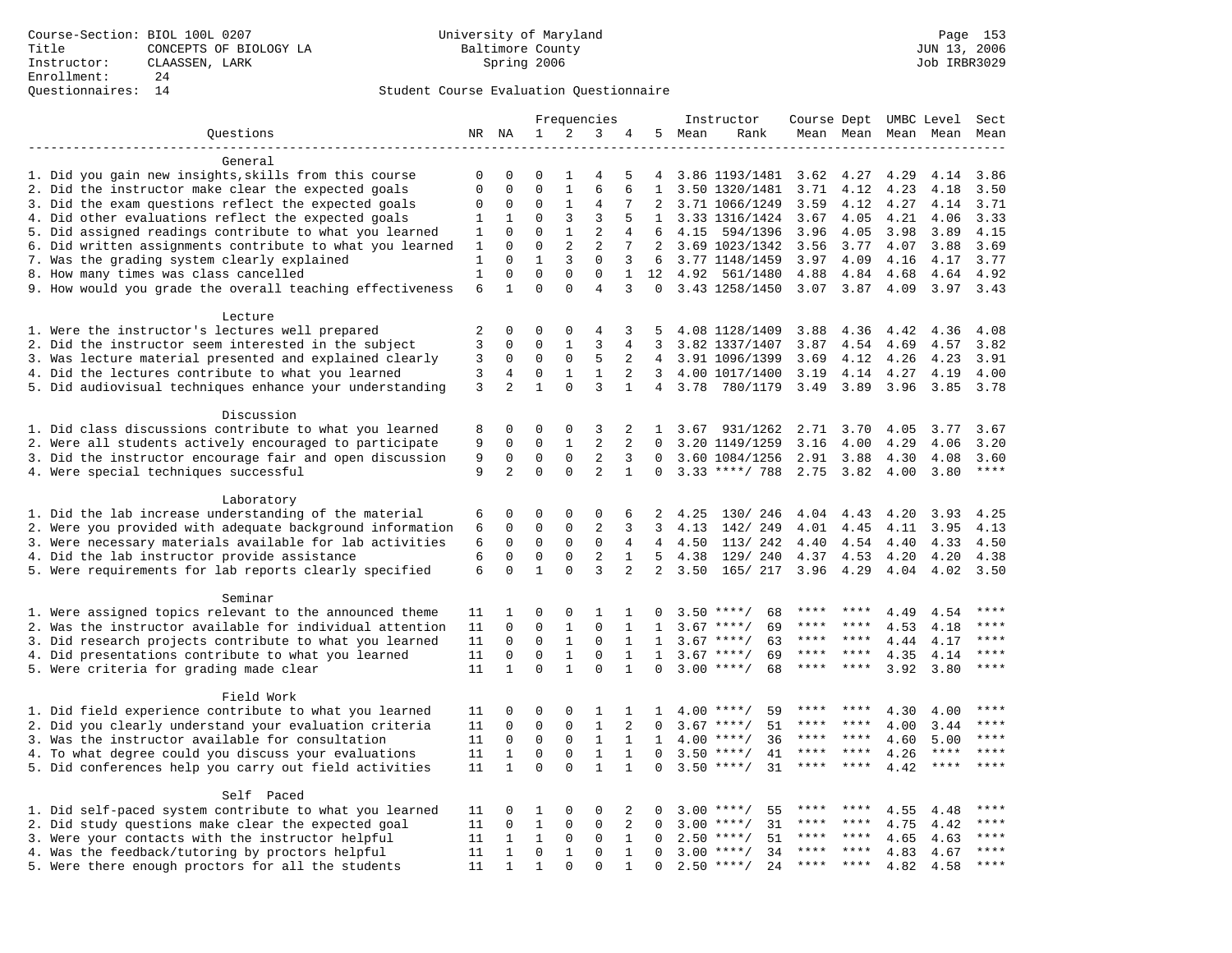### Questionnaires: 14 Student Course Evaluation Questionnaire

|                                                           | Frequencies  |                |              | Instructor   |                |                | Course Dept UMBC Level |        | Sect               |      |           |                     |             |                        |
|-----------------------------------------------------------|--------------|----------------|--------------|--------------|----------------|----------------|------------------------|--------|--------------------|------|-----------|---------------------|-------------|------------------------|
| Questions                                                 |              | NR NA          | 1            | 2            | 3              | 4              |                        | 5 Mean | Rank               |      |           | Mean Mean Mean Mean |             | Mean                   |
| -------------------                                       |              |                |              |              |                |                |                        |        |                    |      |           |                     |             |                        |
| General                                                   |              |                |              |              |                |                |                        |        |                    |      |           |                     |             |                        |
| 1. Did you gain new insights, skills from this course     | 0            | 0              | $\Omega$     | 1            | 4              | 5              | 4                      |        | 3.86 1193/1481     | 3.62 | 4.27      | 4.29                | 4.14        | 3.86                   |
| 2. Did the instructor make clear the expected goals       | $\mathbf 0$  | $\mathbf 0$    | $\Omega$     | $\mathbf{1}$ | 6              | 6              | $\mathbf{1}$           |        | 3.50 1320/1481     | 3.71 | 4.12      | 4.23                | 4.18        | 3.50                   |
| 3. Did the exam questions reflect the expected goals      | 0            | 0              | $\Omega$     | 1            | 4              | 7              |                        |        | 3.71 1066/1249     | 3.59 | 4.12      | 4.27                | 4.14        | 3.71                   |
| 4. Did other evaluations reflect the expected goals       | 1            | 1              | $\Omega$     | 3            | 3              | 5              | $\mathbf{1}$           |        | 3.33 1316/1424     | 3.67 | 4.05      | 4.21                | 4.06        | 3.33                   |
| 5. Did assigned readings contribute to what you learned   | 1            | $\Omega$       | $\Omega$     | $\mathbf{1}$ | $\overline{c}$ | 4              | 6                      | 4.15   | 594/1396           | 3.96 | 4.05      | 3.98                | 3.89        | 4.15                   |
| 6. Did written assignments contribute to what you learned | 1            | $\mathbf 0$    | $\mathbf 0$  | 2            | 2              | 7              | 2                      |        | 3.69 1023/1342     | 3.56 | 3.77      | 4.07                | 3.88        | 3.69                   |
| 7. Was the grading system clearly explained               | 1            | $\Omega$       | $\mathbf{1}$ | 3            | $\mathbf 0$    | 3              | 6                      |        | 3.77 1148/1459     | 3.97 | 4.09      | 4.16                | 4.17        | 3.77                   |
| 8. How many times was class cancelled                     | $\mathbf{1}$ | $\mathbf 0$    | $\mathbf 0$  | 0            | $\mathbf 0$    | $\mathbf 1$    | 12                     | 4.92   | 561/1480           | 4.88 | 4.84      | 4.68                | 4.64        | 4.92                   |
| 9. How would you grade the overall teaching effectiveness | 6            | $\mathbf{1}$   | $\Omega$     | $\Omega$     | $\overline{4}$ | 3              | $\Omega$               |        | 3.43 1258/1450     |      | 3.07 3.87 | 4.09                | 3.97        | 3.43                   |
| Lecture                                                   |              |                |              |              |                |                |                        |        |                    |      |           |                     |             |                        |
| 1. Were the instructor's lectures well prepared           | 2            | $\Omega$       | $\Omega$     | $\Omega$     | 4              | 3              | 5                      |        | 4.08 1128/1409     | 3.88 | 4.36      | 4.42                | 4.36        | 4.08                   |
| 2. Did the instructor seem interested in the subject      | 3            | $\mathbf 0$    | $\mathbf 0$  | $\mathbf{1}$ | 3              | 4              | 3                      |        | 3.82 1337/1407     | 3.87 | 4.54      | 4.69                | 4.57        | 3.82                   |
| 3. Was lecture material presented and explained clearly   | 3            | $\mathbf 0$    | $\mathbf 0$  | $\mathsf 0$  | 5              | 2              |                        |        | 4 3.91 1096/1399   | 3.69 | 4.12      | 4.26                | 4.23        | 3.91                   |
| 4. Did the lectures contribute to what you learned        | 3            | 4              | $\mathbf 0$  | $\mathbf{1}$ | $\mathbf{1}$   | 2              | $\overline{3}$         |        | 4.00 1017/1400     | 3.19 | 4.14      | 4.27                | 4.19        | 4.00                   |
| 5. Did audiovisual techniques enhance your understanding  | 3            | $\overline{2}$ | $\mathbf{1}$ | $\Omega$     | 3              | $\mathbf{1}$   |                        | 4 3.78 | 780/1179           | 3.49 | 3.89      | 3.96                | 3.85        | 3.78                   |
|                                                           |              |                |              |              |                |                |                        |        |                    |      |           |                     |             |                        |
| Discussion                                                |              |                |              |              |                |                |                        |        |                    |      |           |                     |             |                        |
| 1. Did class discussions contribute to what you learned   | 8            | 0              | $\Omega$     | 0            | 3              | 2              | $\mathbf{1}$           | 3.67   | 931/1262           | 2.71 | 3.70      | 4.05                | 3.77        | 3.67                   |
| 2. Were all students actively encouraged to participate   | 9            | $\Omega$       | $\Omega$     | $\mathbf{1}$ | 2              | $\overline{2}$ | $\Omega$               |        | 3.20 1149/1259     | 3.16 | 4.00      | 4.29                | 4.06        | 3.20                   |
| 3. Did the instructor encourage fair and open discussion  | 9            | $\mathbf 0$    | $\mathbf 0$  | $\mathbf 0$  | 2              | 3              | $\Omega$               |        | 3.60 1084/1256     | 2.91 | 3.88      | 4.30                | 4.08        | 3.60                   |
| 4. Were special techniques successful                     | 9            | $\overline{a}$ | $\mathbf 0$  | $\Omega$     | 2              | $\mathbf{1}$   | $\mathbf 0$            |        | $3.33$ ****/ 788   | 2.75 | 3.82      | 4.00                | 3.80        | $\star\star\star\star$ |
|                                                           |              |                |              |              |                |                |                        |        |                    |      |           |                     |             |                        |
| Laboratory                                                |              |                |              |              |                |                |                        |        |                    |      |           |                     |             |                        |
| 1. Did the lab increase understanding of the material     | 6            | 0              | 0            | 0            | 0              | 6              | 2                      | 4.25   | 130/ 246           | 4.04 | 4.43      | 4.20                | 3.93        | 4.25                   |
| 2. Were you provided with adequate background information | 6            | 0              | 0            | 0            | 2              | 3              | 3                      | 4.13   | 142/ 249           | 4.01 | 4.45      | 4.11                | 3.95        | 4.13                   |
| 3. Were necessary materials available for lab activities  | 6            | $\mathbf 0$    | 0            | 0            | $\mathbf 0$    | 4              | $\overline{4}$         | 4.50   | 113/242            | 4.40 | 4.54      | 4.40                | 4.33        | 4.50                   |
| 4. Did the lab instructor provide assistance              | 6            | $\Omega$       | $\Omega$     | $\Omega$     | $\overline{2}$ | $\mathbf{1}$   | $5^{\circ}$            | 4.38   | 129/ 240           | 4.37 | 4.53      | 4.20                | 4.20        | 4.38                   |
| 5. Were requirements for lab reports clearly specified    | 6            | $\mathbf 0$    | $\mathbf{1}$ | $\mathbf 0$  | 3              | 2              | 2                      | 3.50   | 165/ 217           | 3.96 | 4.29      | 4.04                | 4.02        | 3.50                   |
|                                                           |              |                |              |              |                |                |                        |        |                    |      |           |                     |             |                        |
| Seminar                                                   |              |                |              |              |                |                |                        |        |                    |      |           |                     |             |                        |
| 1. Were assigned topics relevant to the announced theme   | 11           | 1              | 0            | 0            | 1              | 1              | 0                      |        | 68<br>$3.50$ ****/ | **** |           | 4.49                | 4.54        | * * * *                |
| 2. Was the instructor available for individual attention  | 11           | $\mathbf 0$    | $\mathbf 0$  | $\mathbf{1}$ | $\mathbf 0$    | $\mathbf 1$    | 1                      |        | 69<br>$3.67$ ****/ | **** |           | 4.53                | 4.18        | ****                   |
| 3. Did research projects contribute to what you learned   | 11           | $\mathbf 0$    | $\mathbf 0$  | $\mathbf{1}$ | $\mathbf 0$    | 1              | $\mathbf{1}$           |        | $3.67$ ****/<br>63 | **** | ****      | 4.44                | 4.17        | ****                   |
| 4. Did presentations contribute to what you learned       | 11           | $\mathbf 0$    | $\mathbf 0$  | $\mathbf{1}$ | $\mathbf 0$    | 1              | $\mathbf{1}$           | 3.67   | $***$ /<br>69      | **** | ****      | 4.35                | 4.14        | $***$                  |
| 5. Were criteria for grading made clear                   | 11           | $\mathbf{1}$   | $\Omega$     | $\mathbf{1}$ | $\Omega$       | $\mathbf{1}$   | $\Omega$               |        | $3.00$ ****/<br>68 | **** | ****      | 3.92                | 3.80        | $***$                  |
|                                                           |              |                |              |              |                |                |                        |        |                    |      |           |                     |             |                        |
| Field Work                                                |              |                |              |              |                |                |                        |        |                    |      |           |                     |             | ****                   |
| 1. Did field experience contribute to what you learned    | 11           | 0              | 0            | 0            | 1              | 1              | 1                      |        | $4.00$ ****/<br>59 | **** |           | 4.30                | 4.00        |                        |
| 2. Did you clearly understand your evaluation criteria    | 11           | 0              | $\mathbf 0$  | 0            | $\mathbf{1}$   | 2              | $\Omega$               |        | 51<br>$3.67$ ****/ | **** | ****      | 4.00                | 3.44        | ****                   |
| 3. Was the instructor available for consultation          | 11           | $\mathbf 0$    | $\mathbf 0$  | $\mathbf{0}$ | $\mathbf{1}$   | $\mathbf{1}$   | 1                      |        | $4.00$ ****/<br>36 | **** | ****      | 4.60                | 5.00        | ****                   |
| 4. To what degree could you discuss your evaluations      | 11           | $\mathbf{1}$   | $\mathbf 0$  | $\mathbf 0$  | $\mathbf{1}$   | $\mathbf{1}$   | $\mathbf 0$            | 3.50   | $***$ /<br>41      | **** | $***$ *   | 4.26                | $***$ * * * | ****                   |
| 5. Did conferences help you carry out field activities    | 11           | $\mathbf{1}$   | $\Omega$     | $\Omega$     | $\mathbf{1}$   | $\mathbf{1}$   | $\Omega$               | 3.50   | $***/$<br>31       | **** | $* * * *$ | 4.42                | ****        | $***$ * * *            |
|                                                           |              |                |              |              |                |                |                        |        |                    |      |           |                     |             |                        |
| Self Paced                                                |              |                |              |              |                |                |                        |        |                    |      |           |                     |             |                        |
| 1. Did self-paced system contribute to what you learned   | 11           | 0              | 1            | 0            | 0              | 2              | 0                      | 3.00   | $***$ /<br>55      | **** | ****      | 4.55                | 4.48        | ****                   |
| 2. Did study questions make clear the expected goal       | 11           | $\mathbf 0$    | $\mathbf{1}$ | $\mathbf 0$  | $\mathbf 0$    | 2              | 0                      | 3.00   | 31<br>$***/$       | **** | ****      | 4.75                | 4.42        | ****                   |
| 3. Were your contacts with the instructor helpful         | 11           | $\mathbf{1}$   | 1            | 0            | 0              | $\mathbf 1$    | $\Omega$               | 2.50   | $* * * * /$<br>51  | **** | ****      | 4.65                | 4.63        | ****                   |
| 4. Was the feedback/tutoring by proctors helpful          | 11           | $\mathbf{1}$   | $\mathbf 0$  | $\mathbf{1}$ | $\Omega$       | $\mathbf{1}$   | $\Omega$               |        | $3.00$ ****/<br>34 | **** |           | 4.83                | 4.67        | ****                   |
| 5. Were there enough proctors for all the students        | 11           | $\mathbf{1}$   | $\mathbf{1}$ | $\Omega$     | $\Omega$       | $\mathbf{1}$   | $\Omega$               |        | $2.50$ ****/<br>24 |      |           | 4.82                | 4.58        |                        |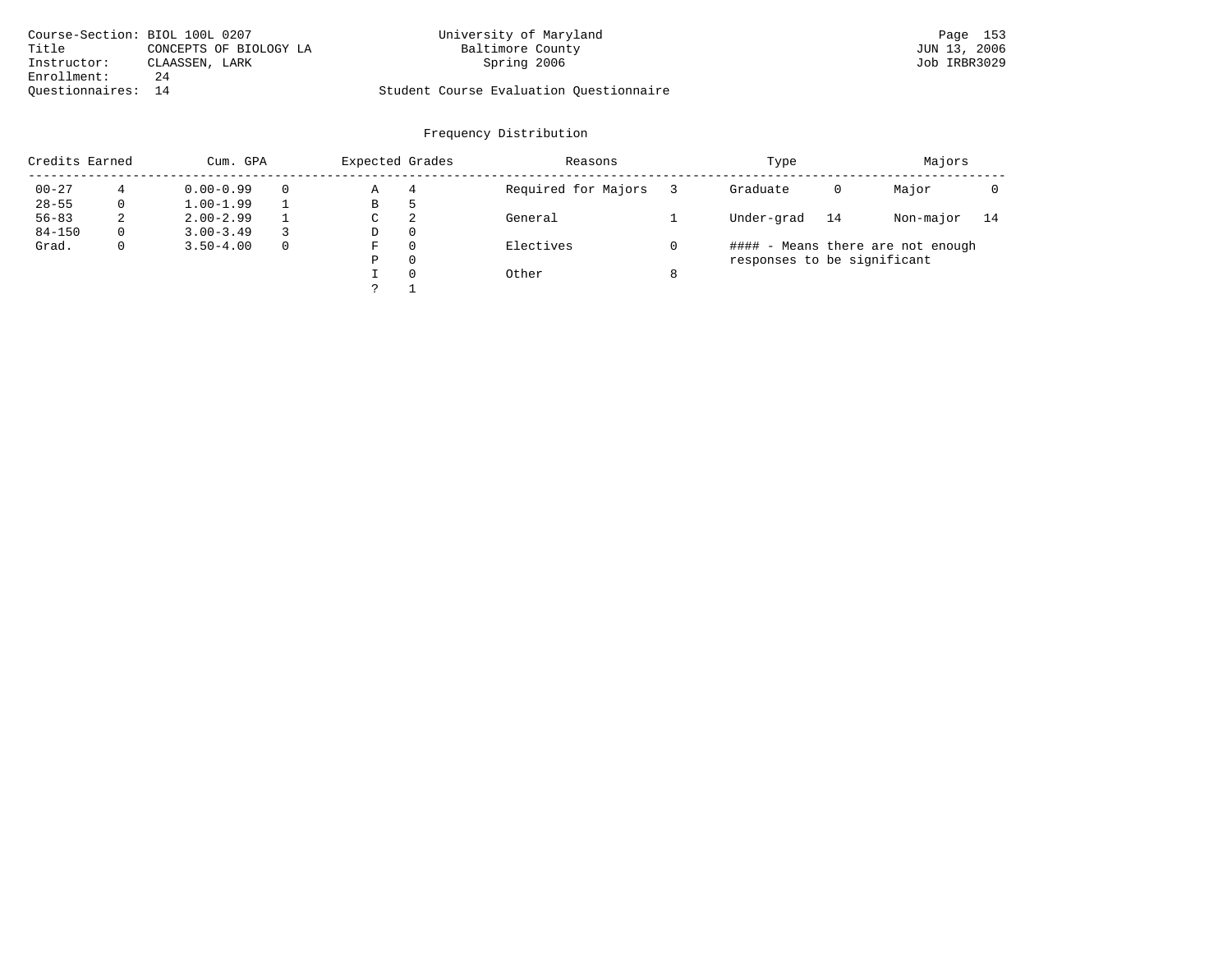|                    | Course-Section: BIOL 100L 0207 | University of Maryland                  | Page 153     |
|--------------------|--------------------------------|-----------------------------------------|--------------|
| Title              | CONCEPTS OF BIOLOGY LA         | Baltimore County                        | JUN 13, 2006 |
| Instructor:        | CLAASSEN, LARK                 | Spring 2006                             | Job IRBR3029 |
| Enrollment:        | 24                             |                                         |              |
| Ouestionnaires: 14 |                                | Student Course Evaluation Questionnaire |              |

| Credits Earned |             | Cum. GPA      |          |   | Expected Grades | Reasons             |   | Type                        | Majors |                                   |    |
|----------------|-------------|---------------|----------|---|-----------------|---------------------|---|-----------------------------|--------|-----------------------------------|----|
| $00 - 27$      |             | $0.00 - 0.99$ |          | Α | 4               | Required for Majors |   | Graduate                    | 0      | Major                             |    |
| $28 - 55$      | 0           | $1.00 - 1.99$ |          | В | כ               |                     |   |                             |        |                                   |    |
| $56 - 83$      | 2           | $2.00 - 2.99$ |          | C | 2               | General             |   | Under-grad                  | 14     | Non-major                         | 14 |
| $84 - 150$     | $\Omega$    | $3.00 - 3.49$ |          | D | $\Omega$        |                     |   |                             |        |                                   |    |
| Grad.          | $\mathbf 0$ | $3.50 - 4.00$ | $\Omega$ | F | $\Omega$        | Electives           |   |                             |        | #### - Means there are not enough |    |
|                |             |               |          | Ρ | $\Omega$        |                     |   | responses to be significant |        |                                   |    |
|                |             |               |          |   | $\Omega$        | Other               | 8 |                             |        |                                   |    |
|                |             |               |          |   |                 |                     |   |                             |        |                                   |    |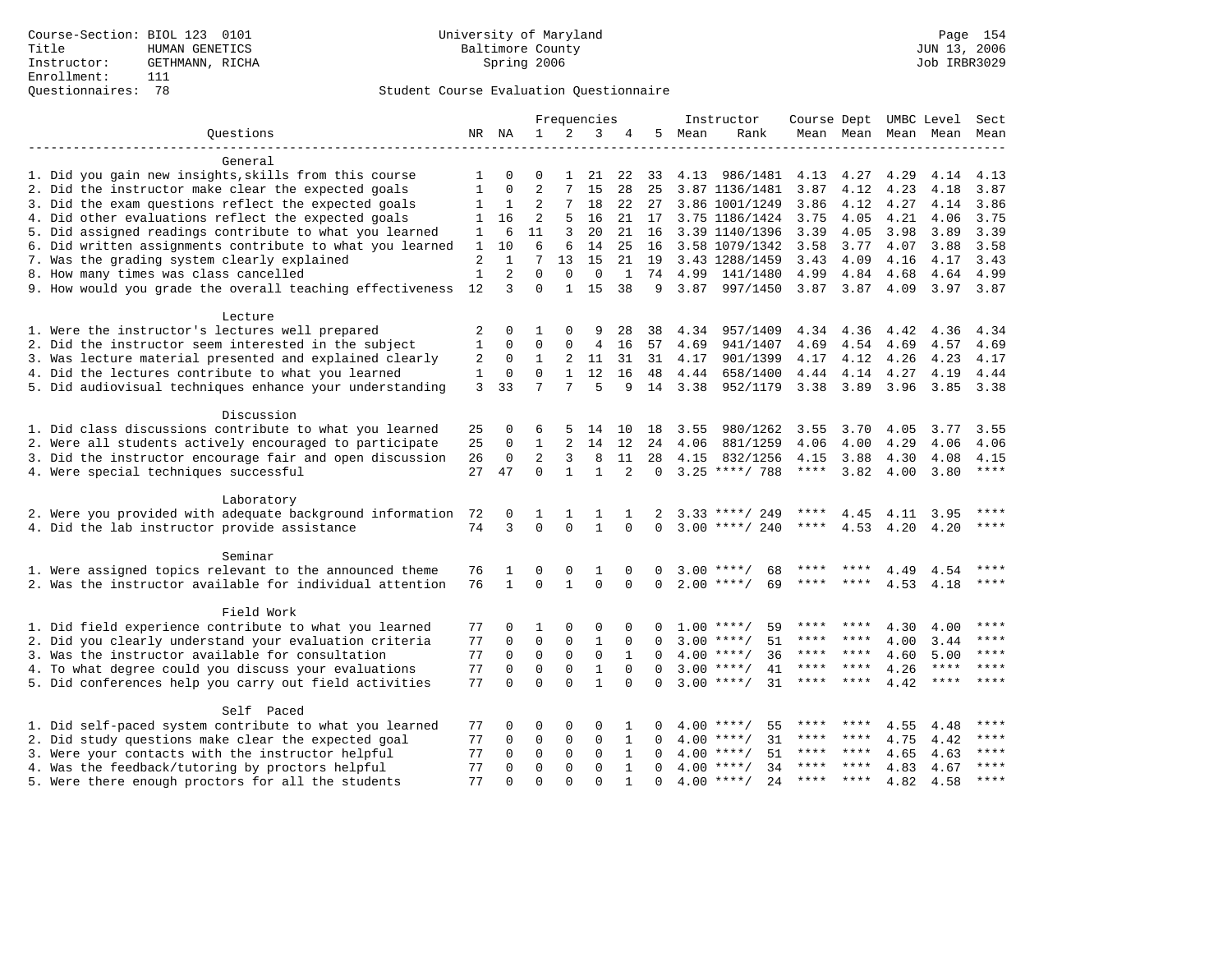### Questionnaires: 78 Student Course Evaluation Questionnaire

|                                                           |              |              |                |              | Frequencies  |              |             |      | Instructor         | Course Dept UMBC Level |                |      |             | Sect  |
|-----------------------------------------------------------|--------------|--------------|----------------|--------------|--------------|--------------|-------------|------|--------------------|------------------------|----------------|------|-------------|-------|
| Ouestions                                                 | NR           | ΝA           | 1              | 2            | 3            | 4            | 5           | Mean | Rank               |                        | Mean Mean      | Mean | Mean        | Mean  |
|                                                           |              |              |                |              |              |              |             |      |                    |                        |                |      |             |       |
| General                                                   |              |              |                |              |              |              |             |      |                    |                        |                |      |             |       |
| 1. Did you gain new insights, skills from this course     | 1            | $\mathbf 0$  | 0              | 1            | 21           | 22           | 33          |      | 4.13 986/1481      | 4.13                   | 4.27           | 4.29 | 4.14        | 4.13  |
| 2. Did the instructor make clear the expected goals       | $\mathbf{1}$ | $\Omega$     | $\overline{2}$ | 7            | 15           | 28           | 25          |      | 3.87 1136/1481     | 3.87                   | 4.12           | 4.23 | 4.18        | 3.87  |
| 3. Did the exam questions reflect the expected goals      | 1            | 1            | 2              | 7            | 18           | 22           | 27          |      | 3.86 1001/1249     | 3.86                   | 4.12           | 4.27 | 4.14        | 3.86  |
| 4. Did other evaluations reflect the expected goals       | 1            | 16           | 2              | 5            | 16           | 21           | 17          |      | 3.75 1186/1424     | 3.75                   | 4.05           | 4.21 | 4.06        | 3.75  |
| 5. Did assigned readings contribute to what you learned   | 1            | 6            | 11             | 3            | 20           | 21           | 16          |      | 3.39 1140/1396     | 3.39                   | 4.05           | 3.98 | 3.89        | 3.39  |
| 6. Did written assignments contribute to what you learned | $\mathbf{1}$ | 10           | 6              | 6            | 14           | 25           | 16          |      | 3.58 1079/1342     | 3.58                   | 3.77           | 4.07 | 3.88        | 3.58  |
| 7. Was the grading system clearly explained               | $\sqrt{2}$   | $\mathbf{1}$ | 7              | 13           | 15           | 21           | 19          |      | 3.43 1288/1459     | 3.43                   | 4.09           | 4.16 | 4.17        | 3.43  |
| 8. How many times was class cancelled                     | $1\,$        | 2            | $\Omega$       | $\Omega$     | $\Omega$     | 1            | 74          | 4.99 | 141/1480           | 4.99                   | 4.84           | 4.68 | 4.64        | 4.99  |
| 9. How would you grade the overall teaching effectiveness | 12           | 3            | $\Omega$       | $\mathbf{1}$ | 15           | 38           | 9           |      | 3.87 997/1450      |                        | 3.87 3.87 4.09 |      | 3.97 3.87   |       |
| Lecture                                                   |              |              |                |              |              |              |             |      |                    |                        |                |      |             |       |
| 1. Were the instructor's lectures well prepared           | 2            | $\Omega$     |                | $\Omega$     | 9            | 28           | 38          | 4.34 | 957/1409           | 4.34                   | 4.36           | 4.42 | 4.36        | 4.34  |
| 2. Did the instructor seem interested in the subject      | $\mathbf{1}$ | $\mathbf 0$  | 0              | $\mathbf 0$  | 4            | 16           | 57          | 4.69 | 941/1407           | 4.69                   | 4.54           | 4.69 | 4.57        | 4.69  |
| 3. Was lecture material presented and explained clearly   | 2            | $\mathbf 0$  | 1              | 2            | 11           | 31           | 31          | 4.17 | 901/1399           |                        | 4.17 4.12      | 4.26 | 4.23        | 4.17  |
| 4. Did the lectures contribute to what you learned        | $\mathbf{1}$ | $\mathbf 0$  | $\Omega$       | $\mathbf{1}$ | 12           | 16           | 48          | 4.44 | 658/1400           | 4.44                   | 4.14           | 4.27 | 4.19        | 4.44  |
| 5. Did audiovisual techniques enhance your understanding  | 3            | 33           | 7              | 7            | 5            | 9            | 14          | 3.38 | 952/1179           | 3.38                   | 3.89           | 3.96 | 3.85        | 3.38  |
|                                                           |              |              |                |              |              |              |             |      |                    |                        |                |      |             |       |
| Discussion                                                |              |              |                |              |              |              |             |      |                    |                        |                |      |             |       |
| 1. Did class discussions contribute to what you learned   | 25           | 0            | 6              | 5            | 14           | 10           | 18          | 3.55 | 980/1262           | 3.55                   | 3.70           | 4.05 | 3.77        | 3.55  |
| 2. Were all students actively encouraged to participate   | 25           | $\mathbf 0$  | $\mathbf{1}$   | 2            | 14           | 12           | 24          | 4.06 | 881/1259           | 4.06                   | 4.00           | 4.29 | 4.06        | 4.06  |
| 3. Did the instructor encourage fair and open discussion  | 26           | $\Omega$     | 2              | 3            | 8            | 11           | 28          | 4.15 | 832/1256           | 4.15                   | 3.88           | 4.30 | 4.08        | 4.15  |
| 4. Were special techniques successful                     | 27           | 47           | $\Omega$       | $\mathbf{1}$ | $\mathbf{1}$ | 2            | $\mathbf 0$ |      | $3.25$ ****/ 788   | $***$ * * *            | 3.82           | 4.00 | 3.80        | $***$ |
| Laboratory                                                |              |              |                |              |              |              |             |      |                    |                        |                |      |             |       |
| 2. Were you provided with adequate background information | 72           |              |                |              |              |              |             |      | $3.33$ ****/ 249   |                        | 4.45           | 4.11 | 3.95        | ****  |
| 4. Did the lab instructor provide assistance              | 74           | 3            | $\Omega$       | $\Omega$     | $\mathbf{1}$ | $\Omega$     | 0           |      | $3.00$ ****/ 240   | ****                   | 4.53           | 4.20 | 4.20        | $***$ |
|                                                           |              |              |                |              |              |              |             |      |                    |                        |                |      |             |       |
| Seminar                                                   |              |              |                |              |              |              |             |      |                    |                        |                |      |             |       |
| 1. Were assigned topics relevant to the announced theme   | 76           | 1            | $\Omega$       | 0            |              |              |             |      | $3.00$ ****/<br>68 |                        |                | 4.49 | 4.54        | ****  |
| 2. Was the instructor available for individual attention  | 76           | $\mathbf{1}$ | $\mathbf 0$    | $\mathbf{1}$ | $\mathbf{0}$ | 0            | 0           |      | $2.00$ ****/<br>69 |                        |                | 4.53 | 4.18        | $***$ |
| Field Work                                                |              |              |                |              |              |              |             |      |                    |                        |                |      |             |       |
| 1. Did field experience contribute to what you learned    | 77           | 0            | 1              | 0            | $\Omega$     | $\Omega$     |             |      | $1.00$ ****/<br>59 |                        |                | 4.30 | 4.00        | ****  |
| 2. Did you clearly understand your evaluation criteria    | 77           | $\Omega$     | $\Omega$       | $\Omega$     | $\mathbf{1}$ | $\Omega$     |             |      | $3.00$ ****/<br>51 | ****                   | ****           | 4.00 | 3.44        | $***$ |
| 3. Was the instructor available for consultation          | 77           | $\Omega$     | $\mathbf 0$    | $\mathbf 0$  | $\mathbf 0$  | $\mathbf{1}$ |             |      | $4.00$ ****/<br>36 | ****                   | ****           | 4.60 | 5.00        | ****  |
| 4. To what degree could you discuss your evaluations      | 77           | $\Omega$     | $\mathbf 0$    | $\mathbf{0}$ | $\mathbf{1}$ | $\Omega$     | $\Omega$    |      | $3.00$ ****/<br>41 | ****                   | ****           | 4.26 | $***$ * * * | ****  |
| 5. Did conferences help you carry out field activities    |              | $\Omega$     | $\Omega$       | $\Omega$     | $\mathbf{1}$ | $\Omega$     | $\Omega$    |      | $3.00$ ****/<br>31 | $***$ * *              | ****           | 4.42 | $***$ * * * | ****  |
| Self Paced                                                |              |              |                |              |              |              |             |      |                    |                        |                |      |             |       |
| 1. Did self-paced system contribute to what you learned   | 77           | $\mathbf 0$  | 0              | 0            | $\Omega$     | 1            | 0           | 4.00 | $***$ /<br>55      |                        |                | 4.55 | 4.48        |       |
| 2. Did study questions make clear the expected goal       |              | $\mathbf 0$  | $\mathbf 0$    | $\mathbf 0$  | $\mathbf 0$  | $\mathbf{1}$ | $\Omega$    | 4.00 | $***/$<br>31       | ****                   | ****           | 4.75 | 4.42        | ****  |
| 3. Were your contacts with the instructor helpful         | 77<br>77     | $\Omega$     | $\Omega$       | $\Omega$     | $\Omega$     | $\mathbf{1}$ | $\Omega$    | 4.00 | 51<br>$***$ /      | ****                   | ****           | 4.65 | 4.63        | ****  |
| 4. Was the feedback/tutoring by proctors helpful          | 77           | $\Omega$     | $\Omega$       | $\Omega$     | $\Omega$     | $\mathbf{1}$ |             |      | $4.00$ ****/<br>34 | ****                   | $***$ *        | 4.83 | 4.67        | $***$ |
| 5. Were there enough proctors for all the students        | 77           | $\Omega$     | $\Omega$       | $\Omega$     | $\Omega$     | $\mathbf{1}$ |             |      | 24<br>$4.00$ ****/ | $***$ * * *            | ****           | 4.82 | 4.58        | $***$ |
|                                                           |              |              |                |              |              |              |             |      |                    |                        |                |      |             |       |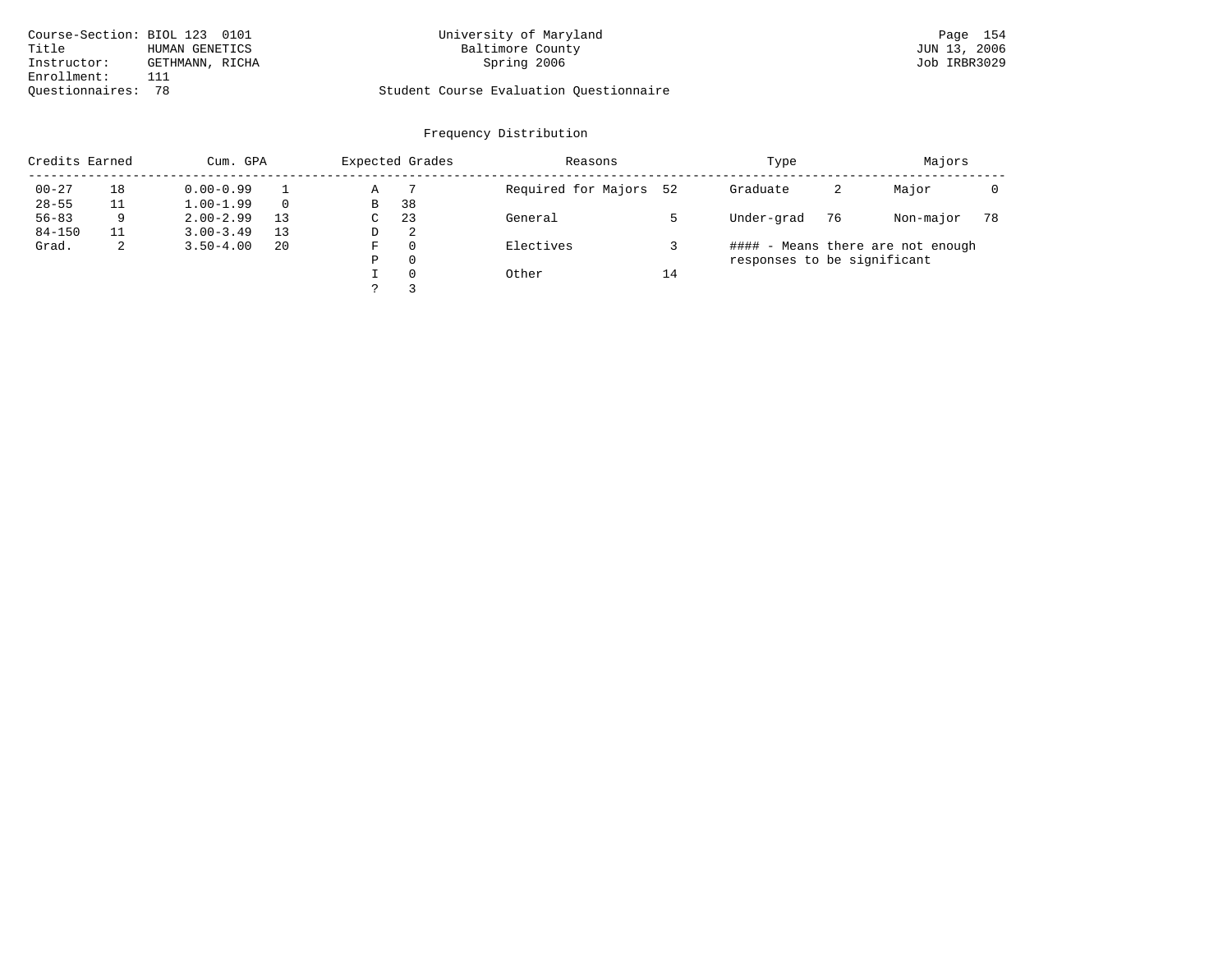| Course-Section: BIOL 123 0101 |                 | University of Maryland                  | Page 154     |
|-------------------------------|-----------------|-----------------------------------------|--------------|
| Title                         | HUMAN GENETICS  | Baltimore County                        | JUN 13, 2006 |
| Instructor:                   | GETHMANN, RICHA | Spring 2006                             | Job IRBR3029 |
| Enrollment:                   |                 |                                         |              |
| Ouestionnaires:               |                 | Student Course Evaluation Ouestionnaire |              |

# University of Maryland Baltimore County (Base 154 of Maryland Page 154 of Maryland Page 154 of Maryland Page 154 of Maryland Page 154 of Maryland Page 154 of Maryland Page 154 of Maryland Page 154 of Maryland Page 154 of M

# Questionnaires: 78 Student Course Evaluation Questionnaire

| Credits Earned |    | Cum. GPA      |          |   | Expected Grades | Reasons             |    | Type                        | Majors |                                   |    |
|----------------|----|---------------|----------|---|-----------------|---------------------|----|-----------------------------|--------|-----------------------------------|----|
| $00 - 27$      | 18 | $0.00 - 0.99$ |          | Α |                 | Required for Majors | 52 | Graduate                    | 2      | Major                             |    |
| $28 - 55$      |    | $1.00 - 1.99$ | $\Omega$ | B | 38              |                     |    |                             |        |                                   |    |
| $56 - 83$      | 9  | $2.00 - 2.99$ | 13       | C | 23              | General             |    | Under-grad                  | 76     | Non-major                         | 78 |
| $84 - 150$     |    | $3.00 - 3.49$ | 13       | D | - 2             |                     |    |                             |        |                                   |    |
| Grad.          | 2  | $3.50 - 4.00$ | 20       | F | $\Omega$        | Electives           |    |                             |        | #### - Means there are not enough |    |
|                |    |               |          | Ρ | 0               |                     |    | responses to be significant |        |                                   |    |
|                |    |               |          |   | $\Omega$        | Other               | 14 |                             |        |                                   |    |
|                |    |               |          |   |                 |                     |    |                             |        |                                   |    |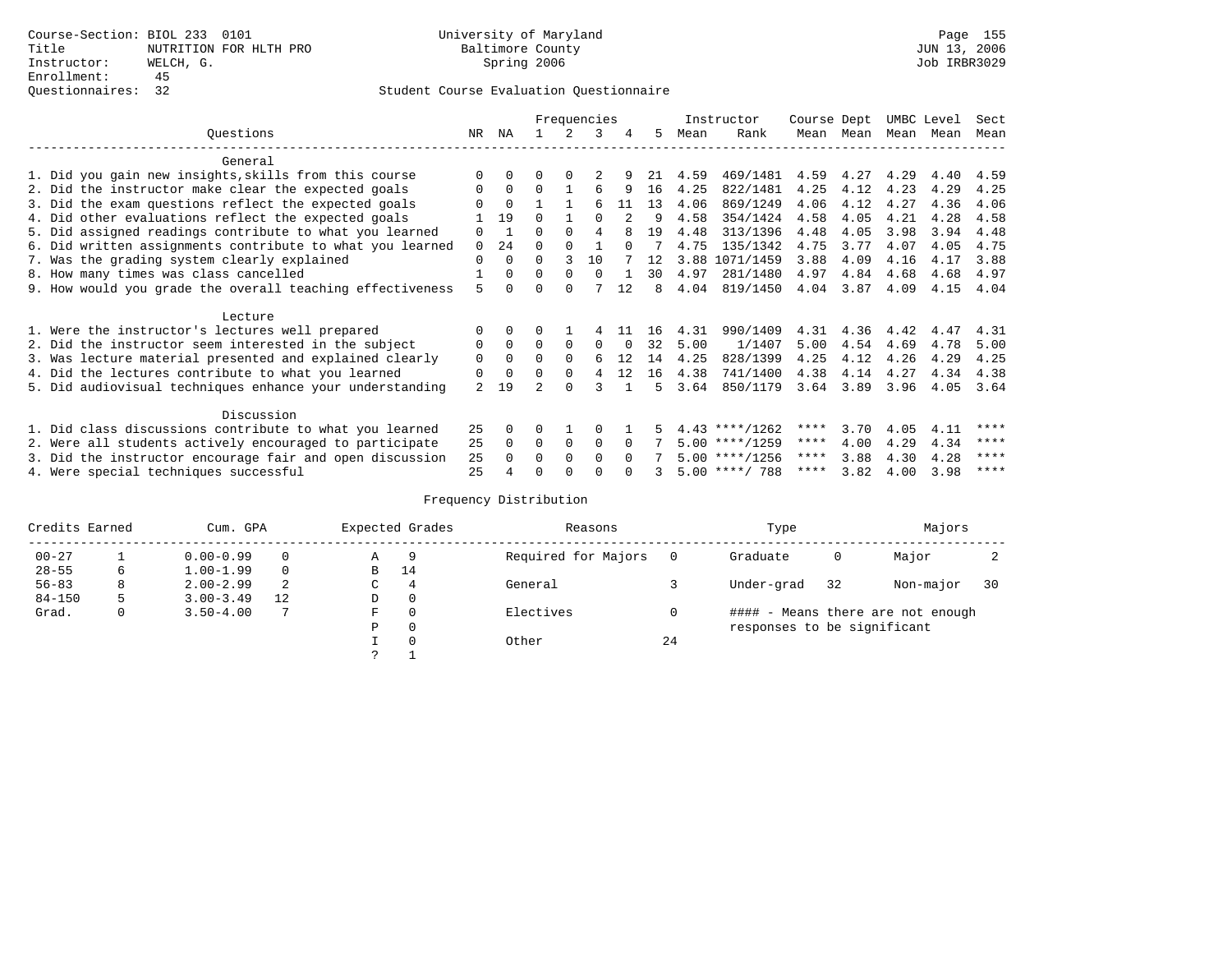|                                                           |     |                |          |             | Frequencies  |          |    |      | Instructor       | Course Dept |      | UMBC Level |      | Sect |
|-----------------------------------------------------------|-----|----------------|----------|-------------|--------------|----------|----|------|------------------|-------------|------|------------|------|------|
| Questions                                                 | NR. | ΝA             |          |             | 3            | 4        | 5  | Mean | Rank             | Mean        | Mean | Mean       | Mean | Mean |
| General                                                   |     |                |          |             |              |          |    |      |                  |             |      |            |      |      |
| 1. Did you gain new insights, skills from this course     |     | $\Omega$       | U        | $\Omega$    |              |          | 21 | 4.59 | 469/1481         | 4.59        | 4.27 | 4.29       | 4.40 | 4.59 |
| 2. Did the instructor make clear the expected goals       | 0   | $\Omega$       | $\Omega$ |             |              | 9        | 16 | 4.25 | 822/1481         | 4.25        | 4.12 | 4.23       | 4.29 | 4.25 |
| 3. Did the exam questions reflect the expected goals      |     | $\Omega$       |          |             | 6            | 11       | 13 | 4.06 | 869/1249         | 4.06        | 4.12 | 4.27       | 4.36 | 4.06 |
| 4. Did other evaluations reflect the expected goals       |     | 19             | $\Omega$ |             | $\Omega$     |          | 9  | 4.58 | 354/1424         | 4.58        | 4.05 | 4.21       | 4.28 | 4.58 |
| 5. Did assigned readings contribute to what you learned   | 0   | $\overline{1}$ | 0        | $\Omega$    |              |          | 19 | 4.48 | 313/1396         | 4.48        | 4.05 | 3.98       | 3.94 | 4.48 |
| 6. Did written assignments contribute to what you learned | 0   | 24             | U        |             |              | $\cap$   |    | 4.75 | 135/1342         | 4.75        | 3.77 | 4.07       | 4.05 | 4.75 |
| 7. Was the grading system clearly explained               | 0   | $\Omega$       | 0        | 3           | 10           |          | 12 | 3.88 | 1071/1459        | 3.88        | 4.09 | 4.16       | 4.17 | 3.88 |
| 8. How many times was class cancelled                     |     | $\Omega$       | $\Omega$ | $\Omega$    | <sup>n</sup> |          | 30 | 4.97 | 281/1480         | 4.97        | 4.84 | 4.68       | 4.68 | 4.97 |
| 9. How would you grade the overall teaching effectiveness | 5   |                |          | U           |              | 12       | 8  | 4.04 | 819/1450         | 4.04        | 3.87 | 4.09       | 4.15 | 4.04 |
|                                                           |     |                |          |             |              |          |    |      |                  |             |      |            |      |      |
| Lecture                                                   |     |                |          |             |              |          |    |      |                  |             |      |            |      |      |
| 1. Were the instructor's lectures well prepared           |     |                |          |             |              |          | 16 | 4.31 | 990/1409         | 4.31        | 4.36 | 4.42       | 4.47 | 4.31 |
| 2. Did the instructor seem interested in the subject      | 0   | $\Omega$       | $\Omega$ | $\Omega$    | $\Omega$     | $\Omega$ | 32 | 5.00 | 1/1407           | 5.00        | 4.54 | 4.69       | 4.78 | 5.00 |
| 3. Was lecture material presented and explained clearly   | 0   | $\Omega$       | 0        | $\Omega$    | 6            | 12       | 14 | 4.25 | 828/1399         | 4.25        | 4.12 | 4.26       | 4.29 | 4.25 |
| 4. Did the lectures contribute to what you learned        | 0   | $\mathbf 0$    |          | $\Omega$    | 4            | 12       | 16 | 4.38 | 741/1400         | 4.38        | 4.14 | 4.27       | 4.34 | 4.38 |
| 5. Did audiovisual techniques enhance your understanding  | 2   | 19             |          | $\cap$      |              |          | 5  | 3.64 | 850/1179         | 3.64        | 3.89 | 3.96       | 4.05 | 3.64 |
|                                                           |     |                |          |             |              |          |    |      |                  |             |      |            |      |      |
| Discussion                                                |     |                |          |             |              |          |    |      |                  |             |      |            |      |      |
| 1. Did class discussions contribute to what you learned   | 25  | $\Omega$       | 0        |             | O            |          |    |      | $4.43$ ****/1262 | ****        | 3.70 | 4.05       | 4.11 | **** |
| 2. Were all students actively encouraged to participate   | 25  | $\Omega$       | $\Omega$ | $\mathbf 0$ | $\Omega$     |          |    |      | $5.00$ ****/1259 | $***$ * *   | 4.00 | 4.29       | 4.34 | **** |
| 3. Did the instructor encourage fair and open discussion  | 25  |                | 0        | $\Omega$    | <sup>0</sup> |          |    |      | $5.00$ ****/1256 | ****        | 3.88 | 4.30       | 4.28 | **** |
| 4. Were special techniques successful                     | 25  |                |          |             |              |          |    |      | $5.00$ ****/ 788 | ****        | 3.82 | 4.00       | 3.98 | **** |

| Credits Earned |   | Cum. GPA      |    |   | Expected Grades | Reasons             |    | Type                        |    | Majors                            |    |
|----------------|---|---------------|----|---|-----------------|---------------------|----|-----------------------------|----|-----------------------------------|----|
| $00 - 27$      |   | $0.00 - 0.99$ |    | Α | 9               | Required for Majors |    | Graduate                    | 0  | Major                             |    |
| $28 - 55$      | 6 | $1.00 - 1.99$ |    | B | 14              |                     |    |                             |    |                                   |    |
| $56 - 83$      | 8 | $2.00 - 2.99$ | 2  | C | 4               | General             |    | Under-grad                  | 32 | Non-major                         | 30 |
| $84 - 150$     | 5 | $3.00 - 3.49$ | 12 | D | 0               |                     |    |                             |    |                                   |    |
| Grad.          | 0 | $3.50 - 4.00$ |    | F | 0               | Electives           |    |                             |    | #### - Means there are not enough |    |
|                |   |               |    | Ρ | 0               |                     |    | responses to be significant |    |                                   |    |
|                |   |               |    |   | $\Omega$        | Other               | 24 |                             |    |                                   |    |
|                |   |               |    | っ |                 |                     |    |                             |    |                                   |    |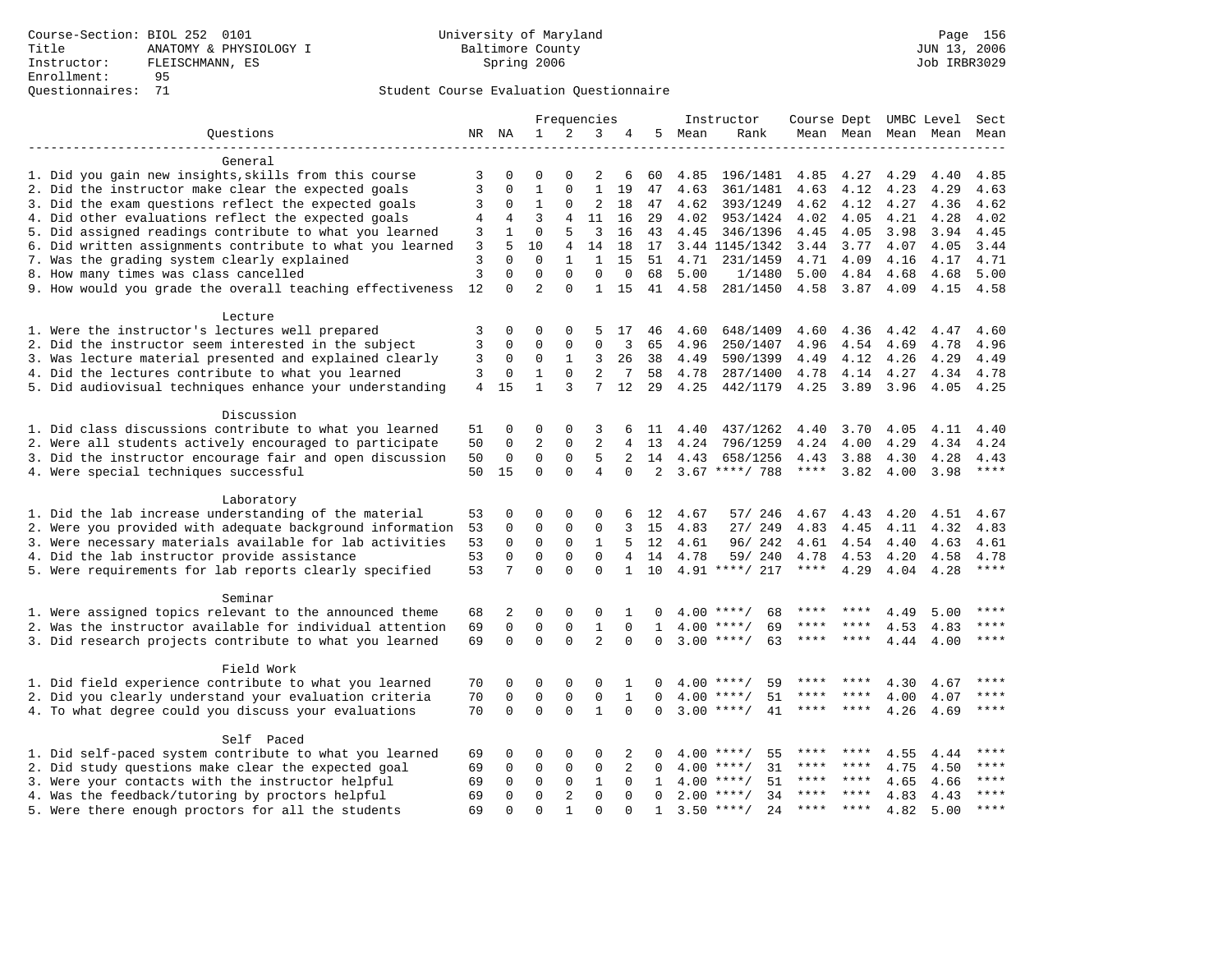|                                                           |          |             |                |              | Frequencies    |              |                |      | Instructor         | Course Dept UMBC Level |         |      |                          | Sect  |
|-----------------------------------------------------------|----------|-------------|----------------|--------------|----------------|--------------|----------------|------|--------------------|------------------------|---------|------|--------------------------|-------|
| Ouestions                                                 |          | NR NA       | 1              | 2            | 3              | 4            | 5              | Mean | Rank               |                        |         |      | Mean Mean Mean Mean Mean |       |
|                                                           |          |             |                |              |                |              |                |      |                    |                        |         |      |                          |       |
| General                                                   |          |             |                |              |                |              |                |      |                    |                        |         |      |                          |       |
| 1. Did you gain new insights, skills from this course     | 3        | $\Omega$    | $\mathbf 0$    | $\mathbf 0$  | 2              | 6            | 60             | 4.85 | 196/1481           | 4.85                   | 4.27    | 4.29 | 4.40                     | 4.85  |
| 2. Did the instructor make clear the expected goals       | 3        | $\mathbf 0$ | $1\,$          | 0            | $\mathbf 1$    | 19           | 47             | 4.63 | 361/1481           | 4.63                   | 4.12    | 4.23 | 4.29                     | 4.63  |
| 3. Did the exam questions reflect the expected goals      | 3        | 0           | 1              | $\mathbf 0$  | 2              | 18           | 47             | 4.62 | 393/1249           | 4.62                   | 4.12    | 4.27 | 4.36                     | 4.62  |
| 4. Did other evaluations reflect the expected goals       | 4        | 4           | 3              | 4            | 11             | 16           | 29             | 4.02 | 953/1424           | 4.02                   | 4.05    | 4.21 | 4.28                     | 4.02  |
| 5. Did assigned readings contribute to what you learned   | 3        | 1           | $\mathbf{0}$   | 5            | 3              | 16           | 43             | 4.45 | 346/1396           | 4.45                   | 4.05    | 3.98 | 3.94                     | 4.45  |
| 6. Did written assignments contribute to what you learned | 3        | 5           | 10             | 4            | 14             | 18           | 17             |      | 3.44 1145/1342     | 3.44                   | 3.77    | 4.07 | 4.05                     | 3.44  |
| 7. Was the grading system clearly explained               | 3        | $\Omega$    | $\Omega$       | $\mathbf{1}$ | $\mathbf{1}$   | 15           | 51             | 4.71 | 231/1459           | 4.71                   | 4.09    | 4.16 | 4.17                     | 4.71  |
| 8. How many times was class cancelled                     | 3        | 0           | $\mathbf{0}$   | 0            | 0              | $\mathbf 0$  | 68             | 5.00 | 1/1480             | 5.00                   | 4.84    | 4.68 | 4.68                     | 5.00  |
| 9. How would you grade the overall teaching effectiveness | 12       | 0           | $\overline{2}$ | $\Omega$     | 1              | 15           | 41             | 4.58 | 281/1450           | 4.58                   | 3.87    | 4.09 | 4.15                     | 4.58  |
| Lecture                                                   |          |             |                |              |                |              |                |      |                    |                        |         |      |                          |       |
| 1. Were the instructor's lectures well prepared           | 3        | 0           | $\mathbf 0$    | $\Omega$     | 5              | 17           | 46             | 4.60 | 648/1409           | 4.60                   | 4.36    | 4.42 | 4.47                     | 4.60  |
| 2. Did the instructor seem interested in the subject      | 3        | $\mathbf 0$ | $\mathbf 0$    | $\mathsf 0$  | $\mathsf 0$    | 3            | 65             | 4.96 | 250/1407           | 4.96                   | 4.54    | 4.69 | 4.78                     | 4.96  |
| 3. Was lecture material presented and explained clearly   | 3        | 0           | 0              | 1            | 3              | 26           | 38             | 4.49 | 590/1399           | 4.49                   | 4.12    | 4.26 | 4.29                     | 4.49  |
| 4. Did the lectures contribute to what you learned        | 3        | 0           | $\mathbf 1$    | $\mathbf 0$  | 2              | 7            | 58             | 4.78 | 287/1400           | 4.78                   | 4.14    | 4.27 | 4.34                     | 4.78  |
| 5. Did audiovisual techniques enhance your understanding  | 4        | 15          | $\mathbf{1}$   | 3            | 7              | 12           | 29             | 4.25 | 442/1179           | 4.25                   | 3.89    | 3.96 | 4.05                     | 4.25  |
|                                                           |          |             |                |              |                |              |                |      |                    |                        |         |      |                          |       |
| Discussion                                                |          |             |                |              |                |              |                |      |                    |                        |         |      |                          |       |
| 1. Did class discussions contribute to what you learned   | 51       | 0           | 0              | $\mathbf 0$  | 3              | 6            | 11             | 4.40 | 437/1262           | 4.40                   | 3.70    | 4.05 | 4.11                     | 4.40  |
| 2. Were all students actively encouraged to participate   | 50       | $\mathbf 0$ | $\overline{2}$ | $\mathbf 0$  | 2              | 4            | 13             | 4.24 | 796/1259           | 4.24                   | 4.00    | 4.29 | 4.34                     | 4.24  |
| 3. Did the instructor encourage fair and open discussion  | 50       | 0           | $\mathbf 0$    | $\mathbf 0$  | 5              | 2            | 14             | 4.43 | 658/1256           | 4.43                   | 3.88    | 4.30 | 4.28                     | 4.43  |
| 4. Were special techniques successful                     | 50       | 15          | $\Omega$       | $\Omega$     | $\overline{4}$ | $\Omega$     | $\overline{a}$ |      | $3.67$ ****/ 788   | $***$ * * *            | 3.82    | 4.00 | 3.98                     | $***$ |
|                                                           |          |             |                |              |                |              |                |      |                    |                        |         |      |                          |       |
| Laboratory                                                |          |             |                |              |                |              |                |      |                    |                        |         |      |                          |       |
| 1. Did the lab increase understanding of the material     | 53       | 0           | 0              | 0            | 0              | 6            | 12             | 4.67 | 57/ 246            | 4.67                   | 4.43    | 4.20 | 4.51                     | 4.67  |
| 2. Were you provided with adequate background information | 53       | 0           | $\mathbf 0$    | $\mathbf 0$  | 0              |              | 15             | 4.83 | 27/ 249            | 4.83                   | 4.45    | 4.11 | 4.32                     | 4.83  |
| 3. Were necessary materials available for lab activities  | 53       | 0           | $\mathbf{0}$   | $\mathbf 0$  | 1              | 5            | 12             | 4.61 | 96/242             | 4.61                   | 4.54    | 4.40 | 4.63                     | 4.61  |
| 4. Did the lab instructor provide assistance              | 53       | $\Omega$    | $\mathbf 0$    | $\mathbf 0$  | $\mathbf{0}$   | 4            | 14             | 4.78 | 59/ 240            | 4.78                   | 4.53    | 4.20 | 4.58                     | 4.78  |
| 5. Were requirements for lab reports clearly specified    | 53       | 7           | $\Omega$       | $\Omega$     | $\Omega$       | $\mathbf{1}$ | 10             |      | 4.91 ****/ 217     | $***$ * * *            | 4.29    | 4.04 | 4.28                     | $***$ |
|                                                           |          |             |                |              |                |              |                |      |                    |                        |         |      |                          |       |
| Seminar                                                   |          |             |                |              |                |              |                |      | $***$ /            |                        |         |      |                          | $***$ |
| 1. Were assigned topics relevant to the announced theme   | 68       | 2           | $\mathbf 0$    | $\mathbf 0$  | 0              | 1            |                | 4.00 | 68                 | ****                   |         | 4.49 | 5.00                     | ****  |
| 2. Was the instructor available for individual attention  | 69       | $\mathbf 0$ | $\mathbf{0}$   | $\mathbf 0$  | $\mathbf{1}$   | $\mathbf 0$  | 1              |      | $4.00$ ****/<br>69 |                        |         | 4.53 | 4.83                     |       |
| 3. Did research projects contribute to what you learned   | 69       | $\Omega$    | $\Omega$       | $\Omega$     | $\overline{a}$ | $\Omega$     | $\Omega$       |      | 63<br>$3.00$ ****/ | ****                   | $***$ * | 4.44 | 4.00                     | $***$ |
| Field Work                                                |          |             |                |              |                |              |                |      |                    |                        |         |      |                          |       |
| 1. Did field experience contribute to what you learned    | 70       | 0           | 0              | 0            | 0              | 1            | 0              | 4.00 | $***$ /<br>59      | ****                   |         | 4.30 | 4.67                     | ****  |
| 2. Did you clearly understand your evaluation criteria    | 70       | $\mathbf 0$ | $\mathbf 0$    | $\mathbf 0$  | $\mathsf 0$    | $\mathbf{1}$ | $\Omega$       | 4.00 | $***$ /<br>51      | ****                   | ****    | 4.00 | 4.07                     | ****  |
| 4. To what degree could you discuss your evaluations      |          | $\Omega$    | $\mathbf{0}$   | $\Omega$     | $\mathbf{1}$   | $\Omega$     | $\Omega$       |      | $3.00$ ****/<br>41 | ****                   | $***$ * | 4.26 | 4.69                     | ****  |
| Self Paced                                                |          |             |                |              |                |              |                |      |                    |                        |         |      |                          |       |
| 1. Did self-paced system contribute to what you learned   | 69       | 0           | 0              | $\mathbf 0$  | 0              | 2            | 0              |      | 55<br>$4.00$ ****/ | ****                   |         | 4.55 | 4.44                     | ****  |
| 2. Did study questions make clear the expected goal       | 69       | 0           | $\mathbf 0$    | $\mathbf 0$  | $\mathsf 0$    | 2            | 0              | 4.00 | 31<br>$***$ /      | ****                   | ****    | 4.75 | 4.50                     | ****  |
| 3. Were your contacts with the instructor helpful         | 69       | 0           | $\mathbf 0$    | 0            | 1              | 0            | 1              | 4.00 | 51<br>$***$ /      | ****                   | $***$ * | 4.65 | 4.66                     | ****  |
| 4. Was the feedback/tutoring by proctors helpful          |          | $\Omega$    | $\mathbf{0}$   | 2            | $\mathbf{0}$   | $\Omega$     | $\Omega$       | 2.00 | $***$ /<br>34      | ****                   | $***$ * | 4.83 | 4.43                     | ****  |
| 5. Were there enough proctors for all the students        | 69<br>69 | $\Omega$    | $\Omega$       | $\mathbf{1}$ | $\Omega$       | $\Omega$     | $\mathbf{1}$   | 3.50 | $* * * * /$<br>2.4 | $***$ * * *            | $***$ * | 4.82 | 5.00                     | ****  |
|                                                           |          |             |                |              |                |              |                |      |                    |                        |         |      |                          |       |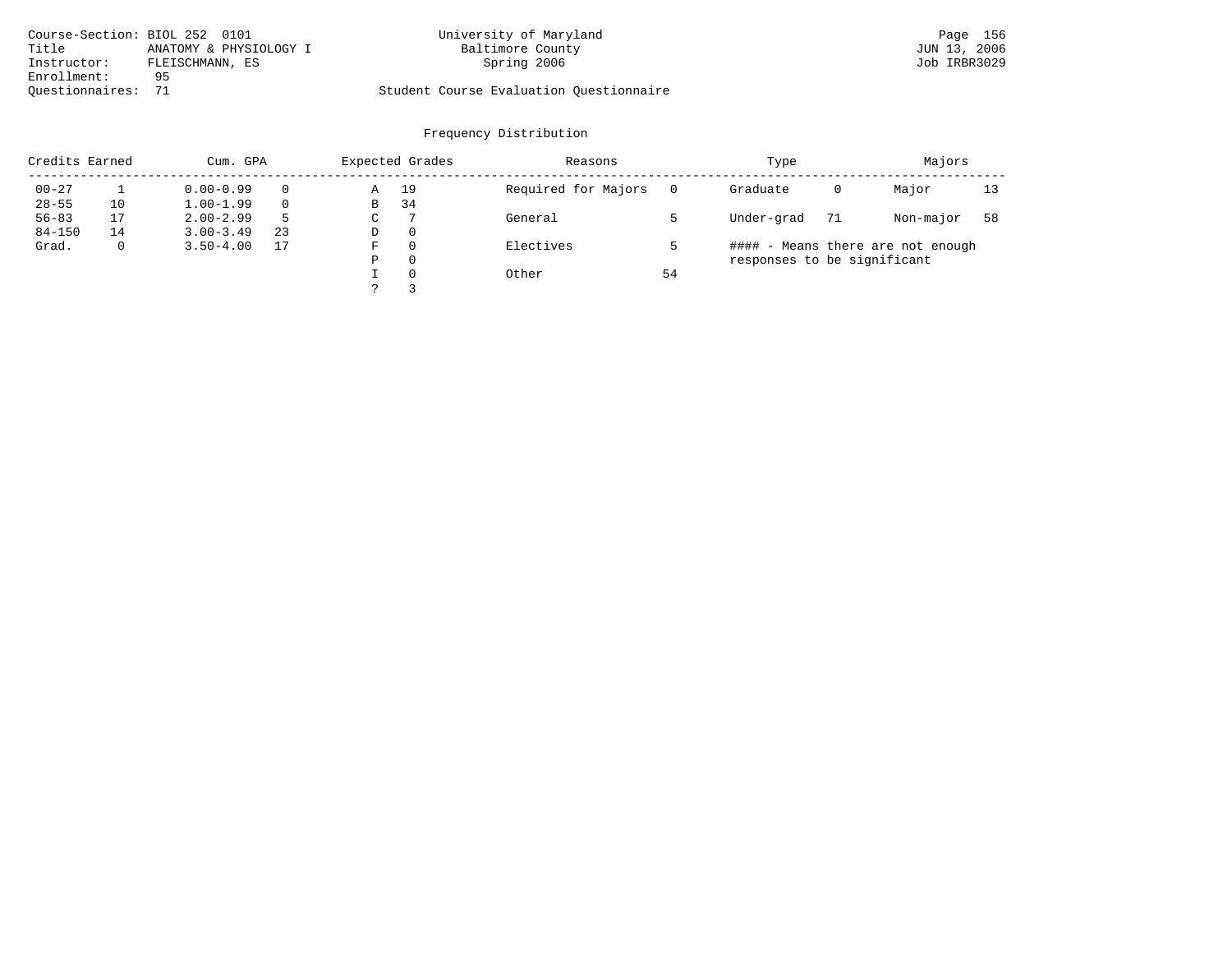| Course-Section: BIOL 252 0101 |                        | University of Maryland                  | Page 156     |
|-------------------------------|------------------------|-----------------------------------------|--------------|
| Title                         | ANATOMY & PHYSIOLOGY I | Baltimore County                        | JUN 13, 2006 |
| Instructor:                   | FLEISCHMANN, ES        | Spring 2006                             | Job IRBR3029 |
| Enrollment:                   | 95                     |                                         |              |
| Ouestionnaires: 71            |                        | Student Course Evaluation Ouestionnaire |              |

| Credits Earned |    | Cum. GPA      |    |             | Expected Grades | Reasons             |    | Type                        |    | Majors                            |    |
|----------------|----|---------------|----|-------------|-----------------|---------------------|----|-----------------------------|----|-----------------------------------|----|
| $00 - 27$      |    | $0.00 - 0.99$ |    | Α           | 19              | Required for Majors |    | Graduate                    | 0  | Major                             | 13 |
| $28 - 55$      | 10 | $1.00 - 1.99$ |    | B           | 34              |                     |    |                             |    |                                   |    |
| $56 - 83$      | 17 | $2.00 - 2.99$ | .5 | $\sim$<br>◡ |                 | General             |    | Under-grad                  | 71 | Non-major                         | 58 |
| $84 - 150$     | 14 | $3.00 - 3.49$ | 23 | D           | 0               |                     |    |                             |    |                                   |    |
| Grad.          | 0  | $3.50 - 4.00$ | 17 | F           | 0               | Electives           |    |                             |    | #### - Means there are not enough |    |
|                |    |               |    | Ρ           | 0               |                     |    | responses to be significant |    |                                   |    |
|                |    |               |    |             | $\Omega$        | Other               | 54 |                             |    |                                   |    |
|                |    |               |    | っ           |                 |                     |    |                             |    |                                   |    |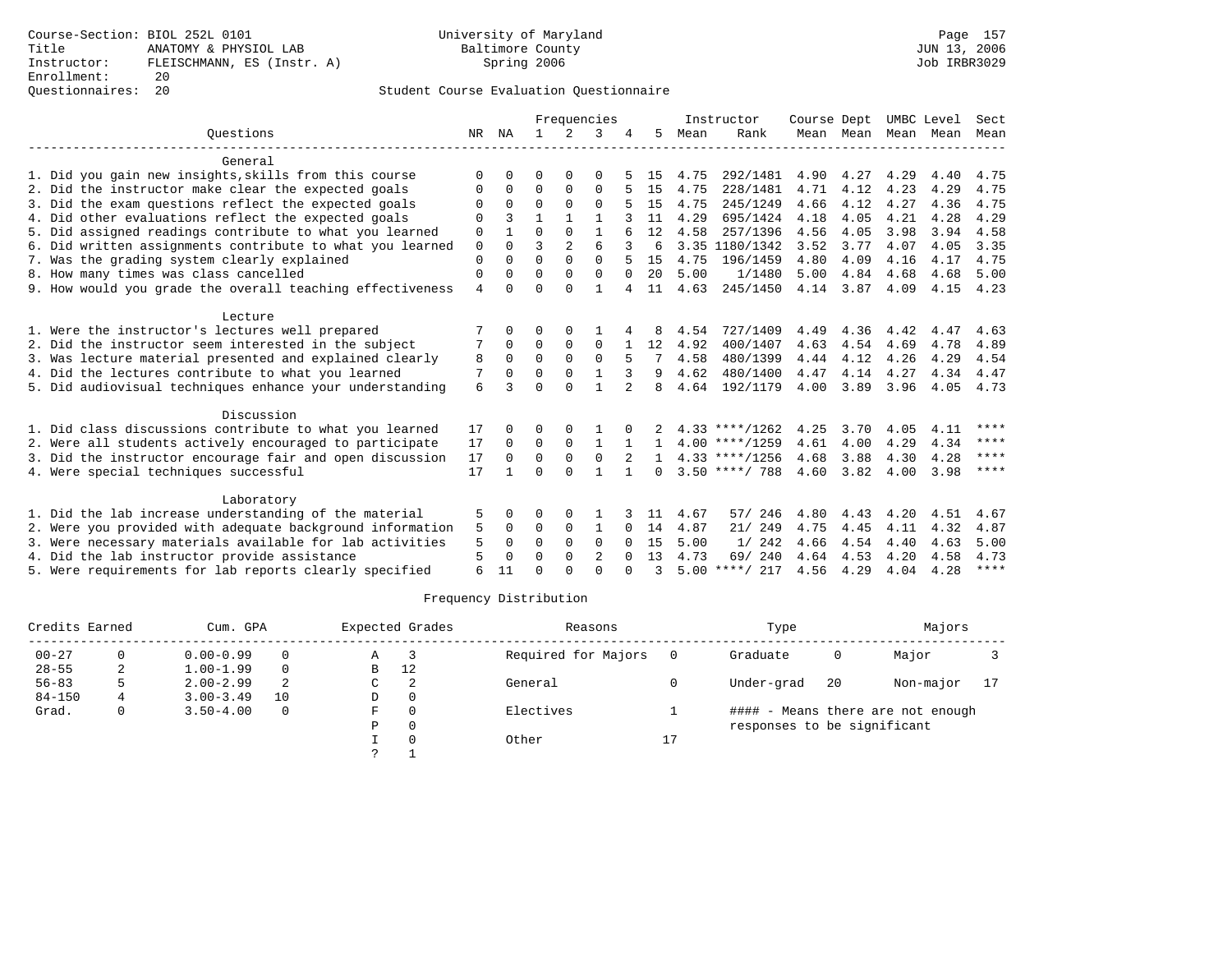### Questionnaires: 20 Student Course Evaluation Questionnaire

|                                                           | Frequencies    |              |              |                |              |          |              |      | Instructor       | Course Dept |           | UMBC Level |      | Sect        |
|-----------------------------------------------------------|----------------|--------------|--------------|----------------|--------------|----------|--------------|------|------------------|-------------|-----------|------------|------|-------------|
| Ouestions                                                 | NR             | ΝA           | $\mathbf{1}$ | $\mathcal{L}$  | 3            |          | 5.           | Mean | Rank             |             | Mean Mean | Mean       | Mean | Mean        |
| General                                                   |                |              |              |                |              |          |              |      |                  |             |           |            |      |             |
| 1. Did you gain new insights, skills from this course     | $\Omega$       | 0            | 0            | 0              | O            |          | 15           | 4.75 | 292/1481         | 4.90        | 4.27      | 4.29       | 4.40 | 4.75        |
| 2. Did the instructor make clear the expected goals       | O              | $\Omega$     | $\Omega$     | $\Omega$       | $\Omega$     |          | 15           | 4.75 | 228/1481         | 4.71        | 4.12      | 4.23       | 4.29 | 4.75        |
| 3. Did the exam questions reflect the expected goals      |                | $\Omega$     | $\Omega$     | $\Omega$       | $\Omega$     |          | 1.5          | 4.75 | 245/1249         | 4.66        | 4.12      | 4.27       | 4.36 | 4.75        |
| 4. Did other evaluations reflect the expected goals       | $\Omega$       |              | 1            | 1              | 1            |          | 11           | 4.29 | 695/1424         | 4.18        | 4.05      | 4.21       | 4.28 | 4.29        |
| 5. Did assigned readings contribute to what you learned   | 0              |              | $\Omega$     | $\Omega$       | 1            |          | 12           | 4.58 | 257/1396         | 4.56        | 4.05      | 3.98       | 3.94 | 4.58        |
| 6. Did written assignments contribute to what you learned | $\mathbf 0$    | $\Omega$     | ζ            | $\mathfrak{D}$ | 6            | 3        | 6            |      | 3.35 1180/1342   | 3.52        | 3.77      | 4.07       | 4.05 | 3.35        |
| 7. Was the grading system clearly explained               | $\Omega$       | $\Omega$     | $\Omega$     | $\Omega$       | $\Omega$     |          | 15           | 4.75 | 196/1459         | 4.80        | 4.09      | 4.16       | 4.17 | 4.75        |
| 8. How many times was class cancelled                     | 0              | 0            | $\Omega$     | $\Omega$       | $\Omega$     | $\Omega$ | 20           | 5.00 | 1/1480           | 5.00        | 4.84      | 4.68       | 4.68 | 5.00        |
| 9. How would you grade the overall teaching effectiveness | $\overline{4}$ | <sup>0</sup> | $\Omega$     | $\Omega$       | $\mathbf{1}$ |          | 11           | 4.63 | 245/1450         | 4.14        | 3.87      | 4.09       | 4.15 | 4.23        |
| Lecture                                                   |                |              |              |                |              |          |              |      |                  |             |           |            |      |             |
| 1. Were the instructor's lectures well prepared           |                |              | O            | $\Omega$       |              |          |              | 4.54 | 727/1409         | 4.49        | 4.36      | 4.42       | 4.47 | 4.63        |
| 2. Did the instructor seem interested in the subject      |                | 0            | $\Omega$     | $\Omega$       | $\Omega$     |          | 12           | 4.92 | 400/1407         | 4.63        | 4.54      | 4.69       | 4.78 | 4.89        |
| 3. Was lecture material presented and explained clearly   | 8              | $\Omega$     | $\Omega$     | $\Omega$       | $\Omega$     |          |              | 4.58 | 480/1399         | 4.44        | 4.12      | 4.26       | 4.29 | 4.54        |
| 4. Did the lectures contribute to what you learned        | 7              | $\Omega$     | $\Omega$     | $\Omega$       |              |          | 9            | 4.62 | 480/1400         | 4.47        | 4.14      | 4.27       | 4.34 | 4.47        |
| 5. Did audiovisual techniques enhance your understanding  | 6              |              | $\Omega$     | $\Omega$       | $\mathbf{1}$ |          | 8            | 4.64 | 192/1179         | 4.00        | 3.89      | 3.96       | 4.05 | 4.73        |
| Discussion                                                |                |              |              |                |              |          |              |      |                  |             |           |            |      |             |
| 1. Did class discussions contribute to what you learned   | 17             |              | 0            |                |              |          |              |      | $4.33$ ****/1262 | 4.25        | 3.70      | 4.05       | 4.11 | ****        |
| 2. Were all students actively encouraged to participate   | 17             | $\Omega$     | 0            | 0              | 1            |          |              |      | $4.00$ ****/1259 | 4.61        | 4.00      | 4.29       | 4.34 | ****        |
| 3. Did the instructor encourage fair and open discussion  | 17             | $\Omega$     | $\Omega$     | $\Omega$       | $\Omega$     |          | $\mathbf{1}$ |      | $4.33$ ****/1256 | 4.68        | 3.88      | 4.30       | 4.28 | ****        |
| 4. Were special techniques successful                     | 17             |              | $\Omega$     | $\Omega$       |              |          | $\Omega$     |      | $3.50$ ****/ 788 | 4.60        | 3.82      | 4.00       | 3.98 | $***$       |
| Laboratory                                                |                |              |              |                |              |          |              |      |                  |             |           |            |      |             |
| 1. Did the lab increase understanding of the material     | 5              | 0            | 0            | $\Omega$       | 1            |          | 11           | 4.67 | 57/ 246          | 4.80        | 4.43      | 4.20       | 4.51 | 4.67        |
| 2. Were you provided with adequate background information | 5              | $\Omega$     | 0            | 0              | 1            | $\Omega$ | 14           | 4.87 | 21/249           | 4.75        | 4.45      | 4.11       | 4.32 | 4.87        |
| 3. Were necessary materials available for lab activities  | 5              | $\Omega$     | $\Omega$     | $\Omega$       | $\Omega$     | $\Omega$ | 15           | 5.00 | 1/242            | 4.66        | 4.54      | 4.40       | 4.63 | 5.00        |
| 4. Did the lab instructor provide assistance              | 5              | <sup>0</sup> | $\Omega$     | $\Omega$       | 2            |          | 13           | 4.73 | 69/240           | 4.64        | 4.53      | 4.20       | 4.58 | 4.73        |
| 5. Were requirements for lab reports clearly specified    | 6              | 11           | ∩            | $\cap$         | $\cap$       |          | ζ            |      | $5.00$ ****/ 217 | 4.56        | 4.29      | 4.04       | 4.28 | $***$ * * * |

| Credits Earned |    | Cum. GPA                             |        |    | Expected Grades | Reasons             |            | Type                        |    | Majors                            |    |
|----------------|----|--------------------------------------|--------|----|-----------------|---------------------|------------|-----------------------------|----|-----------------------------------|----|
| $00 - 27$      |    | $0.00 - 0.99$                        | 0      | A  |                 | Required for Majors |            | Graduate                    | 0  | Major                             |    |
| $28 - 55$      | 2  | 12<br>$1.00 - 1.99$<br>B<br>$\Omega$ |        |    |                 |                     |            |                             |    |                                   |    |
| $56 - 83$      | 5. | $2.00 - 2.99$                        | 2<br>C |    |                 | General             |            | Under-grad                  | 20 | Non-major                         | 17 |
| $84 - 150$     | 4  | $3.00 - 3.49$                        | 10     | D  | $\Omega$        |                     |            |                             |    |                                   |    |
| Grad.          | 0  | $3.50 - 4.00$                        | 0      | F. |                 | Electives           |            |                             |    | #### - Means there are not enough |    |
|                |    |                                      |        | P  | $\Omega$        |                     |            | responses to be significant |    |                                   |    |
|                |    |                                      |        |    |                 | Other               | <b>T</b> 1 |                             |    |                                   |    |
|                |    |                                      |        |    |                 |                     |            |                             |    |                                   |    |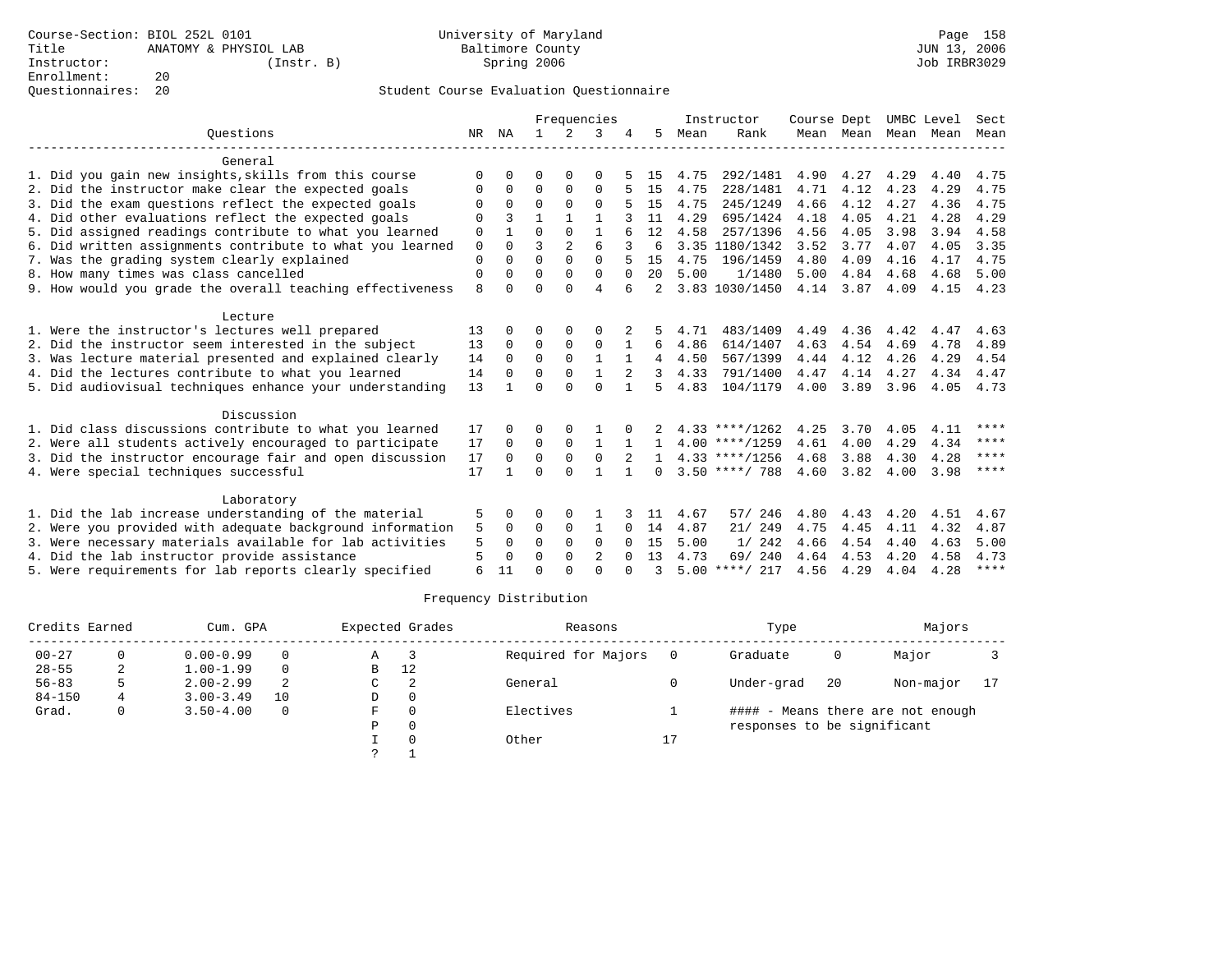|                                                           |    |              |              |                | Frequencies  |              |              |      | Instructor       | Course Dept |      |                     | UMBC Level | Sect        |
|-----------------------------------------------------------|----|--------------|--------------|----------------|--------------|--------------|--------------|------|------------------|-------------|------|---------------------|------------|-------------|
| Ouestions                                                 | NR | ΝA           | $\mathbf{1}$ | 2              | 3            |              | 5            | Mean | Rank             |             |      | Mean Mean Mean Mean |            | Mean        |
| General                                                   |    |              |              |                |              |              |              |      |                  |             |      |                     |            |             |
| 1. Did you gain new insights, skills from this course     | O  | $\Omega$     | U            | $\Omega$       | 0            |              | 15           | 4.75 | 292/1481         | 4.90        | 4.27 | 4.29                | 4.40       | 4.75        |
| 2. Did the instructor make clear the expected goals       | O  | $\Omega$     | $\Omega$     | $\Omega$       | $\Omega$     |              | 15           | 4.75 | 228/1481         | 4.71        | 4.12 | 4.23                | 4.29       | 4.75        |
| 3. Did the exam questions reflect the expected goals      | O  | $\Omega$     | $\Omega$     | $\Omega$       | $\Omega$     |              | 15           | 4.75 | 245/1249         | 4.66        | 4.12 | 4.27                | 4.36       | 4.75        |
| 4. Did other evaluations reflect the expected goals       | O  |              | $\mathbf{1}$ | $\mathbf{1}$   | 1            |              | 11           | 4.29 | 695/1424         | 4.18        | 4.05 | 4.21                | 4.28       | 4.29        |
| 5. Did assigned readings contribute to what you learned   | 0  | $\mathbf{1}$ | $\Omega$     | $\Omega$       | $\mathbf{1}$ |              | 12           | 4.58 | 257/1396         | 4.56        | 4.05 | 3.98                | 3.94       | 4.58        |
| 6. Did written assignments contribute to what you learned | 0  | $\Omega$     | ζ            | $\overline{a}$ | 6            |              | 6            |      | 3.35 1180/1342   | 3.52        | 3.77 | 4.07                | 4.05       | 3.35        |
| 7. Was the grading system clearly explained               | 0  | O            | $\Omega$     | $\Omega$       | $\Omega$     |              | 15           | 4.75 | 196/1459         | 4.80        | 4.09 | 4.16                | 4.17       | 4.75        |
| 8. How many times was class cancelled                     | 0  | $\Omega$     | $\Omega$     | $\Omega$       | $\Omega$     | $\Omega$     | 20           | 5.00 | 1/1480           | 5.00        | 4.84 | 4.68                | 4.68       | 5.00        |
| 9. How would you grade the overall teaching effectiveness | 8  | $\Omega$     | U            | U              | 4            | 6            |              |      | 3.83 1030/1450   | 4.14        | 3.87 | 4.09                | 4.15       | 4.23        |
| Lecture                                                   |    |              |              |                |              |              |              |      |                  |             |      |                     |            |             |
| 1. Were the instructor's lectures well prepared           | 13 | <sup>0</sup> | U            | $\Omega$       | O            |              |              | 4.71 | 483/1409         | 4.49        | 4.36 | 4.42                | 4.47       | 4.63        |
| 2. Did the instructor seem interested in the subject      | 13 | $\Omega$     | $\Omega$     | $\mathbf 0$    | 0            | $\mathbf{1}$ | 6            | 4.86 | 614/1407         | 4.63        | 4.54 | 4.69                | 4.78       | 4.89        |
| 3. Was lecture material presented and explained clearly   | 14 | $\Omega$     | $\Omega$     | $\Omega$       | $\mathbf{1}$ | $\mathbf{1}$ | 4            | 4.50 | 567/1399         | 4.44        | 4.12 | 4.26                | 4.29       | 4.54        |
| 4. Did the lectures contribute to what you learned        | 14 | $\Omega$     | O            | $\Omega$       |              |              |              | 4.33 | 791/1400         | 4.47        | 4.14 | 4.27                | 4.34       | 4.47        |
| 5. Did audiovisual techniques enhance your understanding  | 13 |              | U            | $\cap$         | $\Omega$     | $\mathbf{1}$ | 5            | 4.83 | 104/1179         | 4.00        | 3.89 | 3.96                | 4.05       | 4.73        |
| Discussion                                                |    |              |              |                |              |              |              |      |                  |             |      |                     |            |             |
| 1. Did class discussions contribute to what you learned   | 17 | $\Omega$     | U            | O              |              |              |              |      | $4.33$ ****/1262 | 4.25        | 3.70 | 4.05                | 4.11       | ****        |
| 2. Were all students actively encouraged to participate   | 17 | $\mathbf 0$  | 0            | $\mathbf 0$    | $\mathbf{1}$ | $\mathbf{1}$ | $\mathbf{1}$ |      | $4.00$ ****/1259 | 4.61        | 4.00 | 4.29                | 4.34       | $***$ * * * |
| 3. Did the instructor encourage fair and open discussion  | 17 | $\Omega$     | $\Omega$     | $\mathbf{0}$   | $\Omega$     |              |              |      | $4.33$ ****/1256 | 4.68        | 3.88 | 4.30                | 4.28       | $***$ *     |
| 4. Were special techniques successful                     | 17 | $\mathbf{1}$ | O            | $\Omega$       |              | $\mathbf{1}$ | $\Omega$     |      | $3.50$ ****/ 788 | 4.60        | 3.82 | 4.00                | 3.98       | ****        |
| Laboratory                                                |    |              |              |                |              |              |              |      |                  |             |      |                     |            |             |
| 1. Did the lab increase understanding of the material     | 5  | $\Omega$     | U            | $\Omega$       | -1           |              | 11           | 4.67 | 57/ 246          | 4.80        | 4.43 | 4.20                | 4.51       | 4.67        |
| 2. Were you provided with adequate background information | 5  | $\Omega$     | $\Omega$     | $\Omega$       | 1            | $\Omega$     | 14           | 4.87 | 21/249           | 4.75        | 4.45 | 4.11                | 4.32       | 4.87        |
| 3. Were necessary materials available for lab activities  | 5  | $\Omega$     | $\Omega$     | $\Omega$       | $\Omega$     | $\Omega$     | 15           | 5.00 | 1/242            | 4.66        | 4.54 | 4.40                | 4.63       | 5.00        |
| 4. Did the lab instructor provide assistance              | 5  | $\Omega$     | U            | $\Omega$       | 2            | $\Omega$     | 13           | 4.73 | 69/ 240          | 4.64        | 4.53 | 4.20                | 4.58       | 4.73        |
| 5. Were requirements for lab reports clearly specified    | 6  | 11           | ∩            | $\cap$         | U            |              | ς            |      | $5.00$ ****/ 217 | 4.56        | 4.29 | 4.04                | 4.28       | $***$ * * * |

| Credits Earned |   | Cum. GPA      |             |               | Expected Grades | Reasons             |            | Type                        |           | Majors                            |  |
|----------------|---|---------------|-------------|---------------|-----------------|---------------------|------------|-----------------------------|-----------|-----------------------------------|--|
| $00 - 27$      |   | $0.00 - 0.99$ |             | Α             |                 | Required for Majors |            | Graduate                    | 0         | Major                             |  |
| $28 - 55$      | 2 | $1.00 - 1.99$ | 0           | 12<br>B       |                 |                     |            |                             |           |                                   |  |
| $56 - 83$      |   | $2.00 - 2.99$ | 2<br>2<br>C |               | General         |                     | Under-grad | 20                          | Non-major | 17                                |  |
| $84 - 150$     | 4 | $3.00 - 3.49$ | 10          | D             | $\Omega$        |                     |            |                             |           |                                   |  |
| Grad.          | 0 | $3.50 - 4.00$ | $\Omega$    | F.            | $\Omega$        | Electives           |            |                             |           | #### - Means there are not enough |  |
|                |   |               |             | P             | $\Omega$        |                     |            | responses to be significant |           |                                   |  |
|                |   |               |             |               |                 | Other               | 17<br>Τ.   |                             |           |                                   |  |
|                |   |               |             | $\mathcal{L}$ |                 |                     |            |                             |           |                                   |  |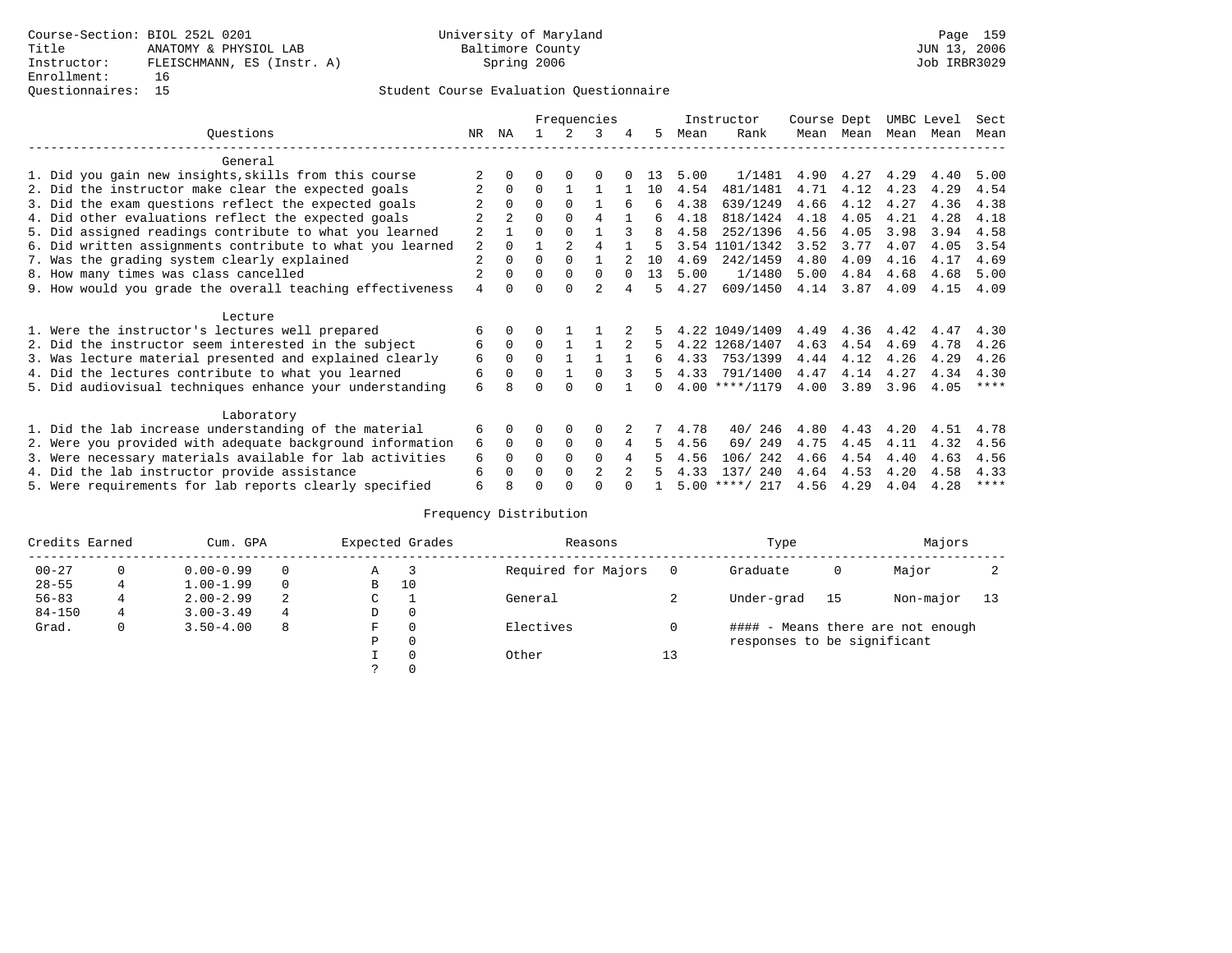### Questionnaires: 15 Student Course Evaluation Questionnaire

|                                                           |                |              |          |                | Frequencies    |          |    |      | Instructor       | Course Dept |      | UMBC Level |      | Sect      |
|-----------------------------------------------------------|----------------|--------------|----------|----------------|----------------|----------|----|------|------------------|-------------|------|------------|------|-----------|
| Questions                                                 | NR.            | ΝA           |          |                | 3              | 4        | 5  | Mean | Rank             | Mean        | Mean | Mean       | Mean | Mean      |
| General                                                   |                |              |          |                |                |          |    |      |                  |             |      |            |      |           |
| 1. Did you gain new insights, skills from this course     |                |              |          |                |                |          | 13 | 5.00 | 1/1481           | 4.90        | 4.27 | 4.29       | 4.40 | 5.00      |
| 2. Did the instructor make clear the expected goals       |                | $\Omega$     | $\Omega$ |                |                |          | 10 | 4.54 | 481/1481         | 4.71        | 4.12 | 4.23       | 4.29 | 4.54      |
| 3. Did the exam questions reflect the expected goals      |                | $\Omega$     | U        | $\Omega$       |                | 6        | 6  | 4.38 | 639/1249         | 4.66        | 4.12 | 4.27       | 4.36 | 4.38      |
| 4. Did other evaluations reflect the expected goals       |                |              | 0        | $\Omega$       | 4              |          | б. | 4.18 | 818/1424         | 4.18        | 4.05 | 4.21       | 4.28 | 4.18      |
| 5. Did assigned readings contribute to what you learned   | 2              |              | 0        | $\Omega$       |                | २        | 8  | 4.58 | 252/1396         | 4.56        | 4.05 | 3.98       | 3.94 | 4.58      |
| 6. Did written assignments contribute to what you learned | 2              |              |          | $\overline{a}$ | 4              |          |    |      | 3.54 1101/1342   | 3.52        | 3.77 | 4.07       | 4.05 | 3.54      |
| 7. Was the grading system clearly explained               | 2              | $\Omega$     | $\Omega$ | $\Omega$       |                |          | 10 | 4.69 | 242/1459         | 4.80        | 4.09 | 4.16       | 4.17 | 4.69      |
| 8. How many times was class cancelled                     | $\overline{2}$ | <sup>0</sup> | U        | $\Omega$       | $\Omega$       | $\Omega$ | 13 | 5.00 | 1/1480           | 5.00        | 4.84 | 4.68       | 4.68 | 5.00      |
| 9. How would you grade the overall teaching effectiveness | 4              | <sup>0</sup> | U        | $\cap$         | $\overline{a}$ |          |    | 4.27 | 609/1450         | 4.14        | 3.87 | 4.09       | 4.15 | 4.09      |
| Lecture                                                   |                |              |          |                |                |          |    |      |                  |             |      |            |      |           |
| 1. Were the instructor's lectures well prepared           | 6              | $\Omega$     | U        |                |                |          |    |      | 4.22 1049/1409   | 4.49        | 4.36 | 4.42       | 4.47 | 4.30      |
| 2. Did the instructor seem interested in the subject      | 6              | $\Omega$     | $\Omega$ |                |                | 2        | 5  |      | 4.22 1268/1407   | 4.63        | 4.54 | 4.69       | 4.78 | 4.26      |
| 3. Was lecture material presented and explained clearly   | 6              | $\Omega$     | $\Omega$ |                |                |          | 6  | 4.33 | 753/1399         | 4.44        | 4.12 | 4.26       | 4.29 | 4.26      |
| 4. Did the lectures contribute to what you learned        | 6              | $\Omega$     | $\Omega$ | $\mathbf{1}$   | $\Omega$       |          | 5  | 4.33 | 791/1400         | 4.47        | 4.14 | 4.27       | 4.34 | 4.30      |
| 5. Did audiovisual techniques enhance your understanding  | 6              | 8            |          | <sup>n</sup>   | U              |          | n. |      | $4.00$ ****/1179 | 4.00        | 3.89 | 3.96       | 4.05 | $***$ * * |
| Laboratory                                                |                |              |          |                |                |          |    |      |                  |             |      |            |      |           |
| 1. Did the lab increase understanding of the material     | 6              | $\Omega$     |          | $\Omega$       | $\Omega$       |          |    | 4.78 | 40/246           | 4.80        | 4.43 | 4.20       | 4.51 | 4.78      |
| 2. Were you provided with adequate background information | 6              | $\Omega$     | $\Omega$ | $\Omega$       | $\Omega$       | 4        | 5  | 4.56 | 69/ 249          | 4.75        | 4.45 | 4.11       | 4.32 | 4.56      |
| 3. Were necessary materials available for lab activities  | 6              | $\Omega$     | O        | $\Omega$       | $\Omega$       | 4        |    | 4.56 | 242<br>106/      | 4.66        | 4.54 | 4.40       | 4.63 | 4.56      |
| 4. Did the lab instructor provide assistance              | 6              | <sup>0</sup> | U        | $\Omega$       | $\mathfrak{D}$ | $2^{1}$  |    | 4.33 | 137/240          | 4.64        | 4.53 | 4.20       | 4.58 | 4.33      |
| 5. Were requirements for lab reports clearly specified    | б              |              |          |                |                |          |    | 5.00 | ****/ 217        | 4.56        | 4.29 | 4.04       | 4.28 | $***$ *   |

| Credits Earned |   | Cum. GPA      |          |               | Expected Grades | Reasons             |    | Type                        |    | Majors                            |    |
|----------------|---|---------------|----------|---------------|-----------------|---------------------|----|-----------------------------|----|-----------------------------------|----|
| $00 - 27$      | 0 | $0.00 - 0.99$ | $\Omega$ | A             |                 | Required for Majors |    | Graduate                    | 0  | Major                             |    |
| $28 - 55$      |   | $1.00 - 1.99$ | $\Omega$ | в             | 10              |                     |    |                             |    |                                   |    |
| $56 - 83$      | 4 | $2.00 - 2.99$ | 2<br>C   |               |                 | General             |    | Under-grad                  | 15 | Non-major                         | 13 |
| $84 - 150$     | 4 | $3.00 - 3.49$ | 4        | D             | $\mathbf{0}$    |                     |    |                             |    |                                   |    |
| Grad.          | 0 | $3.50 - 4.00$ | 8        | F             | 0               | Electives           |    |                             |    | #### - Means there are not enough |    |
|                |   |               |          | Ρ             | $\mathbf 0$     |                     |    | responses to be significant |    |                                   |    |
|                |   |               |          |               | $\Omega$        | Other               | 13 |                             |    |                                   |    |
|                |   |               |          | $\mathcal{L}$ | $\Omega$        |                     |    |                             |    |                                   |    |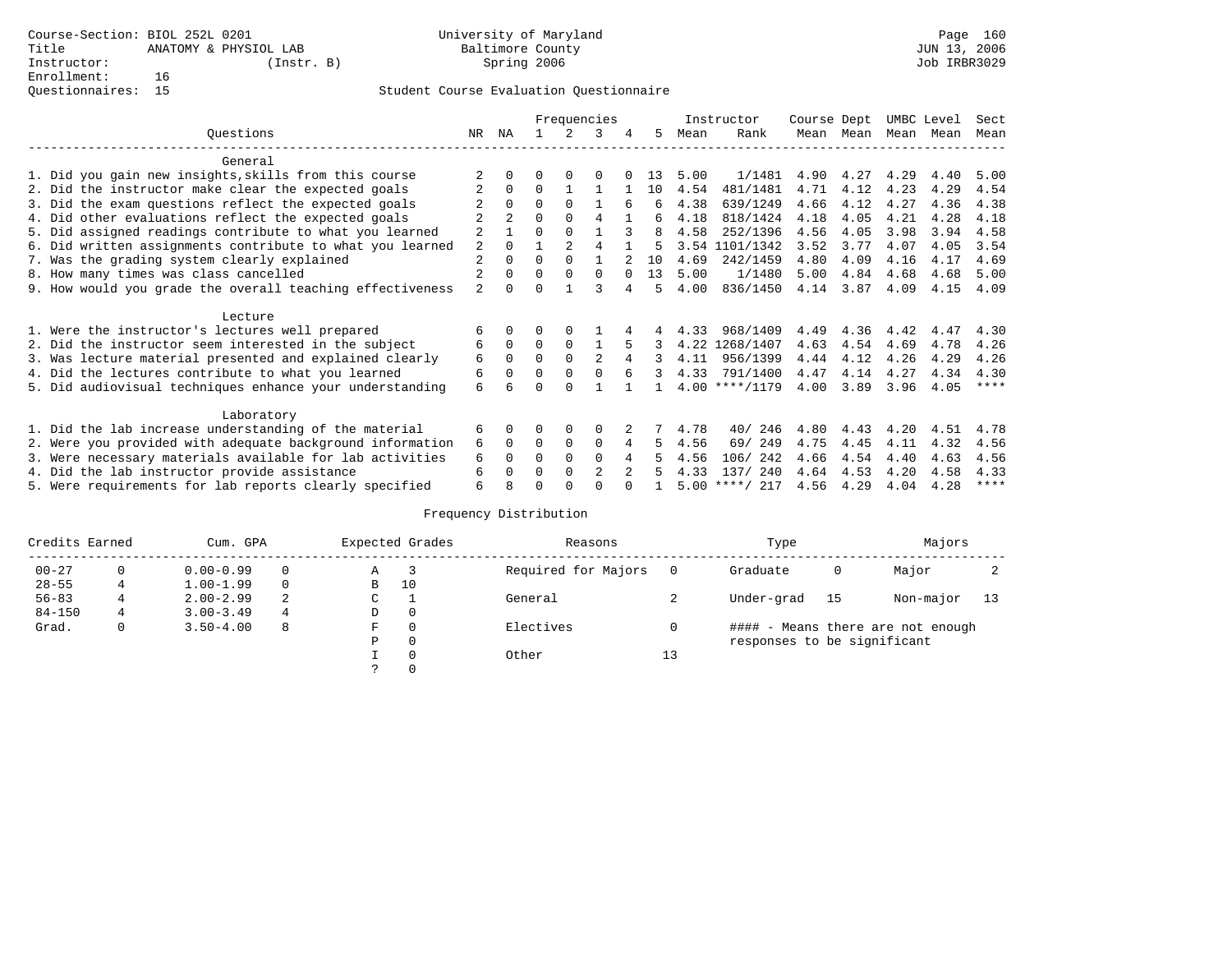|                                                           |                |          |          |                | Frequencies    |          |     |      | Instructor       | Course Dept |      | UMBC Level |      | Sect |
|-----------------------------------------------------------|----------------|----------|----------|----------------|----------------|----------|-----|------|------------------|-------------|------|------------|------|------|
| Ouestions                                                 | NR             | ΝA       |          |                | ર              | 4        | 5   | Mean | Rank             | Mean        | Mean | Mean       | Mean | Mean |
| General                                                   |                |          |          |                |                |          |     |      |                  |             |      |            |      |      |
| 1. Did you gain new insights, skills from this course     |                |          |          |                |                |          | 13  | 5.00 | 1/1481           | 4.90        | 4.27 | 4.29       | 4.40 | 5.00 |
| 2. Did the instructor make clear the expected goals       |                | $\Omega$ | $\Omega$ |                |                |          | 10  | 4.54 | 481/1481         | 4.71        | 4.12 | 4.23       | 4.29 | 4.54 |
| 3. Did the exam questions reflect the expected goals      |                | $\Omega$ | $\Omega$ | $\Omega$       |                | 6        | 6   | 4.38 | 639/1249         | 4.66        | 4.12 | 4.27       | 4.36 | 4.38 |
| 4. Did other evaluations reflect the expected goals       |                |          | U        | $\Omega$       | 4              |          | 6   | 4.18 | 818/1424         | 4.18        | 4.05 | 4.21       | 4.28 | 4.18 |
| 5. Did assigned readings contribute to what you learned   | 2              |          | U        | $\Omega$       |                |          | 8   | 4.58 | 252/1396         | 4.56        | 4.05 | 3.98       | 3.94 | 4.58 |
| 6. Did written assignments contribute to what you learned | 2              |          |          | $\mathfrak{D}$ | 4              |          | 5   |      | 3.54 1101/1342   | 3.52        | 3.77 | 4.07       | 4.05 | 3.54 |
| 7. Was the grading system clearly explained               | 2              | $\Omega$ | $\Omega$ | $\Omega$       |                |          | 1 O | 4.69 | 242/1459         | 4.80        | 4.09 | 4.16       | 4.17 | 4.69 |
| 8. How many times was class cancelled                     | $\overline{2}$ | $\Omega$ | U        | $\Omega$       | $\Omega$       | $\Omega$ | 13  | 5.00 | 1/1480           | 5.00        | 4.84 | 4.68       | 4.68 | 5.00 |
| 9. How would you grade the overall teaching effectiveness | $\overline{a}$ | $\Omega$ | U        |                | ς              |          | 5   | 4.00 | 836/1450         | 4.14        | 3.87 | 4.09       | 4.15 | 4.09 |
| Lecture                                                   |                |          |          |                |                |          |     |      |                  |             |      |            |      |      |
| 1. Were the instructor's lectures well prepared           | 6              | $\Omega$ |          | 0              |                |          |     | 4.33 | 968/1409         | 4.49        | 4.36 | 4.42       | 4.47 | 4.30 |
| 2. Did the instructor seem interested in the subject      | 6              | $\Omega$ | $\Omega$ | $\Omega$       |                |          |     |      | 4.22 1268/1407   | 4.63        | 4.54 | 4.69       | 4.78 | 4.26 |
| 3. Was lecture material presented and explained clearly   | 6              | $\Omega$ | $\Omega$ | $\Omega$       | $\mathfrak{D}$ | 4        | 3   | 4.11 | 956/1399         | 4.44        | 4.12 | 4.26       | 4.29 | 4.26 |
| 4. Did the lectures contribute to what you learned        | 6              | $\Omega$ | 0        | $\Omega$       | $\Omega$       | 6        | 3   | 4.33 | 791/1400         | 4.47        | 4.14 | 4.27       | 4.34 | 4.30 |
| 5. Did audiovisual techniques enhance your understanding  | 6              | 6        |          |                |                |          |     |      | $4.00$ ****/1179 | 4.00        | 3.89 | 3.96       | 4.05 | **** |
| Laboratory                                                |                |          |          |                |                |          |     |      |                  |             |      |            |      |      |
| 1. Did the lab increase understanding of the material     | 6              | $\Omega$ |          | 0              | $\Omega$       |          |     | 4.78 | 40/246           | 4.80        | 4.43 | 4.20       | 4.51 | 4.78 |
| 2. Were you provided with adequate background information | 6              | $\Omega$ | 0        | $\Omega$       | $\Omega$       | 4        | 5   | 4.56 | 69/ 249          | 4.75        | 4.45 | 4.11       | 4.32 | 4.56 |
| 3. Were necessary materials available for lab activities  | 6              | 0        | U        | $\Omega$       | $\Omega$       | 4        |     | 4.56 | 242<br>106/      | 4.66        | 4.54 | 4.40       | 4.63 | 4.56 |
| 4. Did the lab instructor provide assistance              | 6              |          |          | $\Omega$       | $\mathfrak{D}$ | 2        |     | 4.33 | 137/ 240         | 4.64        | 4.53 | 4.20       | 4.58 | 4.33 |
| 5. Were requirements for lab reports clearly specified    | б              |          |          |                |                |          |     | 5.00 | $***/217$        | 4.56        | 4.29 | 4.04       | 4.28 | **** |

| Credits Earned |   | Cum. GPA      |          |   | Expected Grades | Reasons             |    | Type                        |    | Majors                            |      |
|----------------|---|---------------|----------|---|-----------------|---------------------|----|-----------------------------|----|-----------------------------------|------|
| $00 - 27$      |   | $0.00 - 0.99$ | $\Omega$ | Α |                 | Required for Majors |    | Graduate                    | 0  | Major                             |      |
| $28 - 55$      |   | $1.00 - 1.99$ | $\Omega$ | В | 10              |                     |    |                             |    |                                   |      |
| $56 - 83$      |   | $2.00 - 2.99$ | -2.      | C |                 | General             |    | Under-grad                  | 15 | Non-major                         | - 13 |
| $84 - 150$     | 4 | $3.00 - 3.49$ | 4        | D | $\mathbf{0}$    |                     |    |                             |    |                                   |      |
| Grad.          | 0 | $3.50 - 4.00$ | 8        | F | $\Omega$        | Electives           |    |                             |    | #### - Means there are not enough |      |
|                |   |               |          | Ρ | 0               |                     |    | responses to be significant |    |                                   |      |
|                |   |               |          |   | $\Omega$        | Other               | 13 |                             |    |                                   |      |
|                |   |               |          |   | $\Omega$        |                     |    |                             |    |                                   |      |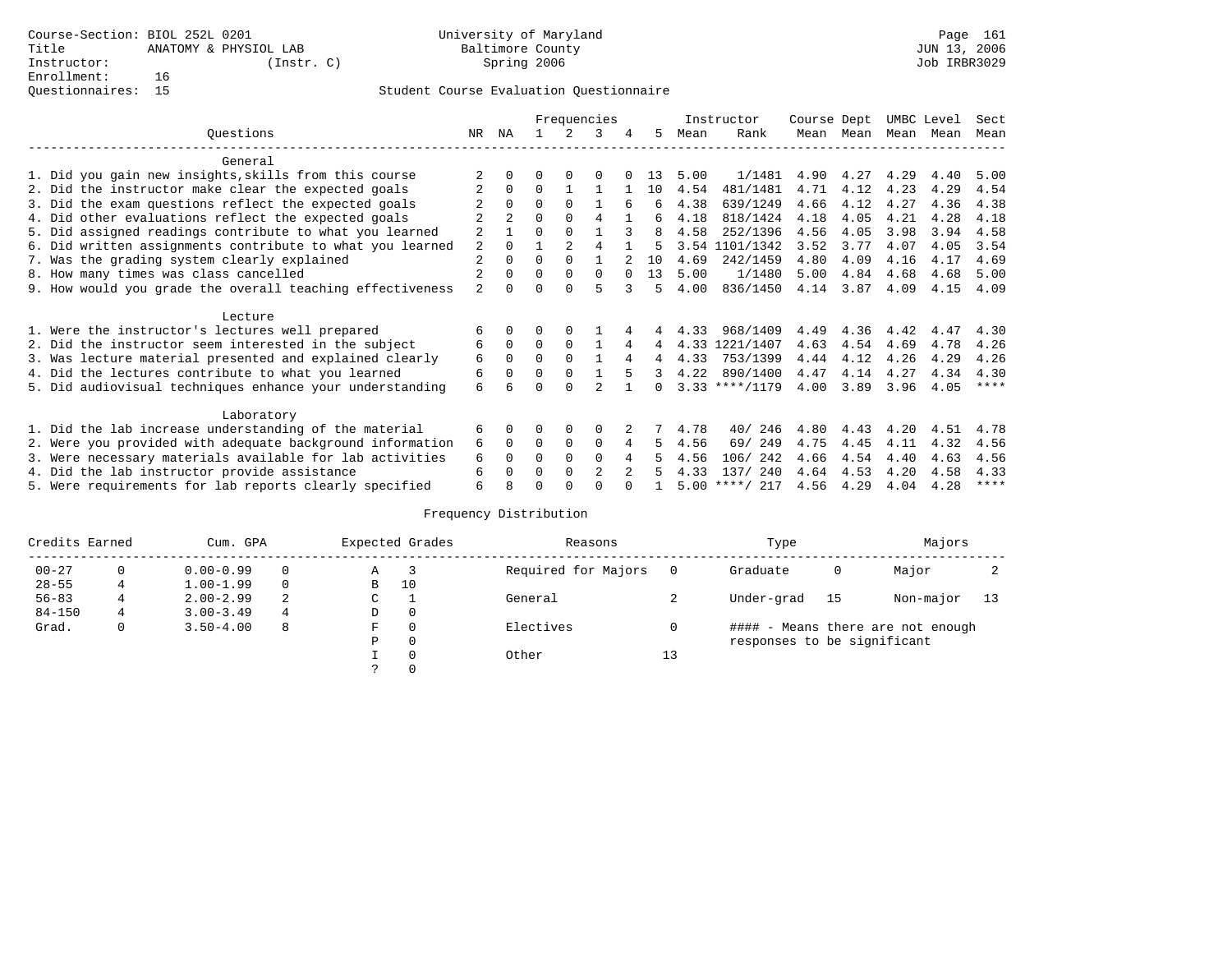|                                                           |                |          |          |                | Frequencies    |   |              |      | Instructor       | Course Dept |      | UMBC Level |      | Sect |
|-----------------------------------------------------------|----------------|----------|----------|----------------|----------------|---|--------------|------|------------------|-------------|------|------------|------|------|
| Ouestions                                                 | NR             | ΝA       |          |                | ર              | 4 | 5            | Mean | Rank             | Mean        | Mean | Mean       | Mean | Mean |
| General                                                   |                |          |          |                |                |   |              |      |                  |             |      |            |      |      |
| 1. Did you gain new insights, skills from this course     |                |          |          |                |                |   | 13           | 5.00 | 1/1481           | 4.90        | 4.27 | 4.29       | 4.40 | 5.00 |
| 2. Did the instructor make clear the expected goals       |                | $\Omega$ | $\Omega$ |                |                |   | 10           | 4.54 | 481/1481         | 4.71        | 4.12 | 4.23       | 4.29 | 4.54 |
| 3. Did the exam questions reflect the expected goals      |                | $\Omega$ | $\Omega$ | $\Omega$       |                | 6 | 6            | 4.38 | 639/1249         | 4.66        | 4.12 | 4.27       | 4.36 | 4.38 |
| 4. Did other evaluations reflect the expected goals       |                |          | U        | $\Omega$       | 4              |   | 6            | 4.18 | 818/1424         | 4.18        | 4.05 | 4.21       | 4.28 | 4.18 |
| 5. Did assigned readings contribute to what you learned   | 2              |          | U        | $\Omega$       |                |   | 8            | 4.58 | 252/1396         | 4.56        | 4.05 | 3.98       | 3.94 | 4.58 |
| 6. Did written assignments contribute to what you learned | 2              |          |          | $\mathfrak{D}$ | 4              |   | 5            |      | 3.54 1101/1342   | 3.52        | 3.77 | 4.07       | 4.05 | 3.54 |
| 7. Was the grading system clearly explained               | 2              | $\Omega$ | $\Omega$ | $\Omega$       |                |   | 1 O          | 4.69 | 242/1459         | 4.80        | 4.09 | 4.16       | 4.17 | 4.69 |
| 8. How many times was class cancelled                     | 2              | $\Omega$ | U        | $\Omega$       | $\Omega$       |   | 13           | 5.00 | 1/1480           | 5.00        | 4.84 | 4.68       | 4.68 | 5.00 |
| 9. How would you grade the overall teaching effectiveness | $\overline{a}$ | $\Omega$ |          | $\cap$         | 5              |   | 5            | 4.00 | 836/1450         | 4.14        | 3.87 | 4.09       | 4.15 | 4.09 |
| Lecture                                                   |                |          |          |                |                |   |              |      |                  |             |      |            |      |      |
| 1. Were the instructor's lectures well prepared           | 6              | $\Omega$ |          | 0              |                |   |              | 4.33 | 968/1409         | 4.49        | 4.36 | 4.42       | 4.47 | 4.30 |
| 2. Did the instructor seem interested in the subject      | 6              | $\Omega$ | $\Omega$ | $\Omega$       |                | 4 | 4            |      | 4.33 1221/1407   | 4.63        | 4.54 | 4.69       | 4.78 | 4.26 |
| 3. Was lecture material presented and explained clearly   | 6              | $\Omega$ | $\Omega$ | $\Omega$       |                | 4 | 4            | 4.33 | 753/1399         | 4.44        | 4.12 | 4.26       | 4.29 | 4.26 |
| 4. Did the lectures contribute to what you learned        | 6              | $\Omega$ | 0        | $\Omega$       |                | 5 | 3            | 4.22 | 890/1400         | 4.47        | 4.14 | 4.27       | 4.34 | 4.30 |
| 5. Did audiovisual techniques enhance your understanding  | б.             | 6        |          |                |                |   | <sup>n</sup> |      | $3.33$ ****/1179 | 4.00        | 3.89 | 3.96       | 4.05 | **** |
| Laboratory                                                |                |          |          |                |                |   |              |      |                  |             |      |            |      |      |
| 1. Did the lab increase understanding of the material     | 6              | $\Omega$ |          | 0              | $\Omega$       |   |              | 4.78 | 40/246           | 4.80        | 4.43 | 4.20       | 4.51 | 4.78 |
| 2. Were you provided with adequate background information | 6              | $\Omega$ | 0        | $\Omega$       | $\Omega$       | 4 | 5            | 4.56 | 69/ 249          | 4.75        | 4.45 | 4.11       | 4.32 | 4.56 |
| 3. Were necessary materials available for lab activities  | 6              | 0        | U        | $\Omega$       | $\Omega$       | 4 |              | 4.56 | 242<br>106/      | 4.66        | 4.54 | 4.40       | 4.63 | 4.56 |
| 4. Did the lab instructor provide assistance              | 6              |          |          | $\Omega$       | $\mathfrak{D}$ | 2 |              | 4.33 | 137/ 240         | 4.64        | 4.53 | 4.20       | 4.58 | 4.33 |
| 5. Were requirements for lab reports clearly specified    | б              |          |          |                |                |   |              | 5.00 | $***/217$        | 4.56        | 4.29 | 4.04       | 4.28 | **** |

| Credits Earned |   | Cum. GPA      |          |   | Expected Grades | Reasons             |    | Type                        |    | Majors                            |      |
|----------------|---|---------------|----------|---|-----------------|---------------------|----|-----------------------------|----|-----------------------------------|------|
| $00 - 27$      |   | $0.00 - 0.99$ | $\Omega$ | Α |                 | Required for Majors |    | Graduate                    | 0  | Major                             |      |
| $28 - 55$      |   | $1.00 - 1.99$ | $\Omega$ | В | 10              |                     |    |                             |    |                                   |      |
| $56 - 83$      |   | $2.00 - 2.99$ | -2.      | C |                 | General             |    | Under-grad                  | 15 | Non-major                         | - 13 |
| $84 - 150$     | 4 | $3.00 - 3.49$ | 4        | D | $\mathbf{0}$    |                     |    |                             |    |                                   |      |
| Grad.          | 0 | $3.50 - 4.00$ | 8        | F | $\Omega$        | Electives           |    |                             |    | #### - Means there are not enough |      |
|                |   |               |          | Ρ | 0               |                     |    | responses to be significant |    |                                   |      |
|                |   |               |          |   | $\Omega$        | Other               | 13 |                             |    |                                   |      |
|                |   |               |          |   | $\Omega$        |                     |    |                             |    |                                   |      |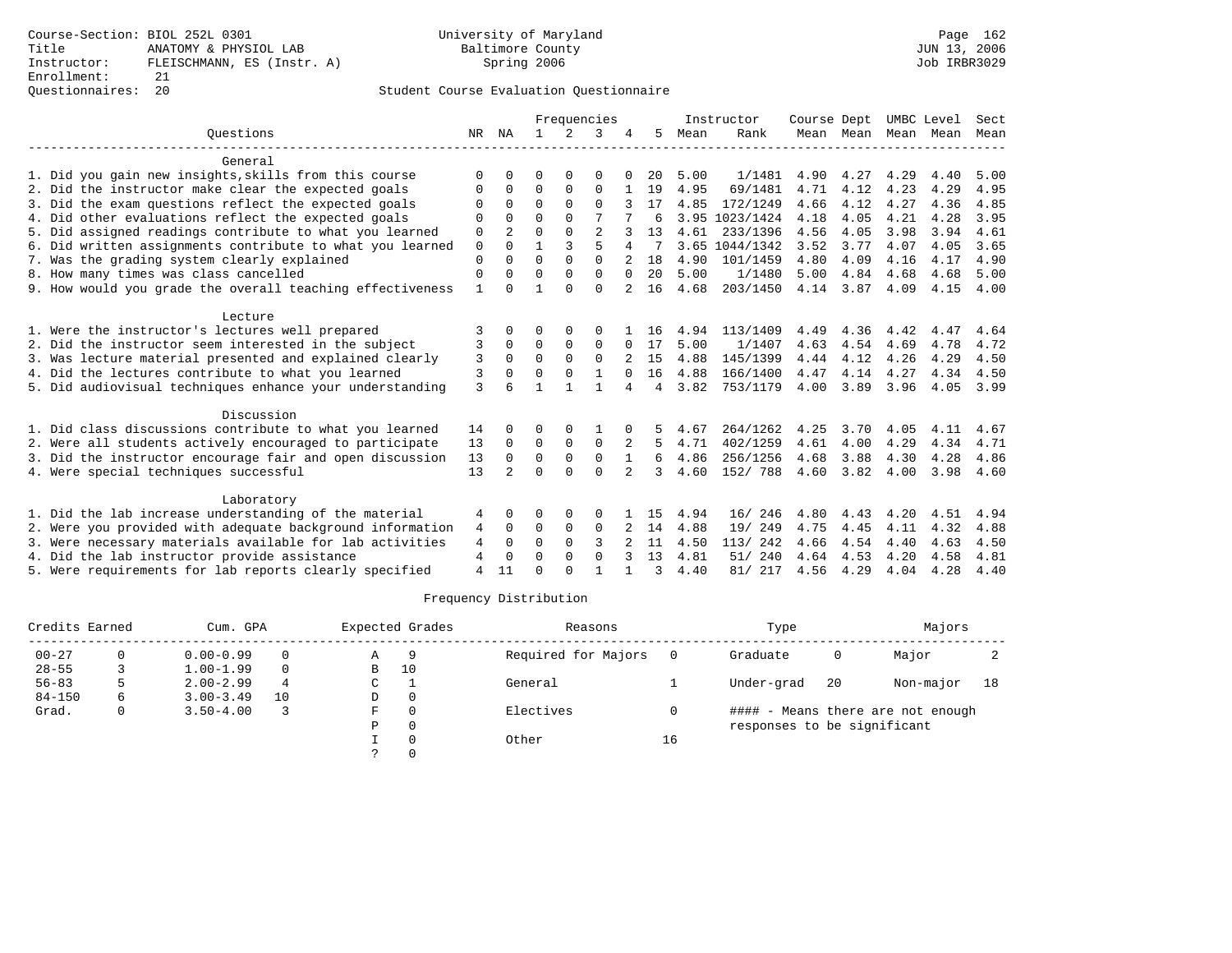### Questionnaires: 20 Student Course Evaluation Questionnaire

|                                                           |              |                |              |               | Frequencies    |              |    |      | Instructor     | Course Dept |           | UMBC Level |      | Sect |
|-----------------------------------------------------------|--------------|----------------|--------------|---------------|----------------|--------------|----|------|----------------|-------------|-----------|------------|------|------|
| Ouestions                                                 | NR           | ΝA             | $\mathbf{1}$ | $\mathcal{L}$ | 3              |              | 5. | Mean | Rank           |             | Mean Mean | Mean       | Mean | Mean |
| General                                                   |              |                |              |               |                |              |    |      |                |             |           |            |      |      |
| 1. Did you gain new insights, skills from this course     | $\Omega$     | n              | O            | 0             | 0              |              | 20 | 5.00 | 1/1481         | 4.90        | 4.27      | 4.29       | 4.40 | 5.00 |
| 2. Did the instructor make clear the expected goals       | O            | 0              | $\Omega$     | $\Omega$      | $\Omega$       |              | 19 | 4.95 | 69/1481        | 4.71        | 4.12      | 4.23       | 4.29 | 4.95 |
| 3. Did the exam questions reflect the expected goals      | $\Omega$     | $\Omega$       | $\Omega$     | $\Omega$      | $\Omega$       |              | 17 | 4.85 | 172/1249       | 4.66        | 4.12      | 4.27       | 4.36 | 4.85 |
| 4. Did other evaluations reflect the expected goals       | $\Omega$     | <sup>0</sup>   | $\Omega$     | $\Omega$      | 7              |              | б  |      | 3.95 1023/1424 | 4.18        | 4.05      | 4.21       | 4.28 | 3.95 |
| 5. Did assigned readings contribute to what you learned   | 0            | $\overline{2}$ | $\Omega$     | $\Omega$      | $\overline{2}$ |              | 13 | 4.61 | 233/1396       | 4.56        | 4.05      | 3.98       | 3.94 | 4.61 |
| 6. Did written assignments contribute to what you learned | $\mathbf 0$  | $\Omega$       | 1            | 3             | 5              |              |    |      | 3.65 1044/1342 | 3.52        | 3.77      | 4.07       | 4.05 | 3.65 |
| 7. Was the grading system clearly explained               | $\Omega$     |                | $\Omega$     | $\Omega$      | $\Omega$       |              | 18 | 4.90 | 101/1459       | 4.80        | 4.09      | 4.16       | 4.17 | 4.90 |
| 8. How many times was class cancelled                     | $\Omega$     | 0              | $\Omega$     | $\Omega$      | $\Omega$       | $\Omega$     | 20 | 5.00 | 1/1480         | 5.00        | 4.84      | 4.68       | 4.68 | 5.00 |
| 9. How would you grade the overall teaching effectiveness | $\mathbf{1}$ |                |              | $\cap$        | $\Omega$       |              | 16 | 4.68 | 203/1450       | 4.14        | 3.87      | 4.09       | 4.15 | 4.00 |
| Lecture                                                   |              |                |              |               |                |              |    |      |                |             |           |            |      |      |
| 1. Were the instructor's lectures well prepared           | 3            | <sup>0</sup>   | O            | $\Omega$      | $\Omega$       |              | 16 | 4.94 | 113/1409       | 4.49        | 4.36      | 4.42       | 4.47 | 4.64 |
| 2. Did the instructor seem interested in the subject      | 3            | 0              | $\Omega$     | $\mathbf 0$   | $\Omega$       | <sup>0</sup> | 17 | 5.00 | 1/1407         | 4.63        | 4.54      | 4.69       | 4.78 | 4.72 |
| 3. Was lecture material presented and explained clearly   | 3            | $\Omega$       | $\Omega$     | $\Omega$      | $\Omega$       |              | 15 | 4.88 | 145/1399       | 4.44        | 4.12      | 4.26       | 4.29 | 4.50 |
| 4. Did the lectures contribute to what you learned        | 3            | 0              | $\Omega$     | $\Omega$      |                | $\Omega$     | 16 | 4.88 | 166/1400       | 4.47        | 4.14      | 4.27       | 4.34 | 4.50 |
| 5. Did audiovisual techniques enhance your understanding  | 3            |                |              |               | 1              | 4            | 4  | 3.82 | 753/1179       | 4.00        | 3.89      | 3.96       | 4.05 | 3.99 |
| Discussion                                                |              |                |              |               |                |              |    |      |                |             |           |            |      |      |
| 1. Did class discussions contribute to what you learned   | 14           | 0              | 0            | O             |                |              |    | 4.67 | 264/1262       | 4.25        | 3.70      | 4.05       | 4.11 | 4.67 |
| 2. Were all students actively encouraged to participate   | 13           | $\Omega$       | $\Omega$     | $\Omega$      | $\Omega$       |              | 5. | 4.71 | 402/1259       | 4.61        | 4.00      | 4.29       | 4.34 | 4.71 |
| 3. Did the instructor encourage fair and open discussion  | 13           | $\Omega$       | 0            | $\mathsf 0$   | $\mathbf 0$    |              | 6  | 4.86 | 256/1256       | 4.68        | 3.88      | 4.30       | 4.28 | 4.86 |
| 4. Were special techniques successful                     | 13           | $\mathfrak{D}$ | $\Omega$     | $\cap$        | $\Omega$       | 2            | 3  | 4.60 | 152/ 788       | 4.60        | 3.82      | 4.00       | 3.98 | 4.60 |
| Laboratory                                                |              |                |              |               |                |              |    |      |                |             |           |            |      |      |
| 1. Did the lab increase understanding of the material     | 4            | $\Omega$       | O            | 0             | $\Omega$       |              | 15 | 4.94 | 16/246         | 4.80        | 4.43      | 4.20       | 4.51 | 4.94 |
| 2. Were you provided with adequate background information | 4            | $\Omega$       | 0            | $\mathbf 0$   | 0              |              | 14 | 4.88 | 19/ 249        | 4.75        | 4.45      | 4.11       | 4.32 | 4.88 |
| 3. Were necessary materials available for lab activities  | 4            | $\Omega$       | $\Omega$     | $\Omega$      | ς              |              | 11 | 4.50 | 113/242        | 4.66        | 4.54      | 4.40       | 4.63 | 4.50 |
| 4. Did the lab instructor provide assistance              | 4            | $\Omega$       | $\Omega$     | $\Omega$      | $\Omega$       |              | 13 | 4.81 | 240<br>51/     | 4.64        | 4.53      | 4.20       | 4.58 | 4.81 |
| 5. Were requirements for lab reports clearly specified    | 4            | 11             | $\cap$       | $\cap$        |                |              | ζ  | 4.40 | 81/ 217        | 4.56        | 4.29      | 4.04       | 4.28 | 4.40 |

| Credits Earned |    | Cum. GPA      |          |   | Expected Grades | Reasons             |    | Type                        |    | Majors                            |    |
|----------------|----|---------------|----------|---|-----------------|---------------------|----|-----------------------------|----|-----------------------------------|----|
| $00 - 27$      |    | $0.00 - 0.99$ | $\Omega$ | Α | -9              | Required for Majors |    | Graduate                    | 0  | Major                             |    |
| $28 - 55$      |    | $1.00 - 1.99$ | $\Omega$ | в | 10              |                     |    |                             |    |                                   |    |
| $56 - 83$      |    | $2.00 - 2.99$ | 4        | C |                 | General             |    | Under-grad                  | 20 | Non-major                         | 18 |
| $84 - 150$     | 6. | $3.00 - 3.49$ | 10       | D | $\Omega$        |                     |    |                             |    |                                   |    |
| Grad.          |    | $3.50 - 4.00$ |          | F |                 | Electives           |    |                             |    | #### - Means there are not enough |    |
|                |    |               |          | Ρ |                 |                     |    | responses to be significant |    |                                   |    |
|                |    |               |          |   |                 | Other               | 16 |                             |    |                                   |    |
|                |    |               |          |   |                 |                     |    |                             |    |                                   |    |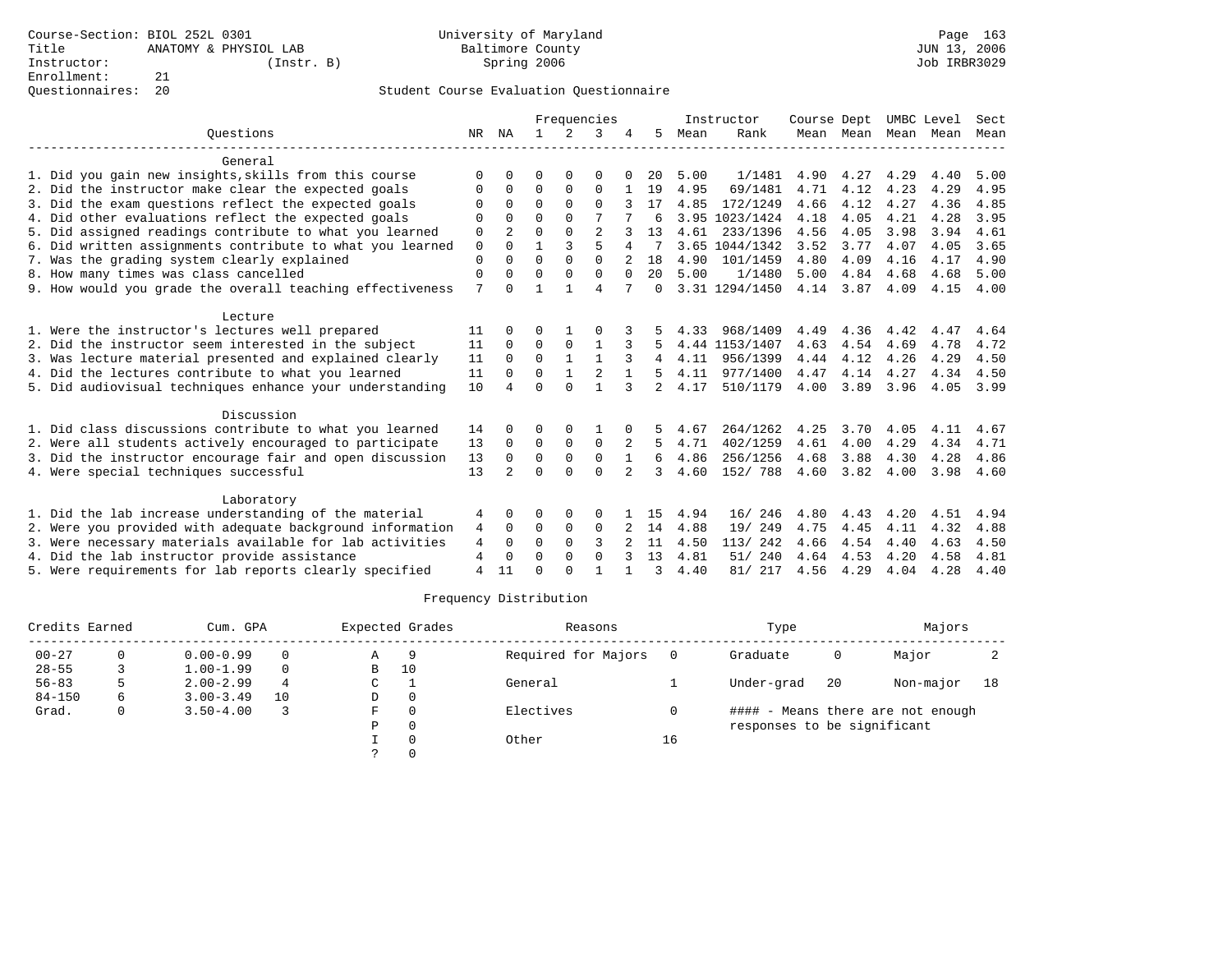|                                                           |    |                |              |              | Frequencies    |              |                |      | Instructor     | Course Dept |                     |      | UMBC Level | Sect |
|-----------------------------------------------------------|----|----------------|--------------|--------------|----------------|--------------|----------------|------|----------------|-------------|---------------------|------|------------|------|
| Ouestions                                                 | NR | ΝA             |              | 2            | 3              |              | 5              | Mean | Rank           |             | Mean Mean Mean Mean |      |            | Mean |
| General                                                   |    |                |              |              |                |              |                |      |                |             |                     |      |            |      |
| 1. Did you gain new insights, skills from this course     | O  | $\Omega$       | U            | 0            | 0              |              | 20             | 5.00 | 1/1481         | 4.90        | 4.27                | 4.29 | 4.40       | 5.00 |
| 2. Did the instructor make clear the expected goals       | O  | $\Omega$       | 0            | 0            | 0              |              | 19             | 4.95 | 69/1481        | 4.71        | 4.12                | 4.23 | 4.29       | 4.95 |
| 3. Did the exam questions reflect the expected goals      | O  | $\Omega$       | $\Omega$     | $\Omega$     | $\Omega$       |              | 17             | 4.85 | 172/1249       | 4.66        | 4.12                | 4.27 | 4.36       | 4.85 |
| 4. Did other evaluations reflect the expected goals       | O  | $\Omega$       | $\Omega$     | $\Omega$     | 7              |              | 6              |      | 3.95 1023/1424 | 4.18        | 4.05                | 4.21 | 4.28       | 3.95 |
| 5. Did assigned readings contribute to what you learned   | 0  | 2              | $\Omega$     | $\Omega$     | $\overline{2}$ |              | 13             | 4.61 | 233/1396       | 4.56        | 4.05                | 3.98 | 3.94       | 4.61 |
| 6. Did written assignments contribute to what you learned | 0  | $\Omega$       | 1            | ζ            | 5              | 4            |                |      | 3.65 1044/1342 | 3.52        | 3.77                | 4.07 | 4.05       | 3.65 |
| 7. Was the grading system clearly explained               | 0  | $\Omega$       | $\Omega$     | $\Omega$     | $\Omega$       |              | 18             | 4.90 | 101/1459       | 4.80        | 4.09                | 4.16 | 4.17       | 4.90 |
| 8. How many times was class cancelled                     | 0  | $\Omega$       | $\Omega$     | $\Omega$     | $\Omega$       | $\Omega$     | 20             | 5.00 | 1/1480         | 5.00        | 4.84                | 4.68 | 4.68       | 5.00 |
| 9. How would you grade the overall teaching effectiveness | 7  | $\Omega$       | $\mathbf{1}$ | $\mathbf{1}$ | 4              |              | $\Omega$       |      | 3.31 1294/1450 | 4.14        | 3.87                | 4.09 | 4.15       | 4.00 |
| Lecture                                                   |    |                |              |              |                |              |                |      |                |             |                     |      |            |      |
| 1. Were the instructor's lectures well prepared           | 11 | $\Omega$       | U            |              | 0              |              |                | 4.33 | 968/1409       | 4.49        | 4.36                | 4.42 | 4.47       | 4.64 |
| 2. Did the instructor seem interested in the subject      | 11 | $\Omega$       | $\Omega$     | 0            | 1              |              |                |      | 4.44 1153/1407 | 4.63        | 4.54                | 4.69 | 4.78       | 4.72 |
| 3. Was lecture material presented and explained clearly   | 11 | $\Omega$       | $\Omega$     | $\mathbf{1}$ | $\mathbf{1}$   |              | 4              | 4.11 | 956/1399       | 4.44        | 4.12                | 4.26 | 4.29       | 4.50 |
| 4. Did the lectures contribute to what you learned        | 11 | $\Omega$       | $\Omega$     | $\mathbf{1}$ | 2              | $\mathbf{1}$ |                | 4.11 | 977/1400       | 4.47        | 4.14                | 4.27 | 4.34       | 4.50 |
| 5. Did audiovisual techniques enhance your understanding  | 10 |                | U            | $\cap$       |                | ζ            | $\mathfrak{D}$ | 4.17 | 510/1179       | 4.00        | 3.89                | 3.96 | 4.05       | 3.99 |
| Discussion                                                |    |                |              |              |                |              |                |      |                |             |                     |      |            |      |
| 1. Did class discussions contribute to what you learned   | 14 | $\Omega$       | O            | O            |                |              |                | 4.67 | 264/1262       | 4.25        | 3.70                | 4.05 | 4.11       | 4.67 |
| 2. Were all students actively encouraged to participate   | 13 | $\Omega$       | $\Omega$     | $\Omega$     | $\Omega$       | 2            | 5              | 4.71 | 402/1259       | 4.61        | 4.00                | 4.29 | 4.34       | 4.71 |
| 3. Did the instructor encourage fair and open discussion  | 13 | $\Omega$       | 0            | $\mathbf 0$  | 0              | $\mathbf{1}$ | 6              | 4.86 | 256/1256       | 4.68        | 3.88                | 4.30 | 4.28       | 4.86 |
| 4. Were special techniques successful                     | 13 | $\mathfrak{D}$ | U            | $\Omega$     | $\Omega$       | 2            | 3              | 4.60 | 152/ 788       | 4.60        | 3.82                | 4.00 | 3.98       | 4.60 |
| Laboratory                                                |    |                |              |              |                |              |                |      |                |             |                     |      |            |      |
| 1. Did the lab increase understanding of the material     | 4  | $\Omega$       | U            | 0            | 0              |              | 15             | 4.94 | 16/246         | 4.80        | 4.43                | 4.20 | 4.51       | 4.94 |
| 2. Were you provided with adequate background information | 4  | $\Omega$       | 0            | $\mathbf 0$  | 0              |              | 14             | 4.88 | 19/ 249        | 4.75        | 4.45                | 4.11 | 4.32       | 4.88 |
| 3. Were necessary materials available for lab activities  | 4  | $\Omega$       | $\Omega$     | $\Omega$     | 3              |              | 11             | 4.50 | 113/ 242       | 4.66        | 4.54                | 4.40 | 4.63       | 4.50 |
| 4. Did the lab instructor provide assistance              | 4  | $\Omega$       | $\Omega$     | $\Omega$     | $\Omega$       |              | 13             | 4.81 | 240<br>51/     | 4.64        | 4.53                | 4.20 | 4.58       | 4.81 |
| 5. Were requirements for lab reports clearly specified    | 4  | 11             | U            | $\Omega$     |                |              |                | 4.40 | 81/ 217        | 4.56        | 4.29                | 4.04 | 4.28       | 4.40 |

| Credits Earned |   | Cum. GPA      |          |   | Expected Grades | Reasons             |    | Type                        |    | Majors                            |    |
|----------------|---|---------------|----------|---|-----------------|---------------------|----|-----------------------------|----|-----------------------------------|----|
| $00 - 27$      |   | $0.00 - 0.99$ | $\Omega$ | Α | -9              | Required for Majors |    | Graduate                    | 0  | Major                             |    |
| $28 - 55$      |   | $1.00 - 1.99$ | $\Omega$ | в | 10              |                     |    |                             |    |                                   |    |
| $56 - 83$      |   | $2.00 - 2.99$ | 4        | C |                 | General             |    | Under-grad                  | 20 | Non-major                         | 18 |
| $84 - 150$     | 6 | $3.00 - 3.49$ | 10       | D |                 |                     |    |                             |    |                                   |    |
| Grad.          | 0 | $3.50 - 4.00$ |          | F |                 | Electives           |    |                             |    | #### - Means there are not enough |    |
|                |   |               |          | P |                 |                     |    | responses to be significant |    |                                   |    |
|                |   |               |          |   |                 | Other               | 16 |                             |    |                                   |    |
|                |   |               |          |   |                 |                     |    |                             |    |                                   |    |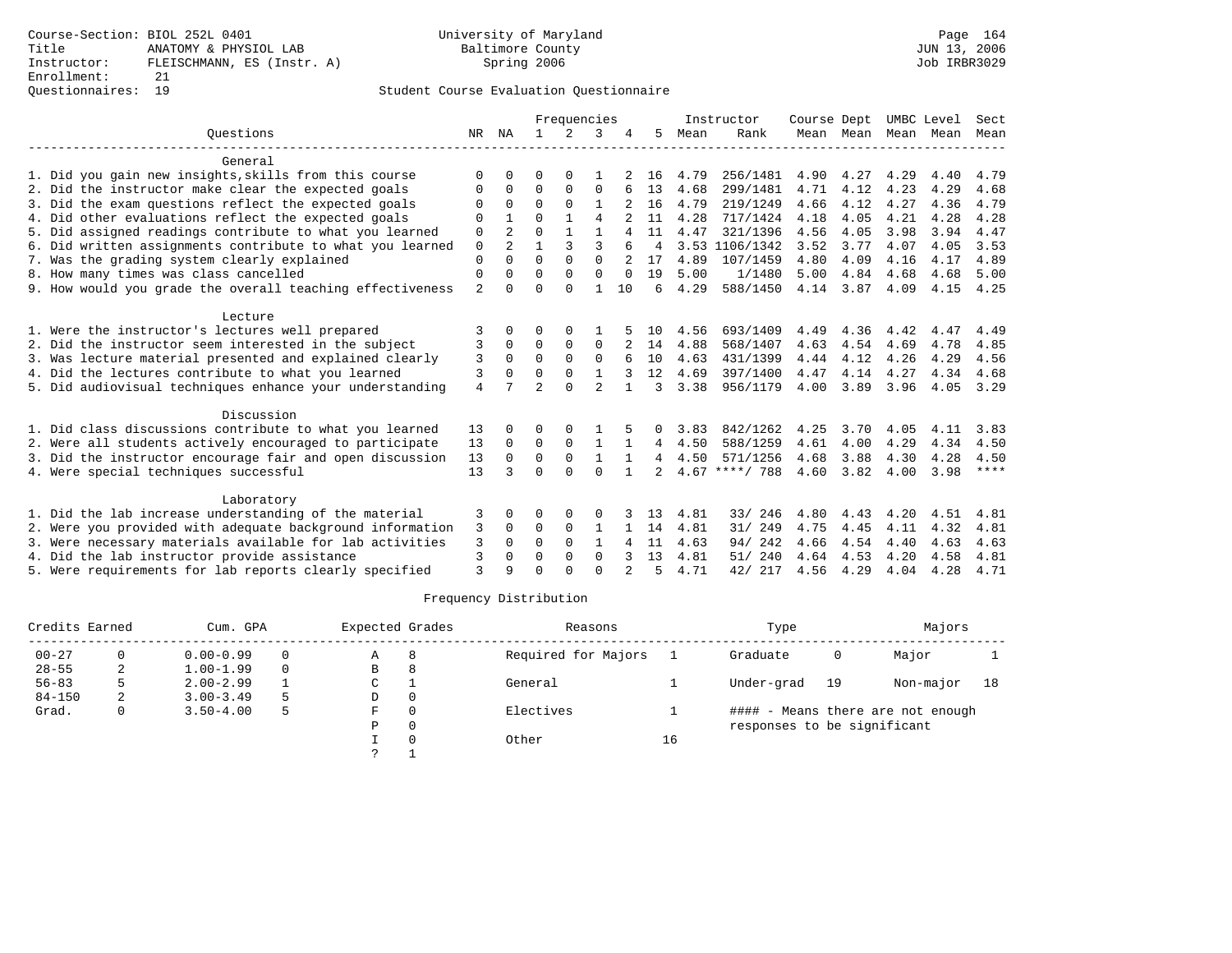### Questionnaires: 19 Student Course Evaluation Questionnaire

|                                                           |                |                |                | Frequencies |                |          |                |      | Instructor       | Course Dept |      |                     | UMBC Level | Sect        |
|-----------------------------------------------------------|----------------|----------------|----------------|-------------|----------------|----------|----------------|------|------------------|-------------|------|---------------------|------------|-------------|
| Ouestions                                                 | NR             | NA             | 1.             | 2           | 3              |          | 5              | Mean | Rank             |             |      | Mean Mean Mean Mean |            | Mean        |
| General                                                   |                |                |                |             |                |          |                |      |                  |             |      |                     |            |             |
| 1. Did you gain new insights, skills from this course     | $\Omega$       |                | 0              | 0           |                |          | 16             | 4.79 | 256/1481         | 4.90        | 4.27 | 4.29                | 4.40       | 4.79        |
| 2. Did the instructor make clear the expected goals       | 0              | $\Omega$       | $\Omega$       | 0           | $\Omega$       |          | 13             | 4.68 | 299/1481         | 4.71        | 4.12 | 4.23                | 4.29       | 4.68        |
| 3. Did the exam questions reflect the expected goals      | $\Omega$       | $\Omega$       | $\Omega$       | $\Omega$    | 1              |          | 16             | 4.79 | 219/1249         | 4.66        | 4.12 | 4.27                | 4.36       | 4.79        |
| 4. Did other evaluations reflect the expected goals       | $\Omega$       |                | $\Omega$       |             | $\overline{4}$ |          | 11             | 4.28 | 717/1424         | 4.18        | 4.05 | 4.21                | 4.28       | 4.28        |
| 5. Did assigned readings contribute to what you learned   | 0              | 2              | $\Omega$       |             | 1              |          | 11             | 4.47 | 321/1396         | 4.56        | 4.05 | 3.98                | 3.94       | 4.47        |
| 6. Did written assignments contribute to what you learned | $\mathbf 0$    | $\mathfrak{D}$ | 1              | 3           | 3              |          | $\overline{4}$ |      | 3.53 1106/1342   | 3.52        | 3.77 | 4.07                | 4.05       | 3.53        |
| 7. Was the grading system clearly explained               | $\Omega$       |                | $\Omega$       | $\Omega$    | $\Omega$       |          | 17             | 4.89 | 107/1459         | 4.80        | 4.09 | 4.16                | 4.17       | 4.89        |
| 8. How many times was class cancelled                     | 0              | 0              | $\Omega$       | $\Omega$    | $\Omega$       | $\Omega$ | 19             | 5.00 | 1/1480           | 5.00        | 4.84 | 4.68                | 4.68       | 5.00        |
| 9. How would you grade the overall teaching effectiveness | $\overline{2}$ | U              | $\Omega$       | $\cap$      | 1              | 10       | 6              | 4.29 | 588/1450         | 4.14        | 3.87 | 4.09                | 4.15       | 4.25        |
| Lecture                                                   |                |                |                |             |                |          |                |      |                  |             |      |                     |            |             |
| 1. Were the instructor's lectures well prepared           | 3              |                | O              | $\Omega$    |                |          | 1 N            | 4.56 | 693/1409         | 4.49        | 4.36 | 4.42                | 4.47       | 4.49        |
| 2. Did the instructor seem interested in the subject      | 3              | 0              | $\Omega$       | 0           | $\Omega$       |          | 14             | 4.88 | 568/1407         | 4.63        | 4.54 | 4.69                | 4.78       | 4.85        |
| 3. Was lecture material presented and explained clearly   | 3              | $\Omega$       | $\Omega$       | $\Omega$    | $\Omega$       |          | 10             | 4.63 | 431/1399         | 4.44        | 4.12 | 4.26                | 4.29       | 4.56        |
| 4. Did the lectures contribute to what you learned        | 3              | 0              | $\Omega$       | $\Omega$    |                |          | 12             | 4.69 | 397/1400         | 4.47        | 4.14 | 4.27                | 4.34       | 4.68        |
| 5. Did audiovisual techniques enhance your understanding  | $\overline{4}$ |                | $\overline{a}$ | $\cap$      | $\overline{2}$ |          | ζ              | 3.38 | 956/1179         | 4.00        | 3.89 | 3.96                | 4.05       | 3.29        |
| Discussion                                                |                |                |                |             |                |          |                |      |                  |             |      |                     |            |             |
| 1. Did class discussions contribute to what you learned   | 13             |                | 0              |             |                |          | $\Omega$       | 3.83 | 842/1262         | 4.25        | 3.70 | 4.05                | 4.11       | 3.83        |
| 2. Were all students actively encouraged to participate   | 13             | $\Omega$       | $\mathbf 0$    | $\mathbf 0$ | $\mathbf{1}$   |          | 4              | 4.50 | 588/1259         | 4.61        | 4.00 | 4.29                | 4.34       | 4.50        |
| 3. Did the instructor encourage fair and open discussion  | 13             | $\Omega$       | $\Omega$       | $\Omega$    | $\mathbf{1}$   |          | $\overline{4}$ | 4.50 | 571/1256         | 4.68        | 3.88 | 4.30                | 4.28       | 4.50        |
| 4. Were special techniques successful                     | 13             | ς              | $\Omega$       | $\Omega$    | $\Omega$       |          | $\overline{a}$ |      | $4.67$ ****/ 788 | 4.60        | 3.82 | 4.00                | 3.98       | $***$ * * * |
| Laboratory                                                |                |                |                |             |                |          |                |      |                  |             |      |                     |            |             |
| 1. Did the lab increase understanding of the material     | 3              | 0              | O              | 0           | $\Omega$       |          | 13             | 4.81 | 33/ 246          | 4.80        | 4.43 | 4.20                | 4.51       | 4.81        |
| 2. Were you provided with adequate background information | 3              | $\Omega$       | 0              | $\Omega$    | 1              |          | 14             | 4.81 | 31/ 249          | 4.75        | 4.45 | 4.11                | 4.32       | 4.81        |
| 3. Were necessary materials available for lab activities  | 3              | $\Omega$       | $\Omega$       | $\Omega$    | $\mathbf{1}$   | 4        | 11             | 4.63 | 94/242           | 4.66        | 4.54 | 4.40                | 4.63       | 4.63        |
| 4. Did the lab instructor provide assistance              | 3              | 0              | $\Omega$       | $\Omega$    | $\Omega$       |          | 13             | 4.81 | 51/ 240          | 4.64        | 4.53 | 4.20                | 4.58       | 4.81        |
| 5. Were requirements for lab reports clearly specified    | 3              | Q              | $\cap$         | $\cap$      | $\cap$         |          | 5              | 4.71 | 42/ 217          | 4.56        | 4.29 | 4.04                | 4.28       | 4.71        |

| Credits Earned |    | Cum. GPA      |          | Expected Grades |          | Reasons             |    | Type                        |    | Majors                            |    |
|----------------|----|---------------|----------|-----------------|----------|---------------------|----|-----------------------------|----|-----------------------------------|----|
| $00 - 27$      |    | $0.00 - 0.99$ | 0        | A               | 8        | Required for Majors |    | Graduate                    | 0  | Major                             |    |
| $28 - 55$      | 2  | $1.00 - 1.99$ | $\Omega$ | B               | 8        |                     |    |                             |    |                                   |    |
| $56 - 83$      | 5. | $2.00 - 2.99$ |          | C               |          | General             |    | Under-grad                  | 19 | Non-major                         | 18 |
| $84 - 150$     | 2. | $3.00 - 3.49$ | 5        | D               | $\Omega$ |                     |    |                             |    |                                   |    |
| Grad.          | 0  | $3.50 - 4.00$ | 5        | F.              |          | Electives           |    |                             |    | #### - Means there are not enough |    |
|                |    |               |          | P               | $\Omega$ |                     |    | responses to be significant |    |                                   |    |
|                |    |               |          |                 |          | Other               | 16 |                             |    |                                   |    |
|                |    |               |          |                 |          |                     |    |                             |    |                                   |    |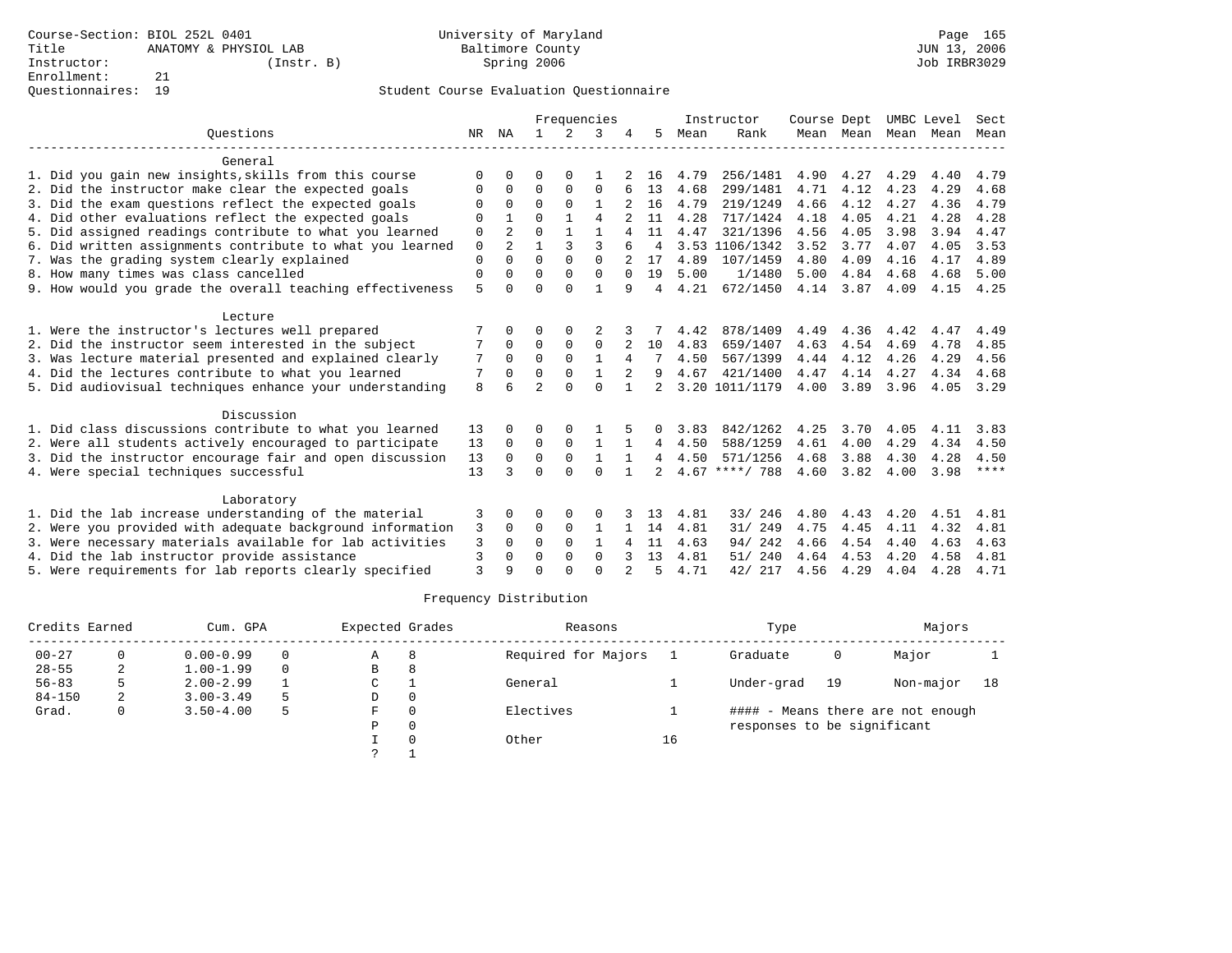|                                                           |          |                |                |              | Frequencies  |                |                |      | Instructor       | Course Dept |      | UMBC Level          |      | Sect        |
|-----------------------------------------------------------|----------|----------------|----------------|--------------|--------------|----------------|----------------|------|------------------|-------------|------|---------------------|------|-------------|
| Ouestions                                                 | NR       | ΝA             | $\mathbf{1}$   | 2            | 3            |                | 5              | Mean | Rank             |             |      | Mean Mean Mean Mean |      | Mean        |
| General                                                   |          |                |                |              |              |                |                |      |                  |             |      |                     |      |             |
| 1. Did you gain new insights, skills from this course     | O        | $\Omega$       | 0              | 0            |              |                | 16             | 4.79 | 256/1481         | 4.90        | 4.27 | 4.29                | 4.40 | 4.79        |
| 2. Did the instructor make clear the expected goals       | O        | $\Omega$       | $\Omega$       | $\Omega$     | $\Omega$     |                | 13             | 4.68 | 299/1481         | 4.71        | 4.12 | 4.23                | 4.29 | 4.68        |
| 3. Did the exam questions reflect the expected goals      | O        | $\Omega$       | $\Omega$       | $\Omega$     | $\mathbf{1}$ |                | 16             | 4.79 | 219/1249         | 4.66        | 4.12 | 4.27                | 4.36 | 4.79        |
| 4. Did other evaluations reflect the expected goals       | $\Omega$ | $\mathbf{1}$   | U              | $\mathbf{1}$ | 4            |                | 11             | 4.28 | 717/1424         | 4.18        | 4.05 | 4.21                | 4.28 | 4.28        |
| 5. Did assigned readings contribute to what you learned   | 0        | 2              | $\Omega$       | $\mathbf{1}$ |              | 4              | 11             | 4.47 | 321/1396         | 4.56        | 4.05 | 3.98                | 3.94 | 4.47        |
| 6. Did written assignments contribute to what you learned | 0        | $\overline{a}$ |                | 3            | 3            |                | 4              |      | 3.53 1106/1342   | 3.52        | 3.77 | 4.07                | 4.05 | 3.53        |
| 7. Was the grading system clearly explained               | 0        | 0              | $\Omega$       | $\Omega$     | $\Omega$     |                | 17             | 4.89 | 107/1459         | 4.80        | 4.09 | 4.16                | 4.17 | 4.89        |
| 8. How many times was class cancelled                     | 0        | $\Omega$       | $\Omega$       | $\Omega$     | $\Omega$     | $\Omega$       | 19             | 5.00 | 1/1480           | 5.00        | 4.84 | 4.68                | 4.68 | 5.00        |
| 9. How would you grade the overall teaching effectiveness | 5        | $\Omega$       | O              | $\Omega$     |              | 9              | 4              | 4.21 | 672/1450         | 4.14        | 3.87 | 4.09                | 4.15 | 4.25        |
| Lecture                                                   |          |                |                |              |              |                |                |      |                  |             |      |                     |      |             |
| 1. Were the instructor's lectures well prepared           |          |                | 0              | 0            |              |                |                | 4.42 | 878/1409         | 4.49        | 4.36 | 4.42                | 4.47 | 4.49        |
| 2. Did the instructor seem interested in the subject      |          | $\Omega$       | $\Omega$       | $\Omega$     | $\Omega$     |                | 10             | 4.83 | 659/1407         | 4.63        | 4.54 | 4.69                | 4.78 | 4.85        |
| 3. Was lecture material presented and explained clearly   | 7        | $\Omega$       | $\Omega$       | $\Omega$     | $\mathbf{1}$ | 4              |                | 4.50 | 567/1399         | 4.44        | 4.12 | 4.26                | 4.29 | 4.56        |
| 4. Did the lectures contribute to what you learned        | 7        | 0              | U              | $\Omega$     |              | 2              | 9              | 4.67 | 421/1400         | 4.47        | 4.14 | 4.27                | 4.34 | 4.68        |
| 5. Did audiovisual techniques enhance your understanding  | 8        | б              | $\mathfrak{D}$ | $\Omega$     | $\Omega$     | $\mathbf{1}$   | $\mathfrak{D}$ |      | 3.20 1011/1179   | 4.00        | 3.89 | 3.96                | 4.05 | 3.29        |
| Discussion                                                |          |                |                |              |              |                |                |      |                  |             |      |                     |      |             |
| 1. Did class discussions contribute to what you learned   | 13       | 0              | O              |              |              |                |                | 3.83 | 842/1262         | 4.25        | 3.70 | 4.05                | 4.11 | 3.83        |
| 2. Were all students actively encouraged to participate   | 13       | $\mathbf 0$    | 0              | $\mathbf 0$  | 1            |                | 4              | 4.50 | 588/1259         | 4.61        | 4.00 | 4.29                | 4.34 | 4.50        |
| 3. Did the instructor encourage fair and open discussion  | 13       | $\Omega$       | $\Omega$       | $\mathbf 0$  | $\mathbf{1}$ | $\mathbf{1}$   | 4              | 4.50 | 571/1256         | 4.68        | 3.88 | 4.30                | 4.28 | 4.50        |
| 4. Were special techniques successful                     | 13       | 3              | O              | $\Omega$     | $\Omega$     |                | $\mathfrak{D}$ |      | $4.67$ ****/ 788 | 4.60        | 3.82 | 4.00                | 3.98 | $***$ * * * |
| Laboratory                                                |          |                |                |              |              |                |                |      |                  |             |      |                     |      |             |
| 1. Did the lab increase understanding of the material     | 3        | $\Omega$       | 0              | $\Omega$     | $\Omega$     |                | 13             | 4.81 | 33/ 246          | 4.80        | 4.43 | 4.20                | 4.51 | 4.81        |
| 2. Were you provided with adequate background information | 3        | $\Omega$       | $\Omega$       | $\Omega$     | $\mathbf{1}$ |                | 14             | 4.81 | 31/249           | 4.75        | 4.45 | 4.11                | 4.32 | 4.81        |
| 3. Were necessary materials available for lab activities  | 3        | $\Omega$       | $\Omega$       | $\Omega$     | $\mathbf{1}$ | 4              | 11             | 4.63 | 94/242           | 4.66        | 4.54 | 4.40                | 4.63 | 4.63        |
| 4. Did the lab instructor provide assistance              | 3        | $\Omega$       | O              | $\Omega$     | $\Omega$     |                | 13             | 4.81 | 51/240           | 4.64        | 4.53 | 4.20                | 4.58 | 4.81        |
| 5. Were requirements for lab reports clearly specified    | 3        | 9              | O              | U            | $\Omega$     | $\mathfrak{D}$ | 5              | 4.71 | 42/ 217          | 4.56        | 4.29 | 4.04                | 4.28 | 4.71        |

| Credits Earned |   | Cum. GPA      |          | Expected Grades |   | Reasons             |    | Type                        |    | Majors                            |    |
|----------------|---|---------------|----------|-----------------|---|---------------------|----|-----------------------------|----|-----------------------------------|----|
| $00 - 27$      |   | $0.00 - 0.99$ | $\Omega$ | Α               | 8 | Required for Majors |    | Graduate                    | 0  | Major                             |    |
| $28 - 55$      | 2 | $1.00 - 1.99$ | $\Omega$ | В               | 8 |                     |    |                             |    |                                   |    |
| $56 - 83$      |   | $2.00 - 2.99$ |          | C               |   | General             |    | Under-grad                  | 19 | Non-major                         | 18 |
| $84 - 150$     | 2 | $3.00 - 3.49$ | 5        | D               |   |                     |    |                             |    |                                   |    |
| Grad.          | 0 | $3.50 - 4.00$ | 5        | F               |   | Electives           |    |                             |    | #### - Means there are not enough |    |
|                |   |               |          | P               |   |                     |    | responses to be significant |    |                                   |    |
|                |   |               |          |                 |   | Other               | 16 |                             |    |                                   |    |
|                |   |               |          | っ               |   |                     |    |                             |    |                                   |    |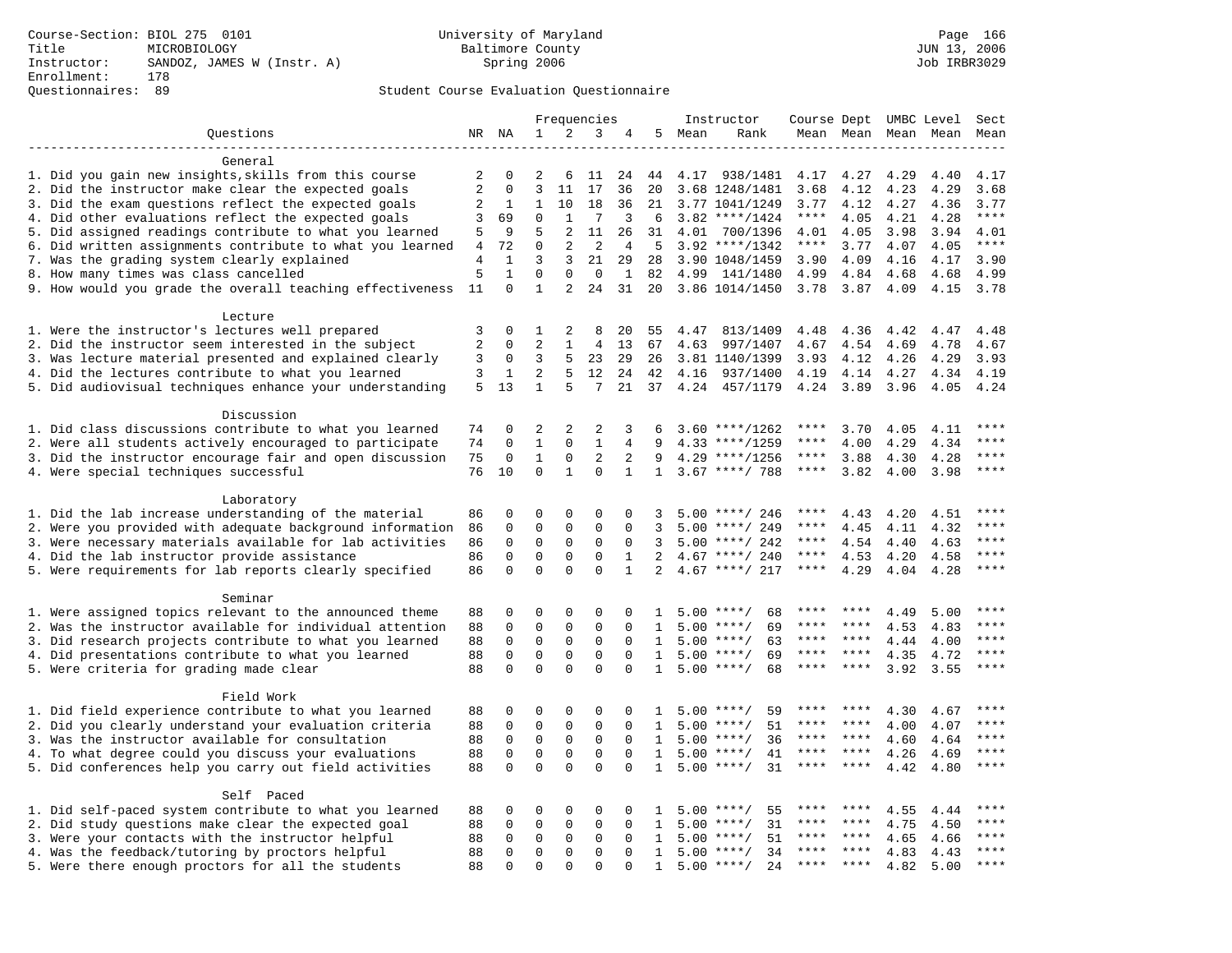|                                                                                                                     |          |                          |                             |                  | Frequencies          |                    |                |      | Instructor          | Course Dept UMBC Level |           |      |              | Sect        |
|---------------------------------------------------------------------------------------------------------------------|----------|--------------------------|-----------------------------|------------------|----------------------|--------------------|----------------|------|---------------------|------------------------|-----------|------|--------------|-------------|
| Questions                                                                                                           |          | NR NA                    | $\mathbf{1}$                | 2                | 3                    |                    | 5              | Mean | Rank                |                        | Mean Mean |      | Mean Mean    | Mean        |
|                                                                                                                     |          |                          |                             |                  |                      |                    |                |      |                     |                        |           |      |              |             |
| General                                                                                                             |          |                          |                             |                  |                      |                    |                |      |                     |                        |           |      |              |             |
| 1. Did you gain new insights, skills from this course                                                               | 2        | 0                        | 2                           | 6                | 11                   | 24                 | 44             |      | 4.17 938/1481       | 4.17                   | 4.27      | 4.29 | 4.40         | 4.17        |
| 2. Did the instructor make clear the expected goals                                                                 | 2        | $\mathbf 0$              | 3                           | 11               | 17                   | 36                 | 20             |      | 3.68 1248/1481      | 3.68                   | 4.12      | 4.23 | 4.29         | 3.68        |
| 3. Did the exam questions reflect the expected goals                                                                | 2        | $\mathbf{1}$             | $\mathbf{1}$                | 10               | 18                   | 36                 | 21             |      | 3.77 1041/1249      | 3.77                   | 4.12      | 4.27 | 4.36         | 3.77        |
| 4. Did other evaluations reflect the expected goals                                                                 | 3        | 69                       | $\mathbf 0$                 | $\mathbf{1}$     | 7                    | 3                  | 6              |      | $3.82$ ****/1424    | $***$ * * *            | 4.05      | 4.21 | 4.28         | $***$       |
| 5. Did assigned readings contribute to what you learned                                                             | 5        | 9                        | 5                           | 2                | 11                   | 26                 | 31             | 4.01 | 700/1396            | 4.01                   | 4.05      | 3.98 | 3.94         | 4.01        |
| 6. Did written assignments contribute to what you learned                                                           | 4        | 72                       | $\mathbf 0$                 | 2                | 2                    | 4                  | 5              |      | $3.92$ ****/1342    | $***$ * * *            | 3.77      | 4.07 | 4.05         | $***$       |
| 7. Was the grading system clearly explained                                                                         | 4        | $\mathbf{1}$             | 3                           | 3                | 21                   | 29                 | 28             |      | 3.90 1048/1459      | 3.90                   | 4.09      | 4.16 | 4.17         | 3.90        |
| 8. How many times was class cancelled                                                                               | 5<br>11  | $\mathbf{1}$<br>$\Omega$ | $\mathbf 0$<br>$\mathbf{1}$ | $\mathbf 0$<br>2 | $\overline{0}$<br>24 | $\mathbf{1}$<br>31 | 82             | 4.99 | 141/1480            | 4.99                   | 4.84      | 4.68 | 4.68         | 4.99        |
| 9. How would you grade the overall teaching effectiveness                                                           |          |                          |                             |                  |                      |                    | 20             |      | 3.86 1014/1450      | 3.78                   | 3.87      | 4.09 | 4.15         | 3.78        |
| Lecture                                                                                                             |          |                          |                             |                  |                      |                    |                |      |                     |                        |           |      |              |             |
| 1. Were the instructor's lectures well prepared                                                                     | 3        | $\Omega$                 | $\mathbf{1}$                | 2                | 8                    | 20                 | 55             | 4.47 | 813/1409            | 4.48                   | 4.36      | 4.42 | 4.47         | 4.48        |
| 2. Did the instructor seem interested in the subject                                                                | 2        | 0                        | $\overline{a}$              | $\mathbf{1}$     | 4                    | 13                 | 67             | 4.63 | 997/1407            | 4.67                   | 4.54      | 4.69 | 4.78         | 4.67        |
| 3. Was lecture material presented and explained clearly                                                             | 3        | 0                        | 3                           | 5                | 23                   | 29                 | 26             |      | 3.81 1140/1399      | 3.93                   | 4.12      | 4.26 | 4.29         | 3.93        |
| 4. Did the lectures contribute to what you learned                                                                  | 3        | 1                        | $\overline{a}$              | 5                | 12                   | 24                 | 42             | 4.16 | 937/1400            | 4.19                   | 4.14      | 4.27 | 4.34         | 4.19        |
| 5. Did audiovisual techniques enhance your understanding                                                            | 5        | 13                       | $\mathbf{1}$                | 5                | 7                    | 21                 | 37             | 4.24 | 457/1179            | 4.24                   | 3.89      | 3.96 | 4.05         | 4.24        |
|                                                                                                                     |          |                          |                             |                  |                      |                    |                |      |                     |                        |           |      |              |             |
| Discussion                                                                                                          |          |                          |                             |                  |                      |                    |                |      |                     |                        |           |      |              |             |
| 1. Did class discussions contribute to what you learned                                                             | 74       | 0                        | 2                           | $\overline{2}$   | 2                    | 3                  | 6              |      | $3.60$ ****/1262    | ****                   | 3.70      | 4.05 | 4.11         | ****        |
| 2. Were all students actively encouraged to participate                                                             | 74       | 0                        | $\mathbf 1$                 | $\Omega$         | $\mathbf{1}$         | 4                  | 9              |      | $4.33$ ****/1259    | ****                   | 4.00      | 4.29 | 4.34         | ****        |
| 3. Did the instructor encourage fair and open discussion                                                            | 75       | $\mathbf 0$              | $\mathbf{1}$                | $\mathbf 0$      | 2                    | 2                  | 9              |      | $4.29$ ****/1256    | $***$ * *              | 3.88      | 4.30 | 4.28         | ****        |
| 4. Were special techniques successful                                                                               | 76       | 10                       | $\Omega$                    | $\mathbf{1}$     | $\Omega$             | $\mathbf{1}$       | $\mathbf{1}$   |      | $3.67$ ****/ 788    | $***$ * * *            | 3.82      | 4.00 | 3.98         | $***$       |
|                                                                                                                     |          |                          |                             |                  |                      |                    |                |      |                     |                        |           |      |              |             |
| Laboratory                                                                                                          |          |                          |                             |                  |                      |                    |                |      |                     |                        |           |      |              |             |
| 1. Did the lab increase understanding of the material                                                               | 86       | $\Omega$                 | $\Omega$                    | $\Omega$         | $\Omega$             | $\Omega$           | 3              |      | $5.00$ ****/ 246    | ****                   | 4.43      | 4.20 | 4.51         | ****        |
| 2. Were you provided with adequate background information                                                           | 86       | 0                        | 0                           | $\mathbf{0}$     | $\mathbf{0}$         | $\mathbf 0$        | 3              | 5.00 | ****/ 249           | ****                   | 4.45      | 4.11 | 4.32         | ****        |
| 3. Were necessary materials available for lab activities                                                            | 86       | 0                        | $\mathsf 0$                 | $\mathsf 0$      | $\mathsf 0$          | $\mathbf 0$        | 3              |      | $5.00$ ****/ 242    | ****                   | 4.54      | 4.40 | 4.63         | $***$       |
| 4. Did the lab instructor provide assistance                                                                        | 86       | 0                        | $\mathbf 0$                 | $\mathbf 0$      | $\mathbf 0$          | 1                  | 2              |      | $4.67$ ****/ 240    | $***$ * * *            | 4.53      | 4.20 | 4.58         | $***$ * * * |
| 5. Were requirements for lab reports clearly specified                                                              | 86       | $\mathbf 0$              | $\mathbf 0$                 | $\Omega$         | $\Omega$             | $\mathbf{1}$       | $\overline{2}$ |      | $4.67$ ****/ 217    | ****                   | 4.29      | 4.04 | 4.28         | $***$ * * * |
|                                                                                                                     |          |                          |                             |                  |                      |                    |                |      |                     |                        |           |      |              |             |
| Seminar                                                                                                             |          | 0                        | 0                           | 0                | 0                    | $\Omega$           |                |      | $5.00$ ****/<br>68  |                        |           | 4.49 |              | ****        |
| 1. Were assigned topics relevant to the announced theme<br>2. Was the instructor available for individual attention | 88<br>88 | 0                        | $\mathbf 0$                 | $\mathbf 0$      | $\mathbf{0}$         | $\Omega$           | 1<br>1         |      | $5.00$ ****/<br>69  | ****                   | ****      | 4.53 | 5.00<br>4.83 | ****        |
| 3. Did research projects contribute to what you learned                                                             | 88       | $\mathbf 0$              | $\mathbf 0$                 | $\mathbf 0$      | $\mathbf{0}$         | $\mathbf 0$        | $\mathbf{1}$   |      | 63<br>$5.00$ ****/  | ****                   | ****      | 4.44 | 4.00         | ****        |
| 4. Did presentations contribute to what you learned                                                                 | 88       | $\mathbf 0$              | $\mathbf 0$                 | $\mathbf{0}$     | $\mathbf{0}$         | $\Omega$           | $\mathbf{1}$   | 5.00 | $***/$<br>69        | $***$ * *              | ****      | 4.35 | 4.72         | $***$ * * * |
| 5. Were criteria for grading made clear                                                                             | 88       | $\Omega$                 | $\Omega$                    | $\Omega$         | $\Omega$             | $\Omega$           | $\mathbf{1}$   |      | $5.00$ ****/<br>68  | $***$ * *              | $***$ *   | 3.92 | 3.55         | ****        |
|                                                                                                                     |          |                          |                             |                  |                      |                    |                |      |                     |                        |           |      |              |             |
| Field Work                                                                                                          |          |                          |                             |                  |                      |                    |                |      |                     |                        |           |      |              |             |
| 1. Did field experience contribute to what you learned                                                              | 88       | 0                        | 0                           | $\mathsf 0$      | $\mathsf 0$          | $\mathbf 0$        | 1              |      | $5.00$ ****/<br>59  | ****                   | ****      | 4.30 | 4.67         | ****        |
| 2. Did you clearly understand your evaluation criteria                                                              | 88       | 0                        | $\mathsf 0$                 | 0                | $\mathbf 0$          | $\mathbf 0$        | 1              |      | $5.00$ ****/<br>51  | ****                   | ****      | 4.00 | 4.07         | ****        |
| 3. Was the instructor available for consultation                                                                    | 88       | $\Omega$                 | $\mathbf 0$                 | $\mathbf 0$      | $\mathbf 0$          | $\Omega$           | 1              |      | $5.00$ ****/<br>36  | ****                   | ****      | 4.60 | 4.64         | ****        |
| 4. To what degree could you discuss your evaluations                                                                | 88       | $\mathbf 0$              | 0                           | $\mathbf 0$      | $\mathbf 0$          | $\mathbf 0$        | 1              | 5.00 | 41<br>$***$ /       | ****                   | ****      | 4.26 | 4.69         | $***$       |
| 5. Did conferences help you carry out field activities                                                              | 88       | $\Omega$                 | $\Omega$                    | $\Omega$         | $\Omega$             | $\Omega$           | $\mathbf{1}$   | 5.00 | 31<br>$***/$        | ****                   | ****      | 4.42 | 4.80         | ****        |
|                                                                                                                     |          |                          |                             |                  |                      |                    |                |      |                     |                        |           |      |              |             |
| Self Paced                                                                                                          |          |                          |                             |                  |                      |                    |                |      |                     |                        |           |      |              |             |
| 1. Did self-paced system contribute to what you learned                                                             | 88       | 0                        | 0                           | 0                | $\mathbf{0}$         | $\mathbf 0$        | 1              |      | 55<br>$5.00$ ****/  |                        |           | 4.55 | 4.44         | * * * *     |
| 2. Did study questions make clear the expected goal                                                                 | 88       | 0                        | 0                           | $\mathbf 0$      | $\mathbf{0}$         | $\mathbf 0$        | 1              | 5.00 | 31<br>$***/$        | ****                   | ****      | 4.75 | 4.50         | * * * *     |
| 3. Were your contacts with the instructor helpful                                                                   | 88       | 0                        | $\mathbf 0$                 | 0                | $\mathbf{0}$         | $\Omega$           | 1              | 5.00 | 51<br>$***$ /       | ****                   | ****      | 4.65 | 4.66         | ****        |
| 4. Was the feedback/tutoring by proctors helpful                                                                    | 88       | $\Omega$                 | $\Omega$                    | $\Omega$         | $\Omega$             | $\Omega$           | $\mathbf{1}$   |      | $5.00$ ****/<br>34  | ****                   | ****      | 4.83 | 4.43         | ****        |
| 5. Were there enough proctors for all the students                                                                  | 88       | $\Omega$                 | $\Omega$                    | $\Omega$         | $\Omega$             | $\Omega$           | $\mathbf{1}$   |      | 2.4<br>$5.00$ ****/ | ****                   | ****      | 4.82 | 5.00         | ****        |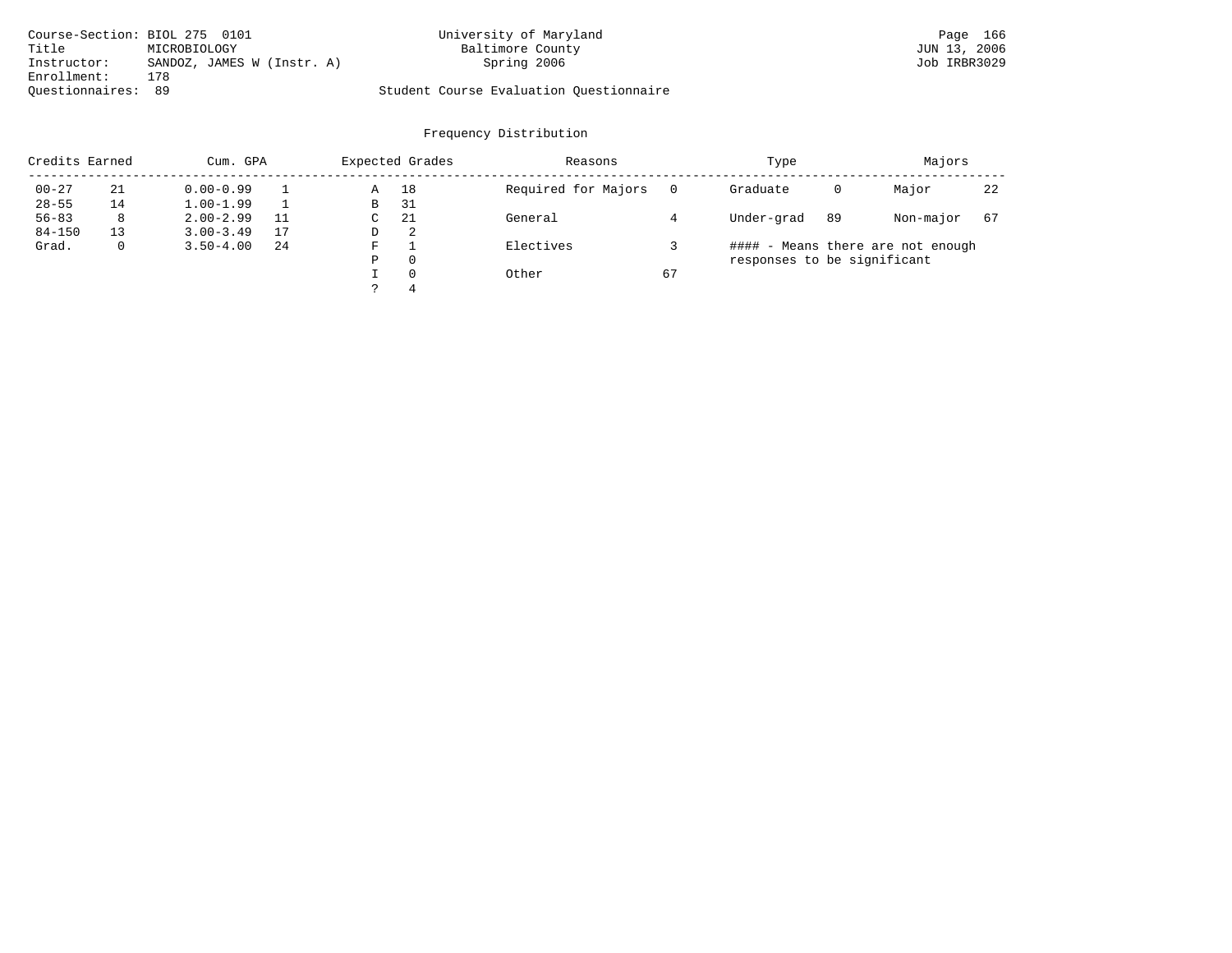| Course-Section: BIOL 275 0101 |                            | University of Maryland                  | Page 166     |
|-------------------------------|----------------------------|-----------------------------------------|--------------|
| Title                         | MICROBIOLOGY               | Baltimore County                        | JUN 13, 2006 |
| Instructor:                   | SANDOZ, JAMES W (Instr. A) | Spring 2006                             | Job IRBR3029 |
| Enrollment:                   | 178                        |                                         |              |
| Ouestionnaires: 89            |                            | Student Course Evaluation Ouestionnaire |              |

| Credits Earned |    | Cum. GPA            |    |   | Expected Grades | Reasons             |    | Type                              |    | Majors    |    |
|----------------|----|---------------------|----|---|-----------------|---------------------|----|-----------------------------------|----|-----------|----|
| $00 - 27$      | 21 | $0.00 - 0.99$       |    | Α | 18              | Required for Majors |    | Graduate                          | 0  | Major     | 22 |
| $28 - 55$      | 14 | $1.00 - 1.99$       |    | В | -31             |                     |    |                                   |    |           |    |
| $56 - 83$      | 8  | $2.00 - 2.99$       | 11 | C | 21              | General             |    | Under-grad                        | 89 | Non-major | 67 |
| $84 - 150$     | 13 | $3.00 - 3.49$       | 17 | D | -2              |                     |    |                                   |    |           |    |
| Grad.<br>0     |    | $3.50 - 4.00$<br>24 |    | F |                 | Electives           |    | #### - Means there are not enough |    |           |    |
|                |    |                     |    | Ρ | 0               |                     |    | responses to be significant       |    |           |    |
|                |    |                     |    |   | $\Omega$        | Other               | 67 |                                   |    |           |    |
|                |    |                     |    |   | 4               |                     |    |                                   |    |           |    |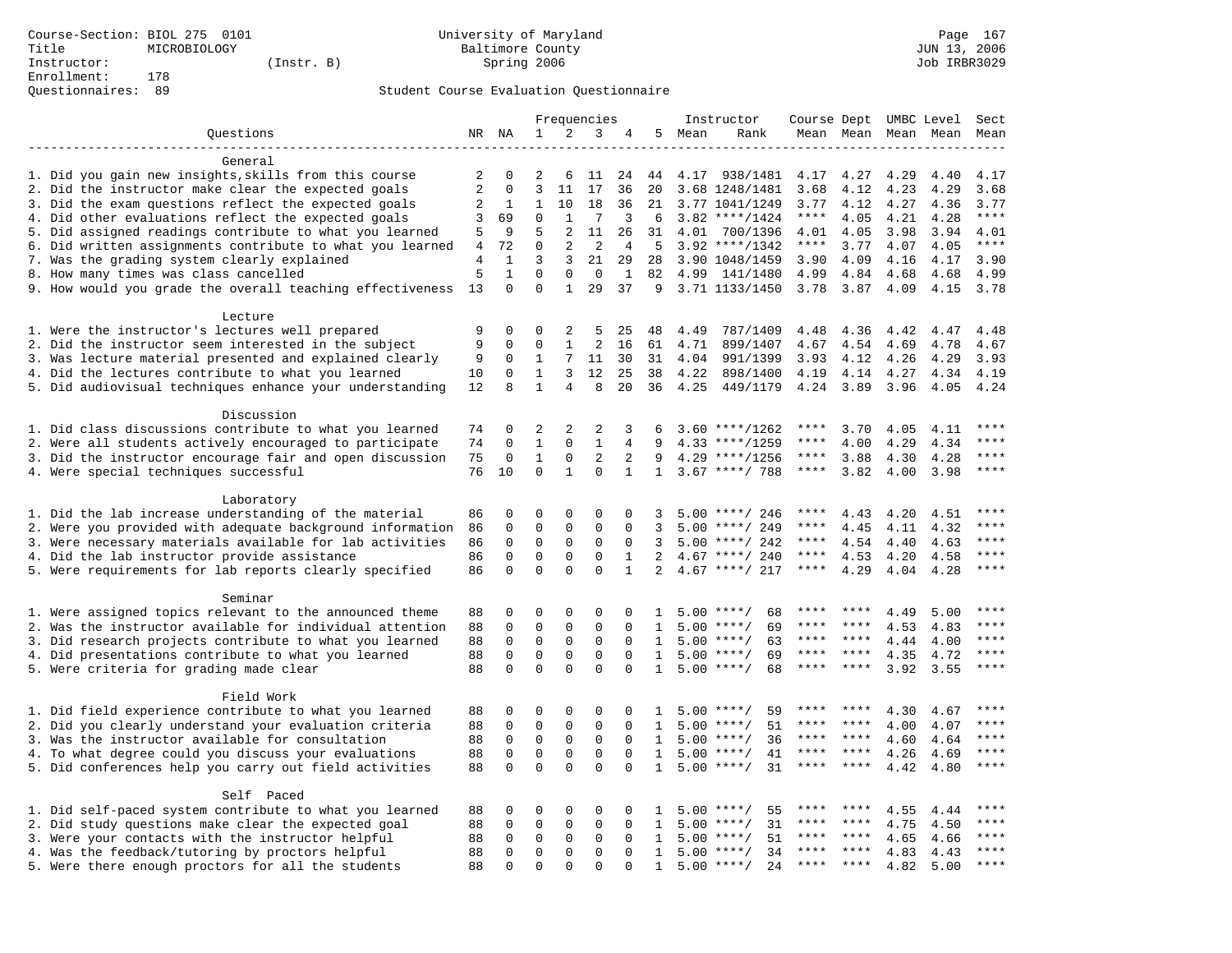# Questionnaires: 89 Student Course Evaluation Questionnaire

|                                                           |                |                              |               |                   | Frequencies       |                    |                |      | Instructor         | Course Dept UMBC Level |              |              |              | Sect         |
|-----------------------------------------------------------|----------------|------------------------------|---------------|-------------------|-------------------|--------------------|----------------|------|--------------------|------------------------|--------------|--------------|--------------|--------------|
| Questions                                                 |                | NR NA                        | $\mathbf{1}$  | 2                 | 3                 | 4                  | 5              | Mean | Rank               |                        | Mean Mean    |              | Mean Mean    | Mean         |
|                                                           |                |                              |               |                   |                   |                    |                |      |                    |                        |              |              |              |              |
| General                                                   |                |                              |               |                   |                   |                    |                |      |                    |                        |              |              |              |              |
| 1. Did you gain new insights, skills from this course     | 2              | 0                            | 2             | 6                 | 11                | 24                 | 44             |      | 4.17 938/1481      | 4.17                   | 4.27         | 4.29         | 4.40         | 4.17         |
| 2. Did the instructor make clear the expected goals       | $\overline{2}$ | $\Omega$                     | 3             | 11                | 17                | 36                 | 20             |      | 3.68 1248/1481     | 3.68                   | 4.12         | 4.23         | 4.29         | 3.68         |
| 3. Did the exam questions reflect the expected goals      | 2              | 1                            | $\mathbf{1}$  | 10                | 18                | 36                 | 21             |      | 3.77 1041/1249     | 3.77                   | 4.12         | 4.27         | 4.36         | 3.77         |
| 4. Did other evaluations reflect the expected goals       | 3              | 69                           | $\mathbf 0$   | $\mathbf{1}$      | 7                 | 3                  | 6              |      | $3.82$ ****/1424   | $***$ * * *            | 4.05         | 4.21         | 4.28         | $***$        |
| 5. Did assigned readings contribute to what you learned   | 5              | 9                            | 5             | 2                 | 11                | 26                 | 31             | 4.01 | 700/1396           | 4.01                   | 4.05         | 3.98         | 3.94         | 4.01         |
| 6. Did written assignments contribute to what you learned | 4              | 72                           | $\mathbf{0}$  | 2                 | 2                 | 4                  | 5              |      | $3.92$ ****/1342   | $***$ * * *            | 3.77         | 4.07         | 4.05         | $***$        |
| 7. Was the grading system clearly explained               | $\overline{4}$ | $\mathbf{1}$<br>$\mathbf{1}$ | 3             | 3                 | 21                | 29                 | 28             |      | 3.90 1048/1459     | 3.90                   | 4.09         | 4.16         | 4.17         | 3.90         |
| 8. How many times was class cancelled                     | 5<br>13        | $\Omega$                     | 0<br>$\Omega$ | 0<br>$\mathbf{1}$ | $\mathbf 0$<br>29 | $\mathbf{1}$<br>37 | 82<br>9        |      | 4.99 141/1480      | 4.99<br>3.78           | 4.84<br>3.87 | 4.68<br>4.09 | 4.68<br>4.15 | 4.99<br>3.78 |
| 9. How would you grade the overall teaching effectiveness |                |                              |               |                   |                   |                    |                |      | 3.71 1133/1450     |                        |              |              |              |              |
| Lecture                                                   |                |                              |               |                   |                   |                    |                |      |                    |                        |              |              |              |              |
| 1. Were the instructor's lectures well prepared           | 9              | 0                            | $\Omega$      | 2                 | 5                 | 25                 | 48             | 4.49 | 787/1409           | 4.48                   | 4.36         | 4.42         | 4.47         | 4.48         |
| 2. Did the instructor seem interested in the subject      | 9              | 0                            | $\mathbf 0$   | 1                 | $\overline{a}$    | 16                 | 61             | 4.71 | 899/1407           | 4.67                   | 4.54         | 4.69         | 4.78         | 4.67         |
| 3. Was lecture material presented and explained clearly   | 9              | 0                            | $\mathbf{1}$  | 7                 | 11                | 30                 | 31             | 4.04 | 991/1399           | 3.93                   | 4.12         | 4.26         | 4.29         | 3.93         |
| 4. Did the lectures contribute to what you learned        | 10             | $\Omega$                     | $\mathbf{1}$  | 3                 | 12                | 25                 | 38             | 4.22 | 898/1400           | 4.19                   | 4.14         | 4.27         | 4.34         | 4.19         |
| 5. Did audiovisual techniques enhance your understanding  | 12             | $\mathsf{R}$                 | $\mathbf{1}$  | 4                 | 8                 | 20                 | 36             | 4.25 | 449/1179           | 4.24                   | 3.89         | 3.96         | 4.05         | 4.24         |
|                                                           |                |                              |               |                   |                   |                    |                |      |                    |                        |              |              |              |              |
| Discussion                                                |                |                              |               |                   |                   |                    |                |      |                    |                        |              |              |              |              |
| 1. Did class discussions contribute to what you learned   | 74             | 0                            | 2             | 2                 | $\overline{2}$    | 3                  | 6              |      | $3.60$ ****/1262   | ****                   | 3.70         | 4.05         | 4.11         | ****         |
| 2. Were all students actively encouraged to participate   | 74             | $\mathbf 0$                  | $\mathbf{1}$  | $\mathbf 0$       | $\mathbf{1}$      | 4                  | 9              |      | $4.33$ ****/1259   | ****                   | 4.00         | 4.29         | 4.34         | ****         |
| 3. Did the instructor encourage fair and open discussion  | 75             | 0                            | $\mathbf{1}$  | $\mathbf 0$       | 2                 | 2                  | 9              |      | $4.29$ ****/1256   | ****                   | 3.88         | 4.30         | 4.28         | ****         |
| 4. Were special techniques successful                     | 76             | 10                           | $\mathbf 0$   | $\mathbf{1}$      | $\Omega$          | $\mathbf{1}$       | $\mathbf{1}$   |      | $3.67$ ****/ 788   | $***$ * * *            | 3.82         | 4.00         | 3.98         | $***$        |
|                                                           |                |                              |               |                   |                   |                    |                |      |                    |                        |              |              |              |              |
| Laboratory                                                |                |                              |               |                   |                   |                    |                |      |                    |                        |              |              |              |              |
| 1. Did the lab increase understanding of the material     | 86             | 0                            | $\Omega$      | $\Omega$          | $\mathbf 0$       | $\Omega$           | 3              |      | $5.00$ ****/ 246   |                        | 4.43         | 4.20         | 4.51         |              |
| 2. Were you provided with adequate background information | 86             | 0                            | $\mathbf 0$   | 0                 | $\Omega$          | $\Omega$           | 3              |      | $5.00$ ****/ 249   | ****                   | 4.45         | 4.11         | 4.32         | ****         |
| 3. Were necessary materials available for lab activities  | 86             | $\mathbf 0$                  | $\mathbf 0$   | 0                 | $\mathsf 0$       | $\mathbf 0$        | 3              |      | $5.00$ ****/ 242   | $***$ * *              | 4.54         | 4.40         | 4.63         | $***$        |
| 4. Did the lab instructor provide assistance              | 86             | 0                            | $\mathbf{0}$  | 0                 | $\mathbf 0$       | 1                  | $\overline{2}$ |      | $4.67$ ****/ 240   | ****                   | 4.53         | 4.20         | 4.58         | $***$        |
| 5. Were requirements for lab reports clearly specified    | 86             | 0                            | $\mathbf 0$   | $\Omega$          | $\mathbf 0$       | $\mathbf{1}$       | 2              |      | $4.67$ ****/ 217   | ****                   | 4.29         | 4.04         | 4.28         | ****         |
| Seminar                                                   |                |                              |               |                   |                   |                    |                |      |                    |                        |              |              |              |              |
| 1. Were assigned topics relevant to the announced theme   | 88             | 0                            | $\mathbf 0$   | $\Omega$          | $\Omega$          | $\Omega$           | -1.            |      | $5.00$ ****/<br>68 | ****                   | ****         | 4.49         | 5.00         | ****         |
| 2. Was the instructor available for individual attention  | 88             | 0                            | $\Omega$      | 0                 | $\mathbf 0$       | $\Omega$           | $\mathbf{1}$   |      | 69<br>$5.00$ ****/ | ****                   | ****         | 4.53         | 4.83         | ****         |
| 3. Did research projects contribute to what you learned   | 88             | $\mathbf 0$                  | $\mathbf 0$   | $\mathsf 0$       | $\mathsf 0$       | $\mathbf 0$        | 1              | 5.00 | $***/$<br>63       | ****                   | $* * * *$    | 4.44         | 4.00         | ****         |
| 4. Did presentations contribute to what you learned       | 88             | $\mathbf 0$                  | $\mathsf 0$   | $\mathbf 0$       | $\mathsf 0$       | $\mathbf 0$        | 1              |      | 69<br>$5.00$ ****/ | $***$ * * *            | ****         | 4.35         | 4.72         | $***$        |
| 5. Were criteria for grading made clear                   | 88             | $\Omega$                     | $\Omega$      | $\Omega$          | $\Omega$          | $\Omega$           | 1              |      | $5.00$ ****/<br>68 | ****                   | $***$ *      | 3.92         | 3.55         | $***$        |
|                                                           |                |                              |               |                   |                   |                    |                |      |                    |                        |              |              |              |              |
| Field Work                                                |                |                              |               |                   |                   |                    |                |      |                    |                        |              |              |              |              |
| 1. Did field experience contribute to what you learned    | 88             | 0                            | 0             | $\mathbf 0$       | $\mathbf 0$       | $\mathbf 0$        | 1              |      | $5.00$ ****/<br>59 | ****                   | ****         | 4.30         | 4.67         | ****         |
| 2. Did you clearly understand your evaluation criteria    | 88             | $\Omega$                     | $\mathbf 0$   | $\mathbf 0$       | $\mathbf 0$       | $\Omega$           | $\mathbf{1}$   | 5.00 | 51<br>$***$ /      | ****                   | ****         | 4.00         | 4.07         | ****         |
| 3. Was the instructor available for consultation          | 88             | $\mathbf 0$                  | $\mathbf{0}$  | $\mathbf 0$       | $\mathbf 0$       | $\Omega$           | $\mathbf{1}$   |      | 36<br>$5.00$ ****/ | ****                   | ****         | 4.60         | 4.64         | ****         |
| 4. To what degree could you discuss your evaluations      | 88             | $\mathbf 0$                  | $\mathbf 0$   | $\mathbf 0$       | $\mathbf 0$       | $\Omega$           | $\mathbf{1}$   | 5.00 | $***$ /<br>41      | ****                   | ****         | 4.26         | 4.69         | $***$        |
| 5. Did conferences help you carry out field activities    | 88             | $\Omega$                     | $\Omega$      | $\Omega$          | $\Omega$          | $\Omega$           | $\mathbf{1}$   |      | $5.00$ ****/<br>31 | ****                   | $* * * *$    | 4.42         | 4.80         | ****         |
|                                                           |                |                              |               |                   |                   |                    |                |      |                    |                        |              |              |              |              |
| Self Paced                                                |                |                              |               |                   |                   |                    |                |      |                    |                        |              |              |              |              |
| 1. Did self-paced system contribute to what you learned   | 88             | 0                            | 0             | $\mathbf 0$       | $\mathbf 0$       | $\Omega$           | 1              |      | 55<br>$5.00$ ****/ |                        |              | 4.55         | 4.44         | ****         |
| 2. Did study questions make clear the expected goal       | 88             | 0                            | $\mathbf 0$   | 0                 | $\mathbf 0$       | $\mathbf 0$        | 1              | 5.00 | 31<br>$***/$       | ****                   | ****         | 4.75         | 4.50         | ****         |
| 3. Were your contacts with the instructor helpful         | 88             | $\Omega$                     | 0             | $\mathbf 0$       | $\mathbf 0$       | $\Omega$           | 1              | 5.00 | $* * * * /$<br>51  | ****                   | ****         | 4.65         | 4.66         | ****         |
| 4. Was the feedback/tutoring by proctors helpful          | 88             | $\Omega$                     | $\mathbf{0}$  | 0                 | $\mathbf 0$       | $\Omega$           | $\mathbf{1}$   | 5.00 | $***/$<br>34       | ****                   | ****         | 4.83         | 4.43         | ****         |
| 5. Were there enough proctors for all the students        | 88             | $\Omega$                     | $\Omega$      | $\Omega$          | $\Omega$          | $\Omega$           | $\mathbf{1}$   |      | $5.00$ ****/<br>24 | ****                   |              | 4.82         | 5.00         | $***$        |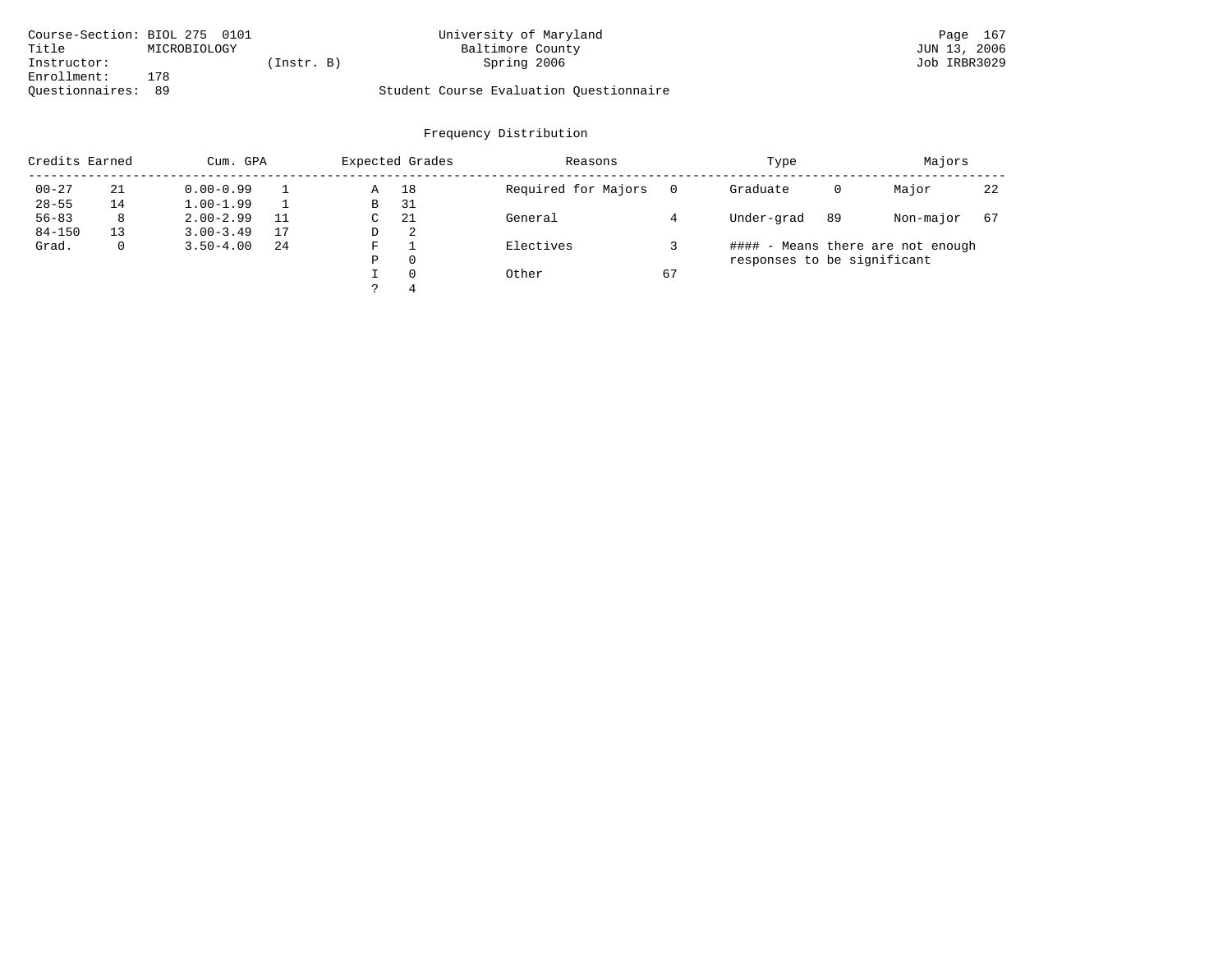| Course-Section: BIOL 275 0101 |              |           | University of Maryland                  | Page 167     |
|-------------------------------|--------------|-----------|-----------------------------------------|--------------|
| Title                         | MICROBIOLOGY |           | Baltimore County                        | JUN 13, 2006 |
| Instructor:                   |              | Instr. B) | Spring 2006                             | Job IRBR3029 |
| Enrollment:                   | 178          |           |                                         |              |
| Ouestionnaires: 89            |              |           | Student Course Evaluation Questionnaire |              |

| Credits Earned |    | Cum. GPA      |    |    | Expected Grades | Reasons             |    | Type                        |    | Majors                            |    |
|----------------|----|---------------|----|----|-----------------|---------------------|----|-----------------------------|----|-----------------------------------|----|
| $00 - 27$      | 21 | $0.00 - 0.99$ |    | Α  | 18              | Required for Majors |    | Graduate                    | 0  | Major                             | 22 |
| $28 - 55$      | 14 | $1.00 - 1.99$ |    | B  | -31             |                     |    |                             |    |                                   |    |
| $56 - 83$      | 8  | $2.00 - 2.99$ | 11 | C. | -21             | General             |    | Under-grad                  | 89 | Non-major                         | 67 |
| $84 - 150$     | 13 | $3.00 - 3.49$ | 17 | D  | 2               |                     |    |                             |    |                                   |    |
| Grad.          | 0  | $3.50 - 4.00$ | 24 | F  |                 | Electives           |    |                             |    | #### - Means there are not enough |    |
|                |    |               |    | Ρ  | 0               |                     |    | responses to be significant |    |                                   |    |
|                |    |               |    |    | $\Omega$        | Other               | 67 |                             |    |                                   |    |
|                |    |               |    |    | 4               |                     |    |                             |    |                                   |    |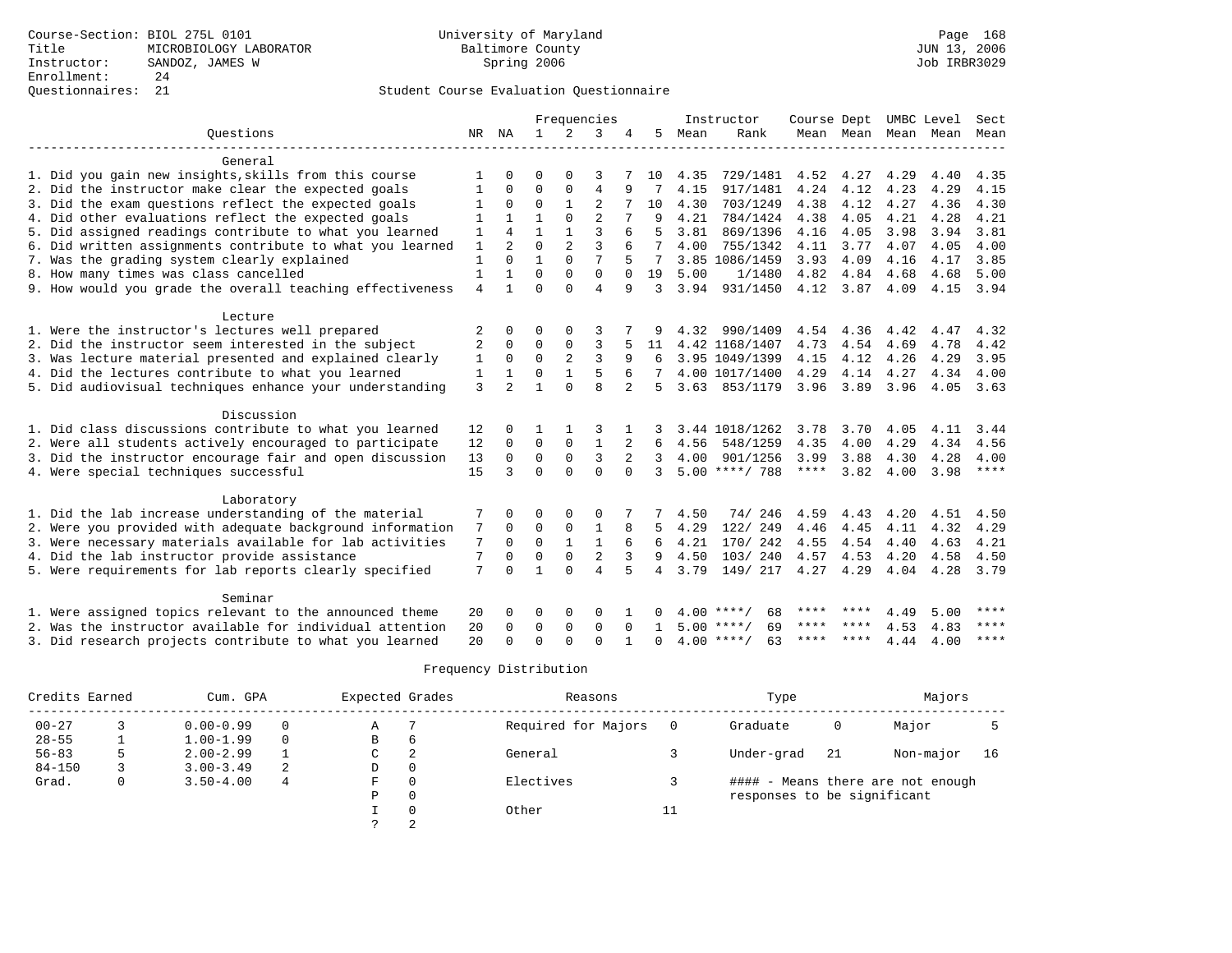## Questionnaires: 21 Student Course Evaluation Questionnaire

|                                                           |                |                |              |                | Frequencies    |          |          |      | Instructor         | Course Dept |      |                     | UMBC Level | Sect      |
|-----------------------------------------------------------|----------------|----------------|--------------|----------------|----------------|----------|----------|------|--------------------|-------------|------|---------------------|------------|-----------|
| Ouestions                                                 |                | NR NA          | $\mathbf{1}$ | $\overline{2}$ | 3              | 4        | 5        | Mean | Rank               |             |      | Mean Mean Mean Mean |            | Mean      |
|                                                           |                |                |              |                |                |          |          |      |                    |             |      |                     |            |           |
| General                                                   |                |                |              |                |                |          |          |      |                    |             |      |                     |            |           |
| 1. Did you gain new insights, skills from this course     |                | <sup>0</sup>   | O            | $\Omega$       | 3              |          | 10       | 4.35 | 729/1481           | 4.52        | 4.27 | 4.29                | 4.40       | 4.35      |
| 2. Did the instructor make clear the expected goals       | 1              | 0              | $\Omega$     | 0              | $\overline{4}$ | 9        |          | 4.15 | 917/1481           | 4.24        | 4.12 | 4.23                | 4.29       | 4.15      |
| 3. Did the exam questions reflect the expected goals      |                | $\Omega$       | $\Omega$     | $\mathbf{1}$   | $\overline{a}$ |          | 10       | 4.30 | 703/1249           | 4.38        | 4.12 | 4.27                | 4.36       | 4.30      |
| 4. Did other evaluations reflect the expected goals       |                |                | 1            | $\Omega$       | $\overline{2}$ |          | 9        | 4.21 | 784/1424           | 4.38        | 4.05 | 4.21                | 4.28       | 4.21      |
| 5. Did assigned readings contribute to what you learned   | 1              | $\overline{4}$ | 1            |                | 3              | 6        | 5        | 3.81 | 869/1396           | 4.16        | 4.05 | 3.98                | 3.94       | 3.81      |
| 6. Did written assignments contribute to what you learned | 1              | $\mathfrak{D}$ | $\Omega$     | $\overline{a}$ | 3              | 6        | 7        | 4.00 | 755/1342           | 4.11        | 3.77 | 4.07                | 4.05       | 4.00      |
| 7. Was the grading system clearly explained               | 1              | $\Omega$       | $\mathbf{1}$ | $\Omega$       | 7              | 5        | 7        |      | 3.85 1086/1459     | 3.93        | 4.09 | 4.16                | 4.17       | 3.85      |
| 8. How many times was class cancelled                     | 1              |                | $\Omega$     | $\Omega$       | $\Omega$       | $\Omega$ | 19       | 5.00 | 1/1480             | 4.82        | 4.84 | 4.68                | 4.68       | 5.00      |
| 9. How would you grade the overall teaching effectiveness | $\overline{4}$ |                | $\Omega$     | $\Omega$       | $\overline{4}$ | 9        | 3        | 3.94 | 931/1450           | 4.12        | 3.87 | 4.09                | 4.15       | 3.94      |
| Lecture                                                   |                |                |              |                |                |          |          |      |                    |             |      |                     |            |           |
| 1. Were the instructor's lectures well prepared           | 2              | 0              | 0            | $\Omega$       | 3              |          |          | 4.32 | 990/1409           | 4.54        | 4.36 | 4.42                | 4.47       | 4.32      |
| 2. Did the instructor seem interested in the subject      | $\overline{2}$ | 0              | 0            | 0              | 3              | 5        | 11       |      | 4.42 1168/1407     | 4.73        | 4.54 | 4.69                | 4.78       | 4.42      |
| 3. Was lecture material presented and explained clearly   | 1              | $\Omega$       | $\mathbf 0$  | $\overline{a}$ | 3              | 9        | 6        |      | 3.95 1049/1399     | 4.15        | 4.12 | 4.26                | 4.29       | 3.95      |
| 4. Did the lectures contribute to what you learned        | $\mathbf{1}$   | $\mathbf{1}$   | $\Omega$     | $\mathbf{1}$   | 5              | 6        |          |      | 4.00 1017/1400     | 4.29        | 4.14 | 4.27                | 4.34       | 4.00      |
| 5. Did audiovisual techniques enhance your understanding  | 3              | $\overline{2}$ | 1            | $\Omega$       | $\mathsf{R}$   |          | 5.       |      | 3.63 853/1179      | 3.96        | 3.89 | 3.96                | 4.05       | 3.63      |
|                                                           |                |                |              |                |                |          |          |      |                    |             |      |                     |            |           |
| Discussion                                                |                |                |              |                |                |          |          |      |                    |             |      |                     |            |           |
| 1. Did class discussions contribute to what you learned   | 12             | 0              | 1            |                |                |          |          |      | 3.44 1018/1262     | 3.78        | 3.70 | 4.05                | 4.11       | 3.44      |
| 2. Were all students actively encouraged to participate   | 12             | $\Omega$       | $\mathbf 0$  | $\mathbf 0$    | $\mathbf{1}$   |          | 6        | 4.56 | 548/1259           | 4.35        | 4.00 | 4.29                | 4.34       | 4.56      |
| 3. Did the instructor encourage fair and open discussion  | 13             | $\Omega$       | 0            | $\mathbf 0$    | 3              | 2        | 3        | 4.00 | 901/1256           | 3.99        | 3.88 | 4.30                | 4.28       | 4.00      |
| 4. Were special techniques successful                     | 15             | ζ              | $\Omega$     | $\Omega$       | $\Omega$       | $\Omega$ | 3        |      | $5.00$ ****/ 788   | $***$ * * * | 3.82 | 4.00                | 3.98       | ****      |
| Laboratory                                                |                |                |              |                |                |          |          |      |                    |             |      |                     |            |           |
| 1. Did the lab increase understanding of the material     | 7              | $\Omega$       | O            | $\Omega$       | $\Omega$       |          |          | 4.50 | 74/246             | 4.59        | 4.43 | 4.20                | 4.51       | 4.50      |
| 2. Were you provided with adequate background information | 7              | $\Omega$       | $\Omega$     | $\mathbf 0$    | $\mathbf{1}$   | 8        |          | 4.29 | 122/ 249           | 4.46        | 4.45 | 4.11                | 4.32       | 4.29      |
| 3. Were necessary materials available for lab activities  | 7              | $\Omega$       | $\Omega$     | $\mathbf{1}$   | $\mathbf{1}$   | 6        | 6        | 4.21 | 170/ 242           | 4.55        | 4.54 | 4.40                | 4.63       | 4.21      |
| 4. Did the lab instructor provide assistance              | 7              | 0              | $\Omega$     | 0              | $\overline{2}$ | 3        | 9        | 4.50 | 103/240            | 4.57        | 4.53 | 4.20                | 4.58       | 4.50      |
| 5. Were requirements for lab reports clearly specified    | 7              | $\Omega$       | 1            | $\Omega$       | $\overline{4}$ | 5        | 4        | 3.79 | 149/ 217           | 4.27        | 4.29 | 4.04                | 4.28       | 3.79      |
|                                                           |                |                |              |                |                |          |          |      |                    |             |      |                     |            |           |
| Seminar                                                   |                |                |              |                |                |          |          |      | ****/              | ****        |      |                     |            | ****      |
| 1. Were assigned topics relevant to the announced theme   | 20             | O              | 0            | $\Omega$       | $\Omega$       |          |          | 400  | 68                 | ****        | **** | 4.49<br>4.53        | 5.00       | ****      |
| 2. Was the instructor available for individual attention  | 20             | 0              | $\Omega$     | $\mathbf 0$    | $\mathbf 0$    | $\Omega$ | 1        |      | $5.00$ ****/<br>69 | ****        |      |                     | 4.83       | $* * * *$ |
| 3. Did research projects contribute to what you learned   | 20             |                | $\cap$       | $\cap$         | $\cap$         |          | $\Omega$ |      | 63<br>$4.00$ ****/ |             | **** | 4.44                | 4.00       |           |

| Credits Earned |   | Cum. GPA      |   | Expected Grades |          | Reasons             |    | Type                        |    | Majors                            |    |
|----------------|---|---------------|---|-----------------|----------|---------------------|----|-----------------------------|----|-----------------------------------|----|
| $00 - 27$      |   | $0.00 - 0.99$ |   | Α               |          | Required for Majors |    | Graduate                    | O  | Major                             |    |
| $28 - 55$      |   | $1.00 - 1.99$ |   | B               | 6        |                     |    |                             |    |                                   |    |
| $56 - 83$      |   | $2.00 - 2.99$ |   | C               | 2        | General             |    | Under-grad                  | 21 | Non-major                         | 16 |
| $84 - 150$     |   | $3.00 - 3.49$ | 2 | D               | 0        |                     |    |                             |    |                                   |    |
| Grad.          | 0 | $3.50 - 4.00$ | 4 | F               | $\Omega$ | Electives           |    |                             |    | #### - Means there are not enough |    |
|                |   |               |   | Ρ               | 0        |                     |    | responses to be significant |    |                                   |    |
|                |   |               |   |                 | $\Omega$ | Other               | ᆂᆂ |                             |    |                                   |    |
|                |   |               |   |                 |          |                     |    |                             |    |                                   |    |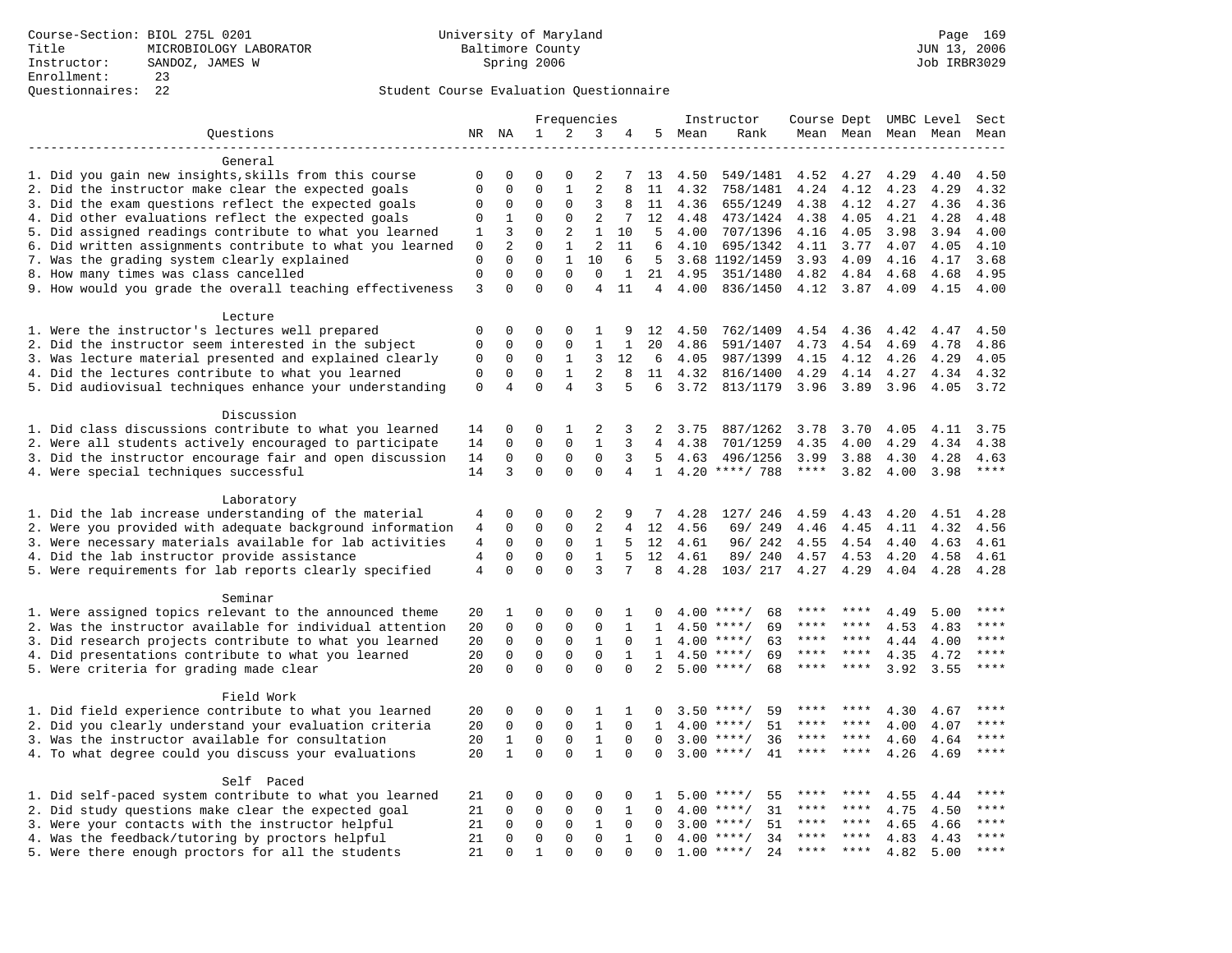|                                                           |                |                |             |                | Frequencies    |              |                |      | Instructor         | Course Dept UMBC Level |           |      |           | Sect  |
|-----------------------------------------------------------|----------------|----------------|-------------|----------------|----------------|--------------|----------------|------|--------------------|------------------------|-----------|------|-----------|-------|
| Questions                                                 |                | NR NA          | 1           | 2              | 3              | 4            | 5              | Mean | Rank               |                        | Mean Mean |      | Mean Mean | Mean  |
|                                                           |                |                |             |                |                |              |                |      |                    |                        |           |      |           |       |
| General                                                   |                |                |             |                |                |              |                |      |                    |                        |           |      |           |       |
| 1. Did you gain new insights, skills from this course     | 0              | $\Omega$       | $\Omega$    | 0              | 2              |              | 13             | 4.50 | 549/1481           | 4.52                   | 4.27      | 4.29 | 4.40      | 4.50  |
| 2. Did the instructor make clear the expected goals       | 0              | $\mathbf 0$    | $\mathbf 0$ | $\mathbf{1}$   | $\overline{2}$ | 8            | 11             | 4.32 | 758/1481           | 4.24                   | 4.12      | 4.23 | 4.29      | 4.32  |
| 3. Did the exam questions reflect the expected goals      | $\Omega$       | $\mathbf 0$    | $\Omega$    | $\Omega$       | 3              | 8            | 11             | 4.36 | 655/1249           | 4.38                   | 4.12      | 4.27 | 4.36      | 4.36  |
| 4. Did other evaluations reflect the expected goals       | $\mathbf 0$    | 1              | $\mathbf 0$ | $\mathbf{0}$   | 2              | 7            | 12             | 4.48 | 473/1424           | 4.38                   | 4.05      | 4.21 | 4.28      | 4.48  |
| 5. Did assigned readings contribute to what you learned   | 1              | 3              | $\Omega$    | 2              | 1              | 10           | 5              | 4.00 | 707/1396           | 4.16                   | 4.05      | 3.98 | 3.94      | 4.00  |
| 6. Did written assignments contribute to what you learned | $\mathbf 0$    | $\overline{c}$ | $\mathbf 0$ | $\mathbf{1}$   | $\overline{2}$ | 11           | 6              | 4.10 | 695/1342           | 4.11                   | 3.77      | 4.07 | 4.05      | 4.10  |
| 7. Was the grading system clearly explained               | $\mathbf{0}$   | $\Omega$       | $\Omega$    | $\mathbf{1}$   | 10             | 6            | 5              |      | 3.68 1192/1459     | 3.93                   | 4.09      | 4.16 | 4.17      | 3.68  |
| 8. How many times was class cancelled                     | $\mathbf 0$    | $\mathbf{0}$   | $\mathbf 0$ | $\mathbf 0$    | $\mathbf 0$    | 1            | 21             | 4.95 | 351/1480           | 4.82                   | 4.84      | 4.68 | 4.68      | 4.95  |
| 9. How would you grade the overall teaching effectiveness | 3              | 0              | $\Omega$    | $\Omega$       | $\overline{4}$ | 11           | $\overline{4}$ | 4.00 | 836/1450           | 4.12                   | 3.87      | 4.09 | 4.15      | 4.00  |
| Lecture                                                   |                |                |             |                |                |              |                |      |                    |                        |           |      |           |       |
| 1. Were the instructor's lectures well prepared           | $\mathbf 0$    | $\mathbf 0$    | 0           | 0              | 1              | 9            | 12             | 4.50 | 762/1409           | 4.54                   | 4.36      | 4.42 | 4.47      | 4.50  |
| 2. Did the instructor seem interested in the subject      | 0              | $\mathbf 0$    | $\mathbf 0$ | 0              | $1\,$          | 1            | 20             | 4.86 | 591/1407           | 4.73                   | 4.54      | 4.69 | 4.78      | 4.86  |
| 3. Was lecture material presented and explained clearly   | $\mathbf{0}$   | $\mathbf 0$    | $\mathbf 0$ | $\mathbf{1}$   | 3              | 12           | 6              | 4.05 | 987/1399           | 4.15                   | 4.12      | 4.26 | 4.29      | 4.05  |
| 4. Did the lectures contribute to what you learned        | $\mathbf 0$    | $\mathbf 0$    | $\mathbf 0$ | $\mathbf{1}$   | 2              | 8            | 11             | 4.32 | 816/1400           | 4.29                   | 4.14      | 4.27 | 4.34      | 4.32  |
| 5. Did audiovisual techniques enhance your understanding  | $\mathbf{0}$   | 4              | $\Omega$    | $\overline{4}$ | 3              | 5            | 6              | 3.72 | 813/1179           | 3.96                   | 3.89      | 3.96 | 4.05      | 3.72  |
|                                                           |                |                |             |                |                |              |                |      |                    |                        |           |      |           |       |
| Discussion                                                |                |                |             |                |                |              |                |      |                    |                        |           |      |           |       |
| 1. Did class discussions contribute to what you learned   | 14             | 0              | 0           | 1              | 2              | 3            | 2              | 3.75 | 887/1262           | 3.78                   | 3.70      | 4.05 | 4.11      | 3.75  |
| 2. Were all students actively encouraged to participate   | 14             | $\Omega$       | $\Omega$    | $\Omega$       | 1              | 3            | 4              | 4.38 | 701/1259           | 4.35                   | 4.00      | 4.29 | 4.34      | 4.38  |
| 3. Did the instructor encourage fair and open discussion  | 14             | $\mathbf 0$    | $\Omega$    | $\Omega$       | $\Omega$       | 3            | $5^{\circ}$    | 4.63 | 496/1256           | 3.99                   | 3.88      | 4.30 | 4.28      | 4.63  |
| 4. Were special techniques successful                     | 14             | 3              | $\Omega$    | $\Omega$       | $\mathbf{0}$   | 4            | $\mathbf{1}$   |      | 4.20 ****/ 788     | ****                   | 3.82      | 4.00 | 3.98      | $***$ |
| Laboratory                                                |                |                |             |                |                |              |                |      |                    |                        |           |      |           |       |
| 1. Did the lab increase understanding of the material     | 4              | $\mathbf 0$    | 0           | 0              | 2              | 9            | 7              | 4.28 | 127/ 246           | 4.59                   | 4.43      | 4.20 | 4.51      | 4.28  |
| 2. Were you provided with adequate background information | 4              | $\mathbf 0$    | $\mathbf 0$ | $\mathbf 0$    | 2              | 4            | 12             | 4.56 | 69/ 249            | 4.46                   | 4.45      | 4.11 | 4.32      | 4.56  |
| 3. Were necessary materials available for lab activities  | $\overline{4}$ | $\mathbf 0$    | 0           | 0              | $\mathbf{1}$   | 5            | 12             | 4.61 | 96/242             | 4.55                   | 4.54      | 4.40 | 4.63      | 4.61  |
| 4. Did the lab instructor provide assistance              | $\overline{4}$ | $\mathbf 0$    | $\mathbf 0$ | $\mathbf{0}$   | $\mathbf{1}$   | 5            | 12             | 4.61 | 89/ 240            | 4.57                   | 4.53      | 4.20 | 4.58      | 4.61  |
| 5. Were requirements for lab reports clearly specified    | $\overline{4}$ | $\mathbf{0}$   | $\mathbf 0$ | $\Omega$       | 3              | 7            | 8              | 4.28 | 103/ 217           | 4.27                   | 4.29      | 4.04 | 4.28      | 4.28  |
|                                                           |                |                |             |                |                |              |                |      |                    |                        |           |      |           |       |
| Seminar                                                   |                |                |             |                |                |              |                |      |                    |                        |           |      |           |       |
| 1. Were assigned topics relevant to the announced theme   | 20             | 1              | $\mathbf 0$ | $\mathbf{0}$   | $\Omega$       | 1            | $\Omega$       | 4.00 | $***/$<br>68       | ****                   | ****      | 4.49 | 5.00      | ****  |
| 2. Was the instructor available for individual attention  | 20             | $\mathbf 0$    | 0           | $\mathsf 0$    | $\mathbf 0$    | 1            | 1              | 4.50 | 69<br>$***$ /      | ****                   |           | 4.53 | 4.83      | ****  |
| 3. Did research projects contribute to what you learned   | 20             | $\mathbf 0$    | $\mathbf 0$ | $\mathsf 0$    | $\mathbf{1}$   | $\mathbf 0$  | 1              | 4.00 | $***$ /<br>63      | $***$ * *              | ****      | 4.44 | 4.00      | ****  |
| 4. Did presentations contribute to what you learned       | 20             | $\mathsf 0$    | $\mathbf 0$ | $\mathsf 0$    | $\mathbf 0$    | $\mathbf{1}$ | $\mathbf{1}$   |      | $4.50$ ****/<br>69 | $***$ * * *            | $***$ *   | 4.35 | 4.72      | $***$ |
| 5. Were criteria for grading made clear                   | 20             | $\Omega$       | $\Omega$    | $\Omega$       | $\Omega$       | $\Omega$     | $\overline{2}$ |      | $5.00$ ****/<br>68 | ****                   | $***$ *   | 3.92 | 3.55      | $***$ |
| Field Work                                                |                |                |             |                |                |              |                |      |                    |                        |           |      |           |       |
| 1. Did field experience contribute to what you learned    | 20             | $\mathbf 0$    | 0           | $\mathbf 0$    | 1              | 1            | 0              | 3.50 | $***$ /<br>59      | ****                   | ****      | 4.30 | 4.67      | ****  |
| 2. Did you clearly understand your evaluation criteria    | 20             | $\mathbf 0$    | $\mathbf 0$ | $\mathbf{0}$   | $\mathbf{1}$   | $\Omega$     | $\mathbf{1}$   | 4.00 | $***/$<br>51       | ****                   | ****      | 4.00 | 4.07      | $***$ |
| 3. Was the instructor available for consultation          | 20             | $\mathbf{1}$   | $\mathbf 0$ | $\mathbf 0$    | $\mathbf{1}$   | $\mathbf 0$  | $\Omega$       | 3.00 | $***/$<br>36       | ****                   | $***$ *   | 4.60 | 4.64      | ****  |
| 4. To what degree could you discuss your evaluations      | 20             | $\mathbf{1}$   | $\Omega$    | $\Omega$       | $\mathbf{1}$   | $\Omega$     | $\Omega$       | 3.00 | 41<br>$***/$       | $***$ * *              | $***$ *   | 4.26 | 4.69      | $***$ |
|                                                           |                |                |             |                |                |              |                |      |                    |                        |           |      |           |       |
| Self Paced                                                |                |                |             |                |                |              |                |      |                    |                        |           |      |           |       |
| 1. Did self-paced system contribute to what you learned   | 21             | 0              | 0           | $\mathbf 0$    | 0              | 0            | 1              | 5.00 | 55<br>$***$ /      | ****                   |           | 4.55 | 4.44      | ****  |
| 2. Did study questions make clear the expected goal       | 21             | $\Omega$       | $\mathbf 0$ | $\mathbf 0$    | $\mathbf 0$    | $\mathbf{1}$ | $\Omega$       | 4.00 | $***/$<br>31       | ****                   | ****      | 4.75 | 4.50      | ****  |
| 3. Were your contacts with the instructor helpful         | 21             | $\mathbf 0$    | $\mathbf 0$ | $\mathbf{0}$   | $\mathbf{1}$   | $\Omega$     | $\Omega$       | 3.00 | 51<br>$***$ /      | ****                   | ****      | 4.65 | 4.66      | ****  |
| 4. Was the feedback/tutoring by proctors helpful          | 21             | $\mathbf 0$    | 0           | $\mathbf 0$    | $\mathbf 0$    | $\mathbf{1}$ | $\Omega$       | 4.00 | 34<br>$***/$       | ***                    | ****      | 4.83 | 4.43      | ****  |
| 5. Were there enough proctors for all the students        | 21             | $\Omega$       | 1           | $\mathbf 0$    | $\mathbf 0$    | $\Omega$     | 0              |      | $1.00$ ****/<br>24 | ****                   | ****      | 4.82 | 5.00      | $***$ |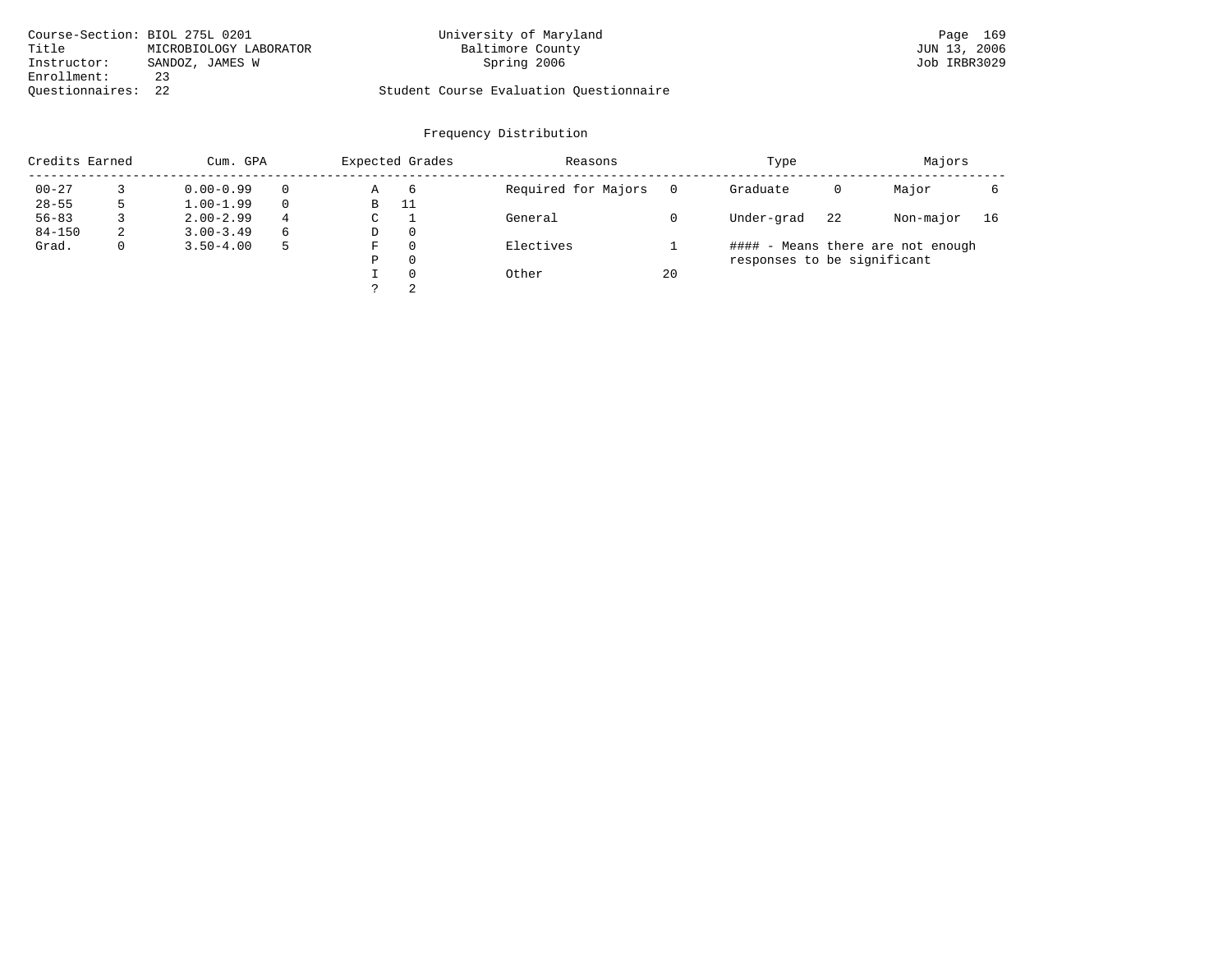|                    | Course-Section: BIOL 275L 0201 | University of Maryland                  | Page 169     |
|--------------------|--------------------------------|-----------------------------------------|--------------|
| Title              | MICROBIOLOGY LABORATOR         | Baltimore County                        | JUN 13, 2006 |
| Instructor:        | SANDOZ, JAMES W                | Spring 2006                             | Job IRBR3029 |
| Enrollment:        | 23                             |                                         |              |
| Ouestionnaires: 22 |                                | Student Course Evaluation Questionnaire |              |

| Credits Earned |              | Cum. GPA      |   | Expected Grades |          | Reasons             |    | Type                        |    | Majors                            |    |
|----------------|--------------|---------------|---|-----------------|----------|---------------------|----|-----------------------------|----|-----------------------------------|----|
| $00 - 27$      |              | $0.00 - 0.99$ |   | Α               | 6        | Required for Majors |    | Graduate                    | 0  | Major                             |    |
| $28 - 55$      |              | $1.00 - 1.99$ |   | В               | 11       |                     |    |                             |    |                                   |    |
| $56 - 83$      |              | $2.00 - 2.99$ | 4 | C               |          | General             |    | Under-grad                  | 22 | Non-major                         | 16 |
| $84 - 150$     | 2            | $3.00 - 3.49$ | 6 | D               | $\Omega$ |                     |    |                             |    |                                   |    |
| Grad.          | $\mathbf{0}$ | $3.50 - 4.00$ |   | F               | $\Omega$ | Electives           |    |                             |    | #### - Means there are not enough |    |
|                |              |               |   | Ρ               | $\Omega$ |                     |    | responses to be significant |    |                                   |    |
|                |              |               |   |                 | $\Omega$ | Other               | 20 |                             |    |                                   |    |
|                |              |               |   |                 | 2        |                     |    |                             |    |                                   |    |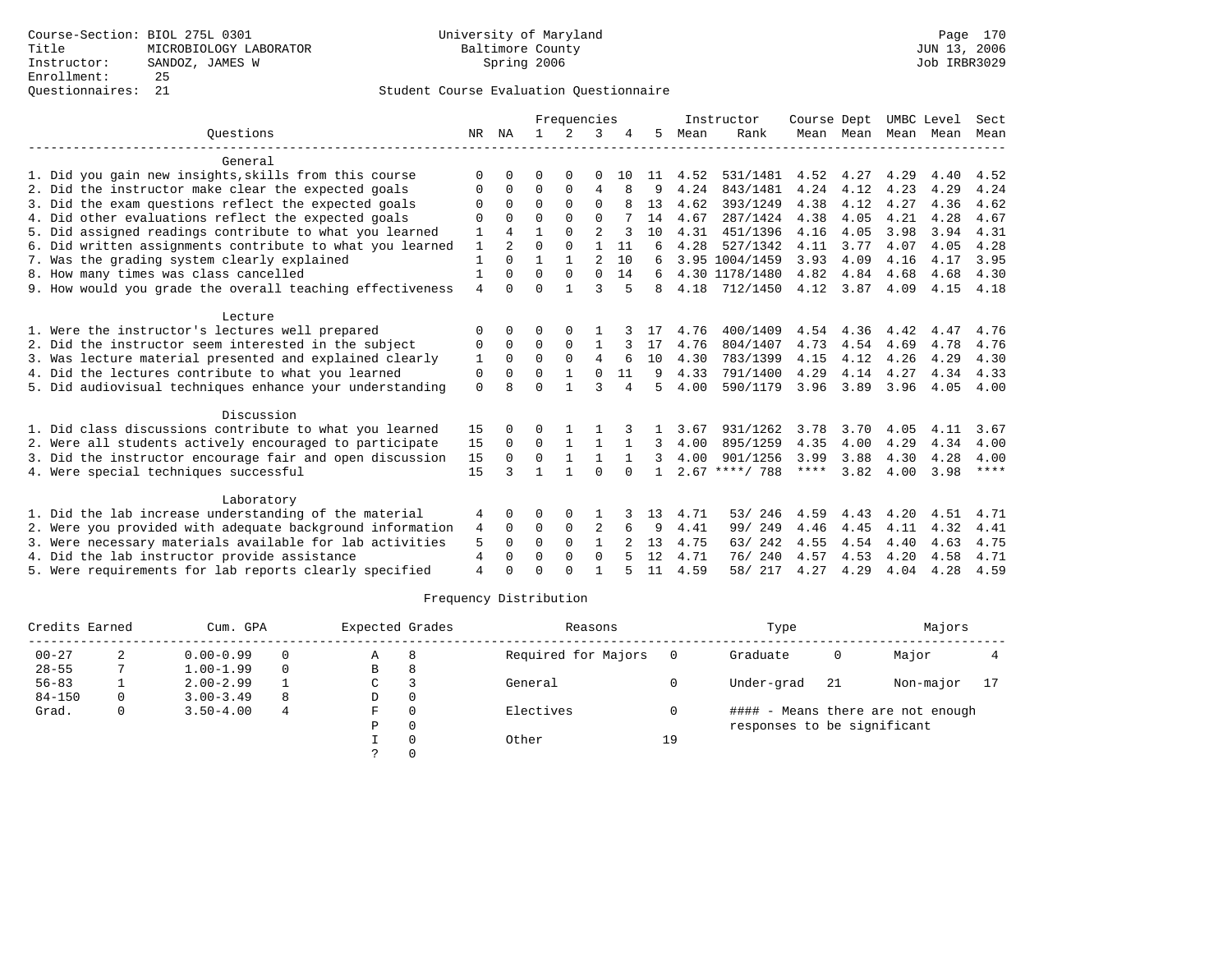## Questionnaires: 21 Student Course Evaluation Questionnaire

|                                                           |                |                |              | Frequencies  |                |                |              |      | Instructor       | Course Dept |      |                     | UMBC Level | Sect |
|-----------------------------------------------------------|----------------|----------------|--------------|--------------|----------------|----------------|--------------|------|------------------|-------------|------|---------------------|------------|------|
| Ouestions                                                 | NR             | ΝA             | $\mathbf{1}$ | 2            | 3              |                | 5            | Mean | Rank             |             |      | Mean Mean Mean Mean |            | Mean |
| General                                                   |                |                |              |              |                |                |              |      |                  |             |      |                     |            |      |
| 1. Did you gain new insights, skills from this course     | $\Omega$       | O              | O            | $\Omega$     | 0              | 10             | 11           | 4.52 | 531/1481         | 4.52        | 4.27 | 4.29                | 4.40       | 4.52 |
| 2. Did the instructor make clear the expected goals       | 0              | 0              | 0            | $\mathbf 0$  | $\overline{4}$ | 8              | 9            | 4.24 | 843/1481         | 4.24        | 4.12 | 4.23                | 4.29       | 4.24 |
| 3. Did the exam questions reflect the expected goals      | $\Omega$       | $\Omega$       | $\Omega$     | $\Omega$     | $\mathbf 0$    |                | 13           | 4.62 | 393/1249         | 4.38        | 4.12 | 4.27                | 4.36       | 4.62 |
| 4. Did other evaluations reflect the expected goals       | O              | $\Omega$       | $\Omega$     | $\Omega$     | $\Omega$       |                | 14           | 4.67 | 287/1424         | 4.38        | 4.05 | 4.21                | 4.28       | 4.67 |
| 5. Did assigned readings contribute to what you learned   |                | 4              |              | $\Omega$     | $\overline{a}$ |                | 10           | 4.31 | 451/1396         | 4.16        | 4.05 | 3.98                | 3.94       | 4.31 |
| 6. Did written assignments contribute to what you learned | 1              | $\mathfrak{D}$ | $\Omega$     | $\Omega$     | $\mathbf{1}$   | 11             |              | 4.28 | 527/1342         | 4.11        | 3.77 | 4.07                | 4.05       | 4.28 |
| 7. Was the grading system clearly explained               | $\mathbf{1}$   | $\Omega$       | $\mathbf{1}$ | 1            | 2              | 10             | 6            |      | 3.95 1004/1459   | 3.93        | 4.09 | 4.16                | 4.17       | 3.95 |
| 8. How many times was class cancelled                     | 1              | $\Omega$       | $\Omega$     | $\Omega$     | $\Omega$       | 14             | 6            |      | 4.30 1178/1480   | 4.82        | 4.84 | 4.68                | 4.68       | 4.30 |
| 9. How would you grade the overall teaching effectiveness | $\overline{4}$ | $\Omega$       | $\Omega$     | $\mathbf{1}$ | 3              | 5              | 8            | 4.18 | 712/1450         | 4.12        | 3.87 | 4.09                | 4.15       | 4.18 |
| Lecture                                                   |                |                |              |              |                |                |              |      |                  |             |      |                     |            |      |
| 1. Were the instructor's lectures well prepared           | 0              | $\Omega$       | U            |              |                |                |              | 4.76 | 400/1409         | 4.54        | 4.36 | 4.42                | 4.47       | 4.76 |
| 2. Did the instructor seem interested in the subject      | 0              | 0              | 0            | $\mathbf 0$  | 1              |                | 17           | 4.76 | 804/1407         | 4.73        | 4.54 | 4.69                | 4.78       | 4.76 |
| 3. Was lecture material presented and explained clearly   | 1              | $\Omega$       | $\Omega$     | $\Omega$     | 4              |                | 10           | 4.30 | 783/1399         | 4.15        | 4.12 | 4.26                | 4.29       | 4.30 |
| 4. Did the lectures contribute to what you learned        | 0              | 0              | $\Omega$     | 1            | $\Omega$       | 11             | 9            | 4.33 | 791/1400         | 4.29        | 4.14 | 4.27                | 4.34       | 4.33 |
| 5. Did audiovisual techniques enhance your understanding  | $\mathbf 0$    | 8              | $\Omega$     | $\mathbf{1}$ | ς              | $\overline{4}$ | 5            | 4.00 | 590/1179         | 3.96        | 3.89 | 3.96                | 4.05       | 4.00 |
| Discussion                                                |                |                |              |              |                |                |              |      |                  |             |      |                     |            |      |
| 1. Did class discussions contribute to what you learned   | 15             |                |              |              |                |                |              | 3.67 | 931/1262         | 3.78        | 3.70 | 4.05                | 4.11       | 3.67 |
| 2. Were all students actively encouraged to participate   | 15             | $\Omega$       | $\Omega$     | $\mathbf{1}$ | $\mathbf{1}$   | 1              | 3            | 4.00 | 895/1259         | 4.35        | 4.00 | 4.29                | 4.34       | 4.00 |
| 3. Did the instructor encourage fair and open discussion  | 15             | $\Omega$       | $\Omega$     | $\mathbf 1$  | 1              |                | 3            | 4.00 | 901/1256         | 3.99        | 3.88 | 4.30                | 4.28       | 4.00 |
| 4. Were special techniques successful                     | 15             | ζ              | $\mathbf{1}$ | 1            | $\Omega$       | $\cap$         | $\mathbf{1}$ |      | $2.67$ ****/ 788 | ****        | 3.82 | 4.00                | 3.98       | **** |
| Laboratory                                                |                |                |              |              |                |                |              |      |                  |             |      |                     |            |      |
| 1. Did the lab increase understanding of the material     | 4              | 0              | 0            | 0            |                |                | 13           | 4.71 | 246<br>53/       | 4.59        | 4.43 | 4.20                | 4.51       | 4.71 |
| 2. Were you provided with adequate background information | 4              | $\Omega$       | 0            | $\mathbf 0$  | 2              | 6              | 9            | 4.41 | 99/ 249          | 4.46        | 4.45 | 4.11                | 4.32       | 4.41 |
| 3. Were necessary materials available for lab activities  | 5              | $\Omega$       | $\Omega$     | $\Omega$     | $\mathbf{1}$   |                | 13           | 4.75 | 63/ 242          | 4.55        | 4.54 | 4.40                | 4.63       | 4.75 |
| 4. Did the lab instructor provide assistance              | 4              | $\Omega$       | $\Omega$     | $\Omega$     | $\Omega$       |                | 12           | 4.71 | 76/240           | 4.57        | 4.53 | 4.20                | 4.58       | 4.71 |
| 5. Were requirements for lab reports clearly specified    | $\overline{4}$ | $\Omega$       | $\cap$       | $\cap$       |                |                | 11           | 4.59 | 58/ 217          | 4.27        | 4.29 | 4.04                | 4.28       | 4.59 |

| Credits Earned |   | Cum. GPA      |          | Expected Grades |    | Reasons             |    | Type                        |     | Majors                            |    |
|----------------|---|---------------|----------|-----------------|----|---------------------|----|-----------------------------|-----|-----------------------------------|----|
| $00 - 27$      |   | $0.00 - 0.99$ | $\Omega$ | Α               | -8 | Required for Majors |    | Graduate                    | 0   | Major                             |    |
| $28 - 55$      |   | $1.00 - 1.99$ | $\Omega$ | В               | 8  |                     |    |                             |     |                                   |    |
| $56 - 83$      |   | $2.00 - 2.99$ |          | C               |    | General             |    | Under-grad                  | -21 | Non-major                         | 17 |
| $84 - 150$     | 0 | $3.00 - 3.49$ | 8        | D               |    |                     |    |                             |     |                                   |    |
| Grad.          | 0 | $3.50 - 4.00$ | 4        | F               |    | Electives           |    |                             |     | #### - Means there are not enough |    |
|                |   |               |          | P               |    |                     |    | responses to be significant |     |                                   |    |
|                |   |               |          |                 |    | Other               | 19 |                             |     |                                   |    |
|                |   |               |          |                 |    |                     |    |                             |     |                                   |    |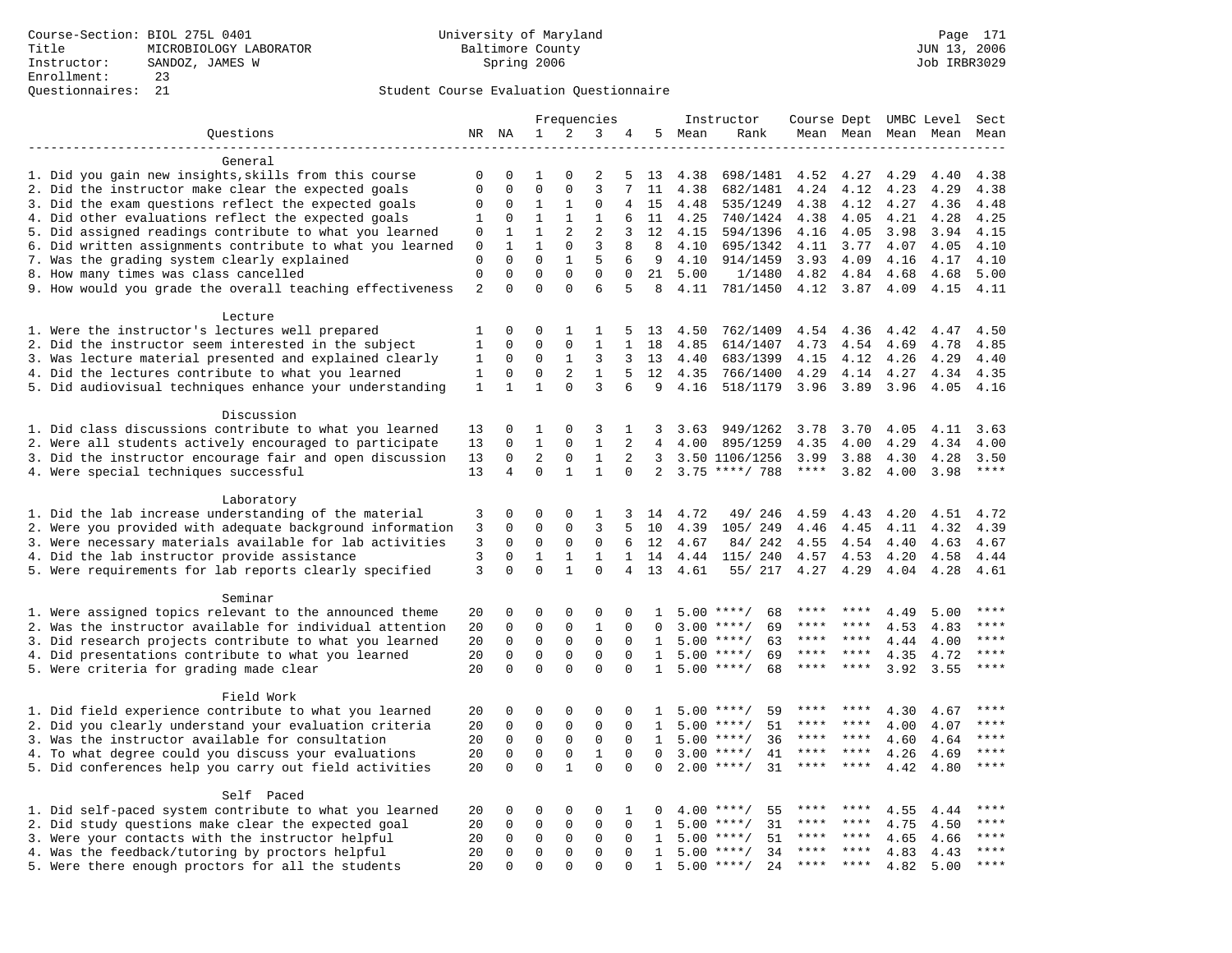|                                                           |                               |                         |                          |                             | Frequencies             |                  |              |              | Instructor         | Course Dept UMBC Level |                 |              |              | Sect          |
|-----------------------------------------------------------|-------------------------------|-------------------------|--------------------------|-----------------------------|-------------------------|------------------|--------------|--------------|--------------------|------------------------|-----------------|--------------|--------------|---------------|
| Questions                                                 |                               | NR NA                   | $\mathbf{1}$             | 2                           | 3                       | 4                | 5            | Mean         | Rank               |                        | Mean Mean       |              | Mean Mean    | Mean          |
|                                                           |                               |                         |                          |                             |                         |                  |              |              |                    |                        |                 |              |              |               |
| General                                                   |                               |                         |                          |                             |                         |                  |              |              |                    |                        |                 |              |              |               |
| 1. Did you gain new insights, skills from this course     | 0                             | 0                       | 1                        | O                           | 2                       | 5                | 13           | 4.38         | 698/1481           | 4.52                   | 4.27            | 4.29         | 4.40         | 4.38          |
| 2. Did the instructor make clear the expected goals       | $\mathbf{0}$                  | $\mathbf 0$             | $\mathbf 0$              | $\mathbf{0}$                | $\overline{3}$          | 7                | 11           | 4.38         | 682/1481           | 4.24                   | 4.12            | 4.23         | 4.29         | 4.38          |
| 3. Did the exam questions reflect the expected goals      | 0                             | $\mathbf 0$             | 1                        | 1                           | $\Omega$                | 4                | 15           | 4.48         | 535/1249           | 4.38                   | 4.12            | 4.27         | 4.36         | 4.48          |
| 4. Did other evaluations reflect the expected goals       | 1                             | $\mathbf 0$             | $\mathbf{1}$             | $\mathbf{1}$                | $\mathbf{1}$            | 6                | 11           | 4.25         | 740/1424           | 4.38                   | 4.05            | 4.21         | 4.28         | 4.25          |
| 5. Did assigned readings contribute to what you learned   | $\mathbf{0}$                  | 1                       | $\mathbf{1}$             | $\overline{2}$              | $\overline{2}$          | 3                | 12           | 4.15         | 594/1396           | 4.16                   | 4.05            | 3.98         | 3.94         | 4.15          |
| 6. Did written assignments contribute to what you learned | $\mathbf{0}$                  | $\mathbf{1}$            | $\mathbf{1}$<br>$\Omega$ | $\mathbf 0$                 | 3                       | 8                | 8            | 4.10         | 695/1342           | 4.11                   | 3.77            | 4.07         | 4.05         | 4.10          |
| 7. Was the grading system clearly explained               | $\Omega$                      | $\Omega$<br>$\mathbf 0$ | $\mathbf 0$              | $\mathbf{1}$<br>$\mathbf 0$ | 5<br>$\mathbf 0$        | 6                | 9            | 4.10         | 914/1459           | 3.93                   | 4.09            | 4.16         | 4.17         | 4.10          |
| 8. How many times was class cancelled                     | $\mathbf 0$<br>$\overline{2}$ | $\Omega$                | $\Omega$                 | $\Omega$                    | 6                       | $\mathbf 0$<br>5 | 21<br>8      | 5.00<br>4.11 | 1/1480<br>781/1450 | 4.82<br>4.12           | 4.84            | 4.68<br>4.09 | 4.68<br>4.15 | 5.00          |
| 9. How would you grade the overall teaching effectiveness |                               |                         |                          |                             |                         |                  |              |              |                    |                        | 3.87            |              |              | 4.11          |
| Lecture                                                   |                               |                         |                          |                             |                         |                  |              |              |                    |                        |                 |              |              |               |
| 1. Were the instructor's lectures well prepared           | 1                             | $\mathbf 0$             | 0                        | 1                           | 1                       | 5                | 13           | 4.50         | 762/1409           | 4.54                   | 4.36            | 4.42         | 4.47         | 4.50          |
| 2. Did the instructor seem interested in the subject      | 1                             | $\mathbf 0$             | $\mathbf 0$              | $\mathbf{0}$                | $\mathbf{1}$            | $\mathbf{1}$     | 18           | 4.85         | 614/1407           | 4.73                   | 4.54            | 4.69         | 4.78         | 4.85          |
| 3. Was lecture material presented and explained clearly   | 1                             | $\mathbf 0$             | $\mathbf 0$              | $\mathbf{1}$                | 3                       | 3                | 13           | 4.40         | 683/1399           | 4.15                   | 4.12            | 4.26         | 4.29         | 4.40          |
| 4. Did the lectures contribute to what you learned        | 1                             | $\Omega$                | $\Omega$                 | $\overline{2}$              | $\mathbf{1}$            | 5                | 12           | 4.35         | 766/1400           | 4.29                   | 4.14            | 4.27         | 4.34         | 4.35          |
| 5. Did audiovisual techniques enhance your understanding  | $\mathbf{1}$                  | $\mathbf{1}$            | $\mathbf{1}$             | $\Omega$                    | 3                       | 6                | 9            | 4.16         | 518/1179           | 3.96                   | 3.89            | 3.96         | 4.05         | 4.16          |
|                                                           |                               |                         |                          |                             |                         |                  |              |              |                    |                        |                 |              |              |               |
| Discussion                                                |                               |                         |                          |                             |                         |                  |              |              |                    |                        |                 |              |              |               |
| 1. Did class discussions contribute to what you learned   | 13                            | 0                       | 1                        | 0                           | 3                       | 1                | 3            | 3.63         | 949/1262           | 3.78                   | 3.70            | 4.05         | 4.11         | 3.63          |
| 2. Were all students actively encouraged to participate   | 13                            | $\mathbf 0$             | $\mathbf{1}$             | $\mathbf 0$                 | $\mathbf{1}$            | 2                | 4            | 4.00         | 895/1259           | 4.35                   | 4.00            | 4.29         | 4.34         | 4.00          |
| 3. Did the instructor encourage fair and open discussion  | 13                            | $\mathbf 0$             | 2                        | 0                           | $\mathbf{1}$            | 2                | 3            |              | 3.50 1106/1256     | 3.99                   | 3.88            | 4.30         | 4.28         | 3.50          |
| 4. Were special techniques successful                     | 13                            | $\overline{4}$          | $\Omega$                 | $\mathbf{1}$                | $\mathbf{1}$            | $\Omega$         | 2            |              | $3.75$ ****/ 788   | $***$ * * *            | 3.82            | 4.00         | 3.98         | $***$         |
|                                                           |                               |                         |                          |                             |                         |                  |              |              |                    |                        |                 |              |              |               |
| Laboratory                                                |                               |                         |                          |                             |                         |                  |              |              |                    |                        |                 |              |              |               |
| 1. Did the lab increase understanding of the material     | 3                             | 0                       | 0                        | 0                           | 1                       | 3                | 14           | 4.72         | 49/ 246            | 4.59                   | 4.43            | 4.20         | 4.51         | 4.72          |
| 2. Were you provided with adequate background information | 3                             | 0                       | 0                        | $\mathbf{0}$                | 3                       |                  | 10           | 4.39         | 105/ 249           | 4.46                   | 4.45            | 4.11         | 4.32         | 4.39          |
| 3. Were necessary materials available for lab activities  | 3                             | $\mathbf 0$             | $\mathbf 0$              | $\mathbf 0$                 | $\mathbf 0$             | 6                | 12           | 4.67         | 84/242             | 4.55                   | 4.54            | 4.40         | 4.63         | 4.67          |
| 4. Did the lab instructor provide assistance              | 3                             | $\mathbf 0$             | 1                        | 1                           | 1                       | $\mathbf{1}$     | 14           | 4.44         | 115/ 240           | 4.57                   | 4.53            | 4.20         | 4.58         | 4.44          |
| 5. Were requirements for lab reports clearly specified    | 3                             | $\Omega$                | $\Omega$                 | $\mathbf{1}$                | $\Omega$                | $\overline{4}$   | 13           | 4.61         | 55/ 217            | 4.27                   | 4.29            | 4.04         | 4.28         | 4.61          |
|                                                           |                               |                         |                          |                             |                         |                  |              |              |                    |                        |                 |              |              |               |
| Seminar                                                   |                               |                         |                          |                             |                         |                  |              |              |                    |                        |                 |              |              |               |
| 1. Were assigned topics relevant to the announced theme   | 20                            | $\mathbf 0$             | 0                        | $\Omega$                    | 0                       | $\Omega$         | -1           |              | $5.00$ ****/<br>68 | ****                   |                 | 4.49         | 5.00         | ****<br>****  |
| 2. Was the instructor available for individual attention  | 20                            | $\mathbf 0$             | $\mathbf 0$              | $\mathbf 0$                 | $\mathbf{1}$            | 0                | $\Omega$     |              | 69<br>$3.00$ ****/ | ****                   | ****            | 4.53         | 4.83         |               |
| 3. Did research projects contribute to what you learned   | 20                            | $\mathbf 0$             | $\mathbf 0$              | $\mathsf 0$                 | $\mathbf 0$             | $\mathbf 0$      | 1            | 5.00         | $***$ /<br>63      | ****<br>$***$ * * *    | ****<br>$***$ * | 4.44         | 4.00         | ****<br>$***$ |
| 4. Did presentations contribute to what you learned       | 20                            | $\mathbf 0$<br>$\Omega$ | $\mathbf 0$<br>$\Omega$  | $\mathsf 0$<br>$\Omega$     | $\mathbf 0$<br>$\Omega$ | $\mathbf 0$      | 1            |              | $5.00$ ****/<br>69 | ****                   | $***$ *         | 4.35         | 4.72         | ****          |
| 5. Were criteria for grading made clear                   | 20                            |                         |                          |                             |                         | $\Omega$         | 1            |              | $5.00$ ****/<br>68 |                        |                 | 3.92         | 3.55         |               |
| Field Work                                                |                               |                         |                          |                             |                         |                  |              |              |                    |                        |                 |              |              |               |
| 1. Did field experience contribute to what you learned    | 20                            | $\mathbf 0$             | 0                        | 0                           | 0                       | 0                | 1            |              | $5.00$ ****/<br>59 |                        |                 | 4.30         | 4.67         | ****          |
| 2. Did you clearly understand your evaluation criteria    | 20                            | $\Omega$                | $\mathbf 0$              | $\mathbf 0$                 | $\mathbf 0$             | $\Omega$         | $\mathbf{1}$ | 5.00         | 51<br>$***$ /      | ****                   | ****            | 4.00         | 4.07         | ****          |
| 3. Was the instructor available for consultation          | 20                            | $\mathbf 0$             | $\mathbf 0$              | $\mathbf 0$                 | $\mathbf 0$             | $\Omega$         | $\mathbf{1}$ |              | $5.00$ ****/<br>36 | ****                   | ****            | 4.60         | 4.64         | ****          |
| 4. To what degree could you discuss your evaluations      | 20                            | $\mathbf{0}$            | $\mathbf 0$              | $\mathbf 0$                 | $\mathbf{1}$            | $\Omega$         | $\Omega$     | 3.00         | $***$ /<br>41      |                        | ****            | 4.26         | 4.69         | ****          |
| 5. Did conferences help you carry out field activities    | 20                            | $\Omega$                | $\Omega$                 | $\mathbf{1}$                | $\Omega$                | $\Omega$         | $\Omega$     | 2.00         | $***$ /<br>31      | ****                   | ****            | 4.42         | 4.80         | ****          |
|                                                           |                               |                         |                          |                             |                         |                  |              |              |                    |                        |                 |              |              |               |
| Self Paced                                                |                               |                         |                          |                             |                         |                  |              |              |                    |                        |                 |              |              |               |
| 1. Did self-paced system contribute to what you learned   | 20                            | 0                       | 0                        | 0                           | 0                       | 1                | 0            | 4.00         | 55<br>$***$ /      |                        |                 | 4.55         | 4.44         |               |
| 2. Did study questions make clear the expected goal       | 20                            | $\mathbf 0$             | $\mathbf 0$              | $\mathbf 0$                 | $\mathbf 0$             | 0                | 1            | 5.00         | 31<br>$***/$       | ****                   | ****            | 4.75         | 4.50         | ****          |
| 3. Were your contacts with the instructor helpful         | 20                            | $\Omega$                | $\mathbf 0$              | $\mathbf 0$                 | 0                       | $\Omega$         | 1            | 5.00         | $***$ /<br>51      | ****                   | ****            | 4.65         | 4.66         | $***$ * * *   |
| 4. Was the feedback/tutoring by proctors helpful          | 20                            | $\mathbf 0$             | $\mathbf 0$              | $\mathbf 0$                 | $\Omega$                | $\Omega$         | $\mathbf{1}$ | 5.00         | 34<br>$***/$       | ****                   | ****            | 4.83         | 4.43         | $***$         |
| 5. Were there enough proctors for all the students        | 20                            | 0                       | $\Omega$                 | $\Omega$                    | $\Omega$                | $\Omega$         | $\mathbf{1}$ |              | $5.00$ ****/<br>24 | ****                   |                 | 4.82         | 5.00         | $***$         |
|                                                           |                               |                         |                          |                             |                         |                  |              |              |                    |                        |                 |              |              |               |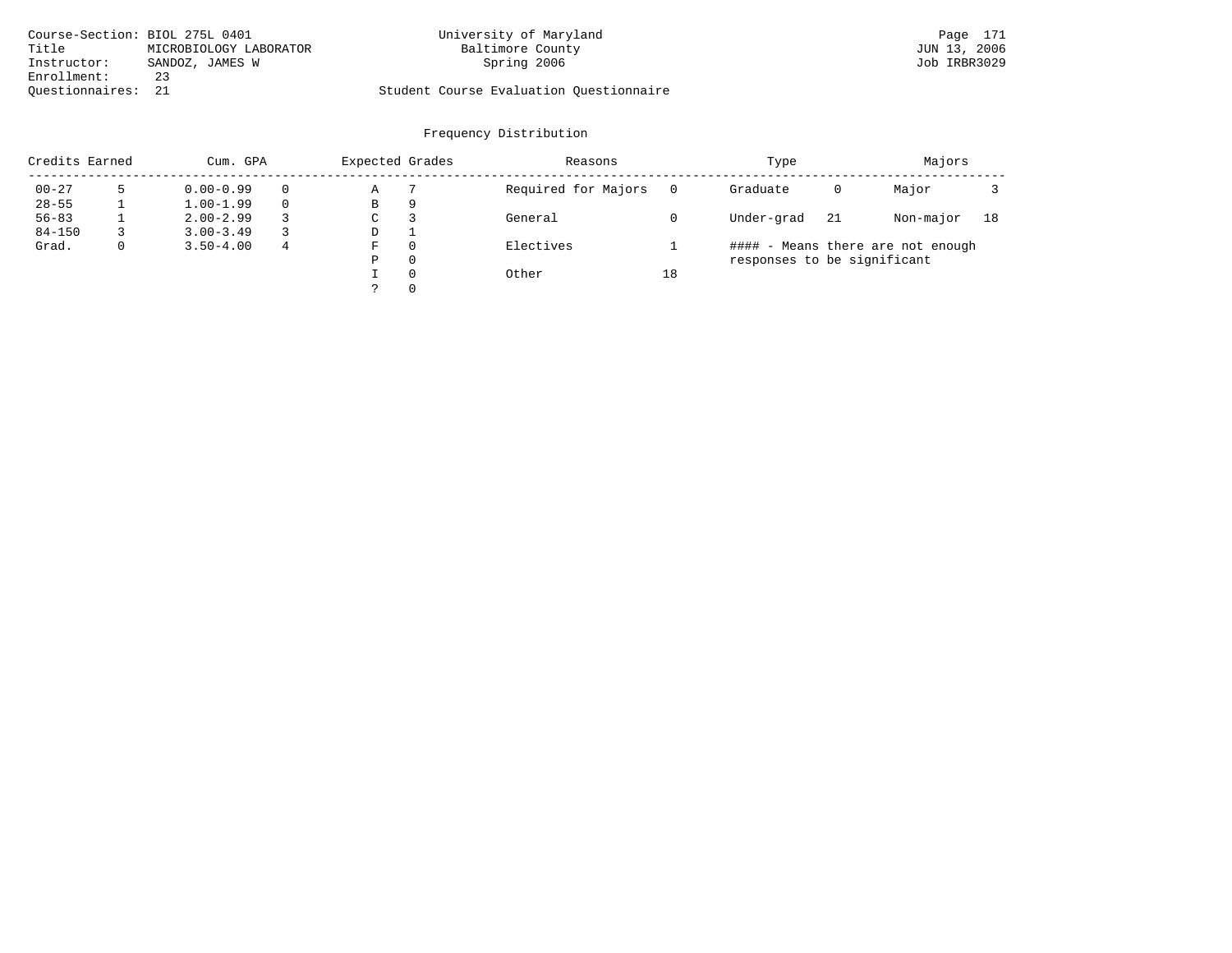|                    | Course-Section: BIOL 275L 0401 | University of Maryland                  | Page 171     |
|--------------------|--------------------------------|-----------------------------------------|--------------|
| Title              | MICROBIOLOGY LABORATOR         | Baltimore County                        | JUN 13, 2006 |
| Instructor:        | SANDOZ, JAMES W                | Spring 2006                             | Job IRBR3029 |
| Enrollment:        | 23                             |                                         |              |
| Ouestionnaires: 21 |                                | Student Course Evaluation Ouestionnaire |              |

| Credits Earned | Cum. GPA      |          | Expected Grades |          | Reasons             |    | Type                        |    | Majors                            |    |
|----------------|---------------|----------|-----------------|----------|---------------------|----|-----------------------------|----|-----------------------------------|----|
| $00 - 27$      | $0.00 - 0.99$ | $\Omega$ | А               |          | Required for Majors |    | Graduate                    | 0  | Major                             |    |
| $28 - 55$      | $1.00 - 1.99$ | $\Omega$ | B               | 9        |                     |    |                             |    |                                   |    |
| $56 - 83$      | $2.00 - 2.99$ |          | C               |          | General             |    | Under-grad                  | 21 | Non-major                         | 18 |
| $84 - 150$     | $3.00 - 3.49$ |          | D               |          |                     |    |                             |    |                                   |    |
| Grad.          | $3.50 - 4.00$ | 4        | F               | $\Omega$ | Electives           |    |                             |    | #### - Means there are not enough |    |
|                |               |          | Ρ               | 0        |                     |    | responses to be significant |    |                                   |    |
|                |               |          |                 | $\Omega$ | Other               | 18 |                             |    |                                   |    |
|                |               |          |                 | $\Omega$ |                     |    |                             |    |                                   |    |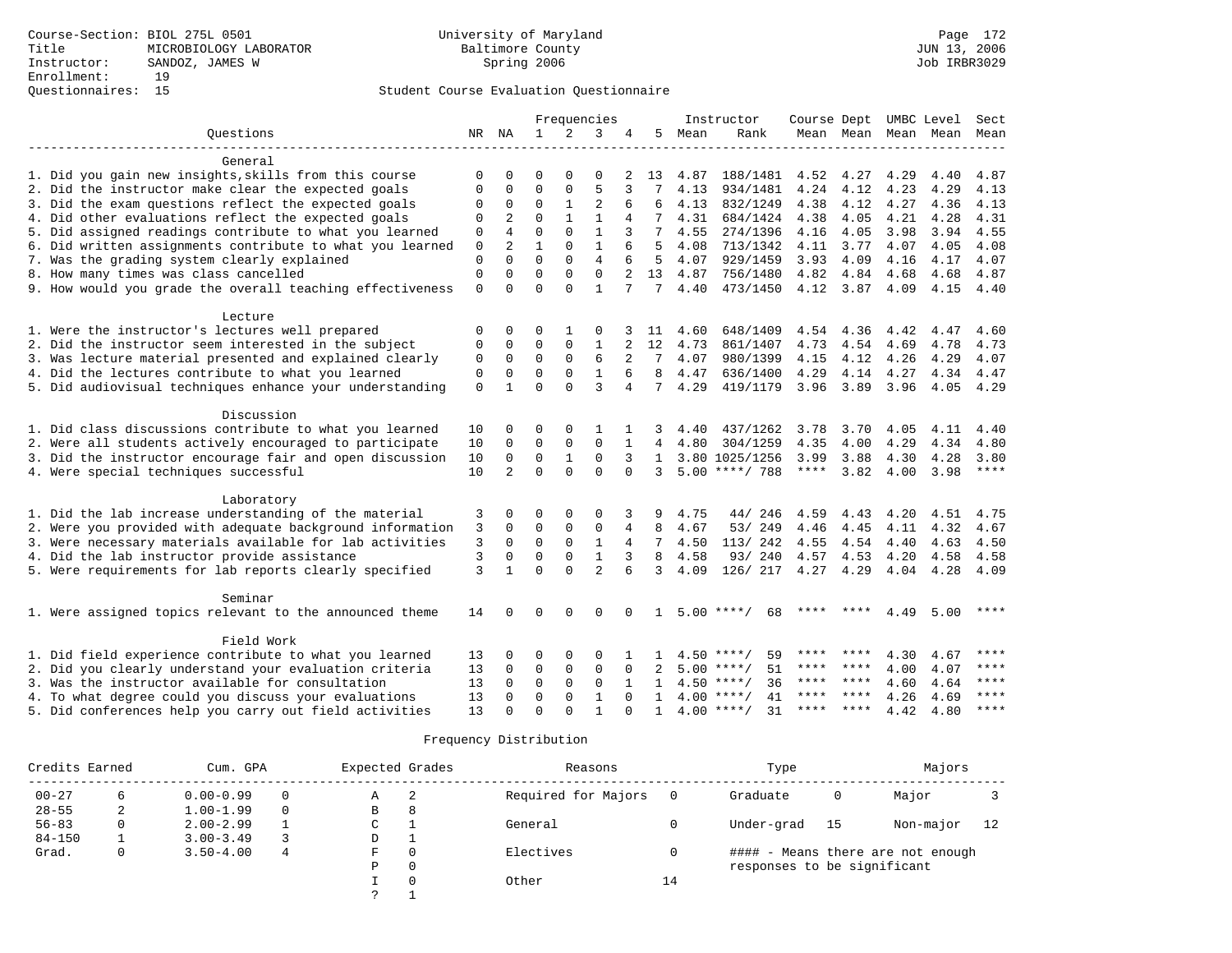|                                                           |             |                |              |              | Frequencies    |              |                |      | Instructor         | Course Dept UMBC Level |           |      |      | Sect  |
|-----------------------------------------------------------|-------------|----------------|--------------|--------------|----------------|--------------|----------------|------|--------------------|------------------------|-----------|------|------|-------|
| Ouestions                                                 |             | NR NA          | $\mathbf{1}$ | 2            | 3              | 4            | 5              | Mean | Rank               |                        | Mean Mean | Mean | Mean | Mean  |
| General                                                   |             |                |              |              |                |              |                |      |                    |                        |           |      |      |       |
| 1. Did you gain new insights, skills from this course     | $\Omega$    | $\Omega$       | $\Omega$     | $\Omega$     | $\Omega$       | 2            | 13             | 4.87 | 188/1481           | 4.52                   | 4.27      | 4.29 | 4.40 | 4.87  |
| 2. Did the instructor make clear the expected goals       | $\Omega$    | $\Omega$       | $\Omega$     | $\Omega$     | 5              | 3            |                | 4.13 | 934/1481           | 4.24                   | 4.12      | 4.23 | 4.29 | 4.13  |
| 3. Did the exam questions reflect the expected goals      | 0           | 0              | 0            | 1            | 2              |              | 6              | 4.13 | 832/1249           | 4.38                   | 4.12      | 4.27 | 4.36 | 4.13  |
| 4. Did other evaluations reflect the expected goals       | 0           | $\overline{2}$ | $\Omega$     | $\mathbf{1}$ | $\mathbf{1}$   | 4            |                | 4.31 | 684/1424           | 4.38                   | 4.05      | 4.21 | 4.28 | 4.31  |
| 5. Did assigned readings contribute to what you learned   | $\mathbf 0$ | 4              | $\Omega$     | $\Omega$     | $\mathbf{1}$   | 3            | 7              | 4.55 | 274/1396           | 4.16                   | 4.05      | 3.98 | 3.94 | 4.55  |
| 6. Did written assignments contribute to what you learned | $\mathbf 0$ | 2              | $\mathbf{1}$ | $\Omega$     | $\mathbf{1}$   | 6            | 5              | 4.08 | 713/1342           | 4.11                   | 3.77      | 4.07 | 4.05 | 4.08  |
| 7. Was the grading system clearly explained               | 0           | $\Omega$       | $\Omega$     | $\Omega$     | $\overline{4}$ | 6            | 5              | 4.07 | 929/1459           | 3.93                   | 4.09      | 4.16 | 4.17 | 4.07  |
| 8. How many times was class cancelled                     | $\mathbf 0$ | $\Omega$       | $\Omega$     | $\Omega$     | $\Omega$       | 2            | 13             | 4.87 | 756/1480           | 4.82                   | 4.84      | 4.68 | 4.68 | 4.87  |
| 9. How would you grade the overall teaching effectiveness | $\mathbf 0$ | $\Omega$       | $\Omega$     | $\Omega$     | $\mathbf{1}$   | 7            | 7              | 4.40 | 473/1450           | 4.12                   | 3.87      | 4.09 | 4.15 | 4.40  |
| Lecture                                                   |             |                |              |              |                |              |                |      |                    |                        |           |      |      |       |
| 1. Were the instructor's lectures well prepared           | 0           | $\Omega$       | 0            | 1            | $\Omega$       |              | -11            | 4.60 | 648/1409           | 4.54                   | 4.36      | 4.42 | 4.47 | 4.60  |
| 2. Did the instructor seem interested in the subject      | 0           | 0              | $\mathbf 0$  | $\mathbf{0}$ | 1              | 2            | 12             | 4.73 | 861/1407           | 4.73                   | 4.54      | 4.69 | 4.78 | 4.73  |
| 3. Was lecture material presented and explained clearly   | $\mathbf 0$ | $\Omega$       | $\Omega$     | $\Omega$     | 6              |              | 7              | 4.07 | 980/1399           | 4.15                   | 4.12      | 4.26 | 4.29 | 4.07  |
| 4. Did the lectures contribute to what you learned        | 0           | $\mathbf 0$    | $\mathbf 0$  | $\mathbf 0$  | $\mathbf{1}$   | 6            | 8              | 4.47 | 636/1400           | 4.29                   | 4.14      | 4.27 | 4.34 | 4.47  |
| 5. Did audiovisual techniques enhance your understanding  | $\Omega$    | $\mathbf{1}$   | $\Omega$     | $\Omega$     | 3              | 4            | $7^{\circ}$    | 4.29 | 419/1179           | 3.96                   | 3.89      | 3.96 | 4.05 | 4.29  |
| Discussion                                                |             |                |              |              |                |              |                |      |                    |                        |           |      |      |       |
| 1. Did class discussions contribute to what you learned   | 10          | 0              | 0            | 0            |                |              |                | 4.40 | 437/1262           | 3.78                   | 3.70      | 4.05 | 4.11 | 4.40  |
| 2. Were all students actively encouraged to participate   | 10          | $\mathbf 0$    | $\Omega$     | $\Omega$     | $\Omega$       | $\mathbf{1}$ | $\overline{4}$ | 4.80 | 304/1259           | 4.35                   | 4.00      | 4.29 | 4.34 | 4.80  |
| 3. Did the instructor encourage fair and open discussion  | 10          | 0              | $\mathbf 0$  | $\mathbf 1$  | 0              | 3            | $\mathbf{1}$   |      | 3.80 1025/1256     | 3.99                   | 3.88      | 4.30 | 4.28 | 3.80  |
| 4. Were special techniques successful                     | 10          | $\overline{2}$ | $\Omega$     | $\Omega$     | $\Omega$       | $\Omega$     | 3              |      | $5.00$ ****/ 788   | $***$ * * *            | 3.82      | 4.00 | 3.98 | $***$ |
| Laboratory                                                |             |                |              |              |                |              |                |      |                    |                        |           |      |      |       |
| 1. Did the lab increase understanding of the material     | 3           | 0              | $\Omega$     | $\Omega$     | 0              |              | 9              | 4.75 | 44/246             | 4.59                   | 4.43      | 4.20 | 4.51 | 4.75  |
| 2. Were you provided with adequate background information | 3           | $\Omega$       | 0            | 0            | 0              | 4            | 8              | 4.67 | 53/249             | 4.46                   | 4.45      | 4.11 | 4.32 | 4.67  |
| 3. Were necessary materials available for lab activities  | 3           | $\mathbf 0$    | $\Omega$     | $\mathbf 0$  | $\mathbf{1}$   | 4            | 7              | 4.50 | 113/ 242           | 4.55                   | 4.54      | 4.40 | 4.63 | 4.50  |
| 4. Did the lab instructor provide assistance              | 3           | $\mathbf 0$    | $\mathbf 0$  | $\Omega$     | $\mathbf{1}$   | 3            | 8              | 4.58 | 93/240             | 4.57 4.53              |           | 4.20 | 4.58 | 4.58  |
| 5. Were requirements for lab reports clearly specified    | 3           | $\mathbf{1}$   | $\Omega$     | $\Omega$     | $\overline{2}$ | 6            | 3              | 4.09 | 126/ 217           | 4.27                   | 4.29      | 4.04 | 4.28 | 4.09  |
|                                                           |             |                |              |              |                |              |                |      |                    |                        |           |      |      |       |
| Seminar                                                   |             |                |              |              |                |              |                |      |                    |                        |           |      |      |       |
| 1. Were assigned topics relevant to the announced theme   | 14          | $\Omega$       | 0            | $\Omega$     | $\Omega$       | $\Omega$     | $\mathbf{1}$   |      | $5.00$ ****/<br>68 | ****                   | $***$ *   | 4.49 | 5.00 | ****  |
| Field Work                                                |             |                |              |              |                |              |                |      |                    |                        |           |      |      |       |
| 1. Did field experience contribute to what you learned    | 13          | $\Omega$       | $\Omega$     | $\Omega$     | $\Omega$       |              |                |      | $4.50$ ****/<br>59 | ****                   | ****      | 4.30 | 4.67 | ****  |
| 2. Did you clearly understand your evaluation criteria    | 13          | 0              | 0            | 0            | 0              | 0            | 2              |      | $5.00$ ****/<br>51 | ****                   | ****      | 4.00 | 4.07 | ****  |
| 3. Was the instructor available for consultation          | 13          | $\Omega$       | $\mathbf 0$  | $\Omega$     | $\Omega$       | $\mathbf{1}$ | $\mathbf{1}$   |      | $4.50$ ****/<br>36 | ****                   | ****      | 4.60 | 4.64 | ****  |
| 4. To what degree could you discuss your evaluations      | 13          | $\Omega$       | $\mathbf 0$  | $\mathbf 0$  | $\mathbf{1}$   | $\Omega$     | $\mathbf{1}$   |      | $4.00$ ****/<br>41 | ****                   | ****      | 4.26 | 4.69 | ****  |
| 5. Did conferences help you carry out field activities    | 13          | $\Omega$       | $\Omega$     | $\cap$       | 1              |              | $\mathbf{1}$   |      | $4.00$ ****/<br>31 | ****                   | ****      | 4.42 | 4.80 | ****  |

| Credits Earned |    | Cum. GPA      |   | Expected Grades |          | Reasons             |    | Type                        |    | Majors                            |    |
|----------------|----|---------------|---|-----------------|----------|---------------------|----|-----------------------------|----|-----------------------------------|----|
| $00 - 27$      | 6. | $0.00 - 0.99$ |   | Α               | -2       | Required for Majors |    | Graduate                    | 0  | Major                             |    |
| $28 - 55$      | 2  | $1.00 - 1.99$ |   | B               | 8        |                     |    |                             |    |                                   |    |
| $56 - 83$      | 0  | $2.00 - 2.99$ |   | C               |          | General             |    | Under-grad                  | 15 | Non-major                         | 12 |
| $84 - 150$     |    | $3.00 - 3.49$ |   | D               |          |                     |    |                             |    |                                   |    |
| Grad.          | 0  | $3.50 - 4.00$ | 4 | F               | $\Omega$ | Electives           |    |                             |    | #### - Means there are not enough |    |
|                |    |               |   | Ρ               | 0        |                     |    | responses to be significant |    |                                   |    |
|                |    |               |   |                 | $\Omega$ | Other               | 14 |                             |    |                                   |    |
|                |    |               |   | $\mathcal{P}$   |          |                     |    |                             |    |                                   |    |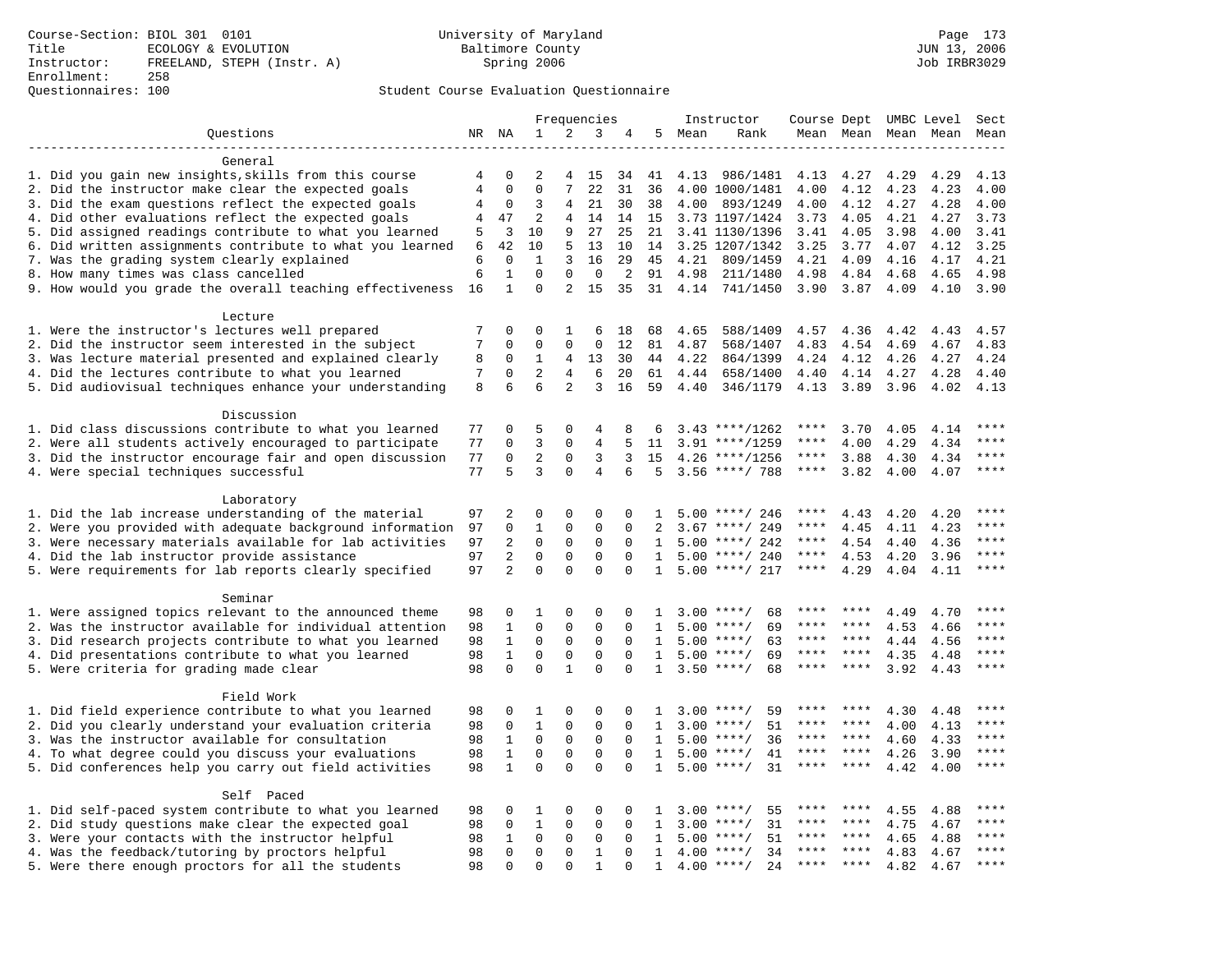|                                                                                                         |                |                |                |                | Frequencies    |             |                |        | Instructor           | Course Dept UMBC Level |             |      |           | Sect        |
|---------------------------------------------------------------------------------------------------------|----------------|----------------|----------------|----------------|----------------|-------------|----------------|--------|----------------------|------------------------|-------------|------|-----------|-------------|
| Questions                                                                                               | NR NA          |                | $\mathbf{1}$   | 2              | 3              | 4           |                | 5 Mean | Rank                 |                        | Mean Mean   |      | Mean Mean | Mean        |
|                                                                                                         |                |                |                |                |                |             |                |        |                      |                        |             |      |           |             |
| General                                                                                                 |                |                |                |                |                |             |                |        |                      |                        |             |      |           |             |
| 1. Did you gain new insights, skills from this course                                                   | 4              | 0              | 2              | 4              | 15             | 34          | 41             | 4.13   | 986/1481             | 4.13                   | 4.27        | 4.29 | 4.29      | 4.13        |
| 2. Did the instructor make clear the expected goals                                                     | $\overline{4}$ | $\Omega$       | $\Omega$       | 7              | 22             | 31          | 36             |        | 4.00 1000/1481       | 4.00                   | 4.12        | 4.23 | 4.23      | 4.00        |
| 3. Did the exam questions reflect the expected goals                                                    | 4              | $\Omega$       | ς              | 4              | 21             | 30          | 38             | 4.00   | 893/1249             | 4.00                   | 4.12        | 4.27 | 4.28      | 4.00        |
| 4. Did other evaluations reflect the expected goals                                                     | 4              | 47             | $\overline{c}$ | 4              | 14             |             | 14 15          |        | 3.73 1197/1424       | 3.73                   | 4.05        | 4.21 | 4.27      | 3.73        |
| 5. Did assigned readings contribute to what you learned                                                 | 5              | 3              | 10             | 9              | 27             | 25          | 21             |        | 3.41 1130/1396       | 3.41                   | 4.05        | 3.98 | 4.00      | 3.41        |
| 6. Did written assignments contribute to what you learned                                               | 6              | 42             | 10             | 5              | 13             | 10          | 14             |        | 3.25 1207/1342       | 3.25                   | 3.77        | 4.07 | 4.12      | 3.25        |
| 7. Was the grading system clearly explained                                                             | 6              | $\Omega$       | $\mathbf{1}$   | 3              | 16             | 29          | 45             | 4.21   | 809/1459             | 4.21                   | 4.09        | 4.16 | 4.17      | 4.21        |
| 8. How many times was class cancelled                                                                   | 6              | $\mathbf{1}$   | $\Omega$       | $\Omega$       | $\mathbf 0$    | 2           | 91             | 4.98   | 211/1480             | 4.98                   | 4.84        | 4.68 | 4.65      | 4.98        |
| 9. How would you grade the overall teaching effectiveness                                               | 16             | $\mathbf{1}$   | $\Omega$       | $\overline{2}$ | 15             | 35          | 31             |        | 4.14 741/1450        | 3.90                   | 3.87        | 4.09 | 4.10      | 3.90        |
|                                                                                                         |                |                |                |                |                |             |                |        |                      |                        |             |      |           |             |
| Lecture                                                                                                 | 7              | 0              | 0              | 1              | 6              | 18          | 68             | 4.65   |                      | 4.57 4.36              |             | 4.42 | 4.43      | 4.57        |
| 1. Were the instructor's lectures well prepared<br>2. Did the instructor seem interested in the subject | 7              | 0              | $\Omega$       | $\Omega$       | $\mathbf 0$    | 12          | 81             | 4.87   | 588/1409<br>568/1407 | 4.83                   | 4.54        | 4.69 | 4.67      | 4.83        |
| 3. Was lecture material presented and explained clearly                                                 | 8              | 0              | 1              | 4              | 13             | 30          | 44             | 4.22   | 864/1399             | 4.24                   | 4.12        | 4.26 | 4.27      | 4.24        |
|                                                                                                         | 7              | $\Omega$       | $\overline{2}$ | 4              | 6              | 20          | 61             | 4.44   |                      |                        |             |      | 4.28      | 4.40        |
| 4. Did the lectures contribute to what you learned                                                      | 8              | 6              | 6              | 2              | 3              |             | 59             |        | 658/1400             | 4.40                   | 4.14        | 4.27 |           |             |
| 5. Did audiovisual techniques enhance your understanding                                                |                |                |                |                |                | 16          |                | 4.40   | 346/1179             | 4.13                   | 3.89        | 3.96 | 4.02      | 4.13        |
| Discussion                                                                                              |                |                |                |                |                |             |                |        |                      |                        |             |      |           |             |
| 1. Did class discussions contribute to what you learned                                                 | 77             | 0              | 5              | $\Omega$       | 4              | 8           | 6              |        | $3.43$ ****/1262     | ****                   | 3.70        | 4.05 | 4.14      | ****        |
| 2. Were all students actively encouraged to participate                                                 | 77             | 0              | 3              | 0              | 4              | 5           | 11             |        | $3.91$ ****/1259     | ****                   | 4.00        | 4.29 | 4.34      | ****        |
| 3. Did the instructor encourage fair and open discussion                                                | 77             | 0              | $\overline{2}$ | $\Omega$       | 3              | 3           | 15             |        | $4.26$ ****/1256     | ****                   | 3.88        | 4.30 | 4.34      | ****        |
| 4. Were special techniques successful                                                                   | 77             | 5              | 3              | $\Omega$       | $\overline{4}$ | 6           | 5              |        | $3.56$ ****/ 788     | $***$ * * *            | 3.82        | 4.00 | 4.07      | ****        |
|                                                                                                         |                |                |                |                |                |             |                |        |                      |                        |             |      |           |             |
| Laboratory                                                                                              |                |                |                |                |                |             |                |        |                      |                        |             |      |           |             |
| 1. Did the lab increase understanding of the material                                                   | 97             | 2              | $\Omega$       | 0              | $\mathbf 0$    | $\Omega$    | 1              |        | $5.00$ ****/ 246     |                        | 4.43        | 4.20 | 4.20      |             |
| 2. Were you provided with adequate background information                                               | 97             | 0              | $\mathbf{1}$   | 0              | $\mathbf 0$    | $\Omega$    | $\mathfrak{D}$ |        | $3.67$ ****/ 249     | ****                   | 4.45        | 4.11 | 4.23      | ****        |
| 3. Were necessary materials available for lab activities                                                | 97             | 2              | $\Omega$       | $\Omega$       | $\mathbf 0$    | $\Omega$    | $\mathbf{1}$   |        | $5.00$ ****/ 242     | ****                   | 4.54        | 4.40 | 4.36      | $***$       |
| 4. Did the lab instructor provide assistance                                                            | 97             | $\overline{2}$ | $\Omega$       | $\mathbf 0$    | $\mathbf 0$    | $\mathbf 0$ | $\mathbf{1}$   |        | $5.00$ ****/ 240     | $***$ * * *            | 4.53        | 4.20 | 3.96      | ****        |
| 5. Were requirements for lab reports clearly specified                                                  | 97             | $\overline{a}$ | $\mathbf 0$    | $\Omega$       | $\mathbf 0$    | $\Omega$    | $\mathbf{1}$   |        | $5.00$ ****/ 217     | $***$ * *              | 4.29        | 4.04 | 4.11      | $* * * *$   |
|                                                                                                         |                |                |                |                |                |             |                |        |                      |                        |             |      |           |             |
| Seminar                                                                                                 |                |                |                |                |                |             |                |        |                      |                        |             |      |           |             |
| 1. Were assigned topics relevant to the announced theme                                                 | 98             | 0              | 1              | $\mathbf 0$    | $\mathbf 0$    | $\Omega$    | -1.            |        | 68<br>$3.00$ ****/   | ****                   | ****        | 4.49 | 4.70      | ****        |
| 2. Was the instructor available for individual attention                                                | 98             | 1              | $\Omega$       | 0              | $\mathbf 0$    | $\Omega$    | $\mathbf{1}$   |        | 69<br>$5.00$ ****/   | ****                   | ****        | 4.53 | 4.66      | * * * *     |
| 3. Did research projects contribute to what you learned                                                 | 98             | $\mathbf{1}$   | $\mathbf 0$    | $\mathsf 0$    | $\mathbf 0$    | $\mathbf 0$ | 1              |        | $5.00$ ****/<br>63   | ****                   | $***$ *     | 4.44 | 4.56      | $***$ * * * |
| 4. Did presentations contribute to what you learned                                                     | 98             | $\mathbf{1}$   | $\mathbf 0$    | $\mathbf 0$    | $\mathbf 0$    | $\Omega$    | 1              |        | $5.00$ ****/<br>69   | $***$ * * *            | $* * * *$   | 4.35 | 4.48      | $***$       |
| 5. Were criteria for grading made clear                                                                 | 98             | $\mathbf 0$    | $\Omega$       | $\mathbf{1}$   | $\Omega$       | $\Omega$    | $\mathbf{1}$   |        | $3.50$ ****/<br>68   | ****                   | ****        | 3.92 | 4.43      | ****        |
|                                                                                                         |                |                |                |                |                |             |                |        |                      |                        |             |      |           |             |
| Field Work                                                                                              |                |                |                |                |                |             |                |        |                      |                        |             |      |           |             |
| 1. Did field experience contribute to what you learned                                                  | 98             | 0              | 1              | 0              | $\mathbf 0$    | $\Omega$    | 1              |        | $3.00$ ****/<br>59   |                        |             | 4.30 | 4.48      | ****        |
| 2. Did you clearly understand your evaluation criteria                                                  | 98             | $\Omega$       | $\mathbf{1}$   | $\Omega$       | $\Omega$       | $\Omega$    | $\mathbf{1}$   | 3.00   | 51<br>$***$ /        | ****                   | ****        | 4.00 | 4.13      | $***$       |
| 3. Was the instructor available for consultation                                                        | 98             | $\mathbf{1}$   | $\mathbf 0$    | 0              | $\mathsf 0$    | $\mathbf 0$ | 1              | 5.00   | $***/$<br>36         | ****                   | $* * * * *$ | 4.60 | 4.33      | ****        |
| 4. To what degree could you discuss your evaluations                                                    | 98             | $\mathbf{1}$   | $\Omega$       | 0              | $\mathbf 0$    | $\mathbf 0$ | 1              |        | $5.00$ ****/<br>41   | $***$ * * *            | ****        | 4.26 | 3.90      | $***$       |
| 5. Did conferences help you carry out field activities                                                  | 98             | $\mathbf{1}$   | $\Omega$       | $\Omega$       | $\Omega$       | $\Omega$    | $\mathbf{1}$   | 5.00   | 31<br>$* * * * /$    | ****                   | ****        | 4.42 | 4.00      | $***$       |
|                                                                                                         |                |                |                |                |                |             |                |        |                      |                        |             |      |           |             |
| Self Paced                                                                                              |                |                |                |                |                |             |                |        |                      |                        |             |      |           |             |
| 1. Did self-paced system contribute to what you learned                                                 | 98             | 0              | 1              | $\Omega$       | $\mathbf 0$    | $\Omega$    | $\mathbf{1}$   |        | $3.00$ ****/<br>55   | ****                   | ****        | 4.55 | 4.88      | ****        |
| 2. Did study questions make clear the expected goal                                                     | 98             | $\mathbf 0$    | $\mathbf{1}$   | 0              | $\mathbf 0$    | $\mathbf 0$ | 1              | 3.00   | $***/$<br>31         | ****                   | ****        | 4.75 | 4.67      | ****        |
| 3. Were your contacts with the instructor helpful                                                       | 98             | 1              | 0              | $\mathbf 0$    | $\mathbf 0$    | 0           | 1              | 5.00   | 51<br>$***$ /        | ****                   | ****        | 4.65 | 4.88      | ****        |
| 4. Was the feedback/tutoring by proctors helpful                                                        | 98             | 0              | $\mathbf 0$    | 0              | $\mathbf{1}$   | $\Omega$    | $\mathbf{1}$   | 4.00   | 34<br>$***/$         |                        |             | 4.83 | 4.67      | ****        |
| 5. Were there enough proctors for all the students                                                      | 98             | $\Omega$       | $\Omega$       | $\Omega$       | $\mathbf{1}$   | $\Omega$    | 1              |        | $4.00$ ****/<br>24   | ****                   | $***$       | 4.82 | 4.67      | ****        |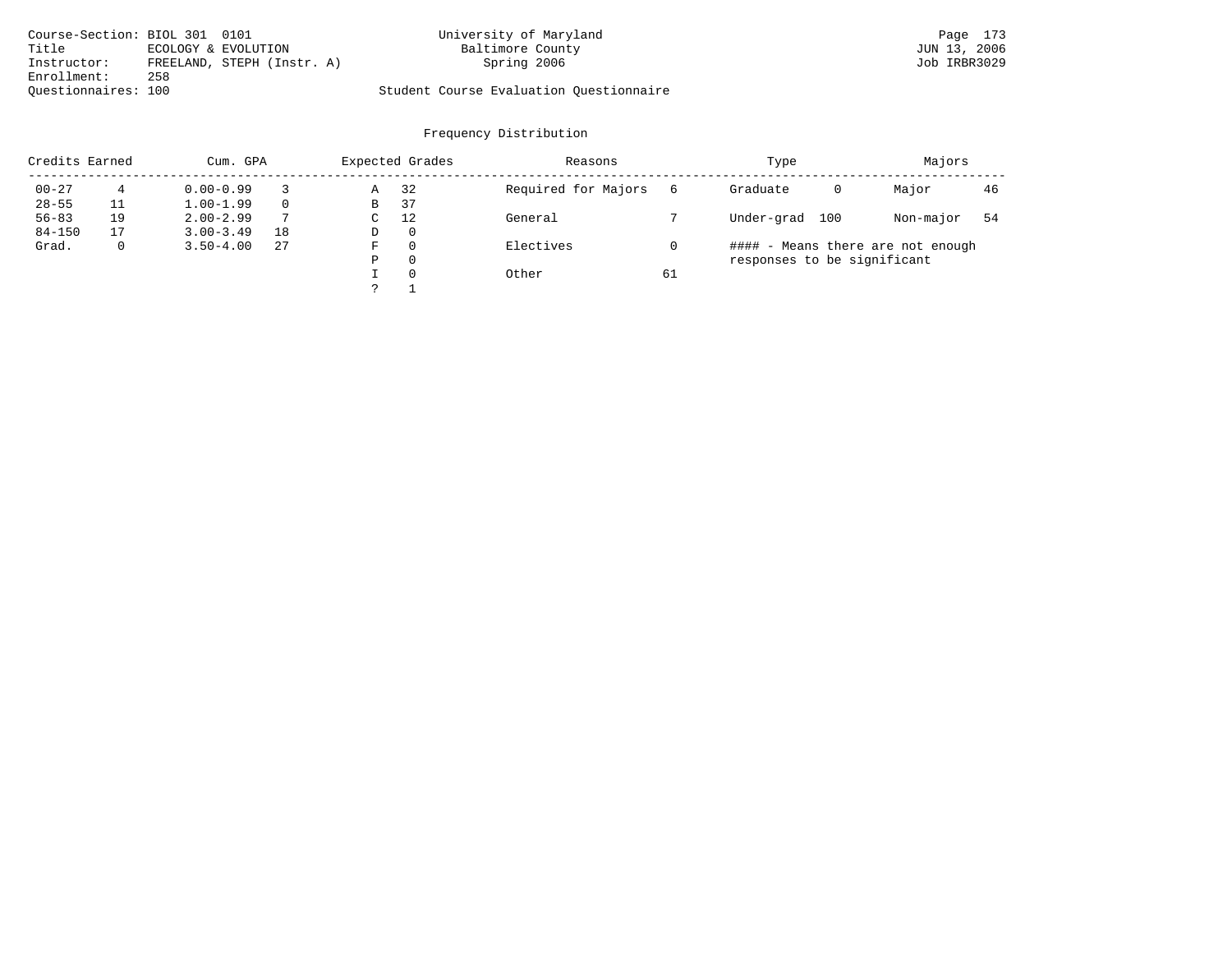| Course-Section: BIOL 301 0101 |     |                            | University of Maryland                  | Page 173     |
|-------------------------------|-----|----------------------------|-----------------------------------------|--------------|
| Title                         |     | ECOLOGY & EVOLUTION        | Baltimore County                        | JUN 13, 2006 |
| Instructor:                   |     | FREELAND, STEPH (Instr. A) | Spring 2006                             | Job IRBR3029 |
| Enrollment:                   | 258 |                            |                                         |              |
| Ouestionnaires: 100           |     |                            | Student Course Evaluation Ouestionnaire |              |

| Credits Earned |    | Cum. GPA      |          |   | Expected Grades | Reasons             |    | Type                        |     | Majors                            |    |
|----------------|----|---------------|----------|---|-----------------|---------------------|----|-----------------------------|-----|-----------------------------------|----|
| $00 - 27$      | 4  | $0.00 - 0.99$ |          | Α | 32              | Required for Majors | 6  | Graduate                    | 0   | Major                             | 46 |
| $28 - 55$      | 11 | $1.00 - 1.99$ | $\Omega$ | B | 37              |                     |    |                             |     |                                   |    |
| $56 - 83$      | 19 | $2.00 - 2.99$ |          | C | 12              | General             |    | Under-grad                  | 100 | Non-major                         | 54 |
| $84 - 150$     | 17 | $3.00 - 3.49$ | 18       | D | $\mathbf 0$     |                     |    |                             |     |                                   |    |
| Grad.          | 0  | $3.50 - 4.00$ | 27       | F | 0               | Electives           |    |                             |     | #### - Means there are not enough |    |
|                |    |               |          | Ρ | 0               |                     |    | responses to be significant |     |                                   |    |
|                |    |               |          |   | $\Omega$        | Other               | 61 |                             |     |                                   |    |
|                |    |               |          |   |                 |                     |    |                             |     |                                   |    |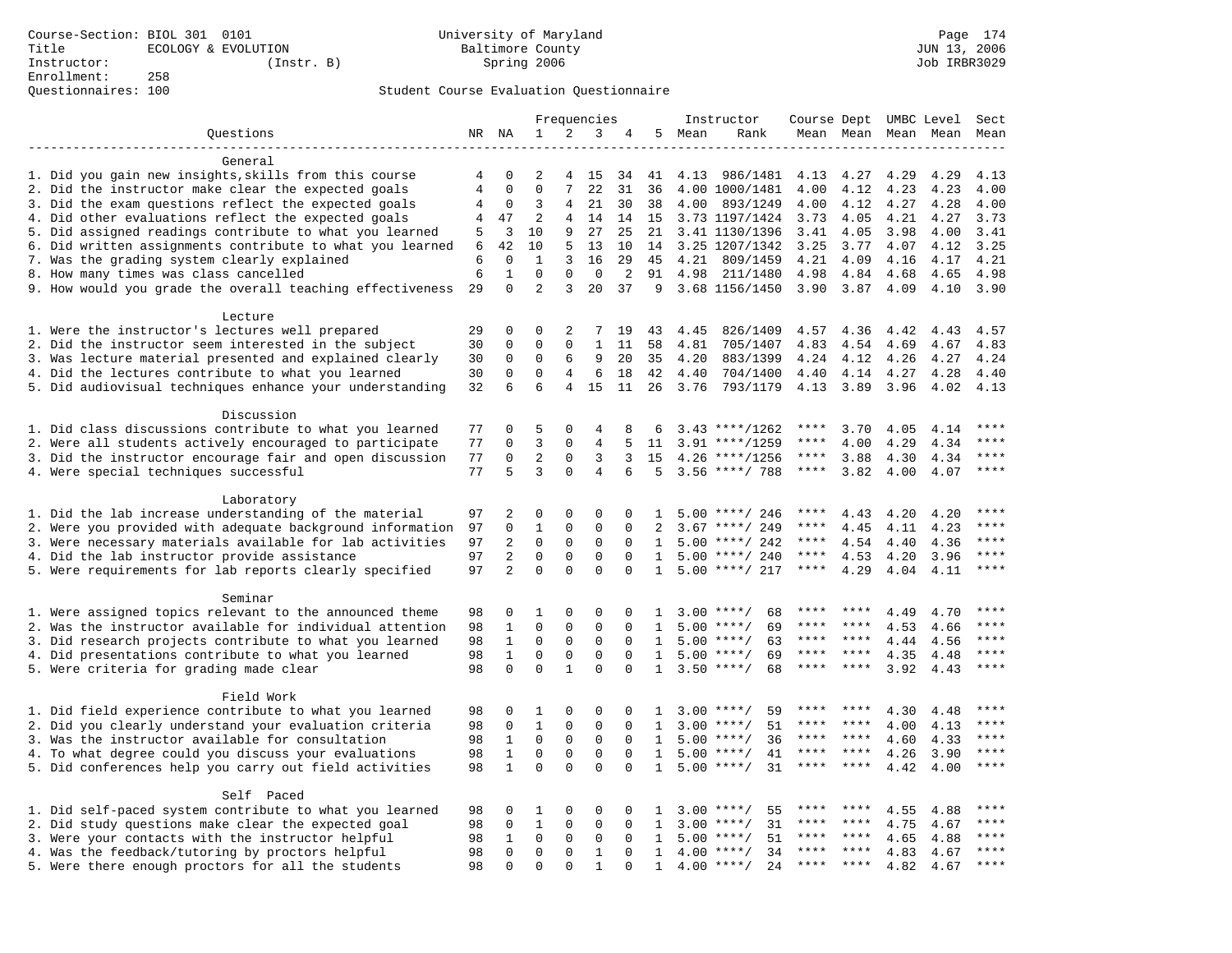|                                                           |                |                          |                            |                | Frequencies    |             |              |        | Instructor         | Course Dept UMBC Level |           |                     |      | Sect      |
|-----------------------------------------------------------|----------------|--------------------------|----------------------------|----------------|----------------|-------------|--------------|--------|--------------------|------------------------|-----------|---------------------|------|-----------|
| Questions                                                 |                | NR NA                    | 1                          | 2              | 3              | 4           |              | 5 Mean | Rank               |                        |           | Mean Mean Mean Mean |      | Mean      |
|                                                           |                |                          |                            |                |                |             |              |        |                    |                        |           |                     |      |           |
| General                                                   |                |                          |                            |                |                |             |              |        |                    |                        |           |                     |      |           |
| 1. Did you gain new insights, skills from this course     | 4              | 0                        | $\overline{2}$             | 4              | 15             | 34          | 41           | 4.13   | 986/1481           | 4.13                   | 4.27      | 4.29                | 4.29 | 4.13      |
| 2. Did the instructor make clear the expected goals       | $\overline{4}$ | $\Omega$                 | $\Omega$                   | 7              | 22             | 31          | 36           |        | 4.00 1000/1481     | 4.00                   | 4.12      | 4.23                | 4.23 | 4.00      |
| 3. Did the exam questions reflect the expected goals      | 4              | $\mathbf 0$              | 3                          | 4              | 21             | 30          | 38           | 4.00   | 893/1249           | 4.00                   | 4.12      | 4.27                | 4.28 | 4.00      |
| 4. Did other evaluations reflect the expected goals       | 4              | 47                       | $\overline{2}$             | 4              | 14             |             | 14 15        |        | 3.73 1197/1424     | 3.73                   | 4.05      | 4.21                | 4.27 | 3.73      |
| 5. Did assigned readings contribute to what you learned   | 5              | 3                        | 10                         | 9              | 27             | 25          | 21           |        | 3.41 1130/1396     | 3.41                   | 4.05      | 3.98                | 4.00 | 3.41      |
| 6. Did written assignments contribute to what you learned | 6              | 42                       | 10                         | 5              | 13             | 10          | 14           |        | 3.25 1207/1342     | 3.25                   | 3.77      | 4.07                | 4.12 | 3.25      |
| 7. Was the grading system clearly explained               | 6              | $\Omega$                 | $\mathbf{1}$               | 3              | 16             | 29          | 45           | 4.21   | 809/1459           | 4.21                   | 4.09      | 4.16                | 4.17 | 4.21      |
| 8. How many times was class cancelled                     | 6              | $\mathbf{1}$<br>$\Omega$ | $\Omega$<br>$\overline{2}$ | $\Omega$       | $\Omega$       | 2           | 91           | 4.98   | 211/1480           | 4.98                   | 4.84      | 4.68                | 4.65 | 4.98      |
| 9. How would you grade the overall teaching effectiveness | 29             |                          |                            | 3              | 20             | 37          | 9            |        | 3.68 1156/1450     | 3.90                   | 3.87      | 4.09                | 4.10 | 3.90      |
| Lecture                                                   |                |                          |                            |                |                |             |              |        |                    |                        |           |                     |      |           |
| 1. Were the instructor's lectures well prepared           | 29             | $\Omega$                 | $\Omega$                   | 2              | 7              | 19          | 43           | 4.45   | 826/1409           | 4.57 4.36              |           | 4.42                | 4.43 | 4.57      |
| 2. Did the instructor seem interested in the subject      | 30             | 0                        | $\Omega$                   | $\Omega$       | $\mathbf{1}$   | 11          | 58           | 4.81   | 705/1407           | 4.83                   | 4.54      | 4.69                | 4.67 | 4.83      |
| 3. Was lecture material presented and explained clearly   | 30             | 0                        | $\mathbf 0$                | 6              | 9              | 20          | 35           | 4.20   | 883/1399           | 4.24                   | 4.12      | 4.26                | 4.27 | 4.24      |
| 4. Did the lectures contribute to what you learned        | 30             | 0                        | $\mathbf{0}$               | $\overline{4}$ | 6              | 18          | 42           | 4.40   | 704/1400           | 4.40                   | 4.14      | 4.27                | 4.28 | 4.40      |
| 5. Did audiovisual techniques enhance your understanding  | 32             | 6                        | 6                          | 4              | 15             | 11          | 26           | 3.76   | 793/1179           | 4.13                   | 3.89      | 3.96                | 4.02 | 4.13      |
|                                                           |                |                          |                            |                |                |             |              |        |                    |                        |           |                     |      |           |
| Discussion                                                |                |                          |                            |                |                |             |              |        |                    |                        |           |                     |      |           |
| 1. Did class discussions contribute to what you learned   | 77             | $\Omega$                 | 5                          | $\Omega$       | $\overline{4}$ | 8           | 6            |        | $3.43$ ****/1262   | ****                   | 3.70      | 4.05                | 4.14 | $* * * *$ |
| 2. Were all students actively encouraged to participate   | 77             | 0                        | 3                          | 0              | 4              | 5           | 11           |        | $3.91$ ****/1259   | ****                   | 4.00      | 4.29                | 4.34 | ****      |
| 3. Did the instructor encourage fair and open discussion  | 77             | 0                        | $\overline{2}$             | $\mathbf 0$    | 3              | 3           | 15           |        | $4.26$ ****/1256   | ****                   | 3.88      | 4.30                | 4.34 | ****      |
| 4. Were special techniques successful                     | 77             | 5                        | 3                          | $\Omega$       | 4              | 6           | 5            |        | $3.56$ ****/ 788   | $***$ * * *            | 3.82      | 4.00                | 4.07 | $***$     |
|                                                           |                |                          |                            |                |                |             |              |        |                    |                        |           |                     |      |           |
| Laboratory                                                |                |                          |                            |                |                |             |              |        |                    |                        |           |                     |      |           |
| 1. Did the lab increase understanding of the material     | 97             | 2                        | $\mathbf 0$                | 0              | $\mathbf 0$    | 0           | 1            |        | $5.00$ ****/ 246   | ****                   | 4.43      | 4.20                | 4.20 |           |
| 2. Were you provided with adequate background information | 97             | 0                        | $\mathbf{1}$               | 0              | $\mathbf 0$    | 0           | 2            | 3.67   | ****/ 249          | ****                   | 4.45      | 4.11                | 4.23 | ****      |
| 3. Were necessary materials available for lab activities  | 97             | 2                        | $\mathbf 0$                | $\mathbf 0$    | $\mathbf 0$    | $\Omega$    | 1            |        | $5.00$ ****/ 242   | ****                   | 4.54      | 4.40                | 4.36 | $***$     |
| 4. Did the lab instructor provide assistance              | 97             | $\overline{2}$           | $\Omega$                   | $\Omega$       | $\Omega$       | $\Omega$    | $\mathbf{1}$ |        | $5.00$ ****/ 240   | $***$ * * *            | 4.53      | 4.20                | 3.96 | $***$     |
| 5. Were requirements for lab reports clearly specified    | 97             | $\overline{a}$           | $\Omega$                   | $\Omega$       | $\Omega$       | $\Omega$    | $\mathbf{1}$ |        | $5.00$ ****/ 217   | $***$ * * *            | 4.29      | 4.04                | 4.11 | $* * * *$ |
| Seminar                                                   |                |                          |                            |                |                |             |              |        |                    |                        |           |                     |      |           |
| 1. Were assigned topics relevant to the announced theme   | 98             | 0                        | 1                          | $\mathbf 0$    | $\mathbf 0$    | $\mathbf 0$ | 1            |        | $3.00$ ****/<br>68 | ****                   | ****      | 4.49                | 4.70 | ****      |
| 2. Was the instructor available for individual attention  | 98             | 1                        | $\mathbf 0$                | $\mathbf 0$    | $\mathbf 0$    | $\mathbf 0$ | 1            |        | $5.00$ ****/<br>69 | ****                   | ****      | 4.53                | 4.66 |           |
| 3. Did research projects contribute to what you learned   | 98             | $\mathbf{1}$             | $\mathbf{0}$               | $\mathbf 0$    | $\mathbf 0$    | $\Omega$    | $\mathbf{1}$ |        | 63<br>$5.00$ ****/ | $***$ * *              | ****      | 4.44                | 4.56 | ****      |
| 4. Did presentations contribute to what you learned       | 98             | $\mathbf{1}$             | $\mathbf 0$                | $\mathbf 0$    | $\mathbf 0$    | $\Omega$    | $\mathbf{1}$ |        | $5.00$ ****/<br>69 | ****                   | $* * * *$ | 4.35                | 4.48 | $***$     |
| 5. Were criteria for grading made clear                   | 98             | 0                        | 0                          | $\mathbf{1}$   | $\Omega$       | $\Omega$    | 1            |        | $3.50$ ****/<br>68 | ****                   | ****      | 3.92                | 4.43 | ****      |
|                                                           |                |                          |                            |                |                |             |              |        |                    |                        |           |                     |      |           |
| Field Work                                                |                |                          |                            |                |                |             |              |        |                    |                        |           |                     |      |           |
| 1. Did field experience contribute to what you learned    | 98             | 0                        | 1                          | 0              | $\mathbf 0$    | $\Omega$    | -1.          |        | $3.00$ ****/<br>59 |                        |           | 4.30                | 4.48 | * * * *   |
| 2. Did you clearly understand your evaluation criteria    | 98             | $\mathbf 0$              | $\mathbf{1}$               | $\Omega$       | $\Omega$       | $\Omega$    | $\mathbf{1}$ | 3.00   | 51<br>$***/$       | ****                   | ****      | 4.00                | 4.13 | ****      |
| 3. Was the instructor available for consultation          | 98             | $\mathbf{1}$             | $\mathbf 0$                | $\mathsf 0$    | $\mathsf 0$    | $\Omega$    | $\mathbf{1}$ |        | $5.00$ ****/<br>36 | ****                   | ****      | 4.60                | 4.33 | ****      |
| 4. To what degree could you discuss your evaluations      | 98             | $\mathbf{1}$             | $\Omega$                   | 0              | $\mathbf 0$    | $\mathbf 0$ | 1            |        | $5.00$ ****/<br>41 | ****                   | $* * * *$ | 4.26                | 3.90 | $***$     |
| 5. Did conferences help you carry out field activities    | 98             | $\mathbf{1}$             | $\Omega$                   | $\Omega$       | $\Omega$       | $\Omega$    | 1            | 5.00   | 31<br>$***/$       | ****                   | ****      | 4.42                | 4.00 | ****      |
|                                                           |                |                          |                            |                |                |             |              |        |                    |                        |           |                     |      |           |
| Self Paced                                                |                |                          |                            |                |                |             |              |        |                    |                        |           |                     |      |           |
| 1. Did self-paced system contribute to what you learned   | 98             | 0                        | 1                          | $\Omega$       | $\mathbf 0$    | $\Omega$    | 1            |        | 55<br>$3.00$ ****/ | ****                   | ****      | 4.55                | 4.88 | ****      |
| 2. Did study questions make clear the expected goal       | 98             | $\mathbf 0$              | $\mathbf{1}$               | $\mathbf 0$    | $\mathbf 0$    | $\mathbf 0$ | 1            | 3.00   | $***$ /<br>31      | ****                   | ****      | 4.75                | 4.67 | ****      |
| 3. Were your contacts with the instructor helpful         | 98             | $\mathbf{1}$             | $\mathbf 0$                | $\mathbf 0$    | $\mathbf 0$    | 0           | 1            | 5.00   | 51<br>$***/$       | ****                   | ****      | 4.65                | 4.88 | ****      |
| 4. Was the feedback/tutoring by proctors helpful          | 98             | 0                        | $\mathbf 0$                | $\mathbf 0$    | $\mathbf{1}$   | $\Omega$    | $\mathbf{1}$ | 4.00   | $***/$<br>34       |                        |           | 4.83                | 4.67 | ****      |
| 5. Were there enough proctors for all the students        | 98             | $\Omega$                 | $\Omega$                   | $\Omega$       | $\mathbf{1}$   | $\Omega$    | $\mathbf{1}$ |        | $4.00$ ****/<br>24 | ****                   | $***$ *   | 4.82                | 4.67 | ****      |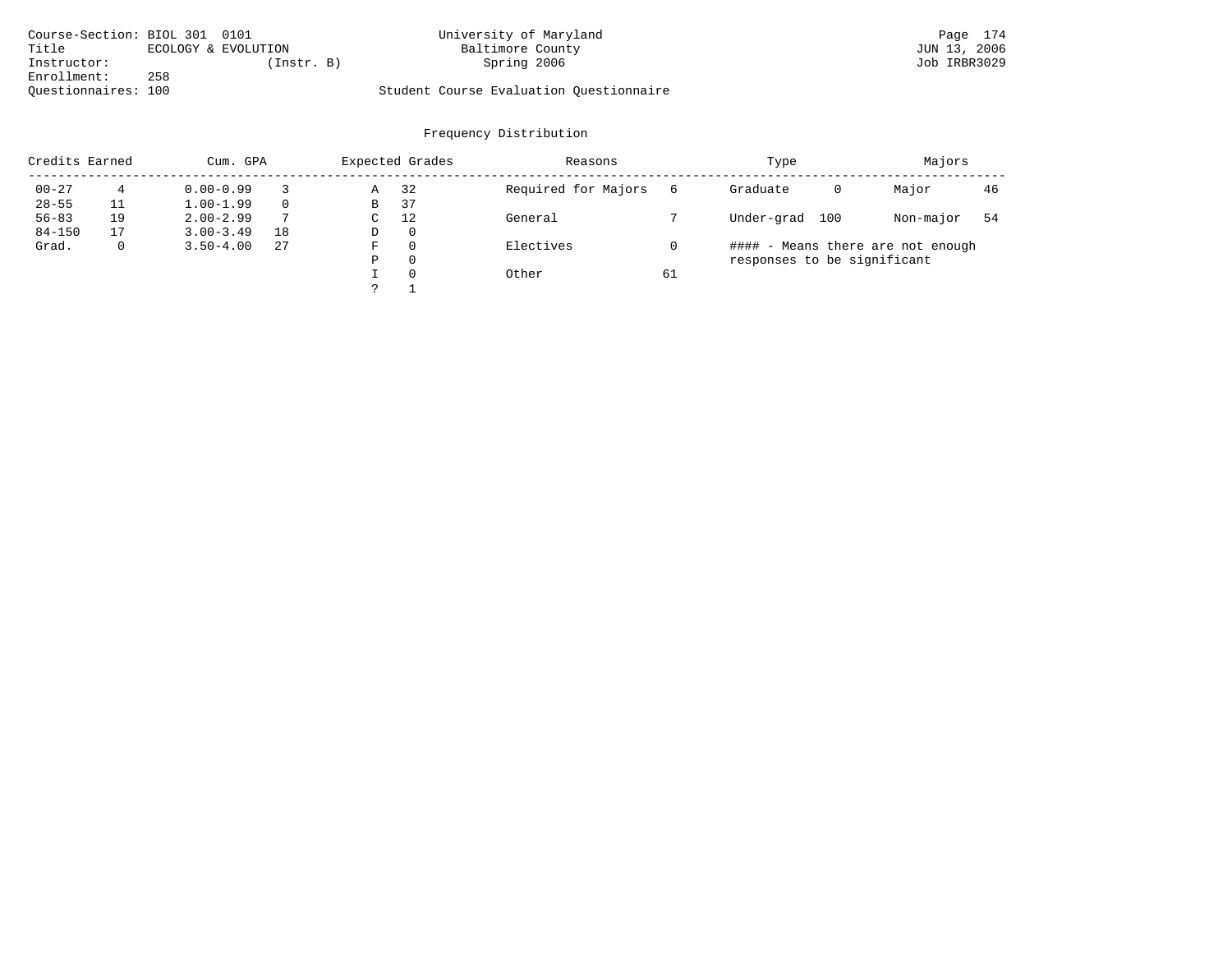| Course-Section: BIOL 301 0101 |     |                     | University of Maryland                  | Page 174     |
|-------------------------------|-----|---------------------|-----------------------------------------|--------------|
| Title                         |     | ECOLOGY & EVOLUTION | Baltimore County                        | JUN 13, 2006 |
| Instructor:                   |     | (Instr. B)          | Spring 2006                             | Job IRBR3029 |
| Enrollment:                   | 258 |                     |                                         |              |
| Ouestionnaires: 100           |     |                     | Student Course Evaluation Ouestionnaire |              |

| Credits Earned |    | Cum. GPA      |          |   | Expected Grades | Reasons             |    | Type                              |   | Majors    |    |
|----------------|----|---------------|----------|---|-----------------|---------------------|----|-----------------------------------|---|-----------|----|
| $00 - 27$      | 4  | $0.00 - 0.99$ |          | Α | 32              | Required for Majors | 6  | Graduate                          | 0 | Major     | 46 |
| $28 - 55$      |    | $1.00 - 1.99$ | $\Omega$ | В | 37              |                     |    |                                   |   |           |    |
| $56 - 83$      | 19 | $2.00 - 2.99$ | 7        | C | 12              | General             |    | Under-grad<br>100                 |   | Non-major | 54 |
| $84 - 150$     | 17 | $3.00 - 3.49$ | 18       | D | $\mathbf 0$     |                     |    |                                   |   |           |    |
| Grad.          | 0  | $3.50 - 4.00$ | 27       | F | 0               | Electives           |    | #### - Means there are not enough |   |           |    |
|                |    |               |          | Ρ | 0               |                     |    | responses to be significant       |   |           |    |
|                |    |               |          |   | 0               | Other               | 61 |                                   |   |           |    |
|                |    |               |          |   |                 |                     |    |                                   |   |           |    |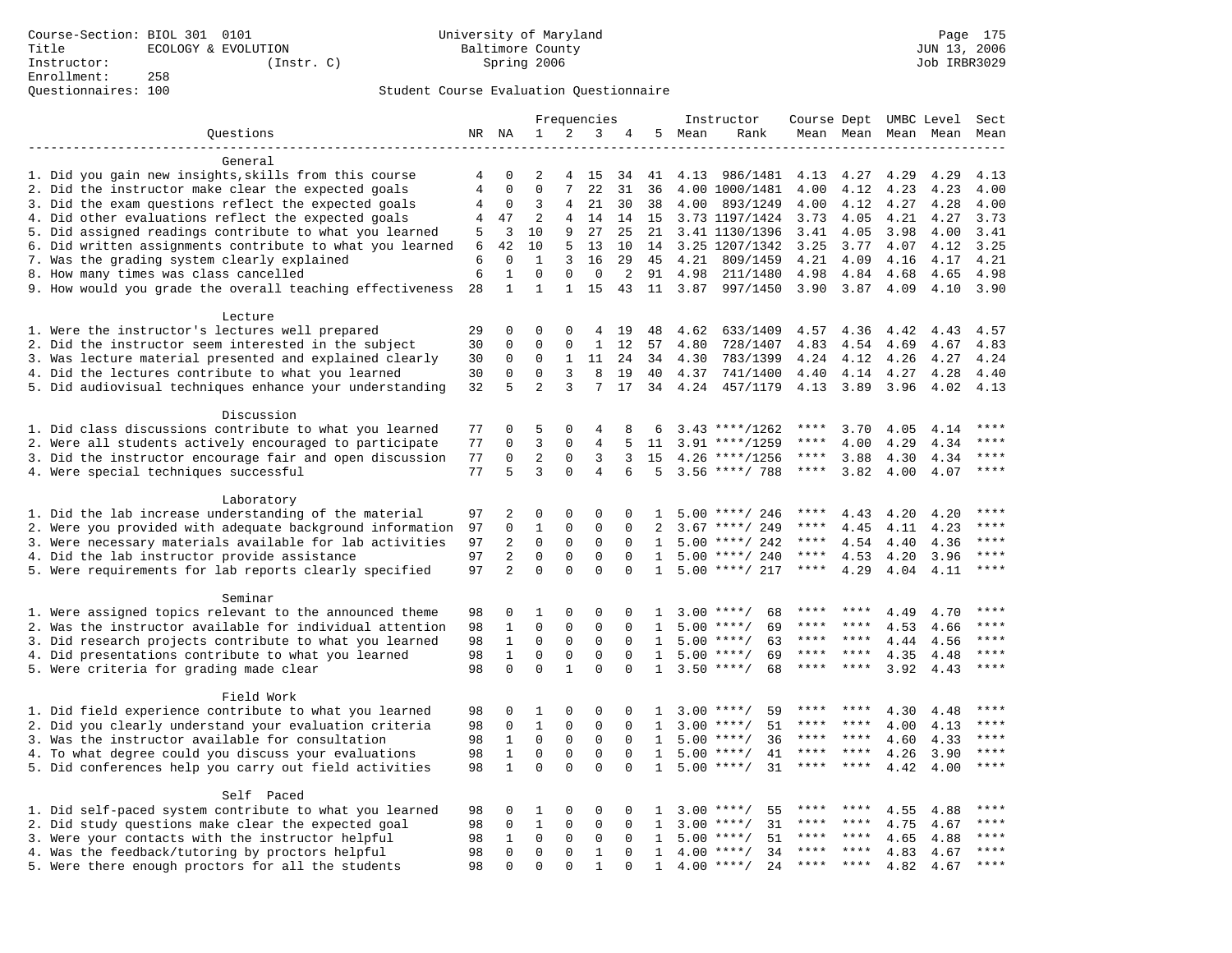|                                                                                                         |                |                |                |              | Frequencies  |             |              |              | Instructor           | Course Dept UMBC Level |              |              |              | Sect    |
|---------------------------------------------------------------------------------------------------------|----------------|----------------|----------------|--------------|--------------|-------------|--------------|--------------|----------------------|------------------------|--------------|--------------|--------------|---------|
| Questions                                                                                               |                | NR NA          | 1              | 2            | 3            | 4           | 5            | Mean         | Rank                 |                        | Mean Mean    |              | Mean Mean    | Mean    |
|                                                                                                         |                |                |                |              |              |             |              |              |                      |                        |              |              |              |         |
| General                                                                                                 |                |                |                |              |              |             |              |              |                      |                        |              |              |              |         |
| 1. Did you gain new insights, skills from this course                                                   | 4              | $\Omega$       | $\mathfrak{D}$ | 4            | 15           | 34          | 41           | 4.13         | 986/1481             | 4.13                   | 4.27         | 4.29         | 4.29         | 4.13    |
| 2. Did the instructor make clear the expected goals                                                     | $\overline{4}$ | $\mathbf 0$    | $\mathbf 0$    | 7            | 22           | 31          | 36           |              | 4.00 1000/1481       | 4.00                   | 4.12         | 4.23         | 4.23         | 4.00    |
| 3. Did the exam questions reflect the expected goals                                                    | 4              | 0              | 3              | 4            | 21           | 30          | 38           | 4.00         | 893/1249             | 4.00                   | 4.12         | 4.27         | 4.28         | 4.00    |
| 4. Did other evaluations reflect the expected goals                                                     | 4              | 47             | $\overline{2}$ | 4            | 14           | 14          | 15           |              | 3.73 1197/1424       | 3.73                   | 4.05         | 4.21         | 4.27         | 3.73    |
| 5. Did assigned readings contribute to what you learned                                                 | 5              | 3              | 10             | 9            | 27           | 25          | 21           |              | 3.41 1130/1396       | 3.41                   | 4.05         | 3.98         | 4.00         | 3.41    |
| 6. Did written assignments contribute to what you learned                                               | 6              | 42             | 10             | 5            | 13           | 10          | 14           |              | 3.25 1207/1342       | 3.25                   | 3.77         | 4.07         | 4.12         | 3.25    |
| 7. Was the grading system clearly explained                                                             | 6              | $\mathbf 0$    | $\mathbf{1}$   | 3            | 16           | 29          | 45           | 4.21         | 809/1459             | 4.21                   | 4.09         | 4.16         | 4.17         | 4.21    |
| 8. How many times was class cancelled                                                                   | 6              | 1              | 0              | $\Omega$     | 0            | 2           | 91           | 4.98         | 211/1480             | 4.98                   | 4.84         | 4.68         | 4.65         | 4.98    |
| 9. How would you grade the overall teaching effectiveness                                               | 28             | $\mathbf{1}$   | $\mathbf{1}$   | 1            | 15           | 43          | 11           | 3.87         | 997/1450             | 3.90                   | 3.87         | 4.09         | 4.10         | 3.90    |
|                                                                                                         |                |                |                |              |              |             |              |              |                      |                        |              |              |              |         |
| Lecture                                                                                                 |                | $\mathbf 0$    | 0              | $\Omega$     | 4            |             |              |              |                      |                        |              |              |              | 4.57    |
| 1. Were the instructor's lectures well prepared<br>2. Did the instructor seem interested in the subject | 29             | 0              | 0              | $\mathbf 0$  | $\mathbf{1}$ | 19          | 48           | 4.62         | 633/1409             | 4.57                   | 4.36         | 4.42         | 4.43         | 4.83    |
| 3. Was lecture material presented and explained clearly                                                 | 30<br>30       | 0              | 0              | 1            | 11           | 12<br>24    | 57<br>34     | 4.80<br>4.30 | 728/1407<br>783/1399 | 4.83<br>4.24           | 4.54<br>4.12 | 4.69<br>4.26 | 4.67<br>4.27 | 4.24    |
|                                                                                                         | 30             | $\mathbf 0$    | $\mathbf 0$    | 3            | 8            | 19          | 40           |              |                      |                        |              |              |              | 4.40    |
| 4. Did the lectures contribute to what you learned                                                      |                | 5              | $\overline{a}$ | 3            | 7            | 17          |              | 4.37         | 741/1400             | 4.40                   | 4.14         | 4.27         | 4.28         |         |
| 5. Did audiovisual techniques enhance your understanding                                                | 32             |                |                |              |              |             | 34           | 4.24         | 457/1179             | 4.13                   | 3.89         | 3.96         | 4.02         | 4.13    |
| Discussion                                                                                              |                |                |                |              |              |             |              |              |                      |                        |              |              |              |         |
| 1. Did class discussions contribute to what you learned                                                 | 77             | 0              | 5              | 0            | 4            | 8           | 6            |              | $3.43$ ****/1262     | ****                   | 3.70         | 4.05         | 4.14         | ****    |
| 2. Were all students actively encouraged to participate                                                 | 77             | $\Omega$       | $\overline{3}$ | $\Omega$     | 4            | 5           | 11           |              | $3.91$ ****/1259     | ****                   | 4.00         | 4.29         | 4.34         | ****    |
| 3. Did the instructor encourage fair and open discussion                                                | 77             | $\mathbf 0$    | $\overline{a}$ | $\mathbf 0$  | 3            | 3           | 15           |              | $4.26$ ****/1256     | $***$ * *              | 3.88         | 4.30         | 4.34         | ****    |
| 4. Were special techniques successful                                                                   | 77             | 5              | $\overline{3}$ | $\Omega$     | 4            | 6           | 5            |              | $3.56$ ****/ 788     | $***$ * * *            | 3.82         | 4.00         | 4.07         | $***$   |
|                                                                                                         |                |                |                |              |              |             |              |              |                      |                        |              |              |              |         |
| Laboratory                                                                                              |                |                |                |              |              |             |              |              |                      |                        |              |              |              |         |
| 1. Did the lab increase understanding of the material                                                   | 97             | $\overline{a}$ | 0              | 0            | 0            | $\mathbf 0$ | $\mathbf{1}$ |              | $5.00$ ****/ 246     | ****                   | 4.43         | 4.20         | 4.20         | ****    |
| 2. Were you provided with adequate background information                                               | 97             | 0              | $\mathbf{1}$   | 0            | $\mathbf{0}$ | $\Omega$    | 2            | 3.67         | ****/ 249            | ****                   | 4.45         | 4.11         | 4.23         | ****    |
| 3. Were necessary materials available for lab activities                                                | 97             | 2              | $\mathbf 0$    | $\mathsf 0$  | $\mathsf 0$  | $\mathbf 0$ | $\mathbf{1}$ |              | $5.00$ ****/ 242     | ****                   | 4.54         | 4.40         | 4.36         | $***$   |
| 4. Did the lab instructor provide assistance                                                            | 97             | 2              | $\Omega$       | 0            | $\mathbf 0$  | $\Omega$    | 1            |              | $5.00$ ****/ 240     | ****                   | 4.53         | 4.20         | 3.96         | ****    |
| 5. Were requirements for lab reports clearly specified                                                  | 97             | $\overline{a}$ | $\mathbf 0$    | $\Omega$     | $\mathbf{0}$ | $\Omega$    | $\mathbf{1}$ |              | $5.00$ ****/ 217     | ****                   | 4.29         | 4.04         | 4.11         | ****    |
|                                                                                                         |                |                |                |              |              |             |              |              |                      |                        |              |              |              |         |
| Seminar                                                                                                 |                |                |                |              |              |             |              |              |                      |                        |              |              |              |         |
| 1. Were assigned topics relevant to the announced theme                                                 | 98             | 0              | 1              | $\mathbf{0}$ | $\mathbf{0}$ | $\mathbf 0$ | 1            |              | 68<br>$3.00$ ****/   | ****                   | ****         | 4.49         | 4.70         | ****    |
| 2. Was the instructor available for individual attention                                                | 98             | $\mathbf{1}$   | 0              | $\mathsf 0$  | $\mathsf 0$  | $\mathbf 0$ | 1            |              | $5.00$ ****/<br>69   | ****                   | ****         | 4.53         | 4.66         | * * * * |
| 3. Did research projects contribute to what you learned                                                 | 98             | $\mathbf{1}$   | 0              | 0            | $\mathsf 0$  | $\mathbf 0$ | 1            |              | $5.00$ ****/<br>63   | ****                   | ****         | 4.44         | 4.56         | ****    |
| 4. Did presentations contribute to what you learned                                                     | 98             | $\mathbf{1}$   | $\mathbf 0$    | $\mathbf 0$  | $\mathbf 0$  | $\Omega$    | 1            |              | $5.00$ ****/<br>69   | $***$ * *              | $***$ *      | 4.35         | 4.48         | $***$   |
| 5. Were criteria for grading made clear                                                                 | 98             | $\Omega$       | $\Omega$       | $\mathbf{1}$ | $\Omega$     | $\Omega$    | $\mathbf{1}$ |              | $3.50$ ****/<br>68   | ****                   | ****         | 3.92         | 4.43         | ****    |
|                                                                                                         |                |                |                |              |              |             |              |              |                      |                        |              |              |              |         |
| Field Work                                                                                              |                |                |                |              |              |             |              |              |                      |                        |              |              |              |         |
| 1. Did field experience contribute to what you learned                                                  | 98             | 0              | 1              | $\mathbf 0$  | $\mathbf 0$  | $\mathbf 0$ | 1            |              | $3.00$ ****/<br>59   |                        |              | 4.30         | 4.48         | * * * * |
| 2. Did you clearly understand your evaluation criteria                                                  | 98             | $\mathbf 0$    | $\mathbf{1}$   | $\mathbf 0$  | $\mathbf{0}$ | $\Omega$    | $\mathbf{1}$ | 3.00         | $***/$<br>51         | ****                   | ****         | 4.00         | 4.13         | ****    |
| 3. Was the instructor available for consultation                                                        | 98             | $\mathbf{1}$   | $\mathbf 0$    | $\mathbf 0$  | $\mathbf{0}$ | $\mathbf 0$ | $\mathbf{1}$ |              | 36<br>$5.00$ ****/   | $***$ * *              | ****         | 4.60         | 4.33         | ****    |
| 4. To what degree could you discuss your evaluations                                                    | 98             | $1\,$          | $\mathbf 0$    | $\mathbf{0}$ | $\mathsf 0$  | $\mathbf 0$ | $\mathbf{1}$ |              | $5.00$ ****/<br>41   | ****                   | $* * * *$    | 4.26         | 3.90         | ****    |
| 5. Did conferences help you carry out field activities                                                  | 98             | $\mathbf{1}$   | $\mathbf 0$    | $\Omega$     | $\Omega$     | $\Omega$    | 1            | 5.00         | 31<br>$***$ /        | ****                   | $* * * *$    | 4.42         | 4.00         | ****    |
|                                                                                                         |                |                |                |              |              |             |              |              |                      |                        |              |              |              |         |
| Self Paced                                                                                              |                |                |                |              |              |             |              |              |                      |                        |              |              |              |         |
| 1. Did self-paced system contribute to what you learned                                                 | 98             | 0              | 1              | $\mathbf 0$  | 0            | $\Omega$    | $\mathbf{1}$ |              | 55<br>$3.00$ ****/   | ****                   |              | 4.55         | 4.88         | ****    |
| 2. Did study questions make clear the expected goal                                                     | 98             | $\mathbf 0$    | $\mathbf{1}$   | $\mathsf 0$  | $\mathsf 0$  | $\mathbf 0$ | 1            |              | $3.00$ ****/<br>31   | ****                   | ****         | 4.75         | 4.67         | ****    |
| 3. Were your contacts with the instructor helpful                                                       | 98             | $\mathbf{1}$   | $\mathbf 0$    | $\mathbf 0$  | $\mathbf{0}$ | 0           | 1            | 5.00         | 51<br>$***/$         | ****                   | ****         | 4.65         | 4.88         | ****    |
| 4. Was the feedback/tutoring by proctors helpful                                                        | 98             | 0              | 0              | $\mathbf 0$  | 1            | $\mathbf 0$ | 1            | 4.00         | $***$ /<br>34        |                        |              | 4.83         | 4.67         | ****    |
| 5. Were there enough proctors for all the students                                                      | 98             | $\Omega$       | $\mathbf 0$    | $\Omega$     | $\mathbf{1}$ | $\Omega$    | 1            |              | $4.00$ ****/<br>24   | ****                   | $***$        | 4.82         | 4.67         | ****    |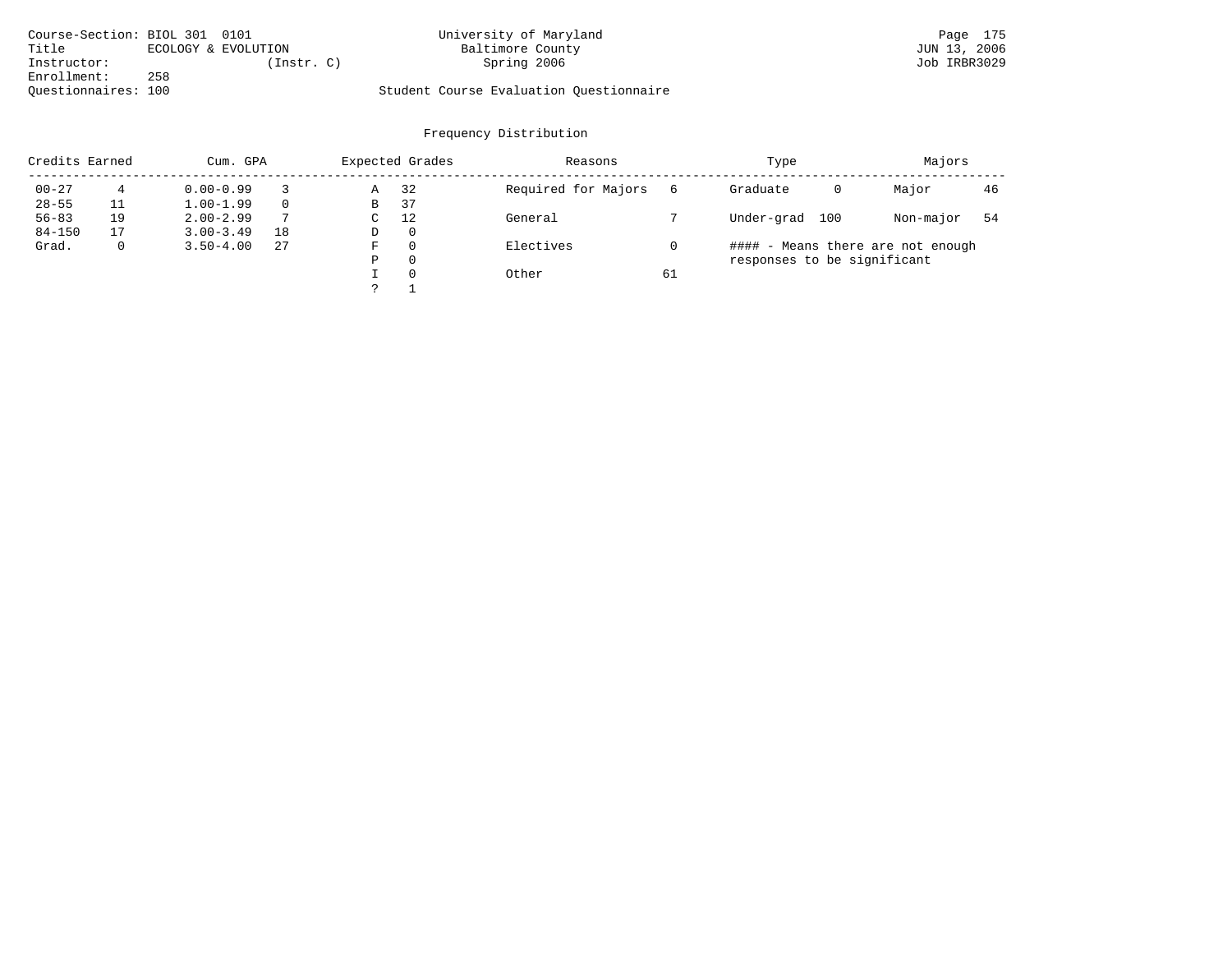| Course-Section: BIOL 301 0101 |     |                     | University of Maryland                  | Page 175     |
|-------------------------------|-----|---------------------|-----------------------------------------|--------------|
| Title                         |     | ECOLOGY & EVOLUTION | Baltimore County                        | JUN 13, 2006 |
| Instructor:                   |     | (Instr. C)          | Spring 2006                             | Job IRBR3029 |
| Enrollment:                   | 258 |                     |                                         |              |
| Ouestionnaires: 100           |     |                     | Student Course Evaluation Ouestionnaire |              |

| Credits Earned |    | Cum. GPA      |          |   | Expected Grades | Reasons             |    | Type                              |   | Majors    |    |
|----------------|----|---------------|----------|---|-----------------|---------------------|----|-----------------------------------|---|-----------|----|
| $00 - 27$      | 4  | $0.00 - 0.99$ |          | Α | 32              | Required for Majors | 6  | Graduate                          | 0 | Major     | 46 |
| $28 - 55$      |    | $1.00 - 1.99$ | $\Omega$ | В | 37              |                     |    |                                   |   |           |    |
| $56 - 83$      | 19 | $2.00 - 2.99$ | 7        | C | 12              | General             |    | Under-grad<br>100                 |   | Non-major | 54 |
| $84 - 150$     | 17 | $3.00 - 3.49$ | 18       | D | $\mathbf 0$     |                     |    |                                   |   |           |    |
| Grad.          | 0  | $3.50 - 4.00$ | 27       | F | 0               | Electives           |    | #### - Means there are not enough |   |           |    |
|                |    |               |          | Ρ | 0               |                     |    | responses to be significant       |   |           |    |
|                |    |               |          |   | 0               | Other               | 61 |                                   |   |           |    |
|                |    |               |          |   |                 |                     |    |                                   |   |           |    |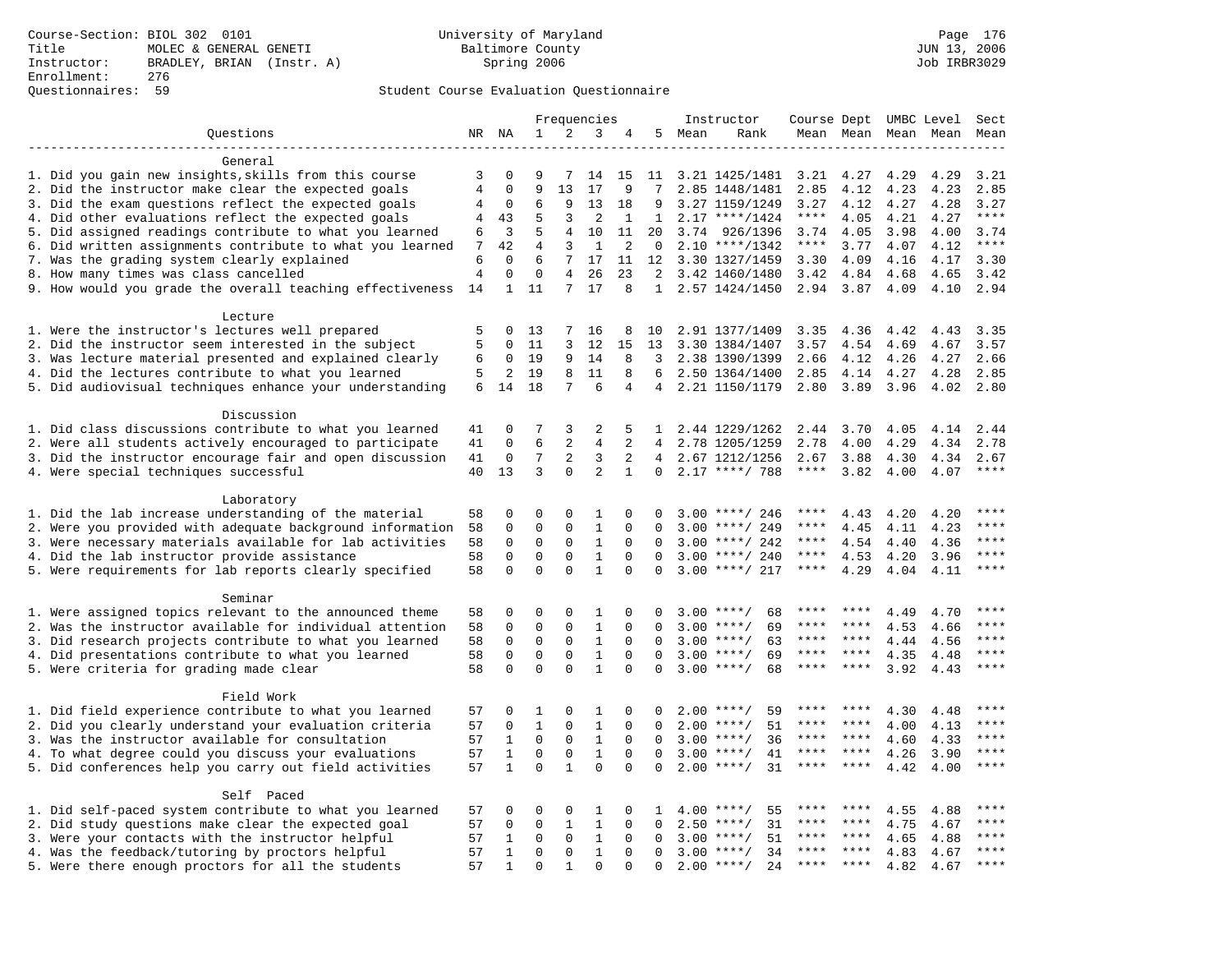## Questionnaires: 59 Student Course Evaluation Questionnaire

|                                                                                                         |                |                  |                            |                            | Frequencies             |                            |                 |      | Instructor                               | Course Dept UMBC Level |              |              |              | Sect        |
|---------------------------------------------------------------------------------------------------------|----------------|------------------|----------------------------|----------------------------|-------------------------|----------------------------|-----------------|------|------------------------------------------|------------------------|--------------|--------------|--------------|-------------|
| Ouestions                                                                                               |                | NR NA            | 1                          | 2                          | 3                       | 4                          | 5               | Mean | Rank                                     |                        | Mean Mean    |              | Mean Mean    | Mean        |
|                                                                                                         |                |                  |                            |                            |                         |                            |                 |      |                                          |                        |              |              |              |             |
| General                                                                                                 |                |                  |                            |                            |                         |                            |                 |      |                                          |                        |              |              |              |             |
| 1. Did you gain new insights, skills from this course                                                   | 3              | 0                | 9                          | 7                          | 14                      | 15                         | 11              |      | 3.21 1425/1481                           | 3.21                   | 4.27         | 4.29         | 4.29         | 3.21        |
| 2. Did the instructor make clear the expected goals                                                     | $\overline{4}$ | $\mathbf 0$      | 9                          | 13                         | 17                      | 9                          | 7               |      | 2.85 1448/1481                           | 2.85                   | 4.12         | 4.23         | 4.23         | 2.85        |
| 3. Did the exam questions reflect the expected goals                                                    | 4              | 0                | 6                          | 9                          | 13                      | 18                         | 9               |      | 3.27 1159/1249                           | 3.27                   | 4.12         | 4.27         | 4.28         | 3.27        |
| 4. Did other evaluations reflect the expected goals                                                     | 4              | 43               | 5                          | 3                          | 2                       | $\mathbf{1}$               | $\mathbf{1}$    |      | $2.17$ ****/1424                         | $***$ * * *            | 4.05         | 4.21         | 4.27         | $***$       |
| 5. Did assigned readings contribute to what you learned                                                 | 6              | 3                | 5                          | 4                          | 10                      | 11                         | 20              | 3.74 | 926/1396                                 | 3.74                   | 4.05         | 3.98         | 4.00         | 3.74        |
| 6. Did written assignments contribute to what you learned                                               | 7              | 42               | $\overline{4}$             | 3                          | $\mathbf{1}$            | 2                          | $\mathbf 0$     |      | $2.10$ ****/1342                         | $***$ * * *            | 3.77         | 4.07         | 4.12         | $***$       |
| 7. Was the grading system clearly explained                                                             | 6              | $\Omega$         | 6                          | 7                          | 17                      | 11                         | 12              |      | 3.30 1327/1459                           | 3.30                   | 4.09         | 4.16         | 4.17         | 3.30        |
| 8. How many times was class cancelled                                                                   | $\overline{4}$ | $\Omega$         | $\Omega$                   | 4                          | 26                      | 23                         | 2               |      | 3.42 1460/1480                           | 3.42                   | 4.84         | 4.68         | 4.65         | 3.42        |
| 9. How would you grade the overall teaching effectiveness                                               | 14             | $\mathbf{1}$     | 11                         | $7\overline{ }$            | 17                      | 8                          | 1               |      | 2.57 1424/1450                           | 2.94 3.87              |              | 4.09         | 4.10         | 2.94        |
|                                                                                                         |                |                  |                            |                            |                         |                            |                 |      |                                          |                        |              |              |              |             |
| Lecture                                                                                                 | 5              | $\Omega$         | 13                         | 7                          | 16                      |                            | 10              |      | 2.91 1377/1409                           | 3.35                   | 4.36         |              | 4.43         | 3.35        |
| 1. Were the instructor's lectures well prepared<br>2. Did the instructor seem interested in the subject | 5              | $\Omega$         | 11                         | 3                          | 12                      | 8<br>15                    | 13              |      | 3.30 1384/1407                           | 3.57                   | 4.54         | 4.42<br>4.69 | 4.67         | 3.57        |
| 3. Was lecture material presented and explained clearly                                                 | 6              | 0                | 19                         | 9                          | 14                      | 8                          | 3               |      | 2.38 1390/1399                           | 2.66                   | 4.12         | 4.26         | 4.27         | 2.66        |
| 4. Did the lectures contribute to what you learned                                                      | 5              | 2                | 19                         | 8                          | 11                      | 8                          | 6               |      | 2.50 1364/1400                           | 2.85                   | 4.14         | 4.27         | 4.28         | 2.85        |
| 5. Did audiovisual techniques enhance your understanding                                                | 6              | 14               | 18                         | 7                          | 6                       | 4                          | $4\overline{ }$ |      | 2.21 1150/1179                           | 2.80                   | 3.89         | 3.96         | 4.02         | 2.80        |
|                                                                                                         |                |                  |                            |                            |                         |                            |                 |      |                                          |                        |              |              |              |             |
| Discussion                                                                                              |                |                  |                            |                            |                         |                            |                 |      |                                          |                        |              |              |              |             |
| 1. Did class discussions contribute to what you learned                                                 | 41             | 0                | 7                          | 3                          | 2                       | 5                          | $\mathbf{1}$    |      | 2.44 1229/1262                           | 2.44                   | 3.70         | 4.05         | 4.14         | 2.44        |
| 2. Were all students actively encouraged to participate                                                 | 41             | $\mathbf 0$      | 6                          | 2                          | 4                       | 2                          | $\overline{4}$  |      | 2.78 1205/1259                           | 2.78                   | 4.00         | 4.29         | 4.34         | 2.78        |
| 3. Did the instructor encourage fair and open discussion                                                | 41             | 0                | 7                          | $\overline{a}$             | 3                       | $\overline{2}$             | 4               |      | 2.67 1212/1256                           | 2.67                   | 3.88         | 4.30         | 4.34         | 2.67        |
| 4. Were special techniques successful                                                                   | 40             | 13               | 3                          | $\Omega$                   | 2                       | $\mathbf{1}$               | $\Omega$        |      | $2.17$ ****/ 788                         | ****                   | 3.82         | 4.00         | 4.07         | ****        |
|                                                                                                         |                |                  |                            |                            |                         |                            |                 |      |                                          |                        |              |              |              |             |
| Laboratory                                                                                              |                |                  |                            |                            |                         |                            |                 |      |                                          |                        |              |              |              |             |
| 1. Did the lab increase understanding of the material                                                   | 58             | 0                | $\Omega$                   | 0                          | $\mathbf{1}$            | 0                          | 0               |      | $3.00$ ****/ 246                         | ****                   | 4.43         | 4.20         | 4.20         | $***$ * * * |
| 2. Were you provided with adequate background information                                               | 58             | 0                | $\mathbf 0$                | 0                          | $\mathbf{1}$            | $\Omega$                   | 0               | 3.00 | ****/ 249                                | ****                   | 4.45         | 4.11         | 4.23         | * * * *     |
| 3. Were necessary materials available for lab activities                                                | 58             | 0                | $\mathbf 0$                | $\mathbf 0$                | $\mathbf{1}$            | $\Omega$                   | $\Omega$        |      | $3.00$ ****/ 242                         | ****                   | 4.54         | 4.40         | 4.36         | ****        |
| 4. Did the lab instructor provide assistance                                                            | 58             | $\Omega$         | $\Omega$                   | $\Omega$                   | $\mathbf{1}$            | $\Omega$                   | $\Omega$        |      | $3.00$ ****/ 240                         | $***$ * * *            | 4.53         | 4.20         | 3.96         | ****        |
| 5. Were requirements for lab reports clearly specified                                                  | 58             | 0                | $\mathbf 0$                | 0                          | $\mathbf{1}$            | $\mathbf 0$                | 0               |      | $3.00$ ****/ 217                         | ****                   | 4.29         | 4.04         | 4.11         | ****        |
|                                                                                                         |                |                  |                            |                            |                         |                            |                 |      |                                          |                        |              |              |              |             |
| Seminar                                                                                                 |                |                  |                            |                            |                         |                            |                 |      |                                          |                        |              |              |              | ****        |
| 1. Were assigned topics relevant to the announced theme                                                 | 58             | 0                | 0                          | $\Omega$                   | 1                       | $\Omega$                   | O<br>$\Omega$   |      | 68<br>$3.00$ ****/                       | ****<br>****           | ****<br>**** | 4.49         | 4.70         | ****        |
| 2. Was the instructor available for individual attention                                                | 58             | 0                | $\mathbf 0$                | 0                          | $\mathbf{1}$            | $\Omega$                   |                 |      | 69<br>$3.00$ ****/                       | ****                   | ****         | 4.53         | 4.66         | ****        |
| 3. Did research projects contribute to what you learned                                                 | 58             | $\mathbf 0$<br>0 | $\mathbf 0$<br>$\mathbf 0$ | $\mathsf 0$<br>$\mathbf 0$ | $\,1\,$<br>$\mathbf{1}$ | $\mathbf 0$<br>$\mathbf 0$ | 0<br>$\Omega$   |      | $3.00$ ****/<br>63<br>$3.00$ ****/<br>69 | ****                   | $***$ *      | 4.44         | 4.56         | $***$       |
| 4. Did presentations contribute to what you learned<br>5. Were criteria for grading made clear          | 58<br>58       | $\Omega$         | $\Omega$                   | $\Omega$                   | $\mathbf{1}$            | $\Omega$                   | $\Omega$        |      | $3.00$ ****/<br>68                       | ****                   | ****         | 4.35<br>3.92 | 4.48<br>4.43 | ****        |
|                                                                                                         |                |                  |                            |                            |                         |                            |                 |      |                                          |                        |              |              |              |             |
| Field Work                                                                                              |                |                  |                            |                            |                         |                            |                 |      |                                          |                        |              |              |              |             |
| 1. Did field experience contribute to what you learned                                                  | 57             | 0                | 1                          | 0                          | 1                       | 0                          | 0               |      | $2.00$ ****/<br>59                       |                        |              | 4.30         | 4.48         | ****        |
| 2. Did you clearly understand your evaluation criteria                                                  | 57             | 0                | $\mathbf{1}$               | 0                          | $\mathbf{1}$            | $\Omega$                   | $\Omega$        | 2.00 | $***/$<br>51                             | ****                   | ****         | 4.00         | 4.13         | ****        |
| 3. Was the instructor available for consultation                                                        | 57             | $\mathbf{1}$     | $\mathbf 0$                | $\mathbf 0$                | $\mathbf{1}$            | $\mathbf 0$                | $\Omega$        |      | 36<br>$3.00$ ****/                       | $***$ * *              | ****         | 4.60         | 4.33         | ****        |
| 4. To what degree could you discuss your evaluations                                                    | 57             | $\mathbf{1}$     | $\Omega$                   | $\mathbf 0$                | $\mathbf 1$             | $\Omega$                   | $\Omega$        |      | $3.00$ ****/<br>41                       | $***$ * * *            | $* * * *$    | 4.26         | 3.90         | ****        |
| 5. Did conferences help you carry out field activities                                                  | 57             | $\mathbf{1}$     | $\mathbf 0$                | $\mathbf{1}$               | $\Omega$                | $\Omega$                   | 0               | 2.00 | $***/$<br>31                             | ****                   | $***$ *      | 4.42         | 4.00         | ****        |
|                                                                                                         |                |                  |                            |                            |                         |                            |                 |      |                                          |                        |              |              |              |             |
| Self Paced                                                                                              |                |                  |                            |                            |                         |                            |                 |      |                                          |                        |              |              |              |             |
| 1. Did self-paced system contribute to what you learned                                                 | 57             | 0                | $\mathbf 0$                | 0                          | 1                       | $\Omega$                   | 1               |      | 55<br>$4.00$ ****/                       | ****                   | ****         | 4.55         | 4.88         | ****        |
| 2. Did study questions make clear the expected goal                                                     | 57             | $\Omega$         | $\Omega$                   | $\mathbf{1}$               | $\mathbf{1}$            | $\Omega$                   | $\Omega$        | 2.50 | $***$ /<br>31                            | ****                   | $***$ *      | 4.75         | 4.67         | ****        |
| 3. Were your contacts with the instructor helpful                                                       | 57             | 1                | $\Omega$                   | $\mathbf 0$                | $\mathbf{1}$            | $\mathbf 0$                | $\Omega$        | 3.00 | 51<br>$***/$                             | ****                   | ****         | 4.65         | 4.88         | ****        |
| 4. Was the feedback/tutoring by proctors helpful                                                        | 57             | 1                | $\Omega$                   | 0                          | $\mathbf{1}$            | $\mathbf 0$                | $\Omega$        | 3.00 | $***/$<br>34                             |                        |              | 4.83         | 4.67         | ****        |
| 5. Were there enough proctors for all the students                                                      | 57             | $\mathbf{1}$     | $\Omega$                   | 1                          | $\Omega$                | $\Omega$                   | $\Omega$        |      | $2.00$ ****/<br>24                       | ****                   | $***$        | 4.82         | 4.67         | ****        |
|                                                                                                         |                |                  |                            |                            |                         |                            |                 |      |                                          |                        |              |              |              |             |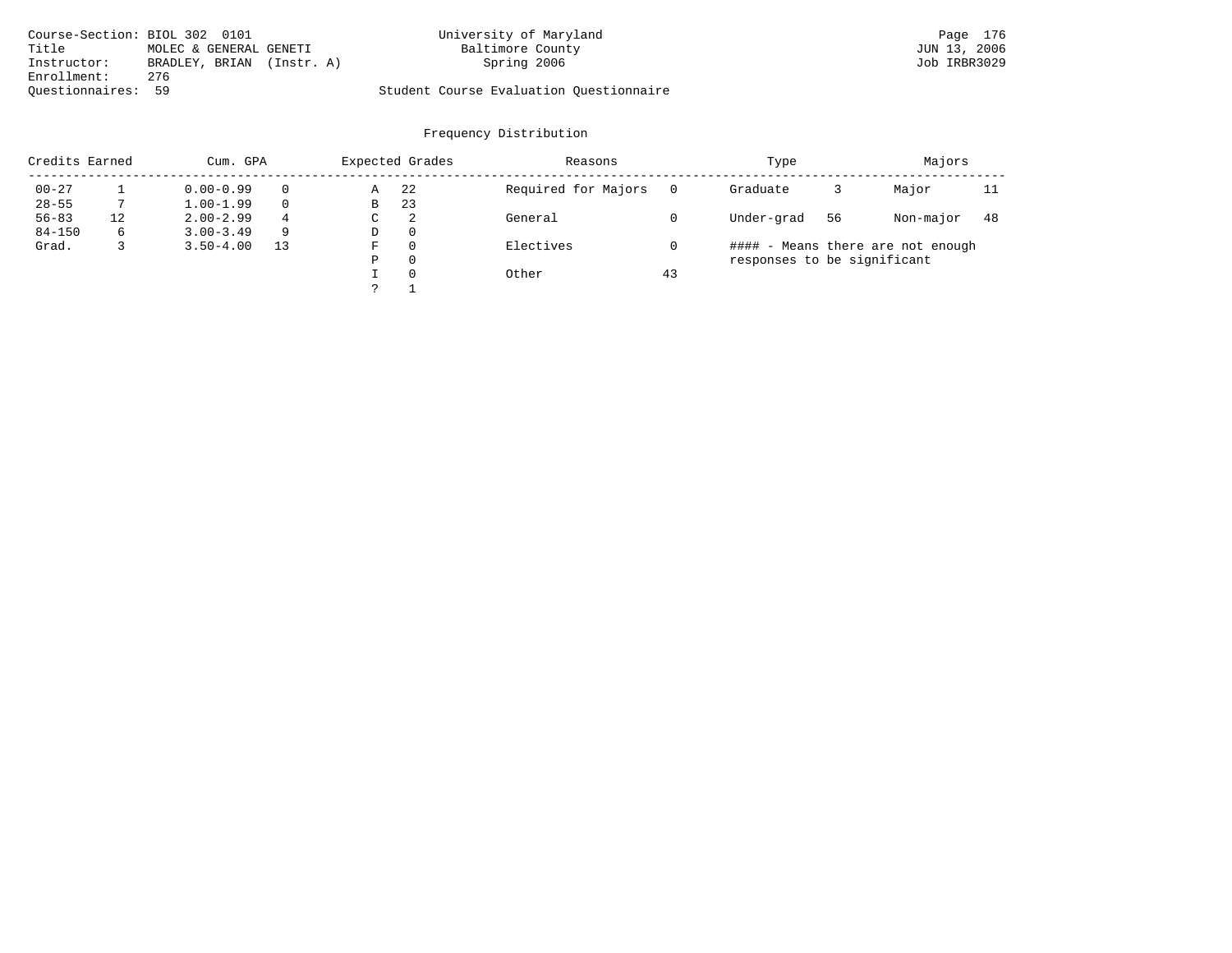| Course-Section: BIOL 302 0101 |                        |            | University of Maryland                  | Page 176     |
|-------------------------------|------------------------|------------|-----------------------------------------|--------------|
| Title                         | MOLEC & GENERAL GENETI |            | Baltimore County                        | JUN 13, 2006 |
| Instructor:                   | BRADLEY, BRIAN         | (Instr. A) | Spring 2006                             | Job IRBR3029 |
| Enrollment:                   | 276                    |            |                                         |              |
| Ouestionnaires: 59            |                        |            | Student Course Evaluation Questionnaire |              |

| Credits Earned |    | Cum. GPA      |          |   | Expected Grades | Reasons             |    | Type                        |    | Majors                            |     |
|----------------|----|---------------|----------|---|-----------------|---------------------|----|-----------------------------|----|-----------------------------------|-----|
| $00 - 27$      |    | $0.00 - 0.99$ | $\Omega$ | Α | 22              | Required for Majors |    | Graduate                    |    | Major                             | 11  |
| $28 - 55$      |    | $1.00 - 1.99$ | $\Omega$ | В | 23              |                     |    |                             |    |                                   |     |
| $56 - 83$      | 12 | $2.00 - 2.99$ | 4        | С | 2               | General             |    | Under-grad                  | 56 | Non-major                         | -48 |
| $84 - 150$     | 6  | $3.00 - 3.49$ | -9       | D | $\mathbf{0}$    |                     |    |                             |    |                                   |     |
| Grad.          | 3  | $3.50 - 4.00$ | 13       | F | 0               | Electives           |    |                             |    | #### - Means there are not enough |     |
|                |    |               |          | Ρ | 0               |                     |    | responses to be significant |    |                                   |     |
|                |    |               |          |   | 0               | Other               | 43 |                             |    |                                   |     |
|                |    |               |          |   |                 |                     |    |                             |    |                                   |     |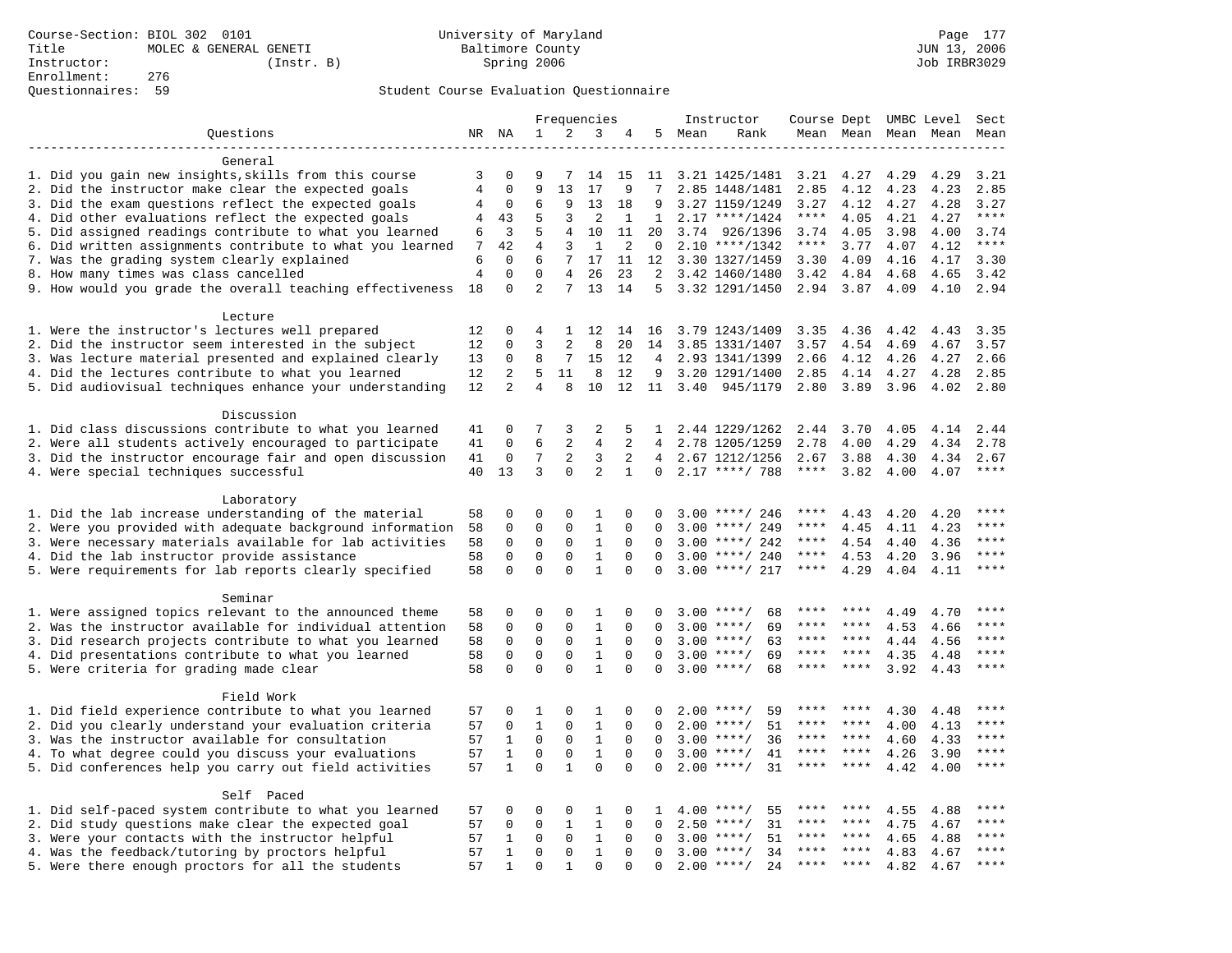# Questionnaires: 59 Student Course Evaluation Questionnaire

|                                                           |                |                |                |                 | Frequencies    |              |              |      | Instructor          | Course Dept UMBC Level |         |                     |              | Sect                |
|-----------------------------------------------------------|----------------|----------------|----------------|-----------------|----------------|--------------|--------------|------|---------------------|------------------------|---------|---------------------|--------------|---------------------|
| Questions                                                 |                | NR NA          | $\mathbf{1}$   | 2               | 3              | 4            | 5            | Mean | Rank                |                        |         | Mean Mean Mean Mean |              | Mean                |
|                                                           |                |                |                |                 |                |              |              |      |                     |                        |         |                     |              |                     |
| General                                                   |                |                |                |                 |                |              |              |      |                     |                        |         |                     |              |                     |
| 1. Did you gain new insights, skills from this course     | 3              | 0              | 9              | 7               | 14             | 15           | 11           |      | 3.21 1425/1481      | 3.21                   | 4.27    | 4.29                | 4.29         | 3.21                |
| 2. Did the instructor make clear the expected goals       | 4              | $\mathbf 0$    | 9              | 13              | 17             | 9            | 7            |      | 2.85 1448/1481      | 2.85                   | 4.12    | 4.23                | 4.23         | 2.85                |
| 3. Did the exam questions reflect the expected goals      | 4              | $\mathbf 0$    | 6              | 9               | 13             | 18           | 9            |      | 3.27 1159/1249      | 3.27                   | 4.12    | 4.27                | 4.28         | 3.27                |
| 4. Did other evaluations reflect the expected goals       | 4              | 43             | 5              | 3               | $\overline{2}$ | $\mathbf{1}$ | $\mathbf{1}$ |      | $2.17$ ****/1424    | $***$ * *              | 4.05    | 4.21                | 4.27         | $***$               |
| 5. Did assigned readings contribute to what you learned   | 6              | 3              | 5              | 4               | 10             | 11           | 20           | 3.74 | 926/1396            | 3.74                   | 4.05    | 3.98                | 4.00         | 3.74                |
| 6. Did written assignments contribute to what you learned | 7              | 42             | $\overline{4}$ | 3               | $\mathbf{1}$   | 2            | $\mathbf 0$  |      | $2.10$ ****/1342    | $***$ * * *            | 3.77    | 4.07                | 4.12         | $***$               |
| 7. Was the grading system clearly explained               | 6              | $\mathbf 0$    | 6              | 7               | 17             | 11           | 12           |      | 3.30 1327/1459      | 3.30                   | 4.09    | 4.16                | 4.17         | 3.30                |
| 8. How many times was class cancelled                     | $\overline{4}$ | $\mathbf 0$    | $\Omega$       | 4               | 26             | 23           | 2            |      | 3.42 1460/1480      | 3.42                   | 4.84    | 4.68                | 4.65         | 3.42                |
| 9. How would you grade the overall teaching effectiveness | 18             | $\mathbf 0$    | $\overline{a}$ | 7               | 13             | 14           | 5            |      | 3.32 1291/1450      | 2.94 3.87              |         | 4.09                | 4.10         | 2.94                |
| Lecture                                                   |                |                |                |                 |                |              |              |      |                     |                        |         |                     |              |                     |
| 1. Were the instructor's lectures well prepared           | 12             | $\Omega$       | 4              | 1               | 12             | 14           | 16           |      | 3.79 1243/1409      | 3.35                   | 4.36    | 4.42                | 4.43         | 3.35                |
| 2. Did the instructor seem interested in the subject      | 12             | $\Omega$       | ζ              | $\overline{2}$  | 8              | 20           | 14           |      | 3.85 1331/1407      | 3.57                   | 4.54    | 4.69                | 4.67         | 3.57                |
| 3. Was lecture material presented and explained clearly   | 13             | 0              | 8              | $7\overline{ }$ | 15             | 12           | 4            |      | 2.93 1341/1399      | 2.66                   | 4.12    | 4.26                | 4.27         | 2.66                |
|                                                           | 12             | 2              | 5              | 11              | 8              | 12           | 9            |      |                     | 2.85                   |         |                     |              | 2.85                |
| 4. Did the lectures contribute to what you learned        |                |                | 4              |                 |                |              |              |      | 3.20 1291/1400      |                        | 4.14    | 4.27                | 4.28         |                     |
| 5. Did audiovisual techniques enhance your understanding  | 12             | $\overline{a}$ |                | 8               | 10             | 12           |              |      | 11 3.40 945/1179    | 2.80                   | 3.89    | 3.96                | 4.02         | 2.80                |
| Discussion                                                |                |                |                |                 |                |              |              |      |                     |                        |         |                     |              |                     |
| 1. Did class discussions contribute to what you learned   | 41             | 0              | 7              | 3               | $\overline{2}$ | 5            | $\mathbf{1}$ |      | 2.44 1229/1262      | 2.44                   | 3.70    | 4.05                | 4.14         | 2.44                |
| 2. Were all students actively encouraged to participate   | 41             | 0              | 6              | 2               | 4              | 2            | 4            |      | 2.78 1205/1259      | 2.78                   | 4.00    | 4.29                | 4.34         | 2.78                |
| 3. Did the instructor encourage fair and open discussion  | 41             | $\mathbf 0$    | 7              | 2               | 3              | 2            | 4            |      | 2.67 1212/1256      | 2.67                   | 3.88    | 4.30                | 4.34         | 2.67                |
| 4. Were special techniques successful                     | 40             | 13             | 3              | $\Omega$        | $\overline{a}$ | $\mathbf{1}$ | $\Omega$     |      | $2.17$ ****/ 788    | $***$ * * *            | 3.82    | 4.00                | 4.07         | ****                |
|                                                           |                |                |                |                 |                |              |              |      |                     |                        |         |                     |              |                     |
| Laboratory                                                |                |                |                |                 |                |              |              |      |                     |                        |         |                     |              |                     |
| 1. Did the lab increase understanding of the material     | 58             | $\mathbf 0$    | $\mathbf 0$    | $\mathbf{0}$    | $\mathbf 1$    | $\mathbf 0$  | $\Omega$     |      | $3.00$ ****/ 246    | ****                   | 4.43    | 4.20                | 4.20         | $***$               |
| 2. Were you provided with adequate background information | 58             | 0              | 0              | 0               | $\mathbf{1}$   | $\mathbf 0$  | $\mathbf 0$  | 3.00 | ****/ 249           | ****                   | 4.45    | 4.11                | 4.23         |                     |
| 3. Were necessary materials available for lab activities  | 58             | 0              | 0              | $\mathbf 0$     | $\mathbf{1}$   | $\mathbf 0$  | $\Omega$     |      | $3.00$ ****/ 242    | ****                   | 4.54    | 4.40                | 4.36         | $***$ * * *         |
| 4. Did the lab instructor provide assistance              | 58             | $\mathbf 0$    | $\mathbf 0$    | $\mathbf 0$     | $\mathbf{1}$   | $\Omega$     | $\Omega$     |      | $3.00$ ****/ 240    | $***$ * * *            | 4.53    | 4.20                | 3.96         | ****                |
| 5. Were requirements for lab reports clearly specified    | 58             | $\Omega$       | $\Omega$       | $\Omega$        | $\mathbf{1}$   | $\Omega$     | $\Omega$     |      | $3.00$ ****/ 217    | $***$ * *              | 4.29    | 4.04                | 4.11         | $***$               |
| Seminar                                                   |                |                |                |                 |                |              |              |      |                     |                        |         |                     |              |                     |
| 1. Were assigned topics relevant to the announced theme   | 58             | 0              | $\mathbf 0$    | $\mathbf{0}$    | 1              | $\Omega$     | $\Omega$     |      | $3.00$ ****/<br>68  |                        | ****    | 4.49                | 4.70         | $* * * *$           |
| 2. Was the instructor available for individual attention  | 58             | 0              | $\mathbf 0$    | $\mathbf 0$     | $\mathbf{1}$   | $\mathbf 0$  | $\Omega$     |      | 69<br>$3.00$ ****/  | ****                   | ****    | 4.53                | 4.66         | ****                |
| 3. Did research projects contribute to what you learned   | 58             | $\mathbf 0$    | $\mathbf 0$    | $\mathsf 0$     | $\mathbf{1}$   | $\mathbf 0$  | $\mathbf 0$  |      | $3.00$ ****/<br>63  | ****                   | ****    | 4.44                |              | ****                |
| 4. Did presentations contribute to what you learned       | 58             | 0              | $\mathbf 0$    | 0               | $\mathbf{1}$   | $\mathbf 0$  | $\Omega$     | 3.00 | $***/$<br>69        | ****                   | ****    |                     | 4.56<br>4.48 | $***$               |
|                                                           | 58             | $\mathbf 0$    | $\mathbf 0$    | $\Omega$        | $\mathbf{1}$   | $\Omega$     | $\mathbf 0$  |      | $3.00$ ****/<br>68  | $***$ * *              | $***$ * | 4.35<br>3.92        | 4.43         | $***$ * * *         |
| 5. Were criteria for grading made clear                   |                |                |                |                 |                |              |              |      |                     |                        |         |                     |              |                     |
| Field Work                                                |                |                |                |                 |                |              |              |      |                     |                        |         |                     |              |                     |
| 1. Did field experience contribute to what you learned    | 57             | 0              | 1              | 0               | 1              | $\mathbf 0$  | 0            |      | $2.00$ ****/<br>59  | ****                   |         | 4.30                | 4.48         | * * * *             |
| 2. Did you clearly understand your evaluation criteria    | 57             | $\mathbf 0$    | $\mathbf{1}$   | $\Omega$        | $\mathbf{1}$   | $\Omega$     | $\Omega$     |      | 51<br>$2.00$ ****/  | ****                   | ****    | 4.00                | 4.13         | ****                |
| 3. Was the instructor available for consultation          | 57             | $\mathbf{1}$   | $\Omega$       | $\Omega$        | $\mathbf{1}$   | $\Omega$     | $\Omega$     |      | $3.00$ ****/<br>36  | ****                   | ****    | 4.60                | 4.33         | ****                |
| 4. To what degree could you discuss your evaluations      | 57             | $\mathbf{1}$   | $\mathsf 0$    | $\mathsf 0$     | $\mathbf{1}$   | $\mathbf 0$  | $\mathbf 0$  | 3.00 | 41<br>$***$ /       | ****                   | ****    | 4.26                | 3.90         | ****                |
| 5. Did conferences help you carry out field activities    |                | $\mathbf{1}$   | $\mathbf 0$    | $\mathbf{1}$    | $\mathbf 0$    | $\Omega$     | $\Omega$     | 2.00 | $***/$<br>31        | ****                   |         | 4.42                | 4.00         | $***$               |
|                                                           |                |                |                |                 |                |              |              |      |                     |                        |         |                     |              |                     |
| Self Paced                                                |                |                |                |                 |                |              |              |      |                     | ****                   |         |                     |              | * * * *             |
| 1. Did self-paced system contribute to what you learned   | 57             | 0              | 0              | $\mathbf 0$     | $\mathbf{1}$   | $\mathbf 0$  | 1            |      | 55<br>$4.00$ ****/  | ****                   | ****    | 4.55                | 4.88         | * * * *             |
| 2. Did study questions make clear the expected goal       | 57             | 0              | $\mathbf 0$    | $\mathbf{1}$    | $\mathbf{1}$   | $\mathbf 0$  | $\mathbf 0$  | 2.50 | 31<br>$***/$        | ****                   | ****    | 4.75                | 4.67         | ****                |
| 3. Were your contacts with the instructor helpful         | 57             | $\mathbf{1}$   | $\mathbf 0$    | $\mathbf 0$     | $\mathbf{1}$   | $\Omega$     | $\Omega$     | 3.00 | $***$ /<br>51       |                        |         | 4.65                | 4.88         |                     |
| 4. Was the feedback/tutoring by proctors helpful          | 57             | $\mathbf{1}$   | $\Omega$       | $\Omega$        | $\mathbf{1}$   | $\Omega$     | $\Omega$     |      | $3.00$ ****/<br>34  | ****<br>****           | ****    | 4.83                | 4.67         | ****<br>$* * * * *$ |
| 5. Were there enough proctors for all the students        | 57             | $\mathbf{1}$   | $\Omega$       | $\mathbf{1}$    | $\Omega$       | $\Omega$     | $\Omega$     |      | 2.4<br>$2.00$ ****/ |                        | ****    | 4.82                | 4.67         |                     |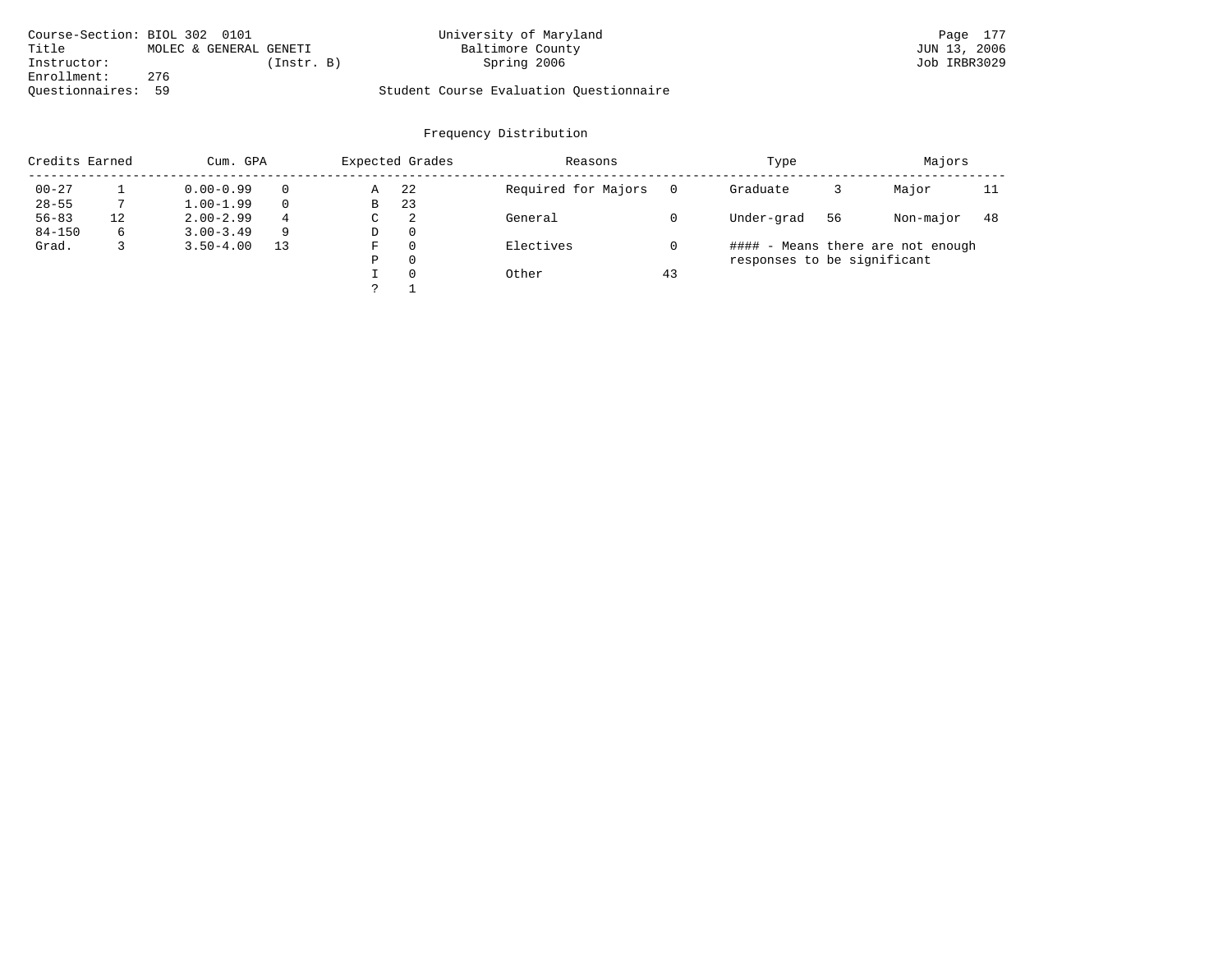| Course-Section: BIOL 302 0101 |                        |            | University of Maryland                  | Page 177     |
|-------------------------------|------------------------|------------|-----------------------------------------|--------------|
| Title                         | MOLEC & GENERAL GENETI |            | Baltimore County                        | JUN 13, 2006 |
| Instructor:                   |                        | (Instr. B) | Spring 2006                             | Job IRBR3029 |
| Enrollment:                   | 276                    |            |                                         |              |
| Ouestionnaires: 59            |                        |            | Student Course Evaluation Ouestionnaire |              |

| Credits Earned |    | Cum. GPA      |          |   | Expected Grades | Reasons             |    | Type                        |    | Majors                            |     |
|----------------|----|---------------|----------|---|-----------------|---------------------|----|-----------------------------|----|-----------------------------------|-----|
| $00 - 27$      |    | $0.00 - 0.99$ | $\Omega$ | Α | 22              | Required for Majors |    | Graduate                    |    | Major                             | 11  |
| $28 - 55$      |    | $1.00 - 1.99$ | $\Omega$ | В | 23              |                     |    |                             |    |                                   |     |
| $56 - 83$      | 12 | $2.00 - 2.99$ | 4        | С | 2               | General             |    | Under-grad                  | 56 | Non-major                         | -48 |
| $84 - 150$     | 6  | $3.00 - 3.49$ | -9       | D | $\mathbf{0}$    |                     |    |                             |    |                                   |     |
| Grad.          | 3  | $3.50 - 4.00$ | 13       | F | 0               | Electives           |    |                             |    | #### - Means there are not enough |     |
|                |    |               |          | Ρ | 0               |                     |    | responses to be significant |    |                                   |     |
|                |    |               |          |   | 0               | Other               | 43 |                             |    |                                   |     |
|                |    |               |          |   |                 |                     |    |                             |    |                                   |     |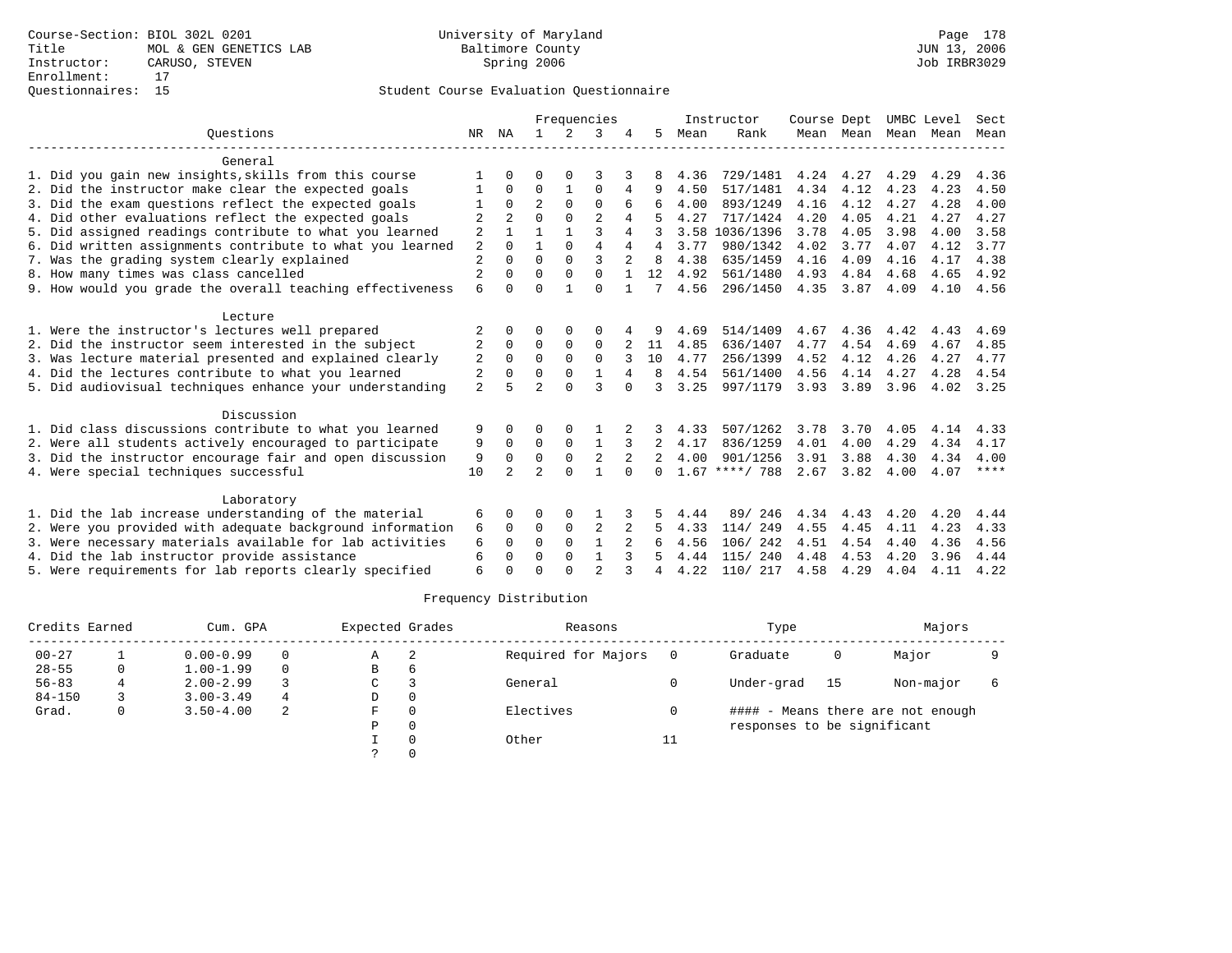|                                                           | Frequencies    |                |                |             | Instructor     |          |          | Course Dept |                  | UMBC Level |                | Sect |      |      |
|-----------------------------------------------------------|----------------|----------------|----------------|-------------|----------------|----------|----------|-------------|------------------|------------|----------------|------|------|------|
| Ouestions                                                 | NR             | ΝA             |                | 2           | 3              |          | 5        | Mean        | Rank             |            | Mean Mean Mean |      | Mean | Mean |
| General                                                   |                |                |                |             |                |          |          |             |                  |            |                |      |      |      |
| 1. Did you gain new insights, skills from this course     |                |                |                |             |                |          |          | 4.36        | 729/1481         | 4.24       | 4.27           | 4.29 | 4.29 | 4.36 |
| 2. Did the instructor make clear the expected goals       |                | $\Omega$       | 0              |             | $\Omega$       | 4        | 9        | 4.50        | 517/1481         | 4.34       | 4.12           | 4.23 | 4.23 | 4.50 |
| 3. Did the exam questions reflect the expected goals      |                | $\Omega$       | $\overline{a}$ | $\Omega$    | $\Omega$       | 6        |          | 4.00        | 893/1249         | 4.16       | 4.12           | 4.27 | 4.28 | 4.00 |
| 4. Did other evaluations reflect the expected goals       | 2              | $\overline{a}$ | $\Omega$       | $\Omega$    | $\mathfrak{D}$ | 4        |          | 4.27        | 717/1424         | 4.20       | 4.05           | 4.21 | 4.27 | 4.27 |
| 5. Did assigned readings contribute to what you learned   | 2              |                |                |             | 3              | 4        | 3        | 3.58        | 1036/1396        | 3.78       | 4.05           | 3.98 | 4.00 | 3.58 |
| 6. Did written assignments contribute to what you learned | 2              | $\Omega$       |                | $\Omega$    | $\overline{4}$ | 4        | 4        | 3.77        | 980/1342         | 4.02       | 3.77           | 4.07 | 4.12 | 3.77 |
| 7. Was the grading system clearly explained               | $\overline{2}$ |                | $\Omega$       | $\Omega$    | ζ              |          | R        | 4.38        | 635/1459         | 4.16       | 4.09           | 4.16 | 4.17 | 4.38 |
| 8. How many times was class cancelled                     | 2              | $\Omega$       | $\Omega$       | $\Omega$    | $\Omega$       |          | 12       | 4.92        | 561/1480         | 4.93       | 4.84           | 4.68 | 4.65 | 4.92 |
| 9. How would you grade the overall teaching effectiveness | 6              | $\Omega$       | $\Omega$       |             | $\Omega$       |          | 7        | 4.56        | 296/1450         | 4.35       | 3.87           | 4.09 | 4.10 | 4.56 |
| Lecture                                                   |                |                |                |             |                |          |          |             |                  |            |                |      |      |      |
| 1. Were the instructor's lectures well prepared           | 2              |                |                |             |                |          |          | 4.69        | 514/1409         | 4.67       | 4.36           | 4.42 | 4.43 | 4.69 |
| 2. Did the instructor seem interested in the subject      | 2              | $\Omega$       | 0              | $\mathbf 0$ | 0              |          | 11       | 4.85        | 636/1407         | 4.77       | 4.54           | 4.69 | 4.67 | 4.85 |
| 3. Was lecture material presented and explained clearly   | 2              | $\Omega$       | $\Omega$       | $\Omega$    | $\Omega$       |          | 10       | 4.77        | 256/1399         | 4.52       | 4.12           | 4.26 | 4.27 | 4.77 |
| 4. Did the lectures contribute to what you learned        | 2              | $\Omega$       | $\Omega$       | $\Omega$    |                |          | 8        | 4.54        | 561/1400         | 4.56       | 4.14           | 4.27 | 4.28 | 4.54 |
| 5. Did audiovisual techniques enhance your understanding  | $\overline{2}$ |                | $\mathfrak{D}$ | $\cap$      | ζ              |          | २        | 3.25        | 997/1179         | 3.93       | 3.89           | 3.96 | 4.02 | 3.25 |
| Discussion                                                |                |                |                |             |                |          |          |             |                  |            |                |      |      |      |
| 1. Did class discussions contribute to what you learned   | 9              |                |                |             |                |          |          | 4.33        | 507/1262         | 3.78       | 3.70           | 4.05 | 4.14 | 4.33 |
| 2. Were all students actively encouraged to participate   | 9              | $\Omega$       | $\Omega$       | $\Omega$    | $\mathbf{1}$   | 3        | 2        | 4.17        | 836/1259         | 4.01       | 4.00           | 4.29 | 4.34 | 4.17 |
| 3. Did the instructor encourage fair and open discussion  | 9              | $\Omega$       | $\Omega$       | $\mathbf 0$ | $\overline{2}$ |          |          | 4.00        | 901/1256         | 3.91       | 3.88           | 4.30 | 4.34 | 4.00 |
| 4. Were special techniques successful                     | 10             | $2^{1}$        | $\overline{a}$ | $\Omega$    |                | $\Omega$ | $\Omega$ |             | $1.67$ ****/ 788 | 2.67       | 3.82           | 4.00 | 4.07 | **** |
| Laboratory                                                |                |                |                |             |                |          |          |             |                  |            |                |      |      |      |
| 1. Did the lab increase understanding of the material     | 6              | $\Omega$       | ∩              | 0           |                |          |          | 4.44        | 89/ 246          | 4.34       | 4.43           | 4.20 | 4.20 | 4.44 |
| 2. Were you provided with adequate background information | 6              | $\Omega$       | $\Omega$       | $\mathbf 0$ | 2              |          |          | 4.33        | 114/249          | 4.55       | 4.45           | 4.11 | 4.23 | 4.33 |
| 3. Were necessary materials available for lab activities  | 6              | $\Omega$       | $\Omega$       | $\Omega$    |                |          |          | 4.56        | 106/ 242         | 4.51       | 4.54           | 4.40 | 4.36 | 4.56 |
| 4. Did the lab instructor provide assistance              | 6              | $\Omega$       | $\Omega$       | $\Omega$    | $\mathbf{1}$   |          |          | 4.44        | 115/240          | 4.48       | 4.53           | 4.20 | 3.96 | 4.44 |
| 5. Were requirements for lab reports clearly specified    | 6              |                | $\cap$         |             | $\mathfrak{D}$ |          | 4        | 4.22        | 110/ 217         | 4.58       | 4.29           | 4.04 | 4.11 | 4.22 |

|            | Credits Earned<br>Cum. GPA |               |          | Expected Grades |              | Reasons             |    | Type                        |     | Majors                            |  |
|------------|----------------------------|---------------|----------|-----------------|--------------|---------------------|----|-----------------------------|-----|-----------------------------------|--|
| $00 - 27$  |                            | $0.00 - 0.99$ | $\Omega$ | Α               | 2            | Required for Majors |    | Graduate                    | 0   | Major                             |  |
| $28 - 55$  | 0                          | $1.00 - 1.99$ | $\Omega$ | в               | <sub>6</sub> |                     |    |                             |     |                                   |  |
| $56 - 83$  |                            | $2.00 - 2.99$ |          | C               |              | General             |    | Under-grad                  | -15 | Non-major                         |  |
| $84 - 150$ |                            | $3.00 - 3.49$ | 4        | D               |              |                     |    |                             |     |                                   |  |
| Grad.      | 0                          | $3.50 - 4.00$ | 2        | F               |              | Electives           |    |                             |     | #### - Means there are not enough |  |
|            |                            |               |          | P               |              |                     |    | responses to be significant |     |                                   |  |
|            |                            |               |          |                 |              | Other               | ŦΤ |                             |     |                                   |  |
|            |                            |               |          |                 |              |                     |    |                             |     |                                   |  |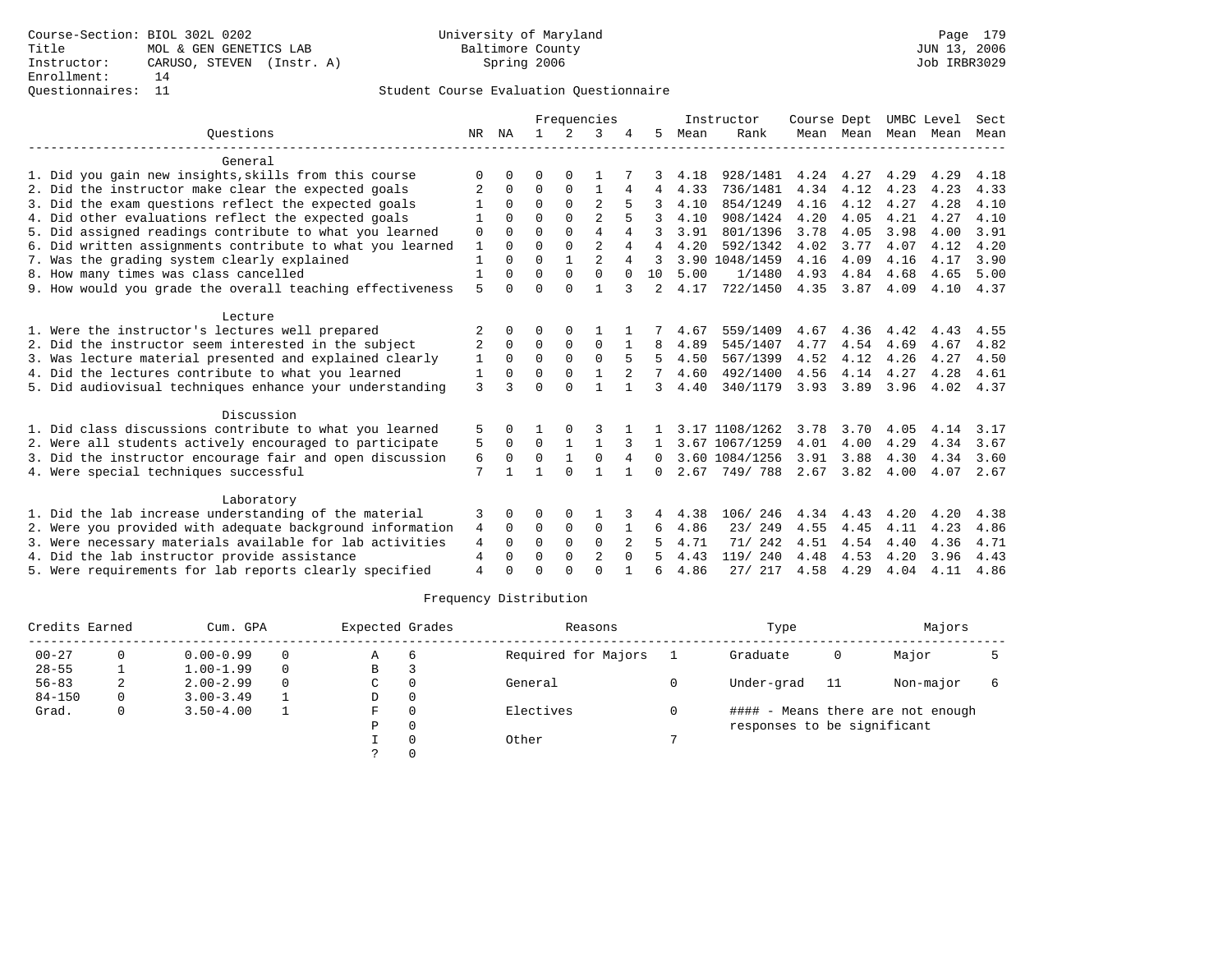## Questionnaires: 11 Student Course Evaluation Questionnaire

|                                                           |                | Frequencies |              |               | Instructor     |              |          | Course Dept |                | UMBC Level |               | Sect |      |      |
|-----------------------------------------------------------|----------------|-------------|--------------|---------------|----------------|--------------|----------|-------------|----------------|------------|---------------|------|------|------|
| Ouestions                                                 |                | NR NA       | $\mathbf{1}$ | $\mathcal{L}$ | 3              |              | 5        | Mean        | Rank           |            | Mean Mean     | Mean | Mean | Mean |
| General                                                   |                |             |              |               |                |              |          |             |                |            |               |      |      |      |
| 1. Did you gain new insights, skills from this course     | O              | 0           | 0            | $\Omega$      |                |              | 3        | 4.18        | 928/1481       | 4.24       | 4.27          | 4.29 | 4.29 | 4.18 |
| 2. Did the instructor make clear the expected goals       |                | $\Omega$    | 0            | $\Omega$      | 1              | 4            | 4        | 4.33        | 736/1481       | 4.34       | 4.12          | 4.23 | 4.23 | 4.33 |
| 3. Did the exam questions reflect the expected goals      |                | 0           | $\Omega$     | $\Omega$      | $\overline{2}$ |              | 3        | 4.10        | 854/1249       | 4.16       | 4.12          | 4.27 | 4.28 | 4.10 |
| 4. Did other evaluations reflect the expected goals       |                | $\Omega$    | $\Omega$     | $\Omega$      | $\overline{a}$ |              | 3        | 4.10        | 908/1424       | 4.20       | 4.05          | 4.21 | 4.27 | 4.10 |
| 5. Did assigned readings contribute to what you learned   | $\Omega$       | 0           | $\Omega$     | $\Omega$      | $\overline{4}$ | 4            | २        | 3.91        | 801/1396       | 3.78       | 4.05          | 3.98 | 4.00 | 3.91 |
| 6. Did written assignments contribute to what you learned | $\mathbf{1}$   | $\Omega$    | $\Omega$     | $\Omega$      | $\overline{a}$ | 4            | 4        | 4.20        | 592/1342       | 4.02       | 3.77          | 4.07 | 4.12 | 4.20 |
| 7. Was the grading system clearly explained               |                | $\Omega$    | $\Omega$     |               | $\overline{2}$ | 4            |          |             | 3.90 1048/1459 | 4.16       | 4.09          | 4.16 | 4.17 | 3.90 |
| 8. How many times was class cancelled                     | $\mathbf{1}$   | 0           | $\Omega$     | $\Omega$      | $\Omega$       | $\Omega$     | 10       | 5.00        | 1/1480         | 4.93       | 4.84          | 4.68 | 4.65 | 5.00 |
| 9. How would you grade the overall teaching effectiveness | 5              | 0           | $\Omega$     | $\cap$        | 1              | 3            | 2        | 4.17        | 722/1450       | 4.35       | 3.87          | 4.09 | 4.10 | 4.37 |
| Lecture                                                   |                |             |              |               |                |              |          |             |                |            |               |      |      |      |
| 1. Were the instructor's lectures well prepared           |                |             | 0            | $\Omega$      |                |              |          | 4.67        | 559/1409       | 4.67       | 4.36          | 4.42 | 4.43 | 4.55 |
| 2. Did the instructor seem interested in the subject      | 2              | 0           | $\Omega$     | 0             | $\Omega$       |              | 8        | 4.89        | 545/1407       | 4.77       | 4.54          | 4.69 | 4.67 | 4.82 |
| 3. Was lecture material presented and explained clearly   | 1              | $\Omega$    | $\Omega$     | $\Omega$      | $\Omega$       |              | 5        | 4.50        | 567/1399       | 4.52       | 4.12          | 4.26 | 4.27 | 4.50 |
| 4. Did the lectures contribute to what you learned        | 1              | 0           | $\Omega$     | $\Omega$      |                |              |          | 4.60        | 492/1400       | 4.56       | 4.14          | 4.27 | 4.28 | 4.61 |
| 5. Did audiovisual techniques enhance your understanding  | 3              |             | $\Omega$     | $\cap$        | $\mathbf{1}$   |              | 3        | 4.40        | 340/1179       | 3.93       | 3.89          | 3.96 | 4.02 | 4.37 |
| Discussion                                                |                |             |              |               |                |              |          |             |                |            |               |      |      |      |
| 1. Did class discussions contribute to what you learned   | 5              | 0           |              |               |                |              |          |             | 3.17 1108/1262 | 3.78       | 3.70          | 4.05 | 4.14 | 3.17 |
| 2. Were all students actively encouraged to participate   | 5              | $\Omega$    | $\Omega$     | $\mathbf{1}$  | $\mathbf{1}$   |              |          |             | 3.67 1067/1259 | 4.01       | 4.00          | 4.29 | 4.34 | 3.67 |
| 3. Did the instructor encourage fair and open discussion  | 6              | 0           | 0            |               | $\mathbf 0$    | 4            | $\Omega$ |             | 3.60 1084/1256 | 3.91       | 3.88          | 4.30 | 4.34 | 3.60 |
| 4. Were special techniques successful                     | 7              |             | 1            | $\Omega$      | 1              | $\mathbf{1}$ | 0        |             | 2.67 749/788   |            | $2.67$ $3.82$ | 4.00 | 4.07 | 2.67 |
| Laboratory                                                |                |             |              |               |                |              |          |             |                |            |               |      |      |      |
| 1. Did the lab increase understanding of the material     | 3              | 0           | O            | 0             |                | 3            | 4        | 4.38        | 106/<br>246    | 4.34       | 4.43          | 4.20 | 4.20 | 4.38 |
| 2. Were you provided with adequate background information | 4              | $\Omega$    | 0            | $\mathbf 0$   | $\mathbf 0$    |              | 6        | 4.86        | 23/ 249        | 4.55       | 4.45          | 4.11 | 4.23 | 4.86 |
| 3. Were necessary materials available for lab activities  | 4              | 0           | $\Omega$     | $\Omega$      | $\Omega$       |              |          | 4.71        | 71/ 242        | 4.51       | 4.54          | 4.40 | 4.36 | 4.71 |
| 4. Did the lab instructor provide assistance              | 4              | 0           | $\Omega$     | 0             | 2              | $\Omega$     |          | 4.43        | 119/ 240       | 4.48       | 4.53          | 4.20 | 3.96 | 4.43 |
| 5. Were requirements for lab reports clearly specified    | $\overline{4}$ |             | $\cap$       |               | $\Omega$       |              |          | 4.86        | 27/ 217        | 4.58       | 4.29          | 4.04 | 4.11 | 4.86 |

|            | Credits Earned<br>Cum. GPA |               |          | Expected Grades |    | Reasons             | Type                        |    | Majors                            |  |
|------------|----------------------------|---------------|----------|-----------------|----|---------------------|-----------------------------|----|-----------------------------------|--|
| $00 - 27$  |                            | $0.00 - 0.99$ | $\Omega$ | Α               | -6 | Required for Majors | Graduate                    | 0  | Major                             |  |
| $28 - 55$  |                            | $1.00 - 1.99$ | $\Omega$ | В               |    |                     |                             |    |                                   |  |
| $56 - 83$  |                            | $2.00 - 2.99$ | $\Omega$ | C               |    | General             | Under-grad                  | 11 | Non-major                         |  |
| $84 - 150$ | 0                          | $3.00 - 3.49$ |          | D               |    |                     |                             |    |                                   |  |
| Grad.      | 0                          | $3.50 - 4.00$ |          | F               |    | Electives           |                             |    | #### - Means there are not enough |  |
|            |                            |               |          | P               |    |                     | responses to be significant |    |                                   |  |
|            |                            |               |          |                 |    | Other               |                             |    |                                   |  |
|            |                            |               |          |                 |    |                     |                             |    |                                   |  |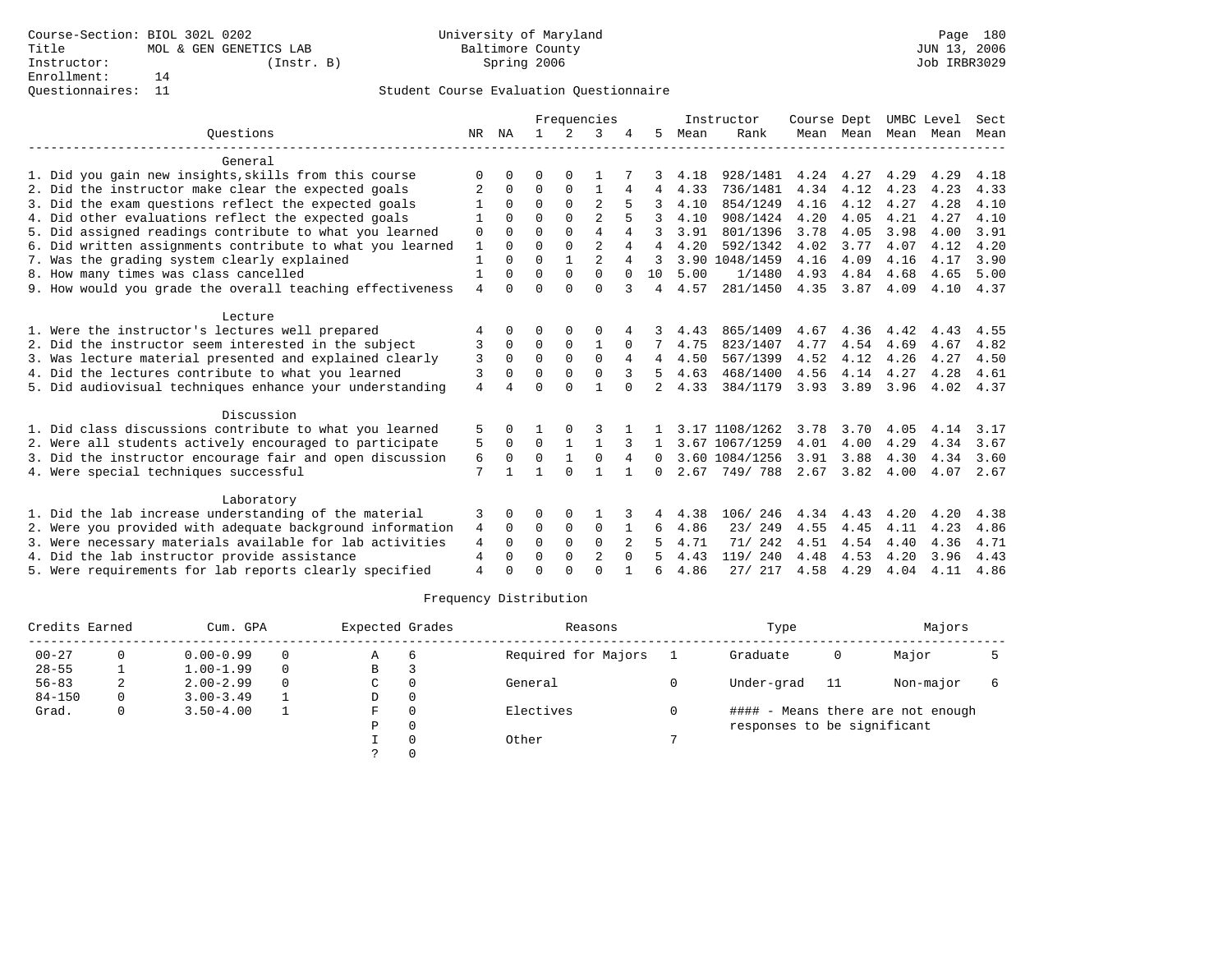|                                                           |                |              |              |              | Frequencies    |              |              |      | Instructor     | Course Dept |               |                     | UMBC Level | Sect |
|-----------------------------------------------------------|----------------|--------------|--------------|--------------|----------------|--------------|--------------|------|----------------|-------------|---------------|---------------------|------------|------|
| Ouestions                                                 | NR.            | ΝA           |              | 2            | 3              |              | 5.           | Mean | Rank           |             |               | Mean Mean Mean Mean |            | Mean |
| General                                                   |                |              |              |              |                |              |              |      |                |             |               |                     |            |      |
| 1. Did you gain new insights, skills from this course     | O              | O            | 0            |              |                |              |              | 4.18 | 928/1481       | 4.24        | 4.27          | 4.29                | 4.29       | 4.18 |
| 2. Did the instructor make clear the expected goals       | 2              | $\Omega$     | 0            | $\mathbf 0$  |                | 4            | 4            | 4.33 | 736/1481       | 4.34        | 4.12          | 4.23                | 4.23       | 4.33 |
| 3. Did the exam questions reflect the expected goals      |                | $\Omega$     | 0            | $\Omega$     | 2              |              |              | 4.10 | 854/1249       | 4.16        | 4.12          | 4.27                | 4.28       | 4.10 |
| 4. Did other evaluations reflect the expected goals       |                | $\Omega$     | $\Omega$     | $\Omega$     | 2              | 5            |              | 4.10 | 908/1424       | 4.20        | 4.05          | 4.21                | 4.27       | 4.10 |
| 5. Did assigned readings contribute to what you learned   | 0              | $\Omega$     | $\Omega$     | $\Omega$     | 4              | 4            | 3            | 3.91 | 801/1396       | 3.78        | 4.05          | 3.98                | 4.00       | 3.91 |
| 6. Did written assignments contribute to what you learned | 1              | $\Omega$     | $\Omega$     | $\Omega$     | $\overline{a}$ | 4            | 4            | 4.20 | 592/1342       | 4.02        | 3.77          | 4.07                | 4.12       | 4.20 |
| 7. Was the grading system clearly explained               | $\mathbf{1}$   | $\Omega$     | $\Omega$     | $\mathbf{1}$ | $\mathfrak{D}$ | 4            | 3            |      | 3.90 1048/1459 | 4.16        | 4.09          | 4.16                | 4.17       | 3.90 |
| 8. How many times was class cancelled                     | 1              | $\Omega$     | 0            | $\Omega$     | $\Omega$       | $\Omega$     | 10           | 5.00 | 1/1480         | 4.93        | 4.84          | 4.68                | 4.65       | 5.00 |
| 9. How would you grade the overall teaching effectiveness | 4              | $\Omega$     | $\Omega$     | $\Omega$     | $\Omega$       | 3            | 4            | 4.57 | 281/1450       | 4.35        | 3.87          | 4.09                | 4.10       | 4.37 |
| Lecture                                                   |                |              |              |              |                |              |              |      |                |             |               |                     |            |      |
| 1. Were the instructor's lectures well prepared           | 4              | 0            | 0            |              | $\Omega$       |              |              | 4.43 | 865/1409       | 4.67        | 4.36          | 4.42                | 4.43       | 4.55 |
| 2. Did the instructor seem interested in the subject      | 3              | $\Omega$     | 0            | $\mathbf 0$  | 1              | $\Omega$     |              | 4.75 | 823/1407       | 4.77        | 4.54          | 4.69                | 4.67       | 4.82 |
| 3. Was lecture material presented and explained clearly   | 3              | $\Omega$     | $\Omega$     | $\Omega$     | $\Omega$       | 4            | 4            | 4.50 | 567/1399       | 4.52        | 4.12          | 4.26                | 4.27       | 4.50 |
| 4. Did the lectures contribute to what you learned        | 3              | $\Omega$     | 0            | $\Omega$     | $\Omega$       | 3            | 5.           | 4.63 | 468/1400       | 4.56        | 4.14          | 4.27                | 4.28       | 4.61 |
| 5. Did audiovisual techniques enhance your understanding  | $\overline{4}$ |              | <sup>n</sup> | $\cap$       |                | $\cap$       | 2            | 4.33 | 384/1179       | 3.93        | 3.89          | 3.96                | 4.02       | 4.37 |
| Discussion                                                |                |              |              |              |                |              |              |      |                |             |               |                     |            |      |
| 1. Did class discussions contribute to what you learned   | 5              | 0            |              |              | 3              |              |              |      | 3.17 1108/1262 | 3.78        | 3.70          | 4.05                | 4.14       | 3.17 |
| 2. Were all students actively encouraged to participate   | 5              | $\Omega$     | $\Omega$     | 1            | $\mathbf{1}$   | 3            | $\mathbf{1}$ |      | 3.67 1067/1259 | 4.01        | 4.00          | 4.29                | 4.34       | 3.67 |
| 3. Did the instructor encourage fair and open discussion  | 6              | $\mathbf 0$  | 0            | $\mathbf{1}$ | $\mathbf 0$    | 4            | 0            |      | 3.60 1084/1256 | 3.91        | 3.88          | 4.30                | 4.34       | 3.60 |
| 4. Were special techniques successful                     | 7              | $\mathbf{1}$ |              | $\Omega$     | $\mathbf{1}$   | $\mathbf{1}$ | 0            | 2.67 | 749/788        |             | $2.67$ $3.82$ | 4.00                | 4.07       | 2.67 |
| Laboratory                                                |                |              |              |              |                |              |              |      |                |             |               |                     |            |      |
| 1. Did the lab increase understanding of the material     | 3              | $\Omega$     | 0            | 0            |                |              | 4            | 4.38 | 106/ 246       | 4.34        | 4.43          | 4.20                | 4.20       | 4.38 |
| 2. Were you provided with adequate background information | 4              | $\Omega$     | 0            | $\mathbf 0$  | $\mathbf 0$    | 1            | 6            | 4.86 | 23/ 249        | 4.55        | 4.45          | 4.11                | 4.23       | 4.86 |
| 3. Were necessary materials available for lab activities  | 4              | $\Omega$     | 0            | $\Omega$     | $\Omega$       |              | 5            | 4.71 | 71/ 242        | 4.51        | 4.54          | 4.40                | 4.36       | 4.71 |
| 4. Did the lab instructor provide assistance              | 4              | $\Omega$     | 0            | $\Omega$     | 2              | $\Omega$     | 5            | 4.43 | 119/ 240       | 4.48        | 4.53          | 4.20                | 3.96       | 4.43 |
| 5. Were requirements for lab reports clearly specified    | 4              | $\Omega$     | U            | U            | $\cap$         |              | б            | 4.86 | 27/ 217        | 4.58        | 4.29          | 4.04                | 4.11       | 4.86 |

|            | Credits Earned<br>Cum. GPA |               |          | Expected Grades |          | Reasons             | Type                        |      | Majors                            |  |
|------------|----------------------------|---------------|----------|-----------------|----------|---------------------|-----------------------------|------|-----------------------------------|--|
| $00 - 27$  | 0                          | $0.00 - 0.99$ | $\Omega$ | A               | b        | Required for Majors | Graduate                    | 0    | Major                             |  |
| $28 - 55$  |                            | $1.00 - 1.99$ | $\Omega$ | В               |          |                     |                             |      |                                   |  |
| $56 - 83$  | 2                          | $2.00 - 2.99$ | $\Omega$ | $\mathsf{C}$    | $\Omega$ | General             | Under-grad                  | - 11 | Non-major                         |  |
| $84 - 150$ | $\Omega$                   | $3.00 - 3.49$ |          | D               | $\Omega$ |                     |                             |      |                                   |  |
| Grad.      | 0                          | $3.50 - 4.00$ |          | F.              | $\Omega$ | Electives           |                             |      | #### - Means there are not enough |  |
|            |                            |               |          | P               | $\Omega$ |                     | responses to be significant |      |                                   |  |
|            |                            |               |          |                 |          | Other               |                             |      |                                   |  |
|            |                            |               |          |                 |          |                     |                             |      |                                   |  |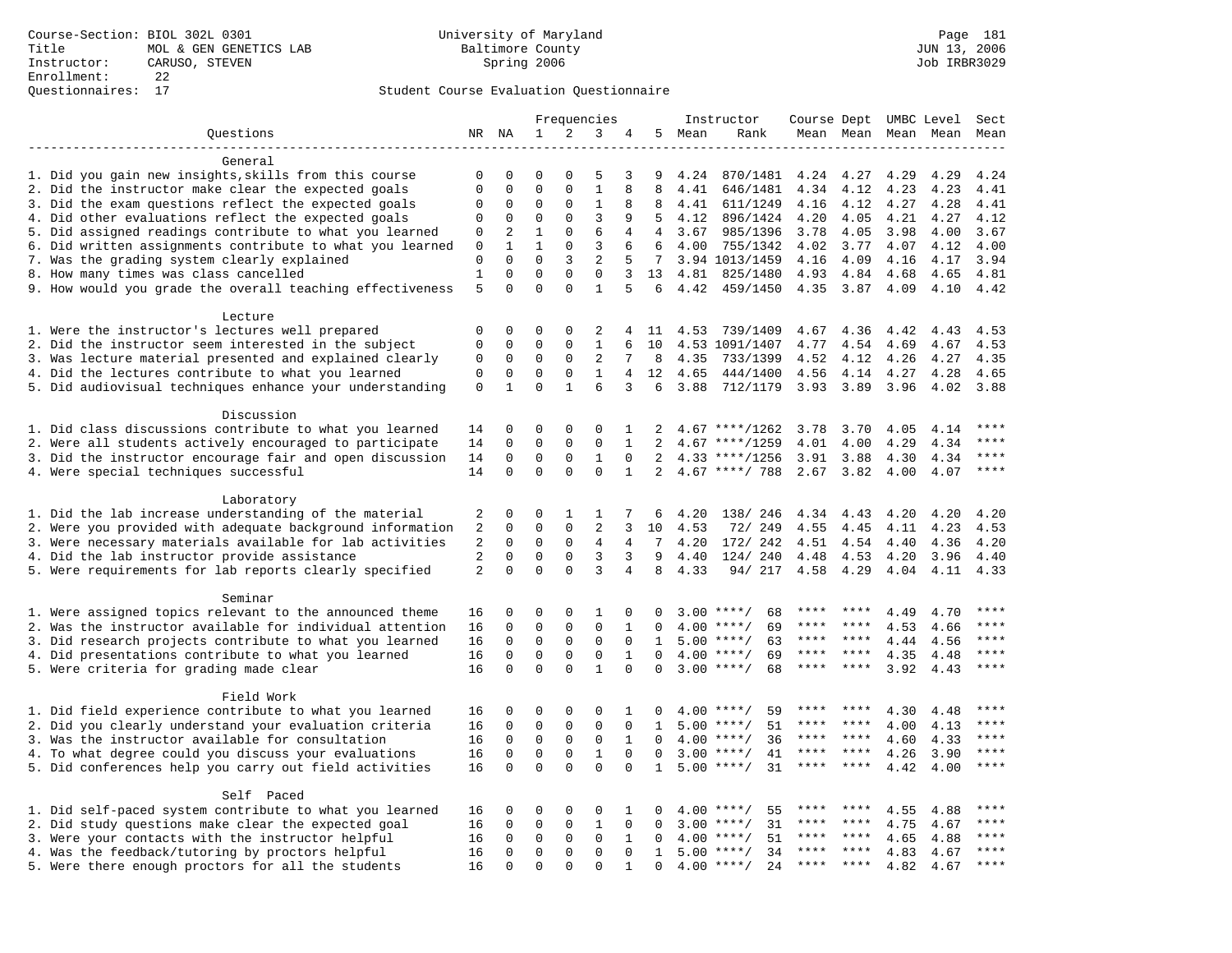|                                                                     |                |              |              |              | Frequencies    |                |                |      | Instructor         | Course Dept |         |      | UMBC Level | Sect        |
|---------------------------------------------------------------------|----------------|--------------|--------------|--------------|----------------|----------------|----------------|------|--------------------|-------------|---------|------|------------|-------------|
| Questions                                                           | NR             | ΝA           | $\mathbf{1}$ | 2            | 3              |                | 5              | Mean | Rank               | Mean Mean   |         | Mean | Mean       | Mean        |
|                                                                     |                |              |              |              |                |                |                |      |                    |             |         |      |            |             |
| General                                                             |                |              |              |              |                |                |                |      |                    |             |         |      |            |             |
| 1. Did you gain new insights, skills from this course               | 0              | 0            | $\Omega$     | 0            | 5              | 3              | 9              | 4.24 | 870/1481           | 4.24        | 4.27    | 4.29 | 4.29       | 4.24        |
| 2. Did the instructor make clear the expected goals                 | $\mathbf 0$    | $\mathbf 0$  | $\mathbf 0$  | $\mathbf{0}$ | $\mathbf{1}$   | 8              | 8              | 4.41 | 646/1481           | 4.34        | 4.12    | 4.23 | 4.23       | 4.41        |
| 3. Did the exam questions reflect the expected goals                | $\mathbf 0$    | $\mathbf 0$  | $\Omega$     | $\mathbf 0$  | 1              | 8              | 8              | 4.41 | 611/1249           | 4.16        | 4.12    | 4.27 | 4.28       | 4.41        |
| 4. Did other evaluations reflect the expected goals                 | $\mathbf 0$    | $\mathbf 0$  | $\mathbf 0$  | $\mathbf{0}$ | $\overline{3}$ | 9              | 5              | 4.12 | 896/1424           | 4.20        | 4.05    | 4.21 | 4.27       | 4.12        |
| 5. Did assigned readings contribute to what you learned             | 0              | 2            | $\mathbf{1}$ | $\mathbf{0}$ | 6              | 4              | $\overline{4}$ | 3.67 | 985/1396           | 3.78        | 4.05    | 3.98 | 4.00       | 3.67        |
| 6. Did written assignments contribute to what you learned           | $\mathbf{0}$   | $\mathbf{1}$ | $\mathbf{1}$ | $\Omega$     | 3              | 6              | 6              | 4.00 | 755/1342           | 4.02        | 3.77    | 4.07 | 4.12       | 4.00        |
| 7. Was the grading system clearly explained                         | $\mathbf{0}$   | $\mathbf 0$  | $\mathbf 0$  | 3            | $\overline{2}$ | 5              | 7 <sup>7</sup> |      | 3.94 1013/1459     | 4.16        | 4.09    | 4.16 | 4.17       | 3.94        |
| 8. How many times was class cancelled                               | $\mathbf{1}$   | $\mathbf{0}$ | $\mathbf 0$  | $\mathbf 0$  | $\mathbf 0$    | 3              | 13             | 4.81 | 825/1480           | 4.93        | 4.84    | 4.68 | 4.65       | 4.81        |
| 9. How would you grade the overall teaching effectiveness           | 5              | $\Omega$     | $\mathbf 0$  | $\Omega$     | $\mathbf{1}$   | 5              | 6              | 4.42 | 459/1450           | 4.35        | 3.87    | 4.09 | 4.10       | 4.42        |
| Lecture                                                             |                |              |              |              |                |                |                |      |                    |             |         |      |            |             |
| 1. Were the instructor's lectures well prepared                     | $\mathbf 0$    | 0            | 0            | $\mathbf 0$  | 2              | 4              | 11             |      | 4.53 739/1409      | 4.67        | 4.36    | 4.42 | 4.43       | 4.53        |
| 2. Did the instructor seem interested in the subject                | $\mathbf 0$    | $\mathbf 0$  | 0            | $\mathbf 0$  | $\mathbf{1}$   | 6              | 10             |      | 4.53 1091/1407     | 4.77        | 4.54    | 4.69 | 4.67       | 4.53        |
| 3. Was lecture material presented and explained clearly             | $\mathbf 0$    | $\mathbf 0$  | $\mathbf 0$  | $\Omega$     | 2              | 7              | 8              | 4.35 | 733/1399           | 4.52        | 4.12    | 4.26 | 4.27       | 4.35        |
| 4. Did the lectures contribute to what you learned                  | $\mathbf 0$    | $\mathbf 0$  | 0            | $\mathsf 0$  | $\mathbf{1}$   | $\overline{4}$ | 12             | 4.65 | 444/1400           | 4.56        | 4.14    | 4.27 | 4.28       | 4.65        |
| 5. Did audiovisual techniques enhance your understanding            | $\mathsf 0$    | $\mathbf{1}$ | $\Omega$     | $\mathbf{1}$ | 6              | 3              | 6              | 3.88 | 712/1179           | 3.93        | 3.89    | 3.96 | 4.02       | 3.88        |
|                                                                     |                |              |              |              |                |                |                |      |                    |             |         |      |            |             |
| Discussion                                                          |                |              |              |              |                |                |                |      |                    |             |         |      |            |             |
| 1. Did class discussions contribute to what you learned             | 14             | 0            | 0            | $\Omega$     | $\Omega$       | 1              | 2              |      | $4.67$ ****/1262   | 3.78        | 3.70    | 4.05 | 4.14       | * * * *     |
| 2. Were all students actively encouraged to participate             | 14             | $\mathbf 0$  | $\mathbf 0$  | $\mathbf 0$  | $\mathbf 0$    | $\mathbf{1}$   | $\overline{2}$ |      | $4.67$ ****/1259   | 4.01        | 4.00    | 4.29 | 4.34       | ****        |
| 3. Did the instructor encourage fair and open discussion            | 14             | $\mathbf 0$  | $\mathbf 0$  | $\mathbf{0}$ | $\mathbf{1}$   | $\Omega$       | 2              |      | $4.33$ ****/1256   | 3.91        | 3.88    | 4.30 | 4.34       | $***$ * * * |
| 4. Were special techniques successful                               | 14             | $\Omega$     | $\Omega$     | $\Omega$     | $\Omega$       | $\mathbf{1}$   | 2              |      | $4.67$ ****/ 788   | 2.67        | 3.82    | 4.00 | 4.07       | $***$       |
|                                                                     |                |              |              |              |                |                |                |      |                    |             |         |      |            |             |
| Laboratory<br>1. Did the lab increase understanding of the material | 2              | 0            | 0            | 1            | 1              | 7              | 6              | 4.20 | 138/ 246           | 4.34        | 4.43    | 4.20 | 4.20       | 4.20        |
| 2. Were you provided with adequate background information           | 2              | $\mathbf 0$  | $\mathbf 0$  | $\mathbf 0$  | 2              | 3              | 10             | 4.53 | 72/ 249            | 4.55        | 4.45    | 4.11 | 4.23       | 4.53        |
| 3. Were necessary materials available for lab activities            | 2              | $\mathbf 0$  | $\mathbf 0$  | $\mathbf 0$  | 4              | $\overline{4}$ | 7              | 4.20 | 172/ 242           | 4.51        | 4.54    | 4.40 | 4.36       | 4.20        |
| 4. Did the lab instructor provide assistance                        | $\overline{2}$ | $\mathbf 0$  | $\mathbf 0$  | $\mathbf{0}$ | 3              | 3              | 9              | 4.40 | 124/ 240           | 4.48        | 4.53    | 4.20 | 3.96       | 4.40        |
| 5. Were requirements for lab reports clearly specified              | 2              | $\Omega$     | $\Omega$     | $\Omega$     | 3              | $\overline{4}$ | 8              | 4.33 | 94/ 217            | 4.58        | 4.29    | 4.04 | 4.11       | 4.33        |
|                                                                     |                |              |              |              |                |                |                |      |                    |             |         |      |            |             |
| Seminar                                                             |                |              |              |              |                |                |                |      |                    |             |         |      |            |             |
| 1. Were assigned topics relevant to the announced theme             | 16             | 0            | 0            | $\mathbf 0$  | 1              | 0              |                |      | $3.00$ ****/<br>68 | ****        | ****    | 4.49 | 4.70       | ****        |
| 2. Was the instructor available for individual attention            | 16             | $\mathbf 0$  | 0            | $\mathbf 0$  | $\mathbf 0$    | 1              | 0              | 4.00 | $***/$<br>69       | ****        | ****    | 4.53 | 4.66       | * * * *     |
| 3. Did research projects contribute to what you learned             | 16             | $\mathbf 0$  | $\mathbf 0$  | $\mathbf{0}$ | $\mathbf 0$    | $\mathbf 0$    | 1              |      | $5.00$ ****/<br>63 | $***$ * *   | ****    | 4.44 | 4.56       | ****        |
| 4. Did presentations contribute to what you learned                 | 16             | $\Omega$     | $\mathbf 0$  | $\mathbf 0$  | $\mathbf 0$    | $\mathbf{1}$   | $\Omega$       | 4.00 | $***$ /<br>69      | $***$ * *   | $***$ * | 4.35 | 4.48       | $***$       |
| 5. Were criteria for grading made clear                             | 16             | $\Omega$     | $\Omega$     | $\Omega$     | $\mathbf{1}$   | $\Omega$       | $\Omega$       |      | $3.00$ ****/<br>68 | ****        | ****    | 3.92 | 4.43       | ****        |
| Field Work                                                          |                |              |              |              |                |                |                |      |                    |             |         |      |            |             |
| 1. Did field experience contribute to what you learned              | 16             | $\mathbf 0$  | 0            | $\mathbf 0$  | $\mathbf 0$    | 1              | n              |      | $4.00$ ****/<br>59 |             |         | 4.30 | 4.48       | ****        |
| 2. Did you clearly understand your evaluation criteria              | 16             | $\mathbf 0$  | $\mathbf 0$  | $\mathbf 0$  | $\mathbf{0}$   | $\mathbf 0$    | 1              | 5.00 | 51<br>$***/$       | ****        | ****    | 4.00 | 4.13       | ****        |
| 3. Was the instructor available for consultation                    | 16             | $\mathbf 0$  | $\mathbf 0$  | $\mathbf 0$  | $\mathbf 0$    | 1              | $\Omega$       | 4.00 | $***/$<br>36       | ****        | ****    | 4.60 | 4.33       | ****        |
| 4. To what degree could you discuss your evaluations                | 16             | $\mathbf 0$  | $\mathbf 0$  | $\mathbf{0}$ | $\mathbf{1}$   | $\Omega$       | $\Omega$       |      | $3.00$ ****/<br>41 | ****        | ****    | 4.26 | 3.90       | $***$       |
| 5. Did conferences help you carry out field activities              | 16             | $\Omega$     | $\Omega$     | $\Omega$     | $\Omega$       | $\Omega$       | $\mathbf{1}$   | 5.00 | 31<br>$* * * * /$  | ****        | ****    | 4.42 | 4.00       | $***$       |
|                                                                     |                |              |              |              |                |                |                |      |                    |             |         |      |            |             |
| Self Paced                                                          |                |              |              |              |                |                |                |      |                    |             |         |      |            |             |
| 1. Did self-paced system contribute to what you learned             | 16             | 0            | 0            | $\mathsf 0$  | 0              | 1              | 0              | 4.00 | $***$ /<br>55      | ****        |         | 4.55 | 4.88       | $***$ * * * |
| 2. Did study questions make clear the expected goal                 | 16             | 0            | 0            | $\mathbf 0$  | 1              | $\mathbf 0$    | $\Omega$       | 3.00 | $***/$<br>31       | ****        | ****    | 4.75 | 4.67       | ****        |
| 3. Were your contacts with the instructor helpful                   | 16             | 0            | $\mathbf 0$  | $\mathbf 0$  | $\mathbf 0$    | 1              | $\Omega$       | 4.00 | 51<br>$***$ /      | ****        | ****    | 4.65 | 4.88       | ****        |
| 4. Was the feedback/tutoring by proctors helpful                    | 16             | $\mathbf 0$  | $\mathbf 0$  | $\mathbf 0$  | $\mathbf 0$    | $\mathbf{0}$   | $\mathbf{1}$   | 5.00 | 34<br>$***$ /      |             |         | 4.83 | 4.67       | * * * *     |
| 5. Were there enough proctors for all the students                  | 16             | $\mathbf 0$  | $\Omega$     | $\Omega$     | $\Omega$       | 1              | $\Omega$       |      | $4.00$ ****/<br>24 | ****        | $***$   | 4.82 | 4.67       | ****        |
|                                                                     |                |              |              |              |                |                |                |      |                    |             |         |      |            |             |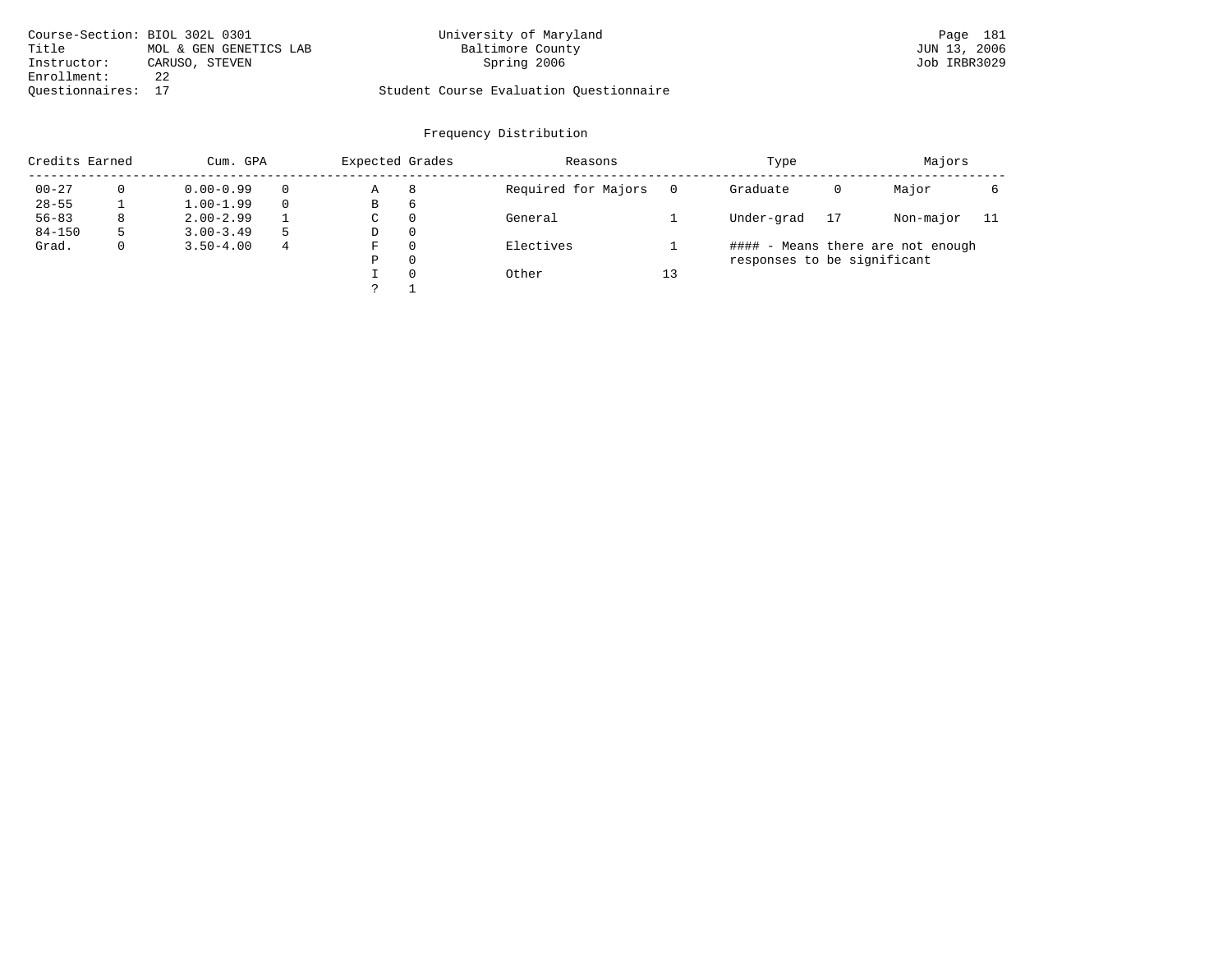| Course-Section: BIOL 302L 0301 |                        | University of Maryland                  | Page 181     |
|--------------------------------|------------------------|-----------------------------------------|--------------|
| Title                          | MOL & GEN GENETICS LAB | Baltimore County                        | JUN 13, 2006 |
| Instructor:                    | CARUSO, STEVEN         | Spring 2006                             | Job IRBR3029 |
| Enrollment:                    |                        |                                         |              |
| Ouestionnaires: 17             |                        | Student Course Evaluation Questionnaire |              |

| Credits Earned |   | Cum. GPA      |   | Expected Grades |          | Reasons             |    | Type                        |    | Majors                            |     |
|----------------|---|---------------|---|-----------------|----------|---------------------|----|-----------------------------|----|-----------------------------------|-----|
| $00 - 27$      | 0 | $0.00 - 0.99$ |   | Α               | 8        | Required for Majors |    | Graduate                    | 0  | Major                             |     |
| $28 - 55$      |   | $1.00 - 1.99$ |   | В               | 6        |                     |    |                             |    |                                   |     |
| $56 - 83$      | 8 | $2.00 - 2.99$ |   | $\sim$<br>◡     | 0        | General             |    | Under-grad                  | 17 | Non-major                         | -11 |
| $84 - 150$     | 5 | $3.00 - 3.49$ | 5 | D               | 0        |                     |    |                             |    |                                   |     |
| Grad.          | 0 | $3.50 - 4.00$ | 4 | F               | 0        | Electives           |    |                             |    | #### - Means there are not enough |     |
|                |   |               |   | Ρ               | 0        |                     |    | responses to be significant |    |                                   |     |
|                |   |               |   |                 | $\Omega$ | Other               | 13 |                             |    |                                   |     |
|                |   |               |   | $\mathcal{L}$   |          |                     |    |                             |    |                                   |     |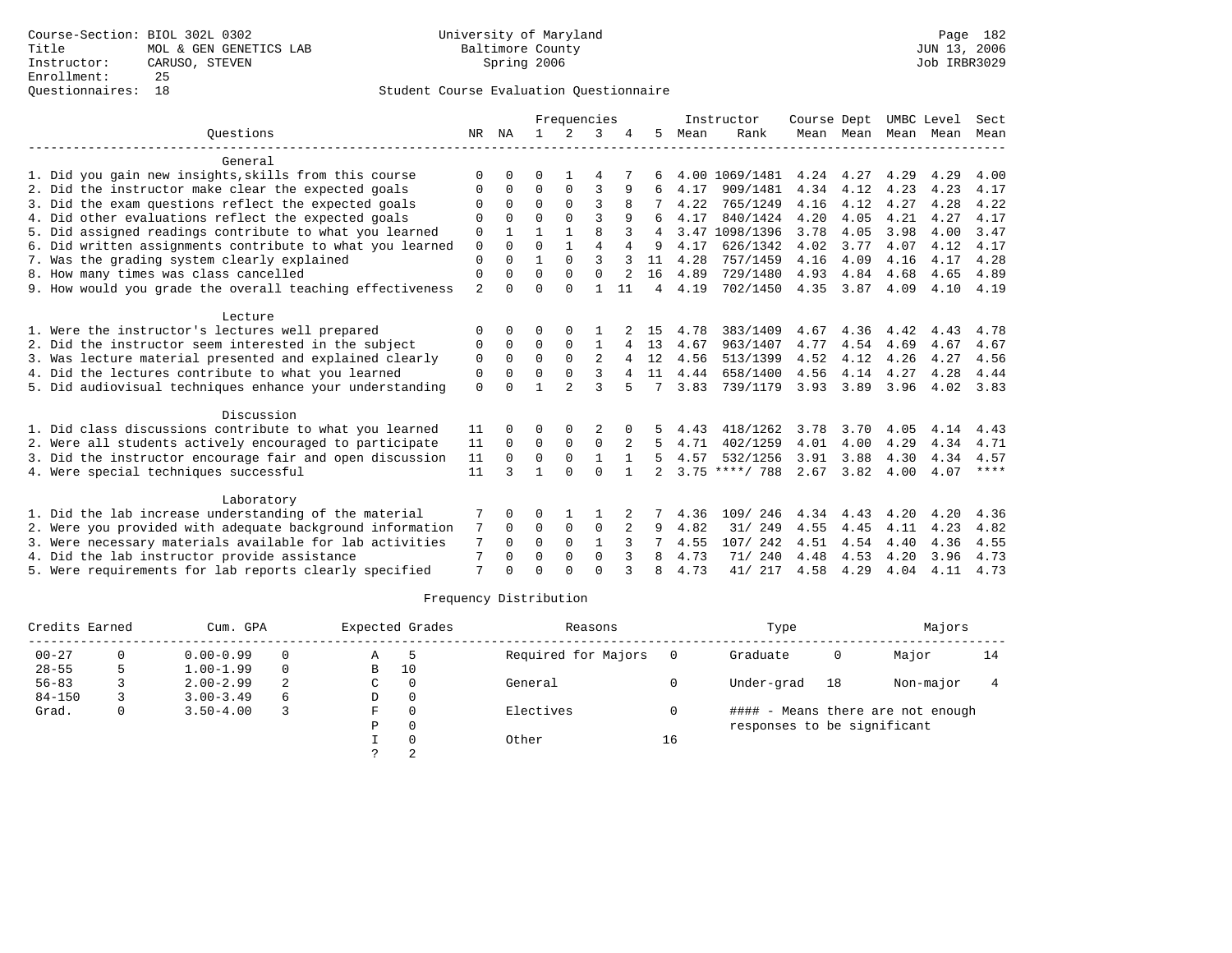## Questionnaires: 18 Student Course Evaluation Questionnaire

|                                                           |                |          |          | Frequencies    |                |    |               |      | Instructor       | Course Dept |                |      | UMBC Level | Sect |
|-----------------------------------------------------------|----------------|----------|----------|----------------|----------------|----|---------------|------|------------------|-------------|----------------|------|------------|------|
| Ouestions                                                 | NR             | ΝA       | 1.       | 2              | 3              |    | 5             | Mean | Rank             |             | Mean Mean Mean |      | Mean       | Mean |
| General                                                   |                |          |          |                |                |    |               |      |                  |             |                |      |            |      |
| 1. Did you gain new insights, skills from this course     | $\Omega$       |          | 0        |                | 4              |    |               |      | 4.00 1069/1481   | 4.24        | 4.27           | 4.29 | 4.29       | 4.00 |
| 2. Did the instructor make clear the expected goals       | $\Omega$       | 0        | $\Omega$ | 0              | 3              | 9  | 6             | 4.17 | 909/1481         | 4.34        | 4.12           | 4.23 | 4.23       | 4.17 |
| 3. Did the exam questions reflect the expected goals      | $\Omega$       | $\Omega$ | $\Omega$ | $\Omega$       | 3              |    |               | 4.22 | 765/1249         | 4.16        | 4.12           | 4.27 | 4.28       | 4.22 |
| 4. Did other evaluations reflect the expected goals       | $\Omega$       | U        | $\Omega$ | $\Omega$       | ঽ              | q  | 6             | 4.17 | 840/1424         | 4.20        | 4.05           | 4.21 | 4.27       | 4.17 |
| 5. Did assigned readings contribute to what you learned   | 0              |          |          |                | 8              |    | 4             | 3.47 | 1098/1396        | 3.78        | 4.05           | 3.98 | 4.00       | 3.47 |
| 6. Did written assignments contribute to what you learned | $\mathbf 0$    | $\Omega$ | $\Omega$ | $\mathbf{1}$   | $\overline{4}$ | 4  | 9             | 4.17 | 626/1342         | 4.02        | 3.77           | 4.07 | 4.12       | 4.17 |
| 7. Was the grading system clearly explained               | 0              | $\Omega$ | 1        | $\Omega$       | $\mathbf{3}$   |    | 11            | 4.28 | 757/1459         | 4.16        | 4.09           | 4.16 | 4.17       | 4.28 |
| 8. How many times was class cancelled                     | $\Omega$       | 0        | $\Omega$ | $\Omega$       | $\Omega$       | 2  | 16            | 4.89 | 729/1480         | 4.93        | 4.84           | 4.68 | 4.65       | 4.89 |
| 9. How would you grade the overall teaching effectiveness | $\overline{2}$ | U        | $\Omega$ | $\Omega$       |                | 11 | 4             | 4.19 | 702/1450         | 4.35        | 3.87           | 4.09 | 4.10       | 4.19 |
| Lecture                                                   |                |          |          |                |                |    |               |      |                  |             |                |      |            |      |
| 1. Were the instructor's lectures well prepared           | $\Omega$       |          | 0        |                |                |    | 15            | 4.78 | 383/1409         | 4.67        | 4.36           | 4.42 | 4.43       | 4.78 |
| 2. Did the instructor seem interested in the subject      | 0              | $\Omega$ | 0        | 0              | 1              | 4  | 13            | 4.67 | 963/1407         | 4.77        | 4.54           | 4.69 | 4.67       | 4.67 |
| 3. Was lecture material presented and explained clearly   | 0              | $\Omega$ | $\Omega$ | $\Omega$       | 2              |    | 12            | 4.56 | 513/1399         | 4.52        | 4.12           | 4.26 | 4.27       | 4.56 |
| 4. Did the lectures contribute to what you learned        | $\Omega$       | $\Omega$ | $\Omega$ | $\Omega$       | ς              |    | 11            | 4.44 | 658/1400         | 4.56        | 4.14           | 4.27 | 4.28       | 4.44 |
| 5. Did audiovisual techniques enhance your understanding  | $\Omega$       |          | 1        | $\mathfrak{D}$ | ζ              |    |               | 3.83 | 739/1179         | 3.93        | 3.89           | 3.96 | 4.02       | 3.83 |
| Discussion                                                |                |          |          |                |                |    |               |      |                  |             |                |      |            |      |
| 1. Did class discussions contribute to what you learned   | 11             |          | 0        | $\Omega$       |                |    |               | 4.43 | 418/1262         | 3.78        | 3.70           | 4.05 | 4.14       | 4.43 |
| 2. Were all students actively encouraged to participate   | 11             | $\Omega$ | $\Omega$ | $\Omega$       | $\Omega$       | 2  | 5             | 4.71 | 402/1259         | 4.01        | 4.00           | 4.29 | 4.34       | 4.71 |
| 3. Did the instructor encourage fair and open discussion  | 11             | $\Omega$ | 0        | $\mathbf 0$    | $\mathbf{1}$   |    | 5             | 4.57 | 532/1256         | 3.91        | 3.88           | 4.30 | 4.34       | 4.57 |
| 4. Were special techniques successful                     | 11             | 3        | 1        | $\Omega$       | $\Omega$       |    | $\mathcal{L}$ |      | $3.75$ ****/ 788 | 2.67        | 3.82           | 4.00 | 4.07       | **** |
| Laboratory                                                |                |          |          |                |                |    |               |      |                  |             |                |      |            |      |
| 1. Did the lab increase understanding of the material     |                | 0        | 0        |                |                | 2  |               | 4.36 | 109/ 246         | 4.34        | 4.43           | 4.20 | 4.20       | 4.36 |
| 2. Were you provided with adequate background information | 7              | $\Omega$ | $\Omega$ | $\mathbf 0$    | $\mathbf 0$    |    | 9             | 4.82 | 31/ 249          | 4.55        | 4.45           | 4.11 | 4.23       | 4.82 |
| 3. Were necessary materials available for lab activities  | 7              | $\Omega$ | $\Omega$ | $\Omega$       | 1              |    |               | 4.55 | 107/ 242         | 4.51        | 4.54           | 4.40 | 4.36       | 4.55 |
| 4. Did the lab instructor provide assistance              | 7              | 0        | $\Omega$ | 0              | $\mathbf 0$    |    | 8             | 4.73 | 71/ 240          | 4.48        | 4.53           | 4.20 | 3.96       | 4.73 |
| 5. Were requirements for lab reports clearly specified    | 7              |          | $\cap$   | $\cap$         | $\Omega$       |    |               | 4.73 | 41/ 217          | 4.58        | 4.29           | 4.04 | 4.11       | 4.73 |

| Credits Earned |   | Cum. GPA      |          |   | Expected Grades<br>Reasons |                     | Type |                             | Majors |                                   |    |
|----------------|---|---------------|----------|---|----------------------------|---------------------|------|-----------------------------|--------|-----------------------------------|----|
| $00 - 27$      |   | $0.00 - 0.99$ | $\Omega$ | Α |                            | Required for Majors |      | Graduate                    | 0      | Major                             | 14 |
| $28 - 55$      |   | $1.00 - 1.99$ | $\Omega$ | В | 10                         |                     |      |                             |        |                                   |    |
| $56 - 83$      |   | $2.00 - 2.99$ | 2        | C |                            | General             |      | Under-grad                  | 18     | Non-major                         |    |
| $84 - 150$     |   | $3.00 - 3.49$ | 6        | D |                            |                     |      |                             |        |                                   |    |
| Grad.          | 0 | $3.50 - 4.00$ |          | F |                            | Electives           |      |                             |        | #### - Means there are not enough |    |
|                |   |               |          | P |                            |                     |      | responses to be significant |        |                                   |    |
|                |   |               |          |   |                            | Other               | 16   |                             |        |                                   |    |
|                |   |               |          |   |                            |                     |      |                             |        |                                   |    |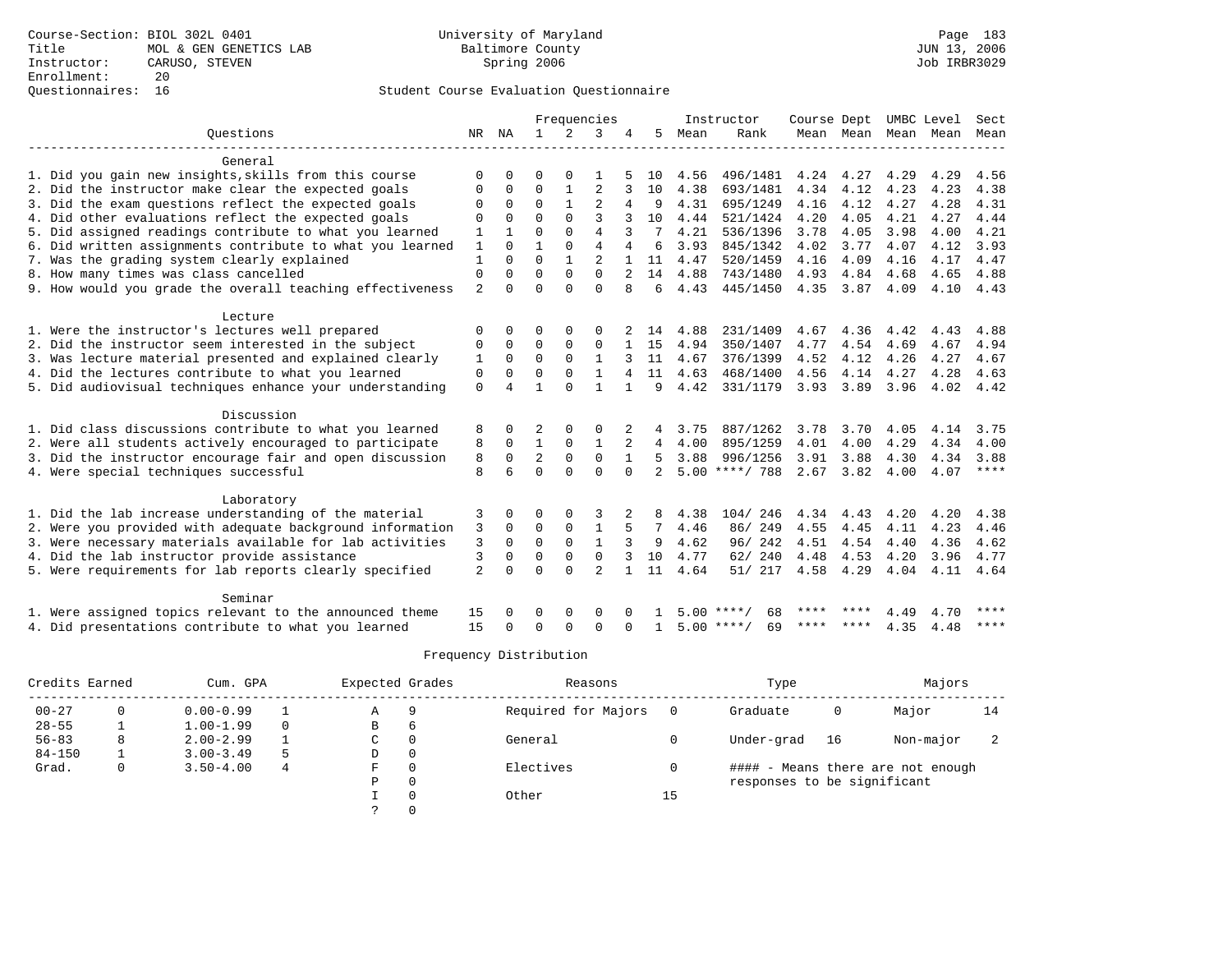## Questionnaires: 16 Student Course Evaluation Questionnaire

| Ouestions<br>2<br>ΝA<br>$\mathbf{1}$<br>3<br>4<br>5<br>Rank<br>NR<br>Mean<br>Mean Mean Mean Mean<br>Mean<br>General<br>1. Did you gain new insights, skills from this course<br>496/1481<br>4.24<br>4.27<br>$\Omega$<br>4.56<br>4.29<br>4.29<br>$\Omega$<br>4.56<br>10<br>2. Did the instructor make clear the expected goals<br>$\mathbf 0$<br>$\overline{2}$<br>4.38<br>693/1481<br>4.34<br>4.12<br>4.23<br>4.23<br>$\Omega$<br>10<br>4.38<br>3<br>0<br>$\overline{a}$<br>3. Did the exam questions reflect the expected goals<br>$\Omega$<br>695/1249<br>4.16<br>4.12<br>4.27<br>$\Omega$<br>4<br>4.31<br>4.28<br>4.31<br>9<br>$\Omega$<br>4. Did other evaluations reflect the expected goals<br>$\Omega$<br>3<br>4.05<br>$\Omega$<br>10<br>521/1424<br>4.20<br>4.21<br>4.27<br>4.44<br>$\Omega$<br>4.44<br>0<br>$\overline{4}$<br>5. Did assigned readings contribute to what you learned<br>$\Omega$<br>4.05<br>4.00<br>4.21<br>$\Omega$<br>3<br>4.21<br>536/1396<br>3.78<br>3.98<br>7<br>1<br>$\overline{4}$<br>6. Did written assignments contribute to what you learned<br>$\Omega$<br>3.93<br>845/1342<br>4.02<br>3.77<br>4.07<br>4.12<br>3.93<br>1<br>$\Omega$<br>4<br>6<br>$\Omega$<br>$\overline{2}$<br>4.09<br>7. Was the grading system clearly explained<br>4.47<br>520/1459<br>4.16<br>4.16<br>4.17<br>4.47<br>1<br>$\Omega$<br>11<br>$\Omega$<br>$\Omega$<br>$\Omega$<br>8. How many times was class cancelled<br>$\Omega$<br>14<br>4.88<br>743/1480<br>4.93<br>4.84<br>4.65<br>4.88<br>$\Omega$<br>4.68<br>9. How would you grade the overall teaching effectiveness<br>$\overline{2}$<br>$\Omega$<br>$\Omega$<br>$\Omega$<br>6<br>445/1450<br>4.35<br>3.87<br>4.10<br>4.43<br>$\Omega$<br>8<br>4.43<br>4.09<br>Lecture<br>1. Were the instructor's lectures well prepared<br>4.88<br>231/1409<br>4.36<br>$\Omega$<br>$\Omega$<br>$\Omega$<br>4.67<br>4.42<br>4.43<br>4.88<br>∩<br>14<br>2. Did the instructor seem interested in the subject<br>$\Omega$<br>$\Omega$<br>4.77<br>4.54<br>$\Omega$<br>$\Omega$<br>15<br>4.94<br>350/1407<br>4.69<br>4.67<br>4.94<br>$\Omega$<br>3. Was lecture material presented and explained clearly<br>$\Omega$<br>$\Omega$<br>$\Omega$<br>$\mathbf{1}$<br>11<br>4.67<br>376/1399<br>4.52<br>4.12<br>4.26<br>4.27<br>4.67<br>1<br>$\Omega$<br>4. Did the lectures contribute to what you learned<br>$\Omega$<br>$\Omega$<br>1<br>11<br>4.63<br>468/1400<br>4.56<br>4.14<br>4.27<br>4.28<br>0<br>4.63<br>4<br>5. Did audiovisual techniques enhance your understanding<br>$\cap$<br>$\Omega$<br>9<br>4.42<br>331/1179<br>3.93<br>3.89<br>3.96<br>4.02<br>4.42<br>Discussion<br>1. Did class discussions contribute to what you learned<br>887/1262<br>8<br>2<br>3.75<br>3.78<br>3.70<br>4.05<br>4.14<br>3.75<br>$\Omega$<br>$\Omega$<br>4<br>2. Were all students actively encouraged to participate<br>$\Omega$<br>4.00<br>895/1259<br>4.01<br>4.00<br>8<br>$\mathbf 0$<br>4.29<br>4.34<br>4.00<br>4<br>$\overline{2}$<br>3. Did the instructor encourage fair and open discussion<br>$\Omega$<br>3.88<br>3.91<br>8<br>$\Omega$<br>$\Omega$<br>.5<br>996/1256<br>3.88<br>4.30<br>3.88<br>4.34<br>$\Omega$<br>4. Were special techniques successful<br>$\Omega$<br>$5.00$ ****/ 788<br>2.67<br>3.82<br>$***$ * * *<br>8<br>$\Omega$<br>2<br>4.00<br>4.07<br>$\Omega$ |
|---------------------------------------------------------------------------------------------------------------------------------------------------------------------------------------------------------------------------------------------------------------------------------------------------------------------------------------------------------------------------------------------------------------------------------------------------------------------------------------------------------------------------------------------------------------------------------------------------------------------------------------------------------------------------------------------------------------------------------------------------------------------------------------------------------------------------------------------------------------------------------------------------------------------------------------------------------------------------------------------------------------------------------------------------------------------------------------------------------------------------------------------------------------------------------------------------------------------------------------------------------------------------------------------------------------------------------------------------------------------------------------------------------------------------------------------------------------------------------------------------------------------------------------------------------------------------------------------------------------------------------------------------------------------------------------------------------------------------------------------------------------------------------------------------------------------------------------------------------------------------------------------------------------------------------------------------------------------------------------------------------------------------------------------------------------------------------------------------------------------------------------------------------------------------------------------------------------------------------------------------------------------------------------------------------------------------------------------------------------------------------------------------------------------------------------------------------------------------------------------------------------------------------------------------------------------------------------------------------------------------------------------------------------------------------------------------------------------------------------------------------------------------------------------------------------------------------------------------------------------------------------------------------------------------------------------------------------------------------------------------------------------------------------------------------------------------------------------------------------------------------------------------------------------------------------------------------------------------------------------------------------------------------------------------------------------------|
|                                                                                                                                                                                                                                                                                                                                                                                                                                                                                                                                                                                                                                                                                                                                                                                                                                                                                                                                                                                                                                                                                                                                                                                                                                                                                                                                                                                                                                                                                                                                                                                                                                                                                                                                                                                                                                                                                                                                                                                                                                                                                                                                                                                                                                                                                                                                                                                                                                                                                                                                                                                                                                                                                                                                                                                                                                                                                                                                                                                                                                                                                                                                                                                                                                                                                                                           |
|                                                                                                                                                                                                                                                                                                                                                                                                                                                                                                                                                                                                                                                                                                                                                                                                                                                                                                                                                                                                                                                                                                                                                                                                                                                                                                                                                                                                                                                                                                                                                                                                                                                                                                                                                                                                                                                                                                                                                                                                                                                                                                                                                                                                                                                                                                                                                                                                                                                                                                                                                                                                                                                                                                                                                                                                                                                                                                                                                                                                                                                                                                                                                                                                                                                                                                                           |
|                                                                                                                                                                                                                                                                                                                                                                                                                                                                                                                                                                                                                                                                                                                                                                                                                                                                                                                                                                                                                                                                                                                                                                                                                                                                                                                                                                                                                                                                                                                                                                                                                                                                                                                                                                                                                                                                                                                                                                                                                                                                                                                                                                                                                                                                                                                                                                                                                                                                                                                                                                                                                                                                                                                                                                                                                                                                                                                                                                                                                                                                                                                                                                                                                                                                                                                           |
|                                                                                                                                                                                                                                                                                                                                                                                                                                                                                                                                                                                                                                                                                                                                                                                                                                                                                                                                                                                                                                                                                                                                                                                                                                                                                                                                                                                                                                                                                                                                                                                                                                                                                                                                                                                                                                                                                                                                                                                                                                                                                                                                                                                                                                                                                                                                                                                                                                                                                                                                                                                                                                                                                                                                                                                                                                                                                                                                                                                                                                                                                                                                                                                                                                                                                                                           |
|                                                                                                                                                                                                                                                                                                                                                                                                                                                                                                                                                                                                                                                                                                                                                                                                                                                                                                                                                                                                                                                                                                                                                                                                                                                                                                                                                                                                                                                                                                                                                                                                                                                                                                                                                                                                                                                                                                                                                                                                                                                                                                                                                                                                                                                                                                                                                                                                                                                                                                                                                                                                                                                                                                                                                                                                                                                                                                                                                                                                                                                                                                                                                                                                                                                                                                                           |
|                                                                                                                                                                                                                                                                                                                                                                                                                                                                                                                                                                                                                                                                                                                                                                                                                                                                                                                                                                                                                                                                                                                                                                                                                                                                                                                                                                                                                                                                                                                                                                                                                                                                                                                                                                                                                                                                                                                                                                                                                                                                                                                                                                                                                                                                                                                                                                                                                                                                                                                                                                                                                                                                                                                                                                                                                                                                                                                                                                                                                                                                                                                                                                                                                                                                                                                           |
|                                                                                                                                                                                                                                                                                                                                                                                                                                                                                                                                                                                                                                                                                                                                                                                                                                                                                                                                                                                                                                                                                                                                                                                                                                                                                                                                                                                                                                                                                                                                                                                                                                                                                                                                                                                                                                                                                                                                                                                                                                                                                                                                                                                                                                                                                                                                                                                                                                                                                                                                                                                                                                                                                                                                                                                                                                                                                                                                                                                                                                                                                                                                                                                                                                                                                                                           |
|                                                                                                                                                                                                                                                                                                                                                                                                                                                                                                                                                                                                                                                                                                                                                                                                                                                                                                                                                                                                                                                                                                                                                                                                                                                                                                                                                                                                                                                                                                                                                                                                                                                                                                                                                                                                                                                                                                                                                                                                                                                                                                                                                                                                                                                                                                                                                                                                                                                                                                                                                                                                                                                                                                                                                                                                                                                                                                                                                                                                                                                                                                                                                                                                                                                                                                                           |
|                                                                                                                                                                                                                                                                                                                                                                                                                                                                                                                                                                                                                                                                                                                                                                                                                                                                                                                                                                                                                                                                                                                                                                                                                                                                                                                                                                                                                                                                                                                                                                                                                                                                                                                                                                                                                                                                                                                                                                                                                                                                                                                                                                                                                                                                                                                                                                                                                                                                                                                                                                                                                                                                                                                                                                                                                                                                                                                                                                                                                                                                                                                                                                                                                                                                                                                           |
|                                                                                                                                                                                                                                                                                                                                                                                                                                                                                                                                                                                                                                                                                                                                                                                                                                                                                                                                                                                                                                                                                                                                                                                                                                                                                                                                                                                                                                                                                                                                                                                                                                                                                                                                                                                                                                                                                                                                                                                                                                                                                                                                                                                                                                                                                                                                                                                                                                                                                                                                                                                                                                                                                                                                                                                                                                                                                                                                                                                                                                                                                                                                                                                                                                                                                                                           |
|                                                                                                                                                                                                                                                                                                                                                                                                                                                                                                                                                                                                                                                                                                                                                                                                                                                                                                                                                                                                                                                                                                                                                                                                                                                                                                                                                                                                                                                                                                                                                                                                                                                                                                                                                                                                                                                                                                                                                                                                                                                                                                                                                                                                                                                                                                                                                                                                                                                                                                                                                                                                                                                                                                                                                                                                                                                                                                                                                                                                                                                                                                                                                                                                                                                                                                                           |
|                                                                                                                                                                                                                                                                                                                                                                                                                                                                                                                                                                                                                                                                                                                                                                                                                                                                                                                                                                                                                                                                                                                                                                                                                                                                                                                                                                                                                                                                                                                                                                                                                                                                                                                                                                                                                                                                                                                                                                                                                                                                                                                                                                                                                                                                                                                                                                                                                                                                                                                                                                                                                                                                                                                                                                                                                                                                                                                                                                                                                                                                                                                                                                                                                                                                                                                           |
|                                                                                                                                                                                                                                                                                                                                                                                                                                                                                                                                                                                                                                                                                                                                                                                                                                                                                                                                                                                                                                                                                                                                                                                                                                                                                                                                                                                                                                                                                                                                                                                                                                                                                                                                                                                                                                                                                                                                                                                                                                                                                                                                                                                                                                                                                                                                                                                                                                                                                                                                                                                                                                                                                                                                                                                                                                                                                                                                                                                                                                                                                                                                                                                                                                                                                                                           |
|                                                                                                                                                                                                                                                                                                                                                                                                                                                                                                                                                                                                                                                                                                                                                                                                                                                                                                                                                                                                                                                                                                                                                                                                                                                                                                                                                                                                                                                                                                                                                                                                                                                                                                                                                                                                                                                                                                                                                                                                                                                                                                                                                                                                                                                                                                                                                                                                                                                                                                                                                                                                                                                                                                                                                                                                                                                                                                                                                                                                                                                                                                                                                                                                                                                                                                                           |
|                                                                                                                                                                                                                                                                                                                                                                                                                                                                                                                                                                                                                                                                                                                                                                                                                                                                                                                                                                                                                                                                                                                                                                                                                                                                                                                                                                                                                                                                                                                                                                                                                                                                                                                                                                                                                                                                                                                                                                                                                                                                                                                                                                                                                                                                                                                                                                                                                                                                                                                                                                                                                                                                                                                                                                                                                                                                                                                                                                                                                                                                                                                                                                                                                                                                                                                           |
|                                                                                                                                                                                                                                                                                                                                                                                                                                                                                                                                                                                                                                                                                                                                                                                                                                                                                                                                                                                                                                                                                                                                                                                                                                                                                                                                                                                                                                                                                                                                                                                                                                                                                                                                                                                                                                                                                                                                                                                                                                                                                                                                                                                                                                                                                                                                                                                                                                                                                                                                                                                                                                                                                                                                                                                                                                                                                                                                                                                                                                                                                                                                                                                                                                                                                                                           |
|                                                                                                                                                                                                                                                                                                                                                                                                                                                                                                                                                                                                                                                                                                                                                                                                                                                                                                                                                                                                                                                                                                                                                                                                                                                                                                                                                                                                                                                                                                                                                                                                                                                                                                                                                                                                                                                                                                                                                                                                                                                                                                                                                                                                                                                                                                                                                                                                                                                                                                                                                                                                                                                                                                                                                                                                                                                                                                                                                                                                                                                                                                                                                                                                                                                                                                                           |
|                                                                                                                                                                                                                                                                                                                                                                                                                                                                                                                                                                                                                                                                                                                                                                                                                                                                                                                                                                                                                                                                                                                                                                                                                                                                                                                                                                                                                                                                                                                                                                                                                                                                                                                                                                                                                                                                                                                                                                                                                                                                                                                                                                                                                                                                                                                                                                                                                                                                                                                                                                                                                                                                                                                                                                                                                                                                                                                                                                                                                                                                                                                                                                                                                                                                                                                           |
|                                                                                                                                                                                                                                                                                                                                                                                                                                                                                                                                                                                                                                                                                                                                                                                                                                                                                                                                                                                                                                                                                                                                                                                                                                                                                                                                                                                                                                                                                                                                                                                                                                                                                                                                                                                                                                                                                                                                                                                                                                                                                                                                                                                                                                                                                                                                                                                                                                                                                                                                                                                                                                                                                                                                                                                                                                                                                                                                                                                                                                                                                                                                                                                                                                                                                                                           |
|                                                                                                                                                                                                                                                                                                                                                                                                                                                                                                                                                                                                                                                                                                                                                                                                                                                                                                                                                                                                                                                                                                                                                                                                                                                                                                                                                                                                                                                                                                                                                                                                                                                                                                                                                                                                                                                                                                                                                                                                                                                                                                                                                                                                                                                                                                                                                                                                                                                                                                                                                                                                                                                                                                                                                                                                                                                                                                                                                                                                                                                                                                                                                                                                                                                                                                                           |
|                                                                                                                                                                                                                                                                                                                                                                                                                                                                                                                                                                                                                                                                                                                                                                                                                                                                                                                                                                                                                                                                                                                                                                                                                                                                                                                                                                                                                                                                                                                                                                                                                                                                                                                                                                                                                                                                                                                                                                                                                                                                                                                                                                                                                                                                                                                                                                                                                                                                                                                                                                                                                                                                                                                                                                                                                                                                                                                                                                                                                                                                                                                                                                                                                                                                                                                           |
|                                                                                                                                                                                                                                                                                                                                                                                                                                                                                                                                                                                                                                                                                                                                                                                                                                                                                                                                                                                                                                                                                                                                                                                                                                                                                                                                                                                                                                                                                                                                                                                                                                                                                                                                                                                                                                                                                                                                                                                                                                                                                                                                                                                                                                                                                                                                                                                                                                                                                                                                                                                                                                                                                                                                                                                                                                                                                                                                                                                                                                                                                                                                                                                                                                                                                                                           |
|                                                                                                                                                                                                                                                                                                                                                                                                                                                                                                                                                                                                                                                                                                                                                                                                                                                                                                                                                                                                                                                                                                                                                                                                                                                                                                                                                                                                                                                                                                                                                                                                                                                                                                                                                                                                                                                                                                                                                                                                                                                                                                                                                                                                                                                                                                                                                                                                                                                                                                                                                                                                                                                                                                                                                                                                                                                                                                                                                                                                                                                                                                                                                                                                                                                                                                                           |
|                                                                                                                                                                                                                                                                                                                                                                                                                                                                                                                                                                                                                                                                                                                                                                                                                                                                                                                                                                                                                                                                                                                                                                                                                                                                                                                                                                                                                                                                                                                                                                                                                                                                                                                                                                                                                                                                                                                                                                                                                                                                                                                                                                                                                                                                                                                                                                                                                                                                                                                                                                                                                                                                                                                                                                                                                                                                                                                                                                                                                                                                                                                                                                                                                                                                                                                           |
| Laboratory                                                                                                                                                                                                                                                                                                                                                                                                                                                                                                                                                                                                                                                                                                                                                                                                                                                                                                                                                                                                                                                                                                                                                                                                                                                                                                                                                                                                                                                                                                                                                                                                                                                                                                                                                                                                                                                                                                                                                                                                                                                                                                                                                                                                                                                                                                                                                                                                                                                                                                                                                                                                                                                                                                                                                                                                                                                                                                                                                                                                                                                                                                                                                                                                                                                                                                                |
| 1. Did the lab increase understanding of the material<br>3<br>104/246<br>4.34<br>4.20<br>4.20<br>$\Omega$<br>$\Omega$<br>8<br>4.38<br>4.43<br>4.38                                                                                                                                                                                                                                                                                                                                                                                                                                                                                                                                                                                                                                                                                                                                                                                                                                                                                                                                                                                                                                                                                                                                                                                                                                                                                                                                                                                                                                                                                                                                                                                                                                                                                                                                                                                                                                                                                                                                                                                                                                                                                                                                                                                                                                                                                                                                                                                                                                                                                                                                                                                                                                                                                                                                                                                                                                                                                                                                                                                                                                                                                                                                                                        |
| 2. Were you provided with adequate background information<br>$\Omega$<br>$\Omega$<br>$\mathbf{1}$<br>86/249<br>4.55<br>3<br>$\Omega$<br>7<br>4.46<br>4.45<br>4.11<br>4.23<br>4.46                                                                                                                                                                                                                                                                                                                                                                                                                                                                                                                                                                                                                                                                                                                                                                                                                                                                                                                                                                                                                                                                                                                                                                                                                                                                                                                                                                                                                                                                                                                                                                                                                                                                                                                                                                                                                                                                                                                                                                                                                                                                                                                                                                                                                                                                                                                                                                                                                                                                                                                                                                                                                                                                                                                                                                                                                                                                                                                                                                                                                                                                                                                                         |
| $\Omega$<br>$\mathbf{1}$<br>96/242<br>3. Were necessary materials available for lab activities<br>3<br>$\Omega$<br>9<br>4.62<br>4.51<br>4.54<br>4.36<br>4.62<br>$\Omega$<br>4.40                                                                                                                                                                                                                                                                                                                                                                                                                                                                                                                                                                                                                                                                                                                                                                                                                                                                                                                                                                                                                                                                                                                                                                                                                                                                                                                                                                                                                                                                                                                                                                                                                                                                                                                                                                                                                                                                                                                                                                                                                                                                                                                                                                                                                                                                                                                                                                                                                                                                                                                                                                                                                                                                                                                                                                                                                                                                                                                                                                                                                                                                                                                                          |
| $\mathbf{0}$<br>$\mathbf 0$<br>240<br>4. Did the lab instructor provide assistance<br>3<br>$\mathbf 0$<br>10<br>4.77<br>62/<br>4.48<br>4.53<br>4.20<br>3.96<br>0<br>4.77                                                                                                                                                                                                                                                                                                                                                                                                                                                                                                                                                                                                                                                                                                                                                                                                                                                                                                                                                                                                                                                                                                                                                                                                                                                                                                                                                                                                                                                                                                                                                                                                                                                                                                                                                                                                                                                                                                                                                                                                                                                                                                                                                                                                                                                                                                                                                                                                                                                                                                                                                                                                                                                                                                                                                                                                                                                                                                                                                                                                                                                                                                                                                  |
| $\overline{2}$<br>5. Were requirements for lab reports clearly specified<br>$\Omega$<br>$\Omega$<br>$\mathfrak{D}$<br>11<br>4.64<br>51/ 217<br>4.58<br>4.29<br>$\Omega$<br>4.04<br>4.11<br>4.64                                                                                                                                                                                                                                                                                                                                                                                                                                                                                                                                                                                                                                                                                                                                                                                                                                                                                                                                                                                                                                                                                                                                                                                                                                                                                                                                                                                                                                                                                                                                                                                                                                                                                                                                                                                                                                                                                                                                                                                                                                                                                                                                                                                                                                                                                                                                                                                                                                                                                                                                                                                                                                                                                                                                                                                                                                                                                                                                                                                                                                                                                                                           |
| Seminar                                                                                                                                                                                                                                                                                                                                                                                                                                                                                                                                                                                                                                                                                                                                                                                                                                                                                                                                                                                                                                                                                                                                                                                                                                                                                                                                                                                                                                                                                                                                                                                                                                                                                                                                                                                                                                                                                                                                                                                                                                                                                                                                                                                                                                                                                                                                                                                                                                                                                                                                                                                                                                                                                                                                                                                                                                                                                                                                                                                                                                                                                                                                                                                                                                                                                                                   |
| 1. Were assigned topics relevant to the announced theme<br>****<br>15<br>****,<br>68<br>4.49<br>4.70<br>$\Omega$<br>$\Omega$<br>$\Omega$<br>5.00                                                                                                                                                                                                                                                                                                                                                                                                                                                                                                                                                                                                                                                                                                                                                                                                                                                                                                                                                                                                                                                                                                                                                                                                                                                                                                                                                                                                                                                                                                                                                                                                                                                                                                                                                                                                                                                                                                                                                                                                                                                                                                                                                                                                                                                                                                                                                                                                                                                                                                                                                                                                                                                                                                                                                                                                                                                                                                                                                                                                                                                                                                                                                                          |
| 4.35<br>$* * * * *$<br>4. Did presentations contribute to what you learned<br>15<br>$\Omega$<br>$5.00$ ****/<br>69<br>****<br>4.48<br>$\Omega$<br>$\Omega$<br>$\Omega$<br>****                                                                                                                                                                                                                                                                                                                                                                                                                                                                                                                                                                                                                                                                                                                                                                                                                                                                                                                                                                                                                                                                                                                                                                                                                                                                                                                                                                                                                                                                                                                                                                                                                                                                                                                                                                                                                                                                                                                                                                                                                                                                                                                                                                                                                                                                                                                                                                                                                                                                                                                                                                                                                                                                                                                                                                                                                                                                                                                                                                                                                                                                                                                                            |

| Credits Earned |   | Cum. GPA      |          | Expected Grades |          | Reasons             |     | Type                        |    | Majors                            |    |
|----------------|---|---------------|----------|-----------------|----------|---------------------|-----|-----------------------------|----|-----------------------------------|----|
| $00 - 27$      | 0 | $0.00 - 0.99$ |          | Α               | 9        | Required for Majors | - 0 | Graduate                    | 0  | Major                             | 14 |
| $28 - 55$      |   | $1.00 - 1.99$ | $\Omega$ | В               | b        |                     |     |                             |    |                                   |    |
| $56 - 83$      | 8 | $2.00 - 2.99$ |          | C               | $\Omega$ | General             |     | Under-grad                  | 16 | Non-major                         |    |
| $84 - 150$     |   | $3.00 - 3.49$ |          | D               | 0        |                     |     |                             |    |                                   |    |
| Grad.          | 0 | $3.50 - 4.00$ | 4        | F               | $\Omega$ | Electives           |     |                             |    | #### - Means there are not enough |    |
|                |   |               |          | Ρ               | 0        |                     |     | responses to be significant |    |                                   |    |
|                |   |               |          |                 | $\Omega$ | Other               | 15  |                             |    |                                   |    |
|                |   |               |          |                 |          |                     |     |                             |    |                                   |    |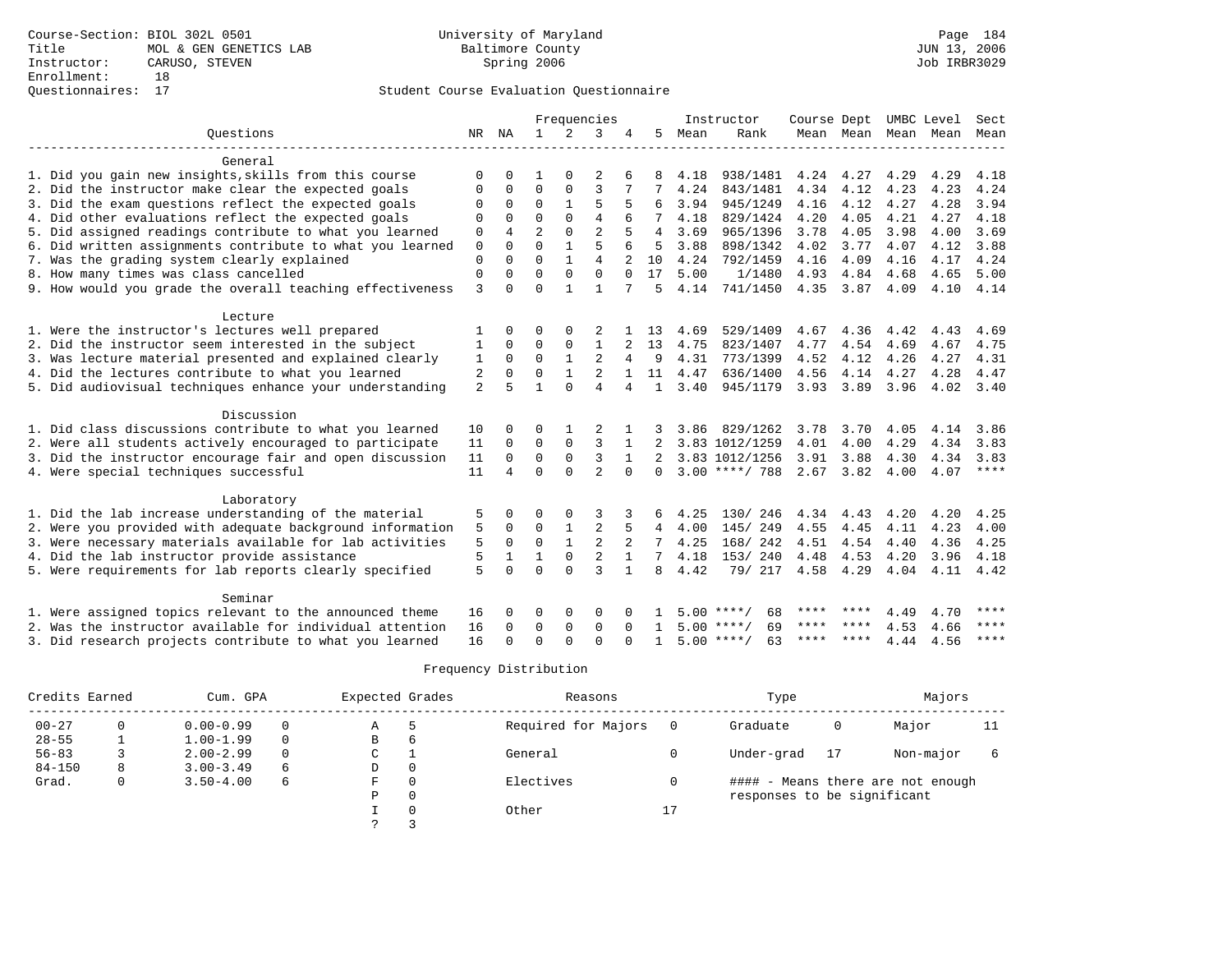## Questionnaires: 17 Student Course Evaluation Questionnaire

|                                                           |                |          |                |              | Frequencies    |              |                |      | Instructor         | Course Dept   |      | UMBC Level          |      | Sect        |
|-----------------------------------------------------------|----------------|----------|----------------|--------------|----------------|--------------|----------------|------|--------------------|---------------|------|---------------------|------|-------------|
| Ouestions                                                 |                | NR NA    | 1              |              | 3              |              | 5              | Mean | Rank               |               |      | Mean Mean Mean Mean |      | Mean        |
|                                                           |                |          |                |              |                |              |                |      |                    |               |      |                     |      |             |
| General                                                   |                |          |                |              |                |              |                |      |                    |               |      |                     |      |             |
| 1. Did you gain new insights, skills from this course     | $\Omega$       | 0        |                |              |                |              |                | 4.18 | 938/1481           | 4.24          | 4.27 | 4.29                | 4.29 | 4.18        |
| 2. Did the instructor make clear the expected goals       | $\Omega$       | 0        | $\Omega$       | $\Omega$     | 3              |              |                | 4.24 | 843/1481           | 4.34          | 4.12 | 4.23                | 4.23 | 4.24        |
| 3. Did the exam questions reflect the expected goals      | $\Omega$       | 0        | $\Omega$       |              | 5              |              | 6              | 3.94 | 945/1249           | 4.16          | 4.12 | 4.27                | 4.28 | 3.94        |
| 4. Did other evaluations reflect the expected goals       | $\Omega$       | $\Omega$ | $\Omega$       | $\Omega$     | $\overline{4}$ |              |                | 4.18 | 829/1424           | 4.20          | 4.05 | 4.21                | 4.27 | 4.18        |
| 5. Did assigned readings contribute to what you learned   | 0              | 4        | $\overline{2}$ | $\Omega$     | $\overline{a}$ |              | $\overline{4}$ | 3.69 | 965/1396           | 3.78          | 4.05 | 3.98                | 4.00 | 3.69        |
| 6. Did written assignments contribute to what you learned | $\mathbf 0$    | $\Omega$ | $\Omega$       | $\mathbf{1}$ | 5              |              | 5              | 3.88 | 898/1342           | 4.02          | 3.77 | 4.07                | 4.12 | 3.88        |
| 7. Was the grading system clearly explained               | 0              | $\Omega$ | $\Omega$       | $\mathbf{1}$ | $\overline{4}$ |              | 10             | 4.24 | 792/1459           | 4.16          | 4.09 | 4.16                | 4.17 | 4.24        |
| 8. How many times was class cancelled                     | 0              | $\Omega$ | $\Omega$       | $\Omega$     | $\Omega$       | $\Omega$     | 17             | 5.00 | 1/1480             | 4.93          | 4.84 | 4.68                | 4.65 | 5.00        |
| 9. How would you grade the overall teaching effectiveness | 3              | $\Omega$ | $\Omega$       | $\mathbf{1}$ | 1              |              | 5              | 4.14 | 741/1450           | 4.35          | 3.87 | 4.09                | 4.10 | 4.14        |
|                                                           |                |          |                |              |                |              |                |      |                    |               |      |                     |      |             |
| Lecture                                                   |                |          |                |              |                |              |                |      |                    |               |      |                     |      |             |
| 1. Were the instructor's lectures well prepared           |                | 0        | 0              | $\Omega$     |                |              | 13             | 4.69 | 529/1409           | 4.67          | 4.36 | 4.42                | 4.43 | 4.69        |
| 2. Did the instructor seem interested in the subject      | 1              | $\Omega$ | $\Omega$       | $\Omega$     | 1              |              | 13             | 4.75 | 823/1407           | 4.77          | 4.54 | 4.69                | 4.67 | 4.75        |
| 3. Was lecture material presented and explained clearly   | 1              | $\Omega$ | $\Omega$       | $\mathbf{1}$ | 2              | 4            | 9              | 4.31 | 773/1399           | 4.52          | 4.12 | 4.26                | 4.27 | 4.31        |
| 4. Did the lectures contribute to what you learned        | 2              | $\Omega$ | $\Omega$       | $\mathbf{1}$ |                |              | 11             | 4.47 | 636/1400           | 4.56          | 4.14 | 4.27                | 4.28 | 4.47        |
| 5. Did audiovisual techniques enhance your understanding  | $\overline{2}$ | 5        | $\mathbf{1}$   | $\Omega$     | $\overline{4}$ | 4            | $\mathbf{1}$   | 3.40 | 945/1179           | $3.93$ $3.89$ |      | 3.96                | 4.02 | 3.40        |
|                                                           |                |          |                |              |                |              |                |      |                    |               |      |                     |      |             |
| Discussion                                                |                |          |                |              |                |              |                |      |                    |               |      |                     |      |             |
| 1. Did class discussions contribute to what you learned   | 10             | 0        | O              |              |                |              |                | 3.86 | 829/1262           | 3.78          | 3.70 | 4.05                | 4.14 | 3.86        |
| 2. Were all students actively encouraged to participate   | 11             | $\Omega$ | 0              | 0            | 3              |              |                |      | 3.83 1012/1259     | 4.01          | 4.00 | 4.29                | 4.34 | 3.83        |
| 3. Did the instructor encourage fair and open discussion  | 11             | $\Omega$ | $\Omega$       | $\mathbf 0$  | 3              | 1            |                |      | 3.83 1012/1256     | 3.91          | 3.88 | 4.30                | 4.34 | 3.83        |
| 4. Were special techniques successful                     | 11             | 4        | $\Omega$       | $\Omega$     | $\overline{a}$ | $\Omega$     | 0              |      | $3.00$ ****/ 788   | 2.67          | 3.82 | 4.00                | 4.07 | ****        |
|                                                           |                |          |                |              |                |              |                |      |                    |               |      |                     |      |             |
| Laboratory                                                |                |          |                |              |                |              |                |      |                    |               |      |                     |      |             |
| 1. Did the lab increase understanding of the material     | 5              | 0        | O              | $\Omega$     | 3              |              | 6              | 4.25 | 130/246            | 4.34          | 4.43 | 4.20                | 4.20 | 4.25        |
| 2. Were you provided with adequate background information | 5              | $\Omega$ | $\Omega$       | 1            | 2              | 5            | 4              | 4.00 | 145/249            | 4.55          | 4.45 | 4.11                | 4.23 | 4.00        |
| 3. Were necessary materials available for lab activities  | 5              | 0        | 0              | $\mathbf{1}$ | $\overline{2}$ | 2            | 7              | 4.25 | 168/ 242           | 4.51          | 4.54 | 4.40                | 4.36 | 4.25        |
| 4. Did the lab instructor provide assistance              | 5              |          | 1              | $\mathbf 0$  | 2              | $\mathbf{1}$ |                | 4.18 | 153/240            | 4.48          | 4.53 | 4.20                | 3.96 | 4.18        |
| 5. Were requirements for lab reports clearly specified    | 5              | $\Omega$ | $\Omega$       | $\Omega$     | $\mathbf{3}$   | $\mathbf{1}$ | 8              | 4.42 | 79/ 217            | 4.58          | 4.29 | 4.04                | 4.11 | 4.42        |
|                                                           |                |          |                |              |                |              |                |      |                    |               |      |                     |      |             |
| Seminar                                                   |                |          |                |              |                |              |                |      |                    |               |      |                     |      |             |
| 1. Were assigned topics relevant to the announced theme   | 16             |          | 0              | 0            | O              |              |                | 500  | ****/<br>68        | ****          |      | 4.49                | 4.70 | ****        |
| 2. Was the instructor available for individual attention  | 16             | 0        | $\Omega$       | $\mathbf 0$  | $\mathbf 0$    | $\Omega$     | -1.            |      | 69<br>$5.00$ ****/ | ****          |      | 4.53                | 4.66 | $***$ * * * |
| 3. Did research projects contribute to what you learned   | 16             |          | ∩              | ∩            | $\cap$         |              |                |      | $5.00$ ****/<br>63 | ****          | **** | 4.44                | 4.56 | $* * * * *$ |

| Credits Earned |   | Cum. GPA      |   | Expected Grades |          | Reasons             |    | Type                        | Majors                            |    |
|----------------|---|---------------|---|-----------------|----------|---------------------|----|-----------------------------|-----------------------------------|----|
| $00 - 27$      |   | $0.00 - 0.99$ |   | A               |          | Required for Majors |    | Graduate                    | Major                             | 11 |
| $28 - 55$      |   | $1.00 - 1.99$ |   | B               | 6        |                     |    |                             |                                   |    |
| $56 - 83$      |   | $2.00 - 2.99$ |   | C               |          | General             |    | Under-grad                  | Non-major                         |    |
| $84 - 150$     | 8 | $3.00 - 3.49$ | 6 | D               | 0        |                     |    |                             |                                   |    |
| Grad.          | 0 | $3.50 - 4.00$ | 6 | F               | $\Omega$ | Electives           |    |                             | #### - Means there are not enough |    |
|                |   |               |   | Ρ               | 0        |                     |    | responses to be significant |                                   |    |
|                |   |               |   |                 | $\Omega$ | Other               | ∸. |                             |                                   |    |
|                |   |               |   |                 |          |                     |    |                             |                                   |    |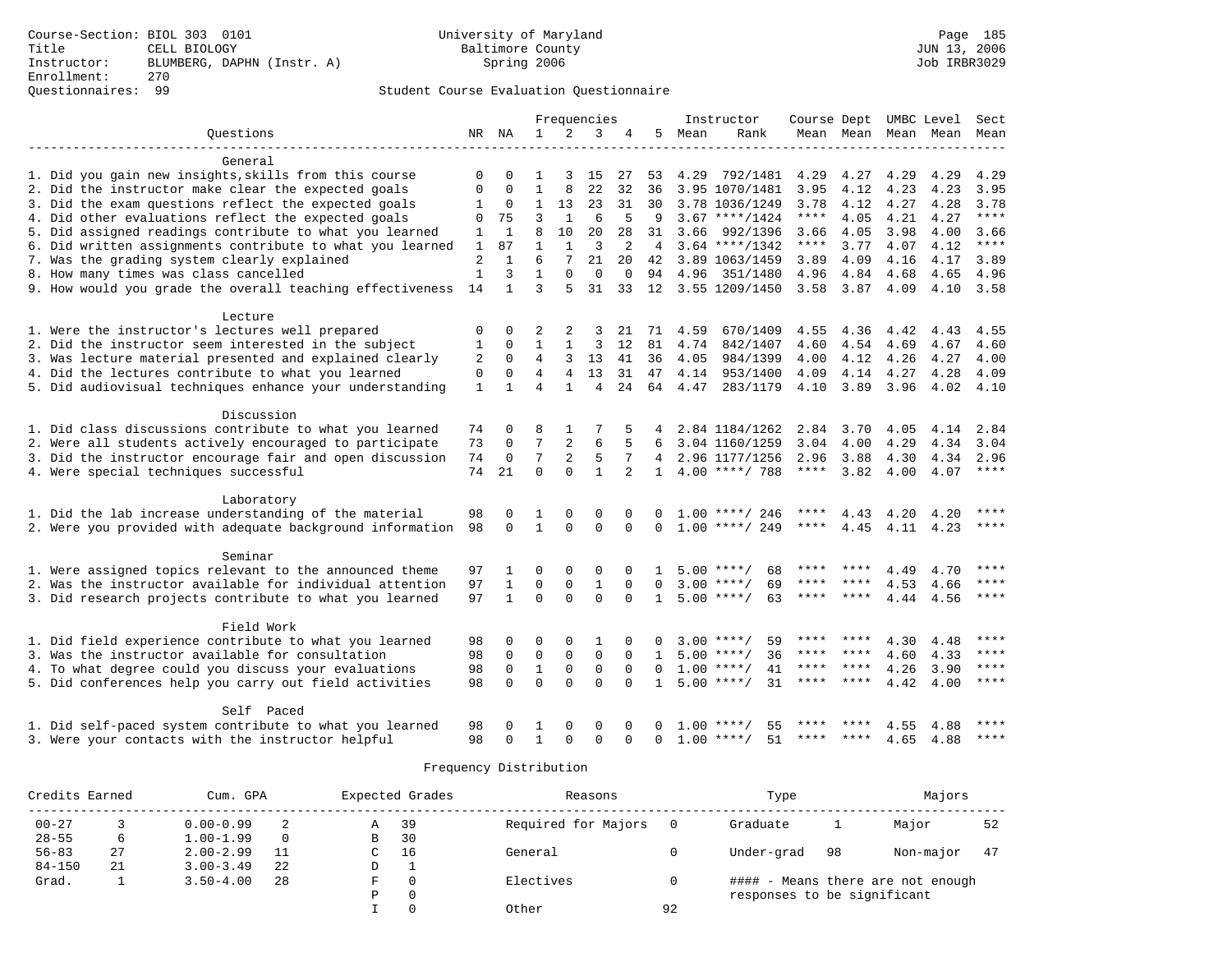## Questionnaires: 99 Student Course Evaluation Questionnaire

|                                                           |                |              |                |                | Frequencies    |                |                |      | Instructor         |             |                     |      | Course Dept UMBC Level | Sect        |
|-----------------------------------------------------------|----------------|--------------|----------------|----------------|----------------|----------------|----------------|------|--------------------|-------------|---------------------|------|------------------------|-------------|
| Ouestions                                                 |                | NR NA        | $\mathbf{1}$   | $\overline{2}$ | 3              | 4              | 5              | Mean | Rank               |             |                     |      | Mean Mean Mean Mean    | Mean        |
| General                                                   |                |              |                |                |                |                |                |      |                    |             |                     |      |                        |             |
| 1. Did you gain new insights, skills from this course     | $\mathbf 0$    |              | $\mathbf{1}$   | 3              | 15             | 27             | 53             |      | 4.29 792/1481      | 4.29        | 4.27                | 4.29 | 4.29                   | 4.29        |
| 2. Did the instructor make clear the expected goals       | $\mathbf 0$    | $\Omega$     | $\mathbf{1}$   | 8              | 22             | 32             | 36             |      | 3.95 1070/1481     | 3.95        | 4.12                | 4.23 | 4.23                   | 3.95        |
| 3. Did the exam questions reflect the expected goals      | $\mathbf{1}$   | $\mathbf 0$  | $\mathbf{1}$   | 13             | 23             | 31             | 30             |      | 3.78 1036/1249     | 3.78        | 4.12                | 4.27 | 4.28                   | 3.78        |
| 4. Did other evaluations reflect the expected goals       | $\mathbf 0$    | 75           | 3              | $\mathbf{1}$   | 6              | 5              | 9              |      | $3.67$ ****/1424   | $***$ * * * | 4.05                | 4.21 | 4.27                   | $***$       |
| 5. Did assigned readings contribute to what you learned   | 1              | $\mathbf{1}$ | 8              | 10             | 20             | 28             | 31             | 3.66 | 992/1396           | 3.66        | 4.05                | 3.98 | 4.00                   | 3.66        |
| 6. Did written assignments contribute to what you learned | $\mathbf{1}$   | 87           | $\mathbf{1}$   | $\mathbf{1}$   | 3              | 2              | $\overline{4}$ |      | $3.64$ ****/1342   | $***$ * * * | 3.77                | 4.07 | 4.12                   | $***$       |
| 7. Was the grading system clearly explained               | $\overline{2}$ | $\mathbf{1}$ | 6              | 7              | 21             | 20             | 42             |      | 3.89 1063/1459     | 3.89        | 4.09                | 4.16 | 4.17                   | 3.89        |
| 8. How many times was class cancelled                     | $\mathbf{1}$   | 3            | $\mathbf{1}$   | $\Omega$       | $\Omega$       | $\mathbf 0$    | 94             |      | 4.96 351/1480      | 4.96        | 4.84                | 4.68 | 4.65                   | 4.96        |
| 9. How would you grade the overall teaching effectiveness | 14             | $\mathbf{1}$ | 3              | 5              | 31             | 33             | 12             |      | 3.55 1209/1450     | 3.58        | 3.87                | 4.09 | 4.10                   | 3.58        |
| Lecture                                                   |                |              |                |                |                |                |                |      |                    |             |                     |      |                        |             |
| 1. Were the instructor's lectures well prepared           | 0              | 0            | 2              | 2              | 3              | 21             | 71             | 4.59 | 670/1409           |             | 4.55 4.36 4.42      |      | 4.43                   | 4.55        |
| 2. Did the instructor seem interested in the subject      | 1              | $\Omega$     | $\mathbf{1}$   | $\mathbf{1}$   | 3              | 12             | 81             | 4.74 | 842/1407           | 4.60        | 4.54                | 4.69 | 4.67                   | 4.60        |
| 3. Was lecture material presented and explained clearly   | 2              | $\mathbf 0$  | 4              | 3              | 13             | 41             | 36             | 4.05 | 984/1399           | 4.00        | 4.12                | 4.26 | 4.27                   | 4.00        |
| 4. Did the lectures contribute to what you learned        | $\mathbf 0$    | $\Omega$     | 4              | $\overline{4}$ | 13             | 31             | 47             |      | 4.14 953/1400      | 4.09        | 4.14                | 4.27 | 4.28                   | 4.09        |
| 5. Did audiovisual techniques enhance your understanding  | $\mathbf{1}$   | 1            | $\overline{4}$ | $\mathbf{1}$   | $\overline{4}$ | 24             | 64             | 4.47 | 283/1179           | 4.10        | 3.89                | 3.96 | 4.02                   | 4.10        |
| Discussion                                                |                |              |                |                |                |                |                |      |                    |             |                     |      |                        |             |
| 1. Did class discussions contribute to what you learned   | 74             | $\Omega$     | 8              | 1              |                |                |                |      | 2.84 1184/1262     |             | 2.84 3.70 4.05 4.14 |      |                        | 2.84        |
| 2. Were all students actively encouraged to participate   | 73             | $\mathbf 0$  | 7              | $\overline{2}$ | 6              |                |                |      | 3.04 1160/1259     | 3.04        | 4.00                | 4.29 | 4.34                   | 3.04        |
| 3. Did the instructor encourage fair and open discussion  | 74             | $\mathbf 0$  | 7              | $\overline{2}$ | 5              | 7              |                |      | 4 2.96 1177/1256   | 2.96        | 3.88                | 4.30 | 4.34                   | 2.96        |
| 4. Were special techniques successful                     | 74             | 21           | $\Omega$       | $\Omega$       | $\mathbf{1}$   | $\overline{a}$ | $\mathbf{1}$   |      | $4.00$ ****/ 788   | $***$ * * * | 3.82                | 4.00 | 4.07                   | $***$       |
| Laboratory                                                |                |              |                |                |                |                |                |      |                    |             |                     |      |                        |             |
| 1. Did the lab increase understanding of the material     | 98             | $\Omega$     | 1              | $\Omega$       | $\Omega$       | U              |                |      | $1.00$ ****/ 246   | ****        | 4.43                | 4.20 | 4.20                   | ****        |
| 2. Were you provided with adequate background information | 98             | $\Omega$     | $\mathbf{1}$   | $\Omega$       | $\Omega$       | $\Omega$       | $\Omega$       |      | $1.00$ ****/ 249   | ****        | 4.45                |      | 4.11 4.23              | ****        |
| Seminar                                                   |                |              |                |                |                |                |                |      |                    |             |                     |      |                        |             |
| 1. Were assigned topics relevant to the announced theme   | 97             | 1            | 0              | 0              | 0              | $\Omega$       | 1              |      | $5.00$ ****/<br>68 | ****        |                     | 4.49 | 4.70                   | ****        |
| 2. Was the instructor available for individual attention  | 97             | $\mathbf{1}$ | $\mathbf 0$    | $\mathbf 0$    | $\mathbf{1}$   | $\mathbf 0$    | $\Omega$       |      | $3.00$ ****/<br>69 | ****        |                     | 4.53 | 4.66                   | ****        |
| 3. Did research projects contribute to what you learned   | 97             | $\mathbf{1}$ | $\Omega$       | $\Omega$       | $\Omega$       | $\cap$         | $\mathbf{1}$   |      | $5.00$ ****/<br>63 | ****        | ****                | 4.44 | 4.56                   | $***$ * * * |
| Field Work                                                |                |              |                |                |                |                |                |      |                    |             |                     |      |                        |             |
| 1. Did field experience contribute to what you learned    | 98             | 0            | 0              | 0              | 1              | O              |                |      | 59<br>$3.00$ ****/ | ****        | ****                | 4.30 | 4.48                   | ****        |
| 3. Was the instructor available for consultation          | 98             | $\mathbf 0$  | $\mathbf 0$    | $\mathbf 0$    | $\mathbf 0$    | $\Omega$       | $\mathbf{1}$   |      | $5.00$ ****/<br>36 |             | **** ****           | 4.60 | 4.33                   | $***$       |
| 4. To what degree could you discuss your evaluations      | 98             | $\mathbf 0$  | $\mathbf{1}$   | $\mathbf 0$    | $\mathbf 0$    | $\Omega$       | $\Omega$       |      | $1.00$ ****/<br>41 | ****        | ****                | 4.26 | 3.90                   | ****        |
| 5. Did conferences help you carry out field activities    | 98             | $\Omega$     | $\Omega$       | $\cap$         | $\cap$         | $\cap$         | $\mathbf{1}$   |      | $5.00$ ****/<br>31 | ****        | ****                | 4.42 | 4.00                   | ****        |
| Self Paced                                                |                |              |                |                |                |                |                |      |                    |             |                     |      |                        |             |
| 1. Did self-paced system contribute to what you learned   | 98             |              | 1              | 0              | $\Omega$       |                |                | 1.00 | 55<br>****/        |             |                     | 4.55 | 4.88                   | ****        |
| 3. Were your contacts with the instructor helpful         | 98             | $\Omega$     | $\mathbf{1}$   | $\Omega$       | $\Omega$       | $\Omega$       | $\Omega$       |      | $1.00$ ****/<br>51 |             | **** ****           | 4.65 | 4.88                   | $***$ * * * |

| Credits Earned |    | Cum. GPA      |          |    | Expected Grades | Reasons             |    | Type                        |    | Majors                       |    |
|----------------|----|---------------|----------|----|-----------------|---------------------|----|-----------------------------|----|------------------------------|----|
| $00 - 27$      |    | $0.00 - 0.99$ |          | А  | 39              | Required for Majors |    | Graduate                    |    | Major                        | 52 |
| $28 - 55$      | 6  | $1.00 - 1.99$ | $\Omega$ | в  | 30              |                     |    |                             |    |                              |    |
| $56 - 83$      | 27 | $2.00 - 2.99$ |          | C. | 16              | General             |    | Under-grad                  | 98 | Non-major                    | 47 |
| $84 - 150$     | 21 | $3.00 - 3.49$ | 22       | D  |                 |                     |    |                             |    |                              |    |
| Grad.          | ᆠ  | $3.50 - 4.00$ | 28       |    |                 | Electives           |    | ####                        |    | - Means there are not enough |    |
|                |    |               |          |    | $\Omega$        |                     |    | responses to be significant |    |                              |    |
|                |    |               |          |    |                 | Other               | 92 |                             |    |                              |    |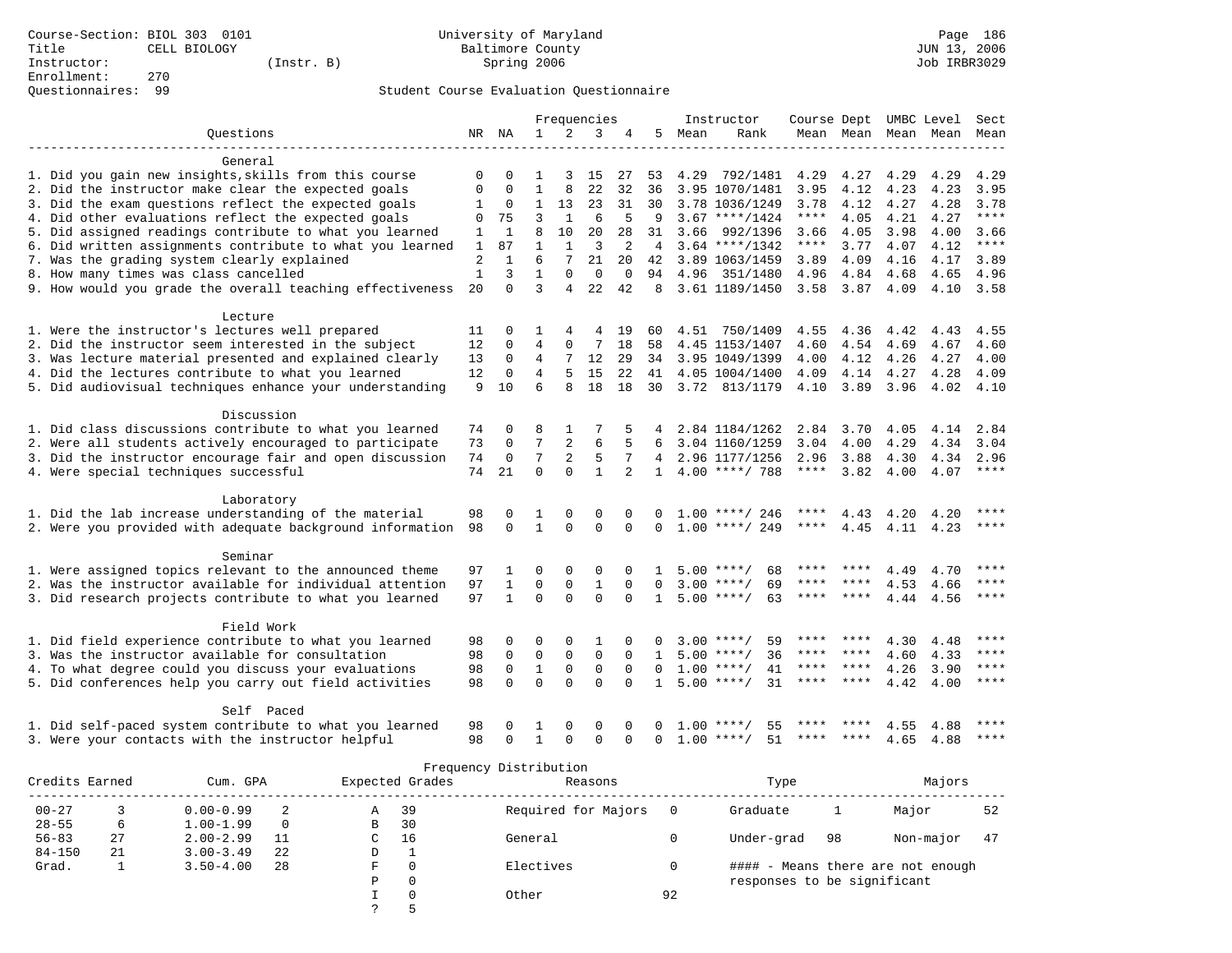# Questionnaires: 99 Student Course Evaluation Questionnaire

|                                                           |                |              |                |                | Frequencies  |                |              |      | Instructor         | Course Dept UMBC Level |           |      |           | Sect        |
|-----------------------------------------------------------|----------------|--------------|----------------|----------------|--------------|----------------|--------------|------|--------------------|------------------------|-----------|------|-----------|-------------|
| Ouestions                                                 |                | NR NA        | $\mathbf{1}$   | 2              | 3            | 4              | 5            | Mean | Rank               |                        | Mean Mean |      | Mean Mean | Mean        |
| General                                                   |                |              |                |                |              |                |              |      |                    |                        |           |      |           |             |
| 1. Did you gain new insights, skills from this course     | 0              | $\Omega$     | $\mathbf{1}$   | 3              | 15           | 27             | 53           | 4.29 | 792/1481           | 4.29                   | 4.27      | 4.29 | 4.29      | 4.29        |
| 2. Did the instructor make clear the expected goals       | 0              | $\Omega$     | $\mathbf{1}$   | 8              | 22           | 32             | 36           |      | 3.95 1070/1481     | 3.95                   | 4.12      | 4.23 | 4.23      | 3.95        |
| 3. Did the exam questions reflect the expected goals      | 1              | 0            | $\mathbf{1}$   | 13             | 23           | 31             | 30           |      | 3.78 1036/1249     | 3.78                   | 4.12      | 4.27 | 4.28      | 3.78        |
| 4. Did other evaluations reflect the expected goals       | $\Omega$       | 75           | 3              | $\mathbf{1}$   | 6            | 5              | 9            |      | $3.67$ ****/1424   | ****                   | 4.05      | 4.21 | 4.27      | ****        |
| 5. Did assigned readings contribute to what you learned   | 1              | $\mathbf{1}$ | 8              | 10             | 20           | 28             | 31           | 3.66 | 992/1396           | 3.66                   | 4.05      | 3.98 | 4.00      | 3.66        |
| 6. Did written assignments contribute to what you learned | $\mathbf{1}$   | 87           | $\mathbf{1}$   | 1              | 3            | 2              | 4            |      | $3.64$ ****/1342   | ****                   | 3.77      | 4.07 | 4.12      | $***$       |
| 7. Was the grading system clearly explained               | $\overline{2}$ | $\mathbf{1}$ | 6              | 7              | 21           | 20             | 42           |      | 3.89 1063/1459     | 3.89                   | 4.09      | 4.16 | 4.17      | 3.89        |
| 8. How many times was class cancelled                     | $\mathbf{1}$   | 3            | $\mathbf{1}$   | $\Omega$       | $\Omega$     | $\mathbf 0$    | 94           | 4.96 | 351/1480           | 4.96                   | 4.84      | 4.68 | 4.65      | 4.96        |
| 9. How would you grade the overall teaching effectiveness | 20             | $\Omega$     | 3              | 4              | 22           | 42             | 8            |      | 3.61 1189/1450     |                        | 3.58 3.87 | 4.09 | 4.10      | 3.58        |
| Lecture                                                   |                |              |                |                |              |                |              |      |                    |                        |           |      |           |             |
| 1. Were the instructor's lectures well prepared           | 11             | $\Omega$     | 1              | 4              | 4            | 19             | 60           |      | 4.51 750/1409      | 4.55                   | 4.36      | 4.42 | 4.43      | 4.55        |
| 2. Did the instructor seem interested in the subject      | 12             | 0            | $\overline{4}$ | $\mathbf 0$    | 7            | 18             | 58           |      | 4.45 1153/1407     | 4.60                   | 4.54      | 4.69 | 4.67      | 4.60        |
| 3. Was lecture material presented and explained clearly   | 13             | $\mathbf 0$  | 4              | 7              | 12           | 29             | 34           |      | 3.95 1049/1399     | 4.00                   | 4.12      | 4.26 | 4.27      | 4.00        |
| 4. Did the lectures contribute to what you learned        | 12             | $\mathbf 0$  | 4              | 5              | 15           | 22             | 41           |      | 4.05 1004/1400     | 4.09                   | 4.14      | 4.27 | 4.28      | 4.09        |
| 5. Did audiovisual techniques enhance your understanding  | 9              | 10           | 6              | 8              | 18           | 18             | 30           |      | 3.72 813/1179      | 4.10                   | 3.89      | 3.96 | 4.02      | 4.10        |
| Discussion                                                |                |              |                |                |              |                |              |      |                    |                        |           |      |           |             |
| 1. Did class discussions contribute to what you learned   | 74             | $\Omega$     | 8              | 1              | 7            |                |              |      | 2.84 1184/1262     | 2.84                   | 3.70      | 4.05 | 4.14      | 2.84        |
| 2. Were all students actively encouraged to participate   | 73             | $\mathbf 0$  | 7              | $\overline{2}$ | 6            |                | 6            |      | 3.04 1160/1259     | 3.04                   | 4.00      | 4.29 | 4.34      | 3.04        |
| 3. Did the instructor encourage fair and open discussion  | 74             | $\mathbf 0$  | 7              | 2              | 5            | 7              | 4            |      | 2.96 1177/1256     | 2.96                   | 3.88      | 4.30 | 4.34      | 2.96        |
| 4. Were special techniques successful                     | 74             | 21           | $\Omega$       | $\Omega$       | $\mathbf{1}$ | $\overline{a}$ | $\mathbf{1}$ |      | $4.00$ ****/ 788   | $***$ * * *            | 3.82      | 4.00 | 4.07      | ****        |
| Laboratory                                                |                |              |                |                |              |                |              |      |                    |                        |           |      |           |             |
| 1. Did the lab increase understanding of the material     | 98             | $\Omega$     | 1              | $\Omega$       | $\Omega$     | $\Omega$       |              |      | $1.00$ ****/ 246   | ****                   | 4.43      | 4.20 | 4.20      |             |
| 2. Were you provided with adequate background information | 98             | $\Omega$     | $\mathbf{1}$   | $\Omega$       | $\Omega$     | $\Omega$       | $\Omega$     |      | $1.00$ ****/ 249   | ****                   | 4.45      |      | 4.11 4.23 | $***$ * * * |
| Seminar                                                   |                |              |                |                |              |                |              |      |                    |                        |           |      |           |             |
| 1. Were assigned topics relevant to the announced theme   | 97             | 1            | $\Omega$       | $\Omega$       | 0            | $\Omega$       | -1.          |      | 68<br>$5.00$ ****/ | ****                   |           | 4.49 | 4.70      | ****        |
| 2. Was the instructor available for individual attention  | 97             | $\mathbf{1}$ | $\mathbf 0$    | $\mathbf{0}$   | $\mathbf{1}$ | $\mathbf 0$    | $\mathbf 0$  |      | $3.00$ ****/<br>69 | $***$ * *              | ****      | 4.53 | 4.66      | ****        |
| 3. Did research projects contribute to what you learned   | 97             | $\mathbf{1}$ | $\Omega$       | $\Omega$       | $\Omega$     | $\Omega$       | 1            |      | $5.00$ ****/<br>63 | ****                   | ****      | 4.44 | 4.56      | ****        |
| Field Work                                                |                |              |                |                |              |                |              |      |                    |                        |           |      |           |             |
| 1. Did field experience contribute to what you learned    | 98             | 0            | 0              | $\mathbf 0$    | 1            | $\Omega$       | U            |      | 59<br>$3.00$ ****/ | ****                   |           | 4.30 | 4.48      | ****        |
| 3. Was the instructor available for consultation          | 98             | $\Omega$     | $\Omega$       | $\Omega$       | $\mathbf 0$  | $\Omega$       | 1            |      | $5.00$ ****/<br>36 | ****                   | ****      | 4.60 | 4.33      | ****        |
| 4. To what degree could you discuss your evaluations      | 98             | $\mathbf 0$  | $\mathbf{1}$   | $\mathbf 0$    | $\mathbf 0$  | $\mathbf 0$    | $\mathbf 0$  |      | $1.00$ ****/<br>41 | ****                   | $***$ *   | 4.26 | 3.90      | $***$       |
| 5. Did conferences help you carry out field activities    | 98             | $\Omega$     | $\Omega$       | $\Omega$       | $\Omega$     | $\Omega$       | $\mathbf{1}$ |      | $5.00$ ****/<br>31 | ****                   | ****      | 4.42 | 4.00      | $***$ * * * |
| Self Paced                                                |                |              |                |                |              |                |              |      |                    |                        |           |      |           |             |
| 1. Did self-paced system contribute to what you learned   | 98             | U            | 1              | O              | 0            |                |              | 1.00 | ****/<br>55        |                        |           | 4.55 | 4.88      | ****        |
| 3. Were your contacts with the instructor helpful         | 98             | $\Omega$     | $\mathbf{1}$   | $\Omega$       | $\Omega$     | $\Omega$       | $\Omega$     |      | 51<br>$1.00$ ****/ | ****                   | ****      | 4.65 | 4.88      | ****        |

| Credits Earned |    | Cum. GPA      |    |   | Expected Grades | Reasons             |    | Type                        |    | Majors                            |    |
|----------------|----|---------------|----|---|-----------------|---------------------|----|-----------------------------|----|-----------------------------------|----|
| $00 - 27$      |    | $0.00 - 0.99$ | 2  | Α | 39              | Required for Majors |    | Graduate                    |    | Major                             | 52 |
| $28 - 55$      | 6  | $1.00 - 1.99$ |    | В | 30              |                     |    |                             |    |                                   |    |
| $56 - 83$      | 27 | $2.00 - 2.99$ | 11 | C | 16              | General             |    | Under-grad                  | 98 | Non-major                         | 47 |
| $84 - 150$     | 21 | $3.00 - 3.49$ | 22 | D |                 |                     |    |                             |    |                                   |    |
| Grad.          | ┻  | $3.50 - 4.00$ | 28 | F | 0               | Electives           | 0  |                             |    | #### - Means there are not enough |    |
|                |    |               |    | Ρ | 0               |                     |    | responses to be significant |    |                                   |    |
|                |    |               |    |   | $\Omega$        | Other               | 92 |                             |    |                                   |    |
|                |    |               |    |   | ь               |                     |    |                             |    |                                   |    |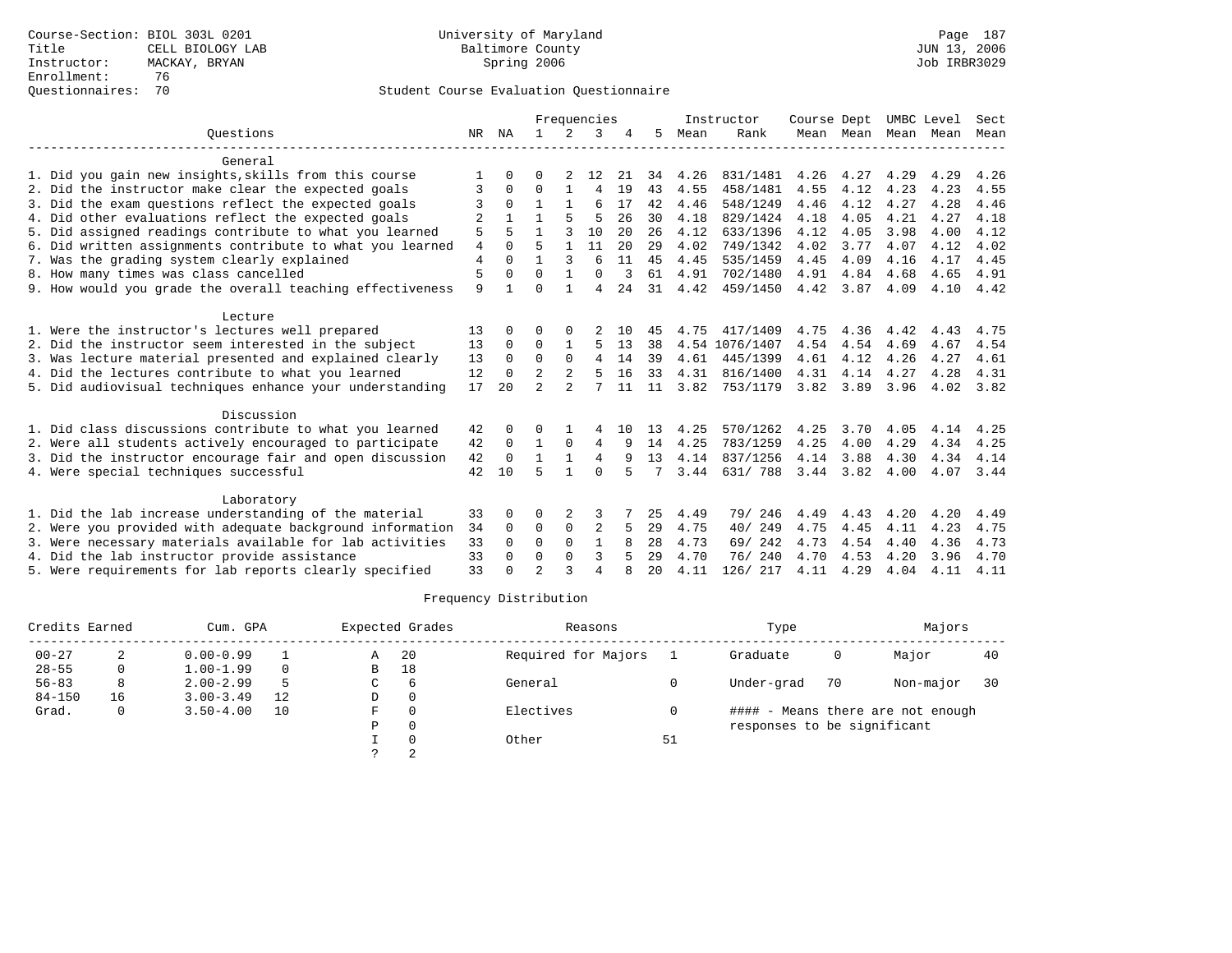|                                                           |                |              |                |                | Frequencies    |     |    |      | Instructor     | Course Dept |               | UMBC Level |      | Sect      |
|-----------------------------------------------------------|----------------|--------------|----------------|----------------|----------------|-----|----|------|----------------|-------------|---------------|------------|------|-----------|
| Ouestions                                                 |                | NR NA        | $\mathbf{1}$   | $\overline{2}$ | 3              |     | 5  | Mean | Rank           |             | Mean Mean     | Mean       | Mean | Mean      |
| General                                                   |                |              |                |                |                |     |    |      |                |             |               |            |      |           |
| 1. Did you gain new insights, skills from this course     | 1              | 0            | U              | 2              | 12             | 21  | 34 | 4.26 | 831/1481       | 4.26        | 4.27          | 4.29       | 4.29 | 4.26      |
| 2. Did the instructor make clear the expected goals       | 3              | $\Omega$     | O              |                | 4              | 19  | 43 | 4.55 | 458/1481       | 4.55        | 4.12          | 4.23       | 4.23 | 4.55      |
| 3. Did the exam questions reflect the expected goals      |                |              |                |                | 6              | 17  | 42 | 4.46 | 548/1249       | 4.46        | 4.12          | 4.27       | 4.28 | 4.46      |
| 4. Did other evaluations reflect the expected goals       | 2              |              |                |                | 5              | 26  | 30 | 4.18 | 829/1424       | 4.18        | 4.05          | 4.21       | 4.27 | 4.18      |
| 5. Did assigned readings contribute to what you learned   | 5              |              |                | ς              | 10             | 2.0 | 26 | 4.12 | 633/1396       | 4.12        | 4.05          | 3.98       | 4.00 | 4.12      |
| 6. Did written assignments contribute to what you learned | $\overline{4}$ | $\cap$       | 5              | 1              | 11             | 20  | 29 | 4.02 | 749/1342       | 4.02        | 3.77          | 4.07       | 4.12 | 4.02      |
| 7. Was the grading system clearly explained               | $\overline{4}$ |              |                | 3              | 6              | 11  | 45 | 4.45 | 535/1459       | 4.45        | 4.09          | 4.16       | 4.17 | 4.45      |
| 8. How many times was class cancelled                     | 5              | 0            | $\Omega$       | 1              | $\Omega$       |     | 61 | 4.91 | 702/1480       | 4.91        | 4.84          | 4.68       | 4.65 | 4.91      |
| 9. How would you grade the overall teaching effectiveness | 9              |              | $\Omega$       |                | $\overline{4}$ | 24  | 31 | 4.42 | 459/1450       | 4.42        | 3.87          | 4.09       | 4.10 | 4.42      |
| Lecture                                                   |                |              |                |                |                |     |    |      |                |             |               |            |      |           |
| 1. Were the instructor's lectures well prepared           | 13             | <sup>0</sup> | 0              |                |                | 10  | 45 | 4.75 | 417/1409       | 4.75        | 4.36          | 4.42       | 4.43 | 4.75      |
| 2. Did the instructor seem interested in the subject      | 13             | 0            | 0              |                | 5              | 13  | 38 |      | 4.54 1076/1407 | 4.54        | 4.54          | 4.69       | 4.67 | 4.54      |
| 3. Was lecture material presented and explained clearly   | 13             | $\Omega$     | $\Omega$       | $\Omega$       | $\overline{4}$ | 14  | 39 | 4.61 | 445/1399       | 4.61        | 4.12          | 4.26       | 4.27 | 4.61      |
| 4. Did the lectures contribute to what you learned        | 12             | $\Omega$     | $\mathfrak{D}$ | 2              | 5              | 16  | 33 | 4.31 | 816/1400       | 4.31        | 4.14          | 4.27       | 4.28 | 4.31      |
| 5. Did audiovisual techniques enhance your understanding  | 17             | 20           | $\mathfrak{D}$ | $\mathfrak{D}$ |                | 11  | 11 | 3.82 | 753/1179       | 3.82        | 3.89          | 3.96       | 4.02 | 3.82      |
| Discussion                                                |                |              |                |                |                |     |    |      |                |             |               |            |      |           |
| 1. Did class discussions contribute to what you learned   | 42             |              | 0              |                |                | 10  | 13 | 4.25 | 570/1262       | 4.25        | 3.70          | 4.05       | 4.14 | 4.25      |
| 2. Were all students actively encouraged to participate   | 42             | 0            | 1              | 0              | 4              | 9   | 14 | 4.25 | 783/1259       | 4.25        | 4.00          | 4.29       | 4.34 | 4.25      |
| 3. Did the instructor encourage fair and open discussion  | 42             | $\Omega$     | 1              | $\mathbf{1}$   | $\overline{4}$ | 9   | 13 | 4.14 | 837/1256       | 4.14        | 3.88          | 4.30       | 4.34 | 4.14      |
| 4. Were special techniques successful                     | 42             | 10           | 5              |                | $\Omega$       |     |    | 3.44 | 631/ 788       |             | $3.44$ $3.82$ | 4.00       |      | 4.07 3.44 |
| Laboratory                                                |                |              |                |                |                |     |    |      |                |             |               |            |      |           |
| 1. Did the lab increase understanding of the material     | 33             |              | 0              | 2              | 3              |     | 25 | 4.49 | 79/<br>246     | 4.49        | 4.43          | 4.20       | 4.20 | 4.49      |
| 2. Were you provided with adequate background information | 34             | $\Omega$     | 0              | 0              | 2              | 5   | 29 | 4.75 | 40/249         | 4.75        | 4.45          | 4.11       | 4.23 | 4.75      |
| 3. Were necessary materials available for lab activities  | 33             | 0            | $\Omega$       | $\Omega$       | $\mathbf{1}$   |     | 28 | 4.73 | 69/ 242        | 4.73        | 4.54          | 4.40       | 4.36 | 4.73      |
| 4. Did the lab instructor provide assistance              | 33             | $\Omega$     | $\Omega$       | $\Omega$       | 3              | 5   | 29 | 4.70 | 76/240         | 4.70        | 4.53          | 4.20       | 3.96 | 4.70      |
| 5. Were requirements for lab reports clearly specified    | 33             |              | $\mathfrak{D}$ | ς              | $\overline{4}$ |     | 20 | 4.11 | 126/ 217       | 4.11        | 4.29          | 4.04       | 4.11 | 4.11      |

| Credits Earned |    | Cum. GPA      |          |   | Expected Grades | Reasons             |    | Type                        |    | Majors                            |    |
|----------------|----|---------------|----------|---|-----------------|---------------------|----|-----------------------------|----|-----------------------------------|----|
| $00 - 27$      |    | $0.00 - 0.99$ |          | Α | -20             | Required for Majors |    | Graduate                    | 0  | Major                             | 40 |
| $28 - 55$      | 0  | $1.00 - 1.99$ | $\Omega$ | В | 18              |                     |    |                             |    |                                   |    |
| $56 - 83$      | 8  | $2.00 - 2.99$ | 5        | C | -6              | General             |    | Under-grad                  | 70 | Non-major                         | 30 |
| $84 - 150$     | 16 | $3.00 - 3.49$ | 12       | D |                 |                     |    |                             |    |                                   |    |
| Grad.          | 0  | $3.50 - 4.00$ | 10       | F |                 | Electives           |    |                             |    | #### - Means there are not enough |    |
|                |    |               |          | P |                 |                     |    | responses to be significant |    |                                   |    |
|                |    |               |          |   |                 | Other               | 51 |                             |    |                                   |    |
|                |    |               |          |   |                 |                     |    |                             |    |                                   |    |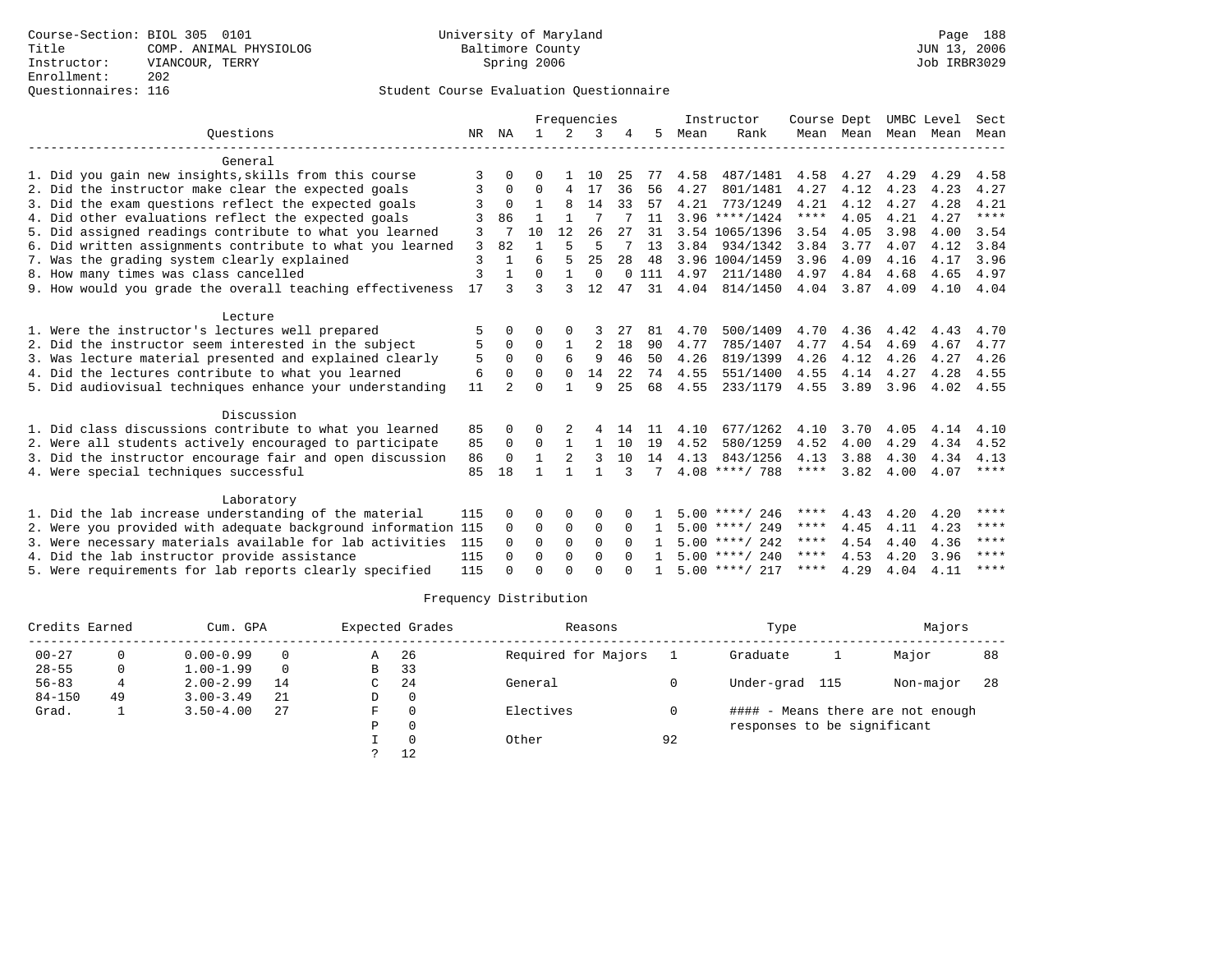|                                                               |     |              |              |          | Frequencies    |              |     |      | Instructor       | Course Dept |           |           | UMBC Level | Sect        |
|---------------------------------------------------------------|-----|--------------|--------------|----------|----------------|--------------|-----|------|------------------|-------------|-----------|-----------|------------|-------------|
| Ouestions                                                     |     | NR NA        | $\mathbf{1}$ | 2        | 3              |              | 5   | Mean | Rank             |             | Mean Mean | Mean Mean |            | Mean        |
| General                                                       |     |              |              |          |                |              |     |      |                  |             |           |           |            |             |
| 1. Did you gain new insights, skills from this course         | 3   | 0            | 0            |          | 10             | 25           | 77  | 4.58 | 487/1481         | 4.58        | 4.27      | 4.29      | 4.29       | 4.58        |
| 2. Did the instructor make clear the expected goals           | 3   | 0            | $\Omega$     | 4        | 17             | 36           | 56  | 4.27 | 801/1481         | 4.27        | 4.12      | 4.23      | 4.23       | 4.27        |
| 3. Did the exam questions reflect the expected goals          |     | $\Omega$     |              | 8        | 14             | 33           | 57  | 4.21 | 773/1249         | 4.21        | 4.12      | 4.27      | 4.28       | 4.21        |
| 4. Did other evaluations reflect the expected goals           | 3   | 86           |              |          |                |              | 11  |      | $3.96$ ****/1424 | ****        | 4.05      | 4.21      | 4.27       | ****        |
| 5. Did assigned readings contribute to what you learned       | 3   |              | 10           | 12       | 26             | 27           | 31  |      | 3.54 1065/1396   | 3.54        | 4.05      | 3.98      | 4.00       | 3.54        |
| 6. Did written assignments contribute to what you learned     | 3   | 82           |              |          | 5              |              | 13  | 3.84 | 934/1342         | 3.84        | 3.77      | 4.07      | 4.12       | 3.84        |
| 7. Was the grading system clearly explained                   | 3   |              |              |          | 25             | 28           | 48  |      | 3.96 1004/1459   | 3.96        | 4.09      | 4.16      | 4.17       | 3.96        |
| 8. How many times was class cancelled                         | 3   |              | O            |          | $\mathbf 0$    | $\Omega$     | 111 | 4.97 | 211/1480         | 4.97        | 4.84      | 4.68      | 4.65       | 4.97        |
| 9. How would you grade the overall teaching effectiveness     | 17  |              | ς            |          | 12             | 47           | 31  | 4.04 | 814/1450         | 4.04        | 3.87      | 4.09      | 4.10       | 4.04        |
| Lecture                                                       |     |              |              |          |                |              |     |      |                  |             |           |           |            |             |
| 1. Were the instructor's lectures well prepared               | 5   |              | O            |          |                | 27           | 81  | 4.70 | 500/1409         | 4.70        | 4.36      | 4.42      | 4.43       | 4.70        |
| 2. Did the instructor seem interested in the subject          | 5   | 0            | 0            |          | $\overline{2}$ | 18           | 90  | 4.77 | 785/1407         | 4.77        | 4.54      | 4.69      | 4.67       | 4.77        |
| 3. Was lecture material presented and explained clearly       | 5   | $\Omega$     | $\Omega$     | 6        | 9              | 46           | 50  | 4.26 | 819/1399         | 4.26        | 4.12      | 4.26      | 4.27       | 4.26        |
| 4. Did the lectures contribute to what you learned            | 6   | $\Omega$     | $\Omega$     | $\Omega$ | 14             | 22           | 74  | 4.55 | 551/1400         | 4.55        | 4.14      | 4.27      | 4.28       | 4.55        |
| 5. Did audiovisual techniques enhance your understanding      | 11  |              | $\Omega$     |          | 9              | 25           | 68  | 4.55 | 233/1179         | 4.55        | 3.89      | 3.96      | 4.02       | 4.55        |
| Discussion                                                    |     |              |              |          |                |              |     |      |                  |             |           |           |            |             |
| 1. Did class discussions contribute to what you learned       | 85  | 0            |              |          |                | 14           | -11 | 4.10 | 677/1262         | 4.10        | 3.70      | 4.05      | 4.14       | 4.10        |
| 2. Were all students actively encouraged to participate       | 85  | $\Omega$     | $\Omega$     |          | $\mathbf{1}$   | 10           | 19  | 4.52 | 580/1259         | 4.52        | 4.00      | 4.29      | 4.34       | 4.52        |
| 3. Did the instructor encourage fair and open discussion      | 86  | $\Omega$     | 1            |          | 3              | 10           | 14  | 4.13 | 843/1256         | 4.13        | 3.88      | 4.30      | 4.34       | 4.13        |
| 4. Were special techniques successful                         | 85  | 18           |              |          | 1              | 3            | 7   |      | $4.08$ ****/ 788 | $***$ * * * | 3.82      | 4.00      | 4.07       | $***$ * * * |
| Laboratory                                                    |     |              |              |          |                |              |     |      |                  |             |           |           |            |             |
| 1. Did the lab increase understanding of the material         | 115 | 0            | 0            | $\Omega$ | $\Omega$       | <sup>0</sup> |     |      | $5.00$ ****/ 246 | ****        | 4.43      | 4.20      | 4.20       | ****        |
| 2. Were you provided with adequate background information 115 |     | 0            | 0            | 0        | $\mathbf 0$    | $\Omega$     |     |      | $5.00$ ****/ 249 | ****        | 4.45      | 4.11      | 4.23       | ****        |
| 3. Were necessary materials available for lab activities      | 115 | 0            | $\Omega$     | $\Omega$ | $\Omega$       | $\Omega$     | 1.  |      | $5.00$ ****/ 242 | ****        | 4.54      | 4.40      | 4.36       | ****        |
| 4. Did the lab instructor provide assistance                  | 115 | 0            | $\Omega$     | 0        | $\Omega$       |              |     |      | $5.00$ ****/ 240 | ****        | 4.53      | 4.20      | 3.96       | ****        |
| 5. Were requirements for lab reports clearly specified        | 115 | <sup>n</sup> | $\cap$       | $\cap$   | $\cap$         |              |     |      | $5.00$ ****/ 217 | ****        | 4.29      | 4.04      | 4.11       | ****        |

| Credits Earned |    | Cum. GPA      |          |   | Expected Grades | Reasons             |    | Type                              | Majors    |    |
|----------------|----|---------------|----------|---|-----------------|---------------------|----|-----------------------------------|-----------|----|
| $00 - 27$      |    | $0.00 - 0.99$ | $\Omega$ | Α | -26             | Required for Majors |    | Graduate                          | Major     | 88 |
| $28 - 55$      | 0  | $1.00 - 1.99$ | $\Omega$ | В | 33              |                     |    |                                   |           |    |
| $56 - 83$      |    | $2.00 - 2.99$ | 14       | C | -24             | General             |    | Under-grad<br>115                 | Non-major | 28 |
| $84 - 150$     | 49 | $3.00 - 3.49$ | 21       | D |                 |                     |    |                                   |           |    |
| Grad.          |    | $3.50 - 4.00$ | 27       | F |                 | Electives           |    | #### - Means there are not enough |           |    |
|                |    |               |          | P |                 |                     |    | responses to be significant       |           |    |
|                |    |               |          |   |                 | Other               | 92 |                                   |           |    |
|                |    |               |          |   | 12              |                     |    |                                   |           |    |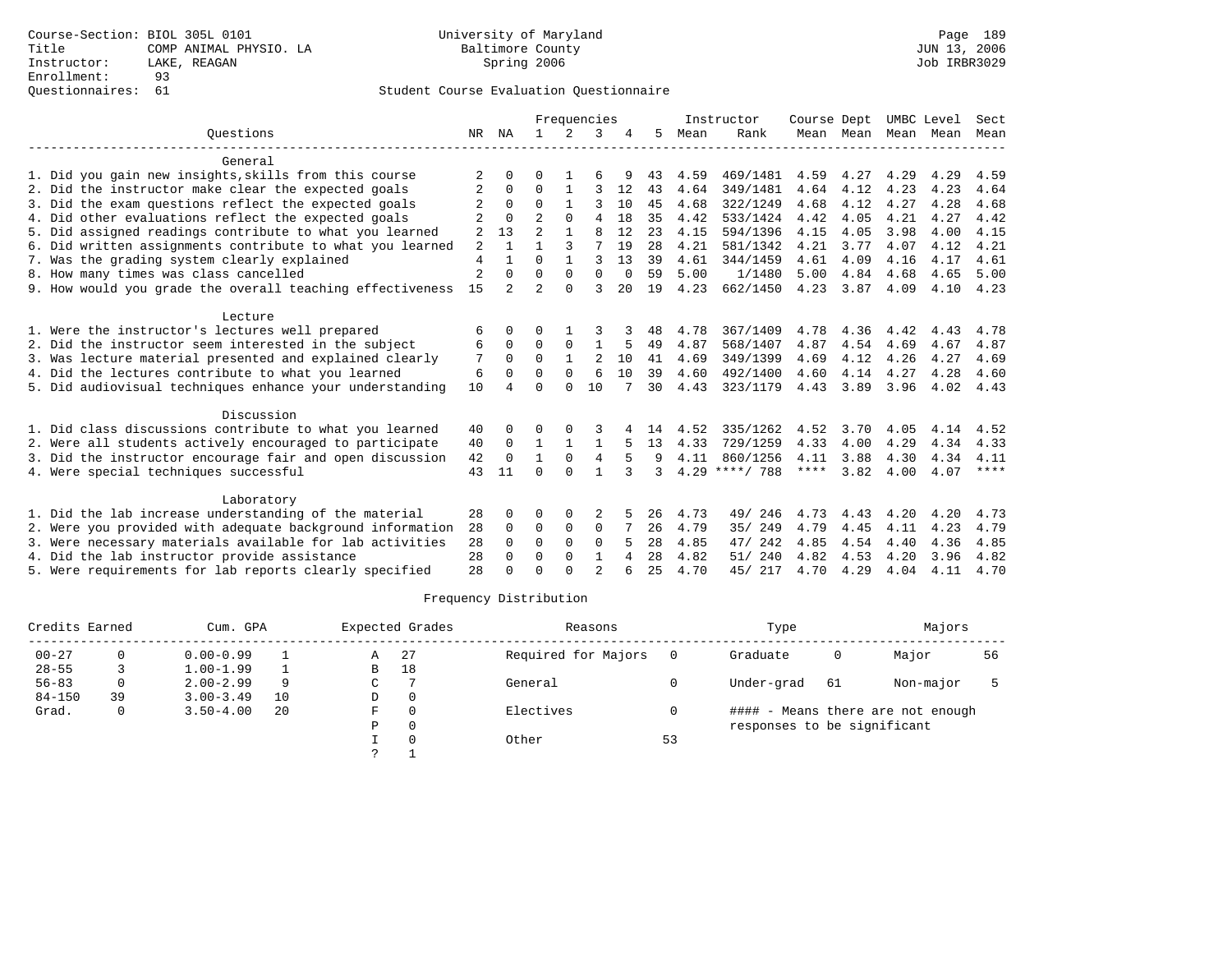## Questionnaires: 61 Student Course Evaluation Questionnaire

|                                                           |                |                |                |              | Frequencies    |          |    |      | Instructor | Course Dept |                |      | UMBC Level | Sect        |
|-----------------------------------------------------------|----------------|----------------|----------------|--------------|----------------|----------|----|------|------------|-------------|----------------|------|------------|-------------|
| Ouestions                                                 | NR             | ΝA             | 1.             | 2            | 3              |          | 5  | Mean | Rank       |             | Mean Mean Mean |      | Mean       | Mean        |
| General                                                   |                |                |                |              |                |          |    |      |            |             |                |      |            |             |
| 1. Did you gain new insights, skills from this course     | $\overline{2}$ | O              | 0              |              |                |          | 43 | 4.59 | 469/1481   | 4.59        | 4.27           | 4.29 | 4.29       | 4.59        |
| 2. Did the instructor make clear the expected goals       | 2              | 0              | $\Omega$       | 1            | 3              | 12       | 43 | 4.64 | 349/1481   | 4.64        | 4.12           | 4.23 | 4.23       | 4.64        |
| 3. Did the exam questions reflect the expected goals      |                | $\Omega$       | $\Omega$       | $\mathbf{1}$ | 3              | 10       | 45 | 4.68 | 322/1249   | 4.68        | 4.12           | 4.27 | 4.28       | 4.68        |
| 4. Did other evaluations reflect the expected goals       |                | $\Omega$       | $\mathcal{D}$  | $\cap$       | 4              | 18       | 35 | 4.42 | 533/1424   | 4.42        | 4.05           | 4.21 | 4.27       | 4.42        |
| 5. Did assigned readings contribute to what you learned   | 2              | 13             | 2              |              | 8              | 12       | 23 | 4.15 | 594/1396   | 4.15        | 4.05           | 3.98 | 4.00       | 4.15        |
| 6. Did written assignments contribute to what you learned | 2              |                |                | 3            | 7              | 19       | 28 | 4.21 | 581/1342   | 4.21        | 3.77           | 4.07 | 4.12       | 4.21        |
| 7. Was the grading system clearly explained               | $\overline{4}$ |                | $\Omega$       | $\mathbf{1}$ | 3              | 13       | 39 | 4.61 | 344/1459   | 4.61        | 4.09           | 4.16 | 4.17       | 4.61        |
| 8. How many times was class cancelled                     | $\overline{c}$ | $\Omega$       | $\Omega$       | $\Omega$     | $\Omega$       | $\Omega$ | 59 | 5.00 | 1/1480     | 5.00        | 4.84           | 4.68 | 4.65       | 5.00        |
| 9. How would you grade the overall teaching effectiveness | 15             | $\mathfrak{D}$ | $\overline{a}$ | $\cap$       | ζ              | 2.0      | 19 | 4.23 | 662/1450   | 4.23        | 3.87           | 4.09 | 4.10       | 4.23        |
| Lecture                                                   |                |                |                |              |                |          |    |      |            |             |                |      |            |             |
| 1. Were the instructor's lectures well prepared           | 6              | 0              | U              |              |                |          | 48 | 4.78 | 367/1409   | 4.78        | 4.36           | 4.42 | 4.43       | 4.78        |
| 2. Did the instructor seem interested in the subject      | 6              | 0              | $\Omega$       | $\Omega$     | $\mathbf{1}$   |          | 49 | 4.87 | 568/1407   | 4.87        | 4.54           | 4.69 | 4.67       | 4.87        |
| 3. Was lecture material presented and explained clearly   | 7              | $\Omega$       | $\Omega$       |              | $\overline{2}$ | 10       | 41 | 4.69 | 349/1399   | 4.69        | 4.12           | 4.26 | 4.27       | 4.69        |
| 4. Did the lectures contribute to what you learned        | 6              | $\Omega$       | $\Omega$       | $\Omega$     | 6              | 10       | 39 | 4.60 | 492/1400   | 4.60        | 4.14           | 4.27 | 4.28       | 4.60        |
| 5. Did audiovisual techniques enhance your understanding  | 10             |                | $\cap$         | <sup>n</sup> | 10             |          | 30 | 4.43 | 323/1179   | 4.43        | 3.89           | 3.96 | 4.02       | 4.43        |
| Discussion                                                |                |                |                |              |                |          |    |      |            |             |                |      |            |             |
| 1. Did class discussions contribute to what you learned   | 40             | <sup>0</sup>   | U              |              | 3              |          | 14 | 4.52 | 335/1262   | 4.52        | 3.70           | 4.05 | 4.14       | 4.52        |
| 2. Were all students actively encouraged to participate   | 40             | $\Omega$       | 1              |              |                |          | 13 | 4.33 | 729/1259   | 4.33        | 4.00           | 4.29 | 4.34       | 4.33        |
| 3. Did the instructor encourage fair and open discussion  | 42             | $\Omega$       | 1              | $\Omega$     | $\overline{4}$ | 5        | 9  | 4.11 | 860/1256   | 4.11        | 3.88           | 4.30 | 4.34       | 4.11        |
| 4. Were special techniques successful                     | 43             | 11             | $\Omega$       | $\Omega$     | 1              | 3        | 3  | 4.29 | ****/ 788  | ****        | 3.82           | 4.00 | 4.07       | $***$ * * * |
| Laboratory                                                |                |                |                |              |                |          |    |      |            |             |                |      |            |             |
| 1. Did the lab increase understanding of the material     | 28             | <sup>0</sup>   | O              | 0            |                |          | 26 | 4.73 | 246<br>49/ | 4.73        | 4.43           | 4.20 | 4.20       | 4.73        |
| 2. Were you provided with adequate background information | 28             | 0              | 0              | $\mathbf 0$  | $\mathbf 0$    |          | 26 | 4.79 | 35/ 249    | 4.79        | 4.45           | 4.11 | 4.23       | 4.79        |
| 3. Were necessary materials available for lab activities  | 28             | $\Omega$       | $\Omega$       | $\Omega$     | $\Omega$       |          | 28 | 4.85 | 47/ 242    | 4.85        | 4.54           | 4.40 | 4.36       | 4.85        |
| 4. Did the lab instructor provide assistance              | 28             | <sup>0</sup>   | $\Omega$       | $\Omega$     | 1              | 4        | 28 | 4.82 | 240<br>51/ | 4.82        | 4.53           | 4.20 | 3.96       | 4.82        |
| 5. Were requirements for lab reports clearly specified    | 28             |                | $\Omega$       | $\cap$       | $\mathfrak{D}$ | б        | 25 | 4.70 | 45/ 217    | 4.70        | 4.29           | 4.04 | 4.11       | 4.70        |

| Credits Earned |    | Cum. GPA      |    |    | Expected Grades | Reasons             |    | Type                        |    | Majors                            |    |
|----------------|----|---------------|----|----|-----------------|---------------------|----|-----------------------------|----|-----------------------------------|----|
| $00 - 27$      |    | $0.00 - 0.99$ |    | Α  | -27             | Required for Majors |    | Graduate                    | 0  | Major                             | 56 |
| $28 - 55$      |    | $1.00 - 1.99$ |    | B  | 18              |                     |    |                             |    |                                   |    |
| $56 - 83$      |    | $2.00 - 2.99$ |    | C. |                 | General             |    | Under-grad                  | 61 | Non-major                         |    |
| $84 - 150$     | 39 | $3.00 - 3.49$ | 10 | D  | 0               |                     |    |                             |    |                                   |    |
| Grad.          | 0  | $3.50 - 4.00$ | 20 | F  |                 | Electives           |    |                             |    | #### - Means there are not enough |    |
|                |    |               |    | Ρ  |                 |                     |    | responses to be significant |    |                                   |    |
|                |    |               |    |    |                 | Other               | 53 |                             |    |                                   |    |
|                |    |               |    |    |                 |                     |    |                             |    |                                   |    |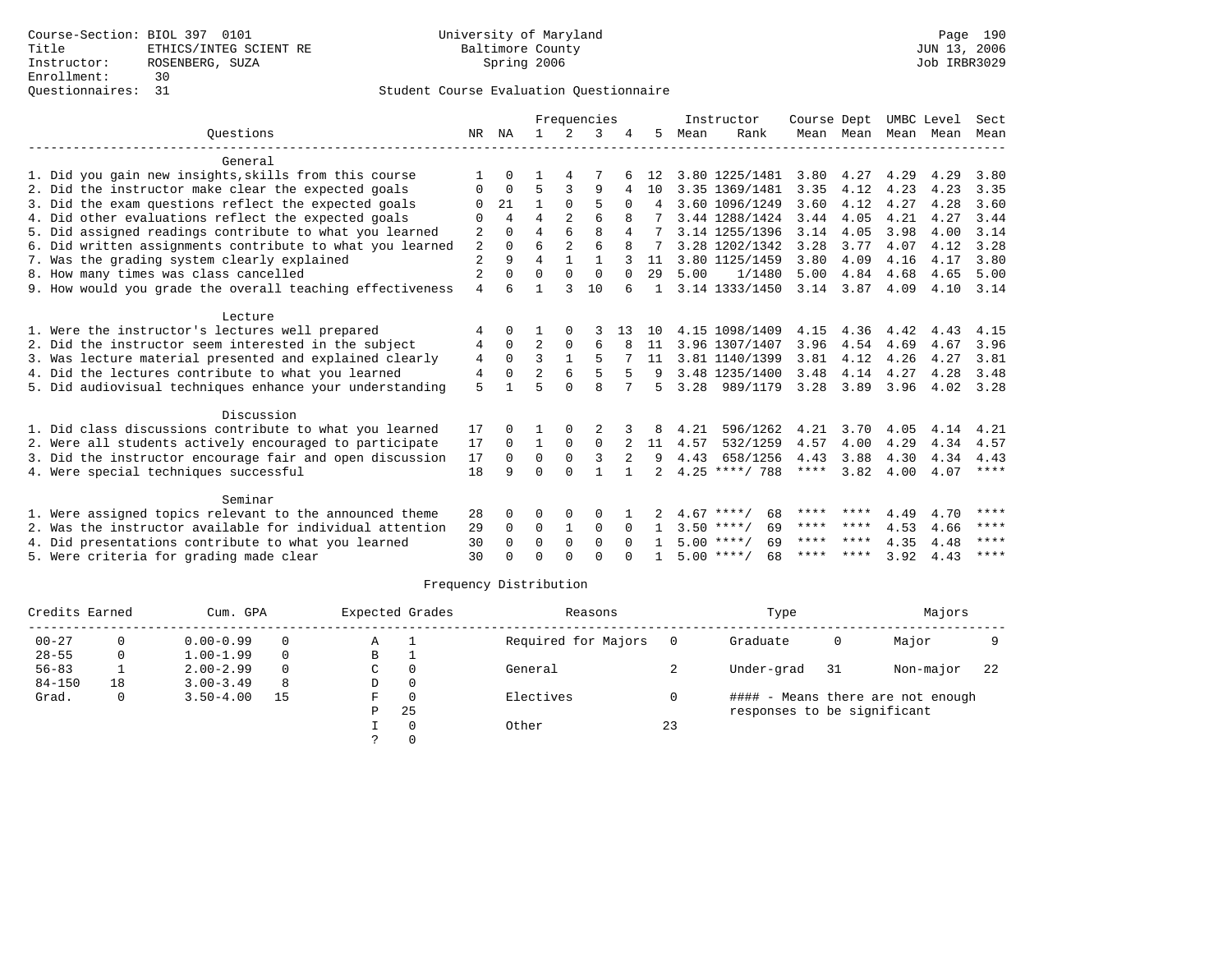|                                                           |                |                |                |                | Frequencies  |          |               |      | Instructor         | Course Dept |           | UMBC Level |      | Sect        |
|-----------------------------------------------------------|----------------|----------------|----------------|----------------|--------------|----------|---------------|------|--------------------|-------------|-----------|------------|------|-------------|
| Ouestions                                                 | NR             | ΝA             | $\mathbf{1}$   | $2^{\circ}$    | 3            |          | 5             | Mean | Rank               |             | Mean Mean | Mean       | Mean | Mean        |
| General                                                   |                |                |                |                |              |          |               |      |                    |             |           |            |      |             |
| 1. Did you gain new insights, skills from this course     |                | <sup>n</sup>   |                |                |              |          | 12            |      | 3.80 1225/1481     | 3.80        | 4.27      | 4.29       | 4.29 | 3.80        |
| 2. Did the instructor make clear the expected goals       | 0              | $\Omega$       | 5              | 3              | 9            | 4        | 10            |      | 3.35 1369/1481     | 3.35        | 4.12      | 4.23       | 4.23 | 3.35        |
| 3. Did the exam questions reflect the expected goals      | O              | 21             |                | $\Omega$       | 5            | 0        | 4             |      | 3.60 1096/1249     | 3.60        | 4.12      | 4.27       | 4.28 | 3.60        |
| 4. Did other evaluations reflect the expected goals       | $\Omega$       | $\overline{4}$ | 4              |                | 6            |          |               |      | 3.44 1288/1424     | 3.44        | 4.05      | 4.21       | 4.27 | 3.44        |
| 5. Did assigned readings contribute to what you learned   | 2              | $\Omega$       | $\overline{4}$ | 6              | 8            | 4        |               |      | 3.14 1255/1396     | 3.14        | 4.05      | 3.98       | 4.00 | 3.14        |
| 6. Did written assignments contribute to what you learned | 2              | $\Omega$       | 6              | $\overline{2}$ | 6            |          |               |      | 3.28 1202/1342     | 3.28        | 3.77      | 4.07       | 4.12 | 3.28        |
| 7. Was the grading system clearly explained               | $\overline{a}$ | 9              | $\overline{4}$ | 1              | 1            |          | 11            |      | 3.80 1125/1459     | 3.80        | 4.09      | 4.16       | 4.17 | 3.80        |
| 8. How many times was class cancelled                     | $\overline{2}$ | <sup>0</sup>   | $\Omega$       | $\Omega$       | $\Omega$     | $\Omega$ | 29            | 5.00 | 1/1480             | 5.00        | 4.84      | 4.68       | 4.65 | 5.00        |
| 9. How would you grade the overall teaching effectiveness | $\overline{4}$ | 6              |                | 3              | 10           | 6        |               |      | 3.14 1333/1450     | 3.14        | 3.87      | 4.09       | 4.10 | 3.14        |
| Lecture                                                   |                |                |                |                |              |          |               |      |                    |             |           |            |      |             |
| 1. Were the instructor's lectures well prepared           | 4              | $\Omega$       |                |                |              | 13       | 10            |      | 4.15 1098/1409     | 4.15        | 4.36      | 4.42       | 4.43 | 4.15        |
| 2. Did the instructor seem interested in the subject      | 4              | $\Omega$       | 2              | 0              | 6            |          | 11            |      | 3.96 1307/1407     | 3.96        | 4.54      | 4.69       | 4.67 | 3.96        |
| 3. Was lecture material presented and explained clearly   | 4              | $\Omega$       | ζ              |                |              |          | 11            |      | 3.81 1140/1399     | 3.81        | 4.12      | 4.26       | 4.27 | 3.81        |
| 4. Did the lectures contribute to what you learned        | 4              | $\Omega$       | $\overline{2}$ | 6              | 5            |          |               |      | 3.48 1235/1400     | 3.48        | 4.14      | 4.27       | 4.28 | 3.48        |
| 5. Did audiovisual techniques enhance your understanding  | 5              |                | 5              | $\Omega$       | $\mathsf{R}$ | 7        | 5             |      | 3.28 989/1179      | 3.28        | 3.89      | 3.96       | 4.02 | 3.28        |
|                                                           |                |                |                |                |              |          |               |      |                    |             |           |            |      |             |
| Discussion                                                |                |                |                |                |              |          |               |      |                    |             |           |            |      |             |
| 1. Did class discussions contribute to what you learned   | 17             | 0              |                | $\Omega$       |              |          | 8             | 4.21 | 596/1262           | 4.21        | 3.70      | 4.05       | 4.14 | 4.21        |
| 2. Were all students actively encouraged to participate   | 17             | $\Omega$       | $\mathbf{1}$   | $\Omega$       | $\mathbf 0$  |          | 11            | 4.57 | 532/1259           | 4.57        | 4.00      | 4.29       | 4.34 | 4.57        |
| 3. Did the instructor encourage fair and open discussion  | 17             | $\Omega$       | 0              | $\Omega$       | 3            | 2        | 9             | 4.43 | 658/1256           | 4.43        | 3.88      | 4.30       | 4.34 | 4.43        |
| 4. Were special techniques successful                     | 18             | 9              | $\Omega$       | $\cap$         |              |          | $\mathcal{L}$ |      | $4.25$ ****/ 788   | ****        | 3.82      | 4.00       | 4.07 | $***$ * * * |
| Seminar                                                   |                |                |                |                |              |          |               |      |                    |             |           |            |      |             |
| 1. Were assigned topics relevant to the announced theme   | 28             | 0              | 0              | 0              | O            |          |               |      | $4.67$ ****/<br>68 | ****        | ****      | 4.49       | 4.70 | ****        |
| 2. Was the instructor available for individual attention  | 29             | 0              | $\Omega$       | 1              | $\Omega$     | $\Omega$ |               |      | $3.50$ ****/<br>69 | ****        | ****      | 4.53       | 4.66 | ****        |
| 4. Did presentations contribute to what you learned       | 30             | $\Omega$       | $\Omega$       | $\Omega$       | $\Omega$     | $\cap$   |               |      | $5.00$ ****/<br>69 | ****        | ****      | 4.35       | 4.48 | ****        |
| 5. Were criteria for grading made clear                   | 30             | <sup>n</sup>   | $\Omega$       | $\cap$         | $\cap$       |          |               |      | $5.00$ ****/<br>68 |             | **** **** | 3.92       | 4.43 | ****        |

| Credits Earned |    | Cum. GPA      |          |    | Expected Grades | Reasons             |     | Type                        |     | Majors                            |     |
|----------------|----|---------------|----------|----|-----------------|---------------------|-----|-----------------------------|-----|-----------------------------------|-----|
| $00 - 27$      | 0  | $0.00 - 0.99$ | $\Omega$ | Α  |                 | Required for Majors | - 0 | Graduate                    | 0   | Major                             |     |
| $28 - 55$      | 0  | $1.00 - 1.99$ | $\Omega$ | в  |                 |                     |     |                             |     |                                   |     |
| $56 - 83$      |    | $2.00 - 2.99$ | $\Omega$ | C  | $\Omega$        | General             |     | Under-grad                  | -31 | Non-major                         | -22 |
| $84 - 150$     | 18 | $3.00 - 3.49$ | 8        | D  | 0               |                     |     |                             |     |                                   |     |
| Grad.          | 0  | $3.50 - 4.00$ | 15       | F. | $\Omega$        | Electives           |     |                             |     | #### - Means there are not enough |     |
|                |    |               |          | P  | -25             |                     |     | responses to be significant |     |                                   |     |
|                |    |               |          |    |                 | Other               | 23  |                             |     |                                   |     |
|                |    |               |          |    |                 |                     |     |                             |     |                                   |     |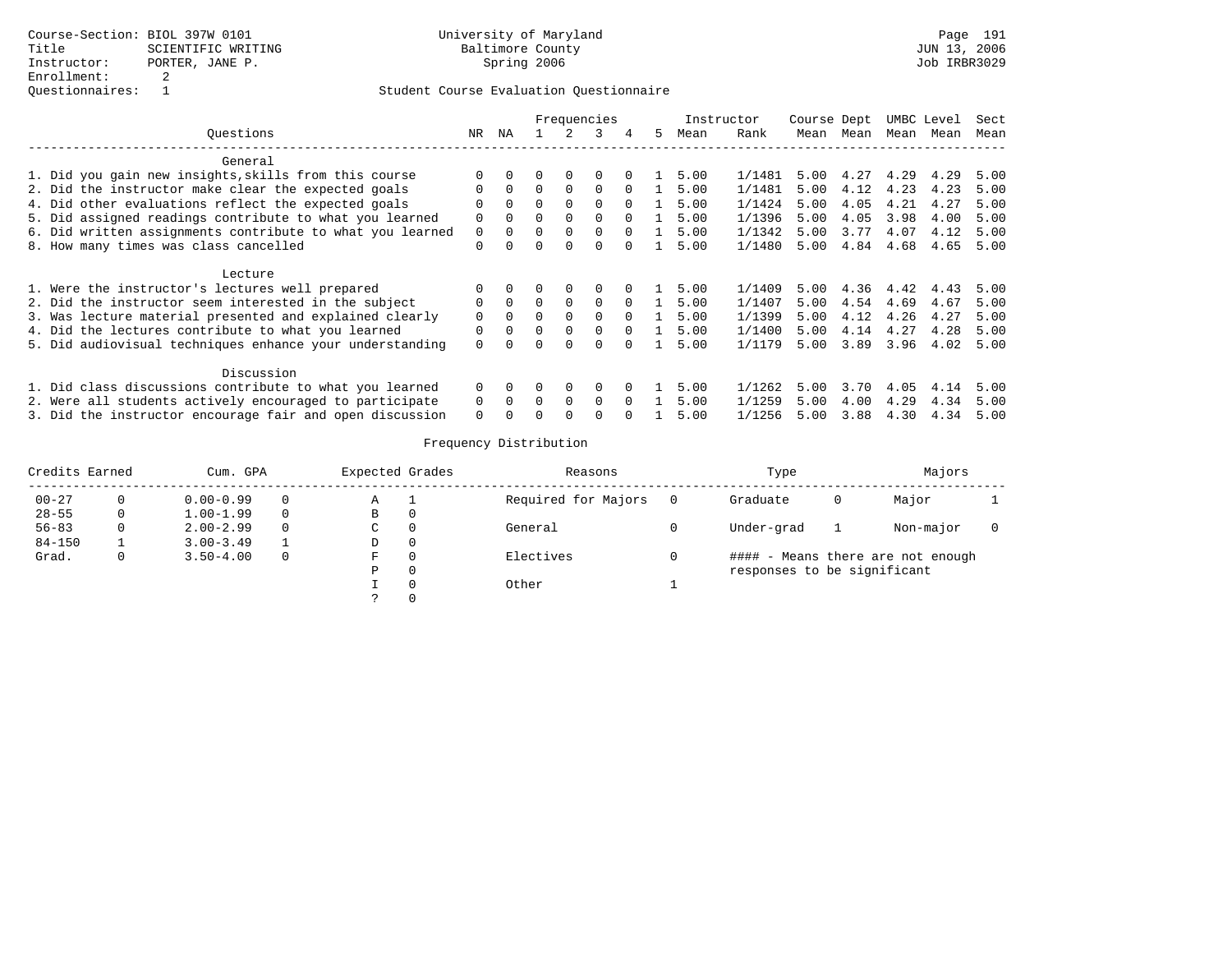|                                                           |          |          |          |          | Frequencies |              |    | Instructor |        | Course Dept |           |      | UMBC Level | Sect |
|-----------------------------------------------------------|----------|----------|----------|----------|-------------|--------------|----|------------|--------|-------------|-----------|------|------------|------|
| Ouestions                                                 | NR.      | ΝA       |          |          | 3           | 4            | 5. | Mean       | Rank   |             | Mean Mean | Mean | Mean       | Mean |
| General                                                   |          |          |          |          |             |              |    |            |        |             |           |      |            |      |
| 1. Did you gain new insights, skills from this course     | $\Omega$ | $\Omega$ | $\Omega$ | $\Omega$ | $\Omega$    | $\Omega$     |    | 5.00       | 1/1481 | 5.00        | 4.27      | 4.29 | 4.29       | 5.00 |
| 2. Did the instructor make clear the expected goals       | $\Omega$ | $\Omega$ | $\Omega$ | $\Omega$ | $\Omega$    | $\Omega$     |    | 5.00       | 1/1481 | 5.00        | 4.12      | 4.23 | 4.23       | 5.00 |
| 4. Did other evaluations reflect the expected goals       | $\Omega$ | $\Omega$ | $\Omega$ | $\Omega$ | $\Omega$    | $\Omega$     |    | 5.00       | 1/1424 | 5.00        | 4.05      | 4.21 | 4.27       | 5.00 |
| 5. Did assigned readings contribute to what you learned   | $\Omega$ |          | $\Omega$ | $\Omega$ | $\Omega$    |              |    | 5.00       | 1/1396 | 5.00        | 4.05      | 3.98 | 4.00       | 5.00 |
| 6. Did written assignments contribute to what you learned | 0        | $\Omega$ | 0        | 0        | $\Omega$    |              |    | 5.00       | 1/1342 | 5.00        | 3.77      | 4.07 | 4.12       | 5.00 |
| 8. How many times was class cancelled                     | $\Omega$ | $\Omega$ | 0        | $\Omega$ | 0           | $\Omega$     |    | 5.00       | 1/1480 | 5.00        | 4.84      | 4.68 | 4.65       | 5.00 |
| Lecture                                                   |          |          |          |          |             |              |    |            |        |             |           |      |            |      |
| 1. Were the instructor's lectures well prepared           | $\Omega$ |          | 0        | $\Omega$ | $\Omega$    | <sup>0</sup> |    | 5.00       | 1/1409 | 5.00        | 4.36      | 4.42 | 4.43       | 5.00 |
| 2. Did the instructor seem interested in the subject      | $\Omega$ | $\Omega$ | $\Omega$ | $\Omega$ | 0           | $\Omega$     |    | 5.00       | 1/1407 | 5.00        | 4.54      | 4.69 | 4.67       | 5.00 |
| 3. Was lecture material presented and explained clearly   | $\Omega$ | $\Omega$ | $\Omega$ | $\Omega$ | $\Omega$    | $\Omega$     |    | 5.00       | 1/1399 | 5.00        | 4.12      | 4.26 | 4.27       | 5.00 |
| 4. Did the lectures contribute to what you learned        | $\Omega$ | $\Omega$ | 0        | $\Omega$ | $\Omega$    |              |    | 5.00       | 1/1400 | 5.00        | 4.14      | 4.27 | 4.28       | 5.00 |
| 5. Did audiovisual techniques enhance your understanding  | $\Omega$ |          |          | $\Omega$ | 0           |              |    | 5.00       | 1/1179 | 5.00        | 3.89      | 3.96 | 4.02       | 5.00 |
| Discussion                                                |          |          |          |          |             |              |    |            |        |             |           |      |            |      |
| 1. Did class discussions contribute to what you learned   | $\Omega$ |          | 0        | 0        | $\Omega$    | 0            |    | 5.00       | 1/1262 | 5.00        | 3.70      | 4.05 | 4.14       | 5.00 |
| 2. Were all students actively encouraged to participate   | $\Omega$ | $\Omega$ | $\Omega$ | $\Omega$ | $\Omega$    | $\Omega$     |    | 5.00       | 1/1259 | 5.00        | 4.00      | 4.29 | 4.34       | 5.00 |
| 3. Did the instructor encourage fair and open discussion  | $\Omega$ |          |          |          |             |              |    | 5.00       | 1/1256 | 5.00        | 3.88      | 4.30 | 4.34       | 5.00 |

| Credits Earned |   | Cum. GPA      |          | Expected Grades |          | Reasons             |                | Type                        |   | Majors                            |  |
|----------------|---|---------------|----------|-----------------|----------|---------------------|----------------|-----------------------------|---|-----------------------------------|--|
| $00 - 27$      | 0 | $0.00 - 0.99$ | 0        | Α               |          | Required for Majors | $\overline{0}$ | Graduate                    | 0 | Major                             |  |
| $28 - 55$      | 0 | $1.00 - 1.99$ | $\Omega$ | В               | 0        |                     |                |                             |   |                                   |  |
| $56 - 83$      | 0 | $2.00 - 2.99$ | $\Omega$ | C               | $\Omega$ | General             |                | Under-grad                  |   | Non-major                         |  |
| $84 - 150$     |   | $3.00 - 3.49$ |          | D               | 0        |                     |                |                             |   |                                   |  |
| Grad.          | 0 | $3.50 - 4.00$ | 0        | F               | $\Omega$ | Electives           |                |                             |   | #### - Means there are not enough |  |
|                |   |               |          | Ρ               | $\Omega$ |                     |                | responses to be significant |   |                                   |  |
|                |   |               |          |                 | $\Omega$ | Other               |                |                             |   |                                   |  |
|                |   |               |          |                 | $\Omega$ |                     |                |                             |   |                                   |  |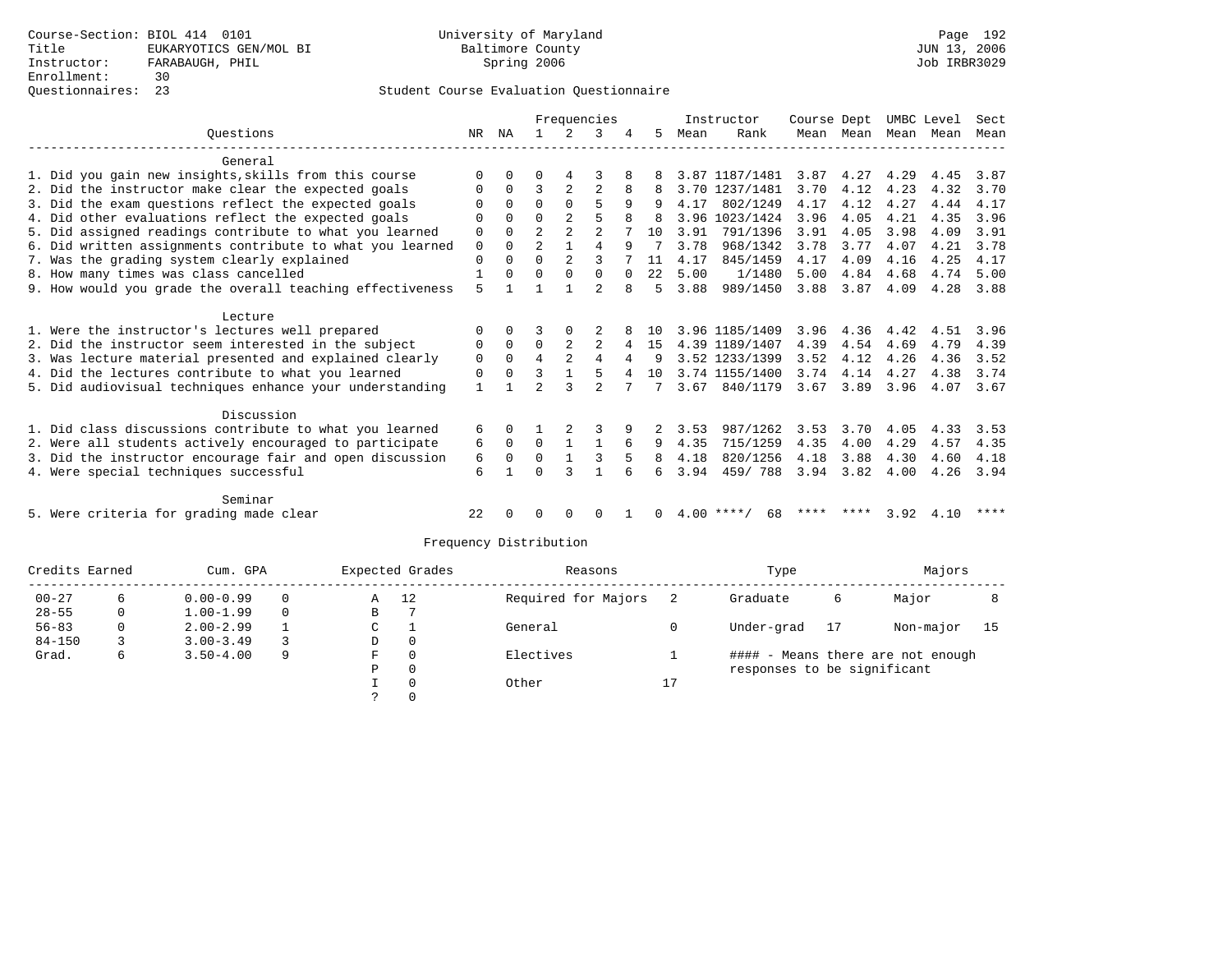|                                                           |             |          |                |                | Frequencies    |          |      |      | Instructor     | Course Dept |           | UMBC Level |      | Sect |
|-----------------------------------------------------------|-------------|----------|----------------|----------------|----------------|----------|------|------|----------------|-------------|-----------|------------|------|------|
| Ouestions                                                 | NR.         | ΝA       |                |                | κ              |          | 5.   | Mean | Rank           |             | Mean Mean | Mean       | Mean | Mean |
| General                                                   |             |          |                |                |                |          |      |      |                |             |           |            |      |      |
| 1. Did you gain new insights, skills from this course     |             |          |                |                |                |          |      |      | 3.87 1187/1481 | 3.87        | 4.27      | 4.29       | 4.45 | 3.87 |
| 2. Did the instructor make clear the expected goals       | 0           | $\Omega$ | 3              | 2              | 2              |          |      |      | 3.70 1237/1481 | 3.70        | 4.12      | 4.23       | 4.32 | 3.70 |
| 3. Did the exam questions reflect the expected goals      | U           | $\Omega$ | $\Omega$       | $\Omega$       | 5              | 9        |      | 4.17 | 802/1249       | 4.17        | 4.12      | 4.27       | 4.44 | 4.17 |
| 4. Did other evaluations reflect the expected goals       |             | $\Omega$ | $\Omega$       |                | 5              |          |      |      | 3.96 1023/1424 | 3.96        | 4.05      | 4.21       | 4.35 | 3.96 |
| 5. Did assigned readings contribute to what you learned   | $\Omega$    | $\Omega$ |                | $\overline{2}$ |                |          | 10   | 3.91 | 791/1396       | 3.91        | 4.05      | 3.98       | 4.09 | 3.91 |
| 6. Did written assignments contribute to what you learned | $\mathbf 0$ | $\Omega$ | $\overline{2}$ | 1              | 4              | 9        |      | 3.78 | 968/1342       | 3.78        | 3.77      | 4.07       | 4.21 | 3.78 |
| 7. Was the grading system clearly explained               | $\Omega$    | $\Omega$ | $\Omega$       | 2              | ς              |          | 11   | 4.17 | 845/1459       | 4.17        | 4.09      | 4.16       | 4.25 | 4.17 |
| 8. How many times was class cancelled                     |             | $\Omega$ | $\Omega$       | $\Omega$       | $\Omega$       | $\Omega$ | 2.2. | 5.00 | 1/1480         | 5.00        | 4.84      | 4.68       | 4.74 | 5.00 |
| 9. How would you grade the overall teaching effectiveness | 5           |          |                |                | $\mathfrak{D}$ | 8        | 5    | 3.88 | 989/1450       | 3.88        | 3.87      | 4.09       | 4.28 | 3.88 |
| Lecture                                                   |             |          |                |                |                |          |      |      |                |             |           |            |      |      |
| 1. Were the instructor's lectures well prepared           |             | $\Omega$ |                |                |                |          | 10   |      | 3.96 1185/1409 | 3.96        | 4.36      | 4.42       | 4.51 | 3.96 |
| 2. Did the instructor seem interested in the subject      | 0           | $\Omega$ | $\Omega$       |                | $\overline{c}$ | 4        | 15   |      | 4.39 1189/1407 | 4.39        | 4.54      | 4.69       | 4.79 | 4.39 |
| 3. Was lecture material presented and explained clearly   | $\Omega$    | $\Omega$ | 4              |                | 4              | 4        | 9    |      | 3.52 1233/1399 | 3.52        | 4.12      | 4.26       | 4.36 | 3.52 |
| 4. Did the lectures contribute to what you learned        | 0           | $\Omega$ |                |                | 5              | 4        | 10   |      | 3.74 1155/1400 | 3.74        | 4.14      | 4.27       | 4.38 | 3.74 |
| 5. Did audiovisual techniques enhance your understanding  | 1           |          | $\mathcal{D}$  | 3              | $\mathfrak{D}$ |          |      | 3.67 | 840/1179       | 3.67        | 3.89      | 3.96       | 4.07 | 3.67 |
| Discussion                                                |             |          |                |                |                |          |      |      |                |             |           |            |      |      |
| 1. Did class discussions contribute to what you learned   | 6           |          |                |                |                |          |      | 3.53 | 987/1262       | 3.53        | 3.70      | 4.05       | 4.33 | 3.53 |
| 2. Were all students actively encouraged to participate   | 6           | $\Omega$ | $\Omega$       |                |                |          | 9    | 4.35 | 715/1259       | 4.35        | 4.00      | 4.29       | 4.57 | 4.35 |
| 3. Did the instructor encourage fair and open discussion  | 6           | $\Omega$ | $\Omega$       |                |                |          | 8    | 4.18 | 820/1256       | 4.18        | 3.88      | 4.30       | 4.60 | 4.18 |
| 4. Were special techniques successful                     | 6           |          | ∩              |                | $\mathbf{1}$   |          | б.   | 3.94 | 459/788        | 3.94        | 3.82      | 4.00       | 4.26 | 3.94 |
| Seminar                                                   |             |          |                |                |                |          |      |      |                |             |           |            |      |      |
| 5. Were criteria for grading made clear                   | 22          |          |                |                | O              |          |      | 4.00 | ****<br>68     | ****        | ****      | 3.92       | 4.10 | **** |

| Credits Earned |  | Cum. GPA      | Expected Grades |         | Reasons |                     | Type | Majors                      |    |                                   |      |
|----------------|--|---------------|-----------------|---------|---------|---------------------|------|-----------------------------|----|-----------------------------------|------|
| $00 - 27$      |  | $0.00 - 0.99$ | $\Omega$        | 12<br>Α |         | Required for Majors |      | Graduate                    | 6  | Major                             |      |
| $28 - 55$      |  | $1.00 - 1.99$ | $\Omega$        | В       |         |                     |      |                             |    |                                   |      |
| $56 - 83$      |  | $2.00 - 2.99$ |                 | C       |         | General             |      | Under-grad                  | 17 | Non-major                         | - 15 |
| $84 - 150$     |  | $3.00 - 3.49$ |                 | D       | 0       |                     |      |                             |    |                                   |      |
| Grad.          |  | $3.50 - 4.00$ | 9               | F       | 0       | Electives           |      |                             |    | #### - Means there are not enough |      |
|                |  |               |                 | Р       | 0       |                     |      | responses to be significant |    |                                   |      |
|                |  |               |                 |         | 0       | Other               | 17   |                             |    |                                   |      |
|                |  |               |                 |         |         |                     |      |                             |    |                                   |      |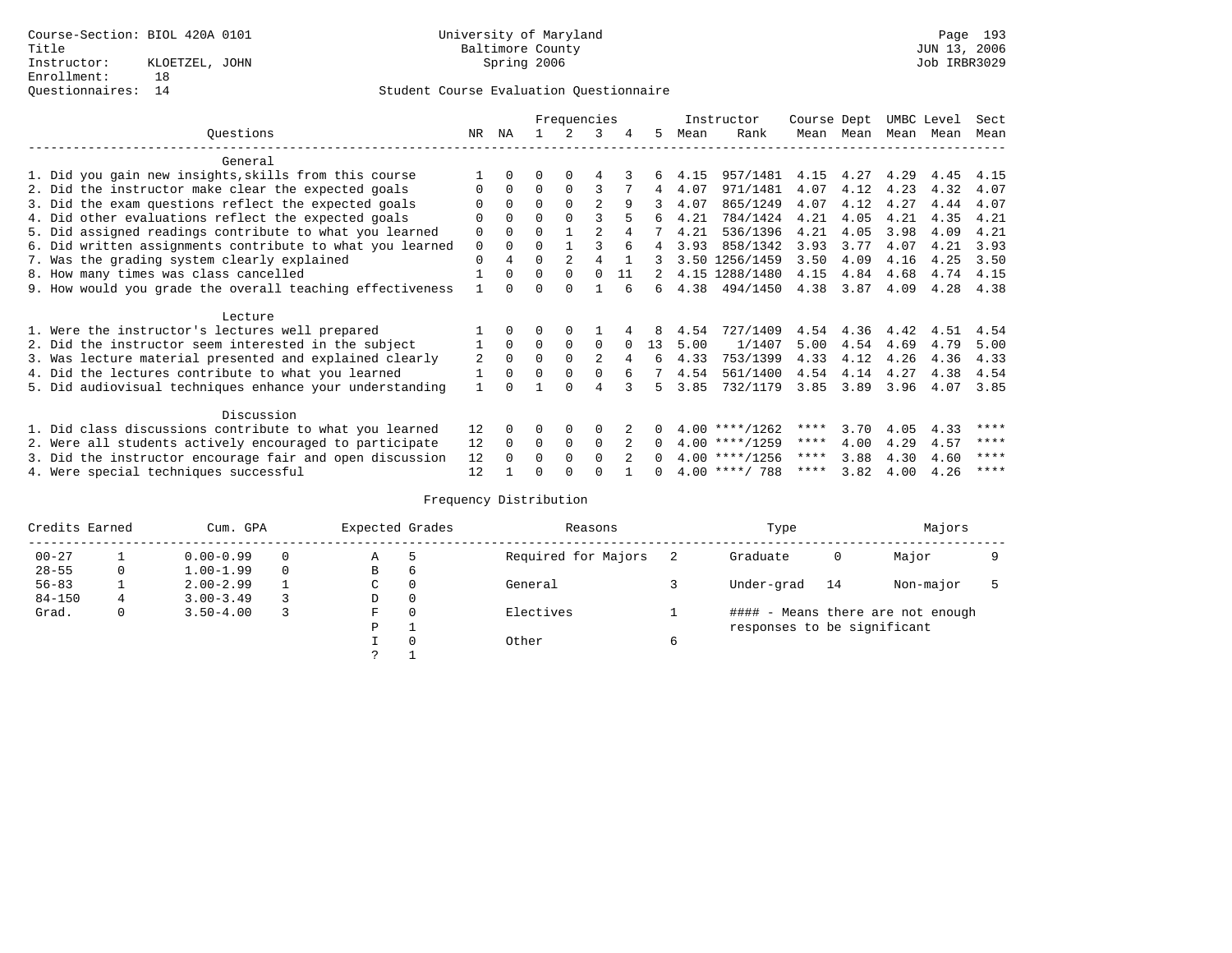|                                                           |          |              | Frequencies |             |                |    |          | Instructor |                  | Course Dept |      | UMBC Level |      | Sect |
|-----------------------------------------------------------|----------|--------------|-------------|-------------|----------------|----|----------|------------|------------------|-------------|------|------------|------|------|
| Questions<br>NR                                           |          |              |             |             | २              | 4  | 5.       | Mean       | Rank             | Mean        | Mean | Mean Mean  |      | Mean |
| General                                                   |          |              |             |             |                |    |          |            |                  |             |      |            |      |      |
| 1. Did you gain new insights, skills from this course     |          |              |             |             |                |    |          | 4.15       | 957/1481         | 4.15        | 4.27 | 4.29       | 4.45 | 4.15 |
| 2. Did the instructor make clear the expected goals       |          | $\Omega$     | $\Omega$    | $\Omega$    |                |    | 4        | 4.07       | 971/1481         | 4.07        | 4.12 | 4.23       | 4.32 | 4.07 |
| 3. Did the exam questions reflect the expected goals      |          | $\Omega$     | 0           |             | $\mathfrak{D}$ | 9  |          | 4.07       | 865/1249         | 4.07        | 4.12 | 4.27       | 4.44 | 4.07 |
| 4. Did other evaluations reflect the expected goals       | $\Omega$ | $\Omega$     | $\Omega$    |             |                |    | б.       | 4.21       | 784/1424         | 4.21        | 4.05 | 4.21       | 4.35 | 4.21 |
| 5. Did assigned readings contribute to what you learned   | 0        | $\Omega$     |             |             |                |    |          | 4.21       | 536/1396         | 4.21        | 4.05 | 3.98       | 4.09 | 4.21 |
| 6. Did written assignments contribute to what you learned | 0        | $\Omega$     | 0           |             |                |    | 4        | 3.93       | 858/1342         | 3.93        | 3.77 | 4.07       | 4.21 | 3.93 |
| 7. Was the grading system clearly explained               | $\Omega$ | 4            | $\Omega$    |             | 4              |    |          |            | 3.50 1256/1459   | 3.50        | 4.09 | 4.16       | 4.25 | 3.50 |
| 8. How many times was class cancelled                     |          | $\Omega$     | $\Omega$    | $\Omega$    | $\Omega$       | 11 |          |            | 4.15 1288/1480   | 4.15        | 4.84 | 4.68       | 4.74 | 4.15 |
| 9. How would you grade the overall teaching effectiveness |          | <sup>n</sup> | ∩           |             |                |    | б.       | 4.38       | 494/1450         | 4.38        | 3.87 | 4.09       | 4.28 | 4.38 |
| Lecture                                                   |          |              |             |             |                |    |          |            |                  |             |      |            |      |      |
| 1. Were the instructor's lectures well prepared           |          |              |             |             |                |    |          | 4.54       | 727/1409         | 4.54        | 4.36 | 4.42       | 4.51 | 4.54 |
| 2. Did the instructor seem interested in the subject      |          | $\Omega$     | $\Omega$    | $\mathbf 0$ | $\Omega$       |    | 13       | 5.00       | 1/1407           | 5.00        | 4.54 | 4.69       | 4.79 | 5.00 |
| 3. Was lecture material presented and explained clearly   | 2        | $\Omega$     | $\Omega$    |             | 2              |    | 6        | 4.33       | 753/1399         | 4.33        | 4.12 | 4.26       | 4.36 | 4.33 |
| 4. Did the lectures contribute to what you learned        |          | $\Omega$     | $\Omega$    | $\Omega$    |                | 6  |          | 4.54       | 561/1400         | 4.54        | 4.14 | 4.27       | 4.38 | 4.54 |
| 5. Did audiovisual techniques enhance your understanding  |          |              |             |             | 4              |    | 5        | 3.85       | 732/1179         | 3.85        | 3.89 | 3.96       | 4.07 | 3.85 |
| Discussion                                                |          |              |             |             |                |    |          |            |                  |             |      |            |      |      |
| 1. Did class discussions contribute to what you learned   | 12       | 0            | 0           | $\Omega$    | O              |    |          |            | $4.00$ ****/1262 | ****        | 3.70 | 4.05       | 4.33 | **** |
| 2. Were all students actively encouraged to participate   | 12       | $\Omega$     | $\Omega$    | $\Omega$    | $\Omega$       |    | $\Omega$ |            | $4.00$ ****/1259 | ****        | 4.00 | 4.29       | 4.57 | **** |
| 3. Did the instructor encourage fair and open discussion  | 12       |              | 0           | $\Omega$    | $\Omega$       |    |          |            | $4.00$ ****/1256 | ****        | 3.88 | 4.30       | 4.60 | **** |
| 4. Were special techniques successful                     | 12       |              |             |             |                |    |          |            | $4.00$ ****/ 788 | ****        | 3.82 | 4.00       | 4.26 | **** |

| Credits Earned |   | Cum. GPA      |  | Expected Grades |          | Reasons             | Type                        |    | Majors                            |  |  |
|----------------|---|---------------|--|-----------------|----------|---------------------|-----------------------------|----|-----------------------------------|--|--|
| $00 - 27$      |   | $0.00 - 0.99$ |  | Α               | 5        | Required for Majors | Graduate                    | 0  | Major                             |  |  |
| $28 - 55$      | 0 | $1.00 - 1.99$ |  | B               | 6        |                     |                             |    |                                   |  |  |
| $56 - 83$      |   | $2.00 - 2.99$ |  | C               | 0        | General             | Under-grad                  | 14 | Non-major                         |  |  |
| $84 - 150$     | 4 | $3.00 - 3.49$ |  | D               | 0        |                     |                             |    |                                   |  |  |
| Grad.          | 0 | $3.50 - 4.00$ |  | F               | 0        | Electives           |                             |    | #### - Means there are not enough |  |  |
|                |   |               |  | Ρ               |          |                     | responses to be significant |    |                                   |  |  |
|                |   |               |  |                 | $\Omega$ | Other               |                             |    |                                   |  |  |
|                |   |               |  | っ               |          |                     |                             |    |                                   |  |  |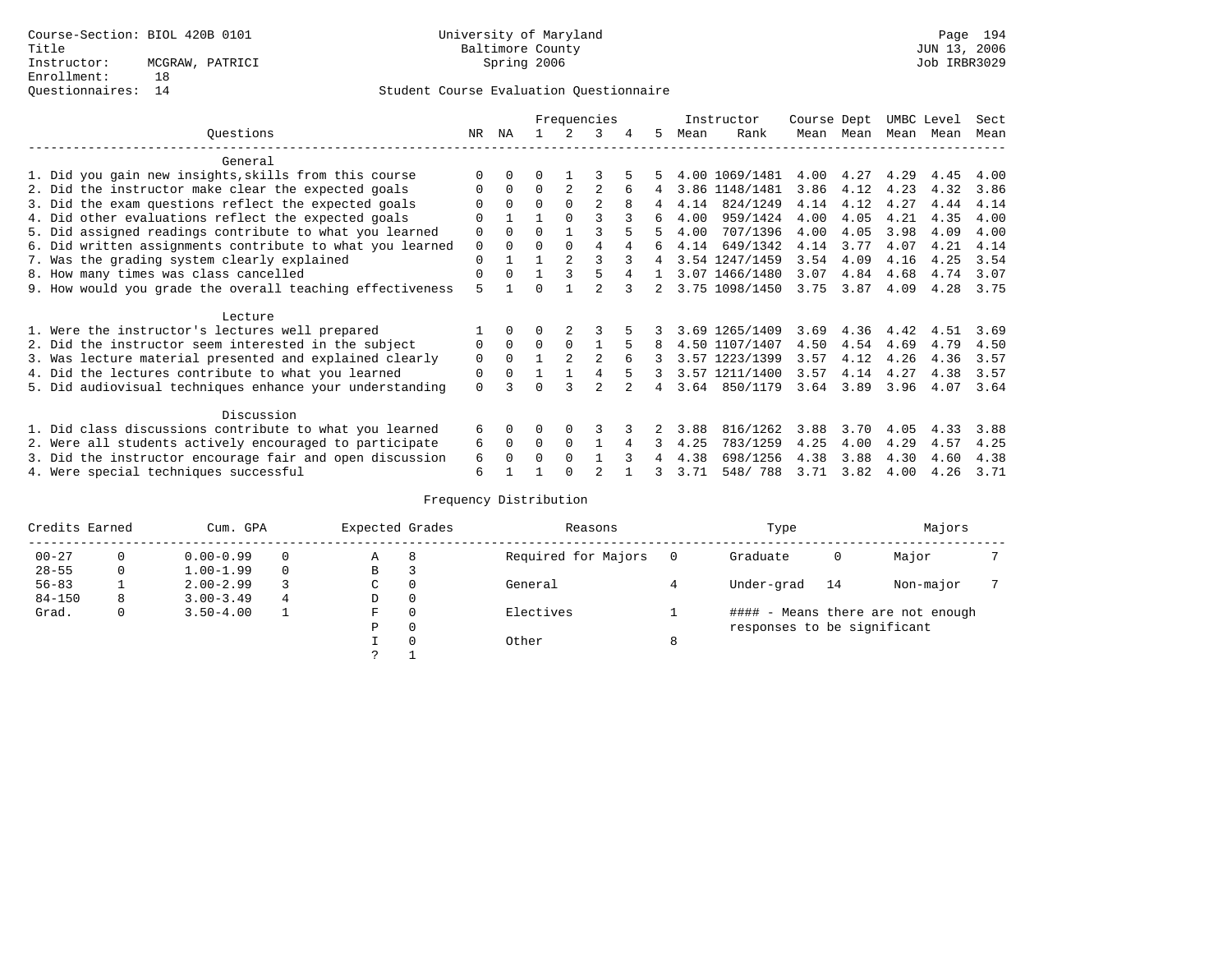|                                                           |             |          |          |          | Frequencies    |   |    |      | Instructor     | Course Dept |      | UMBC Level |      | Sect |
|-----------------------------------------------------------|-------------|----------|----------|----------|----------------|---|----|------|----------------|-------------|------|------------|------|------|
| Questions                                                 | NR          | ΝA       |          |          |                | 4 | 5  | Mean | Rank           | Mean        | Mean | Mean       | Mean | Mean |
| General                                                   |             |          |          |          |                |   |    |      |                |             |      |            |      |      |
| 1. Did you gain new insights, skills from this course     |             |          |          |          |                |   |    |      | 4.00 1069/1481 | 4.00        | 4.27 | 4.29       | 4.45 | 4.00 |
| 2. Did the instructor make clear the expected goals       |             | $\Omega$ | $\Omega$ |          |                |   |    |      | 3.86 1148/1481 | 3.86        | 4.12 | 4.23       | 4.32 | 3.86 |
| 3. Did the exam questions reflect the expected goals      |             | $\Omega$ | $\Omega$ |          | $\mathfrak{D}$ | 8 | 4  | 4.14 | 824/1249       | 4.14        | 4.12 | 4.27       | 4.44 | 4.14 |
| 4. Did other evaluations reflect the expected goals       | $\Omega$    |          |          | $\Omega$ |                |   | б. | 4.00 | 959/1424       | 4.00        | 4.05 | 4.21       | 4.35 | 4.00 |
| 5. Did assigned readings contribute to what you learned   | $\mathbf 0$ | $\Omega$ | $\Omega$ |          |                |   |    | 4.00 | 707/1396       | 4.00        | 4.05 | 3.98       | 4.09 | 4.00 |
| 6. Did written assignments contribute to what you learned | 0           | $\Omega$ | U        | $\Omega$ | 4              |   | б. | 4.14 | 649/1342       | 4.14        | 3.77 | 4.07       | 4.21 | 4.14 |
| 7. Was the grading system clearly explained               | $\Omega$    |          |          |          |                |   |    |      | 3.54 1247/1459 | 3.54        | 4.09 | 4.16       | 4.25 | 3.54 |
| 8. How many times was class cancelled                     | $\Omega$    | $\Omega$ |          | 3        |                |   |    |      | 3.07 1466/1480 | 3.07        | 4.84 | 4.68       | 4.74 | 3.07 |
| 9. How would you grade the overall teaching effectiveness | 5           |          |          |          |                |   |    |      | 3.75 1098/1450 | 3.75        | 3.87 | 4.09       | 4.28 | 3.75 |
| Lecture                                                   |             |          |          |          |                |   |    |      |                |             |      |            |      |      |
| 1. Were the instructor's lectures well prepared           |             |          |          |          |                |   |    |      | 3.69 1265/1409 | 3.69        | 4.36 | 4.42       | 4.51 | 3.69 |
| 2. Did the instructor seem interested in the subject      | 0           | $\Omega$ | $\Omega$ | $\Omega$ |                |   |    |      | 4.50 1107/1407 | 4.50        | 4.54 | 4.69       | 4.79 | 4.50 |
| 3. Was lecture material presented and explained clearly   | 0           | $\Omega$ |          |          |                |   |    |      | 3.57 1223/1399 | 3.57        | 4.12 | 4.26       | 4.36 | 3.57 |
| 4. Did the lectures contribute to what you learned        | 0           | $\Omega$ |          |          |                |   |    |      | 3.57 1211/1400 | 3.57        | 4.14 | 4.27       | 4.38 | 3.57 |
| 5. Did audiovisual techniques enhance your understanding  | $\Omega$    |          |          |          | $\mathcal{D}$  |   |    | 3.64 | 850/1179       | 3.64        | 3.89 | 3.96       | 4.07 | 3.64 |
| Discussion                                                |             |          |          |          |                |   |    |      |                |             |      |            |      |      |
| 1. Did class discussions contribute to what you learned   | 6           | 0        | 0        |          |                |   |    | 3.88 | 816/1262       | 3.88        | 3.70 | 4.05       | 4.33 | 3.88 |
| 2. Were all students actively encouraged to participate   | 6           | $\Omega$ | $\Omega$ | $\Omega$ |                |   | 3  | 4.25 | 783/1259       | 4.25        | 4.00 | 4.29       | 4.57 | 4.25 |
| 3. Did the instructor encourage fair and open discussion  | 6           |          | O        | $\Omega$ |                |   |    | 4.38 | 698/1256       | 4.38        | 3.88 | 4.30       | 4.60 | 4.38 |
| 4. Were special techniques successful                     | 6           |          |          |          |                |   | 3  | 3.71 | 548/788        | 3.71        | 3.82 | 4.00       | 4.26 | 3.71 |

| Credits Earned |   | Cum. GPA      |   | Expected Grades |          | Reasons             |   | Type                        |    | Majors                            |  |
|----------------|---|---------------|---|-----------------|----------|---------------------|---|-----------------------------|----|-----------------------------------|--|
| $00 - 27$      | 0 | $0.00 - 0.99$ |   | Α               | 8        | Required for Majors |   | Graduate                    | 0  | Major                             |  |
| $28 - 55$      | 0 | $1.00 - 1.99$ |   | B               | 3        |                     |   |                             |    |                                   |  |
| $56 - 83$      |   | $2.00 - 2.99$ |   | C               | 0        | General             |   | Under-grad                  | 14 | Non-major                         |  |
| $84 - 150$     | 8 | $3.00 - 3.49$ | 4 | D               | 0        |                     |   |                             |    |                                   |  |
| Grad.          | 0 | $3.50 - 4.00$ |   | F               | 0        | Electives           |   |                             |    | #### - Means there are not enough |  |
|                |   |               |   | Ρ               | 0        |                     |   | responses to be significant |    |                                   |  |
|                |   |               |   |                 | $\Omega$ | Other               | 8 |                             |    |                                   |  |
|                |   |               |   |                 |          |                     |   |                             |    |                                   |  |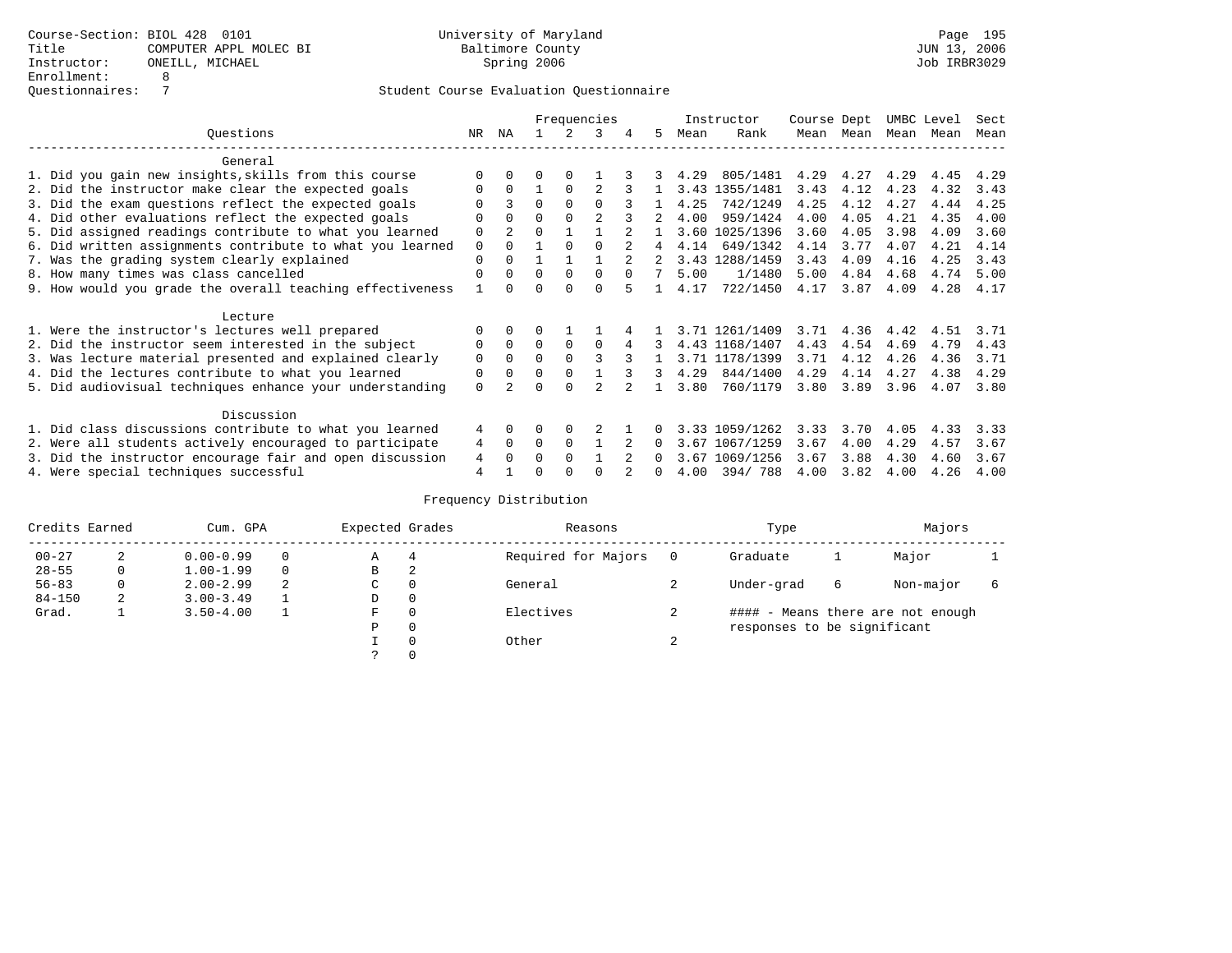|                                                           |             |              |          |          | Frequencies |        |              |      | Instructor     | Course Dept |      | UMBC Level |      | Sect |
|-----------------------------------------------------------|-------------|--------------|----------|----------|-------------|--------|--------------|------|----------------|-------------|------|------------|------|------|
| Ouestions                                                 | NR.         | ΝA           |          |          | 3           |        | 5.           | Mean | Rank           | Mean        | Mean | Mean       | Mean | Mean |
| General                                                   |             |              |          |          |             |        |              |      |                |             |      |            |      |      |
| 1. Did you gain new insights, skills from this course     |             | $\Omega$     | O        | $\Omega$ |             |        |              | 4.29 | 805/1481       | 4.29        | 4.27 | 4.29       | 4.45 | 4.29 |
| 2. Did the instructor make clear the expected goals       | O           | $\Omega$     |          | $\Omega$ |             |        |              |      | 3.43 1355/1481 | 3.43        | 4.12 | 4.23       | 4.32 | 3.43 |
| 3. Did the exam questions reflect the expected goals      |             | 3            | $\Omega$ | $\Omega$ | $\Omega$    |        |              | 4.25 | 742/1249       | 4.25        | 4.12 | 4.27       | 4.44 | 4.25 |
| 4. Did other evaluations reflect the expected goals       | O           | $\Omega$     | $\Omega$ | $\Omega$ |             |        |              | 4.00 | 959/1424       | 4.00        | 4.05 | 4.21       | 4.35 | 4.00 |
| 5. Did assigned readings contribute to what you learned   | $\mathbf 0$ |              | 0        |          |             |        |              |      | 3.60 1025/1396 | 3.60        | 4.05 | 3.98       | 4.09 | 3.60 |
| 6. Did written assignments contribute to what you learned | $\mathbf 0$ | $\Omega$     |          | $\cap$   |             |        | 4            | 4.14 | 649/1342       | 4.14        | 3.77 | 4.07       | 4.21 | 4.14 |
| 7. Was the grading system clearly explained               | $\Omega$    | $\Omega$     |          |          |             |        |              |      | 3.43 1288/1459 | 3.43        | 4.09 | 4.16       | 4.25 | 3.43 |
| 8. How many times was class cancelled                     | $\Omega$    | $\Omega$     | $\Omega$ | $\Omega$ | $\Omega$    | $\cap$ |              | 5.00 | 1/1480         | 5.00        | 4.84 | 4.68       | 4.74 | 5.00 |
| 9. How would you grade the overall teaching effectiveness |             | <sup>n</sup> | U        | ∩        | U           |        |              | 4.17 | 722/1450       | 4.17        | 3.87 | 4.09       | 4.28 | 4.17 |
| Lecture                                                   |             |              |          |          |             |        |              |      |                |             |      |            |      |      |
| 1. Were the instructor's lectures well prepared           | 0           |              |          |          |             |        |              |      | 3.71 1261/1409 | 3.71        | 4.36 | 4.42       | 4.51 | 3.71 |
| 2. Did the instructor seem interested in the subject      | 0           | $\Omega$     | $\Omega$ | $\Omega$ | $\Omega$    |        | 3            |      | 4.43 1168/1407 | 4.43        | 4.54 | 4.69       | 4.79 | 4.43 |
| 3. Was lecture material presented and explained clearly   | $\mathbf 0$ | $\Omega$     | $\Omega$ |          |             |        |              |      | 3.71 1178/1399 | 3.71        | 4.12 | 4.26       | 4.36 | 3.71 |
| 4. Did the lectures contribute to what you learned        | 0           | $\Omega$     | $\Omega$ | $\Omega$ |             |        | 3            | 4.29 | 844/1400       | 4.29        | 4.14 | 4.27       | 4.38 | 4.29 |
| 5. Did audiovisual techniques enhance your understanding  | $\Omega$    |              |          | ∩        |             |        |              | 3.80 | 760/1179       | 3.80        | 3.89 | 3.96       | 4.07 | 3.80 |
|                                                           |             |              |          |          |             |        |              |      |                |             |      |            |      |      |
| Discussion                                                |             |              |          |          |             |        |              |      |                |             |      |            |      |      |
| 1. Did class discussions contribute to what you learned   | 4           | $\Omega$     | O        | $\Omega$ |             |        |              |      | 3.33 1059/1262 | 3.33        | 3.70 | 4.05       | 4.33 | 3.33 |
| 2. Were all students actively encouraged to participate   | 4           | $\Omega$     | $\Omega$ | $\Omega$ |             |        | $\Omega$     | 3.67 | 1067/1259      | 3.67        | 4.00 | 4.29       | 4.57 | 3.67 |
| 3. Did the instructor encourage fair and open discussion  | 4           | $\Omega$     | 0        | $\Omega$ |             |        | $\Omega$     |      | 3.67 1069/1256 | 3.67        | 3.88 | 4.30       | 4.60 | 3.67 |
| 4. Were special techniques successful                     | 4           |              |          |          |             |        | <sup>n</sup> | 4.00 | 394/788        | 4.00        | 3.82 | 4.00       | 4.26 | 4.00 |

| Credits Earned |   | Cum. GPA      |   | Expected Grades |          | Reasons             |        | Type                        |   | Majors                            |  |
|----------------|---|---------------|---|-----------------|----------|---------------------|--------|-----------------------------|---|-----------------------------------|--|
| $00 - 27$      | 2 | $0.00 - 0.99$ |   | А               | 4        | Required for Majors | 0      | Graduate                    |   | Major                             |  |
| $28 - 55$      | 0 | $1.00 - 1.99$ |   | В               | 2        |                     |        |                             |   |                                   |  |
| $56 - 83$      | 0 | $2.00 - 2.99$ | 2 | $\sim$<br>◡     | 0        | General             |        | Under-grad                  | 6 | Non-major                         |  |
| $84 - 150$     | 2 | $3.00 - 3.49$ |   | D               | 0        |                     |        |                             |   |                                   |  |
| Grad.          |   | $3.50 - 4.00$ |   | F               | 0        | Electives           |        |                             |   | #### - Means there are not enough |  |
|                |   |               |   | Ρ               | 0        |                     |        | responses to be significant |   |                                   |  |
|                |   |               |   |                 | $\Omega$ | Other               | $\sim$ |                             |   |                                   |  |
|                |   |               |   |                 |          |                     |        |                             |   |                                   |  |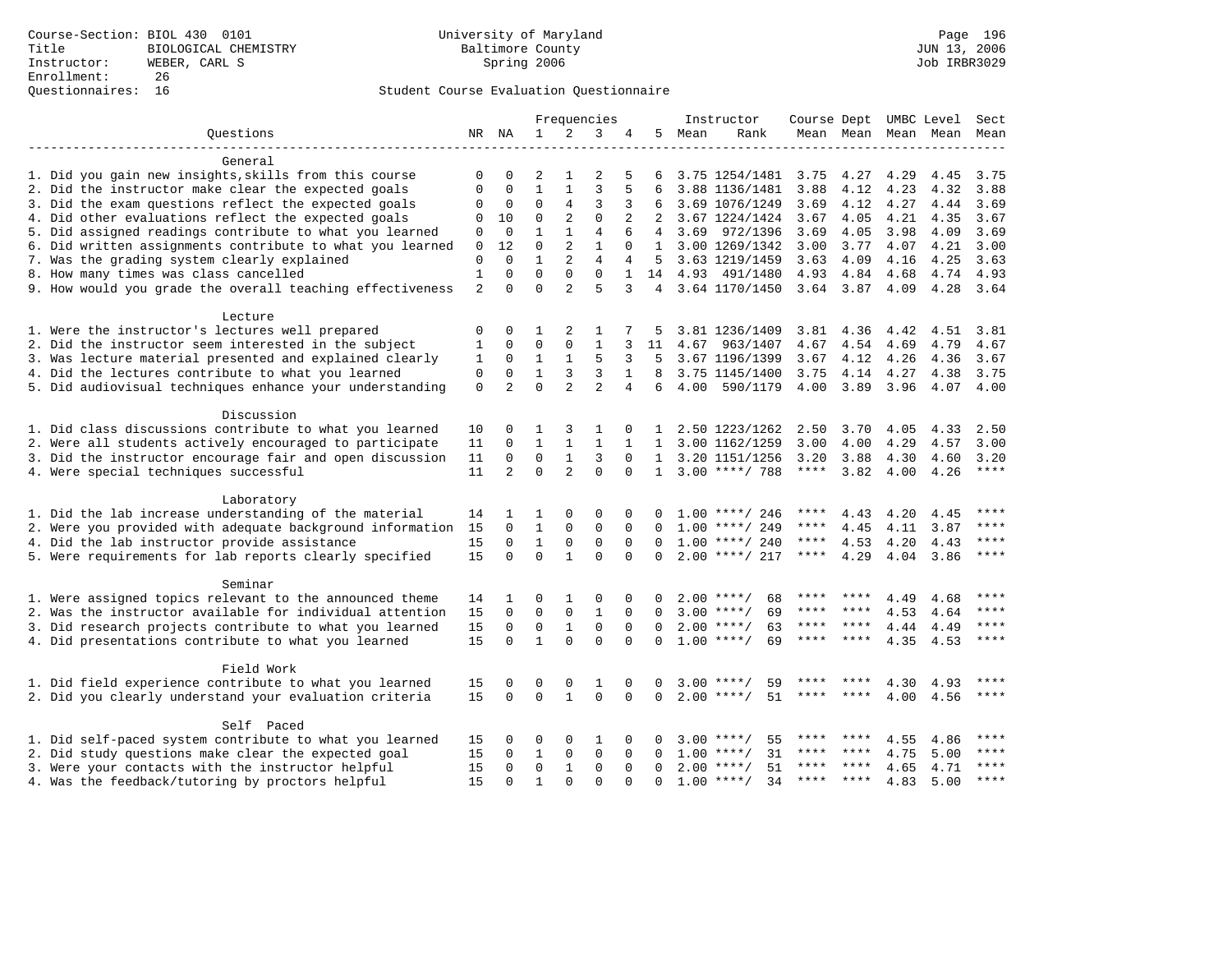|                                                                                                                     |                      |                         |                   |                              | Frequencies              |                      |                |      | Instructor                            |                     |              |              | Course Dept UMBC Level Sect |               |
|---------------------------------------------------------------------------------------------------------------------|----------------------|-------------------------|-------------------|------------------------------|--------------------------|----------------------|----------------|------|---------------------------------------|---------------------|--------------|--------------|-----------------------------|---------------|
| Questions                                                                                                           |                      | NR NA                   | $\mathbf{1}$      | 2                            | 3                        |                      | 5              | Mean | Rank                                  |                     |              |              | Mean Mean Mean Mean         | Mean          |
|                                                                                                                     |                      |                         |                   |                              |                          |                      |                |      |                                       |                     |              |              |                             |               |
| General                                                                                                             |                      |                         |                   |                              |                          |                      |                |      |                                       |                     |              |              |                             |               |
| 1. Did you gain new insights, skills from this course                                                               | $\Omega$<br>$\Omega$ | $\Omega$<br>$\Omega$    | 2<br>$\mathbf{1}$ | $\mathbf{1}$<br>$\mathbf{1}$ | 2<br>3                   | 5<br>5               | 6              |      | 3.75 1254/1481                        | 3.75                | 4.27         | 4.29         | 4.45                        | 3.75          |
| 2. Did the instructor make clear the expected goals<br>3. Did the exam questions reflect the expected goals         |                      | 0                       | $\mathbf 0$       | $\overline{4}$               | 3                        | 3                    |                |      | 3.88 1136/1481                        | 3.88                | 4.12         | 4.23         | 4.32<br>4.44                | 3.88          |
| 4. Did other evaluations reflect the expected goals                                                                 | 0<br>$\mathbf 0$     | 10                      | 0                 | 2                            | $\mathbf 0$              | 2                    | 2              |      | 3.69 1076/1249<br>3.67 1224/1424      | 3.69<br>3.67        | 4.12<br>4.05 | 4.27<br>4.21 | 4.35                        | 3.69<br>3.67  |
| 5. Did assigned readings contribute to what you learned                                                             | 0                    | $\mathbf 0$             | $\mathbf{1}$      | $\mathbf{1}$                 | $\overline{4}$           | 6                    | $\overline{4}$ |      | 3.69 972/1396                         | 3.69                | 4.05         | 3.98         | 4.09                        | 3.69          |
| 6. Did written assignments contribute to what you learned                                                           | $\mathbf{0}$         | 12                      | $\mathbf 0$       | 2                            | $\mathbf{1}$             | $\Omega$             |                |      | 1 3.00 1269/1342                      | 3.00                | 3.77         | 4.07         | 4.21                        | 3.00          |
| 7. Was the grading system clearly explained                                                                         | $\mathbf 0$          | $\Omega$                | $\mathbf{1}$      | 2                            | $\overline{4}$           | $\overline{4}$       |                |      | 5 3.63 1219/1459                      | 3.63                | 4.09         | 4.16         | 4.25                        | 3.63          |
| 8. How many times was class cancelled                                                                               | $\mathbf{1}$         | $\Omega$                | $\Omega$          | $\Omega$                     | $\Omega$                 | $\mathbf{1}$         |                |      | 14 4.93 491/1480                      | 4.93 4.84           |              | 4.68         | 4.74                        | 4.93          |
| 9. How would you grade the overall teaching effectiveness                                                           | $\overline{2}$       | $\Omega$                | $\Omega$          | $\mathfrak{D}$               | $\overline{5}$           | 3                    |                |      | 4 3.64 1170/1450                      | 3.64 3.87           |              | 4.09         | 4.28 3.64                   |               |
|                                                                                                                     |                      |                         |                   |                              |                          |                      |                |      |                                       |                     |              |              |                             |               |
| Lecture                                                                                                             |                      |                         |                   |                              |                          |                      |                |      |                                       |                     |              |              |                             |               |
| 1. Were the instructor's lectures well prepared                                                                     | 0                    | 0                       | 1                 | 2                            | -1                       |                      | 5              |      | 3.81 1236/1409                        | 3.81                | 4.36         | 4.42         | 4.51                        | 3.81          |
| 2. Did the instructor seem interested in the subject                                                                | $\mathbf{1}$         | $\mathbf 0$             | $\mathbf 0$       | $\mathbf 0$                  | $\mathbf{1}$             | 3                    | 11             | 4.67 | 963/1407                              | 4.67                | 4.54         | 4.69         | 4.79                        | 4.67          |
| 3. Was lecture material presented and explained clearly                                                             | 1                    | $\mathbf 0$             | $\mathbf{1}$      | $\mathbf{1}$                 | 5                        | 3                    | 5              |      | 3.67 1196/1399                        | 3.67                | 4.12         | 4.26         | 4.36                        | 3.67          |
| 4. Did the lectures contribute to what you learned                                                                  | $\mathbf 0$          | 0                       | $\mathbf{1}$      | 3                            | 3                        | $\mathbf{1}$         | 8              |      | 3.75 1145/1400                        | 3.75                | 4.14         | 4.27         | 4.38                        | 3.75          |
| 5. Did audiovisual techniques enhance your understanding                                                            | $\Omega$             | $\overline{a}$          | $\Omega$          | $\overline{a}$               | $\mathfrak{D}$           | 4                    | 6              | 4.00 | 590/1179                              | 4.00                | 3.89         | 3.96         | 4.07                        | 4.00          |
| Discussion                                                                                                          |                      |                         |                   |                              |                          |                      |                |      |                                       |                     |              |              |                             |               |
|                                                                                                                     |                      |                         |                   | 3                            |                          |                      |                |      |                                       |                     |              |              |                             |               |
| 1. Did class discussions contribute to what you learned                                                             | 10                   | 0<br>$\mathbf 0$        | 1<br>$\mathbf 1$  | $\mathbf 1$                  | -1<br>$\mathbf{1}$       | 0                    | 1.             |      | 2.50 1223/1262                        | 2.50<br>3.00        | 3.70         | 4.05         | 4.33                        | 2.50          |
| 2. Were all students actively encouraged to participate<br>3. Did the instructor encourage fair and open discussion | 11                   | $\mathbf 0$             | $\mathbf 0$       | $\mathbf{1}$                 |                          | 1<br>$\Omega$        | 1              |      | 3.00 1162/1259                        |                     | 4.00         | 4.29         | 4.57                        | 3.00          |
| 4. Were special techniques successful                                                                               | 11<br>11             | 2                       | $\Omega$          | $\overline{2}$               | 3<br>$\Omega$            | $\Omega$             | $\mathbf{1}$   |      | 3.20 1151/1256<br>$1, 3.00$ ****/ 788 | 3.20<br>$***$ * * * | 3.88<br>3.82 | 4.30<br>4.00 | 4.60<br>4.26                | 3.20<br>$***$ |
|                                                                                                                     |                      |                         |                   |                              |                          |                      |                |      |                                       |                     |              |              |                             |               |
| Laboratory                                                                                                          |                      |                         |                   |                              |                          |                      |                |      |                                       |                     |              |              |                             |               |
| 1. Did the lab increase understanding of the material                                                               | 14                   |                         | 1                 | $\cap$                       | $\Omega$                 |                      |                |      | $1.00$ ****/ 246                      | ****                | 4.43         | 4.20         | 4.45                        | ****          |
| 2. Were you provided with adequate background information                                                           | 15                   | $\Omega$                | $\mathbf{1}$      | $\Omega$                     | $\Omega$                 | $\Omega$             |                |      | $1.00$ ****/ 249                      | ****                | 4.45         | 4.11         | 3.87                        | $***$         |
| 4. Did the lab instructor provide assistance                                                                        | 15                   | $\mathbf 0$             | $\mathbf{1}$      | $\mathsf 0$                  | $\mathbf 0$              | 0                    | $\Omega$       |      | $1.00$ ****/ 240                      | ****                | 4.53         | 4.20         | 4.43                        | ****          |
| 5. Were requirements for lab reports clearly specified                                                              | 15                   | $\Omega$                | $\Omega$          | $\mathbf{1}$                 | $\Omega$                 | $\Omega$             | $\Omega$       |      | $2.00$ ****/ 217                      | $***$ * * *         | 4.29         |              | 4.04 3.86                   | $***$ *       |
|                                                                                                                     |                      |                         |                   |                              |                          |                      |                |      |                                       |                     |              |              |                             |               |
| Seminar                                                                                                             |                      |                         |                   |                              |                          |                      |                |      |                                       |                     |              |              |                             |               |
| 1. Were assigned topics relevant to the announced theme                                                             | 14                   | 1                       | 0                 | 1                            | 0                        | 0                    | <sup>0</sup>   |      | $2.00$ ****/<br>68                    | ****                | ****         | 4.49         | 4.68                        | ****          |
| 2. Was the instructor available for individual attention                                                            | 15                   | $\Omega$                | $\Omega$          | $\mathbf 0$                  | $\mathbf{1}$             | $\Omega$             | $\Omega$       |      | $3.00$ ****/<br>69                    | ****                | ****         | 4.53         | 4.64                        | $***$         |
| 3. Did research projects contribute to what you learned                                                             | 15                   | $\Omega$                | $\Omega$          | $\mathbf{1}$<br>$\Omega$     | $\Omega$                 | $\Omega$             | $\Omega$       | 2.00 | 63<br>$***/$                          |                     |              | 4.44         | 4.49                        | ****          |
| 4. Did presentations contribute to what you learned                                                                 | 15                   | $\Omega$                | $\mathbf{1}$      |                              | $\Omega$                 | $\Omega$             | $\Omega$       |      | $1.00$ ****/<br>69                    | ****                | ****         | 4.35         | 4.53                        |               |
| Field Work                                                                                                          |                      |                         |                   |                              |                          |                      |                |      |                                       |                     |              |              |                             |               |
| 1. Did field experience contribute to what you learned                                                              | 15                   | $\mathbf 0$             | 0                 | 0                            | 1                        | 0                    | $\Omega$       | 3.00 | 59                                    |                     |              | 4.30         | 4.93                        |               |
| 2. Did you clearly understand your evaluation criteria                                                              | 15                   | $\Omega$                | $\Omega$          | $\mathbf{1}$                 | $\Omega$                 | $\mathbf{0}$         | $\Omega$       |      | 51<br>$2.00$ ****/                    | ****                | ****         | 4.00         | 4.56                        | $* * * * *$   |
|                                                                                                                     |                      |                         |                   |                              |                          |                      |                |      |                                       |                     |              |              |                             |               |
| Self Paced                                                                                                          |                      |                         |                   |                              |                          |                      |                |      | $***/$                                | ****                |              |              |                             | ****          |
| 1. Did self-paced system contribute to what you learned                                                             | 15                   | O                       | 0                 | $\Omega$                     | 1                        | 0                    |                | 3.00 | 55<br>31<br>$***$ /                   | ****                |              | 4.55         | 4.86                        | ****          |
| 2. Did study questions make clear the expected goal<br>3. Were your contacts with the instructor helpful            | 15<br>15             | $\Omega$<br>$\mathbf 0$ | 1<br>$\mathbf 0$  | $\mathbf 0$                  | $\Omega$<br>$\mathbf{0}$ | $\Omega$<br>$\Omega$ | $\Omega$       | 1.00 | $2.00$ ****/<br>51                    | ****                | $***$ *      | 4.75<br>4.65 | 5.00                        | $***$         |
|                                                                                                                     | 15                   | $\Omega$                | $\mathbf{1}$      | 1<br>$\Omega$                | $\Omega$                 | $\Omega$             | $\Omega$       |      | $1.00$ ****/<br>34                    | $***$ * * *         | $***$ *      | 4.83         | 4.71<br>5.00                | $***$         |
| 4. Was the feedback/tutoring by proctors helpful                                                                    |                      |                         |                   |                              |                          |                      |                |      |                                       |                     |              |              |                             |               |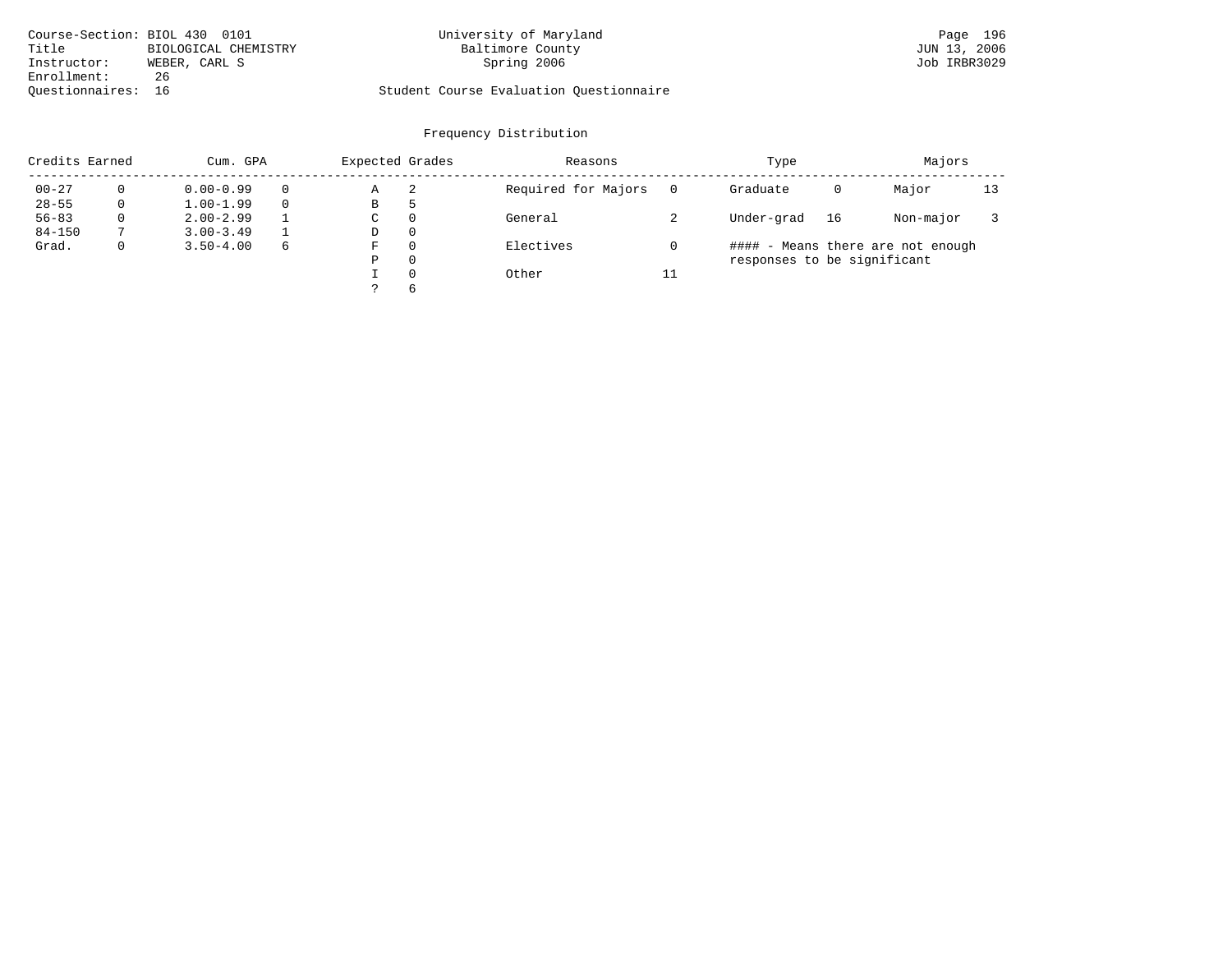| Course-Section: BIOL 430 0101 |                      | University of Maryland                  | Page 196     |
|-------------------------------|----------------------|-----------------------------------------|--------------|
| Title                         | BIOLOGICAL CHEMISTRY | Baltimore County                        | JUN 13, 2006 |
| Instructor:                   | WEBER, CARL S        | Spring 2006                             | Job IRBR3029 |
| Enrollment:                   | 26                   |                                         |              |
| Ouestionnaires: 16            |                      | Student Course Evaluation Ouestionnaire |              |

| Credits Earned |          | Cum. GPA      |   | Expected Grades |          | Reasons             |    | Type                        |    | Majors                            |    |
|----------------|----------|---------------|---|-----------------|----------|---------------------|----|-----------------------------|----|-----------------------------------|----|
| $00 - 27$      |          | $0.00 - 0.99$ |   | Α               | 2        | Required for Majors |    | Graduate                    | 0  | Major                             | 13 |
| $28 - 55$      | 0        | $1.00 - 1.99$ |   | В               | 5        |                     |    |                             |    |                                   |    |
| $56 - 83$      | $\Omega$ | $2.00 - 2.99$ |   | C               | $\Omega$ | General             |    | Under-grad                  | 16 | Non-major                         |    |
| $84 - 150$     |          | $3.00 - 3.49$ |   | D               | $\Omega$ |                     |    |                             |    |                                   |    |
| Grad.          | 0        | $3.50 - 4.00$ | 6 | F               | $\Omega$ | Electives           |    |                             |    | #### - Means there are not enough |    |
|                |          |               |   | Ρ               | $\Omega$ |                     |    | responses to be significant |    |                                   |    |
|                |          |               |   |                 | $\Omega$ | Other               | 11 |                             |    |                                   |    |
|                |          |               |   |                 | $\sigma$ |                     |    |                             |    |                                   |    |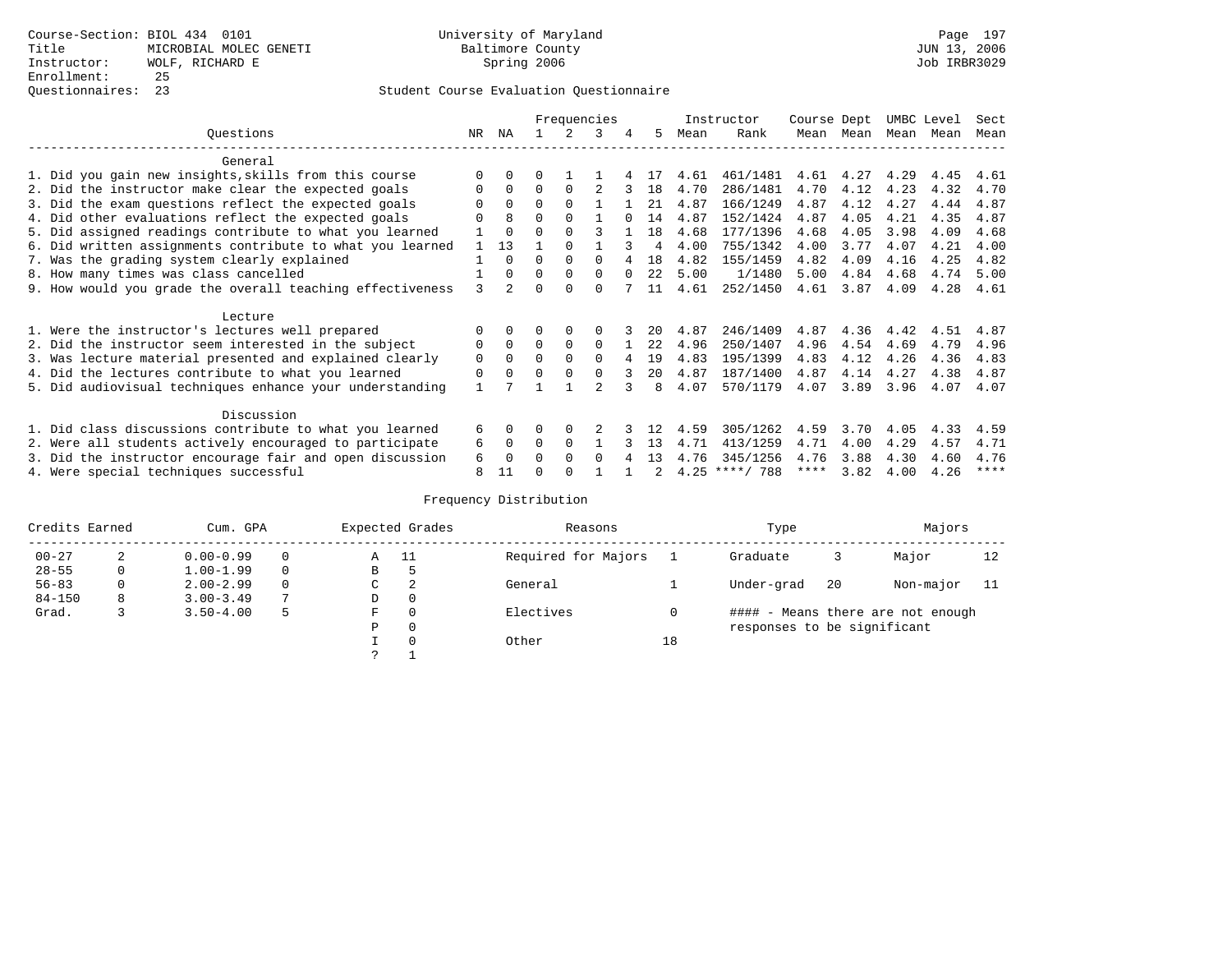|                                                           |               |                |          |          | Frequencies  |          |      |      | Instructor       | Course Dept |      | UMBC Level |      | Sect |
|-----------------------------------------------------------|---------------|----------------|----------|----------|--------------|----------|------|------|------------------|-------------|------|------------|------|------|
| Questions                                                 | NR.           | ΝA             |          |          | 3            | 4        | 5.   | Mean | Rank             | Mean        | Mean | Mean       | Mean | Mean |
| General                                                   |               |                |          |          |              |          |      |      |                  |             |      |            |      |      |
| 1. Did you gain new insights, skills from this course     |               | $\Omega$       | 0        |          |              |          |      | 4.61 | 461/1481         | 4.61        | 4.27 | 4.29       | 4.45 | 4.61 |
| 2. Did the instructor make clear the expected goals       | 0             | $\Omega$       | $\Omega$ | $\Omega$ |              |          | 18   | 4.70 | 286/1481         | 4.70        | 4.12 | 4.23       | 4.32 | 4.70 |
| 3. Did the exam questions reflect the expected goals      |               | $\Omega$       | $\Omega$ | $\Omega$ |              |          | 21   | 4.87 | 166/1249         | 4.87        | 4.12 | 4.27       | 4.44 | 4.87 |
| 4. Did other evaluations reflect the expected goals       |               | 8              | O        | $\Omega$ |              |          | 14   | 4.87 | 152/1424         | 4.87        | 4.05 | 4.21       | 4.35 | 4.87 |
| 5. Did assigned readings contribute to what you learned   |               | $\Omega$       |          |          |              |          | 18   | 4.68 | 177/1396         | 4.68        | 4.05 | 3.98       | 4.09 | 4.68 |
| 6. Did written assignments contribute to what you learned |               | 13             |          |          |              |          | 4    | 4.00 | 755/1342         | 4.00        | 3.77 | 4.07       | 4.21 | 4.00 |
| 7. Was the grading system clearly explained               |               | $\Omega$       | U        | $\Omega$ |              |          | 18   | 4.82 | 155/1459         | 4.82        | 4.09 | 4.16       | 4.25 | 4.82 |
| 8. How many times was class cancelled                     |               | $\Omega$       | $\Omega$ | $\Omega$ | 0            | $\Omega$ | 2.2  | 5.00 | 1/1480           | 5.00        | 4.84 | 4.68       | 4.74 | 5.00 |
| 9. How would you grade the overall teaching effectiveness | $\mathcal{L}$ | $\overline{2}$ |          | $\cap$   | U            |          | 11   | 4.61 | 252/1450         | 4.61        | 3.87 | 4.09       | 4.28 | 4.61 |
| Lecture                                                   |               |                |          |          |              |          |      |      |                  |             |      |            |      |      |
| 1. Were the instructor's lectures well prepared           |               |                |          | $\Omega$ |              |          |      | 4.87 | 246/1409         | 4.87        | 4.36 | 4.42       | 4.51 | 4.87 |
| 2. Did the instructor seem interested in the subject      | 0             | $\Omega$       | $\Omega$ | $\Omega$ | $\Omega$     |          | 2.2. | 4.96 | 250/1407         | 4.96        | 4.54 | 4.69       | 4.79 | 4.96 |
| 3. Was lecture material presented and explained clearly   | 0             | $\Omega$       | 0        | $\Omega$ | 0            |          | 19   | 4.83 | 195/1399         | 4.83        | 4.12 | 4.26       | 4.36 | 4.83 |
| 4. Did the lectures contribute to what you learned        | 0             | $\Omega$       | O        | $\Omega$ | <sup>0</sup> |          | 20   | 4.87 | 187/1400         | 4.87        | 4.14 | 4.27       | 4.38 | 4.87 |
| 5. Did audiovisual techniques enhance your understanding  |               |                |          |          |              |          | 8    | 4.07 | 570/1179         | 4.07        | 3.89 | 3.96       | 4.07 | 4.07 |
| Discussion                                                |               |                |          |          |              |          |      |      |                  |             |      |            |      |      |
| 1. Did class discussions contribute to what you learned   | 6             | $\Omega$       | U        | $\Omega$ |              |          |      | 4.59 | 305/1262         | 4.59        | 3.70 | 4.05       | 4.33 | 4.59 |
| 2. Were all students actively encouraged to participate   | 6             | 0              | $\Omega$ | $\Omega$ |              |          | 13   | 4.71 | 413/1259         | 4.71        | 4.00 | 4.29       | 4.57 | 4.71 |
| 3. Did the instructor encourage fair and open discussion  | 6             | $\Omega$       | U        | $\Omega$ | <sup>0</sup> |          | 13   | 4.76 | 345/1256         | 4.76        | 3.88 | 4.30       | 4.60 | 4.76 |
| 4. Were special techniques successful                     | 8             | 11             |          |          |              |          |      |      | $4.25$ ****/ 788 | ****        | 3.82 | 4.00       | 4.26 | **** |

| Credits Earned |   | Cum. GPA      |   |   | Expected Grades | Reasons             |    | Type                        |     | Majors                            |    |
|----------------|---|---------------|---|---|-----------------|---------------------|----|-----------------------------|-----|-----------------------------------|----|
| $00 - 27$      | 2 | $0.00 - 0.99$ |   | Α | - 11            | Required for Majors |    | Graduate                    | 3   | Major                             | 12 |
| $28 - 55$      | 0 | $1.00 - 1.99$ |   | В | 5               |                     |    |                             |     |                                   |    |
| $56 - 83$      | 0 | $2.00 - 2.99$ |   | C | 2               | General             |    | Under-grad                  | -20 | Non-major                         |    |
| $84 - 150$     | 8 | $3.00 - 3.49$ | 7 | D | 0               |                     |    |                             |     |                                   |    |
| Grad.          |   | $3.50 - 4.00$ | 5 | F | 0               | Electives           | 0  |                             |     | #### - Means there are not enough |    |
|                |   |               |   | Ρ | 0               |                     |    | responses to be significant |     |                                   |    |
|                |   |               |   |   | $\Omega$        | Other               | 18 |                             |     |                                   |    |
|                |   |               |   | C |                 |                     |    |                             |     |                                   |    |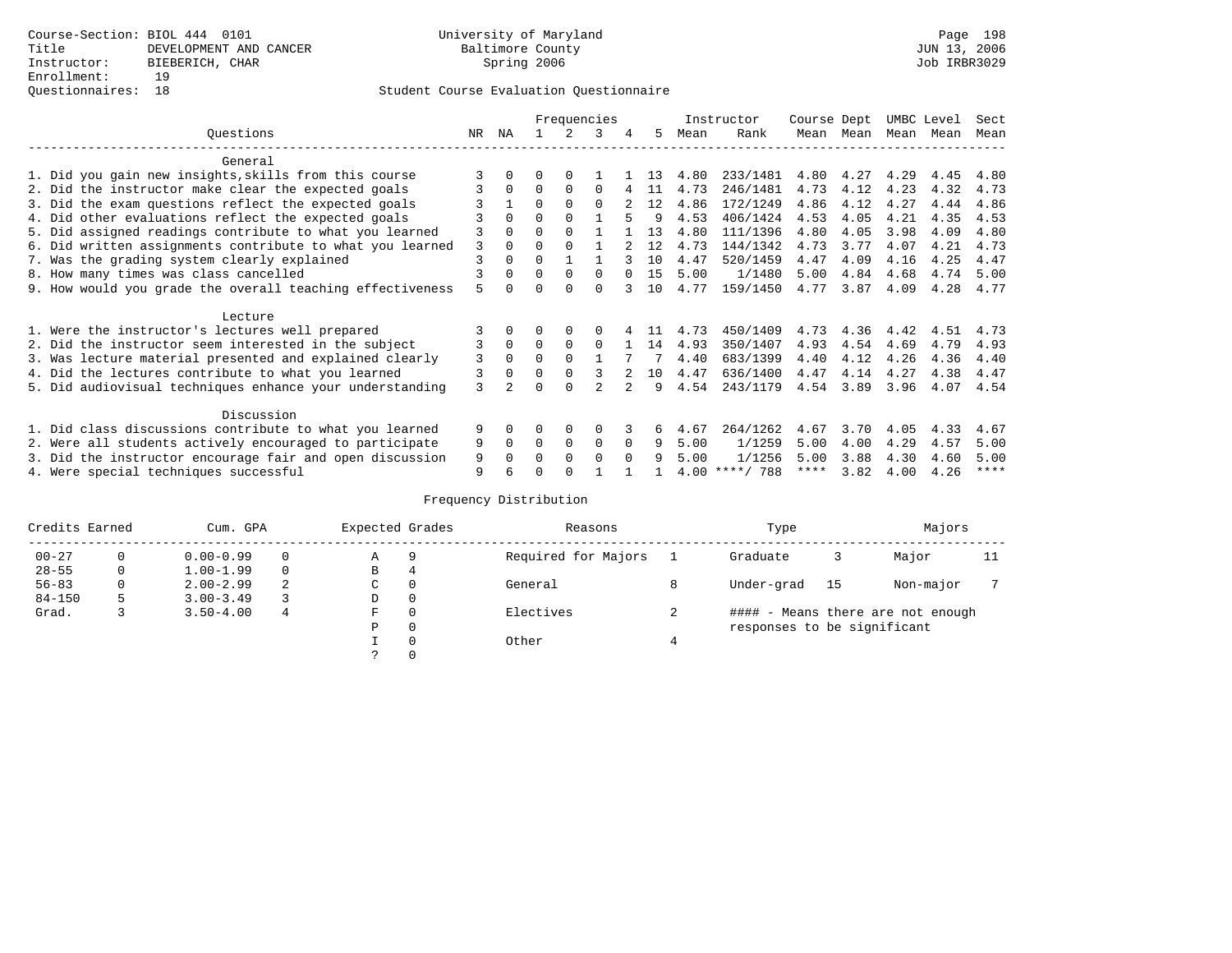### Questionnaires: 18 Student Course Evaluation Questionnaire

|                                                           |               |          |          |             | Frequencies  |          |    |      | Instructor       | Course Dept |           | UMBC Level |      | Sect        |
|-----------------------------------------------------------|---------------|----------|----------|-------------|--------------|----------|----|------|------------------|-------------|-----------|------------|------|-------------|
| Ouestions                                                 | NR.           | ΝA       |          | 2           | 3            | 4        | 5. | Mean | Rank             |             | Mean Mean | Mean       | Mean | Mean        |
| General                                                   |               |          |          |             |              |          |    |      |                  |             |           |            |      |             |
| 1. Did you gain new insights, skills from this course     |               |          | 0        | $\Omega$    |              |          | 13 | 4.80 | 233/1481         | 4.80        | 4.27      | 4.29       | 4.45 | 4.80        |
| 2. Did the instructor make clear the expected goals       |               | $\Omega$ | $\Omega$ | $\Omega$    | <sup>0</sup> |          | 11 | 4.73 | 246/1481         | 4.73        | 4.12      | 4.23       | 4.32 | 4.73        |
| 3. Did the exam questions reflect the expected goals      |               |          | 0        | $\Omega$    | $\Omega$     |          | 12 | 4.86 | 172/1249         | 4.86        | 4.12      | 4.27       | 4.44 | 4.86        |
| 4. Did other evaluations reflect the expected goals       |               | $\Omega$ | O        | $\Omega$    |              |          | 9  | 4.53 | 406/1424         | 4.53        | 4.05      | 4.21       | 4.35 | 4.53        |
| 5. Did assigned readings contribute to what you learned   | 3             | $\Omega$ | O        | $\Omega$    |              |          | 13 | 4.80 | 111/1396         | 4.80        | 4.05      | 3.98       | 4.09 | 4.80        |
| 6. Did written assignments contribute to what you learned | 3             | $\Omega$ | O        | $\Omega$    |              |          | 12 | 4.73 | 144/1342         | 4.73        | 3.77      | 4.07       | 4.21 | 4.73        |
| 7. Was the grading system clearly explained               | 3             | $\Omega$ | U        |             |              |          | 10 | 4.47 | 520/1459         | 4.47        | 4.09      | 4.16       | 4.25 | 4.47        |
| 8. How many times was class cancelled                     |               | $\Omega$ | 0        | $\Omega$    | $\Omega$     |          | 15 | 5.00 | 1/1480           | 5.00        | 4.84      | 4.68       | 4.74 | 5.00        |
| 9. How would you grade the overall teaching effectiveness | 5             |          |          | $\cap$      | 0            |          | 10 | 4.77 | 159/1450         | 4.77        | 3.87      | 4.09       | 4.28 | 4.77        |
| Lecture                                                   |               |          |          |             |              |          |    |      |                  |             |           |            |      |             |
| 1. Were the instructor's lectures well prepared           |               |          |          | $\Omega$    |              |          |    | 4.73 | 450/1409         | 4.73        | 4.36      | 4.42       | 4.51 | 4.73        |
| 2. Did the instructor seem interested in the subject      | 3             | $\Omega$ | $\Omega$ | $\Omega$    | $\Omega$     |          | 14 | 4.93 | 350/1407         | 4.93        | 4.54      | 4.69       | 4.79 | 4.93        |
| 3. Was lecture material presented and explained clearly   | 3             | $\Omega$ | 0        | $\Omega$    |              |          |    | 4.40 | 683/1399         | 4.40        | 4.12      | 4.26       | 4.36 | 4.40        |
| 4. Did the lectures contribute to what you learned        | 3             | $\Omega$ |          | $\Omega$    |              |          | 10 | 4.47 | 636/1400         | 4.47        | 4.14      | 4.27       | 4.38 | 4.47        |
| 5. Did audiovisual techniques enhance your understanding  | $\mathcal{L}$ |          |          | $\cap$      |              |          | q  | 4.54 | 243/1179         | 4.54        | 3.89      | 3.96       | 4.07 | 4.54        |
| Discussion                                                |               |          |          |             |              |          |    |      |                  |             |           |            |      |             |
| 1. Did class discussions contribute to what you learned   | 9             | $\Omega$ | O        | $\Omega$    | O            |          | 6  | 4.67 | 264/1262         | 4.67        | 3.70      | 4.05       | 4.33 | 4.67        |
| 2. Were all students actively encouraged to participate   | 9             | $\Omega$ | $\Omega$ | $\mathbf 0$ | 0            | $\Omega$ | 9  | 5.00 | 1/1259           | 5.00        | 4.00      | 4.29       | 4.57 | 5.00        |
| 3. Did the instructor encourage fair and open discussion  | 9             |          | U        | $\Omega$    | <sup>0</sup> | $\cap$   | q  | 5.00 | 1/1256           | 5.00        | 3.88      | 4.30       | 4.60 | 5.00        |
| 4. Were special techniques successful                     | 9             |          |          |             |              |          |    |      | $4.00$ ****/ 788 | ****        | 3.82      | 4.00       | 4.26 | $***$ * * * |

| Credits Earned |   | Cum. GPA      |   | Expected Grades |    | Reasons             | Type                        |    | Majors                            |    |
|----------------|---|---------------|---|-----------------|----|---------------------|-----------------------------|----|-----------------------------------|----|
| $00 - 27$      | 0 | $0.00 - 0.99$ |   | Α               | -9 | Required for Majors | Graduate                    |    | Major                             | 11 |
| $28 - 55$      | 0 | $1.00 - 1.99$ |   | B               | 4  |                     |                             |    |                                   |    |
| $56 - 83$      | 0 | $2.00 - 2.99$ | 2 | $\sim$<br>◡     | 0  | General             | Under-grad                  | 15 | Non-major                         |    |
| $84 - 150$     | 5 | $3.00 - 3.49$ |   | D               | 0  |                     |                             |    |                                   |    |
| Grad.          |   | $3.50 - 4.00$ | 4 | F               | 0  | Electives           |                             |    | #### - Means there are not enough |    |
|                |   |               |   | Ρ               | 0  |                     | responses to be significant |    |                                   |    |
|                |   |               |   |                 | 0  | Other               |                             |    |                                   |    |
|                |   |               |   | C.              |    |                     |                             |    |                                   |    |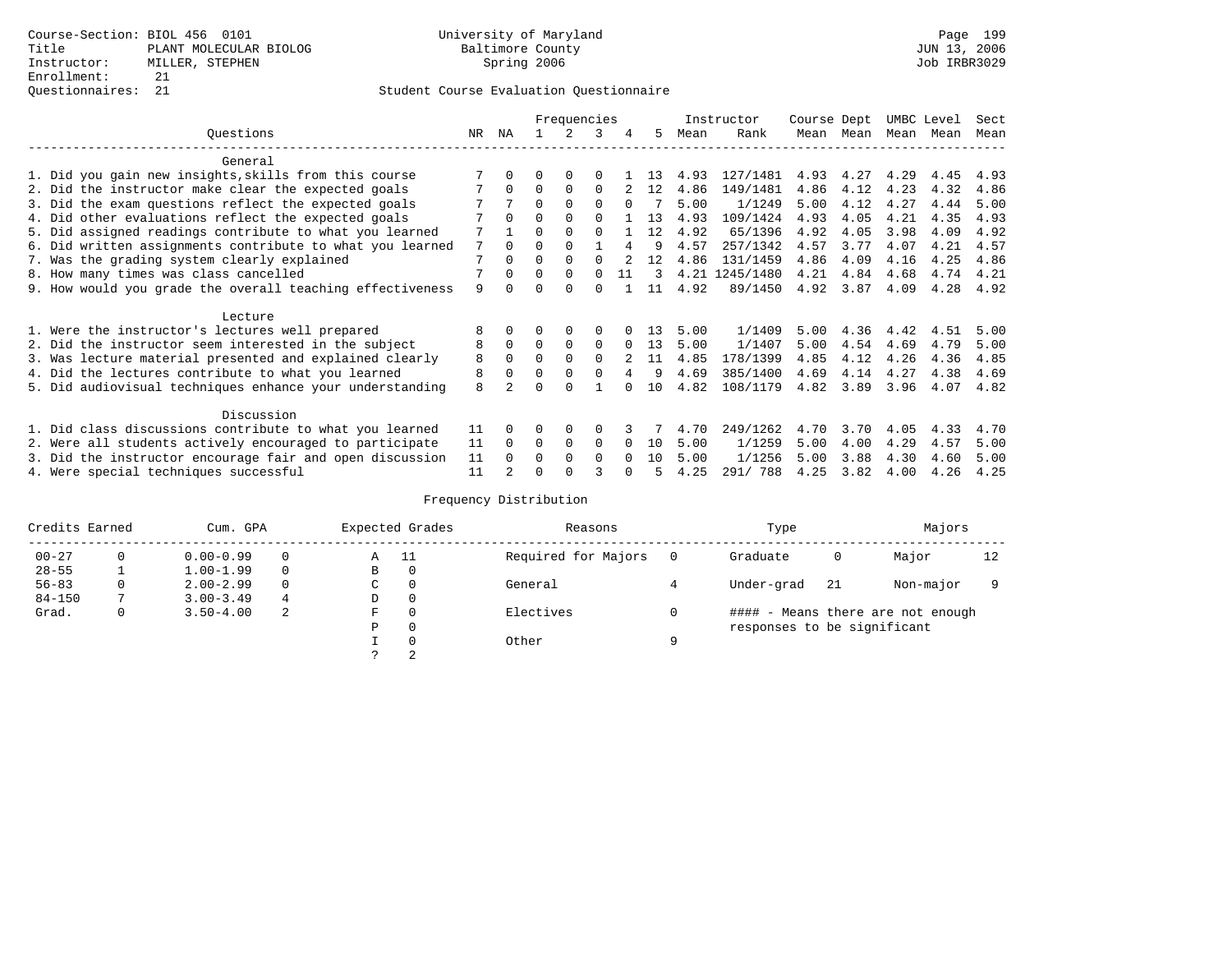### Questionnaires: 21 Student Course Evaluation Questionnaire

|                                                           |     |              |          | Frequencies |              |          |    |      | Instructor     | Course Dept |      | UMBC Level |      | Sect |
|-----------------------------------------------------------|-----|--------------|----------|-------------|--------------|----------|----|------|----------------|-------------|------|------------|------|------|
| Ouestions                                                 | NR. | ΝA           |          |             | 3            | 4        | 5  | Mean | Rank           | Mean        | Mean | Mean       | Mean | Mean |
| General                                                   |     |              |          |             |              |          |    |      |                |             |      |            |      |      |
| 1. Did you gain new insights, skills from this course     |     |              | U        | $\Omega$    | $\Omega$     |          | 13 | 4.93 | 127/1481       | 4.93        | 4.27 | 4.29       | 4.45 | 4.93 |
| 2. Did the instructor make clear the expected goals       |     | $\Omega$     | $\Omega$ | $\Omega$    | $\Omega$     |          | 12 | 4.86 | 149/1481       | 4.86        | 4.12 | 4.23       | 4.32 | 4.86 |
| 3. Did the exam questions reflect the expected goals      |     | 7            | $\Omega$ | $\Omega$    | $\Omega$     | $\Omega$ |    | 5.00 | 1/1249         | 5.00        | 4.12 | 4.27       | 4.44 | 5.00 |
| 4. Did other evaluations reflect the expected goals       |     | $\Omega$     | O        | $\Omega$    | <sup>0</sup> |          | 13 | 4.93 | 109/1424       | 4.93        | 4.05 | 4.21       | 4.35 | 4.93 |
| 5. Did assigned readings contribute to what you learned   |     |              | O        | $\Omega$    | $\Omega$     |          | 12 | 4.92 | 65/1396        | 4.92        | 4.05 | 3.98       | 4.09 | 4.92 |
| 6. Did written assignments contribute to what you learned | 7   | $\Omega$     |          |             |              | 4        | 9  | 4.57 | 257/1342       | 4.57        | 3.77 | 4.07       | 4.21 | 4.57 |
| 7. Was the grading system clearly explained               | 7   | $\Omega$     | O        | $\Omega$    | $\cap$       |          | 12 | 4.86 | 131/1459       | 4.86        | 4.09 | 4.16       | 4.25 | 4.86 |
| 8. How many times was class cancelled                     |     | $\Omega$     | $\Omega$ | $\Omega$    | $\Omega$     | 11       | 3  |      | 4.21 1245/1480 | 4.21        | 4.84 | 4.68       | 4.74 | 4.21 |
| 9. How would you grade the overall teaching effectiveness | 9   | <sup>n</sup> | U        | $\Omega$    | $\Omega$     |          | 11 | 4.92 | 89/1450        | 4.92        | 3.87 | 4.09       | 4.28 | 4.92 |
| Lecture                                                   |     |              |          |             |              |          |    |      |                |             |      |            |      |      |
| 1. Were the instructor's lectures well prepared           | 8   |              |          | 0           | $\Omega$     |          | 13 | 5.00 | 1/1409         | 5.00        | 4.36 | 4.42       | 4.51 | 5.00 |
| 2. Did the instructor seem interested in the subject      | 8   | 0            | $\Omega$ | $\mathbf 0$ | $\Omega$     | $\Omega$ | 13 | 5.00 | 1/1407         | 5.00        | 4.54 | 4.69       | 4.79 | 5.00 |
| 3. Was lecture material presented and explained clearly   | 8   | $\Omega$     |          | $\Omega$    | $\Omega$     |          | 11 | 4.85 | 178/1399       | 4.85        | 4.12 | 4.26       | 4.36 | 4.85 |
| 4. Did the lectures contribute to what you learned        | 8   | $\Omega$     | $\Omega$ | $\Omega$    | $\Omega$     | 4        | 9  | 4.69 | 385/1400       | 4.69        | 4.14 | 4.27       | 4.38 | 4.69 |
| 5. Did audiovisual techniques enhance your understanding  | 8   |              | U        | $\cap$      |              |          | 10 | 4.82 | 108/1179       | 4.82        | 3.89 | 3.96       | 4.07 | 4.82 |
| Discussion                                                |     |              |          |             |              |          |    |      |                |             |      |            |      |      |
| 1. Did class discussions contribute to what you learned   | 11  | $\Omega$     |          | 0           | $\Omega$     |          |    | 4.70 | 249/1262       | 4.70        | 3.70 | 4.05       | 4.33 | 4.70 |
| 2. Were all students actively encouraged to participate   | 11  | $\Omega$     | $\Omega$ | $\Omega$    | $\Omega$     | $\Omega$ | 10 | 5.00 | 1/1259         | 5.00        | 4.00 | 4.29       | 4.57 | 5.00 |
| 3. Did the instructor encourage fair and open discussion  | 11  | $\cap$       | U        | $\Omega$    | $\Omega$     | $\cap$   | 10 | 5.00 | 1/1256         | 5.00        | 3.88 | 4.30       | 4.60 | 5.00 |
| 4. Were special techniques successful                     | 11  |              |          |             |              |          |    | 4.25 | 291/ 788       | 4.25        | 3.82 | 4.00       | 4.26 | 4.25 |

| Credits Earned        |   | Cum. GPA      |   |                     | Expected Grades | Reasons             |                                        | Type                        | Majors |           |    |  |  |
|-----------------------|---|---------------|---|---------------------|-----------------|---------------------|----------------------------------------|-----------------------------|--------|-----------|----|--|--|
| $00 - 27$<br>$\Omega$ |   | $0.00 - 0.99$ |   | Α                   | - 11            | Required for Majors | $\Omega$                               | Graduate                    | 0      | Major     | 12 |  |  |
| $28 - 55$             | ᅩ | $1.00 - 1.99$ |   | В                   | 0               |                     |                                        |                             |        |           |    |  |  |
| $56 - 83$             | 0 | $2.00 - 2.99$ |   | $\sim$<br>◡         | 0               | General             |                                        | Under-grad                  | -21    | Non-major |    |  |  |
| $84 - 150$            |   | $3.00 - 3.49$ | 4 | D                   | 0               |                     |                                        |                             |        |           |    |  |  |
| Grad.                 | 0 | $3.50 - 4.00$ | 2 | Electives<br>0<br>F |                 |                     | #### - Means there are not enough<br>0 |                             |        |           |    |  |  |
|                       |   |               |   | Ρ                   | 0               |                     |                                        | responses to be significant |        |           |    |  |  |
|                       |   |               |   |                     | $\Omega$        | Other               | Q                                      |                             |        |           |    |  |  |
|                       |   |               |   | C                   | 2               |                     |                                        |                             |        |           |    |  |  |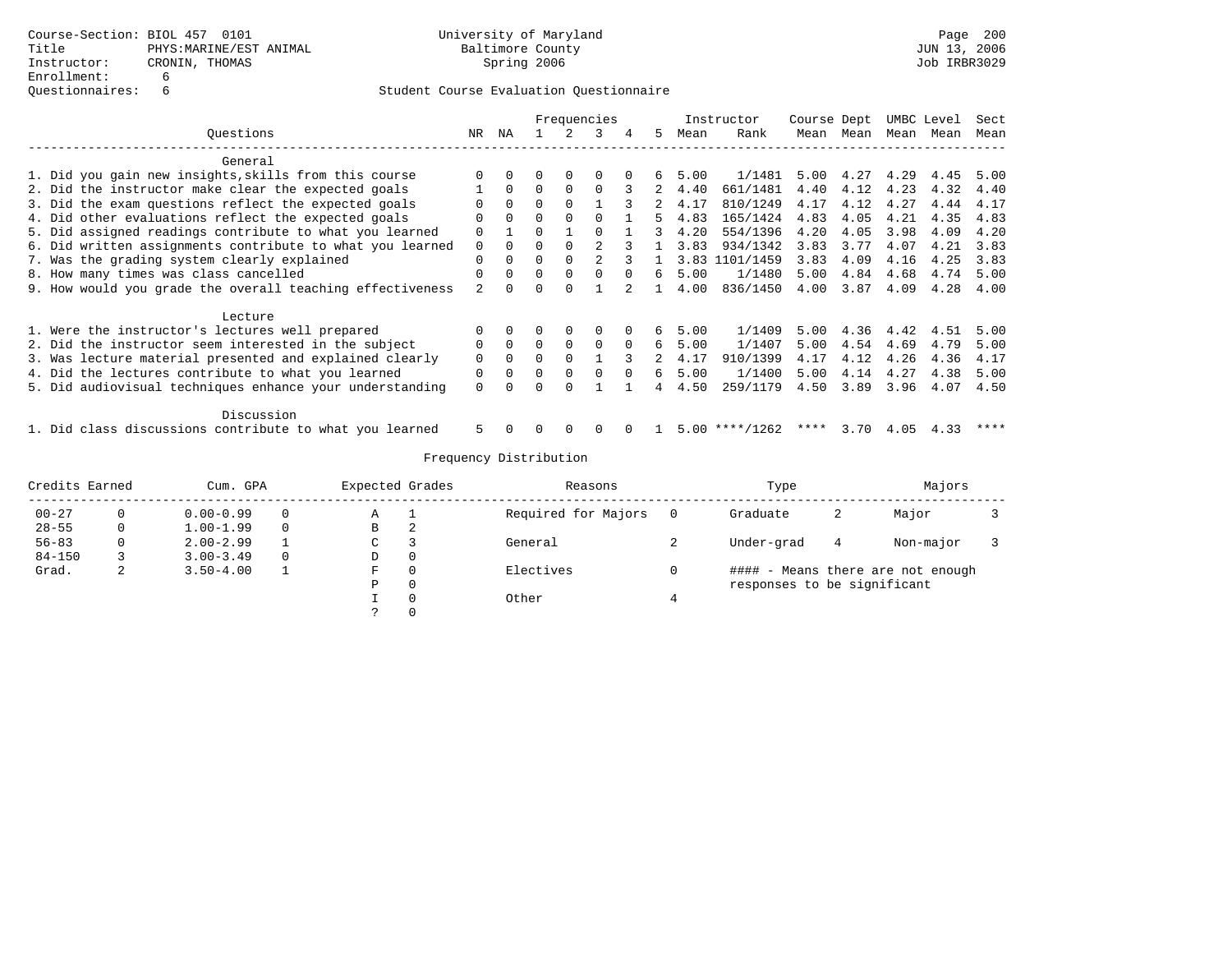|                                                           |                |          |          |          | Frequencies |          |    |      | Instructor | Course Dept |           | UMBC Level |      | Sect |
|-----------------------------------------------------------|----------------|----------|----------|----------|-------------|----------|----|------|------------|-------------|-----------|------------|------|------|
| Ouestions                                                 | NR.            | ΝA       |          |          | ર           | 4        | 5. | Mean | Rank       |             | Mean Mean | Mean       | Mean | Mean |
| General                                                   |                |          |          |          |             |          |    |      |            |             |           |            |      |      |
| 1. Did you gain new insights, skills from this course     |                |          |          | $\Omega$ |             |          | 6  | 5.00 | 1/1481     | 5.00        | 4.27      | 4.29       | 4.45 | 5.00 |
| 2. Did the instructor make clear the expected goals       |                | $\Omega$ | $\Omega$ |          |             |          | 2  | 4.40 | 661/1481   | 4.40        | 4.12      | 4.23       | 4.32 | 4.40 |
| 3. Did the exam questions reflect the expected goals      |                | $\Omega$ | $\Omega$ |          |             |          |    | 4.17 | 810/1249   | 4.17        | 4.12      | 4.27       | 4.44 | 4.17 |
| 4. Did other evaluations reflect the expected goals       | O              | $\Omega$ | $\Omega$ | $\Omega$ | $\Omega$    |          | 5  | 4.83 | 165/1424   | 4.83        | 4.05      | 4.21       | 4.35 | 4.83 |
| 5. Did assigned readings contribute to what you learned   | $\Omega$       |          | $\cap$   |          | $\cap$      |          | २  | 4.20 | 554/1396   | 4.20        | 4.05      | 3.98       | 4.09 | 4.20 |
| 6. Did written assignments contribute to what you learned | $\Omega$       | $\Omega$ |          |          |             |          |    | 3.83 | 934/1342   | 3.83        | 3.77      | 4.07       | 4.21 | 3.83 |
| 7. Was the grading system clearly explained               | 0              | $\Omega$ | $\Omega$ |          |             |          |    | 3.83 | 1101/1459  | 3.83        | 4.09      | 4.16       | 4.25 | 3.83 |
| 8. How many times was class cancelled                     | $\Omega$       | $\Omega$ | $\Omega$ | $\Omega$ | $\Omega$    | $\Omega$ | 6  | 5.00 | 1/1480     | 5.00        | 4.84      | 4.68       | 4.74 | 5.00 |
| 9. How would you grade the overall teaching effectiveness | $\mathfrak{D}$ |          | O        | $\Omega$ |             |          |    | 4.00 | 836/1450   | 4.00        | 3.87      | 4.09       | 4.28 | 4.00 |
| Lecture                                                   |                |          |          |          |             |          |    |      |            |             |           |            |      |      |
| 1. Were the instructor's lectures well prepared           | 0              |          |          | 0        | 0           |          | б. | 5.00 | 1/1409     | 5.00        | 4.36      | 4.42       | 4.51 | 5.00 |
| 2. Did the instructor seem interested in the subject      | $\Omega$       | $\Omega$ | $\Omega$ | $\Omega$ | $\Omega$    | $\Omega$ | б. | 5.00 | 1/1407     | 5.00        | 4.54      | 4.69       | 4.79 | 5.00 |
| 3. Was lecture material presented and explained clearly   | $\Omega$       | $\Omega$ | $\Omega$ | $\Omega$ |             | 3        |    | 4.17 | 910/1399   | 4.17        | 4.12      | 4.26       | 4.36 | 4.17 |
| 4. Did the lectures contribute to what you learned        | 0              | $\Omega$ | $\Omega$ | $\Omega$ | $\Omega$    | $\Omega$ | б. | 5.00 | 1/1400     | 5.00        | 4.14      | 4.27       | 4.38 | 5.00 |
| 5. Did audiovisual techniques enhance your understanding  | $\Omega$       |          |          |          |             |          |    | 4.50 | 259/1179   | 4.50        | 3.89      | 3.96       | 4.07 | 4.50 |
| Discussion                                                |                |          |          |          |             |          |    |      |            |             |           |            |      |      |
| 1. Did class discussions contribute to what you learned   | 5              |          |          |          |             |          |    | 5.00 | $***/1262$ | ****        | 3.70      | 4.05       | 4.33 | **** |

| Credits Earned |   | Cum. GPA                       |          | Expected Grades     |          | Reasons   |   | Type                        | Majors |                              |  |
|----------------|---|--------------------------------|----------|---------------------|----------|-----------|---|-----------------------------|--------|------------------------------|--|
| $00 - 27$      | 0 | $0.00 - 0.99$<br>$\Omega$<br>А |          | Required for Majors |          | Graduate  | 2 | Major                       |        |                              |  |
| $28 - 55$      | 0 | $1.00 - 1.99$                  | $\Omega$ | В                   | 2        |           |   |                             |        |                              |  |
| $56 - 83$      | 0 | $2.00 - 2.99$                  |          | $\sim$<br>◡         | 3        | General   |   | Under-grad                  | 4      | Non-major                    |  |
| $84 - 150$     |   | $3.00 - 3.49$                  | $\Omega$ | D                   | 0        |           |   |                             |        |                              |  |
| Grad.          | 2 | $3.50 - 4.00$                  |          | F.                  | 0        | Electives |   | ####                        |        | - Means there are not enough |  |
|                |   |                                |          | Ρ                   | 0        |           |   | responses to be significant |        |                              |  |
|                |   |                                |          |                     | 0        | Other     | 4 |                             |        |                              |  |
|                |   |                                |          |                     | $\Omega$ |           |   |                             |        |                              |  |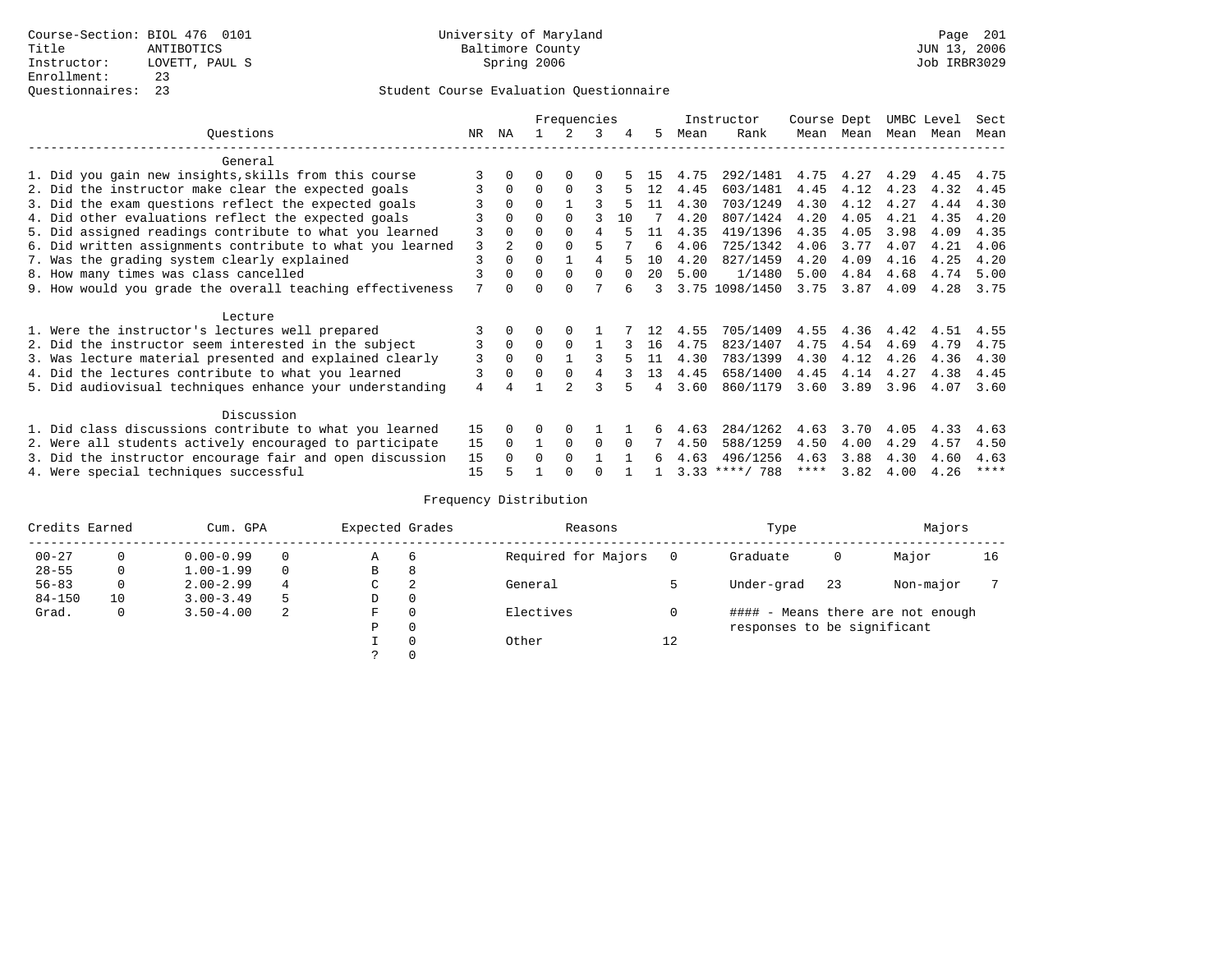|                                                           |     | Frequencies    |          |          |          |          |                   | Instructor | Course Dept      |      | UMBC Level |      | Sect |             |
|-----------------------------------------------------------|-----|----------------|----------|----------|----------|----------|-------------------|------------|------------------|------|------------|------|------|-------------|
| Ouestions                                                 | NR. | ΝA             |          |          | 3        | 4        | 5.                | Mean       | Rank             | Mean | Mean       | Mean | Mean | Mean        |
| General                                                   |     |                |          |          |          |          |                   |            |                  |      |            |      |      |             |
| 1. Did you gain new insights, skills from this course     |     | 0              | O        | $\Omega$ | $\Omega$ |          | 15                | 4.75       | 292/1481         | 4.75 | 4.27       | 4.29 | 4.45 | 4.75        |
| 2. Did the instructor make clear the expected goals       | 3   | $\Omega$       | $\Omega$ | $\Omega$ | ς        |          | 12                | 4.45       | 603/1481         | 4.45 | 4.12       | 4.23 | 4.32 | 4.45        |
| 3. Did the exam questions reflect the expected goals      |     | $\Omega$       | $\Omega$ |          |          |          | 11                | 4.30       | 703/1249         | 4.30 | 4.12       | 4.27 | 4.44 | 4.30        |
| 4. Did other evaluations reflect the expected goals       |     | $\Omega$       | $\Omega$ | $\Omega$ |          | 10       |                   | 4.20       | 807/1424         | 4.20 | 4.05       | 4.21 | 4.35 | 4.20        |
| 5. Did assigned readings contribute to what you learned   | 3   |                | $\Omega$ | $\Omega$ | 4        |          | 11                | 4.35       | 419/1396         | 4.35 | 4.05       | 3.98 | 4.09 | 4.35        |
| 6. Did written assignments contribute to what you learned | 3   | $\mathfrak{D}$ | $\Omega$ |          |          |          | 6                 | 4.06       | 725/1342         | 4.06 | 3.77       | 4.07 | 4.21 | 4.06        |
| 7. Was the grading system clearly explained               | 3   | $\Omega$       | $\Omega$ |          | 4        |          | 10                | 4.20       | 827/1459         | 4.20 | 4.09       | 4.16 | 4.25 | 4.20        |
| 8. How many times was class cancelled                     |     | $\Omega$       | $\Omega$ | $\Omega$ | $\Omega$ | $\Omega$ | $20 \overline{0}$ | 5.00       | 1/1480           | 5.00 | 4.84       | 4.68 | 4.74 | 5.00        |
| 9. How would you grade the overall teaching effectiveness | 7   | <sup>n</sup>   | U        | ∩        |          |          | २                 |            | 3.75 1098/1450   | 3.75 | 3.87       | 4.09 | 4.28 | 3.75        |
| Lecture                                                   |     |                |          |          |          |          |                   |            |                  |      |            |      |      |             |
| 1. Were the instructor's lectures well prepared           |     |                |          |          |          |          | 12                | 4.55       | 705/1409         | 4.55 | 4.36       | 4.42 | 4.51 | 4.55        |
| 2. Did the instructor seem interested in the subject      | 3   | $\Omega$       | $\Omega$ | $\Omega$ |          |          | 16                | 4.75       | 823/1407         | 4.75 | 4.54       | 4.69 | 4.79 | 4.75        |
| 3. Was lecture material presented and explained clearly   | 3   | $\Omega$       | $\Omega$ |          |          |          | 11                | 4.30       | 783/1399         | 4.30 | 4.12       | 4.26 | 4.36 | 4.30        |
| 4. Did the lectures contribute to what you learned        | 3   | $\Omega$       | $\Omega$ | $\Omega$ | 4        |          | 13                | 4.45       | 658/1400         | 4.45 | 4.14       | 4.27 | 4.38 | 4.45        |
| 5. Did audiovisual techniques enhance your understanding  | 4   |                |          |          |          |          | 4                 | 3.60       | 860/1179         | 3.60 | 3.89       | 3.96 | 4.07 | 3.60        |
|                                                           |     |                |          |          |          |          |                   |            |                  |      |            |      |      |             |
| Discussion                                                |     |                |          |          |          |          |                   |            |                  |      |            |      |      |             |
| 1. Did class discussions contribute to what you learned   | 15  | 0              | U        | $\Omega$ |          |          |                   | 4.63       | 284/1262         | 4.63 | 3.70       | 4.05 | 4.33 | 4.63        |
| 2. Were all students actively encouraged to participate   | 15  | $\Omega$       |          | $\Omega$ | $\Omega$ |          |                   | 4.50       | 588/1259         | 4.50 | 4.00       | 4.29 | 4.57 | 4.50        |
| 3. Did the instructor encourage fair and open discussion  | 15  | $\Omega$       | $\Omega$ | $\Omega$ |          |          | 6                 | 4.63       | 496/1256         | 4.63 | 3.88       | 4.30 | 4.60 | 4.63        |
| 4. Were special techniques successful                     | 15  |                |          |          |          |          |                   |            | $3.33$ ****/ 788 | **** | 3.82       | 4.00 | 4.26 | $***$ * * * |

| Credits Earned |    | Cum. GPA      |          | Expected Grades            |          | Reasons             |                                   | Type                        | Majors |           |    |  |
|----------------|----|---------------|----------|----------------------------|----------|---------------------|-----------------------------------|-----------------------------|--------|-----------|----|--|
| $00 - 27$      |    | $0.00 - 0.99$ |          | Α                          | 6        | Required for Majors |                                   | Graduate                    | 0      | Major     | 16 |  |
| $28 - 55$      | 0  | $1.00 - 1.99$ | $\Omega$ | В                          | 8        |                     |                                   |                             |        |           |    |  |
| $56 - 83$      | 0  | $2.00 - 2.99$ | 4        | C.                         | 2        | General             |                                   | Under-grad                  | 23     | Non-major |    |  |
| $84 - 150$     | 10 | $3.00 - 3.49$ |          | D                          | 0        |                     |                                   |                             |        |           |    |  |
| Grad.          | 0  | $3.50 - 4.00$ | -2       | Electives<br>$\Omega$<br>F |          |                     | #### - Means there are not enough |                             |        |           |    |  |
|                |    |               |          | Ρ                          | 0        |                     |                                   | responses to be significant |        |           |    |  |
|                |    |               |          |                            | $\Omega$ | Other               | 12                                |                             |        |           |    |  |
|                |    |               |          |                            |          |                     |                                   |                             |        |           |    |  |